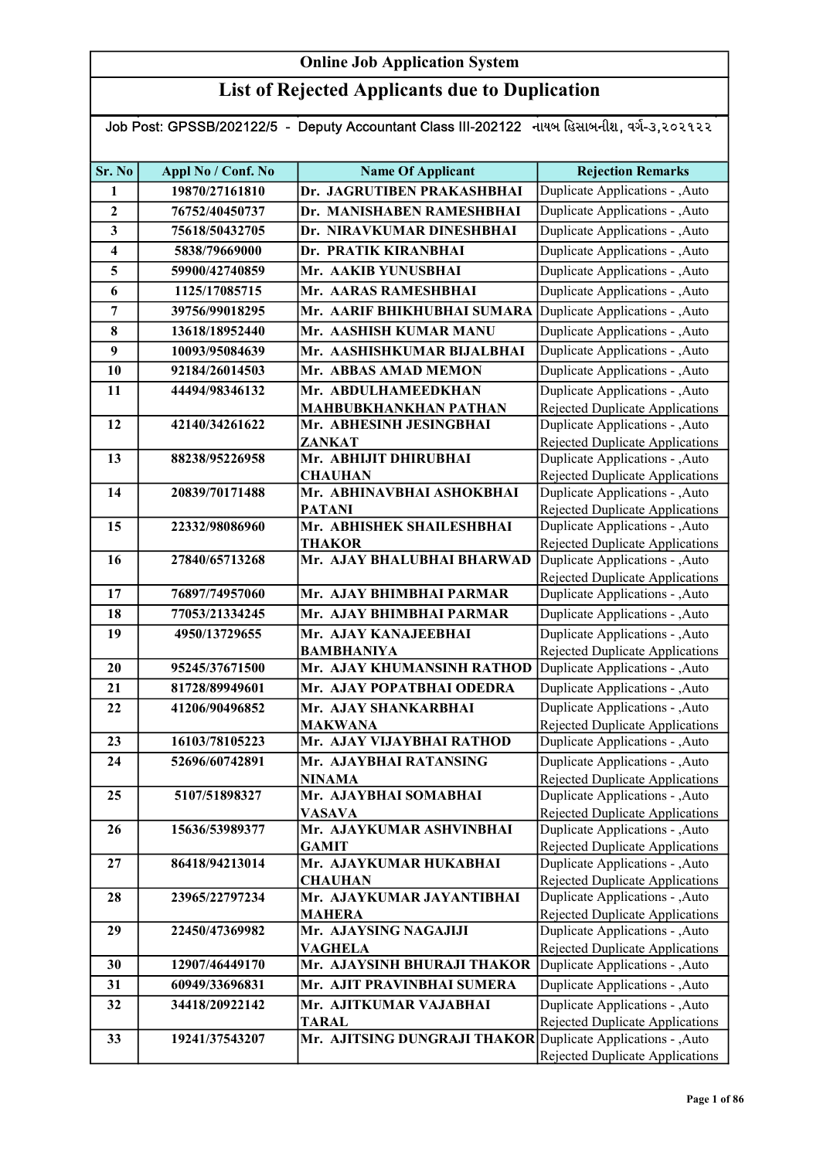### List of Rejected Applicants due to Duplication

Job Post: GPSSB/202122/5 - Deputy Accountant Class III-202122 નાયબ હિસાબનીશ, વર્ગ-૩,૨૦૨૧૨૨

| Sr. No                  | Appl No / Conf. No | <b>Name Of Applicant</b>                                     | <b>Rejection Remarks</b>                                           |
|-------------------------|--------------------|--------------------------------------------------------------|--------------------------------------------------------------------|
| $\mathbf{1}$            | 19870/27161810     | Dr. JAGRUTIBEN PRAKASHBHAI                                   | Duplicate Applications - , Auto                                    |
| $\overline{2}$          | 76752/40450737     | Dr. MANISHABEN RAMESHBHAI                                    | Duplicate Applications - , Auto                                    |
| 3                       | 75618/50432705     | Dr. NIRAVKUMAR DINESHBHAI                                    | Duplicate Applications - , Auto                                    |
| $\overline{\mathbf{4}}$ | 5838/79669000      | Dr. PRATIK KIRANBHAI                                         | Duplicate Applications - ,Auto                                     |
| 5                       | 59900/42740859     | Mr. AAKIB YUNUSBHAI                                          | Duplicate Applications - , Auto                                    |
| 6                       | 1125/17085715      | Mr. AARAS RAMESHBHAI                                         | Duplicate Applications - , Auto                                    |
| 7                       | 39756/99018295     | Mr. AARIF BHIKHUBHAI SUMARA Duplicate Applications - , Auto  |                                                                    |
| 8                       | 13618/18952440     | Mr. AASHISH KUMAR MANU                                       | Duplicate Applications - , Auto                                    |
| 9                       | 10093/95084639     | Mr. AASHISHKUMAR BIJALBHAI                                   | Duplicate Applications - , Auto                                    |
| 10                      | 92184/26014503     | Mr. ABBAS AMAD MEMON                                         | Duplicate Applications - , Auto                                    |
| 11                      | 44494/98346132     | Mr. ABDULHAMEEDKHAN                                          | Duplicate Applications - , Auto                                    |
|                         |                    | <b>MAHBUBKHANKHAN PATHAN</b>                                 | Rejected Duplicate Applications                                    |
| 12                      | 42140/34261622     | Mr. ABHESINH JESINGBHAI                                      | Duplicate Applications - , Auto                                    |
|                         |                    | <b>ZANKAT</b>                                                | Rejected Duplicate Applications                                    |
| 13                      | 88238/95226958     | Mr. ABHIJIT DHIRUBHAI                                        | Duplicate Applications - , Auto                                    |
|                         |                    | <b>CHAUHAN</b>                                               | Rejected Duplicate Applications                                    |
| 14                      | 20839/70171488     | Mr. ABHINAVBHAI ASHOKBHAI<br><b>PATANI</b>                   | Duplicate Applications - , Auto<br>Rejected Duplicate Applications |
| 15                      | 22332/98086960     | Mr. ABHISHEK SHAILESHBHAI                                    | Duplicate Applications - , Auto                                    |
|                         |                    | <b>THAKOR</b>                                                | Rejected Duplicate Applications                                    |
| 16                      | 27840/65713268     | Mr. AJAY BHALUBHAI BHARWAD                                   | Duplicate Applications - , Auto                                    |
|                         |                    |                                                              | Rejected Duplicate Applications                                    |
| 17                      | 76897/74957060     | Mr. AJAY BHIMBHAI PARMAR                                     | Duplicate Applications - , Auto                                    |
| 18                      | 77053/21334245     | Mr. AJAY BHIMBHAI PARMAR                                     | Duplicate Applications - ,Auto                                     |
| 19                      | 4950/13729655      | Mr. AJAY KANAJEEBHAI                                         | Duplicate Applications - , Auto                                    |
|                         |                    | <b>BAMBHANIYA</b>                                            | Rejected Duplicate Applications                                    |
| 20                      | 95245/37671500     | Mr. AJAY KHUMANSINH RATHOD                                   | Duplicate Applications - , Auto                                    |
| 21                      | 81728/89949601     | Mr. AJAY POPATBHAI ODEDRA                                    | Duplicate Applications - , Auto                                    |
| 22                      | 41206/90496852     | Mr. AJAY SHANKARBHAI                                         | Duplicate Applications - , Auto                                    |
| 23                      | 16103/78105223     | <b>MAKWANA</b><br>Mr. AJAY VIJAYBHAI RATHOD                  | Rejected Duplicate Applications<br>Duplicate Applications - ,Auto  |
|                         |                    |                                                              |                                                                    |
| 24                      | 52696/60742891     | Mr. AJAYBHAI RATANSING<br><b>NINAMA</b>                      | Duplicate Applications - , Auto<br>Rejected Duplicate Applications |
| 25                      | 5107/51898327      | Mr. AJAYBHAI SOMABHAI                                        | Duplicate Applications - , Auto                                    |
|                         |                    | <b>VASAVA</b>                                                | Rejected Duplicate Applications                                    |
| 26                      | 15636/53989377     | Mr. AJAYKUMAR ASHVINBHAI                                     | Duplicate Applications - , Auto                                    |
|                         |                    | <b>GAMIT</b>                                                 | Rejected Duplicate Applications                                    |
| 27                      | 86418/94213014     | Mr. AJAYKUMAR HUKABHAI                                       | Duplicate Applications - , Auto                                    |
|                         |                    | <b>CHAUHAN</b>                                               | Rejected Duplicate Applications                                    |
| 28                      | 23965/22797234     | Mr. AJAYKUMAR JAYANTIBHAI<br><b>MAHERA</b>                   | Duplicate Applications - , Auto<br>Rejected Duplicate Applications |
| 29                      | 22450/47369982     | Mr. AJAYSING NAGAJIJI                                        | Duplicate Applications - , Auto                                    |
|                         |                    | <b>VAGHELA</b>                                               | Rejected Duplicate Applications                                    |
| 30                      | 12907/46449170     | Mr. AJAYSINH BHURAJI THAKOR                                  | Duplicate Applications - , Auto                                    |
| 31                      | 60949/33696831     | Mr. AJIT PRAVINBHAI SUMERA                                   | Duplicate Applications - , Auto                                    |
| 32                      | 34418/20922142     | Mr. AJITKUMAR VAJABHAI                                       | Duplicate Applications - , Auto                                    |
|                         |                    | TARAL                                                        | Rejected Duplicate Applications                                    |
| 33                      | 19241/37543207     | Mr. AJITSING DUNGRAJI THAKOR Duplicate Applications - , Auto |                                                                    |
|                         |                    |                                                              | Rejected Duplicate Applications                                    |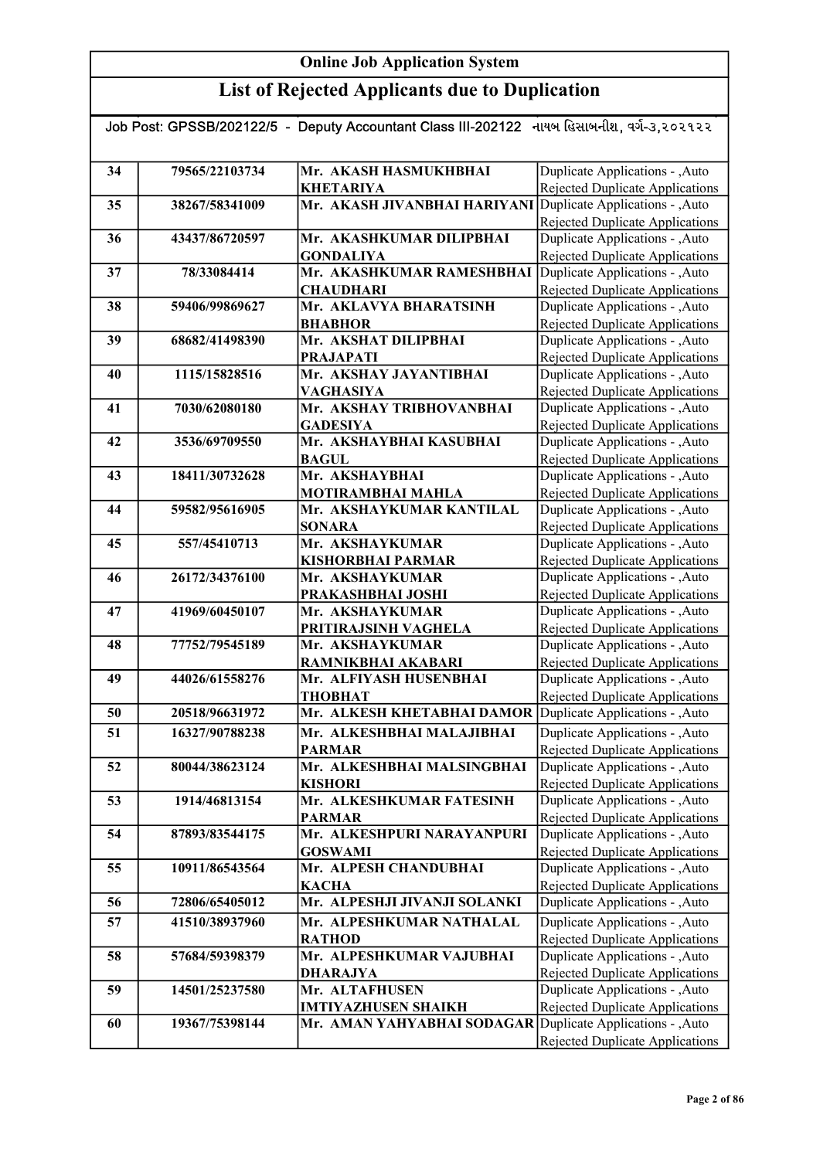| Job Post: GPSSB/202122/5 - Deputy Accountant Class III-202122 નાયબ હિસાબનીશ, વર્ગ-૩,૨૦૨૧૨૨ |                |                                                              |                                                                           |
|--------------------------------------------------------------------------------------------|----------------|--------------------------------------------------------------|---------------------------------------------------------------------------|
|                                                                                            |                |                                                              |                                                                           |
| 34                                                                                         | 79565/22103734 | Mr. AKASH HASMUKHBHAI                                        | Duplicate Applications - , Auto                                           |
|                                                                                            |                | <b>KHETARIYA</b>                                             | <b>Rejected Duplicate Applications</b>                                    |
| 35                                                                                         | 38267/58341009 | Mr. AKASH JIVANBHAI HARIYANI Duplicate Applications - , Auto |                                                                           |
|                                                                                            |                |                                                              | Rejected Duplicate Applications                                           |
| 36                                                                                         | 43437/86720597 | Mr. AKASHKUMAR DILIPBHAI                                     | Duplicate Applications - , Auto                                           |
|                                                                                            |                | <b>GONDALIYA</b>                                             | <b>Rejected Duplicate Applications</b>                                    |
| 37                                                                                         | 78/33084414    | Mr. AKASHKUMAR RAMESHBHAI Duplicate Applications - , Auto    |                                                                           |
|                                                                                            |                | <b>CHAUDHARI</b>                                             | <b>Rejected Duplicate Applications</b>                                    |
| 38                                                                                         | 59406/99869627 | Mr. AKLAVYA BHARATSINH                                       | Duplicate Applications - , Auto                                           |
| 39                                                                                         |                | <b>BHABHOR</b><br>Mr. AKSHAT DILIPBHAI                       | <b>Rejected Duplicate Applications</b>                                    |
|                                                                                            | 68682/41498390 |                                                              | Duplicate Applications - , Auto                                           |
| 40                                                                                         | 1115/15828516  | <b>PRAJAPATI</b><br>Mr. AKSHAY JAYANTIBHAI                   | Rejected Duplicate Applications<br>Duplicate Applications - , Auto        |
|                                                                                            |                | VAGHASIYA                                                    | <b>Rejected Duplicate Applications</b>                                    |
| 41                                                                                         | 7030/62080180  | Mr. AKSHAY TRIBHOVANBHAI                                     | Duplicate Applications - , Auto                                           |
|                                                                                            |                | <b>GADESIYA</b>                                              | Rejected Duplicate Applications                                           |
| 42                                                                                         | 3536/69709550  | Mr. AKSHAYBHAI KASUBHAI                                      | Duplicate Applications - , Auto                                           |
|                                                                                            |                | <b>BAGUL</b>                                                 | Rejected Duplicate Applications                                           |
| 43                                                                                         | 18411/30732628 | Mr. AKSHAYBHAI                                               | Duplicate Applications - , Auto                                           |
|                                                                                            |                | <b>MOTIRAMBHAI MAHLA</b>                                     | Rejected Duplicate Applications                                           |
| 44                                                                                         | 59582/95616905 | Mr. AKSHAYKUMAR KANTILAL                                     | Duplicate Applications - , Auto                                           |
|                                                                                            |                | <b>SONARA</b>                                                | Rejected Duplicate Applications                                           |
| 45                                                                                         | 557/45410713   | Mr. AKSHAYKUMAR                                              | Duplicate Applications - , Auto                                           |
|                                                                                            |                | <b>KISHORBHAI PARMAR</b>                                     | <b>Rejected Duplicate Applications</b>                                    |
| 46                                                                                         | 26172/34376100 | Mr. AKSHAYKUMAR                                              | Duplicate Applications - , Auto                                           |
|                                                                                            |                | PRAKASHBHAI JOSHI                                            | Rejected Duplicate Applications                                           |
| 47                                                                                         | 41969/60450107 | Mr. AKSHAYKUMAR                                              | Duplicate Applications - , Auto                                           |
|                                                                                            |                | PRITIRAJSINH VAGHELA                                         | Rejected Duplicate Applications                                           |
| 48                                                                                         | 77752/79545189 | Mr. AKSHAYKUMAR                                              | Duplicate Applications - , Auto                                           |
|                                                                                            |                | RAMNIKBHAI AKABARI                                           | <b>Rejected Duplicate Applications</b>                                    |
| 49                                                                                         | 44026/61558276 | Mr. ALFIYASH HUSENBHAI                                       | Duplicate Applications - , Auto                                           |
|                                                                                            |                | ТНОВНАТ                                                      | <b>Rejected Duplicate Applications</b>                                    |
| 50                                                                                         | 20518/96631972 | Mr. ALKESH KHETABHAI DAMOR                                   | Duplicate Applications - , Auto                                           |
| 51                                                                                         | 16327/90788238 | Mr. ALKESHBHAI MALAJIBHAI                                    | Duplicate Applications - , Auto                                           |
|                                                                                            |                | <b>PARMAR</b>                                                | Rejected Duplicate Applications                                           |
| 52                                                                                         | 80044/38623124 | Mr. ALKESHBHAI MALSINGBHAI                                   | Duplicate Applications - , Auto                                           |
|                                                                                            |                | <b>KISHORI</b>                                               | <b>Rejected Duplicate Applications</b>                                    |
| 53                                                                                         | 1914/46813154  | Mr. ALKESHKUMAR FATESINH                                     | Duplicate Applications - , Auto                                           |
| 54                                                                                         | 87893/83544175 | <b>PARMAR</b><br>Mr. ALKESHPURI NARAYANPURI                  | <b>Rejected Duplicate Applications</b><br>Duplicate Applications - , Auto |
|                                                                                            |                | <b>GOSWAMI</b>                                               | Rejected Duplicate Applications                                           |
| 55                                                                                         | 10911/86543564 | Mr. ALPESH CHANDUBHAI                                        | Duplicate Applications - , Auto                                           |
|                                                                                            |                | <b>KACHA</b>                                                 | Rejected Duplicate Applications                                           |
| 56                                                                                         | 72806/65405012 | Mr. ALPESHJI JIVANJI SOLANKI                                 | Duplicate Applications - , Auto                                           |
| 57                                                                                         | 41510/38937960 | Mr. ALPESHKUMAR NATHALAL                                     | Duplicate Applications - , Auto                                           |
|                                                                                            |                | <b>RATHOD</b>                                                | <b>Rejected Duplicate Applications</b>                                    |
| 58                                                                                         | 57684/59398379 | Mr. ALPESHKUMAR VAJUBHAI                                     | Duplicate Applications - , Auto                                           |
|                                                                                            |                | <b>DHARAJYA</b>                                              | Rejected Duplicate Applications                                           |
| 59                                                                                         | 14501/25237580 | Mr. ALTAFHUSEN                                               | Duplicate Applications - , Auto                                           |
|                                                                                            |                | <b>IMTIYAZHUSEN SHAIKH</b>                                   | <b>Rejected Duplicate Applications</b>                                    |
| 60                                                                                         | 19367/75398144 | Mr. AMAN YAHYABHAI SODAGAR Duplicate Applications - , Auto   |                                                                           |
|                                                                                            |                |                                                              | Rejected Duplicate Applications                                           |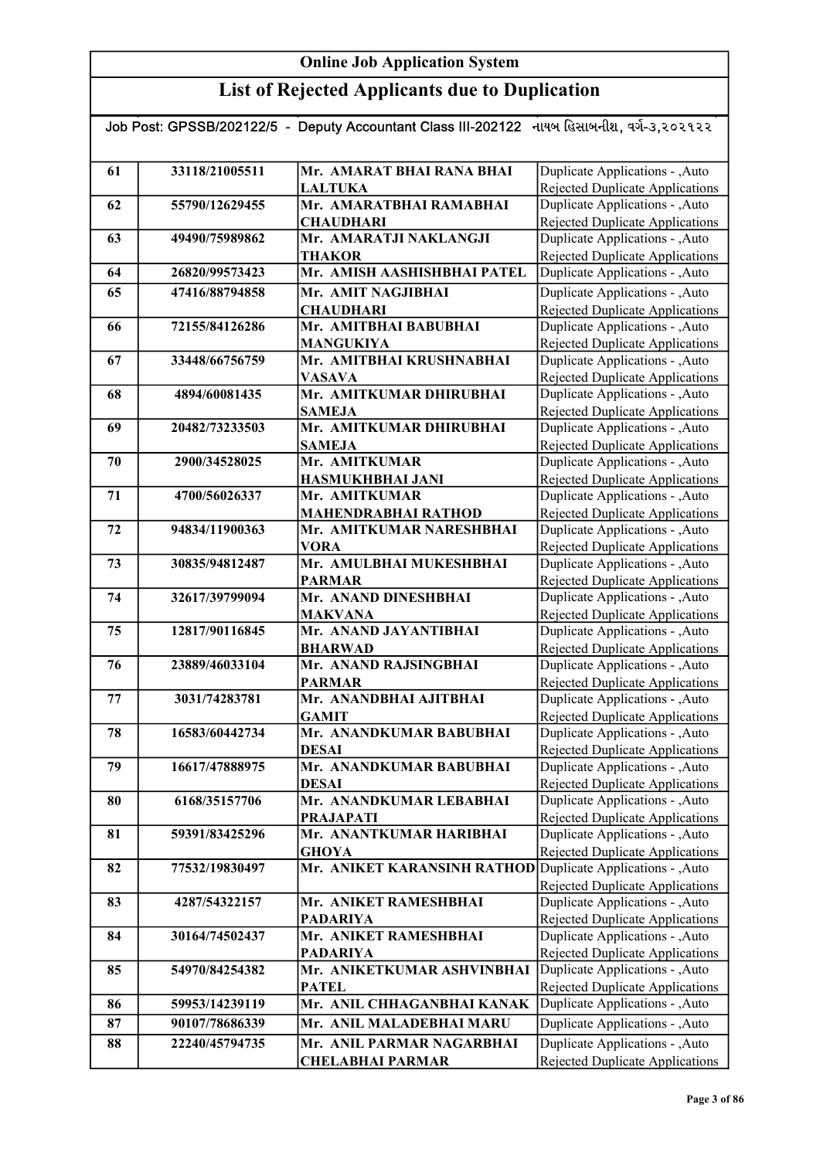| Job Post: GPSSB/202122/5 - Deputy Accountant Class III-202122 નાયબ હિસાબનીશ, વર્ગ-૩,૨૦૨૧૨૨ |                |                                                             |                                                                           |  |
|--------------------------------------------------------------------------------------------|----------------|-------------------------------------------------------------|---------------------------------------------------------------------------|--|
|                                                                                            |                |                                                             |                                                                           |  |
| 61                                                                                         | 33118/21005511 | Mr. AMARAT BHAI RANA BHAI                                   | Duplicate Applications - , Auto                                           |  |
|                                                                                            |                | <b>LALTUKA</b>                                              | Rejected Duplicate Applications                                           |  |
| 62                                                                                         | 55790/12629455 | Mr. AMARATBHAI RAMABHAI                                     | Duplicate Applications - , Auto                                           |  |
|                                                                                            |                | <b>CHAUDHARI</b>                                            | Rejected Duplicate Applications                                           |  |
| 63                                                                                         | 49490/75989862 | Mr. AMARATJI NAKLANGJI                                      | Duplicate Applications - , Auto                                           |  |
|                                                                                            |                | <b>THAKOR</b>                                               | Rejected Duplicate Applications                                           |  |
| 64                                                                                         | 26820/99573423 | Mr. AMISH AASHISHBHAI PATEL                                 | Duplicate Applications - , Auto                                           |  |
| 65                                                                                         | 47416/88794858 | Mr. AMIT NAGJIBHAI                                          | Duplicate Applications - , Auto                                           |  |
|                                                                                            |                | <b>CHAUDHARI</b>                                            | Rejected Duplicate Applications                                           |  |
| 66                                                                                         | 72155/84126286 | Mr. AMITBHAI BABUBHAI                                       | Duplicate Applications - , Auto                                           |  |
|                                                                                            |                | <b>MANGUKIYA</b>                                            | Rejected Duplicate Applications                                           |  |
| 67                                                                                         | 33448/66756759 | Mr. AMITBHAI KRUSHNABHAI                                    | Duplicate Applications - , Auto                                           |  |
|                                                                                            |                | <b>VASAVA</b>                                               | Rejected Duplicate Applications                                           |  |
| 68                                                                                         | 4894/60081435  | Mr. AMITKUMAR DHIRUBHAI                                     | Duplicate Applications - , Auto                                           |  |
|                                                                                            |                | <b>SAMEJA</b>                                               | Rejected Duplicate Applications                                           |  |
| 69                                                                                         | 20482/73233503 | Mr. AMITKUMAR DHIRUBHAI                                     | Duplicate Applications - , Auto                                           |  |
|                                                                                            |                | <b>SAMEJA</b>                                               | Rejected Duplicate Applications                                           |  |
| 70                                                                                         | 2900/34528025  | Mr. AMITKUMAR                                               | Duplicate Applications - , Auto                                           |  |
|                                                                                            |                | <b>HASMUKHBHAI JANI</b>                                     | <b>Rejected Duplicate Applications</b>                                    |  |
| 71                                                                                         | 4700/56026337  | Mr. AMITKUMAR                                               | Duplicate Applications - , Auto                                           |  |
|                                                                                            |                | <b>MAHENDRABHAI RATHOD</b>                                  | <b>Rejected Duplicate Applications</b>                                    |  |
| 72                                                                                         | 94834/11900363 | Mr. AMITKUMAR NARESHBHAI                                    | Duplicate Applications - , Auto                                           |  |
|                                                                                            |                | <b>VORA</b>                                                 | Rejected Duplicate Applications                                           |  |
| 73                                                                                         | 30835/94812487 | Mr. AMULBHAI MUKESHBHAI                                     | Duplicate Applications - , Auto                                           |  |
| 74                                                                                         | 32617/39799094 | <b>PARMAR</b><br>Mr. ANAND DINESHBHAI                       | <b>Rejected Duplicate Applications</b><br>Duplicate Applications - , Auto |  |
|                                                                                            |                | <b>MAKVANA</b>                                              | Rejected Duplicate Applications                                           |  |
| 75                                                                                         | 12817/90116845 | Mr. ANAND JAYANTIBHAI                                       | Duplicate Applications - , Auto                                           |  |
|                                                                                            |                | <b>BHARWAD</b>                                              | Rejected Duplicate Applications                                           |  |
| 76                                                                                         | 23889/46033104 | Mr. ANAND RAJSINGBHAI                                       | Duplicate Applications - , Auto                                           |  |
|                                                                                            |                | <b>PARMAR</b>                                               | Rejected Duplicate Applications                                           |  |
| 77                                                                                         | 3031/74283781  | Mr. ANANDBHAI AJITBHAI                                      | Duplicate Applications - , Auto                                           |  |
|                                                                                            |                | <b>GAMIT</b>                                                | <b>Rejected Duplicate Applications</b>                                    |  |
| 78                                                                                         | 16583/60442734 | Mr. ANANDKUMAR BABUBHAI                                     | Duplicate Applications - , Auto                                           |  |
|                                                                                            |                | DESAI                                                       | <b>Rejected Duplicate Applications</b>                                    |  |
| 79                                                                                         | 16617/47888975 | Mr. ANANDKUMAR BABUBHAI                                     | Duplicate Applications - ,Auto                                            |  |
|                                                                                            |                | DESAI                                                       | Rejected Duplicate Applications                                           |  |
| 80                                                                                         | 6168/35157706  | Mr. ANANDKUMAR LEBABHAI                                     | Duplicate Applications - ,Auto                                            |  |
|                                                                                            |                | <b>PRAJAPATI</b>                                            | Rejected Duplicate Applications                                           |  |
| 81                                                                                         | 59391/83425296 | Mr. ANANTKUMAR HARIBHAI                                     | Duplicate Applications - , Auto                                           |  |
|                                                                                            |                | <b>GHOYA</b>                                                | Rejected Duplicate Applications                                           |  |
| 82                                                                                         | 77532/19830497 | Mr. ANIKET KARANSINH RATHOD Duplicate Applications - , Auto |                                                                           |  |
|                                                                                            |                |                                                             | Rejected Duplicate Applications                                           |  |
| 83                                                                                         | 4287/54322157  | Mr. ANIKET RAMESHBHAI                                       | Duplicate Applications - , Auto                                           |  |
|                                                                                            |                | <b>PADARIYA</b>                                             | Rejected Duplicate Applications                                           |  |
| 84                                                                                         | 30164/74502437 | Mr. ANIKET RAMESHBHAI                                       | Duplicate Applications - , Auto                                           |  |
|                                                                                            |                | <b>PADARIYA</b>                                             | Rejected Duplicate Applications                                           |  |
| 85                                                                                         | 54970/84254382 | Mr. ANIKETKUMAR ASHVINBHAI                                  | Duplicate Applications - , Auto                                           |  |
| 86                                                                                         | 59953/14239119 | <b>PATEL</b><br>Mr. ANIL CHHAGANBHAI KANAK                  | Rejected Duplicate Applications                                           |  |
|                                                                                            |                |                                                             | Duplicate Applications - , Auto                                           |  |
| 87                                                                                         | 90107/78686339 | Mr. ANIL MALADEBHAI MARU                                    | Duplicate Applications - , Auto                                           |  |
| 88                                                                                         | 22240/45794735 | Mr. ANIL PARMAR NAGARBHAI                                   | Duplicate Applications - , Auto                                           |  |
|                                                                                            |                | <b>CHELABHAI PARMAR</b>                                     | Rejected Duplicate Applications                                           |  |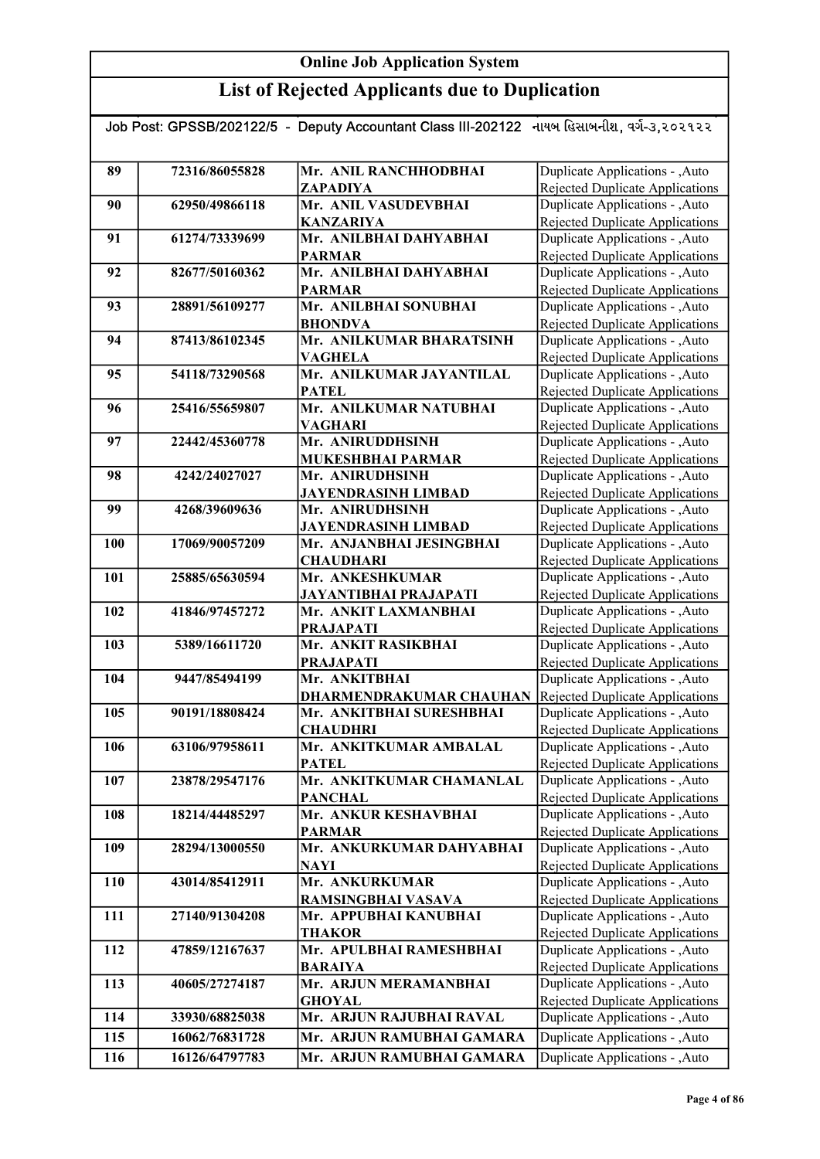## List of Rejected Applicants due to Duplication

| Job Post: GPSSB/202122/5 - Deputy Accountant Class III-202122 નાયબ હિસાબનીશ, વર્ગ-૩,૨૦૨૧૨૨ |                |                                                                |                                                                    |  |
|--------------------------------------------------------------------------------------------|----------------|----------------------------------------------------------------|--------------------------------------------------------------------|--|
|                                                                                            |                |                                                                |                                                                    |  |
| 89                                                                                         | 72316/86055828 | Mr. ANIL RANCHHODBHAI                                          | Duplicate Applications - , Auto                                    |  |
|                                                                                            |                | ZAPADIYA                                                       | Rejected Duplicate Applications                                    |  |
| 90                                                                                         | 62950/49866118 | Mr. ANIL VASUDEVBHAI                                           | Duplicate Applications - , Auto                                    |  |
|                                                                                            |                | <b>KANZARIYA</b>                                               | <b>Rejected Duplicate Applications</b>                             |  |
| 91                                                                                         | 61274/73339699 | Mr. ANILBHAI DAHYABHAI                                         | Duplicate Applications - , Auto                                    |  |
|                                                                                            |                | <b>PARMAR</b>                                                  | Rejected Duplicate Applications                                    |  |
| 92                                                                                         | 82677/50160362 | Mr. ANILBHAI DAHYABHAI                                         | Duplicate Applications - , Auto                                    |  |
|                                                                                            |                | <b>PARMAR</b>                                                  | <b>Rejected Duplicate Applications</b>                             |  |
| 93                                                                                         | 28891/56109277 | Mr. ANILBHAI SONUBHAI                                          | Duplicate Applications - , Auto                                    |  |
|                                                                                            |                | <b>BHONDVA</b>                                                 | Rejected Duplicate Applications                                    |  |
| 94                                                                                         | 87413/86102345 | Mr. ANILKUMAR BHARATSINH                                       | Duplicate Applications - , Auto                                    |  |
|                                                                                            |                | <b>VAGHELA</b>                                                 | Rejected Duplicate Applications                                    |  |
| 95                                                                                         | 54118/73290568 | Mr. ANILKUMAR JAYANTILAL                                       | Duplicate Applications - , Auto                                    |  |
|                                                                                            |                | <b>PATEL</b>                                                   | <b>Rejected Duplicate Applications</b>                             |  |
| 96                                                                                         | 25416/55659807 | Mr. ANILKUMAR NATUBHAI                                         | Duplicate Applications - , Auto                                    |  |
|                                                                                            |                | <b>VAGHARI</b>                                                 | Rejected Duplicate Applications                                    |  |
| 97                                                                                         | 22442/45360778 | Mr. ANIRUDDHSINH                                               | Duplicate Applications - , Auto                                    |  |
|                                                                                            |                | <b>MUKESHBHAI PARMAR</b>                                       | Rejected Duplicate Applications                                    |  |
| 98                                                                                         | 4242/24027027  | Mr. ANIRUDHSINH                                                | Duplicate Applications - , Auto                                    |  |
|                                                                                            |                | <b>JAYENDRASINH LIMBAD</b>                                     | Rejected Duplicate Applications                                    |  |
| 99                                                                                         | 4268/39609636  | Mr. ANIRUDHSINH                                                | Duplicate Applications - , Auto                                    |  |
|                                                                                            |                | <b>JAYENDRASINH LIMBAD</b>                                     | Rejected Duplicate Applications                                    |  |
| 100                                                                                        | 17069/90057209 | Mr. ANJANBHAI JESINGBHAI                                       | Duplicate Applications - ,Auto                                     |  |
|                                                                                            |                | <b>CHAUDHARI</b>                                               | <b>Rejected Duplicate Applications</b>                             |  |
| 101                                                                                        | 25885/65630594 | Mr. ANKESHKUMAR                                                | Duplicate Applications - , Auto                                    |  |
| 102                                                                                        | 41846/97457272 | <b>JAYANTIBHAI PRAJAPATI</b><br>Mr. ANKIT LAXMANBHAI           | <b>Rejected Duplicate Applications</b>                             |  |
|                                                                                            |                | <b>PRAJAPATI</b>                                               | Duplicate Applications - , Auto                                    |  |
| 103                                                                                        | 5389/16611720  | Mr. ANKIT RASIKBHAI                                            | Rejected Duplicate Applications<br>Duplicate Applications - , Auto |  |
|                                                                                            |                | <b>PRAJAPATI</b>                                               | <b>Rejected Duplicate Applications</b>                             |  |
| 104                                                                                        | 9447/85494199  | Mr. ANKITBHAI                                                  | Duplicate Applications - , Auto                                    |  |
|                                                                                            |                | <b>DHARMENDRAKUMAR CHAUHAN</b> Rejected Duplicate Applications |                                                                    |  |
| 105                                                                                        | 90191/18808424 | Mr. ANKITBHAI SURESHBHAI                                       | Duplicate Applications - , Auto                                    |  |
|                                                                                            |                | <b>CHAUDHRI</b>                                                | Rejected Duplicate Applications                                    |  |
| 106                                                                                        | 63106/97958611 | Mr. ANKITKUMAR AMBALAL                                         | Duplicate Applications - , Auto                                    |  |
|                                                                                            |                | <b>PATEL</b>                                                   | <b>Rejected Duplicate Applications</b>                             |  |
| 107                                                                                        | 23878/29547176 | Mr. ANKITKUMAR CHAMANLAL                                       | Duplicate Applications - , Auto                                    |  |
|                                                                                            |                | <b>PANCHAL</b>                                                 | Rejected Duplicate Applications                                    |  |
| 108                                                                                        | 18214/44485297 | Mr. ANKUR KESHAVBHAI                                           | Duplicate Applications - , Auto                                    |  |
|                                                                                            |                | <b>PARMAR</b>                                                  | Rejected Duplicate Applications                                    |  |
| 109                                                                                        | 28294/13000550 | Mr. ANKURKUMAR DAHYABHAI                                       | Duplicate Applications - , Auto                                    |  |
|                                                                                            |                | <b>NAYI</b>                                                    | Rejected Duplicate Applications                                    |  |
| 110                                                                                        | 43014/85412911 | Mr. ANKURKUMAR                                                 | Duplicate Applications - , Auto                                    |  |
|                                                                                            |                | RAMSINGBHAI VASAVA                                             | Rejected Duplicate Applications                                    |  |
| 111                                                                                        | 27140/91304208 | Mr. APPUBHAI KANUBHAI                                          | Duplicate Applications - , Auto                                    |  |
|                                                                                            |                | <b>THAKOR</b>                                                  | Rejected Duplicate Applications                                    |  |
| 112                                                                                        | 47859/12167637 | Mr. APULBHAI RAMESHBHAI                                        | Duplicate Applications - , Auto                                    |  |
|                                                                                            |                | <b>BARAIYA</b>                                                 | Rejected Duplicate Applications                                    |  |
| 113                                                                                        | 40605/27274187 | Mr. ARJUN MERAMANBHAI                                          | Duplicate Applications - , Auto                                    |  |
|                                                                                            |                | <b>GHOYAL</b>                                                  | Rejected Duplicate Applications                                    |  |
| 114                                                                                        | 33930/68825038 | Mr. ARJUN RAJUBHAI RAVAL                                       | Duplicate Applications - , Auto                                    |  |
| 115                                                                                        | 16062/76831728 | Mr. ARJUN RAMUBHAI GAMARA                                      | Duplicate Applications - , Auto                                    |  |
| 116                                                                                        | 16126/64797783 | Mr. ARJUN RAMUBHAI GAMARA                                      | Duplicate Applications - , Auto                                    |  |

Rejected Duplicate Applications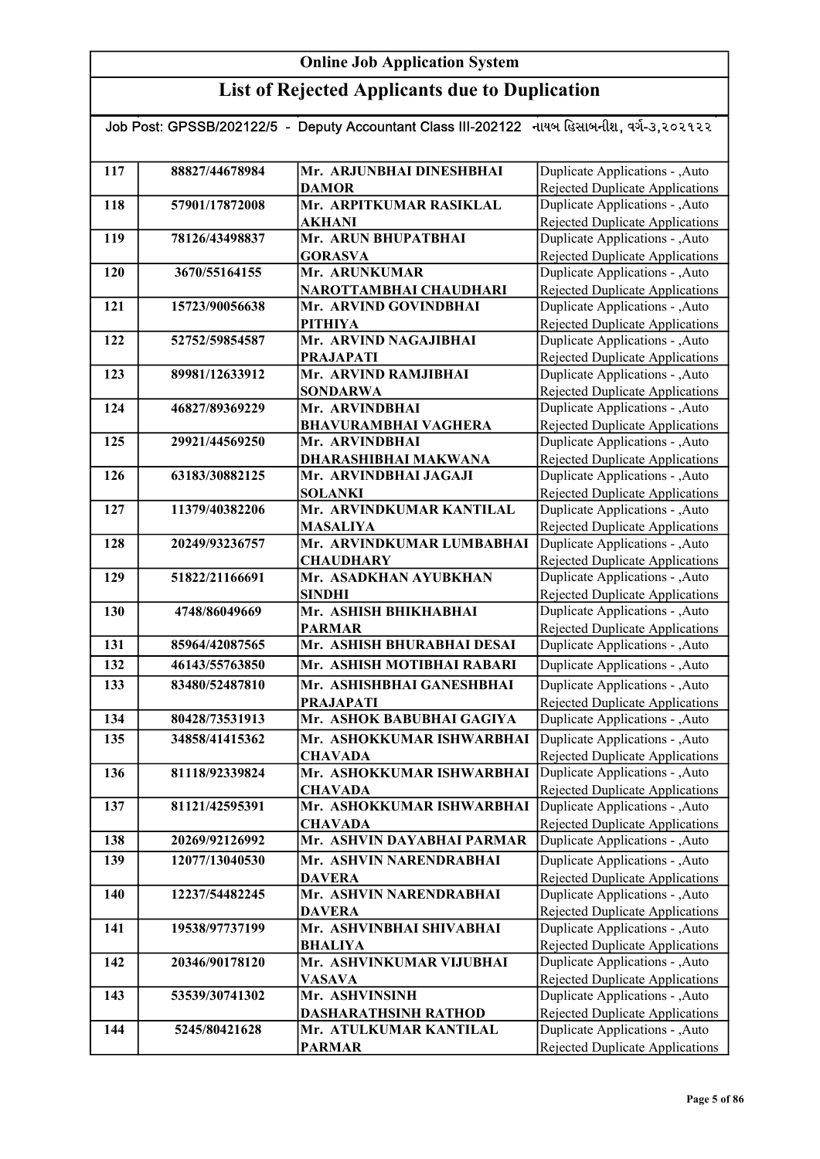| Job Post: GPSSB/202122/5  -  Deputy Accountant Class III-202122   નાયબ હિસાબનીશ, વર્ગ-૩,૨૦૨૧૨૨ |                |                                                 |                                                                           |  |
|------------------------------------------------------------------------------------------------|----------------|-------------------------------------------------|---------------------------------------------------------------------------|--|
|                                                                                                |                |                                                 |                                                                           |  |
| 117                                                                                            | 88827/44678984 | Mr. ARJUNBHAI DINESHBHAI                        | Duplicate Applications - , Auto                                           |  |
|                                                                                                |                | <b>DAMOR</b>                                    | Rejected Duplicate Applications                                           |  |
| 118                                                                                            | 57901/17872008 | Mr. ARPITKUMAR RASIKLAL                         | Duplicate Applications - , Auto                                           |  |
|                                                                                                |                | <b>AKHANI</b>                                   | Rejected Duplicate Applications                                           |  |
| 119                                                                                            | 78126/43498837 | Mr. ARUN BHUPATBHAI                             | Duplicate Applications - , Auto                                           |  |
|                                                                                                |                | <b>GORASVA</b>                                  | <b>Rejected Duplicate Applications</b>                                    |  |
| 120                                                                                            | 3670/55164155  | Mr. ARUNKUMAR                                   | Duplicate Applications - , Auto                                           |  |
| 121                                                                                            | 15723/90056638 | NAROTTAMBHAI CHAUDHARI<br>Mr. ARVIND GOVINDBHAI | <b>Rejected Duplicate Applications</b><br>Duplicate Applications - , Auto |  |
|                                                                                                |                | <b>PITHIYA</b>                                  | Rejected Duplicate Applications                                           |  |
| 122                                                                                            | 52752/59854587 | Mr. ARVIND NAGAJIBHAI                           | Duplicate Applications - , Auto                                           |  |
|                                                                                                |                | <b>PRAJAPATI</b>                                | Rejected Duplicate Applications                                           |  |
| 123                                                                                            | 89981/12633912 | Mr. ARVIND RAMJIBHAI                            | Duplicate Applications - , Auto                                           |  |
|                                                                                                |                | <b>SONDARWA</b>                                 | Rejected Duplicate Applications                                           |  |
| 124                                                                                            | 46827/89369229 | Mr. ARVINDBHAI                                  | Duplicate Applications - , Auto                                           |  |
|                                                                                                |                | <b>BHAVURAMBHAI VAGHERA</b>                     | Rejected Duplicate Applications                                           |  |
| 125                                                                                            | 29921/44569250 | Mr. ARVINDBHAI                                  | Duplicate Applications - , Auto                                           |  |
|                                                                                                |                | DHARASHIBHAI MAKWANA                            | Rejected Duplicate Applications                                           |  |
| 126                                                                                            | 63183/30882125 | Mr. ARVINDBHAI JAGAJI                           | Duplicate Applications - , Auto                                           |  |
|                                                                                                |                | <b>SOLANKI</b>                                  | <b>Rejected Duplicate Applications</b>                                    |  |
| 127                                                                                            | 11379/40382206 | Mr. ARVINDKUMAR KANTILAL                        | Duplicate Applications - , Auto                                           |  |
|                                                                                                |                | <b>MASALIYA</b>                                 | Rejected Duplicate Applications                                           |  |
| 128                                                                                            | 20249/93236757 | Mr. ARVINDKUMAR LUMBABHAI                       | Duplicate Applications - , Auto                                           |  |
|                                                                                                |                | <b>CHAUDHARY</b>                                | Rejected Duplicate Applications                                           |  |
| 129                                                                                            | 51822/21166691 | Mr. ASADKHAN AYUBKHAN                           | Duplicate Applications - , Auto                                           |  |
|                                                                                                |                | <b>SINDHI</b>                                   | Rejected Duplicate Applications                                           |  |
| 130                                                                                            | 4748/86049669  | Mr. ASHISH BHIKHABHAI                           | Duplicate Applications - , Auto                                           |  |
|                                                                                                |                | <b>PARMAR</b>                                   | Rejected Duplicate Applications                                           |  |
| 131                                                                                            | 85964/42087565 | Mr. ASHISH BHURABHAI DESAI                      | Duplicate Applications - ,Auto                                            |  |
| 132                                                                                            | 46143/55763850 | Mr. ASHISH MOTIBHAI RABARI                      | Duplicate Applications - , Auto                                           |  |
| 133                                                                                            | 83480/52487810 | Mr. ASHISHBHAI GANESHBHAI                       | Duplicate Applications - , Auto                                           |  |
|                                                                                                |                | <b>PRAJAPATI</b>                                | Rejected Duplicate Applications                                           |  |
| 134                                                                                            | 80428/73531913 | Mr. ASHOK BABUBHAI GAGIYA                       | Duplicate Applications - , Auto                                           |  |
| 135                                                                                            | 34858/41415362 | Mr. ASHOKKUMAR ISHWARBHAI                       | Duplicate Applications - , Auto                                           |  |
|                                                                                                |                | <b>CHAVADA</b>                                  | Rejected Duplicate Applications                                           |  |
| 136                                                                                            | 81118/92339824 | Mr. ASHOKKUMAR ISHWARBHAI                       | Duplicate Applications - , Auto                                           |  |
|                                                                                                |                | <b>CHAVADA</b>                                  | Rejected Duplicate Applications                                           |  |
| 137                                                                                            | 81121/42595391 | Mr. ASHOKKUMAR ISHWARBHAI                       | Duplicate Applications - , Auto                                           |  |
|                                                                                                |                | <b>CHAVADA</b>                                  | Rejected Duplicate Applications                                           |  |
| 138                                                                                            | 20269/92126992 | Mr. ASHVIN DAYABHAI PARMAR                      | Duplicate Applications - , Auto                                           |  |
| 139                                                                                            | 12077/13040530 | Mr. ASHVIN NARENDRABHAI                         | Duplicate Applications - , Auto                                           |  |
|                                                                                                |                | <b>DAVERA</b>                                   | Rejected Duplicate Applications                                           |  |
| 140                                                                                            | 12237/54482245 | Mr. ASHVIN NARENDRABHAI                         | Duplicate Applications - , Auto                                           |  |
|                                                                                                |                | <b>DAVERA</b>                                   | Rejected Duplicate Applications                                           |  |
| 141                                                                                            | 19538/97737199 | Mr. ASHVINBHAI SHIVABHAI                        | Duplicate Applications - , Auto                                           |  |
|                                                                                                |                | <b>BHALIYA</b>                                  | Rejected Duplicate Applications                                           |  |
| 142                                                                                            | 20346/90178120 | Mr. ASHVINKUMAR VIJUBHAI                        | Duplicate Applications - , Auto                                           |  |
|                                                                                                |                | VASAVA                                          | Rejected Duplicate Applications                                           |  |
| 143                                                                                            | 53539/30741302 | Mr. ASHVINSINH                                  | Duplicate Applications - ,Auto                                            |  |
|                                                                                                |                | DASHARATHSINH RATHOD                            | Rejected Duplicate Applications                                           |  |
| 144                                                                                            | 5245/80421628  | Mr. ATULKUMAR KANTILAL                          | Duplicate Applications - , Auto                                           |  |
|                                                                                                |                | <b>PARMAR</b>                                   | Rejected Duplicate Applications                                           |  |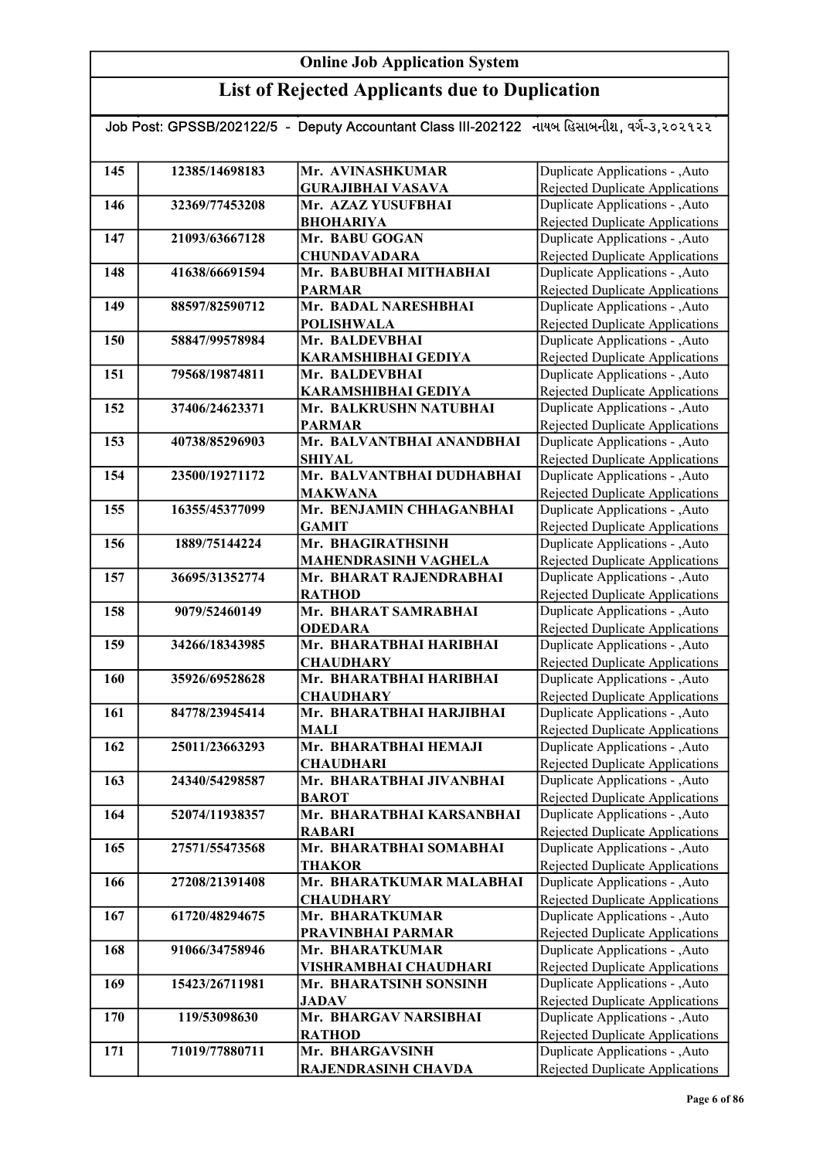| Job Post: GPSSB/202122/5 - Deputy Accountant Class III-202122 નાયબ હિસાબનીશ, વર્ગ-૩,૨૦૨૧૨૨ |                |                                            |                                                                   |  |
|--------------------------------------------------------------------------------------------|----------------|--------------------------------------------|-------------------------------------------------------------------|--|
|                                                                                            |                |                                            |                                                                   |  |
| 145                                                                                        | 12385/14698183 | Mr. AVINASHKUMAR                           | Duplicate Applications - ,Auto                                    |  |
|                                                                                            |                | <b>GURAJIBHAI VASAVA</b>                   | Rejected Duplicate Applications                                   |  |
| 146                                                                                        | 32369/77453208 | Mr. AZAZ YUSUFBHAI                         | Duplicate Applications - , Auto                                   |  |
|                                                                                            |                | <b>BHOHARIYA</b>                           | <b>Rejected Duplicate Applications</b>                            |  |
| 147                                                                                        | 21093/63667128 | Mr. BABU GOGAN                             | Duplicate Applications - , Auto                                   |  |
|                                                                                            |                | <b>CHUNDAVADARA</b>                        | Rejected Duplicate Applications                                   |  |
| 148                                                                                        | 41638/66691594 | Mr. BABUBHAI MITHABHAI                     | Duplicate Applications - , Auto                                   |  |
|                                                                                            |                | <b>PARMAR</b>                              | Rejected Duplicate Applications                                   |  |
| 149                                                                                        | 88597/82590712 | Mr. BADAL NARESHBHAI                       | Duplicate Applications - , Auto                                   |  |
|                                                                                            |                | <b>POLISHWALA</b>                          | Rejected Duplicate Applications                                   |  |
| 150                                                                                        | 58847/99578984 | Mr. BALDEVBHAI                             | Duplicate Applications - , Auto                                   |  |
|                                                                                            |                | KARAMSHIBHAI GEDIYA                        | Rejected Duplicate Applications                                   |  |
| 151                                                                                        | 79568/19874811 | Mr. BALDEVBHAI                             | Duplicate Applications - , Auto                                   |  |
|                                                                                            |                | KARAMSHIBHAI GEDIYA                        | Rejected Duplicate Applications                                   |  |
| 152                                                                                        | 37406/24623371 | Mr. BALKRUSHN NATUBHAI                     | Duplicate Applications - , Auto                                   |  |
|                                                                                            |                | <b>PARMAR</b>                              | Rejected Duplicate Applications                                   |  |
| 153                                                                                        | 40738/85296903 | Mr. BALVANTBHAI ANANDBHAI                  | Duplicate Applications - ,Auto                                    |  |
|                                                                                            |                | <b>SHIYAL</b>                              | Rejected Duplicate Applications                                   |  |
| 154                                                                                        | 23500/19271172 | Mr. BALVANTBHAI DUDHABHAI                  | Duplicate Applications - , Auto                                   |  |
| 155                                                                                        |                | <b>MAKWANA</b><br>Mr. BENJAMIN CHHAGANBHAI | Rejected Duplicate Applications                                   |  |
|                                                                                            | 16355/45377099 |                                            | Duplicate Applications - ,Auto                                    |  |
| 156                                                                                        | 1889/75144224  | <b>GAMIT</b><br>Mr. BHAGIRATHSINH          | Rejected Duplicate Applications<br>Duplicate Applications - ,Auto |  |
|                                                                                            |                | <b>MAHENDRASINH VAGHELA</b>                | Rejected Duplicate Applications                                   |  |
| 157                                                                                        | 36695/31352774 | Mr. BHARAT RAJENDRABHAI                    | Duplicate Applications - ,Auto                                    |  |
|                                                                                            |                | <b>RATHOD</b>                              | Rejected Duplicate Applications                                   |  |
| 158                                                                                        | 9079/52460149  | Mr. BHARAT SAMRABHAI                       | Duplicate Applications - ,Auto                                    |  |
|                                                                                            |                | <b>ODEDARA</b>                             | Rejected Duplicate Applications                                   |  |
| 159                                                                                        | 34266/18343985 | Mr. BHARATBHAI HARIBHAI                    | Duplicate Applications - , Auto                                   |  |
|                                                                                            |                | <b>CHAUDHARY</b>                           | <b>Rejected Duplicate Applications</b>                            |  |
| 160                                                                                        | 35926/69528628 | Mr. BHARATBHAI HARIBHAI                    | Duplicate Applications - , Auto                                   |  |
|                                                                                            |                | <b>CHAUDHARY</b>                           | Rejected Duplicate Applications                                   |  |
| 161                                                                                        | 84778/23945414 | Mr. BHARATBHAI HARJIBHAI                   | Duplicate Applications - , Auto                                   |  |
|                                                                                            |                | MALI                                       | Rejected Duplicate Applications                                   |  |
| 162                                                                                        | 25011/23663293 | Mr. BHARATBHAI HEMAJI                      | Duplicate Applications - , Auto                                   |  |
|                                                                                            |                | <b>CHAUDHARI</b>                           | Rejected Duplicate Applications                                   |  |
| 163                                                                                        | 24340/54298587 | Mr. BHARATBHAI JIVANBHAI                   | Duplicate Applications - , Auto                                   |  |
|                                                                                            |                | <b>BAROT</b>                               | Rejected Duplicate Applications                                   |  |
| 164                                                                                        | 52074/11938357 | Mr. BHARATBHAI KARSANBHAI                  | Duplicate Applications - , Auto                                   |  |
|                                                                                            |                | <b>RABARI</b>                              | Rejected Duplicate Applications                                   |  |
| 165                                                                                        | 27571/55473568 | Mr. BHARATBHAI SOMABHAI                    | Duplicate Applications - , Auto                                   |  |
| 166                                                                                        | 27208/21391408 | <b>THAKOR</b><br>Mr. BHARATKUMAR MALABHAI  | Rejected Duplicate Applications<br>Duplicate Applications - ,Auto |  |
|                                                                                            |                | <b>CHAUDHARY</b>                           | Rejected Duplicate Applications                                   |  |
| 167                                                                                        | 61720/48294675 | Mr. BHARATKUMAR                            | Duplicate Applications - , Auto                                   |  |
|                                                                                            |                | PRAVINBHAI PARMAR                          | Rejected Duplicate Applications                                   |  |
| 168                                                                                        | 91066/34758946 | Mr. BHARATKUMAR                            | Duplicate Applications - ,Auto                                    |  |
|                                                                                            |                | VISHRAMBHAI CHAUDHARI                      | Rejected Duplicate Applications                                   |  |
| 169                                                                                        | 15423/26711981 | Mr. BHARATSINH SONSINH                     | Duplicate Applications - , Auto                                   |  |
|                                                                                            |                | <b>JADAV</b>                               | Rejected Duplicate Applications                                   |  |
| 170                                                                                        | 119/53098630   | Mr. BHARGAV NARSIBHAI                      | Duplicate Applications - , Auto                                   |  |
|                                                                                            |                | <b>RATHOD</b>                              | Rejected Duplicate Applications                                   |  |
| 171                                                                                        | 71019/77880711 | Mr. BHARGAVSINH                            | Duplicate Applications - , Auto                                   |  |
|                                                                                            |                | RAJENDRASINH CHAVDA                        | Rejected Duplicate Applications                                   |  |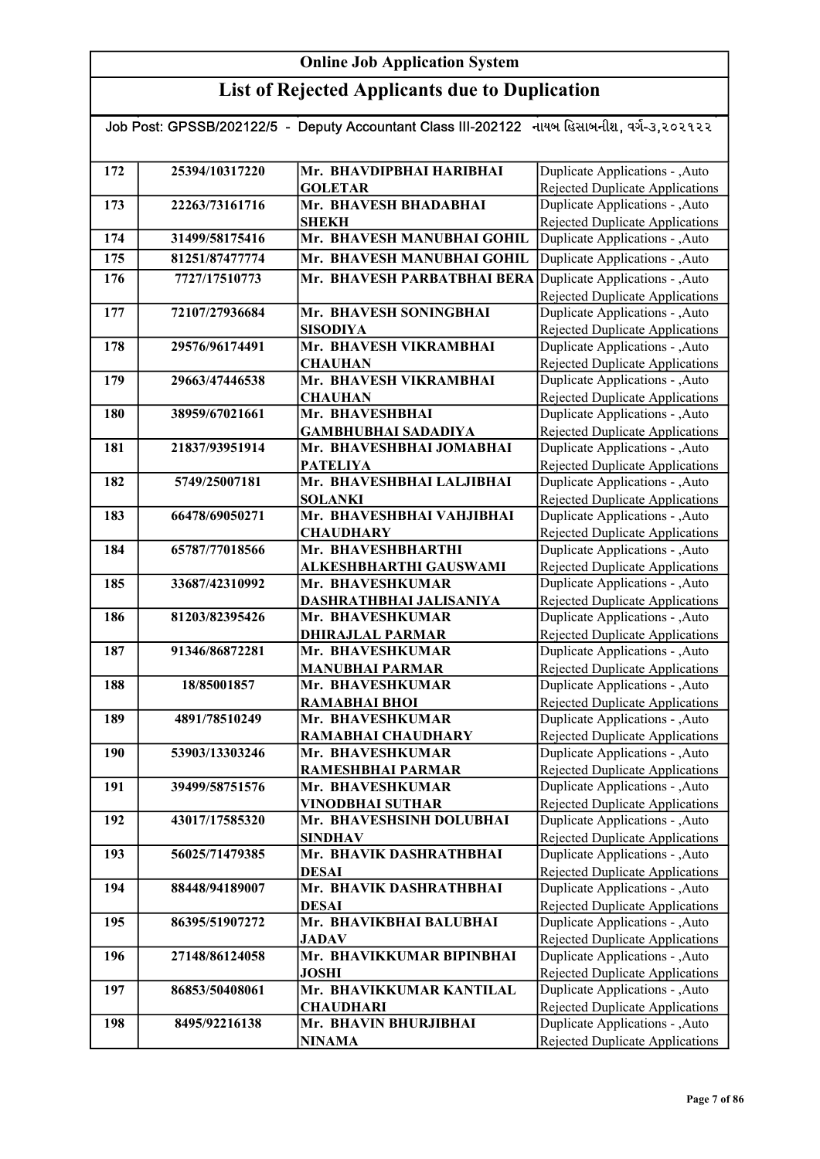| Job Post: GPSSB/202122/5 - Deputy Accountant Class III-202122 નાયબ હિસાબનીશ, વર્ગ-૩,૨૦૨૧૨૨ |                |                                            |                                                                           |
|--------------------------------------------------------------------------------------------|----------------|--------------------------------------------|---------------------------------------------------------------------------|
|                                                                                            |                |                                            |                                                                           |
| 172                                                                                        | 25394/10317220 | Mr. BHAVDIPBHAI HARIBHAI                   | Duplicate Applications - , Auto                                           |
|                                                                                            |                | <b>GOLETAR</b>                             | <b>Rejected Duplicate Applications</b>                                    |
| 173                                                                                        | 22263/73161716 | Mr. BHAVESH BHADABHAI                      | Duplicate Applications - , Auto                                           |
| 174                                                                                        | 31499/58175416 | <b>SHEKH</b><br>Mr. BHAVESH MANUBHAI GOHIL | Rejected Duplicate Applications<br>Duplicate Applications - , Auto        |
|                                                                                            |                |                                            |                                                                           |
| 175                                                                                        | 81251/87477774 | Mr. BHAVESH MANUBHAI GOHIL                 | Duplicate Applications - , Auto                                           |
| 176                                                                                        | 7727/17510773  | Mr. BHAVESH PARBATBHAI BERA                | Duplicate Applications - , Auto<br><b>Rejected Duplicate Applications</b> |
| 177                                                                                        | 72107/27936684 | Mr. BHAVESH SONINGBHAI<br><b>SISODIYA</b>  | Duplicate Applications - , Auto<br>Rejected Duplicate Applications        |
| 178                                                                                        | 29576/96174491 | Mr. BHAVESH VIKRAMBHAI                     | Duplicate Applications - , Auto                                           |
|                                                                                            |                | <b>CHAUHAN</b>                             | Rejected Duplicate Applications                                           |
| 179                                                                                        | 29663/47446538 | Mr. BHAVESH VIKRAMBHAI                     | Duplicate Applications - , Auto                                           |
|                                                                                            |                | <b>CHAUHAN</b>                             | Rejected Duplicate Applications                                           |
| 180                                                                                        | 38959/67021661 | Mr. BHAVESHBHAI                            | Duplicate Applications - , Auto                                           |
|                                                                                            |                | <b>GAMBHUBHAI SADADIYA</b>                 | Rejected Duplicate Applications                                           |
| 181                                                                                        | 21837/93951914 | Mr. BHAVESHBHAI JOMABHAI                   | Duplicate Applications - , Auto                                           |
|                                                                                            |                | <b>PATELIYA</b>                            | <b>Rejected Duplicate Applications</b>                                    |
| 182                                                                                        | 5749/25007181  | Mr. BHAVESHBHAI LALJIBHAI                  | Duplicate Applications - , Auto                                           |
|                                                                                            |                | <b>SOLANKI</b>                             | Rejected Duplicate Applications                                           |
| 183                                                                                        | 66478/69050271 | Mr. BHAVESHBHAI VAHJIBHAI                  | Duplicate Applications - , Auto                                           |
|                                                                                            |                | <b>CHAUDHARY</b>                           | Rejected Duplicate Applications                                           |
| 184                                                                                        | 65787/77018566 | Mr. BHAVESHBHARTHI                         | Duplicate Applications - , Auto                                           |
|                                                                                            |                | ALKESHBHARTHI GAUSWAMI                     | <b>Rejected Duplicate Applications</b>                                    |
| 185                                                                                        | 33687/42310992 | Mr. BHAVESHKUMAR                           | Duplicate Applications - , Auto                                           |
|                                                                                            |                | DASHRATHBHAI JALISANIYA                    | Rejected Duplicate Applications                                           |
| 186                                                                                        | 81203/82395426 | Mr. BHAVESHKUMAR                           | Duplicate Applications - , Auto                                           |
|                                                                                            |                | <b>DHIRAJLAL PARMAR</b>                    | Rejected Duplicate Applications                                           |
| 187                                                                                        | 91346/86872281 | Mr. BHAVESHKUMAR                           | Duplicate Applications - , Auto                                           |
|                                                                                            |                | <b>MANUBHAI PARMAR</b>                     | Rejected Duplicate Applications                                           |
| 188                                                                                        | 18/85001857    | Mr. BHAVESHKUMAR                           | Duplicate Applications - , Auto                                           |
|                                                                                            |                | <b>RAMABHAI BHOI</b>                       | Rejected Duplicate Applications                                           |
| 189                                                                                        | 4891/78510249  | Mr. BHAVESHKUMAR                           | Duplicate Applications - , Auto                                           |
|                                                                                            |                | RAMABHAI CHAUDHARY                         | Rejected Duplicate Applications                                           |
| <b>190</b>                                                                                 | 53903/13303246 | Mr. BHAVESHKUMAR                           | Duplicate Applications - , Auto                                           |
|                                                                                            |                | RAMESHBHAI PARMAR                          | Rejected Duplicate Applications                                           |
| 191                                                                                        | 39499/58751576 | Mr. BHAVESHKUMAR                           | Duplicate Applications - , Auto                                           |
|                                                                                            |                | <b>VINODBHAI SUTHAR</b>                    | Rejected Duplicate Applications                                           |
| 192                                                                                        | 43017/17585320 | Mr. BHAVESHSINH DOLUBHAI                   | Duplicate Applications - , Auto                                           |
|                                                                                            |                | <b>SINDHAV</b>                             | Rejected Duplicate Applications                                           |
| 193                                                                                        | 56025/71479385 | Mr. BHAVIK DASHRATHBHAI                    | Duplicate Applications - , Auto                                           |
|                                                                                            |                | <b>DESAI</b>                               | <b>Rejected Duplicate Applications</b>                                    |
| 194                                                                                        | 88448/94189007 | Mr. BHAVIK DASHRATHBHAI                    | Duplicate Applications - , Auto                                           |
|                                                                                            |                | <b>DESAI</b>                               | Rejected Duplicate Applications                                           |
| 195                                                                                        | 86395/51907272 | Mr. BHAVIKBHAI BALUBHAI                    | Duplicate Applications - , Auto                                           |
|                                                                                            |                | <b>JADAV</b>                               | <b>Rejected Duplicate Applications</b>                                    |
| 196                                                                                        | 27148/86124058 | Mr. BHAVIKKUMAR BIPINBHAI<br><b>JOSHI</b>  | Duplicate Applications - , Auto                                           |
| 197                                                                                        | 86853/50408061 | Mr. BHAVIKKUMAR KANTILAL                   | <b>Rejected Duplicate Applications</b><br>Duplicate Applications - , Auto |
|                                                                                            |                | <b>CHAUDHARI</b>                           | Rejected Duplicate Applications                                           |
| 198                                                                                        | 8495/92216138  | Mr. BHAVIN BHURJIBHAI                      | Duplicate Applications - , Auto                                           |
|                                                                                            |                | <b>NINAMA</b>                              | Rejected Duplicate Applications                                           |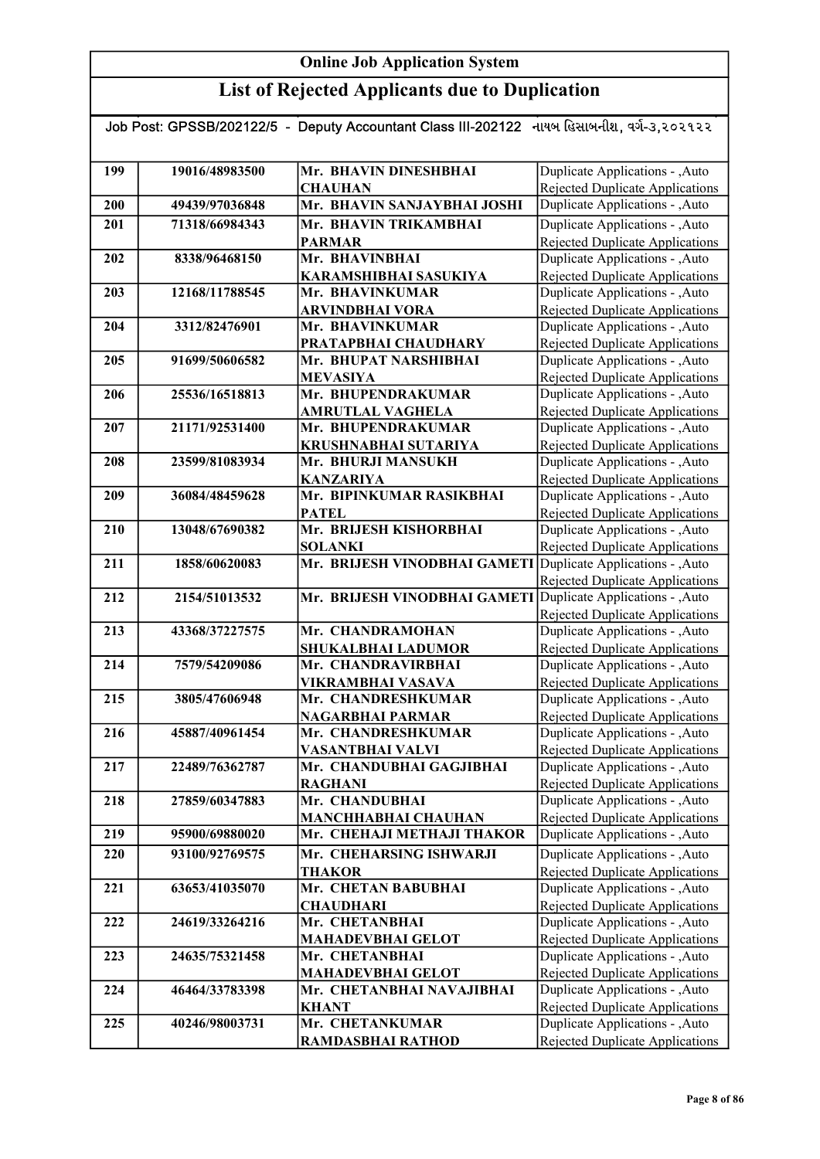## List of Rejected Applicants due to Duplication

#### Job Post: GPSSB/202122/5 - Deputy Accountant Class III-202122 નાયબ હિસાબનીશ, વર્ગ-૩,૨૦૨૧૨૨

| 199        | 19016/48983500 | Mr. BHAVIN DINESHBHAI                        | Duplicate Applications - , Auto                                    |
|------------|----------------|----------------------------------------------|--------------------------------------------------------------------|
|            |                | <b>CHAUHAN</b>                               | Rejected Duplicate Applications                                    |
| <b>200</b> | 49439/97036848 | Mr. BHAVIN SANJAYBHAI JOSHI                  | Duplicate Applications - , Auto                                    |
| 201        | 71318/66984343 | Mr. BHAVIN TRIKAMBHAI                        | Duplicate Applications - , Auto                                    |
|            |                | <b>PARMAR</b>                                | Rejected Duplicate Applications                                    |
| 202        | 8338/96468150  | Mr. BHAVINBHAI                               | Duplicate Applications - , Auto                                    |
|            |                | KARAMSHIBHAI SASUKIYA                        | <b>Rejected Duplicate Applications</b>                             |
| 203        | 12168/11788545 | Mr. BHAVINKUMAR                              | Duplicate Applications - , Auto                                    |
|            |                | <b>ARVINDBHAI VORA</b>                       | <b>Rejected Duplicate Applications</b>                             |
| 204        | 3312/82476901  | Mr. BHAVINKUMAR                              | Duplicate Applications - , Auto                                    |
|            |                | PRATAPBHAI CHAUDHARY                         | <b>Rejected Duplicate Applications</b>                             |
| 205        | 91699/50606582 | Mr. BHUPAT NARSHIBHAI                        | Duplicate Applications - , Auto                                    |
|            |                | MEVASIYA                                     | Rejected Duplicate Applications                                    |
| 206        | 25536/16518813 | Mr. BHUPENDRAKUMAR                           | Duplicate Applications - , Auto                                    |
|            |                | <b>AMRUTLAL VAGHELA</b>                      | Rejected Duplicate Applications                                    |
| 207        | 21171/92531400 | Mr. BHUPENDRAKUMAR                           | Duplicate Applications - , Auto                                    |
| 208        | 23599/81083934 | KRUSHNABHAI SUTARIYA<br>Mr. BHURJI MANSUKH   | Rejected Duplicate Applications<br>Duplicate Applications - , Auto |
|            |                |                                              |                                                                    |
| 209        | 36084/48459628 | <b>KANZARIYA</b><br>Mr. BIPINKUMAR RASIKBHAI | Rejected Duplicate Applications<br>Duplicate Applications - , Auto |
|            |                | <b>PATEL</b>                                 | Rejected Duplicate Applications                                    |
| 210        | 13048/67690382 | Mr. BRIJESH KISHORBHAI                       | Duplicate Applications - , Auto                                    |
|            |                | <b>SOLANKI</b>                               | Rejected Duplicate Applications                                    |
| 211        | 1858/60620083  | Mr. BRIJESH VINODBHAI GAMETI                 | Duplicate Applications - , Auto                                    |
|            |                |                                              | <b>Rejected Duplicate Applications</b>                             |
| 212        | 2154/51013532  | Mr. BRIJESH VINODBHAI GAMETI                 | Duplicate Applications - ,Auto                                     |
|            |                |                                              | <b>Rejected Duplicate Applications</b>                             |
| 213        | 43368/37227575 | Mr. CHANDRAMOHAN                             | Duplicate Applications - , Auto                                    |
|            |                | SHUKALBHAI LADUMOR                           | <b>Rejected Duplicate Applications</b>                             |
| 214        | 7579/54209086  | Mr. CHANDRAVIRBHAI                           | Duplicate Applications - , Auto                                    |
|            |                | VIKRAMBHAI VASAVA                            | <b>Rejected Duplicate Applications</b>                             |
| 215        | 3805/47606948  | Mr. CHANDRESHKUMAR                           | <b>Duplicate Applications - , Auto</b>                             |
|            |                | NAGARBHAI PARMAR                             | <b>Rejected Duplicate Applications</b>                             |
| 216        | 45887/40961454 | Mr. CHANDRESHKUMAR                           | Duplicate Applications - , Auto                                    |
|            |                | VASANTBHAI VALVI                             | <b>Rejected Duplicate Applications</b>                             |
| 217        | 22489/76362787 | Mr. CHANDUBHAI GAGJIBHAI                     | Duplicate Applications - , Auto                                    |
|            |                | <b>RAGHANI</b>                               | <b>Rejected Duplicate Applications</b>                             |
| 218        | 27859/60347883 | Mr. CHANDUBHAI                               | Duplicate Applications - , Auto                                    |
|            |                | <b>MANCHHABHAI CHAUHAN</b>                   | Rejected Duplicate Applications                                    |
| 219        | 95900/69880020 | Mr. CHEHAJI METHAJI THAKOR                   | Duplicate Applications - , Auto                                    |
| 220        | 93100/92769575 | Mr. CHEHARSING ISHWARJI                      | Duplicate Applications - , Auto                                    |
|            |                | THAKOR                                       | Rejected Duplicate Applications                                    |
| 221        | 63653/41035070 | Mr. CHETAN BABUBHAI                          | Duplicate Applications - , Auto                                    |
|            |                | <b>CHAUDHARI</b>                             | Rejected Duplicate Applications                                    |
| 222        | 24619/33264216 | Mr. CHETANBHAI                               | Duplicate Applications - , Auto                                    |
|            |                | <b>MAHADEVBHAI GELOT</b>                     | <b>Rejected Duplicate Applications</b>                             |
| 223        | 24635/75321458 | Mr. CHETANBHAI                               | Duplicate Applications - , Auto                                    |
|            |                | <b>MAHADEVBHAI GELOT</b>                     | <b>Rejected Duplicate Applications</b>                             |
| 224        | 46464/33783398 | Mr. CHETANBHAI NAVAJIBHAI                    | Duplicate Applications - , Auto                                    |
|            |                | <b>KHANT</b>                                 | <b>Rejected Duplicate Applications</b>                             |
| 225        | 40246/98003731 | Mr. CHETANKUMAR                              | Duplicate Applications - , Auto                                    |
|            |                | RAMDASBHAI RATHOD                            | <b>Rejected Duplicate Applications</b>                             |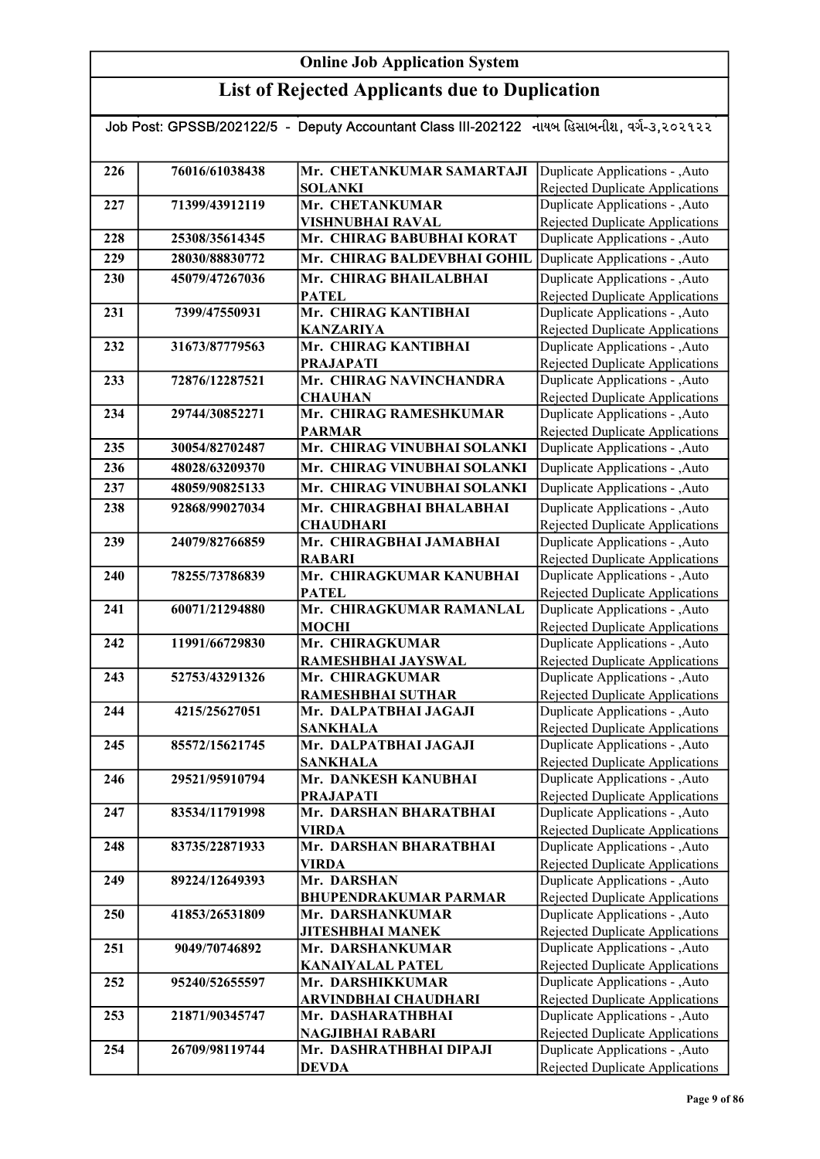| Job Post: GPSSB/202122/5 - Deputy Accountant Class III-202122 નાયબ હિસાબનીશ, વર્ગ-૩,૨૦૨૧૨૨ |                |                                                  |                                                                    |
|--------------------------------------------------------------------------------------------|----------------|--------------------------------------------------|--------------------------------------------------------------------|
| 226                                                                                        | 76016/61038438 | Mr. CHETANKUMAR SAMARTAJI                        | Duplicate Applications - , Auto                                    |
|                                                                                            |                | <b>SOLANKI</b>                                   | Rejected Duplicate Applications                                    |
| 227                                                                                        | 71399/43912119 | Mr. CHETANKUMAR                                  | Duplicate Applications - , Auto                                    |
|                                                                                            |                | VISHNUBHAI RAVAL                                 | <b>Rejected Duplicate Applications</b>                             |
| 228                                                                                        | 25308/35614345 | Mr. CHIRAG BABUBHAI KORAT                        | Duplicate Applications - , Auto                                    |
| 229                                                                                        | 28030/88830772 | Mr. CHIRAG BALDEVBHAI GOHIL                      | Duplicate Applications - , Auto                                    |
| 230                                                                                        | 45079/47267036 | Mr. CHIRAG BHAILALBHAI                           | Duplicate Applications - , Auto                                    |
|                                                                                            |                | <b>PATEL</b>                                     | Rejected Duplicate Applications                                    |
| 231                                                                                        | 7399/47550931  | Mr. CHIRAG KANTIBHAI                             | Duplicate Applications - , Auto                                    |
|                                                                                            |                | <b>KANZARIYA</b>                                 | Rejected Duplicate Applications                                    |
| 232                                                                                        | 31673/87779563 | Mr. CHIRAG KANTIBHAI                             | Duplicate Applications - , Auto                                    |
|                                                                                            |                | <b>PRAJAPATI</b>                                 | Rejected Duplicate Applications                                    |
| 233                                                                                        | 72876/12287521 | Mr. CHIRAG NAVINCHANDRA                          | Duplicate Applications - ,Auto                                     |
|                                                                                            |                | <b>CHAUHAN</b>                                   | Rejected Duplicate Applications                                    |
| 234                                                                                        | 29744/30852271 | Mr. CHIRAG RAMESHKUMAR                           | Duplicate Applications - , Auto                                    |
|                                                                                            |                | <b>PARMAR</b>                                    | Rejected Duplicate Applications                                    |
| 235                                                                                        | 30054/82702487 | Mr. CHIRAG VINUBHAI SOLANKI                      | Duplicate Applications - , Auto                                    |
| 236                                                                                        | 48028/63209370 | Mr. CHIRAG VINUBHAI SOLANKI                      | Duplicate Applications - , Auto                                    |
| 237                                                                                        | 48059/90825133 | Mr. CHIRAG VINUBHAI SOLANKI                      | Duplicate Applications - , Auto                                    |
| 238                                                                                        | 92868/99027034 | Mr. CHIRAGBHAI BHALABHAI                         | Duplicate Applications - , Auto                                    |
|                                                                                            |                | <b>CHAUDHARI</b>                                 | Rejected Duplicate Applications                                    |
| 239                                                                                        | 24079/82766859 | Mr. CHIRAGBHAI JAMABHAI                          | Duplicate Applications - , Auto                                    |
|                                                                                            |                | <b>RABARI</b>                                    | <b>Rejected Duplicate Applications</b>                             |
| 240                                                                                        | 78255/73786839 | Mr. CHIRAGKUMAR KANUBHAI                         | Duplicate Applications - , Auto                                    |
| 241                                                                                        | 60071/21294880 | <b>PATEL</b><br>Mr. CHIRAGKUMAR RAMANLAL         | Rejected Duplicate Applications<br>Duplicate Applications - , Auto |
|                                                                                            |                | <b>MOCHI</b>                                     | <b>Rejected Duplicate Applications</b>                             |
| 242                                                                                        | 11991/66729830 | Mr. CHIRAGKUMAR                                  | Duplicate Applications - , Auto                                    |
|                                                                                            |                | RAMESHBHAI JAYSWAL                               | <b>Rejected Duplicate Applications</b>                             |
| 243                                                                                        | 52753/43291326 | Mr. CHIRAGKUMAR                                  | Duplicate Applications - , Auto                                    |
|                                                                                            |                | <b>RAMESHBHAI SUTHAR</b>                         | Rejected Duplicate Applications                                    |
| 244                                                                                        | 4215/25627051  | Mr. DALPATBHAI JAGAJI                            | Duplicate Applications - , Auto                                    |
|                                                                                            |                | SANKHALA                                         | Rejected Duplicate Applications                                    |
| 245                                                                                        | 85572/15621745 | Mr. DALPATBHAI JAGAJI                            | Duplicate Applications - , Auto                                    |
|                                                                                            |                | <b>SANKHALA</b>                                  | Rejected Duplicate Applications                                    |
| 246                                                                                        | 29521/95910794 | Mr. DANKESH KANUBHAI                             | Duplicate Applications - , Auto                                    |
| 247                                                                                        | 83534/11791998 | <b>PRAJAPATI</b><br>Mr. DARSHAN BHARATBHAI       | Rejected Duplicate Applications<br>Duplicate Applications - , Auto |
|                                                                                            |                | <b>VIRDA</b>                                     | Rejected Duplicate Applications                                    |
| 248                                                                                        | 83735/22871933 | Mr. DARSHAN BHARATBHAI                           | Duplicate Applications - , Auto                                    |
|                                                                                            |                | <b>VIRDA</b>                                     | Rejected Duplicate Applications                                    |
| 249                                                                                        | 89224/12649393 | Mr. DARSHAN                                      | Duplicate Applications - , Auto                                    |
|                                                                                            |                | <b>BHUPENDRAKUMAR PARMAR</b>                     | Rejected Duplicate Applications                                    |
| 250                                                                                        | 41853/26531809 | Mr. DARSHANKUMAR                                 | Duplicate Applications - , Auto                                    |
|                                                                                            |                | <b>JITESHBHAI MANEK</b>                          | Rejected Duplicate Applications                                    |
| 251                                                                                        | 9049/70746892  | Mr. DARSHANKUMAR                                 | Duplicate Applications - , Auto                                    |
|                                                                                            |                | <b>KANAIYALAL PATEL</b>                          | Rejected Duplicate Applications                                    |
| 252                                                                                        | 95240/52655597 | Mr. DARSHIKKUMAR                                 | Duplicate Applications - , Auto                                    |
|                                                                                            |                | <b>ARVINDBHAI CHAUDHARI</b><br>Mr. DASHARATHBHAI | Rejected Duplicate Applications<br>Duplicate Applications - , Auto |
| 253                                                                                        | 21871/90345747 | NAGJIBHAI RABARI                                 | Rejected Duplicate Applications                                    |
| 254                                                                                        | 26709/98119744 | Mr. DASHRATHBHAI DIPAJI                          | Duplicate Applications - , Auto                                    |
|                                                                                            |                | <b>DEVDA</b>                                     | Rejected Duplicate Applications                                    |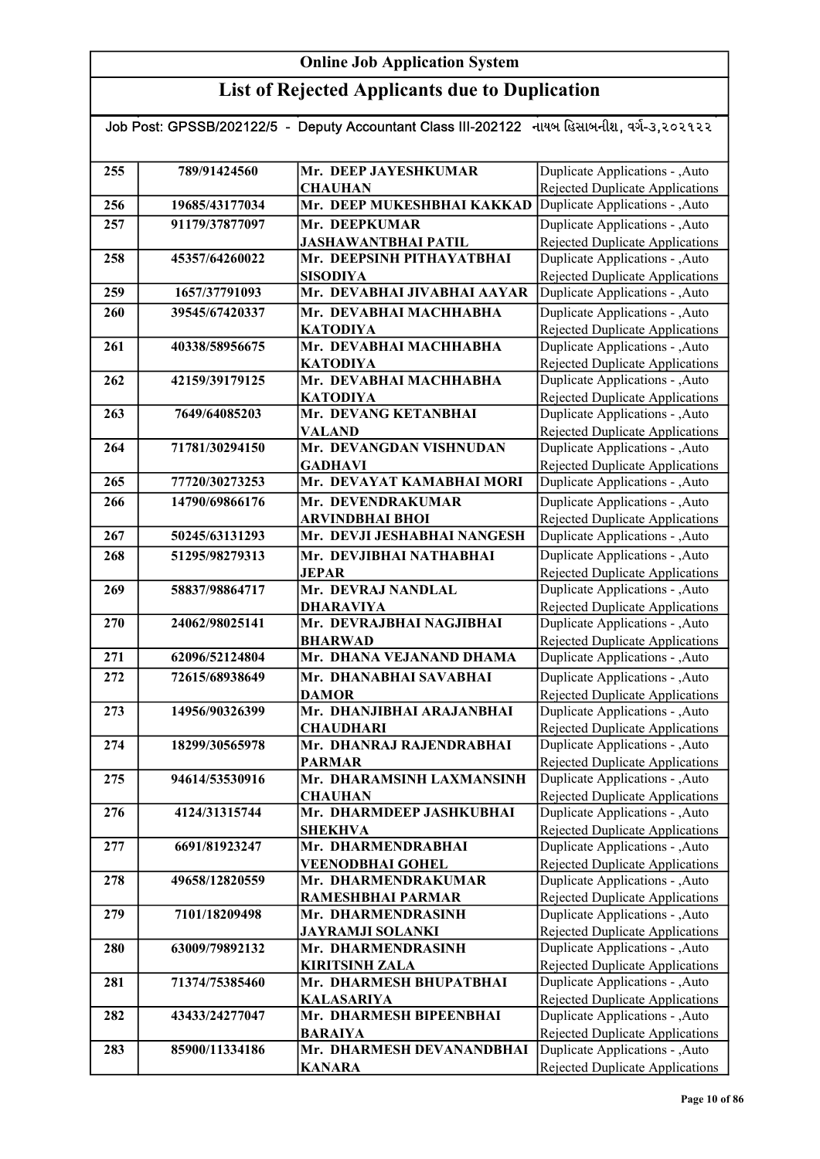| Job Post: GPSSB/202122/5 - Deputy Accountant Class III-202122 નાયબ હિસાબનીશ, વર્ગ-૩,૨૦૨૧૨૨ |                |                                            |                                                                           |  |
|--------------------------------------------------------------------------------------------|----------------|--------------------------------------------|---------------------------------------------------------------------------|--|
|                                                                                            |                |                                            |                                                                           |  |
| 255                                                                                        | 789/91424560   | Mr. DEEP JAYESHKUMAR                       | Duplicate Applications - , Auto                                           |  |
|                                                                                            |                | <b>CHAUHAN</b>                             | <b>Rejected Duplicate Applications</b>                                    |  |
| 256                                                                                        | 19685/43177034 | Mr. DEEP MUKESHBHAI KAKKAD                 | Duplicate Applications - , Auto                                           |  |
| 257                                                                                        | 91179/37877097 | Mr. DEEPKUMAR                              | Duplicate Applications - , Auto                                           |  |
|                                                                                            |                | <b>JASHAWANTBHAI PATIL</b>                 | Rejected Duplicate Applications                                           |  |
| 258                                                                                        | 45357/64260022 | Mr. DEEPSINH PITHAYATBHAI                  | Duplicate Applications - , Auto                                           |  |
|                                                                                            |                | <b>SISODIYA</b>                            | Rejected Duplicate Applications                                           |  |
| 259                                                                                        | 1657/37791093  | Mr. DEVABHAI JIVABHAI AAYAR                | Duplicate Applications - , Auto                                           |  |
| 260                                                                                        | 39545/67420337 | Mr. DEVABHAI MACHHABHA                     | Duplicate Applications - , Auto                                           |  |
|                                                                                            |                | <b>KATODIYA</b>                            | <b>Rejected Duplicate Applications</b>                                    |  |
| 261                                                                                        | 40338/58956675 | Mr. DEVABHAI MACHHABHA                     | Duplicate Applications - , Auto                                           |  |
|                                                                                            |                | <b>KATODIYA</b>                            | Rejected Duplicate Applications                                           |  |
| 262                                                                                        | 42159/39179125 | Mr. DEVABHAI MACHHABHA                     | Duplicate Applications - , Auto                                           |  |
| 263                                                                                        | 7649/64085203  | <b>KATODIYA</b><br>Mr. DEVANG KETANBHAI    | <b>Rejected Duplicate Applications</b><br>Duplicate Applications - , Auto |  |
|                                                                                            |                | <b>VALAND</b>                              | Rejected Duplicate Applications                                           |  |
| 264                                                                                        | 71781/30294150 | Mr. DEVANGDAN VISHNUDAN                    | Duplicate Applications - , Auto                                           |  |
|                                                                                            |                | <b>GADHAVI</b>                             | Rejected Duplicate Applications                                           |  |
| 265                                                                                        | 77720/30273253 | Mr. DEVAYAT KAMABHAI MORI                  | Duplicate Applications - , Auto                                           |  |
| 266                                                                                        | 14790/69866176 | Mr. DEVENDRAKUMAR                          | Duplicate Applications - , Auto                                           |  |
|                                                                                            |                | <b>ARVINDBHAI BHOI</b>                     | Rejected Duplicate Applications                                           |  |
| 267                                                                                        | 50245/63131293 | Mr. DEVJI JESHABHAI NANGESH                | Duplicate Applications - , Auto                                           |  |
| 268                                                                                        | 51295/98279313 | Mr. DEVJIBHAI NATHABHAI                    | Duplicate Applications - , Auto                                           |  |
|                                                                                            |                | <b>JEPAR</b>                               | Rejected Duplicate Applications                                           |  |
| 269                                                                                        | 58837/98864717 | Mr. DEVRAJ NANDLAL                         | Duplicate Applications - , Auto                                           |  |
|                                                                                            |                | <b>DHARAVIYA</b>                           | Rejected Duplicate Applications                                           |  |
| 270                                                                                        | 24062/98025141 | Mr. DEVRAJBHAI NAGJIBHAI                   | Duplicate Applications - , Auto                                           |  |
|                                                                                            |                | <b>BHARWAD</b>                             | Rejected Duplicate Applications                                           |  |
| 271                                                                                        | 62096/52124804 | Mr. DHANA VEJANAND DHAMA                   | Duplicate Applications - , Auto                                           |  |
| 272                                                                                        | 72615/68938649 | Mr. DHANABHAI SAVABHAI                     | Duplicate Applications - , Auto                                           |  |
|                                                                                            |                | <b>DAMOR</b>                               | <b>Rejected Duplicate Applications</b>                                    |  |
| 273                                                                                        | 14956/90326399 | Mr. DHANJIBHAI ARAJANBHAI                  | Duplicate Applications - , Auto                                           |  |
|                                                                                            |                | <b>CHAUDHARI</b>                           | <b>Rejected Duplicate Applications</b>                                    |  |
| 274                                                                                        | 18299/30565978 | Mr. DHANRAJ RAJENDRABHAI                   | Duplicate Applications - , Auto                                           |  |
| 275                                                                                        | 94614/53530916 | <b>PARMAR</b><br>Mr. DHARAMSINH LAXMANSINH | <b>Rejected Duplicate Applications</b><br>Duplicate Applications - ,Auto  |  |
|                                                                                            |                | <b>CHAUHAN</b>                             | Rejected Duplicate Applications                                           |  |
| 276                                                                                        | 4124/31315744  | Mr. DHARMDEEP JASHKUBHAI                   | Duplicate Applications - , Auto                                           |  |
|                                                                                            |                | <b>SHEKHVA</b>                             | <b>Rejected Duplicate Applications</b>                                    |  |
| 277                                                                                        | 6691/81923247  | Mr. DHARMENDRABHAI                         | Duplicate Applications - , Auto                                           |  |
|                                                                                            |                | <b>VEENODBHAI GOHEL</b>                    | Rejected Duplicate Applications                                           |  |
| 278                                                                                        | 49658/12820559 | Mr. DHARMENDRAKUMAR                        | Duplicate Applications - , Auto                                           |  |
|                                                                                            |                | RAMESHBHAI PARMAR                          | Rejected Duplicate Applications                                           |  |
| 279                                                                                        | 7101/18209498  | Mr. DHARMENDRASINH                         | Duplicate Applications - , Auto                                           |  |
|                                                                                            |                | <b>JAYRAMJI SOLANKI</b>                    | <b>Rejected Duplicate Applications</b>                                    |  |
| 280                                                                                        | 63009/79892132 | Mr. DHARMENDRASINH                         | Duplicate Applications - , Auto                                           |  |
|                                                                                            |                | <b>KIRITSINH ZALA</b>                      | <b>Rejected Duplicate Applications</b>                                    |  |
| 281                                                                                        | 71374/75385460 | Mr. DHARMESH BHUPATBHAI                    | Duplicate Applications - , Auto                                           |  |
|                                                                                            |                | <b>KALASARIYA</b>                          | Rejected Duplicate Applications                                           |  |
| 282                                                                                        | 43433/24277047 | Mr. DHARMESH BIPEENBHAI<br><b>BARAIYA</b>  | Duplicate Applications - , Auto<br>Rejected Duplicate Applications        |  |
| 283                                                                                        | 85900/11334186 | Mr. DHARMESH DEVANANDBHAI                  | Duplicate Applications - , Auto                                           |  |
|                                                                                            |                | <b>KANARA</b>                              | Rejected Duplicate Applications                                           |  |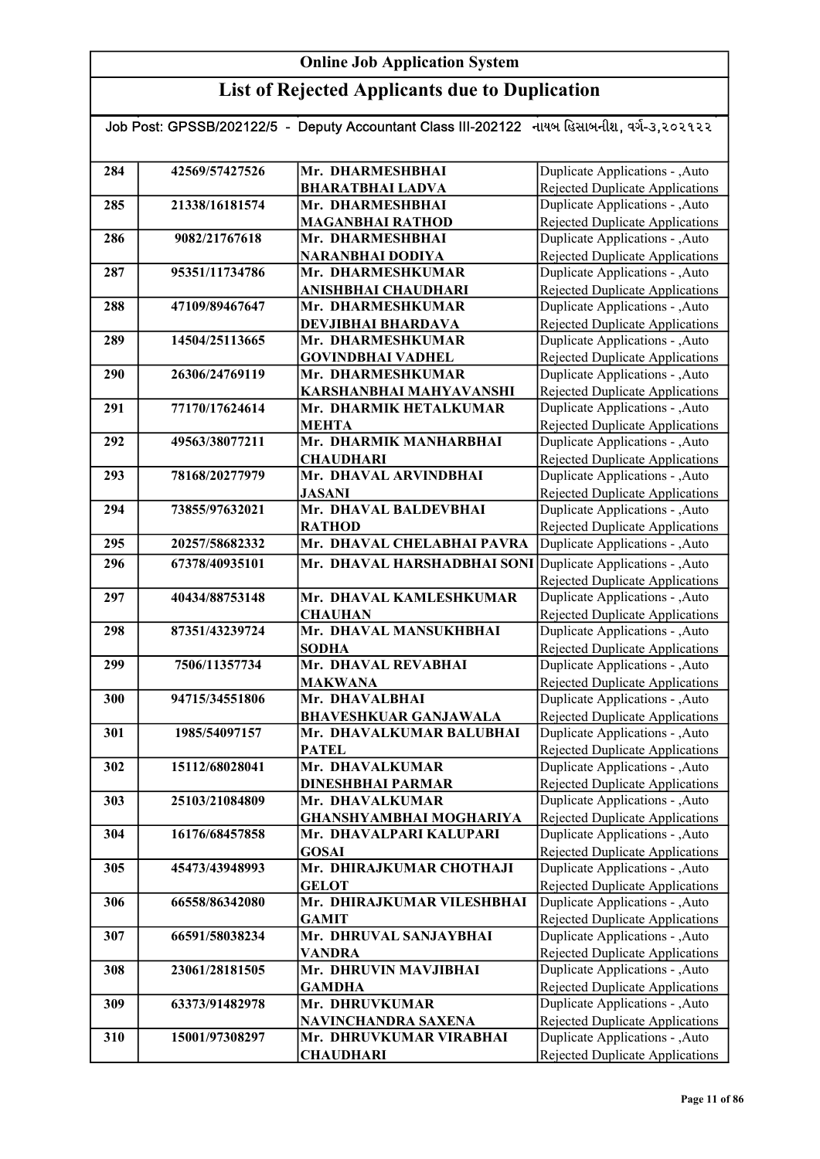| Job Post: GPSSB/202122/5 - Deputy Accountant Class III-202122 નાયબ હિસાબનીશ, વર્ગ-૩,૨૦૨૧૨૨ |                |                                                    |                                                                    |  |
|--------------------------------------------------------------------------------------------|----------------|----------------------------------------------------|--------------------------------------------------------------------|--|
|                                                                                            |                |                                                    |                                                                    |  |
| 284                                                                                        | 42569/57427526 | Mr. DHARMESHBHAI                                   |                                                                    |  |
|                                                                                            |                |                                                    | Duplicate Applications - ,Auto<br>Rejected Duplicate Applications  |  |
| 285                                                                                        | 21338/16181574 | <b>BHARATBHAI LADVA</b><br>Mr. DHARMESHBHAI        | Duplicate Applications - , Auto                                    |  |
|                                                                                            |                | <b>MAGANBHAI RATHOD</b>                            | <b>Rejected Duplicate Applications</b>                             |  |
| 286                                                                                        | 9082/21767618  | Mr. DHARMESHBHAI                                   | Duplicate Applications - , Auto                                    |  |
|                                                                                            |                | NARANBHAI DODIYA                                   | Rejected Duplicate Applications                                    |  |
| 287                                                                                        | 95351/11734786 | Mr. DHARMESHKUMAR                                  | Duplicate Applications - , Auto                                    |  |
|                                                                                            |                | ANISHBHAI CHAUDHARI                                | Rejected Duplicate Applications                                    |  |
| 288                                                                                        | 47109/89467647 | Mr. DHARMESHKUMAR                                  | Duplicate Applications - , Auto                                    |  |
|                                                                                            |                | <b>DEVJIBHAI BHARDAVA</b>                          | Rejected Duplicate Applications                                    |  |
| 289                                                                                        | 14504/25113665 | Mr. DHARMESHKUMAR                                  | Duplicate Applications - ,Auto                                     |  |
|                                                                                            |                | <b>GOVINDBHAI VADHEL</b>                           | Rejected Duplicate Applications                                    |  |
| 290                                                                                        | 26306/24769119 | Mr. DHARMESHKUMAR                                  | Duplicate Applications - , Auto                                    |  |
|                                                                                            |                | KARSHANBHAI MAHYAVANSHI                            | <b>Rejected Duplicate Applications</b>                             |  |
| 291                                                                                        | 77170/17624614 | Mr. DHARMIK HETALKUMAR                             | Duplicate Applications - ,Auto                                     |  |
|                                                                                            |                | <b>MEHTA</b>                                       | <b>Rejected Duplicate Applications</b>                             |  |
| 292                                                                                        | 49563/38077211 | Mr. DHARMIK MANHARBHAI                             | Duplicate Applications - , Auto                                    |  |
|                                                                                            |                | <b>CHAUDHARI</b>                                   | Rejected Duplicate Applications                                    |  |
| 293                                                                                        | 78168/20277979 | Mr. DHAVAL ARVINDBHAI                              | Duplicate Applications - , Auto                                    |  |
|                                                                                            |                | <b>JASANI</b>                                      | Rejected Duplicate Applications                                    |  |
| 294                                                                                        | 73855/97632021 | Mr. DHAVAL BALDEVBHAI                              | Duplicate Applications - , Auto                                    |  |
|                                                                                            |                | <b>RATHOD</b>                                      | Rejected Duplicate Applications                                    |  |
| 295                                                                                        | 20257/58682332 | Mr. DHAVAL CHELABHAI PAVRA                         | Duplicate Applications - , Auto                                    |  |
| 296                                                                                        | 67378/40935101 | Mr. DHAVAL HARSHADBHAI SONI                        | Duplicate Applications - , Auto                                    |  |
|                                                                                            |                |                                                    | <b>Rejected Duplicate Applications</b>                             |  |
| 297                                                                                        | 40434/88753148 | Mr. DHAVAL KAMLESHKUMAR                            | Duplicate Applications - , Auto                                    |  |
|                                                                                            |                | <b>CHAUHAN</b>                                     | Rejected Duplicate Applications                                    |  |
| 298                                                                                        | 87351/43239724 | Mr. DHAVAL MANSUKHBHAI                             | Duplicate Applications - , Auto                                    |  |
|                                                                                            |                | <b>SODHA</b>                                       | <b>Rejected Duplicate Applications</b>                             |  |
| 299                                                                                        | 7506/11357734  | Mr. DHAVAL REVABHAI                                | Duplicate Applications - , Auto                                    |  |
|                                                                                            |                | <b>MAKWANA</b>                                     | <b>Rejected Duplicate Applications</b>                             |  |
| 300                                                                                        | 94715/34551806 | Mr. DHAVALBHAI                                     | Duplicate Applications - , Auto                                    |  |
|                                                                                            |                | <b>BHAVESHKUAR GANJAWALA</b>                       | Rejected Duplicate Applications                                    |  |
| 301                                                                                        | 1985/54097157  | Mr. DHAVALKUMAR BALUBHAI                           | Duplicate Applications - , Auto                                    |  |
|                                                                                            |                | <b>PATEL</b>                                       | Rejected Duplicate Applications                                    |  |
| 302                                                                                        | 15112/68028041 | Mr. DHAVALKUMAR                                    | Duplicate Applications - , Auto                                    |  |
|                                                                                            |                | <b>DINESHBHAI PARMAR</b>                           | Rejected Duplicate Applications                                    |  |
| 303                                                                                        | 25103/21084809 | Mr. DHAVALKUMAR                                    | Duplicate Applications - ,Auto                                     |  |
| 304                                                                                        | 16176/68457858 | GHANSHYAMBHAI MOGHARIYA<br>Mr. DHAVALPARI KALUPARI | Rejected Duplicate Applications                                    |  |
|                                                                                            |                | <b>GOSAI</b>                                       | Duplicate Applications - , Auto<br>Rejected Duplicate Applications |  |
| 305                                                                                        | 45473/43948993 | Mr. DHIRAJKUMAR CHOTHAJI                           | Duplicate Applications - , Auto                                    |  |
|                                                                                            |                | <b>GELOT</b>                                       | Rejected Duplicate Applications                                    |  |
| 306                                                                                        | 66558/86342080 | Mr. DHIRAJKUMAR VILESHBHAI                         | Duplicate Applications - , Auto                                    |  |
|                                                                                            |                | <b>GAMIT</b>                                       | Rejected Duplicate Applications                                    |  |
| 307                                                                                        | 66591/58038234 | Mr. DHRUVAL SANJAYBHAI                             | Duplicate Applications - , Auto                                    |  |
|                                                                                            |                | <b>VANDRA</b>                                      | Rejected Duplicate Applications                                    |  |
| 308                                                                                        | 23061/28181505 | Mr. DHRUVIN MAVJIBHAI                              | Duplicate Applications - , Auto                                    |  |
|                                                                                            |                | <b>GAMDHA</b>                                      | Rejected Duplicate Applications                                    |  |
| 309                                                                                        | 63373/91482978 | Mr. DHRUVKUMAR                                     | Duplicate Applications - , Auto                                    |  |
|                                                                                            |                | NAVINCHANDRA SAXENA                                | <b>Rejected Duplicate Applications</b>                             |  |
| 310                                                                                        | 15001/97308297 | Mr. DHRUVKUMAR VIRABHAI                            | Duplicate Applications - , Auto                                    |  |
|                                                                                            |                | <b>CHAUDHARI</b>                                   | Rejected Duplicate Applications                                    |  |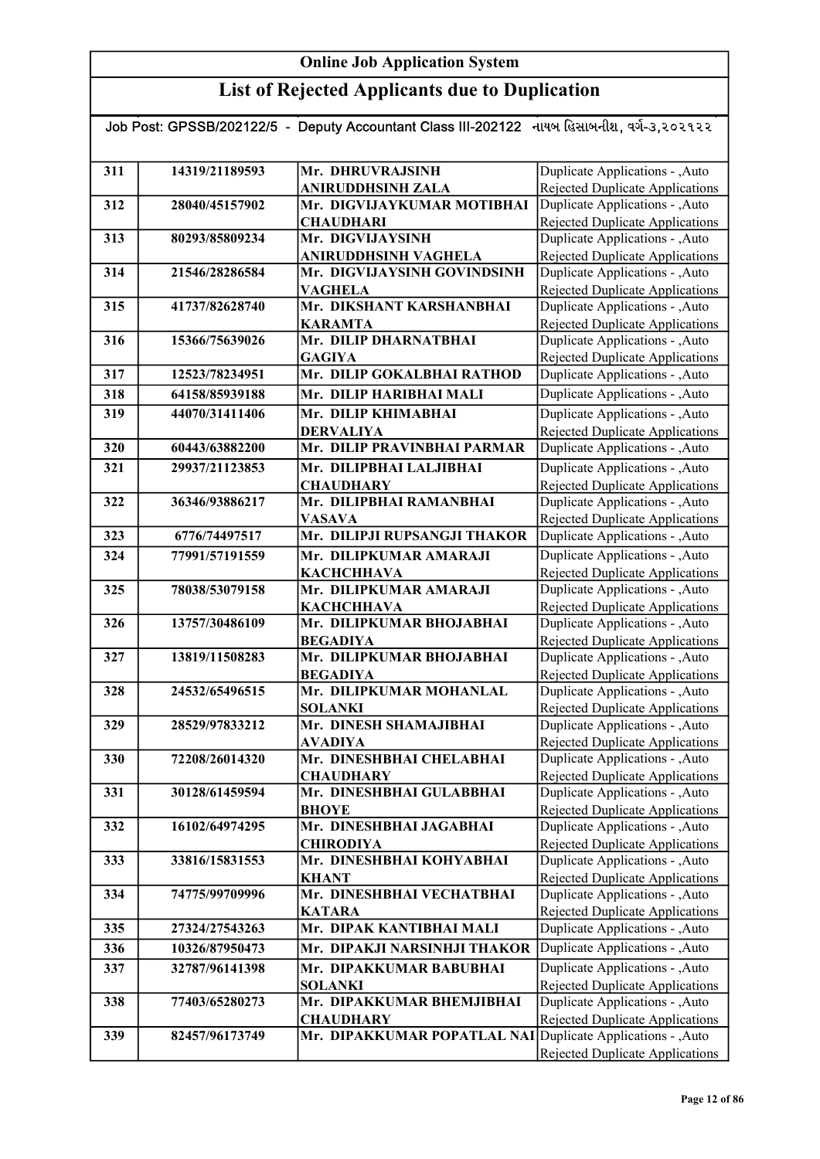| Job Post: GPSSB/202122/5 - Deputy Accountant Class III-202122 નાયબ હિસાબનીશ, વર્ગ-૩,૨૦૨૧૨૨ |                |                                               |                                                                           |
|--------------------------------------------------------------------------------------------|----------------|-----------------------------------------------|---------------------------------------------------------------------------|
|                                                                                            |                |                                               |                                                                           |
| 311                                                                                        | 14319/21189593 | Mr. DHRUVRAJSINH                              | Duplicate Applications - , Auto                                           |
|                                                                                            |                | <b>ANIRUDDHSINH ZALA</b>                      | Rejected Duplicate Applications                                           |
| 312                                                                                        | 28040/45157902 | Mr. DIGVIJAYKUMAR MOTIBHAI                    | Duplicate Applications - ,Auto                                            |
|                                                                                            |                | <b>CHAUDHARI</b>                              | <b>Rejected Duplicate Applications</b>                                    |
| 313                                                                                        | 80293/85809234 | Mr. DIGVIJAYSINH                              | Duplicate Applications - , Auto                                           |
|                                                                                            |                | ANIRUDDHSINH VAGHELA                          | Rejected Duplicate Applications                                           |
| 314                                                                                        | 21546/28286584 | Mr. DIGVIJAYSINH GOVINDSINH                   | Duplicate Applications - , Auto                                           |
|                                                                                            |                | <b>VAGHELA</b>                                | <b>Rejected Duplicate Applications</b>                                    |
| 315                                                                                        | 41737/82628740 | Mr. DIKSHANT KARSHANBHAI                      | Duplicate Applications - , Auto                                           |
|                                                                                            |                | <b>KARAMTA</b>                                | <b>Rejected Duplicate Applications</b>                                    |
| 316                                                                                        | 15366/75639026 | Mr. DILIP DHARNATBHAI                         | Duplicate Applications - , Auto                                           |
| 317                                                                                        | 12523/78234951 | <b>GAGIYA</b><br>Mr. DILIP GOKALBHAI RATHOD   | Rejected Duplicate Applications<br>Duplicate Applications - , Auto        |
|                                                                                            |                |                                               |                                                                           |
| 318                                                                                        | 64158/85939188 | Mr. DILIP HARIBHAI MALI                       | Duplicate Applications - , Auto                                           |
| 319                                                                                        | 44070/31411406 | Mr. DILIP KHIMABHAI                           | Duplicate Applications - , Auto                                           |
|                                                                                            |                | <b>DERVALIYA</b>                              | Rejected Duplicate Applications                                           |
| 320                                                                                        | 60443/63882200 | Mr. DILIP PRAVINBHAI PARMAR                   | Duplicate Applications - , Auto                                           |
| 321                                                                                        | 29937/21123853 | Mr. DILIPBHAI LALJIBHAI                       | Duplicate Applications - , Auto                                           |
|                                                                                            |                | <b>CHAUDHARY</b>                              | Rejected Duplicate Applications                                           |
| 322                                                                                        | 36346/93886217 | Mr. DILIPBHAI RAMANBHAI                       | Duplicate Applications - , Auto                                           |
| 323                                                                                        | 6776/74497517  | <b>VASAVA</b><br>Mr. DILIPJI RUPSANGJI THAKOR | <b>Rejected Duplicate Applications</b><br>Duplicate Applications - , Auto |
|                                                                                            |                |                                               |                                                                           |
| 324                                                                                        | 77991/57191559 | Mr. DILIPKUMAR AMARAJI                        | Duplicate Applications - , Auto                                           |
| 325                                                                                        | 78038/53079158 | КАСНСННАУА<br>Mr. DILIPKUMAR AMARAJI          | Rejected Duplicate Applications<br>Duplicate Applications - , Auto        |
|                                                                                            |                | <b>KACHCHHAVA</b>                             | Rejected Duplicate Applications                                           |
| 326                                                                                        | 13757/30486109 | Mr. DILIPKUMAR BHOJABHAI                      | Duplicate Applications - , Auto                                           |
|                                                                                            |                | <b>BEGADIYA</b>                               | Rejected Duplicate Applications                                           |
| 327                                                                                        | 13819/11508283 | Mr. DILIPKUMAR BHOJABHAI                      | Duplicate Applications - ,Auto                                            |
|                                                                                            |                | <b>BEGADIYA</b>                               | Rejected Duplicate Applications                                           |
| 328                                                                                        | 24532/65496515 | Mr. DILIPKUMAR MOHANLAL                       | Duplicate Applications - , Auto                                           |
|                                                                                            |                | <b>SOLANKI</b>                                | Rejected Duplicate Applications                                           |
| 329                                                                                        | 28529/97833212 | Mr. DINESH SHAMAJIBHAI                        | Duplicate Applications - , Auto                                           |
|                                                                                            |                | <b>AVADIYA</b>                                | Rejected Duplicate Applications                                           |
| 330                                                                                        | 72208/26014320 | Mr. DINESHBHAI CHELABHAI                      | Duplicate Applications - , Auto                                           |
|                                                                                            |                | <b>CHAUDHARY</b>                              | Rejected Duplicate Applications                                           |
| 331                                                                                        | 30128/61459594 | Mr. DINESHBHAI GULABBHAI                      | Duplicate Applications - , Auto                                           |
| 332                                                                                        | 16102/64974295 | <b>BHOYE</b><br>Mr. DINESHBHAI JAGABHAI       | Rejected Duplicate Applications<br>Duplicate Applications - , Auto        |
|                                                                                            |                | <b>CHIRODIYA</b>                              | Rejected Duplicate Applications                                           |
| 333                                                                                        | 33816/15831553 | Mr. DINESHBHAI KOHYABHAI                      | Duplicate Applications - , Auto                                           |
|                                                                                            |                | <b>KHANT</b>                                  | Rejected Duplicate Applications                                           |
| 334                                                                                        | 74775/99709996 | Mr. DINESHBHAI VECHATBHAI                     | Duplicate Applications - , Auto                                           |
|                                                                                            |                | <b>KATARA</b>                                 | Rejected Duplicate Applications                                           |
| 335                                                                                        | 27324/27543263 | Mr. DIPAK KANTIBHAI MALI                      | Duplicate Applications - ,Auto                                            |
| 336                                                                                        | 10326/87950473 | Mr. DIPAKJI NARSINHJI THAKOR                  | Duplicate Applications - , Auto                                           |
| 337                                                                                        | 32787/96141398 | Mr. DIPAKKUMAR BABUBHAI                       | Duplicate Applications - , Auto                                           |
|                                                                                            |                | <b>SOLANKI</b>                                | Rejected Duplicate Applications                                           |
| 338                                                                                        | 77403/65280273 | Mr. DIPAKKUMAR BHEMJIBHAI                     | Duplicate Applications - , Auto                                           |
|                                                                                            |                | <b>CHAUDHARY</b>                              | Rejected Duplicate Applications                                           |
| 339                                                                                        | 82457/96173749 | Mr. DIPAKKUMAR POPATLAL NAI                   | Duplicate Applications - , Auto                                           |
|                                                                                            |                |                                               | Rejected Duplicate Applications                                           |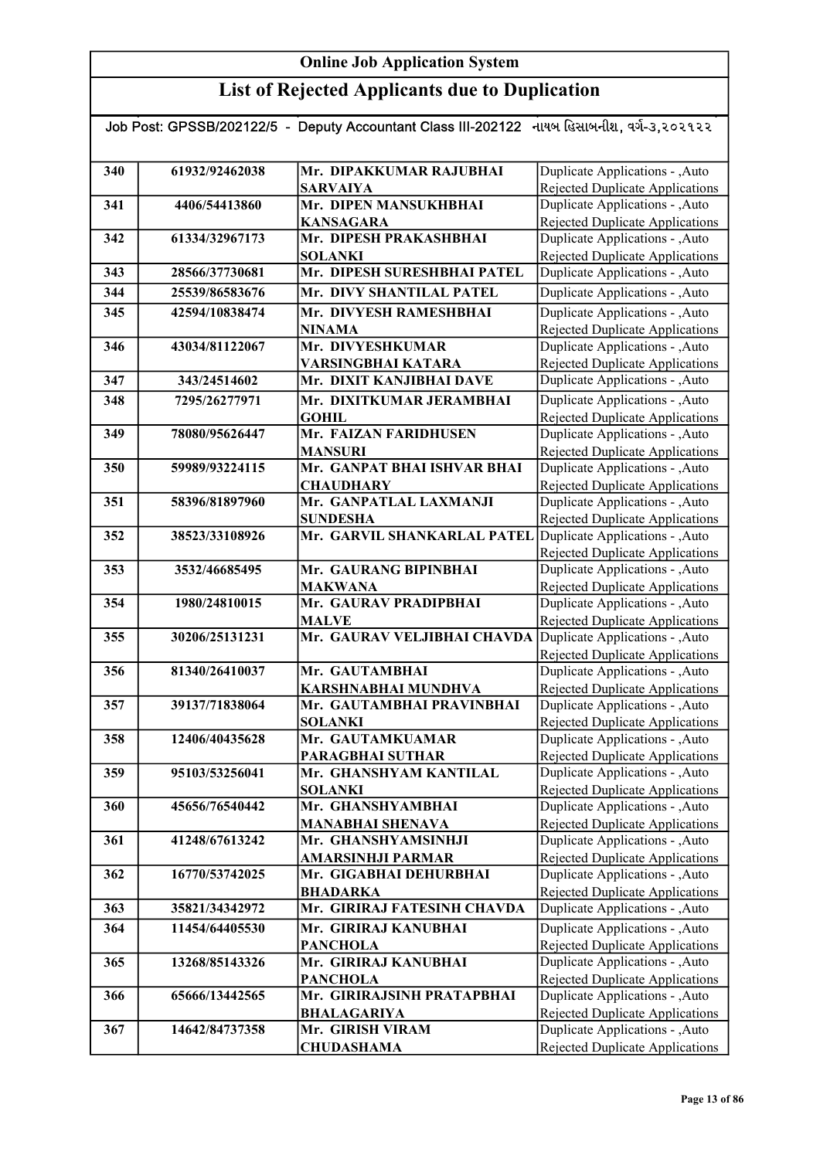| Job Post: GPSSB/202122/5 - Deputy Accountant Class III-202122 નાયબ હિસાબનીશ, વર્ગ-૩,૨૦૨૧૨૨ |                |                                               |                                                                    |  |
|--------------------------------------------------------------------------------------------|----------------|-----------------------------------------------|--------------------------------------------------------------------|--|
|                                                                                            |                |                                               |                                                                    |  |
|                                                                                            | 61932/92462038 | Mr. DIPAKKUMAR RAJUBHAI                       |                                                                    |  |
| 340                                                                                        |                |                                               | Duplicate Applications - , Auto                                    |  |
|                                                                                            |                | <b>SARVAIYA</b>                               | Rejected Duplicate Applications                                    |  |
| 341                                                                                        | 4406/54413860  | Mr. DIPEN MANSUKHBHAI                         | Duplicate Applications - , Auto                                    |  |
|                                                                                            |                | <b>KANSAGARA</b>                              | <b>Rejected Duplicate Applications</b>                             |  |
| 342                                                                                        | 61334/32967173 | Mr. DIPESH PRAKASHBHAI                        | Duplicate Applications - , Auto                                    |  |
|                                                                                            | 28566/37730681 | <b>SOLANKI</b><br>Mr. DIPESH SURESHBHAI PATEL | <b>Rejected Duplicate Applications</b>                             |  |
| 343                                                                                        |                |                                               | Duplicate Applications - , Auto                                    |  |
| 344                                                                                        | 25539/86583676 | Mr. DIVY SHANTILAL PATEL                      | Duplicate Applications - , Auto                                    |  |
| 345                                                                                        | 42594/10838474 | Mr. DIVYESH RAMESHBHAI                        | Duplicate Applications - , Auto                                    |  |
|                                                                                            | 43034/81122067 | <b>NINAMA</b><br>Mr. DIVYESHKUMAR             | <b>Rejected Duplicate Applications</b>                             |  |
| 346                                                                                        |                |                                               | Duplicate Applications - , Auto                                    |  |
|                                                                                            |                | VARSINGBHAI KATARA                            | Rejected Duplicate Applications                                    |  |
| 347                                                                                        | 343/24514602   | Mr. DIXIT KANJIBHAI DAVE                      | Duplicate Applications - , Auto                                    |  |
| 348                                                                                        | 7295/26277971  | Mr. DIXITKUMAR JERAMBHAI                      | Duplicate Applications - , Auto                                    |  |
|                                                                                            |                | <b>GOHIL</b>                                  | <b>Rejected Duplicate Applications</b>                             |  |
| 349                                                                                        | 78080/95626447 | Mr. FAIZAN FARIDHUSEN                         | Duplicate Applications - , Auto                                    |  |
|                                                                                            |                | <b>MANSURI</b>                                | <b>Rejected Duplicate Applications</b>                             |  |
| 350                                                                                        | 59989/93224115 | Mr. GANPAT BHAI ISHVAR BHAI                   | Duplicate Applications - , Auto                                    |  |
|                                                                                            |                | <b>CHAUDHARY</b>                              | <b>Rejected Duplicate Applications</b>                             |  |
| 351                                                                                        | 58396/81897960 | Mr. GANPATLAL LAXMANJI                        | Duplicate Applications - , Auto                                    |  |
|                                                                                            |                | <b>SUNDESHA</b>                               | <b>Rejected Duplicate Applications</b>                             |  |
| 352                                                                                        | 38523/33108926 | Mr. GARVIL SHANKARLAL PATEL                   | Duplicate Applications - , Auto                                    |  |
|                                                                                            |                |                                               | <b>Rejected Duplicate Applications</b>                             |  |
| 353                                                                                        | 3532/46685495  | Mr. GAURANG BIPINBHAI                         | Duplicate Applications - , Auto                                    |  |
|                                                                                            |                | <b>MAKWANA</b>                                | <b>Rejected Duplicate Applications</b>                             |  |
| 354                                                                                        | 1980/24810015  | Mr. GAURAV PRADIPBHAI                         | Duplicate Applications - , Auto                                    |  |
|                                                                                            |                | <b>MALVE</b><br>Mr. GAURAV VELJIBHAI CHAVDA   | <b>Rejected Duplicate Applications</b>                             |  |
| 355                                                                                        | 30206/25131231 |                                               | Duplicate Applications - , Auto<br>Rejected Duplicate Applications |  |
| 356                                                                                        | 81340/26410037 | Mr. GAUTAMBHAI                                | Duplicate Applications - , Auto                                    |  |
|                                                                                            |                | <b>KARSHNABHAI MUNDHVA</b>                    | Rejected Duplicate Applications                                    |  |
| 357                                                                                        | 39137/71838064 | Mr. GAUTAMBHAI PRAVINBHAI                     | Duplicate Applications - , Auto                                    |  |
|                                                                                            |                | <b>SOLANKI</b>                                | <b>Rejected Duplicate Applications</b>                             |  |
| 358                                                                                        | 12406/40435628 | Mr. GAUTAMKUAMAR                              | Duplicate Applications - , Auto                                    |  |
|                                                                                            |                | <b>PARAGBHAI SUTHAR</b>                       | Rejected Duplicate Applications                                    |  |
| 359                                                                                        | 95103/53256041 | Mr. GHANSHYAM KANTILAL                        | Duplicate Applications - , Auto                                    |  |
|                                                                                            |                | <b>SOLANKI</b>                                | Rejected Duplicate Applications                                    |  |
| 360                                                                                        | 45656/76540442 | Mr. GHANSHYAMBHAI                             | Duplicate Applications - , Auto                                    |  |
|                                                                                            |                | <b>MANABHAI SHENAVA</b>                       | <b>Rejected Duplicate Applications</b>                             |  |
| 361                                                                                        | 41248/67613242 | Mr. GHANSHYAMSINHJI                           | Duplicate Applications - , Auto                                    |  |
|                                                                                            |                | <b>AMARSINHJI PARMAR</b>                      | <b>Rejected Duplicate Applications</b>                             |  |
| 362                                                                                        | 16770/53742025 | Mr. GIGABHAI DEHURBHAI                        | Duplicate Applications - , Auto                                    |  |
|                                                                                            |                | <b>BHADARKA</b>                               | <b>Rejected Duplicate Applications</b>                             |  |
| 363                                                                                        | 35821/34342972 | Mr. GIRIRAJ FATESINH CHAVDA                   | Duplicate Applications - , Auto                                    |  |
| 364                                                                                        | 11454/64405530 | Mr. GIRIRAJ KANUBHAI                          | Duplicate Applications - , Auto                                    |  |
|                                                                                            |                | <b>PANCHOLA</b>                               | Rejected Duplicate Applications                                    |  |
| 365                                                                                        | 13268/85143326 | Mr. GIRIRAJ KANUBHAI                          | Duplicate Applications - , Auto                                    |  |
|                                                                                            |                | <b>PANCHOLA</b>                               | <b>Rejected Duplicate Applications</b>                             |  |
| 366                                                                                        | 65666/13442565 | Mr. GIRIRAJSINH PRATAPBHAI                    | Duplicate Applications - , Auto                                    |  |
|                                                                                            |                | <b>BHALAGARIYA</b>                            | <b>Rejected Duplicate Applications</b>                             |  |
| 367                                                                                        | 14642/84737358 | Mr. GIRISH VIRAM                              | Duplicate Applications - , Auto                                    |  |
|                                                                                            |                | <b>CHUDASHAMA</b>                             | <b>Rejected Duplicate Applications</b>                             |  |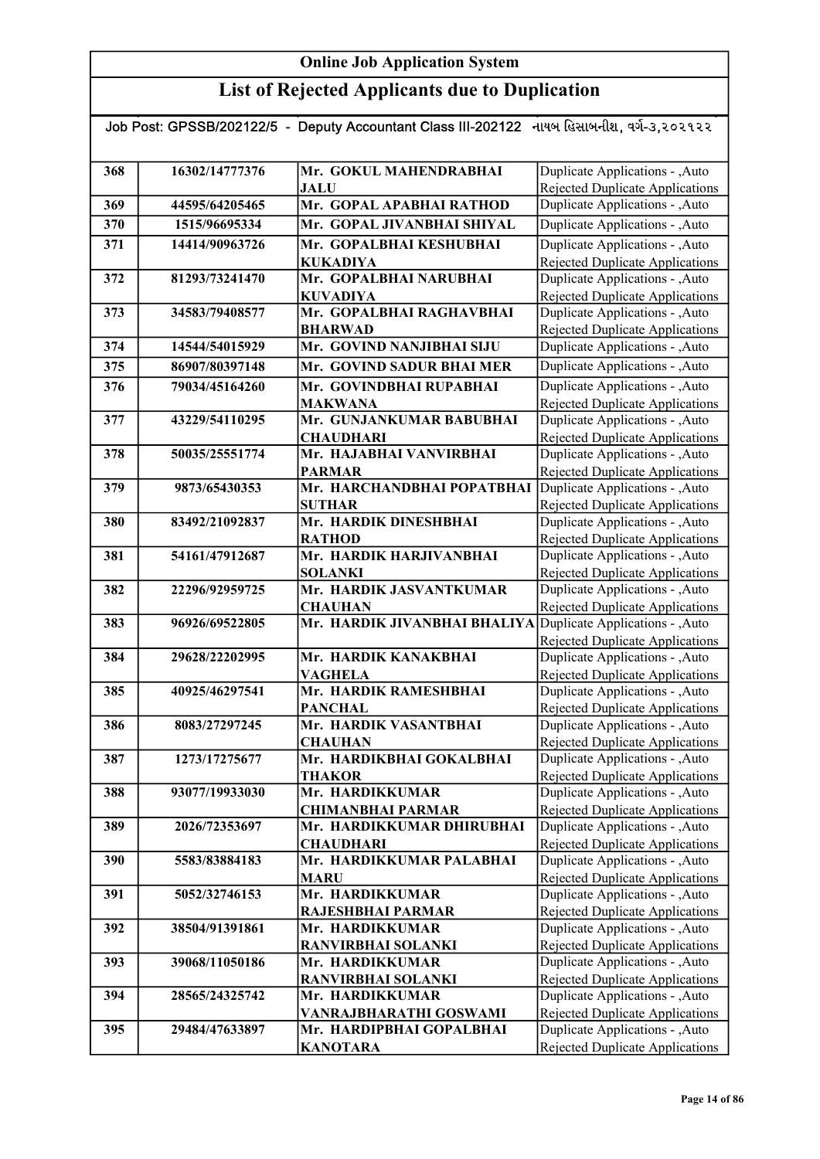| Job Post: GPSSB/202122/5 - Deputy Accountant Class III-202122 નાયબ હિસાબનીશ, વર્ગ-૩,૨૦૨૧૨૨ |                |                                                              |                                                                           |
|--------------------------------------------------------------------------------------------|----------------|--------------------------------------------------------------|---------------------------------------------------------------------------|
| 368                                                                                        | 16302/14777376 | Mr. GOKUL MAHENDRABHAI                                       | Duplicate Applications - , Auto                                           |
|                                                                                            |                | <b>JALU</b>                                                  | Rejected Duplicate Applications                                           |
| 369                                                                                        | 44595/64205465 | Mr. GOPAL APABHAI RATHOD                                     | Duplicate Applications - , Auto                                           |
| 370                                                                                        | 1515/96695334  | Mr. GOPAL JIVANBHAI SHIYAL                                   | Duplicate Applications - , Auto                                           |
| 371                                                                                        | 14414/90963726 | Mr. GOPALBHAI KESHUBHAI                                      | Duplicate Applications - , Auto                                           |
|                                                                                            |                | <b>KUKADIYA</b>                                              | Rejected Duplicate Applications                                           |
| 372                                                                                        | 81293/73241470 | Mr. GOPALBHAI NARUBHAI                                       | Duplicate Applications - , Auto                                           |
|                                                                                            |                | <b>KUVADIYA</b>                                              | <b>Rejected Duplicate Applications</b>                                    |
| 373                                                                                        | 34583/79408577 | Mr. GOPALBHAI RAGHAVBHAI                                     | Duplicate Applications - , Auto                                           |
|                                                                                            |                | <b>BHARWAD</b>                                               | <b>Rejected Duplicate Applications</b>                                    |
| 374                                                                                        | 14544/54015929 | Mr. GOVIND NANJIBHAI SIJU                                    | Duplicate Applications - , Auto                                           |
| 375                                                                                        | 86907/80397148 | Mr. GOVIND SADUR BHAI MER                                    | Duplicate Applications - ,Auto                                            |
| 376                                                                                        | 79034/45164260 | Mr. GOVINDBHAI RUPABHAI                                      | Duplicate Applications - , Auto                                           |
|                                                                                            |                | <b>MAKWANA</b>                                               | Rejected Duplicate Applications                                           |
| 377                                                                                        | 43229/54110295 | Mr. GUNJANKUMAR BABUBHAI                                     | Duplicate Applications - , Auto                                           |
|                                                                                            |                | <b>CHAUDHARI</b>                                             | Rejected Duplicate Applications                                           |
| 378                                                                                        | 50035/25551774 | Mr. HAJABHAI VANVIRBHAI                                      | Duplicate Applications - , Auto                                           |
|                                                                                            |                | <b>PARMAR</b>                                                | <b>Rejected Duplicate Applications</b>                                    |
| 379                                                                                        | 9873/65430353  | Mr. HARCHANDBHAI POPATBHAI                                   | Duplicate Applications - , Auto                                           |
|                                                                                            |                | <b>SUTHAR</b>                                                | <b>Rejected Duplicate Applications</b>                                    |
| 380                                                                                        | 83492/21092837 | Mr. HARDIK DINESHBHAI                                        | Duplicate Applications - , Auto                                           |
|                                                                                            |                | <b>RATHOD</b>                                                | Rejected Duplicate Applications                                           |
| 381                                                                                        | 54161/47912687 | Mr. HARDIK HARJIVANBHAI                                      | Duplicate Applications - , Auto                                           |
| 382                                                                                        | 22296/92959725 | <b>SOLANKI</b><br>Mr. HARDIK JASVANTKUMAR                    | <b>Rejected Duplicate Applications</b><br>Duplicate Applications - , Auto |
|                                                                                            |                | <b>CHAUHAN</b>                                               | <b>Rejected Duplicate Applications</b>                                    |
| 383                                                                                        | 96926/69522805 | Mr. HARDIK JIVANBHAI BHALIYA Duplicate Applications - , Auto |                                                                           |
|                                                                                            |                |                                                              | Rejected Duplicate Applications                                           |
| 384                                                                                        | 29628/22202995 | Mr. HARDIK KANAKBHAI                                         | Duplicate Applications - , Auto                                           |
|                                                                                            |                | <b>VAGHELA</b>                                               | <b>Rejected Duplicate Applications</b>                                    |
| 385                                                                                        | 40925/46297541 | Mr. HARDIK RAMESHBHAI                                        | Duplicate Applications - , Auto                                           |
|                                                                                            |                | <b>PANCHAL</b>                                               | <b>Rejected Duplicate Applications</b>                                    |
| 386                                                                                        | 8083/27297245  | Mr. HARDIK VASANTBHAI                                        | Duplicate Applications - , Auto                                           |
|                                                                                            |                | <b>CHAUHAN</b>                                               | Rejected Duplicate Applications                                           |
| 387                                                                                        | 1273/17275677  | Mr. HARDIKBHAI GOKALBHAI                                     | Duplicate Applications - , Auto                                           |
|                                                                                            |                | <b>THAKOR</b>                                                | Rejected Duplicate Applications                                           |
| 388                                                                                        | 93077/19933030 | Mr. HARDIKKUMAR                                              | Duplicate Applications - ,Auto                                            |
|                                                                                            |                | <b>CHIMANBHAI PARMAR</b>                                     | <b>Rejected Duplicate Applications</b>                                    |
| 389                                                                                        | 2026/72353697  | Mr. HARDIKKUMAR DHIRUBHAI<br><b>CHAUDHARI</b>                | Duplicate Applications - , Auto<br><b>Rejected Duplicate Applications</b> |
| 390                                                                                        | 5583/83884183  | Mr. HARDIKKUMAR PALABHAI                                     | Duplicate Applications - , Auto                                           |
|                                                                                            |                | <b>MARU</b>                                                  | Rejected Duplicate Applications                                           |
| 391                                                                                        | 5052/32746153  | Mr. HARDIKKUMAR                                              | Duplicate Applications - , Auto                                           |
|                                                                                            |                | RAJESHBHAI PARMAR                                            | <b>Rejected Duplicate Applications</b>                                    |
| 392                                                                                        | 38504/91391861 | Mr. HARDIKKUMAR                                              | Duplicate Applications - , Auto                                           |
|                                                                                            |                | <b>RANVIRBHAI SOLANKI</b>                                    | Rejected Duplicate Applications                                           |
| 393                                                                                        | 39068/11050186 | Mr. HARDIKKUMAR                                              | Duplicate Applications - , Auto                                           |
|                                                                                            |                | <b>RANVIRBHAI SOLANKI</b>                                    | Rejected Duplicate Applications                                           |
| 394                                                                                        | 28565/24325742 | Mr. HARDIKKUMAR                                              | Duplicate Applications - , Auto                                           |
|                                                                                            |                | VANRAJBHARATHI GOSWAMI                                       | Rejected Duplicate Applications                                           |
| 395                                                                                        | 29484/47633897 | Mr. HARDIPBHAI GOPALBHAI                                     | Duplicate Applications - , Auto                                           |
|                                                                                            |                | <b>KANOTARA</b>                                              | <b>Rejected Duplicate Applications</b>                                    |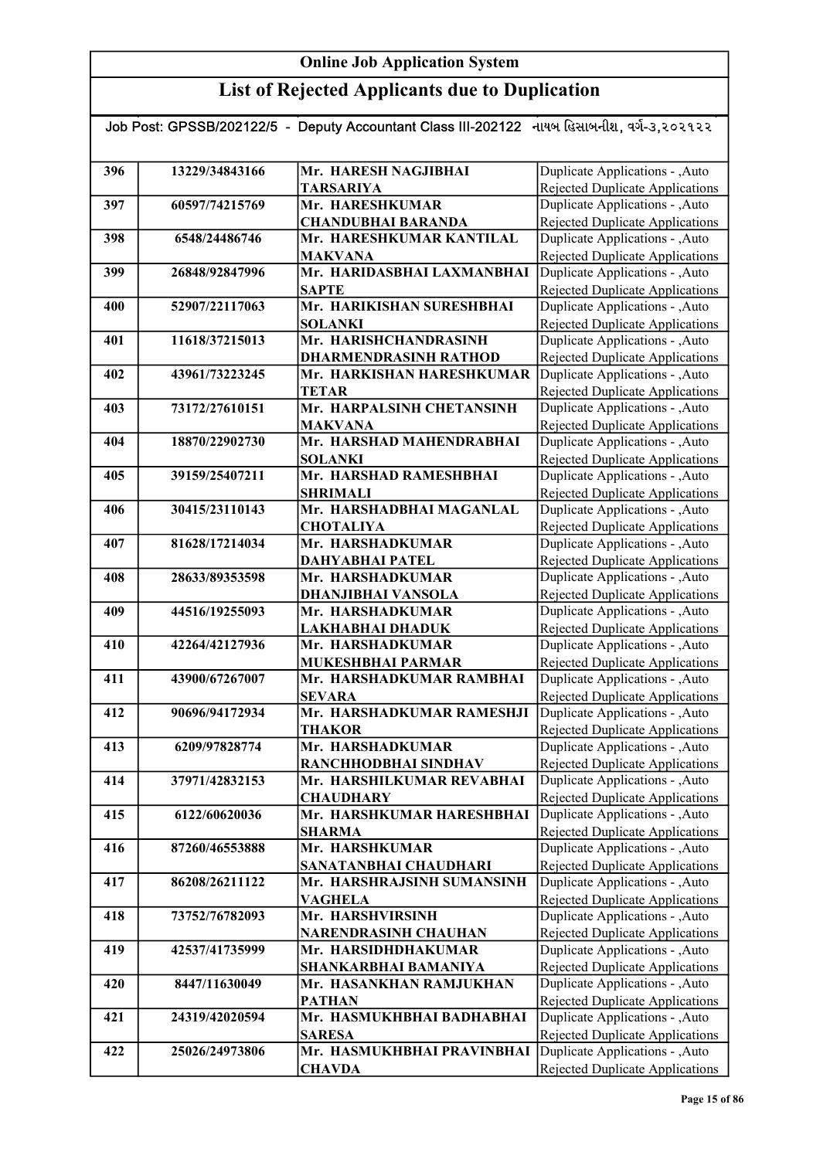| Job Post: GPSSB/202122/5 - Deputy Accountant Class III-202122 નાયબ હિસાબનીશ, વર્ગ-૩,૨૦૨૧૨૨ |                |                                                   |                                                                    |  |
|--------------------------------------------------------------------------------------------|----------------|---------------------------------------------------|--------------------------------------------------------------------|--|
|                                                                                            |                |                                                   |                                                                    |  |
| 396                                                                                        | 13229/34843166 | Mr. HARESH NAGJIBHAI                              | Duplicate Applications - ,Auto                                     |  |
|                                                                                            |                | <b>TARSARIYA</b>                                  | Rejected Duplicate Applications                                    |  |
| 397                                                                                        | 60597/74215769 | Mr. HARESHKUMAR                                   | Duplicate Applications - , Auto                                    |  |
|                                                                                            |                | <b>CHANDUBHAI BARANDA</b>                         | <b>Rejected Duplicate Applications</b>                             |  |
| 398                                                                                        | 6548/24486746  | Mr. HARESHKUMAR KANTILAL                          | Duplicate Applications - , Auto                                    |  |
|                                                                                            |                | <b>MAKVANA</b>                                    | Rejected Duplicate Applications                                    |  |
| 399                                                                                        | 26848/92847996 | Mr. HARIDASBHAI LAXMANBHAI                        | Duplicate Applications - , Auto                                    |  |
|                                                                                            |                | <b>SAPTE</b>                                      | <b>Rejected Duplicate Applications</b>                             |  |
| 400                                                                                        | 52907/22117063 | Mr. HARIKISHAN SURESHBHAI                         | Duplicate Applications - , Auto                                    |  |
|                                                                                            |                | <b>SOLANKI</b>                                    | <b>Rejected Duplicate Applications</b>                             |  |
| 401                                                                                        | 11618/37215013 | Mr. HARISHCHANDRASINH                             | Duplicate Applications - , Auto                                    |  |
|                                                                                            |                | <b>DHARMENDRASINH RATHOD</b>                      | <b>Rejected Duplicate Applications</b>                             |  |
| 402                                                                                        | 43961/73223245 | Mr. HARKISHAN HARESHKUMAR                         | Duplicate Applications - , Auto                                    |  |
|                                                                                            |                | <b>TETAR</b>                                      | <b>Rejected Duplicate Applications</b>                             |  |
| 403                                                                                        | 73172/27610151 | Mr. HARPALSINH CHETANSINH                         | Duplicate Applications - , Auto                                    |  |
| 404                                                                                        | 18870/22902730 | <b>MAKVANA</b><br>Mr. HARSHAD MAHENDRABHAI        | Rejected Duplicate Applications<br>Duplicate Applications - , Auto |  |
|                                                                                            |                | <b>SOLANKI</b>                                    | Rejected Duplicate Applications                                    |  |
| 405                                                                                        | 39159/25407211 | Mr. HARSHAD RAMESHBHAI                            | Duplicate Applications - , Auto                                    |  |
|                                                                                            |                | <b>SHRIMALI</b>                                   | <b>Rejected Duplicate Applications</b>                             |  |
| 406                                                                                        | 30415/23110143 | Mr. HARSHADBHAI MAGANLAL                          | Duplicate Applications - , Auto                                    |  |
|                                                                                            |                | <b>CHOTALIYA</b>                                  | Rejected Duplicate Applications                                    |  |
| 407                                                                                        | 81628/17214034 | Mr. HARSHADKUMAR                                  | Duplicate Applications - , Auto                                    |  |
|                                                                                            |                | <b>DAHYABHAI PATEL</b>                            | Rejected Duplicate Applications                                    |  |
| 408                                                                                        | 28633/89353598 | Mr. HARSHADKUMAR                                  | Duplicate Applications - , Auto                                    |  |
|                                                                                            |                | <b>DHANJIBHAI VANSOLA</b>                         | Rejected Duplicate Applications                                    |  |
| 409                                                                                        | 44516/19255093 | Mr. HARSHADKUMAR                                  | Duplicate Applications - , Auto                                    |  |
|                                                                                            |                | LAKHABHAI DHADUK                                  | Rejected Duplicate Applications                                    |  |
| 410                                                                                        | 42264/42127936 | Mr. HARSHADKUMAR                                  | Duplicate Applications - , Auto                                    |  |
|                                                                                            |                | MUKESHBHAI PARMAR                                 | Rejected Duplicate Applications                                    |  |
| 411                                                                                        | 43900/67267007 | Mr. HARSHADKUMAR RAMBHAI                          | Duplicate Applications - , Auto                                    |  |
|                                                                                            |                | <b>SEVARA</b>                                     | Rejected Duplicate Applications                                    |  |
| 412                                                                                        | 90696/94172934 | Mr. HARSHADKUMAR RAMESHJI                         | Duplicate Applications - , Auto                                    |  |
|                                                                                            |                | <b>THAKOR</b>                                     | Rejected Duplicate Applications                                    |  |
| 413                                                                                        | 6209/97828774  | Mr. HARSHADKUMAR                                  | Duplicate Applications - , Auto                                    |  |
| 414                                                                                        | 37971/42832153 | RANCHHODBHAI SINDHAV<br>Mr. HARSHILKUMAR REVABHAI | Rejected Duplicate Applications<br>Duplicate Applications - , Auto |  |
|                                                                                            |                | <b>CHAUDHARY</b>                                  | <b>Rejected Duplicate Applications</b>                             |  |
| 415                                                                                        | 6122/60620036  | Mr. HARSHKUMAR HARESHBHAI                         | Duplicate Applications - , Auto                                    |  |
|                                                                                            |                | <b>SHARMA</b>                                     | Rejected Duplicate Applications                                    |  |
| 416                                                                                        | 87260/46553888 | Mr. HARSHKUMAR                                    | Duplicate Applications - , Auto                                    |  |
|                                                                                            |                | SANATANBHAI CHAUDHARI                             | <b>Rejected Duplicate Applications</b>                             |  |
| 417                                                                                        | 86208/26211122 | Mr. HARSHRAJSINH SUMANSINH                        | Duplicate Applications - , Auto                                    |  |
|                                                                                            |                | <b>VAGHELA</b>                                    | <b>Rejected Duplicate Applications</b>                             |  |
| 418                                                                                        | 73752/76782093 | Mr. HARSHVIRSINH                                  | Duplicate Applications - , Auto                                    |  |
|                                                                                            |                | <b>NARENDRASINH CHAUHAN</b>                       | <b>Rejected Duplicate Applications</b>                             |  |
| 419                                                                                        | 42537/41735999 | Mr. HARSIDHDHAKUMAR                               | Duplicate Applications - , Auto                                    |  |
|                                                                                            |                | SHANKARBHAI BAMANIYA                              | Rejected Duplicate Applications                                    |  |
| 420                                                                                        | 8447/11630049  | Mr. HASANKHAN RAMJUKHAN                           | Duplicate Applications - , Auto                                    |  |
|                                                                                            |                | <b>PATHAN</b>                                     | Rejected Duplicate Applications                                    |  |
| 421                                                                                        | 24319/42020594 | Mr. HASMUKHBHAI BADHABHAI                         | Duplicate Applications - , Auto                                    |  |
|                                                                                            |                | <b>SARESA</b>                                     | Rejected Duplicate Applications                                    |  |
| 422                                                                                        | 25026/24973806 | Mr. HASMUKHBHAI PRAVINBHAI                        | Duplicate Applications - , Auto                                    |  |
|                                                                                            |                | <b>CHAVDA</b>                                     | Rejected Duplicate Applications                                    |  |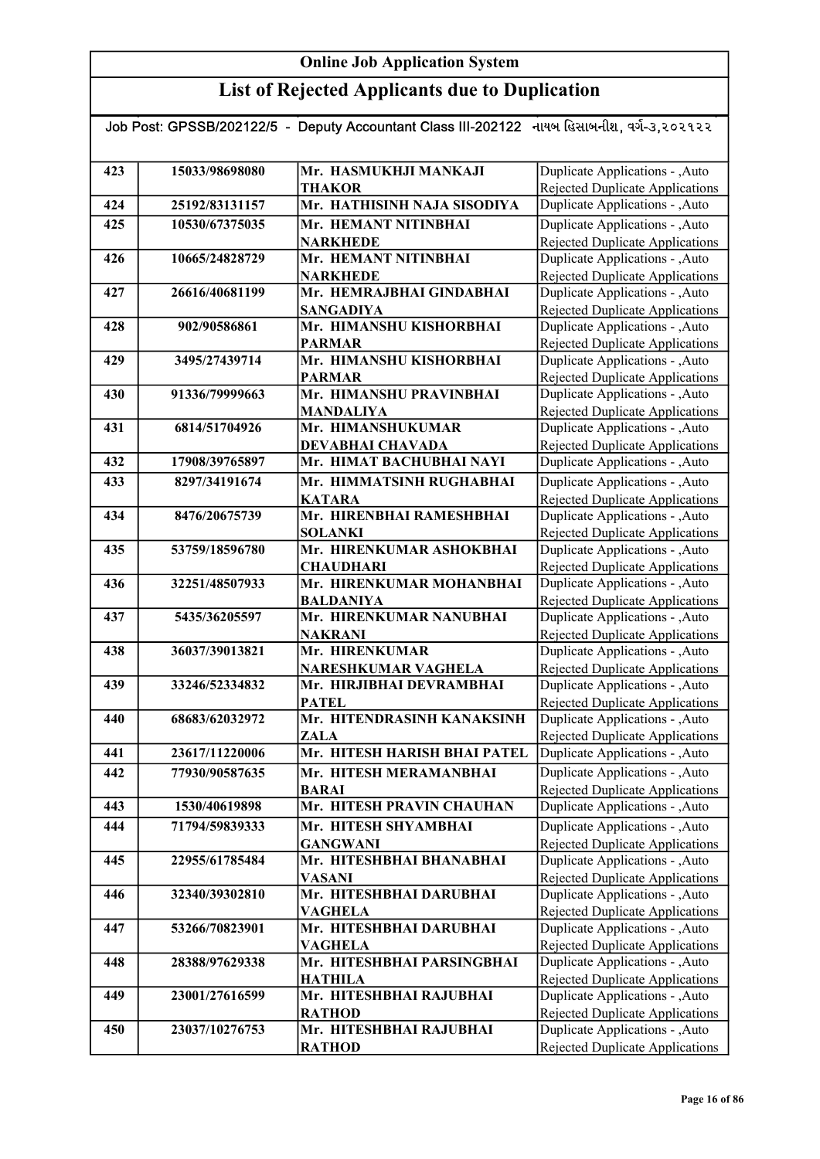|     |                | Job Post: GPSSB/202122/5  -  Deputy Accountant Class III-202122   નાયબ હિસાબનીશ, વર્ગ-૩,૨૦૨૧૨૨ |                                                                           |
|-----|----------------|------------------------------------------------------------------------------------------------|---------------------------------------------------------------------------|
|     |                |                                                                                                |                                                                           |
| 423 | 15033/98698080 | Mr. HASMUKHJI MANKAJI                                                                          | Duplicate Applications - , Auto                                           |
|     |                | <b>THAKOR</b>                                                                                  | Rejected Duplicate Applications                                           |
| 424 | 25192/83131157 | Mr. HATHISINH NAJA SISODIYA                                                                    | Duplicate Applications - , Auto                                           |
| 425 | 10530/67375035 | Mr. HEMANT NITINBHAI                                                                           | Duplicate Applications - , Auto                                           |
|     |                | <b>NARKHEDE</b>                                                                                | Rejected Duplicate Applications                                           |
| 426 | 10665/24828729 | Mr. HEMANT NITINBHAI                                                                           | Duplicate Applications - , Auto                                           |
|     |                | <b>NARKHEDE</b>                                                                                | Rejected Duplicate Applications                                           |
| 427 | 26616/40681199 | Mr. HEMRAJBHAI GINDABHAI                                                                       | Duplicate Applications - , Auto                                           |
|     |                | <b>SANGADIYA</b>                                                                               | Rejected Duplicate Applications                                           |
| 428 | 902/90586861   | Mr. HIMANSHU KISHORBHAI                                                                        | Duplicate Applications - , Auto                                           |
|     |                | <b>PARMAR</b>                                                                                  | Rejected Duplicate Applications                                           |
| 429 | 3495/27439714  | Mr. HIMANSHU KISHORBHAI                                                                        | Duplicate Applications - , Auto                                           |
|     |                | <b>PARMAR</b><br>Mr. HIMANSHU PRAVINBHAI                                                       | Rejected Duplicate Applications<br>Duplicate Applications - , Auto        |
| 430 | 91336/79999663 | <b>MANDALIYA</b>                                                                               |                                                                           |
| 431 | 6814/51704926  | Mr. HIMANSHUKUMAR                                                                              | <b>Rejected Duplicate Applications</b><br>Duplicate Applications - , Auto |
|     |                | DEVABHAI CHAVADA                                                                               | Rejected Duplicate Applications                                           |
| 432 | 17908/39765897 | Mr. HIMAT BACHUBHAI NAYI                                                                       | Duplicate Applications - , Auto                                           |
| 433 | 8297/34191674  | Mr. HIMMATSINH RUGHABHAI                                                                       | Duplicate Applications - , Auto                                           |
|     |                | <b>KATARA</b>                                                                                  | Rejected Duplicate Applications                                           |
| 434 | 8476/20675739  | Mr. HIRENBHAI RAMESHBHAI                                                                       | Duplicate Applications - , Auto                                           |
|     |                | <b>SOLANKI</b>                                                                                 | Rejected Duplicate Applications                                           |
| 435 | 53759/18596780 | Mr. HIRENKUMAR ASHOKBHAI                                                                       | Duplicate Applications - , Auto                                           |
|     |                | <b>CHAUDHARI</b>                                                                               | Rejected Duplicate Applications                                           |
| 436 | 32251/48507933 | Mr. HIRENKUMAR MOHANBHAI                                                                       | Duplicate Applications - , Auto                                           |
|     |                | <b>BALDANIYA</b>                                                                               | Rejected Duplicate Applications                                           |
| 437 | 5435/36205597  | Mr. HIRENKUMAR NANUBHAI                                                                        | Duplicate Applications - , Auto                                           |
|     |                | <b>NAKRANI</b>                                                                                 | <b>Rejected Duplicate Applications</b>                                    |
| 438 | 36037/39013821 | Mr. HIRENKUMAR                                                                                 | Duplicate Applications - , Auto                                           |
| 439 |                | <b>NARESHKUMAR VAGHELA</b>                                                                     | Rejected Duplicate Applications<br>Duplicate Applications - , Auto        |
|     | 33246/52334832 | Mr. HIRJIBHAI DEVRAMBHAI<br><b>PATEL</b>                                                       | Rejected Duplicate Applications                                           |
| 440 | 68683/62032972 | Mr. HITENDRASINH KANAKSINH                                                                     | Duplicate Applications - , Auto                                           |
|     |                | ZALA                                                                                           | Rejected Duplicate Applications                                           |
| 441 | 23617/11220006 | Mr. HITESH HARISH BHAI PATEL                                                                   | Duplicate Applications - , Auto                                           |
| 442 | 77930/90587635 | Mr. HITESH MERAMANBHAI                                                                         | Duplicate Applications - , Auto                                           |
|     |                | <b>BARAI</b>                                                                                   | Rejected Duplicate Applications                                           |
| 443 | 1530/40619898  | Mr. HITESH PRAVIN CHAUHAN                                                                      | Duplicate Applications - , Auto                                           |
| 444 | 71794/59839333 | Mr. HITESH SHYAMBHAI                                                                           | Duplicate Applications - , Auto                                           |
|     |                | <b>GANGWANI</b>                                                                                | Rejected Duplicate Applications                                           |
| 445 | 22955/61785484 | Mr. HITESHBHAI BHANABHAI                                                                       | Duplicate Applications - , Auto                                           |
|     |                | <b>VASANI</b>                                                                                  | Rejected Duplicate Applications                                           |
| 446 | 32340/39302810 | Mr. HITESHBHAI DARUBHAI                                                                        | Duplicate Applications - , Auto                                           |
|     |                | <b>VAGHELA</b>                                                                                 | Rejected Duplicate Applications                                           |
| 447 | 53266/70823901 | Mr. HITESHBHAI DARUBHAI                                                                        | Duplicate Applications - , Auto                                           |
|     |                | <b>VAGHELA</b>                                                                                 | Rejected Duplicate Applications                                           |
| 448 | 28388/97629338 | Mr. HITESHBHAI PARSINGBHAI                                                                     | Duplicate Applications - ,Auto                                            |
|     |                | HATHILA                                                                                        | Rejected Duplicate Applications                                           |
| 449 | 23001/27616599 | Mr. HITESHBHAI RAJUBHAI                                                                        | Duplicate Applications - , Auto                                           |
| 450 | 23037/10276753 | <b>RATHOD</b><br>Mr. HITESHBHAI RAJUBHAI                                                       | Rejected Duplicate Applications<br>Duplicate Applications - , Auto        |
|     |                | <b>RATHOD</b>                                                                                  | Rejected Duplicate Applications                                           |
|     |                |                                                                                                |                                                                           |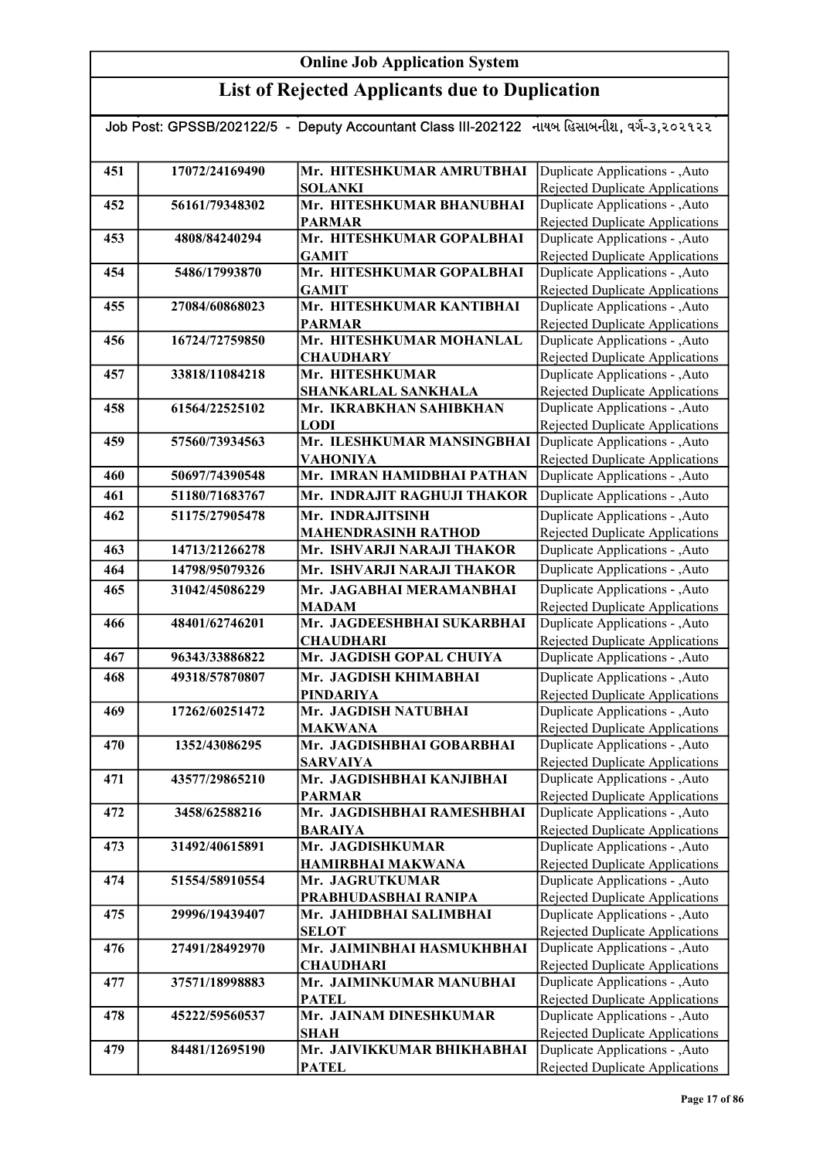| Job Post: GPSSB/202122/5 - Deputy Accountant Class III-202122 નાયબ હિસાબનીશ, વર્ગ-૩,૨૦૨૧૨૨ |                |                                                |                                                                    |
|--------------------------------------------------------------------------------------------|----------------|------------------------------------------------|--------------------------------------------------------------------|
|                                                                                            |                |                                                |                                                                    |
| 451                                                                                        | 17072/24169490 | Mr. HITESHKUMAR AMRUTBHAI                      | Duplicate Applications - , Auto                                    |
|                                                                                            |                | <b>SOLANKI</b>                                 | Rejected Duplicate Applications                                    |
| 452                                                                                        | 56161/79348302 | Mr. HITESHKUMAR BHANUBHAI                      | Duplicate Applications - , Auto                                    |
|                                                                                            |                | <b>PARMAR</b>                                  | Rejected Duplicate Applications                                    |
| 453                                                                                        | 4808/84240294  | Mr. HITESHKUMAR GOPALBHAI                      | Duplicate Applications - , Auto                                    |
|                                                                                            |                | <b>GAMIT</b>                                   | <b>Rejected Duplicate Applications</b>                             |
| 454                                                                                        | 5486/17993870  | Mr. HITESHKUMAR GOPALBHAI                      | Duplicate Applications - , Auto                                    |
|                                                                                            |                | <b>GAMIT</b>                                   | <b>Rejected Duplicate Applications</b>                             |
| 455                                                                                        | 27084/60868023 | Mr. HITESHKUMAR KANTIBHAI                      | Duplicate Applications - , Auto                                    |
|                                                                                            |                | <b>PARMAR</b>                                  | Rejected Duplicate Applications                                    |
| 456                                                                                        | 16724/72759850 | Mr. HITESHKUMAR MOHANLAL                       | Duplicate Applications - , Auto                                    |
| 457                                                                                        |                | <b>CHAUDHARY</b><br>Mr. HITESHKUMAR            | Rejected Duplicate Applications<br>Duplicate Applications - , Auto |
|                                                                                            | 33818/11084218 |                                                | <b>Rejected Duplicate Applications</b>                             |
| 458                                                                                        | 61564/22525102 | SHANKARLAL SANKHALA<br>Mr. IKRABKHAN SAHIBKHAN | Duplicate Applications - , Auto                                    |
|                                                                                            |                | <b>LODI</b>                                    | Rejected Duplicate Applications                                    |
| 459                                                                                        | 57560/73934563 | Mr. ILESHKUMAR MANSINGBHAI                     | Duplicate Applications - ,Auto                                     |
|                                                                                            |                | <b>VAHONIYA</b>                                | Rejected Duplicate Applications                                    |
| 460                                                                                        | 50697/74390548 | Mr. IMRAN HAMIDBHAI PATHAN                     | Duplicate Applications - , Auto                                    |
| 461                                                                                        | 51180/71683767 | Mr. INDRAJIT RAGHUJI THAKOR                    | Duplicate Applications - , Auto                                    |
| 462                                                                                        | 51175/27905478 | Mr. INDRAJITSINH                               | Duplicate Applications - , Auto                                    |
|                                                                                            |                | <b>MAHENDRASINH RATHOD</b>                     | Rejected Duplicate Applications                                    |
| 463                                                                                        | 14713/21266278 | Mr. ISHVARJI NARAJI THAKOR                     | Duplicate Applications - ,Auto                                     |
| 464                                                                                        | 14798/95079326 | Mr. ISHVARJI NARAJI THAKOR                     | Duplicate Applications - , Auto                                    |
| 465                                                                                        | 31042/45086229 | Mr. JAGABHAI MERAMANBHAI                       | Duplicate Applications - , Auto                                    |
|                                                                                            |                | <b>MADAM</b>                                   | Rejected Duplicate Applications                                    |
| 466                                                                                        | 48401/62746201 | Mr. JAGDEESHBHAI SUKARBHAI                     | Duplicate Applications - , Auto                                    |
|                                                                                            |                | <b>CHAUDHARI</b>                               | Rejected Duplicate Applications                                    |
| 467                                                                                        | 96343/33886822 | Mr. JAGDISH GOPAL CHUIYA                       | Duplicate Applications - , Auto                                    |
| 468                                                                                        | 49318/57870807 | Mr. JAGDISH KHIMABHAI                          | Duplicate Applications - , Auto                                    |
|                                                                                            |                | <b>PINDARIYA</b>                               | <b>Rejected Duplicate Applications</b>                             |
| 469                                                                                        | 17262/60251472 | Mr. JAGDISH NATUBHAI                           | Duplicate Applications - , Auto                                    |
|                                                                                            |                | <b>MAKWANA</b>                                 | Rejected Duplicate Applications                                    |
| 470                                                                                        | 1352/43086295  | Mr. JAGDISHBHAI GOBARBHAI                      | Duplicate Applications - , Auto                                    |
|                                                                                            |                | <b>SARVAIYA</b>                                | Rejected Duplicate Applications                                    |
| 471                                                                                        | 43577/29865210 | Mr. JAGDISHBHAI KANJIBHAI                      | Duplicate Applications - , Auto                                    |
|                                                                                            |                | <b>PARMAR</b>                                  | Rejected Duplicate Applications                                    |
| 472                                                                                        | 3458/62588216  | Mr. JAGDISHBHAI RAMESHBHAI                     | Duplicate Applications - , Auto                                    |
|                                                                                            |                | <b>BARAIYA</b>                                 | Rejected Duplicate Applications                                    |
| 473                                                                                        | 31492/40615891 | Mr. JAGDISHKUMAR                               | Duplicate Applications - , Auto                                    |
|                                                                                            |                | <b>HAMIRBHAI MAKWANA</b>                       | Rejected Duplicate Applications                                    |
| 474                                                                                        | 51554/58910554 | Mr. JAGRUTKUMAR                                | Duplicate Applications - , Auto                                    |
|                                                                                            |                | PRABHUDASBHAI RANIPA                           | Rejected Duplicate Applications                                    |
| 475                                                                                        | 29996/19439407 | Mr. JAHIDBHAI SALIMBHAI<br><b>SELOT</b>        | Duplicate Applications - , Auto                                    |
| 476                                                                                        | 27491/28492970 | Mr. JAIMINBHAI HASMUKHBHAI                     | Rejected Duplicate Applications<br>Duplicate Applications - , Auto |
|                                                                                            |                | <b>CHAUDHARI</b>                               | Rejected Duplicate Applications                                    |
| 477                                                                                        | 37571/18998883 | Mr. JAIMINKUMAR MANUBHAI                       | Duplicate Applications - , Auto                                    |
|                                                                                            |                | <b>PATEL</b>                                   | <b>Rejected Duplicate Applications</b>                             |
| 478                                                                                        | 45222/59560537 | Mr. JAINAM DINESHKUMAR                         | Duplicate Applications - , Auto                                    |
|                                                                                            |                | <b>SHAH</b>                                    | Rejected Duplicate Applications                                    |
| 479                                                                                        | 84481/12695190 | Mr. JAIVIKKUMAR BHIKHABHAI                     | Duplicate Applications - , Auto                                    |
|                                                                                            |                | <b>PATEL</b>                                   | Rejected Duplicate Applications                                    |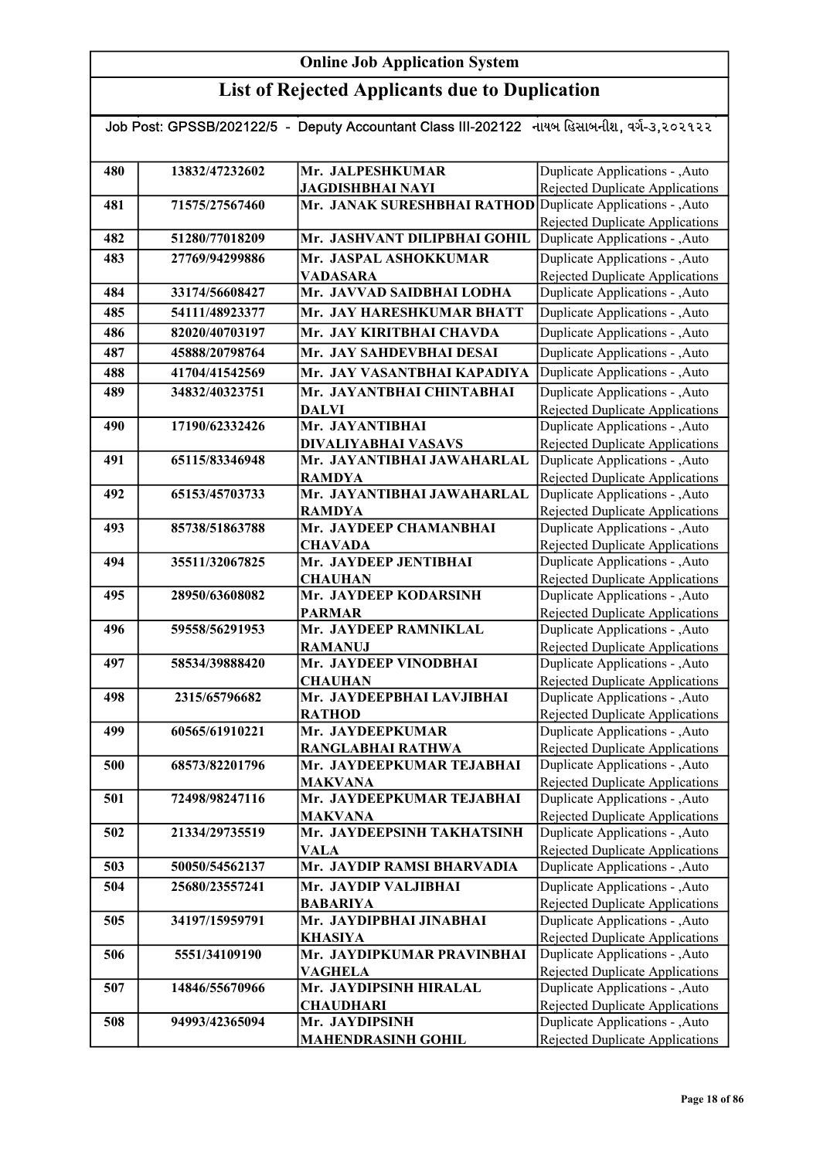| Job Post: GPSSB/202122/5 - Deputy Accountant Class III-202122 નાયબ હિસાબનીશ, વર્ગ-૩,૨૦૨૧૨૨ |                |                                                             |                                                                    |  |
|--------------------------------------------------------------------------------------------|----------------|-------------------------------------------------------------|--------------------------------------------------------------------|--|
|                                                                                            |                |                                                             |                                                                    |  |
| 480                                                                                        | 13832/47232602 | Mr. JALPESHKUMAR                                            | Duplicate Applications - , Auto                                    |  |
|                                                                                            |                | <b>JAGDISHBHAI NAYI</b>                                     | Rejected Duplicate Applications                                    |  |
| 481                                                                                        | 71575/27567460 | Mr. JANAK SURESHBHAI RATHOD Duplicate Applications - , Auto |                                                                    |  |
|                                                                                            |                |                                                             | Rejected Duplicate Applications                                    |  |
| 482                                                                                        | 51280/77018209 | Mr. JASHVANT DILIPBHAI GOHIL                                | Duplicate Applications - , Auto                                    |  |
| 483                                                                                        | 27769/94299886 | Mr. JASPAL ASHOKKUMAR                                       | Duplicate Applications - , Auto                                    |  |
|                                                                                            |                | <b>VADASARA</b>                                             | <b>Rejected Duplicate Applications</b>                             |  |
| 484                                                                                        | 33174/56608427 | Mr. JAVVAD SAIDBHAI LODHA                                   | Duplicate Applications - , Auto                                    |  |
| 485                                                                                        | 54111/48923377 | Mr. JAY HARESHKUMAR BHATT                                   | Duplicate Applications - , Auto                                    |  |
| 486                                                                                        | 82020/40703197 | Mr. JAY KIRITBHAI CHAVDA                                    | Duplicate Applications - , Auto                                    |  |
| 487                                                                                        | 45888/20798764 | Mr. JAY SAHDEVBHAI DESAI                                    | Duplicate Applications - , Auto                                    |  |
| 488                                                                                        | 41704/41542569 | Mr. JAY VASANTBHAI KAPADIYA                                 | Duplicate Applications - , Auto                                    |  |
| 489                                                                                        | 34832/40323751 | Mr. JAYANTBHAI CHINTABHAI                                   | Duplicate Applications - , Auto                                    |  |
|                                                                                            |                | <b>DALVI</b>                                                | Rejected Duplicate Applications                                    |  |
| 490                                                                                        | 17190/62332426 | Mr. JAYANTIBHAI                                             | Duplicate Applications - , Auto                                    |  |
|                                                                                            |                | DIVALIYABHAI VASAVS                                         | Rejected Duplicate Applications                                    |  |
| 491                                                                                        | 65115/83346948 | Mr. JAYANTIBHAI JAWAHARLAL                                  | Duplicate Applications - , Auto                                    |  |
|                                                                                            |                | <b>RAMDYA</b>                                               | Rejected Duplicate Applications                                    |  |
| 492                                                                                        | 65153/45703733 | Mr. JAYANTIBHAI JAWAHARLAL                                  | Duplicate Applications - ,Auto                                     |  |
|                                                                                            |                | <b>RAMDYA</b>                                               | Rejected Duplicate Applications                                    |  |
| 493                                                                                        | 85738/51863788 | Mr. JAYDEEP CHAMANBHAI                                      | Duplicate Applications - , Auto                                    |  |
|                                                                                            |                | <b>CHAVADA</b><br>Mr. JAYDEEP JENTIBHAI                     | Rejected Duplicate Applications                                    |  |
| 494                                                                                        | 35511/32067825 | <b>CHAUHAN</b>                                              | Duplicate Applications - , Auto<br>Rejected Duplicate Applications |  |
| 495                                                                                        | 28950/63608082 | Mr. JAYDEEP KODARSINH                                       | Duplicate Applications - , Auto                                    |  |
|                                                                                            |                | <b>PARMAR</b>                                               | Rejected Duplicate Applications                                    |  |
| 496                                                                                        | 59558/56291953 | Mr. JAYDEEP RAMNIKLAL                                       | Duplicate Applications - , Auto                                    |  |
|                                                                                            |                | <b>RAMANUJ</b>                                              | <b>Rejected Duplicate Applications</b>                             |  |
| 497                                                                                        | 58534/39888420 | Mr. JAYDEEP VINODBHAI                                       | Duplicate Applications - , Auto                                    |  |
|                                                                                            |                | <b>CHAUHAN</b>                                              | <b>Rejected Duplicate Applications</b>                             |  |
| 498                                                                                        | 2315/65796682  | Mr. JAYDEEPBHAI LAVJIBHAI                                   | Duplicate Applications - , Auto                                    |  |
|                                                                                            |                | <b>RATHOD</b>                                               | Rejected Duplicate Applications                                    |  |
| 499                                                                                        | 60565/61910221 | Mr. JAYDEEPKUMAR                                            | Duplicate Applications - ,Auto                                     |  |
|                                                                                            |                | RANGLABHAI RATHWA                                           | Rejected Duplicate Applications                                    |  |
| 500                                                                                        | 68573/82201796 | Mr. JAYDEEPKUMAR TEJABHAI<br><b>MAKVANA</b>                 | Duplicate Applications - , Auto<br>Rejected Duplicate Applications |  |
| 501                                                                                        | 72498/98247116 | Mr. JAYDEEPKUMAR TEJABHAI                                   | Duplicate Applications - , Auto                                    |  |
|                                                                                            |                | <b>MAKVANA</b>                                              | Rejected Duplicate Applications                                    |  |
| 502                                                                                        | 21334/29735519 | Mr. JAYDEEPSINH TAKHATSINH                                  | Duplicate Applications - , Auto                                    |  |
|                                                                                            |                | <b>VALA</b>                                                 | <b>Rejected Duplicate Applications</b>                             |  |
| 503                                                                                        | 50050/54562137 | Mr. JAYDIP RAMSI BHARVADIA                                  | Duplicate Applications - , Auto                                    |  |
| 504                                                                                        | 25680/23557241 | Mr. JAYDIP VALJIBHAI                                        | Duplicate Applications - , Auto                                    |  |
|                                                                                            |                | <b>BABARIYA</b>                                             | Rejected Duplicate Applications                                    |  |
| 505                                                                                        | 34197/15959791 | Mr. JAYDIPBHAI JINABHAI                                     | Duplicate Applications - , Auto                                    |  |
|                                                                                            |                | <b>KHASIYA</b>                                              | Rejected Duplicate Applications                                    |  |
| 506                                                                                        | 5551/34109190  | Mr. JAYDIPKUMAR PRAVINBHAI                                  | Duplicate Applications - , Auto                                    |  |
|                                                                                            |                | <b>VAGHELA</b>                                              | Rejected Duplicate Applications                                    |  |
| 507                                                                                        | 14846/55670966 | Mr. JAYDIPSINH HIRALAL                                      | Duplicate Applications - , Auto                                    |  |
|                                                                                            |                | <b>CHAUDHARI</b>                                            | Rejected Duplicate Applications                                    |  |
| 508                                                                                        | 94993/42365094 | Mr. JAYDIPSINH                                              | Duplicate Applications - , Auto                                    |  |
|                                                                                            |                | <b>MAHENDRASINH GOHIL</b>                                   | Rejected Duplicate Applications                                    |  |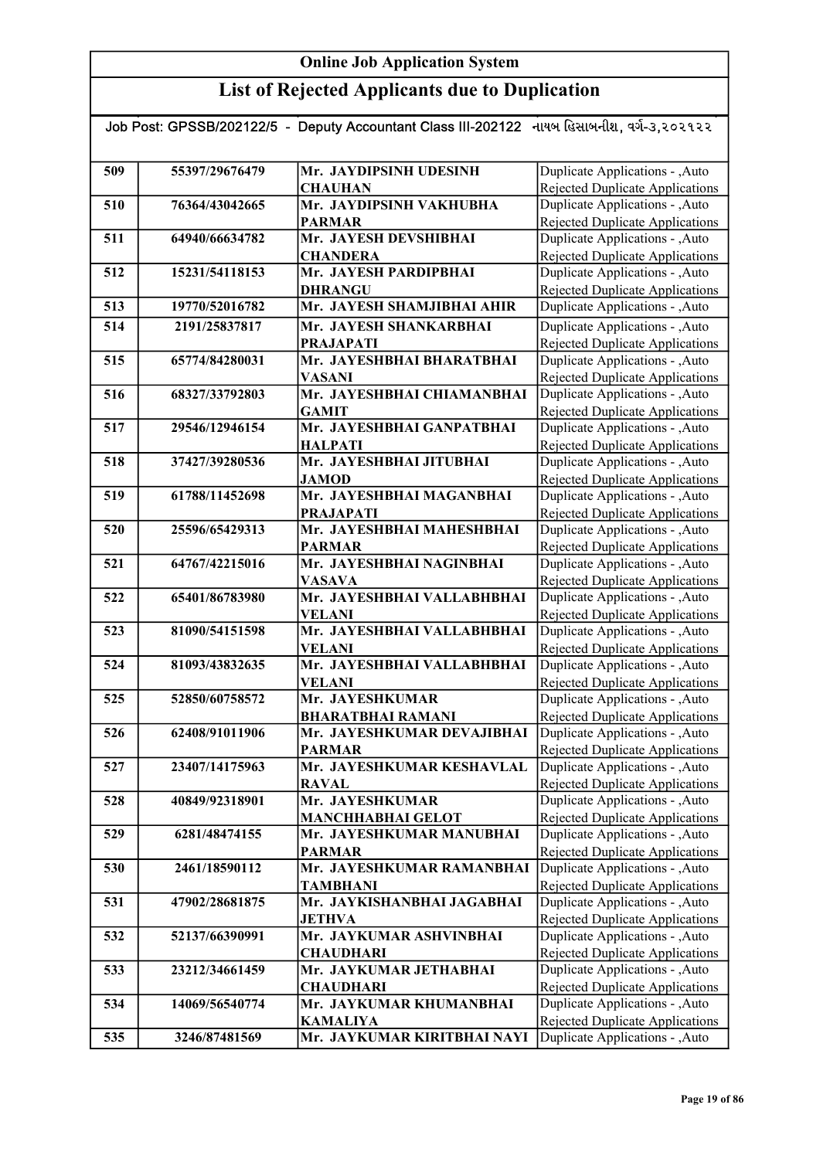## List of Rejected Applicants due to Duplication

| Job Post: GPSSB/202122/5 - Deputy Accountant Class III-202122 નાયબ હિસાબનીશ, વર્ગ-૩,૨૦૨૧૨૨ |                |                                              |                                                                           |  |
|--------------------------------------------------------------------------------------------|----------------|----------------------------------------------|---------------------------------------------------------------------------|--|
|                                                                                            |                |                                              |                                                                           |  |
| 509                                                                                        | 55397/29676479 | Mr. JAYDIPSINH UDESINH                       | Duplicate Applications - , Auto                                           |  |
|                                                                                            |                | <b>CHAUHAN</b>                               | Rejected Duplicate Applications                                           |  |
| 510                                                                                        | 76364/43042665 | Mr. JAYDIPSINH VAKHUBHA                      | Duplicate Applications - , Auto                                           |  |
|                                                                                            |                | <b>PARMAR</b>                                | <b>Rejected Duplicate Applications</b>                                    |  |
| 511                                                                                        | 64940/66634782 | Mr. JAYESH DEVSHIBHAI                        |                                                                           |  |
|                                                                                            |                |                                              | Duplicate Applications - , Auto                                           |  |
| 512                                                                                        | 15231/54118153 | <b>CHANDERA</b><br>Mr. JAYESH PARDIPBHAI     | <b>Rejected Duplicate Applications</b><br>Duplicate Applications - , Auto |  |
|                                                                                            |                |                                              |                                                                           |  |
| 513                                                                                        | 19770/52016782 | <b>DHRANGU</b><br>Mr. JAYESH SHAMJIBHAI AHIR | <b>Rejected Duplicate Applications</b><br>Duplicate Applications - , Auto |  |
|                                                                                            |                |                                              |                                                                           |  |
| 514                                                                                        | 2191/25837817  | Mr. JAYESH SHANKARBHAI                       | Duplicate Applications - , Auto                                           |  |
|                                                                                            |                | <b>PRAJAPATI</b>                             | Rejected Duplicate Applications                                           |  |
| 515                                                                                        | 65774/84280031 | Mr. JAYESHBHAI BHARATBHAI                    | Duplicate Applications - , Auto                                           |  |
|                                                                                            |                | <b>VASANI</b>                                | <b>Rejected Duplicate Applications</b>                                    |  |
| 516                                                                                        | 68327/33792803 | Mr. JAYESHBHAI CHIAMANBHAI                   | Duplicate Applications - , Auto                                           |  |
|                                                                                            |                | <b>GAMIT</b>                                 | <b>Rejected Duplicate Applications</b>                                    |  |
| 517                                                                                        | 29546/12946154 | Mr. JAYESHBHAI GANPATBHAI                    | Duplicate Applications - , Auto                                           |  |
|                                                                                            |                | <b>HALPATI</b>                               | <b>Rejected Duplicate Applications</b>                                    |  |
| 518                                                                                        | 37427/39280536 | Mr. JAYESHBHAI JITUBHAI                      | Duplicate Applications - , Auto                                           |  |
|                                                                                            |                | <b>JAMOD</b>                                 | Rejected Duplicate Applications                                           |  |
| 519                                                                                        | 61788/11452698 | Mr. JAYESHBHAI MAGANBHAI                     | Duplicate Applications - , Auto                                           |  |
|                                                                                            |                | <b>PRAJAPATI</b>                             | Rejected Duplicate Applications                                           |  |
| 520                                                                                        | 25596/65429313 | Mr. JAYESHBHAI MAHESHBHAI                    | Duplicate Applications - , Auto                                           |  |
|                                                                                            |                | <b>PARMAR</b>                                | Rejected Duplicate Applications                                           |  |
| 521                                                                                        | 64767/42215016 | Mr. JAYESHBHAI NAGINBHAI                     | Duplicate Applications - , Auto                                           |  |
|                                                                                            |                | <b>VASAVA</b>                                | <b>Rejected Duplicate Applications</b>                                    |  |
| 522                                                                                        | 65401/86783980 | Mr. JAYESHBHAI VALLABHBHAI                   | Duplicate Applications - , Auto                                           |  |
|                                                                                            |                | <b>VELANI</b>                                | Rejected Duplicate Applications                                           |  |
| 523                                                                                        | 81090/54151598 | Mr. JAYESHBHAI VALLABHBHAI                   | Duplicate Applications - , Auto                                           |  |
|                                                                                            |                | <b>VELANI</b>                                | Rejected Duplicate Applications                                           |  |
| 524                                                                                        | 81093/43832635 | Mr. JAYESHBHAI VALLABHBHAI                   | Duplicate Applications - , Auto                                           |  |
|                                                                                            |                | <b>VELANI</b>                                | Rejected Duplicate Applications                                           |  |
| 525                                                                                        | 52850/60758572 | Mr. JAYESHKUMAR                              | Duplicate Applications - , Auto                                           |  |
|                                                                                            |                | <b>BHARATBHAI RAMANI</b>                     | <b>Rejected Duplicate Applications</b>                                    |  |
| 526                                                                                        | 62408/91011906 | Mr. JAYESHKUMAR DEVAJIBHAI                   | Duplicate Applications - , Auto                                           |  |
|                                                                                            |                | <b>PARMAR</b>                                | Rejected Duplicate Applications                                           |  |
| 527                                                                                        | 23407/14175963 | Mr. JAYESHKUMAR KESHAVLAL                    | Duplicate Applications - , Auto                                           |  |
|                                                                                            |                | <b>RAVAL</b>                                 | Rejected Duplicate Applications                                           |  |
| 528                                                                                        | 40849/92318901 | Mr. JAYESHKUMAR                              | Duplicate Applications - ,Auto                                            |  |
|                                                                                            |                | <b>MANCHHABHAI GELOT</b>                     | Rejected Duplicate Applications                                           |  |
| 529                                                                                        | 6281/48474155  | Mr. JAYESHKUMAR MANUBHAI                     | Duplicate Applications - , Auto                                           |  |
|                                                                                            |                | <b>PARMAR</b>                                | Rejected Duplicate Applications                                           |  |
| 530                                                                                        | 2461/18590112  | Mr. JAYESHKUMAR RAMANBHAI                    | Duplicate Applications - , Auto                                           |  |
|                                                                                            |                | TAMBHANI                                     | Rejected Duplicate Applications                                           |  |
| 531                                                                                        | 47902/28681875 | Mr. JAYKISHANBHAI JAGABHAI                   | Duplicate Applications - , Auto                                           |  |
|                                                                                            |                | <b>JETHVA</b>                                | <b>Rejected Duplicate Applications</b>                                    |  |
| 532                                                                                        | 52137/66390991 | Mr. JAYKUMAR ASHVINBHAI                      | Duplicate Applications - , Auto                                           |  |
|                                                                                            |                | <b>CHAUDHARI</b>                             | Rejected Duplicate Applications                                           |  |
| 533                                                                                        | 23212/34661459 | Mr. JAYKUMAR JETHABHAI                       | Duplicate Applications - , Auto                                           |  |
|                                                                                            |                | <b>CHAUDHARI</b>                             | Rejected Duplicate Applications                                           |  |
| 534                                                                                        | 14069/56540774 | Mr. JAYKUMAR KHUMANBHAI                      | Duplicate Applications - , Auto                                           |  |
|                                                                                            |                | <b>KAMALIYA</b>                              | <b>Rejected Duplicate Applications</b>                                    |  |
| 535                                                                                        | 3246/87481569  | Mr. JAYKUMAR KIRITBHAI NAYI                  | Duplicate Applications - , Auto                                           |  |

Rejected Duplicate Applications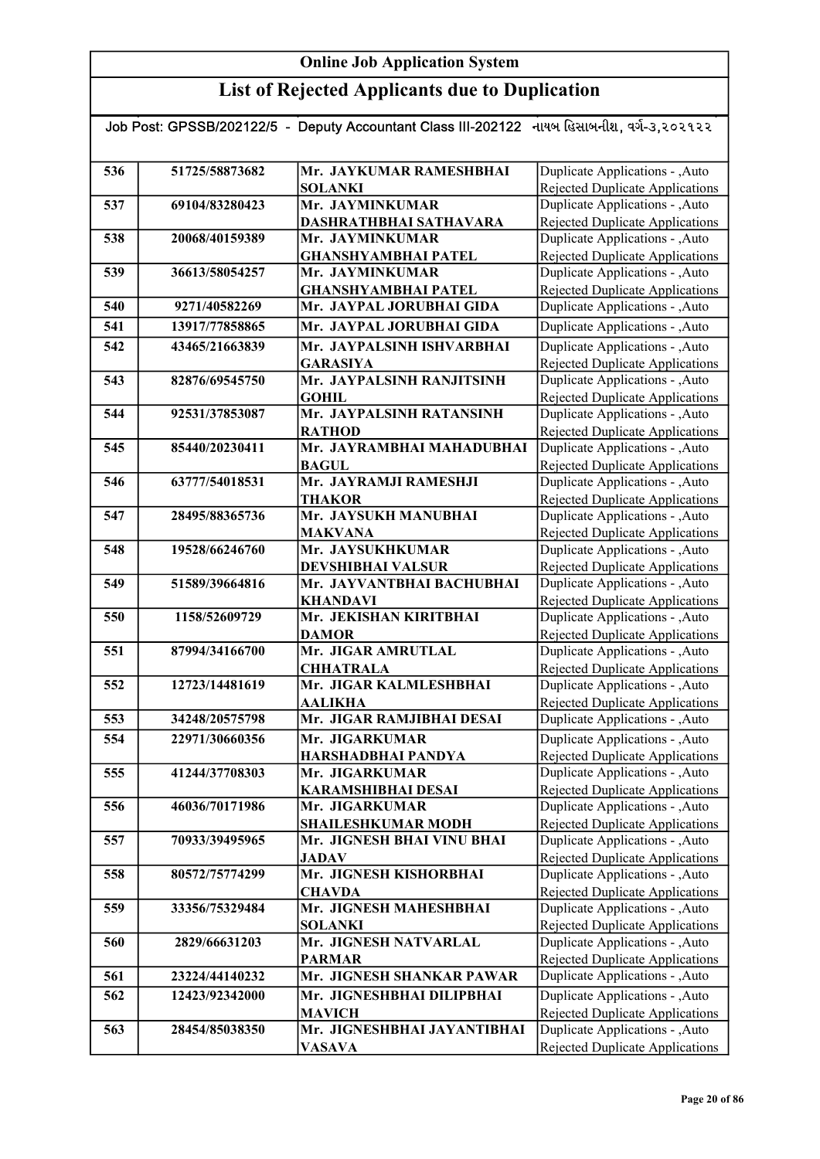| Job Post: GPSSB/202122/5 - Deputy Accountant Class III-202122 નાયબ હિસાબનીશ, વર્ગ-૩,૨૦૨૧૨૨ |                |                             |                                        |  |
|--------------------------------------------------------------------------------------------|----------------|-----------------------------|----------------------------------------|--|
|                                                                                            |                |                             |                                        |  |
| 536                                                                                        | 51725/58873682 | Mr. JAYKUMAR RAMESHBHAI     | Duplicate Applications - , Auto        |  |
|                                                                                            |                | <b>SOLANKI</b>              | Rejected Duplicate Applications        |  |
| 537                                                                                        | 69104/83280423 | Mr. JAYMINKUMAR             | Duplicate Applications - , Auto        |  |
|                                                                                            |                | DASHRATHBHAI SATHAVARA      | <b>Rejected Duplicate Applications</b> |  |
| 538                                                                                        | 20068/40159389 | Mr. JAYMINKUMAR             | Duplicate Applications - , Auto        |  |
|                                                                                            |                | <b>GHANSHYAMBHAI PATEL</b>  | Rejected Duplicate Applications        |  |
| 539                                                                                        | 36613/58054257 | Mr. JAYMINKUMAR             | Duplicate Applications - , Auto        |  |
|                                                                                            |                | <b>GHANSHYAMBHAI PATEL</b>  | Rejected Duplicate Applications        |  |
| 540                                                                                        | 9271/40582269  | Mr. JAYPAL JORUBHAI GIDA    | Duplicate Applications - , Auto        |  |
| 541                                                                                        | 13917/77858865 | Mr. JAYPAL JORUBHAI GIDA    | Duplicate Applications - , Auto        |  |
| 542                                                                                        | 43465/21663839 | Mr. JAYPALSINH ISHVARBHAI   | Duplicate Applications - , Auto        |  |
|                                                                                            |                | <b>GARASIYA</b>             | Rejected Duplicate Applications        |  |
| 543                                                                                        | 82876/69545750 | Mr. JAYPALSINH RANJITSINH   | Duplicate Applications - , Auto        |  |
|                                                                                            |                | <b>GOHIL</b>                | <b>Rejected Duplicate Applications</b> |  |
| 544                                                                                        | 92531/37853087 | Mr. JAYPALSINH RATANSINH    | Duplicate Applications - , Auto        |  |
|                                                                                            |                | <b>RATHOD</b>               | Rejected Duplicate Applications        |  |
| 545                                                                                        | 85440/20230411 | Mr. JAYRAMBHAI MAHADUBHAI   | Duplicate Applications - , Auto        |  |
|                                                                                            |                | <b>BAGUL</b>                | <b>Rejected Duplicate Applications</b> |  |
| 546                                                                                        | 63777/54018531 | Mr. JAYRAMJI RAMESHJI       | Duplicate Applications - , Auto        |  |
|                                                                                            |                | <b>THAKOR</b>               | <b>Rejected Duplicate Applications</b> |  |
| 547                                                                                        | 28495/88365736 | Mr. JAYSUKH MANUBHAI        | Duplicate Applications - , Auto        |  |
|                                                                                            |                | <b>MAKVANA</b>              | <b>Rejected Duplicate Applications</b> |  |
| 548                                                                                        | 19528/66246760 | Mr. JAYSUKHKUMAR            | Duplicate Applications - , Auto        |  |
|                                                                                            |                | <b>DEVSHIBHAI VALSUR</b>    | <b>Rejected Duplicate Applications</b> |  |
| 549                                                                                        | 51589/39664816 | Mr. JAYVANTBHAI BACHUBHAI   | Duplicate Applications - , Auto        |  |
|                                                                                            |                | <b>KHANDAVI</b>             | Rejected Duplicate Applications        |  |
| 550                                                                                        | 1158/52609729  | Mr. JEKISHAN KIRITBHAI      | Duplicate Applications - , Auto        |  |
|                                                                                            |                | <b>DAMOR</b>                | Rejected Duplicate Applications        |  |
| 551                                                                                        | 87994/34166700 | Mr. JIGAR AMRUTLAL          | Duplicate Applications - , Auto        |  |
|                                                                                            |                | <b>CHHATRALA</b>            | Rejected Duplicate Applications        |  |
| 552                                                                                        | 12723/14481619 | Mr. JIGAR KALMLESHBHAI      | Duplicate Applications - , Auto        |  |
|                                                                                            |                | <b>AALIKHA</b>              | Rejected Duplicate Applications        |  |
| 553                                                                                        | 34248/20575798 | Mr. JIGAR RAMJIBHAI DESAI   | Duplicate Applications - , Auto        |  |
| 554                                                                                        | 22971/30660356 | Mr. JIGARKUMAR              | Duplicate Applications - , Auto        |  |
|                                                                                            |                | <b>HARSHADBHAI PANDYA</b>   | Rejected Duplicate Applications        |  |
| 555                                                                                        | 41244/37708303 | Mr. JIGARKUMAR              | Duplicate Applications - , Auto        |  |
|                                                                                            |                | <b>KARAMSHIBHAI DESAI</b>   | Rejected Duplicate Applications        |  |
| 556                                                                                        | 46036/70171986 | Mr. JIGARKUMAR              | Duplicate Applications - , Auto        |  |
|                                                                                            |                | <b>SHAILESHKUMAR MODH</b>   | <b>Rejected Duplicate Applications</b> |  |
| 557                                                                                        | 70933/39495965 | Mr. JIGNESH BHAI VINU BHAI  | Duplicate Applications - , Auto        |  |
|                                                                                            |                | <b>JADAV</b>                | <b>Rejected Duplicate Applications</b> |  |
| 558                                                                                        | 80572/75774299 | Mr. JIGNESH KISHORBHAI      | Duplicate Applications - , Auto        |  |
|                                                                                            |                | <b>CHAVDA</b>               | <b>Rejected Duplicate Applications</b> |  |
| 559                                                                                        | 33356/75329484 | Mr. JIGNESH MAHESHBHAI      | Duplicate Applications - , Auto        |  |
|                                                                                            |                | <b>SOLANKI</b>              | <b>Rejected Duplicate Applications</b> |  |
| 560                                                                                        | 2829/66631203  | Mr. JIGNESH NATVARLAL       | Duplicate Applications - , Auto        |  |
|                                                                                            |                | <b>PARMAR</b>               | Rejected Duplicate Applications        |  |
| 561                                                                                        | 23224/44140232 | Mr. JIGNESH SHANKAR PAWAR   | Duplicate Applications - , Auto        |  |
| 562                                                                                        | 12423/92342000 | Mr. JIGNESHBHAI DILIPBHAI   | Duplicate Applications - , Auto        |  |
|                                                                                            |                | <b>MAVICH</b>               | Rejected Duplicate Applications        |  |
| 563                                                                                        | 28454/85038350 | Mr. JIGNESHBHAI JAYANTIBHAI | Duplicate Applications - , Auto        |  |
|                                                                                            |                | <b>VASAVA</b>               | <b>Rejected Duplicate Applications</b> |  |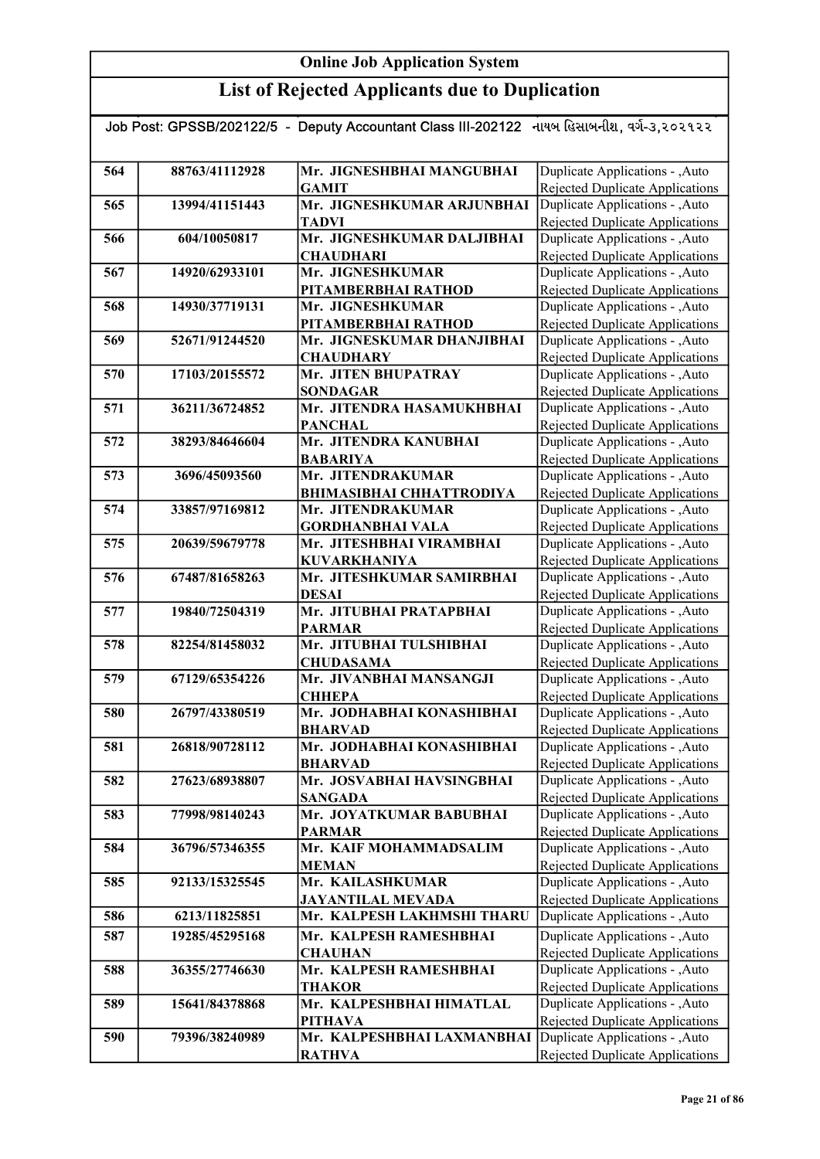| Job Post: GPSSB/202122/5 - Deputy Accountant Class III-202122 નાયબ હિસાબનીશ, વર્ગ-૩,૨૦૨૧૨૨ |                |                                                            |                                                                           |
|--------------------------------------------------------------------------------------------|----------------|------------------------------------------------------------|---------------------------------------------------------------------------|
|                                                                                            |                |                                                            |                                                                           |
| 564                                                                                        | 88763/41112928 | Mr. JIGNESHBHAI MANGUBHAI                                  | Duplicate Applications - , Auto                                           |
|                                                                                            |                | <b>GAMIT</b>                                               | Rejected Duplicate Applications                                           |
| 565                                                                                        | 13994/41151443 | Mr. JIGNESHKUMAR ARJUNBHAI                                 | Duplicate Applications - , Auto                                           |
|                                                                                            |                | <b>TADVI</b>                                               | <b>Rejected Duplicate Applications</b>                                    |
| 566                                                                                        | 604/10050817   | Mr. JIGNESHKUMAR DALJIBHAI                                 | Duplicate Applications - , Auto                                           |
|                                                                                            |                | <b>CHAUDHARI</b>                                           | Rejected Duplicate Applications                                           |
| 567                                                                                        | 14920/62933101 | Mr. JIGNESHKUMAR                                           | Duplicate Applications - , Auto                                           |
|                                                                                            |                | PITAMBERBHAI RATHOD                                        | Rejected Duplicate Applications                                           |
| 568                                                                                        | 14930/37719131 | Mr. JIGNESHKUMAR                                           | Duplicate Applications - , Auto                                           |
|                                                                                            |                | PITAMBERBHAI RATHOD                                        | Rejected Duplicate Applications                                           |
| 569                                                                                        | 52671/91244520 | Mr. JIGNESKUMAR DHANJIBHAI                                 | Duplicate Applications - , Auto                                           |
|                                                                                            |                | <b>CHAUDHARY</b>                                           | Rejected Duplicate Applications                                           |
| 570                                                                                        | 17103/20155572 | Mr. JITEN BHUPATRAY                                        | Duplicate Applications - , Auto                                           |
|                                                                                            |                | <b>SONDAGAR</b>                                            | Rejected Duplicate Applications                                           |
| 571                                                                                        | 36211/36724852 | Mr. JITENDRA HASAMUKHBHAI                                  | Duplicate Applications - , Auto                                           |
| 572                                                                                        | 38293/84646604 | <b>PANCHAL</b><br>Mr. JITENDRA KANUBHAI                    | Rejected Duplicate Applications<br>Duplicate Applications - , Auto        |
|                                                                                            |                | <b>BABARIYA</b>                                            | Rejected Duplicate Applications                                           |
| 573                                                                                        | 3696/45093560  | Mr. JITENDRAKUMAR                                          | Duplicate Applications - , Auto                                           |
|                                                                                            |                | <b>BHIMASIBHAI CHHATTRODIYA</b>                            | Rejected Duplicate Applications                                           |
| 574                                                                                        | 33857/97169812 | Mr. JITENDRAKUMAR                                          | Duplicate Applications - , Auto                                           |
|                                                                                            |                | <b>GORDHANBHAI VALA</b>                                    | Rejected Duplicate Applications                                           |
| 575                                                                                        | 20639/59679778 | Mr. JITESHBHAI VIRAMBHAI                                   | Duplicate Applications - , Auto                                           |
|                                                                                            |                | <b>KUVARKHANIYA</b>                                        | <b>Rejected Duplicate Applications</b>                                    |
| 576                                                                                        | 67487/81658263 | Mr. JITESHKUMAR SAMIRBHAI                                  | Duplicate Applications - , Auto                                           |
|                                                                                            |                | <b>DESAI</b>                                               | Rejected Duplicate Applications                                           |
| 577                                                                                        | 19840/72504319 | Mr. JITUBHAI PRATAPBHAI                                    | Duplicate Applications - , Auto                                           |
|                                                                                            |                | <b>PARMAR</b>                                              | Rejected Duplicate Applications                                           |
| 578                                                                                        | 82254/81458032 | Mr. JITUBHAI TULSHIBHAI                                    | Duplicate Applications - , Auto                                           |
|                                                                                            |                | <b>CHUDASAMA</b>                                           | <b>Rejected Duplicate Applications</b>                                    |
| 579                                                                                        | 67129/65354226 | Mr. JIVANBHAI MANSANGJI                                    | Duplicate Applications - , Auto                                           |
|                                                                                            |                | <b>СННЕРА</b>                                              | Rejected Duplicate Applications                                           |
| 580                                                                                        | 26797/43380519 | Mr. JODHABHAI KONASHIBHAI                                  | Duplicate Applications - , Auto                                           |
|                                                                                            |                | <b>BHARVAD</b>                                             | Rejected Duplicate Applications                                           |
| 581                                                                                        | 26818/90728112 | Mr. JODHABHAI KONASHIBHAI                                  | Duplicate Applications - , Auto                                           |
| 582                                                                                        | 27623/68938807 | <b>BHARVAD</b><br>Mr. JOSVABHAI HAVSINGBHAI                | <b>Rejected Duplicate Applications</b><br>Duplicate Applications - , Auto |
|                                                                                            |                | <b>SANGADA</b>                                             | <b>Rejected Duplicate Applications</b>                                    |
| 583                                                                                        | 77998/98140243 | Mr. JOYATKUMAR BABUBHAI                                    | Duplicate Applications - ,Auto                                            |
|                                                                                            |                | <b>PARMAR</b>                                              | Rejected Duplicate Applications                                           |
| 584                                                                                        | 36796/57346355 | Mr. KAIF MOHAMMADSALIM                                     | Duplicate Applications - , Auto                                           |
|                                                                                            |                | <b>MEMAN</b>                                               | Rejected Duplicate Applications                                           |
| 585                                                                                        | 92133/15325545 | Mr. KAILASHKUMAR                                           | Duplicate Applications - , Auto                                           |
|                                                                                            |                | <b>JAYANTILAL MEVADA</b>                                   | Rejected Duplicate Applications                                           |
| 586                                                                                        | 6213/11825851  | Mr. KALPESH LAKHMSHI THARU                                 | Duplicate Applications - , Auto                                           |
| 587                                                                                        | 19285/45295168 | Mr. KALPESH RAMESHBHAI                                     | Duplicate Applications - , Auto                                           |
|                                                                                            |                | <b>CHAUHAN</b>                                             | Rejected Duplicate Applications                                           |
| 588                                                                                        | 36355/27746630 | Mr. KALPESH RAMESHBHAI                                     | Duplicate Applications - , Auto                                           |
|                                                                                            |                | <b>THAKOR</b>                                              | Rejected Duplicate Applications                                           |
| 589                                                                                        | 15641/84378868 | Mr. KALPESHBHAI HIMATLAL                                   | Duplicate Applications - , Auto                                           |
|                                                                                            |                | <b>PITHAVA</b>                                             | <b>Rejected Duplicate Applications</b>                                    |
| 590                                                                                        | 79396/38240989 | Mr. KALPESHBHAI LAXMANBHAI Duplicate Applications - , Auto |                                                                           |
|                                                                                            |                | <b>RATHVA</b>                                              | Rejected Duplicate Applications                                           |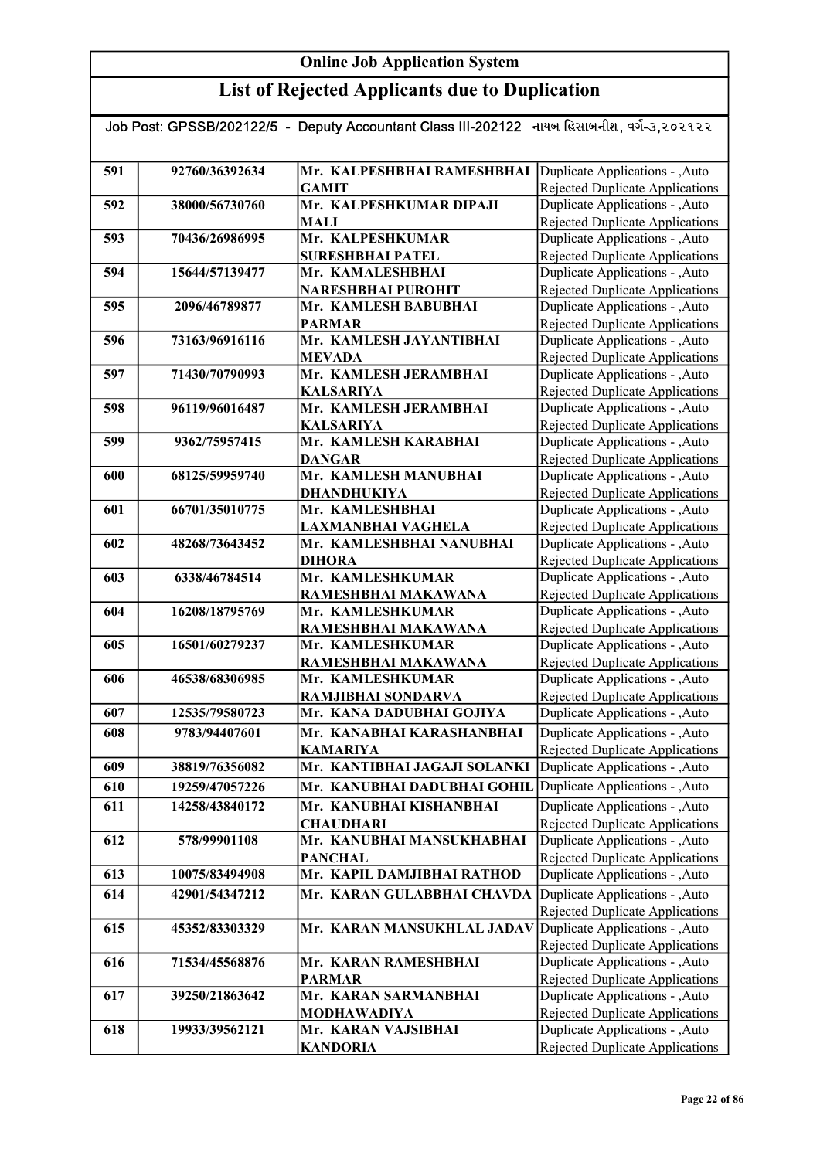|     |                | Job Post: GPSSB/202122/5 - Deputy Accountant Class III-202122 નાયબ હિસાબનીશ, વર્ગ-૩,૨૦૨૧૨૨ |                                                                    |
|-----|----------------|--------------------------------------------------------------------------------------------|--------------------------------------------------------------------|
|     |                |                                                                                            |                                                                    |
| 591 | 92760/36392634 | Mr. KALPESHBHAI RAMESHBHAI                                                                 | Duplicate Applications - , Auto                                    |
|     |                | <b>GAMIT</b>                                                                               | Rejected Duplicate Applications                                    |
| 592 | 38000/56730760 | Mr. KALPESHKUMAR DIPAJI                                                                    | Duplicate Applications - , Auto                                    |
|     |                | <b>MALI</b>                                                                                | Rejected Duplicate Applications                                    |
| 593 | 70436/26986995 | Mr. KALPESHKUMAR                                                                           | Duplicate Applications - , Auto                                    |
|     |                | <b>SURESHBHAI PATEL</b>                                                                    | <b>Rejected Duplicate Applications</b>                             |
| 594 | 15644/57139477 | Mr. KAMALESHBHAI                                                                           | Duplicate Applications - , Auto                                    |
|     |                | <b>NARESHBHAI PUROHIT</b>                                                                  | <b>Rejected Duplicate Applications</b>                             |
| 595 | 2096/46789877  | Mr. KAMLESH BABUBHAI<br><b>PARMAR</b>                                                      | Duplicate Applications - , Auto                                    |
| 596 | 73163/96916116 | Mr. KAMLESH JAYANTIBHAI                                                                    | Rejected Duplicate Applications<br>Duplicate Applications - , Auto |
|     |                | <b>MEVADA</b>                                                                              | Rejected Duplicate Applications                                    |
| 597 | 71430/70790993 | Mr. KAMLESH JERAMBHAI                                                                      | Duplicate Applications - , Auto                                    |
|     |                | <b>KALSARIYA</b>                                                                           | <b>Rejected Duplicate Applications</b>                             |
| 598 | 96119/96016487 | Mr. KAMLESH JERAMBHAI                                                                      | Duplicate Applications - , Auto                                    |
|     |                | <b>KALSARIYA</b>                                                                           | Rejected Duplicate Applications                                    |
| 599 | 9362/75957415  | Mr. KAMLESH KARABHAI                                                                       | Duplicate Applications - , Auto                                    |
|     |                | <b>DANGAR</b>                                                                              | Rejected Duplicate Applications                                    |
| 600 | 68125/59959740 | Mr. KAMLESH MANUBHAI                                                                       | Duplicate Applications - , Auto                                    |
|     |                | DHANDHUKIYA                                                                                | Rejected Duplicate Applications                                    |
| 601 | 66701/35010775 | Mr. KAMLESHBHAI                                                                            | Duplicate Applications - , Auto                                    |
| 602 | 48268/73643452 | LAXMANBHAI VAGHELA<br>Mr. KAMLESHBHAI NANUBHAI                                             | <b>Rejected Duplicate Applications</b>                             |
|     |                | <b>DIHORA</b>                                                                              | Duplicate Applications - , Auto<br>Rejected Duplicate Applications |
| 603 | 6338/46784514  | Mr. KAMLESHKUMAR                                                                           | Duplicate Applications - , Auto                                    |
|     |                | RAMESHBHAI MAKAWANA                                                                        | <b>Rejected Duplicate Applications</b>                             |
| 604 | 16208/18795769 | Mr. KAMLESHKUMAR                                                                           | Duplicate Applications - , Auto                                    |
|     |                | RAMESHBHAI MAKAWANA                                                                        | <b>Rejected Duplicate Applications</b>                             |
| 605 | 16501/60279237 | Mr. KAMLESHKUMAR                                                                           | Duplicate Applications - , Auto                                    |
|     |                | RAMESHBHAI MAKAWANA                                                                        | <b>Rejected Duplicate Applications</b>                             |
| 606 | 46538/68306985 | Mr. KAMLESHKUMAR                                                                           | Duplicate Applications - , Auto                                    |
|     |                | RAMJIBHAI SONDARVA                                                                         | Rejected Duplicate Applications                                    |
| 607 | 12535/79580723 | Mr. KANA DADUBHAI GOJIYA                                                                   | Duplicate Applications - , Auto                                    |
| 608 | 9783/94407601  | Mr. KANABHAI KARASHANBHAI                                                                  | Duplicate Applications - , Auto                                    |
| 609 | 38819/76356082 | <b>KAMARIYA</b><br>Mr. KANTIBHAI JAGAJI SOLANKI                                            | Rejected Duplicate Applications<br>Duplicate Applications - ,Auto  |
| 610 | 19259/47057226 | Mr. KANUBHAI DADUBHAI GOHIL                                                                | Duplicate Applications - , Auto                                    |
|     |                | Mr. KANUBHAI KISHANBHAI                                                                    |                                                                    |
| 611 | 14258/43840172 | <b>CHAUDHARI</b>                                                                           | Duplicate Applications - , Auto<br>Rejected Duplicate Applications |
| 612 | 578/99901108   | Mr. KANUBHAI MANSUKHABHAI                                                                  | Duplicate Applications - , Auto                                    |
|     |                | <b>PANCHAL</b>                                                                             | <b>Rejected Duplicate Applications</b>                             |
| 613 | 10075/83494908 | Mr. KAPIL DAMJIBHAI RATHOD                                                                 | Duplicate Applications - , Auto                                    |
| 614 | 42901/54347212 | Mr. KARAN GULABBHAI CHAVDA                                                                 | Duplicate Applications - , Auto                                    |
|     |                |                                                                                            | Rejected Duplicate Applications                                    |
| 615 | 45352/83303329 | Mr. KARAN MANSUKHLAL JADAV                                                                 | Duplicate Applications - , Auto                                    |
|     |                |                                                                                            | <b>Rejected Duplicate Applications</b>                             |
| 616 | 71534/45568876 | Mr. KARAN RAMESHBHAI                                                                       | Duplicate Applications - , Auto                                    |
|     |                | <b>PARMAR</b>                                                                              | Rejected Duplicate Applications                                    |
| 617 | 39250/21863642 | Mr. KARAN SARMANBHAI                                                                       | Duplicate Applications - , Auto                                    |
| 618 | 19933/39562121 | <b>MODHAWADIYA</b><br>Mr. KARAN VAJSIBHAI                                                  | Rejected Duplicate Applications<br>Duplicate Applications - , Auto |
|     |                | <b>KANDORIA</b>                                                                            | <b>Rejected Duplicate Applications</b>                             |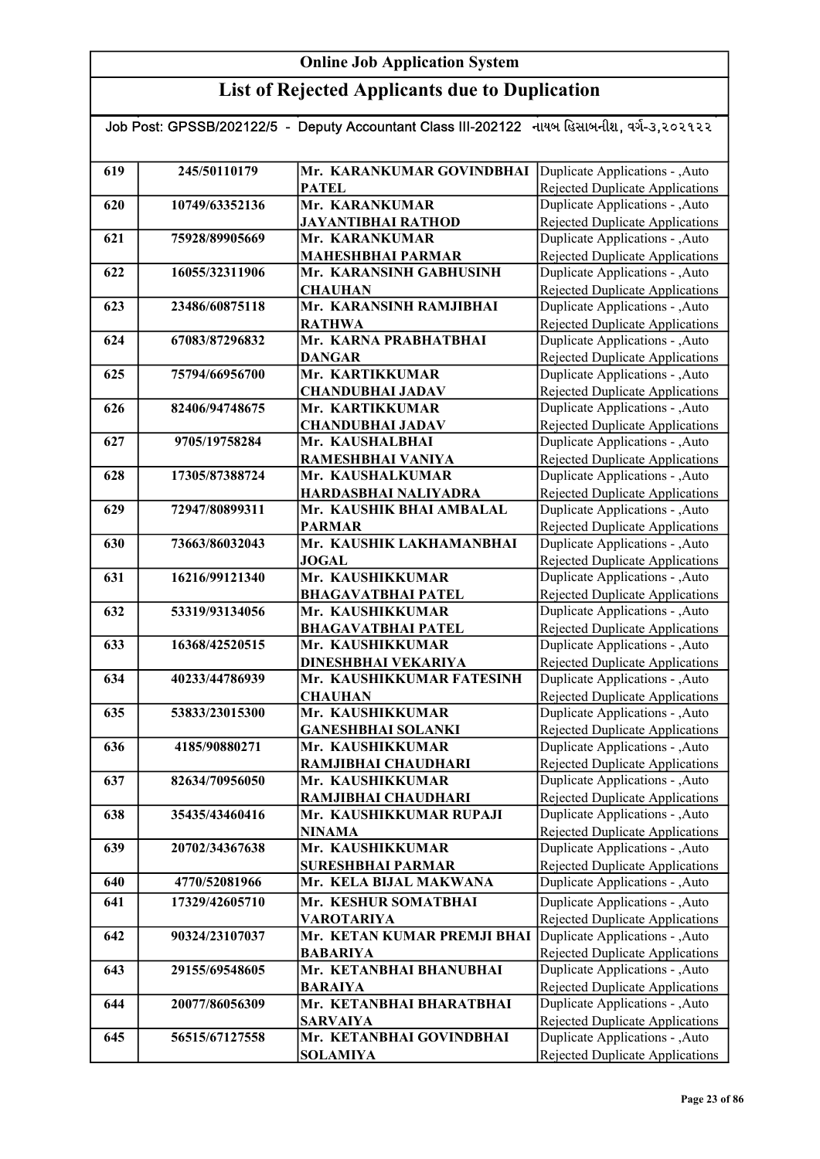| Job Post: GPSSB/202122/5 - Deputy Accountant Class III-202122 નાયબ હિસાબનીશ, વર્ગ-૩,૨૦૨૧૨૨ |                |                                               |                                                                    |  |
|--------------------------------------------------------------------------------------------|----------------|-----------------------------------------------|--------------------------------------------------------------------|--|
|                                                                                            |                |                                               |                                                                    |  |
| 619                                                                                        | 245/50110179   | Mr. KARANKUMAR GOVINDBHAI                     | Duplicate Applications - , Auto                                    |  |
|                                                                                            |                | <b>PATEL</b>                                  | Rejected Duplicate Applications                                    |  |
| 620                                                                                        | 10749/63352136 | Mr. KARANKUMAR                                | Duplicate Applications - , Auto                                    |  |
|                                                                                            |                | <b>JAYANTIBHAI RATHOD</b>                     | <b>Rejected Duplicate Applications</b>                             |  |
| 621                                                                                        | 75928/89905669 | Mr. KARANKUMAR                                | Duplicate Applications - , Auto                                    |  |
|                                                                                            |                | <b>MAHESHBHAI PARMAR</b>                      | <b>Rejected Duplicate Applications</b>                             |  |
| 622                                                                                        | 16055/32311906 | Mr. KARANSINH GABHUSINH                       | Duplicate Applications - , Auto                                    |  |
|                                                                                            |                | <b>CHAUHAN</b>                                | Rejected Duplicate Applications                                    |  |
| 623                                                                                        | 23486/60875118 | Mr. KARANSINH RAMJIBHAI                       | Duplicate Applications - , Auto                                    |  |
|                                                                                            |                | <b>RATHWA</b>                                 | Rejected Duplicate Applications                                    |  |
| 624                                                                                        | 67083/87296832 | Mr. KARNA PRABHATBHAI                         | Duplicate Applications - ,Auto                                     |  |
|                                                                                            |                | <b>DANGAR</b>                                 | Rejected Duplicate Applications                                    |  |
| 625                                                                                        | 75794/66956700 | Mr. KARTIKKUMAR                               | Duplicate Applications - , Auto                                    |  |
|                                                                                            |                | <b>CHANDUBHAI JADAV</b>                       | <b>Rejected Duplicate Applications</b>                             |  |
| 626                                                                                        | 82406/94748675 | Mr. KARTIKKUMAR<br><b>CHANDUBHAI JADAV</b>    | Duplicate Applications - , Auto                                    |  |
| 627                                                                                        | 9705/19758284  | Mr. KAUSHALBHAI                               | Rejected Duplicate Applications<br>Duplicate Applications - , Auto |  |
|                                                                                            |                | RAMESHBHAI VANIYA                             | Rejected Duplicate Applications                                    |  |
| 628                                                                                        | 17305/87388724 | Mr. KAUSHALKUMAR                              | Duplicate Applications - , Auto                                    |  |
|                                                                                            |                | <b>HARDASBHAI NALIYADRA</b>                   | Rejected Duplicate Applications                                    |  |
| 629                                                                                        | 72947/80899311 | Mr. KAUSHIK BHAI AMBALAL                      | Duplicate Applications - , Auto                                    |  |
|                                                                                            |                | <b>PARMAR</b>                                 | Rejected Duplicate Applications                                    |  |
| 630                                                                                        | 73663/86032043 | Mr. KAUSHIK LAKHAMANBHAI                      | Duplicate Applications - , Auto                                    |  |
|                                                                                            |                | <b>JOGAL</b>                                  | <b>Rejected Duplicate Applications</b>                             |  |
| 631                                                                                        | 16216/99121340 | Mr. KAUSHIKKUMAR                              | Duplicate Applications - , Auto                                    |  |
|                                                                                            |                | <b>BHAGAVATBHAI PATEL</b>                     | <b>Rejected Duplicate Applications</b>                             |  |
| 632                                                                                        | 53319/93134056 | Mr. KAUSHIKKUMAR                              | Duplicate Applications - , Auto                                    |  |
|                                                                                            |                | <b>BHAGAVATBHAI PATEL</b>                     | Rejected Duplicate Applications                                    |  |
| 633                                                                                        | 16368/42520515 | Mr. KAUSHIKKUMAR                              | Duplicate Applications - , Auto                                    |  |
|                                                                                            |                | DINESHBHAI VEKARIYA                           | <b>Rejected Duplicate Applications</b>                             |  |
| 634                                                                                        | 40233/44786939 | Mr. KAUSHIKKUMAR FATESINH                     | Duplicate Applications - , Auto                                    |  |
|                                                                                            |                | <b>CHAUHAN</b>                                | Rejected Duplicate Applications                                    |  |
| 635                                                                                        | 53833/23015300 | Mr. KAUSHIKKUMAR                              | Duplicate Applications - , Auto                                    |  |
| 636                                                                                        | 4185/90880271  | <b>GANESHBHAI SOLANKI</b><br>Mr. KAUSHIKKUMAR | Rejected Duplicate Applications<br>Duplicate Applications - , Auto |  |
|                                                                                            |                | RAMJIBHAI CHAUDHARI                           | Rejected Duplicate Applications                                    |  |
| 637                                                                                        | 82634/70956050 | Mr. KAUSHIKKUMAR                              | Duplicate Applications - , Auto                                    |  |
|                                                                                            |                | RAMJIBHAI CHAUDHARI                           | Rejected Duplicate Applications                                    |  |
| 638                                                                                        | 35435/43460416 | Mr. KAUSHIKKUMAR RUPAJI                       | Duplicate Applications - , Auto                                    |  |
|                                                                                            |                | <b>NINAMA</b>                                 | Rejected Duplicate Applications                                    |  |
| 639                                                                                        | 20702/34367638 | Mr. KAUSHIKKUMAR                              | Duplicate Applications - , Auto                                    |  |
|                                                                                            |                | <b>SURESHBHAI PARMAR</b>                      | Rejected Duplicate Applications                                    |  |
| 640                                                                                        | 4770/52081966  | Mr. KELA BIJAL MAKWANA                        | Duplicate Applications - , Auto                                    |  |
| 641                                                                                        | 17329/42605710 | Mr. KESHUR SOMATBHAI                          | Duplicate Applications - , Auto                                    |  |
|                                                                                            |                | <b>VAROTARIYA</b>                             | Rejected Duplicate Applications                                    |  |
| 642                                                                                        | 90324/23107037 | Mr. KETAN KUMAR PREMJI BHAI                   | Duplicate Applications - , Auto                                    |  |
|                                                                                            |                | <b>BABARIYA</b>                               | Rejected Duplicate Applications                                    |  |
| 643                                                                                        | 29155/69548605 | Mr. KETANBHAI BHANUBHAI                       | Duplicate Applications - , Auto                                    |  |
|                                                                                            |                | <b>BARAIYA</b>                                | Rejected Duplicate Applications                                    |  |
| 644                                                                                        | 20077/86056309 | Mr. KETANBHAI BHARATBHAI                      | Duplicate Applications - , Auto                                    |  |
|                                                                                            |                | <b>SARVAIYA</b>                               | <b>Rejected Duplicate Applications</b>                             |  |
| 645                                                                                        | 56515/67127558 | Mr. KETANBHAI GOVINDBHAI                      | Duplicate Applications - , Auto                                    |  |
|                                                                                            |                | <b>SOLAMIYA</b>                               | Rejected Duplicate Applications                                    |  |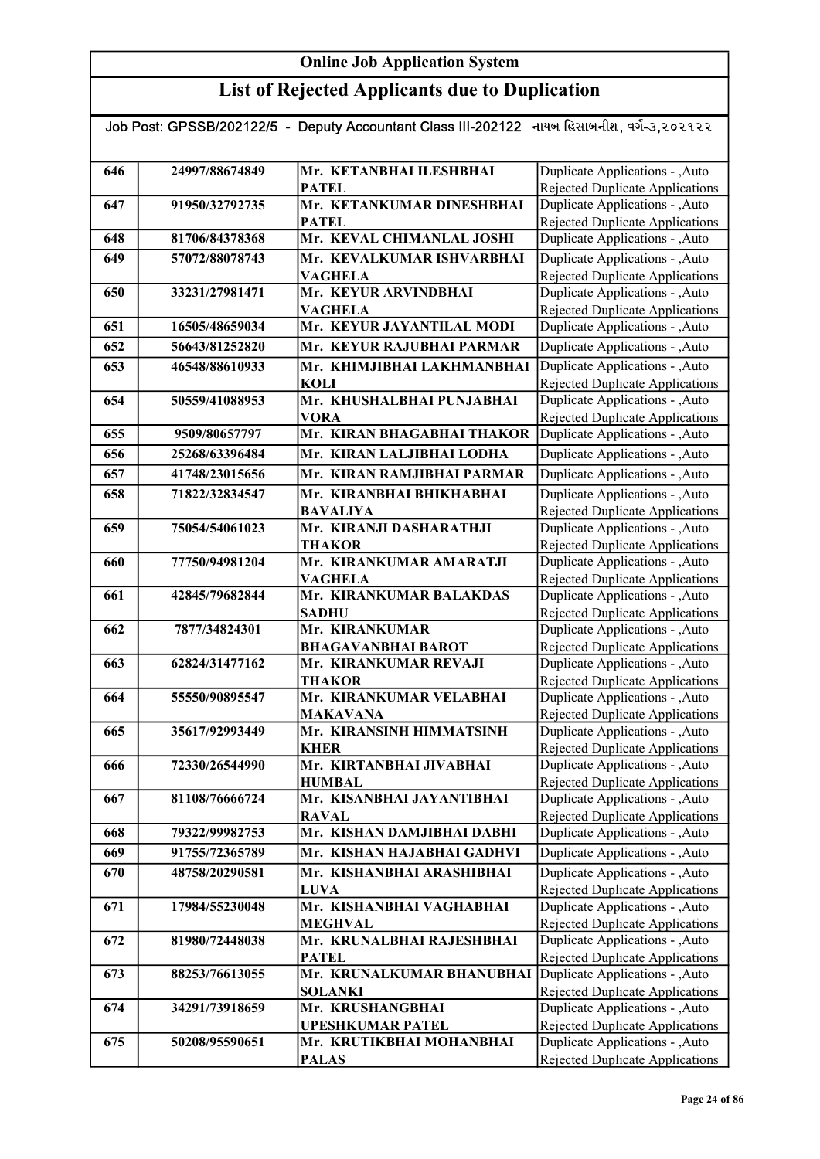| Job Post: GPSSB/202122/5 - Deputy Accountant Class III-202122 નાયબ હિસાબનીશ, વર્ગ-૩,૨૦૨૧૨૨ |                |                                                           |                                                                           |  |
|--------------------------------------------------------------------------------------------|----------------|-----------------------------------------------------------|---------------------------------------------------------------------------|--|
|                                                                                            |                |                                                           |                                                                           |  |
| 646                                                                                        | 24997/88674849 | Mr. KETANBHAI ILESHBHAI                                   | Duplicate Applications - , Auto                                           |  |
|                                                                                            |                | <b>PATEL</b>                                              | Rejected Duplicate Applications                                           |  |
| 647                                                                                        | 91950/32792735 | Mr. KETANKUMAR DINESHBHAI                                 | Duplicate Applications - , Auto                                           |  |
|                                                                                            |                | <b>PATEL</b>                                              | <b>Rejected Duplicate Applications</b>                                    |  |
| 648                                                                                        | 81706/84378368 | Mr. KEVAL CHIMANLAL JOSHI                                 | Duplicate Applications - , Auto                                           |  |
| 649                                                                                        | 57072/88078743 | Mr. KEVALKUMAR ISHVARBHAI                                 | Duplicate Applications - , Auto                                           |  |
|                                                                                            |                | <b>VAGHELA</b>                                            | Rejected Duplicate Applications                                           |  |
| 650                                                                                        | 33231/27981471 | Mr. KEYUR ARVINDBHAI                                      | Duplicate Applications - , Auto                                           |  |
|                                                                                            |                | <b>VAGHELA</b>                                            | <b>Rejected Duplicate Applications</b>                                    |  |
| 651                                                                                        | 16505/48659034 | Mr. KEYUR JAYANTILAL MODI                                 | Duplicate Applications - , Auto                                           |  |
| 652                                                                                        | 56643/81252820 | Mr. KEYUR RAJUBHAI PARMAR                                 | Duplicate Applications - , Auto                                           |  |
| 653                                                                                        | 46548/88610933 | Mr. KHIMJIBHAI LAKHMANBHAI                                | Duplicate Applications - , Auto                                           |  |
|                                                                                            |                | <b>KOLI</b>                                               | <b>Rejected Duplicate Applications</b>                                    |  |
| 654                                                                                        | 50559/41088953 | Mr. KHUSHALBHAI PUNJABHAI                                 | Duplicate Applications - , Auto                                           |  |
|                                                                                            |                | <b>VORA</b>                                               | <b>Rejected Duplicate Applications</b>                                    |  |
| 655                                                                                        | 9509/80657797  | Mr. KIRAN BHAGABHAI THAKOR                                | Duplicate Applications - , Auto                                           |  |
| 656                                                                                        | 25268/63396484 | Mr. KIRAN LALJIBHAI LODHA                                 | Duplicate Applications - , Auto                                           |  |
| 657                                                                                        | 41748/23015656 | Mr. KIRAN RAMJIBHAI PARMAR                                | Duplicate Applications - , Auto                                           |  |
| 658                                                                                        | 71822/32834547 | Mr. KIRANBHAI BHIKHABHAI                                  | Duplicate Applications - , Auto                                           |  |
|                                                                                            |                | <b>BAVALIYA</b>                                           | Rejected Duplicate Applications                                           |  |
| 659                                                                                        | 75054/54061023 | Mr. KIRANJI DASHARATHJI                                   | Duplicate Applications - , Auto                                           |  |
| 660                                                                                        | 77750/94981204 | <b>THAKOR</b><br>Mr. KIRANKUMAR AMARATJI                  | <b>Rejected Duplicate Applications</b><br>Duplicate Applications - , Auto |  |
|                                                                                            |                | <b>VAGHELA</b>                                            | Rejected Duplicate Applications                                           |  |
| 661                                                                                        | 42845/79682844 | Mr. KIRANKUMAR BALAKDAS                                   | Duplicate Applications - , Auto                                           |  |
|                                                                                            |                | <b>SADHU</b>                                              | Rejected Duplicate Applications                                           |  |
| 662                                                                                        | 7877/34824301  | Mr. KIRANKUMAR                                            | Duplicate Applications - , Auto                                           |  |
|                                                                                            |                | <b>BHAGAVANBHAI BAROT</b>                                 | <b>Rejected Duplicate Applications</b>                                    |  |
| 663                                                                                        | 62824/31477162 | Mr. KIRANKUMAR REVAJI                                     | Duplicate Applications - , Auto                                           |  |
|                                                                                            |                | <b>THAKOR</b>                                             | <b>Rejected Duplicate Applications</b>                                    |  |
| 664                                                                                        | 55550/90895547 | Mr. KIRANKUMAR VELABHAI                                   | Duplicate Applications - , Auto                                           |  |
|                                                                                            |                | <b>MAKAVANA</b>                                           | Rejected Duplicate Applications                                           |  |
| 665                                                                                        | 35617/92993449 | Mr. KIRANSINH HIMMATSINH                                  | Duplicate Applications - , Auto                                           |  |
| 666                                                                                        | 72330/26544990 | <b>KHER</b><br>Mr. KIRTANBHAI JIVABHAI                    | Rejected Duplicate Applications<br>Duplicate Applications - , Auto        |  |
|                                                                                            |                | <b>HUMBAL</b>                                             | Rejected Duplicate Applications                                           |  |
| 667                                                                                        | 81108/76666724 | Mr. KISANBHAI JAYANTIBHAI                                 | Duplicate Applications - ,Auto                                            |  |
|                                                                                            |                | <b>RAVAL</b>                                              | Rejected Duplicate Applications                                           |  |
| 668                                                                                        | 79322/99982753 | Mr. KISHAN DAMJIBHAI DABHI                                | Duplicate Applications - , Auto                                           |  |
| 669                                                                                        | 91755/72365789 | Mr. KISHAN HAJABHAI GADHVI                                | Duplicate Applications - , Auto                                           |  |
| 670                                                                                        | 48758/20290581 | Mr. KISHANBHAI ARASHIBHAI                                 | Duplicate Applications - , Auto                                           |  |
|                                                                                            |                | <b>LUVA</b>                                               | <b>Rejected Duplicate Applications</b>                                    |  |
| 671                                                                                        | 17984/55230048 | Mr. KISHANBHAI VAGHABHAI                                  | Duplicate Applications - , Auto                                           |  |
|                                                                                            |                | <b>MEGHVAL</b>                                            | <b>Rejected Duplicate Applications</b>                                    |  |
| 672                                                                                        | 81980/72448038 | Mr. KRUNALBHAI RAJESHBHAI                                 | Duplicate Applications - , Auto                                           |  |
|                                                                                            |                | <b>PATEL</b>                                              | <b>Rejected Duplicate Applications</b>                                    |  |
| 673                                                                                        | 88253/76613055 | Mr. KRUNALKUMAR BHANUBHAI Duplicate Applications - , Auto |                                                                           |  |
|                                                                                            |                | <b>SOLANKI</b>                                            | Rejected Duplicate Applications                                           |  |
| 674                                                                                        | 34291/73918659 | Mr. KRUSHANGBHAI<br><b>UPESHKUMAR PATEL</b>               | Duplicate Applications - , Auto<br>Rejected Duplicate Applications        |  |
| 675                                                                                        | 50208/95590651 | Mr. KRUTIKBHAI MOHANBHAI                                  | Duplicate Applications - , Auto                                           |  |
|                                                                                            |                | <b>PALAS</b>                                              | Rejected Duplicate Applications                                           |  |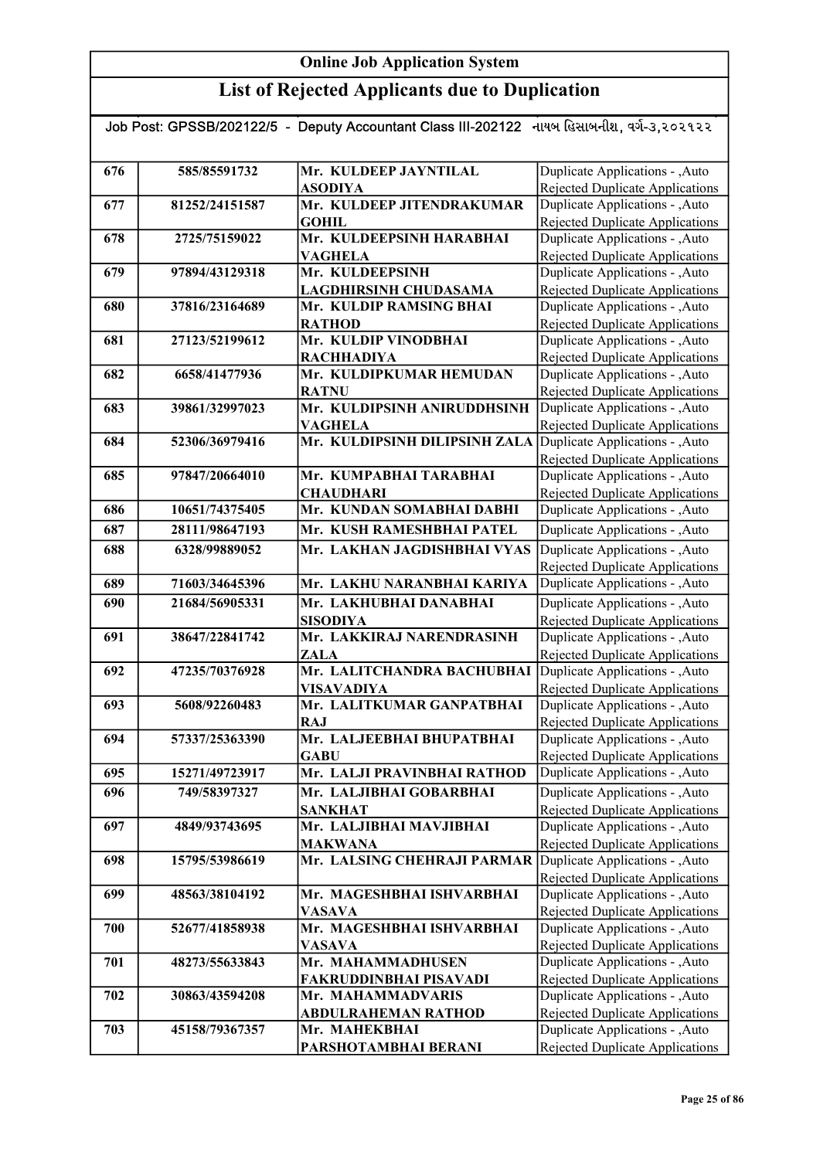| Job Post: GPSSB/202122/5 - Deputy Accountant Class III-202122 નાયબ હિસાબનીશ, વર્ગ-૩,૨૦૨૧૨૨ |                |                                                             |                                                                    |  |
|--------------------------------------------------------------------------------------------|----------------|-------------------------------------------------------------|--------------------------------------------------------------------|--|
|                                                                                            |                |                                                             |                                                                    |  |
| 676                                                                                        | 585/85591732   | Mr. KULDEEP JAYNTILAL                                       | Duplicate Applications - , Auto                                    |  |
|                                                                                            |                | <b>ASODIYA</b>                                              | Rejected Duplicate Applications                                    |  |
| 677                                                                                        | 81252/24151587 | Mr. KULDEEP JITENDRAKUMAR                                   | Duplicate Applications - , Auto                                    |  |
|                                                                                            |                | <b>GOHIL</b>                                                | <b>Rejected Duplicate Applications</b>                             |  |
| 678                                                                                        | 2725/75159022  | Mr. KULDEEPSINH HARABHAI                                    | Duplicate Applications - , Auto                                    |  |
|                                                                                            |                | <b>VAGHELA</b>                                              | Rejected Duplicate Applications                                    |  |
| 679                                                                                        | 97894/43129318 | Mr. KULDEEPSINH                                             | Duplicate Applications - , Auto                                    |  |
|                                                                                            |                | LAGDHIRSINH CHUDASAMA                                       | Rejected Duplicate Applications                                    |  |
| 680                                                                                        | 37816/23164689 | Mr. KULDIP RAMSING BHAI                                     | Duplicate Applications - , Auto                                    |  |
|                                                                                            |                | <b>RATHOD</b>                                               | Rejected Duplicate Applications                                    |  |
| 681                                                                                        | 27123/52199612 | Mr. KULDIP VINODBHAI                                        | Duplicate Applications - , Auto                                    |  |
|                                                                                            |                | <b>RACHHADIYA</b>                                           | <b>Rejected Duplicate Applications</b>                             |  |
| 682                                                                                        | 6658/41477936  | Mr. KULDIPKUMAR HEMUDAN                                     | Duplicate Applications - , Auto                                    |  |
|                                                                                            |                | <b>RATNU</b>                                                | <b>Rejected Duplicate Applications</b>                             |  |
| 683                                                                                        | 39861/32997023 | Mr. KULDIPSINH ANIRUDDHSINH                                 | Duplicate Applications - , Auto                                    |  |
| 684                                                                                        | 52306/36979416 | <b>VAGHELA</b><br>Mr. KULDIPSINH DILIPSINH ZALA             | Rejected Duplicate Applications<br>Duplicate Applications - , Auto |  |
|                                                                                            |                |                                                             | Rejected Duplicate Applications                                    |  |
| 685                                                                                        | 97847/20664010 | Mr. KUMPABHAI TARABHAI                                      | Duplicate Applications - , Auto                                    |  |
|                                                                                            |                | <b>CHAUDHARI</b>                                            | <b>Rejected Duplicate Applications</b>                             |  |
| 686                                                                                        | 10651/74375405 | Mr. KUNDAN SOMABHAI DABHI                                   | Duplicate Applications - , Auto                                    |  |
| 687                                                                                        | 28111/98647193 | Mr. KUSH RAMESHBHAI PATEL                                   | Duplicate Applications - , Auto                                    |  |
| 688                                                                                        | 6328/99889052  | Mr. LAKHAN JAGDISHBHAI VYAS                                 | Duplicate Applications - , Auto                                    |  |
|                                                                                            |                |                                                             | <b>Rejected Duplicate Applications</b>                             |  |
| 689                                                                                        | 71603/34645396 | Mr. LAKHU NARANBHAI KARIYA                                  | Duplicate Applications - , Auto                                    |  |
| 690                                                                                        | 21684/56905331 | Mr. LAKHUBHAI DANABHAI                                      | Duplicate Applications - , Auto                                    |  |
|                                                                                            |                | <b>SISODIYA</b>                                             | <b>Rejected Duplicate Applications</b>                             |  |
| 691                                                                                        | 38647/22841742 | Mr. LAKKIRAJ NARENDRASINH                                   | Duplicate Applications - , Auto                                    |  |
|                                                                                            |                | ZALA                                                        | <b>Rejected Duplicate Applications</b>                             |  |
| 692                                                                                        | 47235/70376928 | Mr. LALITCHANDRA BACHUBHAI                                  | Duplicate Applications - , Auto                                    |  |
|                                                                                            |                | VISAVADIYA                                                  | Rejected Duplicate Applications                                    |  |
| 693                                                                                        | 5608/92260483  | Mr. LALITKUMAR GANPATBHAI                                   | Duplicate Applications - , Auto                                    |  |
|                                                                                            |                | <b>RAJ</b>                                                  | Rejected Duplicate Applications                                    |  |
| 694                                                                                        | 57337/25363390 | Mr. LALJEEBHAI BHUPATBHAI                                   | Auto Applications - ,Auto                                          |  |
|                                                                                            |                | <b>GABU</b>                                                 | Rejected Duplicate Applications                                    |  |
| 695                                                                                        | 15271/49723917 | Mr. LALJI PRAVINBHAI RATHOD                                 | Duplicate Applications - , Auto                                    |  |
| 696                                                                                        | 749/58397327   | Mr. LALJIBHAI GOBARBHAI                                     | Duplicate Applications - , Auto                                    |  |
|                                                                                            |                | <b>SANKHAT</b>                                              | Rejected Duplicate Applications                                    |  |
| 697                                                                                        | 4849/93743695  | Mr. LALJIBHAI MAVJIBHAI                                     | Duplicate Applications - , Auto                                    |  |
|                                                                                            |                | <b>MAKWANA</b>                                              | <b>Rejected Duplicate Applications</b>                             |  |
| 698                                                                                        | 15795/53986619 | Mr. LALSING CHEHRAJI PARMAR Duplicate Applications - , Auto |                                                                    |  |
|                                                                                            |                |                                                             | Rejected Duplicate Applications                                    |  |
| 699                                                                                        | 48563/38104192 | Mr. MAGESHBHAI ISHVARBHAI                                   | Duplicate Applications - , Auto                                    |  |
|                                                                                            |                | <b>VASAVA</b>                                               | <b>Rejected Duplicate Applications</b>                             |  |
| 700                                                                                        | 52677/41858938 | Mr. MAGESHBHAI ISHVARBHAI                                   | Duplicate Applications - , Auto                                    |  |
|                                                                                            |                | VASAVA                                                      | Rejected Duplicate Applications                                    |  |
| 701                                                                                        | 48273/55633843 | Mr. MAHAMMADHUSEN                                           | Duplicate Applications - ,Auto                                     |  |
|                                                                                            |                | <b>FAKRUDDINBHAI PISAVADI</b>                               | Rejected Duplicate Applications                                    |  |
| 702                                                                                        | 30863/43594208 | Mr. MAHAMMADVARIS                                           | Duplicate Applications - , Auto                                    |  |
|                                                                                            |                | <b>ABDULRAHEMAN RATHOD</b>                                  | Rejected Duplicate Applications                                    |  |
| 703                                                                                        | 45158/79367357 | Mr. MAHEKBHAI                                               | Duplicate Applications - , Auto                                    |  |
|                                                                                            |                | PARSHOTAMBHAI BERANI                                        | Rejected Duplicate Applications                                    |  |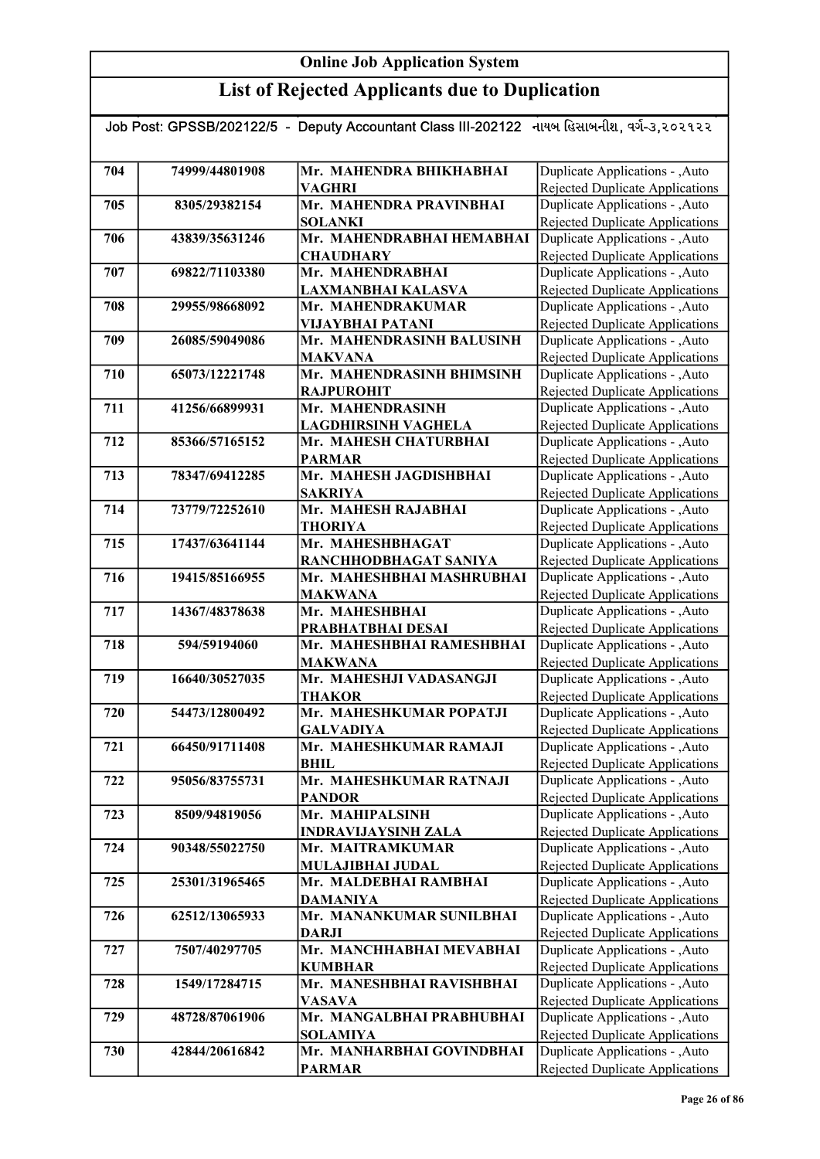| Job Post: GPSSB/202122/5 - Deputy Accountant Class III-202122 નાયબ હિસાબનીશ, વર્ગ-૩,૨૦૨૧૨૨ |                |                                             |                                                                    |  |
|--------------------------------------------------------------------------------------------|----------------|---------------------------------------------|--------------------------------------------------------------------|--|
|                                                                                            |                |                                             |                                                                    |  |
| 704                                                                                        | 74999/44801908 | Mr. MAHENDRA BHIKHABHAI                     | Duplicate Applications - , Auto                                    |  |
|                                                                                            |                | <b>VAGHRI</b>                               | Rejected Duplicate Applications                                    |  |
| 705                                                                                        | 8305/29382154  | Mr. MAHENDRA PRAVINBHAI                     | Duplicate Applications - , Auto                                    |  |
|                                                                                            |                | <b>SOLANKI</b>                              | <b>Rejected Duplicate Applications</b>                             |  |
| 706                                                                                        | 43839/35631246 | Mr. MAHENDRABHAI HEMABHAI                   | Duplicate Applications - , Auto                                    |  |
|                                                                                            |                | <b>CHAUDHARY</b>                            | Rejected Duplicate Applications                                    |  |
| 707                                                                                        | 69822/71103380 | Mr. MAHENDRABHAI                            | Duplicate Applications - , Auto                                    |  |
|                                                                                            |                | LAXMANBHAI KALASVA                          | Rejected Duplicate Applications                                    |  |
| 708                                                                                        | 29955/98668092 | Mr. MAHENDRAKUMAR                           | Duplicate Applications - , Auto                                    |  |
|                                                                                            |                | VIJAYBHAI PATANI                            | Rejected Duplicate Applications                                    |  |
| 709                                                                                        | 26085/59049086 | Mr. MAHENDRASINH BALUSINH                   | Duplicate Applications - , Auto                                    |  |
|                                                                                            |                | <b>MAKVANA</b><br>Mr. MAHENDRASINH BHIMSINH | Rejected Duplicate Applications                                    |  |
| 710                                                                                        | 65073/12221748 |                                             | Duplicate Applications - , Auto                                    |  |
| 711                                                                                        | 41256/66899931 | <b>RAJPUROHIT</b><br>Mr. MAHENDRASINH       | Rejected Duplicate Applications<br>Duplicate Applications - , Auto |  |
|                                                                                            |                | <b>LAGDHIRSINH VAGHELA</b>                  | Rejected Duplicate Applications                                    |  |
| 712                                                                                        | 85366/57165152 | Mr. MAHESH CHATURBHAI                       | Duplicate Applications - , Auto                                    |  |
|                                                                                            |                | <b>PARMAR</b>                               | Rejected Duplicate Applications                                    |  |
| 713                                                                                        | 78347/69412285 | Mr. MAHESH JAGDISHBHAI                      | Duplicate Applications - , Auto                                    |  |
|                                                                                            |                | <b>SAKRIYA</b>                              | Rejected Duplicate Applications                                    |  |
| 714                                                                                        | 73779/72252610 | Mr. MAHESH RAJABHAI                         | Duplicate Applications - , Auto                                    |  |
|                                                                                            |                | <b>THORIYA</b>                              | Rejected Duplicate Applications                                    |  |
| 715                                                                                        | 17437/63641144 | Mr. MAHESHBHAGAT                            | Duplicate Applications - , Auto                                    |  |
|                                                                                            |                | RANCHHODBHAGAT SANIYA                       | Rejected Duplicate Applications                                    |  |
| 716                                                                                        | 19415/85166955 | Mr. MAHESHBHAI MASHRUBHAI                   | Duplicate Applications - , Auto                                    |  |
|                                                                                            |                | <b>MAKWANA</b>                              | Rejected Duplicate Applications                                    |  |
| 717                                                                                        | 14367/48378638 | Mr. MAHESHBHAI                              | Duplicate Applications - , Auto                                    |  |
|                                                                                            |                | PRABHATBHAI DESAI                           | <b>Rejected Duplicate Applications</b>                             |  |
| 718                                                                                        | 594/59194060   | Mr. MAHESHBHAI RAMESHBHAI                   | Duplicate Applications - , Auto                                    |  |
|                                                                                            |                | <b>MAKWANA</b>                              | <b>Rejected Duplicate Applications</b>                             |  |
| 719                                                                                        | 16640/30527035 | Mr. MAHESHJI VADASANGJI                     | Duplicate Applications - , Auto                                    |  |
|                                                                                            |                | <b>THAKOR</b>                               | Rejected Duplicate Applications                                    |  |
| 720                                                                                        | 54473/12800492 | Mr. MAHESHKUMAR POPATJI                     | Duplicate Applications - , Auto                                    |  |
|                                                                                            |                | <b>GALVADIYA</b>                            | Rejected Duplicate Applications                                    |  |
| 721                                                                                        | 66450/91711408 | Mr. MAHESHKUMAR RAMAJI                      | Duplicate Applications - , Auto                                    |  |
|                                                                                            |                | <b>BHIL</b>                                 | <b>Rejected Duplicate Applications</b>                             |  |
| 722                                                                                        | 95056/83755731 | Mr. MAHESHKUMAR RATNAJI                     | Duplicate Applications - , Auto                                    |  |
| 723                                                                                        | 8509/94819056  | <b>PANDOR</b><br>Mr. MAHIPALSINH            | Rejected Duplicate Applications<br>Duplicate Applications - , Auto |  |
|                                                                                            |                | <b>INDRAVIJAYSINH ZALA</b>                  | Rejected Duplicate Applications                                    |  |
| 724                                                                                        | 90348/55022750 | Mr. MAITRAMKUMAR                            | Duplicate Applications - , Auto                                    |  |
|                                                                                            |                | MULAJIBHAI JUDAL                            | Rejected Duplicate Applications                                    |  |
| 725                                                                                        | 25301/31965465 | Mr. MALDEBHAI RAMBHAI                       | Duplicate Applications - , Auto                                    |  |
|                                                                                            |                | <b>DAMANIYA</b>                             | Rejected Duplicate Applications                                    |  |
| 726                                                                                        | 62512/13065933 | Mr. MANANKUMAR SUNILBHAI                    | Duplicate Applications - , Auto                                    |  |
|                                                                                            |                | <b>DARJI</b>                                | Rejected Duplicate Applications                                    |  |
| 727                                                                                        | 7507/40297705  | Mr. MANCHHABHAI MEVABHAI                    | Duplicate Applications - , Auto                                    |  |
|                                                                                            |                | <b>KUMBHAR</b>                              | Rejected Duplicate Applications                                    |  |
| 728                                                                                        | 1549/17284715  | Mr. MANESHBHAI RAVISHBHAI                   | Duplicate Applications - , Auto                                    |  |
|                                                                                            |                | <b>VASAVA</b>                               | Rejected Duplicate Applications                                    |  |
| 729                                                                                        | 48728/87061906 | Mr. MANGALBHAI PRABHUBHAI                   | Duplicate Applications - , Auto                                    |  |
|                                                                                            |                | <b>SOLAMIYA</b>                             | Rejected Duplicate Applications                                    |  |
| 730                                                                                        | 42844/20616842 | Mr. MANHARBHAI GOVINDBHAI                   | Duplicate Applications - , Auto                                    |  |
|                                                                                            |                | <b>PARMAR</b>                               | Rejected Duplicate Applications                                    |  |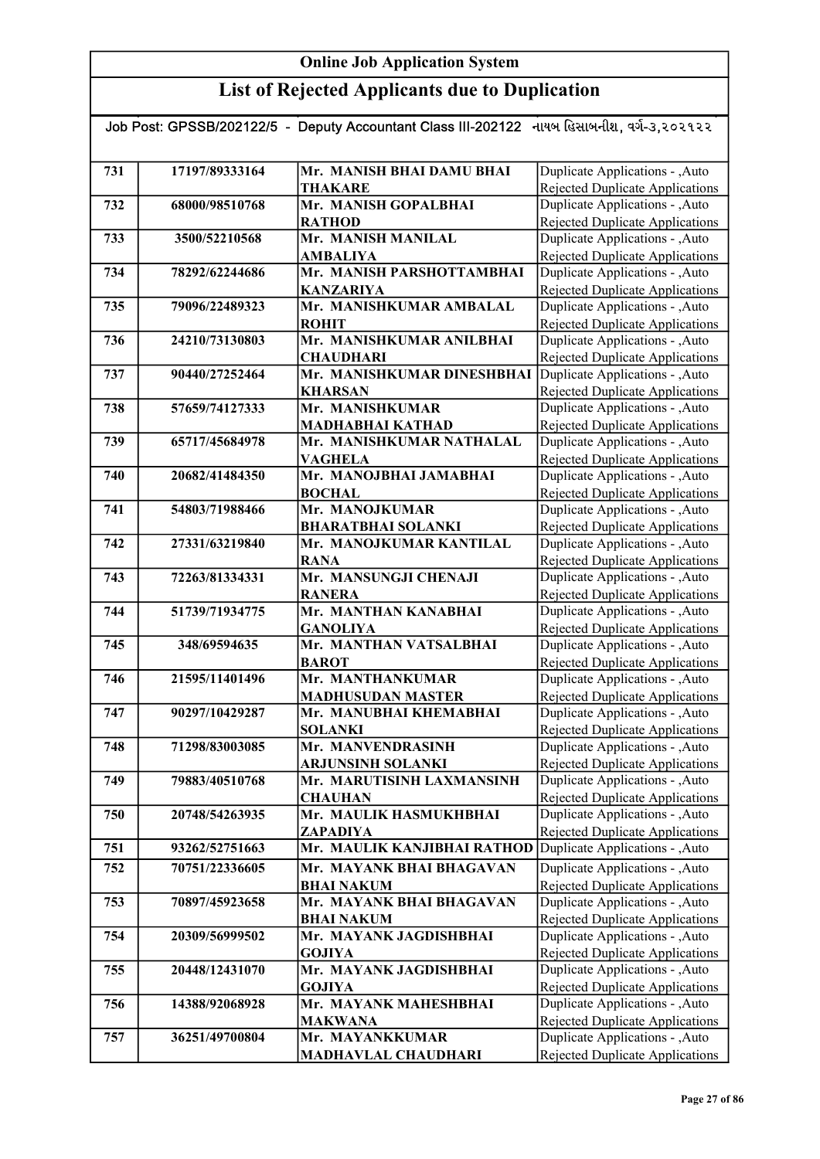| Job Post: GPSSB/202122/5 - Deputy Accountant Class III-202122 નાયબ હિસાબનીશ, વર્ગ-૩,૨૦૨૧૨૨ |                |                                                |                                                                           |  |
|--------------------------------------------------------------------------------------------|----------------|------------------------------------------------|---------------------------------------------------------------------------|--|
|                                                                                            |                |                                                |                                                                           |  |
| 731                                                                                        | 17197/89333164 | Mr. MANISH BHAI DAMU BHAI                      | Duplicate Applications - , Auto                                           |  |
|                                                                                            |                | <b>THAKARE</b>                                 | Rejected Duplicate Applications                                           |  |
| 732                                                                                        | 68000/98510768 | Mr. MANISH GOPALBHAI                           | Duplicate Applications - , Auto                                           |  |
|                                                                                            |                | <b>RATHOD</b>                                  | Rejected Duplicate Applications                                           |  |
| 733                                                                                        | 3500/52210568  | Mr. MANISH MANILAL                             | Duplicate Applications - , Auto                                           |  |
|                                                                                            |                | <b>AMBALIYA</b>                                | <b>Rejected Duplicate Applications</b>                                    |  |
| 734                                                                                        | 78292/62244686 | Mr. MANISH PARSHOTTAMBHAI                      | Duplicate Applications - , Auto                                           |  |
|                                                                                            |                | <b>KANZARIYA</b>                               | <b>Rejected Duplicate Applications</b>                                    |  |
| 735                                                                                        | 79096/22489323 | Mr. MANISHKUMAR AMBALAL                        | Duplicate Applications - , Auto                                           |  |
|                                                                                            |                | <b>ROHIT</b>                                   | <b>Rejected Duplicate Applications</b>                                    |  |
| 736                                                                                        | 24210/73130803 | Mr. MANISHKUMAR ANILBHAI                       | Duplicate Applications - , Auto                                           |  |
| 737                                                                                        | 90440/27252464 | <b>CHAUDHARI</b><br>Mr. MANISHKUMAR DINESHBHAI | Rejected Duplicate Applications<br>Duplicate Applications - , Auto        |  |
|                                                                                            |                | <b>KHARSAN</b>                                 | <b>Rejected Duplicate Applications</b>                                    |  |
| 738                                                                                        | 57659/74127333 | Mr. MANISHKUMAR                                | Duplicate Applications - , Auto                                           |  |
|                                                                                            |                | <b>MADHABHAI KATHAD</b>                        | Rejected Duplicate Applications                                           |  |
| 739                                                                                        | 65717/45684978 | Mr. MANISHKUMAR NATHALAL                       | Duplicate Applications - , Auto                                           |  |
|                                                                                            |                | <b>VAGHELA</b>                                 | Rejected Duplicate Applications                                           |  |
| 740                                                                                        | 20682/41484350 | Mr. MANOJBHAI JAMABHAI                         | Duplicate Applications - , Auto                                           |  |
|                                                                                            |                | <b>BOCHAL</b>                                  | Rejected Duplicate Applications                                           |  |
| 741                                                                                        | 54803/71988466 | Mr. MANOJKUMAR                                 | Duplicate Applications - , Auto                                           |  |
|                                                                                            |                | <b>BHARATBHAI SOLANKI</b>                      | Rejected Duplicate Applications                                           |  |
| 742                                                                                        | 27331/63219840 | Mr. MANOJKUMAR KANTILAL                        | Duplicate Applications - , Auto                                           |  |
|                                                                                            |                | <b>RANA</b>                                    | Rejected Duplicate Applications                                           |  |
| 743                                                                                        | 72263/81334331 | Mr. MANSUNGJI CHENAJI                          | Duplicate Applications - , Auto                                           |  |
|                                                                                            |                | <b>RANERA</b>                                  | Rejected Duplicate Applications                                           |  |
| 744                                                                                        | 51739/71934775 | Mr. MANTHAN KANABHAI                           | Duplicate Applications - , Auto                                           |  |
| 745                                                                                        |                | <b>GANOLIYA</b><br>Mr. MANTHAN VATSALBHAI      | Rejected Duplicate Applications                                           |  |
|                                                                                            | 348/69594635   | <b>BAROT</b>                                   | Duplicate Applications - , Auto<br><b>Rejected Duplicate Applications</b> |  |
| 746                                                                                        | 21595/11401496 | Mr. MANTHANKUMAR                               | Duplicate Applications - , Auto                                           |  |
|                                                                                            |                | <b>MADHUSUDAN MASTER</b>                       | Rejected Duplicate Applications                                           |  |
| 747                                                                                        | 90297/10429287 | Mr. MANUBHAI KHEMABHAI                         | Duplicate Applications - , Auto                                           |  |
|                                                                                            |                | SOLANKI                                        | Rejected Duplicate Applications                                           |  |
| 748                                                                                        | 71298/83003085 | Mr. MANVENDRASINH                              | Duplicate Applications - , Auto                                           |  |
|                                                                                            |                | <b>ARJUNSINH SOLANKI</b>                       | <b>Rejected Duplicate Applications</b>                                    |  |
| 749                                                                                        | 79883/40510768 | Mr. MARUTISINH LAXMANSINH                      | Duplicate Applications - , Auto                                           |  |
|                                                                                            |                | <b>CHAUHAN</b>                                 | <b>Rejected Duplicate Applications</b>                                    |  |
| 750                                                                                        | 20748/54263935 | Mr. MAULIK HASMUKHBHAI                         | Duplicate Applications - , Auto                                           |  |
|                                                                                            |                | ZAPADIYA                                       | Rejected Duplicate Applications                                           |  |
| 751                                                                                        | 93262/52751663 | Mr. MAULIK KANJIBHAI RATHOD                    | Duplicate Applications - , Auto                                           |  |
| 752                                                                                        | 70751/22336605 | Mr. MAYANK BHAI BHAGAVAN                       | Duplicate Applications - , Auto                                           |  |
|                                                                                            |                | <b>BHAI NAKUM</b>                              | Rejected Duplicate Applications                                           |  |
| 753                                                                                        | 70897/45923658 | Mr. MAYANK BHAI BHAGAVAN                       | Duplicate Applications - , Auto                                           |  |
| 754                                                                                        |                | <b>BHAI NAKUM</b><br>Mr. MAYANK JAGDISHBHAI    | Rejected Duplicate Applications<br>Duplicate Applications - , Auto        |  |
|                                                                                            | 20309/56999502 | <b>GOJIYA</b>                                  | Rejected Duplicate Applications                                           |  |
| 755                                                                                        | 20448/12431070 | Mr. MAYANK JAGDISHBHAI                         | Duplicate Applications - , Auto                                           |  |
|                                                                                            |                | <b>GOJIYA</b>                                  | Rejected Duplicate Applications                                           |  |
| 756                                                                                        | 14388/92068928 | Mr. MAYANK MAHESHBHAI                          | Duplicate Applications - , Auto                                           |  |
|                                                                                            |                | <b>MAKWANA</b>                                 | <b>Rejected Duplicate Applications</b>                                    |  |
| 757                                                                                        | 36251/49700804 | Mr. MAYANKKUMAR                                | Duplicate Applications - , Auto                                           |  |
|                                                                                            |                | MADHAVLAL CHAUDHARI                            | <b>Rejected Duplicate Applications</b>                                    |  |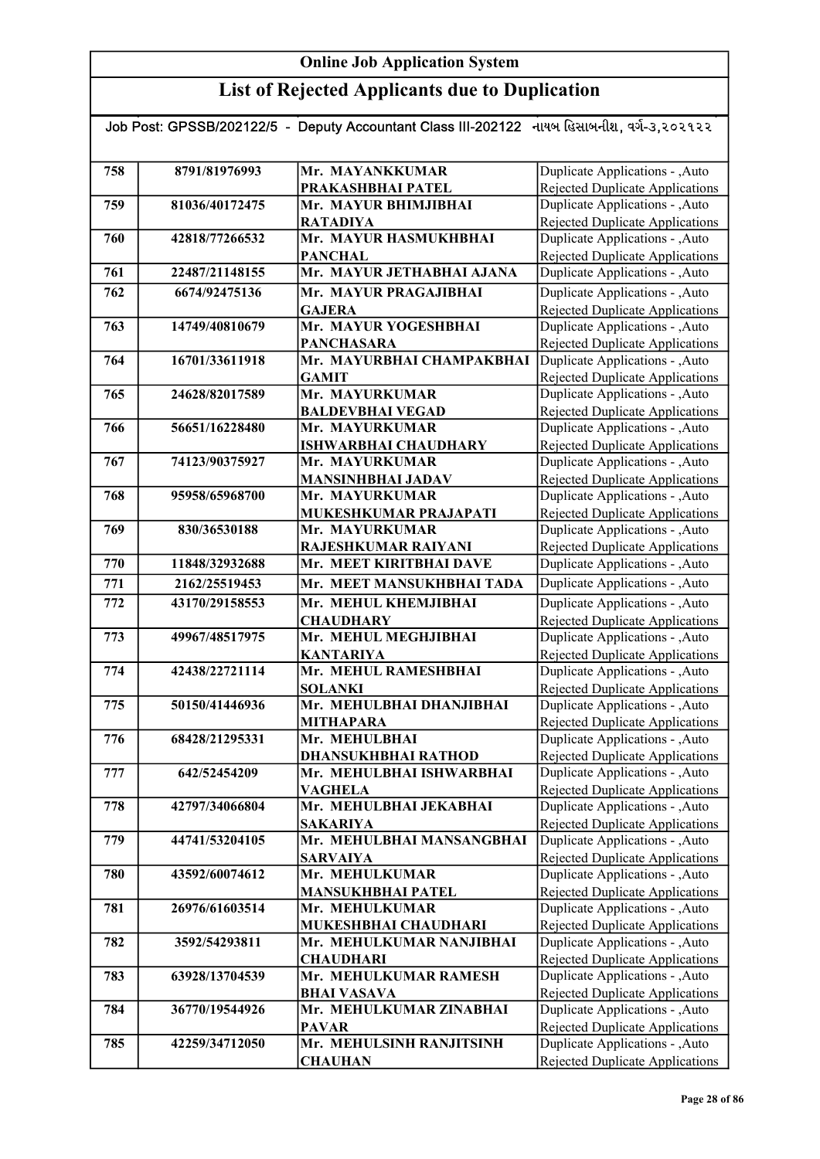| Job Post: GPSSB/202122/5 - Deputy Accountant Class III-202122 નાયબ હિસાબનીશ, વર્ગ-૩,૨૦૨૧૨૨ |                |                                               |                                                                    |  |
|--------------------------------------------------------------------------------------------|----------------|-----------------------------------------------|--------------------------------------------------------------------|--|
|                                                                                            |                |                                               |                                                                    |  |
| 758                                                                                        | 8791/81976993  | Mr. MAYANKKUMAR                               | Duplicate Applications - , Auto                                    |  |
|                                                                                            |                | PRAKASHBHAI PATEL                             | Rejected Duplicate Applications                                    |  |
| 759                                                                                        | 81036/40172475 | Mr. MAYUR BHIMJIBHAI                          | Duplicate Applications - , Auto                                    |  |
|                                                                                            |                | <b>RATADIYA</b>                               | Rejected Duplicate Applications                                    |  |
| 760                                                                                        | 42818/77266532 | Mr. MAYUR HASMUKHBHAI                         | Duplicate Applications - , Auto                                    |  |
|                                                                                            |                | <b>PANCHAL</b>                                | Rejected Duplicate Applications                                    |  |
| 761                                                                                        | 22487/21148155 | Mr. MAYUR JETHABHAI AJANA                     | Duplicate Applications - , Auto                                    |  |
| 762                                                                                        | 6674/92475136  | Mr. MAYUR PRAGAJIBHAI                         | Duplicate Applications - , Auto                                    |  |
|                                                                                            |                | <b>GAJERA</b>                                 | <b>Rejected Duplicate Applications</b>                             |  |
| 763                                                                                        | 14749/40810679 | Mr. MAYUR YOGESHBHAI                          | Duplicate Applications - , Auto                                    |  |
|                                                                                            |                | <b>PANCHASARA</b>                             | Rejected Duplicate Applications                                    |  |
| 764                                                                                        | 16701/33611918 | Mr. MAYURBHAI CHAMPAKBHAI                     | Duplicate Applications - , Auto                                    |  |
|                                                                                            |                | <b>GAMIT</b>                                  | Rejected Duplicate Applications                                    |  |
| 765                                                                                        | 24628/82017589 | Mr. MAYURKUMAR                                | Duplicate Applications - ,Auto                                     |  |
|                                                                                            | 56651/16228480 | <b>BALDEVBHAI VEGAD</b>                       | Rejected Duplicate Applications                                    |  |
| 766                                                                                        |                | Mr. MAYURKUMAR                                | Duplicate Applications - , Auto                                    |  |
| 767                                                                                        | 74123/90375927 | <b>ISHWARBHAI CHAUDHARY</b><br>Mr. MAYURKUMAR | Rejected Duplicate Applications<br>Duplicate Applications - , Auto |  |
|                                                                                            |                | <b>MANSINHBHAI JADAV</b>                      | Rejected Duplicate Applications                                    |  |
| 768                                                                                        | 95958/65968700 | Mr. MAYURKUMAR                                | Duplicate Applications - , Auto                                    |  |
|                                                                                            |                | MUKESHKUMAR PRAJAPATI                         | Rejected Duplicate Applications                                    |  |
| 769                                                                                        | 830/36530188   | Mr. MAYURKUMAR                                | Duplicate Applications - , Auto                                    |  |
|                                                                                            |                | RAJESHKUMAR RAIYANI                           | Rejected Duplicate Applications                                    |  |
| 770                                                                                        | 11848/32932688 | Mr. MEET KIRITBHAI DAVE                       | Duplicate Applications - , Auto                                    |  |
| 771                                                                                        | 2162/25519453  | Mr. MEET MANSUKHBHAI TADA                     | Duplicate Applications - , Auto                                    |  |
| 772                                                                                        | 43170/29158553 | Mr. MEHUL KHEMJIBHAI                          | Duplicate Applications - , Auto                                    |  |
|                                                                                            |                | <b>CHAUDHARY</b>                              | Rejected Duplicate Applications                                    |  |
| 773                                                                                        | 49967/48517975 | Mr. MEHUL MEGHJIBHAI                          | Duplicate Applications - , Auto                                    |  |
|                                                                                            |                | <b>KANTARIYA</b>                              | Rejected Duplicate Applications                                    |  |
| 774                                                                                        | 42438/22721114 | Mr. MEHUL RAMESHBHAI                          | Duplicate Applications - ,Auto                                     |  |
|                                                                                            |                | <b>SOLANKI</b>                                | Rejected Duplicate Applications                                    |  |
| 775                                                                                        | 50150/41446936 | Mr. MEHULBHAI DHANJIBHAI                      | Duplicate Applications - , Auto                                    |  |
|                                                                                            |                | <b>MITHAPARA</b>                              | Rejected Duplicate Applications                                    |  |
| 776                                                                                        | 68428/21295331 | Mr. MEHULBHAI<br><b>DHANSUKHBHAI RATHOD</b>   | Duplicate Applications - , Auto<br>Rejected Duplicate Applications |  |
| 777                                                                                        | 642/52454209   | Mr. MEHULBHAI ISHWARBHAI                      | Duplicate Applications - , Auto                                    |  |
|                                                                                            |                | <b>VAGHELA</b>                                | Rejected Duplicate Applications                                    |  |
| 778                                                                                        | 42797/34066804 | Mr. MEHULBHAI JEKABHAI                        | Duplicate Applications - , Auto                                    |  |
|                                                                                            |                | <b>SAKARIYA</b>                               | <b>Rejected Duplicate Applications</b>                             |  |
| 779                                                                                        | 44741/53204105 | Mr. MEHULBHAI MANSANGBHAI                     | Duplicate Applications - , Auto                                    |  |
|                                                                                            |                | <b>SARVAIYA</b>                               | Rejected Duplicate Applications                                    |  |
| 780                                                                                        | 43592/60074612 | Mr. MEHULKUMAR                                | Duplicate Applications - , Auto                                    |  |
|                                                                                            |                | <b>MANSUKHBHAI PATEL</b>                      | Rejected Duplicate Applications                                    |  |
| 781                                                                                        | 26976/61603514 | Mr. MEHULKUMAR                                | Duplicate Applications - , Auto                                    |  |
|                                                                                            |                | MUKESHBHAI CHAUDHARI                          | Rejected Duplicate Applications                                    |  |
| 782                                                                                        | 3592/54293811  | Mr. MEHULKUMAR NANJIBHAI                      | Duplicate Applications - , Auto                                    |  |
| 783                                                                                        | 63928/13704539 | <b>CHAUDHARI</b><br>Mr. MEHULKUMAR RAMESH     | Rejected Duplicate Applications<br>Duplicate Applications - , Auto |  |
|                                                                                            |                | <b>BHAI VASAVA</b>                            | Rejected Duplicate Applications                                    |  |
| 784                                                                                        | 36770/19544926 | Mr. MEHULKUMAR ZINABHAI                       | Duplicate Applications - , Auto                                    |  |
|                                                                                            |                | <b>PAVAR</b>                                  | Rejected Duplicate Applications                                    |  |
| 785                                                                                        | 42259/34712050 | Mr. MEHULSINH RANJITSINH                      | Duplicate Applications - , Auto                                    |  |
|                                                                                            |                | <b>CHAUHAN</b>                                | Rejected Duplicate Applications                                    |  |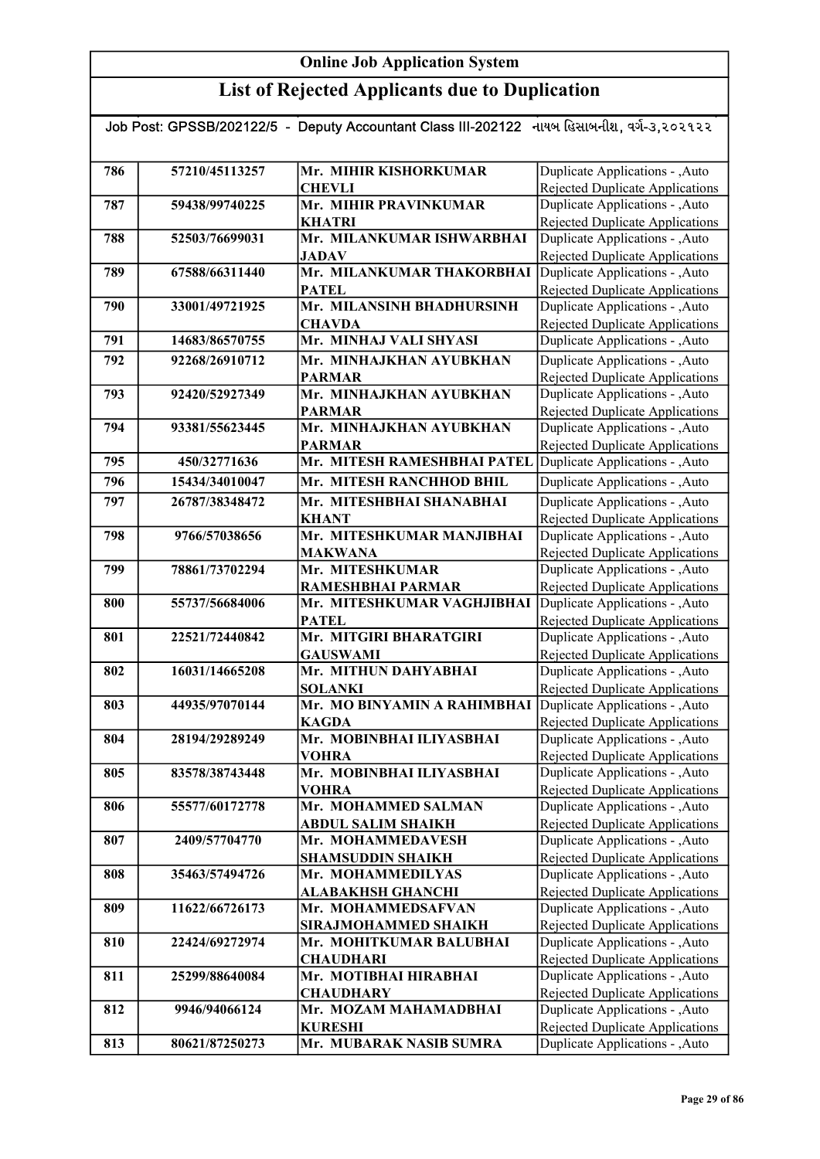## List of Rejected Applicants due to Duplication

| Job Post: GPSSB/202122/5 - Deputy Accountant Class III-202122 નાયબ હિસાબનીશ, વર્ગ-૩,૨૦૨૧૨૨ |                |                                                            |                                        |  |
|--------------------------------------------------------------------------------------------|----------------|------------------------------------------------------------|----------------------------------------|--|
|                                                                                            |                |                                                            |                                        |  |
|                                                                                            |                |                                                            |                                        |  |
| 786                                                                                        | 57210/45113257 | Mr. MIHIR KISHORKUMAR                                      | Duplicate Applications - , Auto        |  |
|                                                                                            |                | <b>CHEVLI</b>                                              | Rejected Duplicate Applications        |  |
| 787                                                                                        | 59438/99740225 | Mr. MIHIR PRAVINKUMAR                                      | Duplicate Applications - , Auto        |  |
|                                                                                            |                | <b>KHATRI</b>                                              | <b>Rejected Duplicate Applications</b> |  |
| 788                                                                                        | 52503/76699031 | Mr. MILANKUMAR ISHWARBHAI                                  | Duplicate Applications - , Auto        |  |
|                                                                                            |                | <b>JADAV</b>                                               | <b>Rejected Duplicate Applications</b> |  |
| 789                                                                                        | 67588/66311440 | Mr. MILANKUMAR THAKORBHAI                                  | Duplicate Applications - , Auto        |  |
|                                                                                            |                | <b>PATEL</b>                                               | Rejected Duplicate Applications        |  |
| 790                                                                                        | 33001/49721925 | Mr. MILANSINH BHADHURSINH                                  | Duplicate Applications - , Auto        |  |
|                                                                                            |                | <b>CHAVDA</b>                                              | <b>Rejected Duplicate Applications</b> |  |
| 791                                                                                        | 14683/86570755 | Mr. MINHAJ VALI SHYASI                                     | Duplicate Applications - , Auto        |  |
| 792                                                                                        | 92268/26910712 | Mr. MINHAJKHAN AYUBKHAN                                    | Duplicate Applications - , Auto        |  |
|                                                                                            |                | <b>PARMAR</b>                                              | Rejected Duplicate Applications        |  |
| 793                                                                                        | 92420/52927349 | Mr. MINHAJKHAN AYUBKHAN                                    | Duplicate Applications - , Auto        |  |
|                                                                                            |                | <b>PARMAR</b>                                              | Rejected Duplicate Applications        |  |
| 794                                                                                        | 93381/55623445 | Mr. MINHAJKHAN AYUBKHAN                                    | Duplicate Applications - ,Auto         |  |
|                                                                                            |                | <b>PARMAR</b>                                              | <b>Rejected Duplicate Applications</b> |  |
| 795                                                                                        | 450/32771636   | Mr. MITESH RAMESHBHAI PATEL                                | Duplicate Applications - , Auto        |  |
|                                                                                            |                |                                                            |                                        |  |
| 796                                                                                        | 15434/34010047 | Mr. MITESH RANCHHOD BHIL                                   | Duplicate Applications - , Auto        |  |
| 797                                                                                        | 26787/38348472 | Mr. MITESHBHAI SHANABHAI                                   | Duplicate Applications - , Auto        |  |
|                                                                                            |                | <b>KHANT</b>                                               | Rejected Duplicate Applications        |  |
| 798                                                                                        | 9766/57038656  | Mr. MITESHKUMAR MANJIBHAI                                  | Duplicate Applications - , Auto        |  |
|                                                                                            |                | <b>MAKWANA</b>                                             | <b>Rejected Duplicate Applications</b> |  |
| 799                                                                                        | 78861/73702294 | Mr. MITESHKUMAR                                            | Duplicate Applications - , Auto        |  |
|                                                                                            |                | RAMESHBHAI PARMAR                                          | <b>Rejected Duplicate Applications</b> |  |
| 800                                                                                        | 55737/56684006 | Mr. MITESHKUMAR VAGHJIBHAI Duplicate Applications - , Auto |                                        |  |
|                                                                                            |                | <b>PATEL</b>                                               | <b>Rejected Duplicate Applications</b> |  |
| 801                                                                                        | 22521/72440842 | Mr. MITGIRI BHARATGIRI                                     | Duplicate Applications - , Auto        |  |
|                                                                                            |                | <b>GAUSWAMI</b>                                            | <b>Rejected Duplicate Applications</b> |  |
| 802                                                                                        | 16031/14665208 | Mr. MITHUN DAHYABHAI                                       | Duplicate Applications - , Auto        |  |
|                                                                                            |                | <b>SOLANKI</b>                                             | Rejected Duplicate Applications        |  |
| 803                                                                                        | 44935/97070144 | Mr. MO BINYAMIN A RAHIMBHAI                                | Duplicate Applications - , Auto        |  |
|                                                                                            |                | <b>KAGDA</b>                                               | Rejected Duplicate Applications        |  |
| 804                                                                                        | 28194/29289249 | Mr. MOBINBHAI ILIYASBHAI                                   | Duplicate Applications - , Auto        |  |
|                                                                                            |                | <b>VOHRA</b>                                               | Rejected Duplicate Applications        |  |
| 805                                                                                        | 83578/38743448 | Mr. MOBINBHAI ILIYASBHAI                                   | Duplicate Applications - , Auto        |  |
|                                                                                            |                | <b>VOHRA</b>                                               | Rejected Duplicate Applications        |  |
| 806                                                                                        | 55577/60172778 | Mr. MOHAMMED SALMAN                                        | Duplicate Applications - , Auto        |  |
|                                                                                            |                | <b>ABDUL SALIM SHAIKH</b>                                  | Rejected Duplicate Applications        |  |
| 807                                                                                        | 2409/57704770  | Mr. MOHAMMEDAVESH                                          | Duplicate Applications - , Auto        |  |
|                                                                                            |                | <b>SHAMSUDDIN SHAIKH</b>                                   | <b>Rejected Duplicate Applications</b> |  |
| 808                                                                                        | 35463/57494726 | Mr. MOHAMMEDILYAS                                          | Duplicate Applications - , Auto        |  |
|                                                                                            |                | <b>ALABAKHSH GHANCHI</b>                                   | Rejected Duplicate Applications        |  |
| 809                                                                                        | 11622/66726173 | Mr. MOHAMMEDSAFVAN                                         | Duplicate Applications - , Auto        |  |
|                                                                                            |                | <b>SIRAJMOHAMMED SHAIKH</b>                                | <b>Rejected Duplicate Applications</b> |  |
| 810                                                                                        | 22424/69272974 | Mr. MOHITKUMAR BALUBHAI                                    | Duplicate Applications - , Auto        |  |
|                                                                                            |                | <b>CHAUDHARI</b>                                           | Rejected Duplicate Applications        |  |
| 811                                                                                        | 25299/88640084 | Mr. MOTIBHAI HIRABHAI                                      | Duplicate Applications - , Auto        |  |
|                                                                                            |                | <b>CHAUDHARY</b>                                           | Rejected Duplicate Applications        |  |
| 812                                                                                        | 9946/94066124  | Mr. MOZAM MAHAMADBHAI                                      | Duplicate Applications - , Auto        |  |
|                                                                                            |                | <b>KURESHI</b>                                             | Rejected Duplicate Applications        |  |
| 813                                                                                        | 80621/87250273 | Mr. MUBARAK NASIB SUMRA                                    | Duplicate Applications - ,Auto         |  |

Rejected Duplicate Applications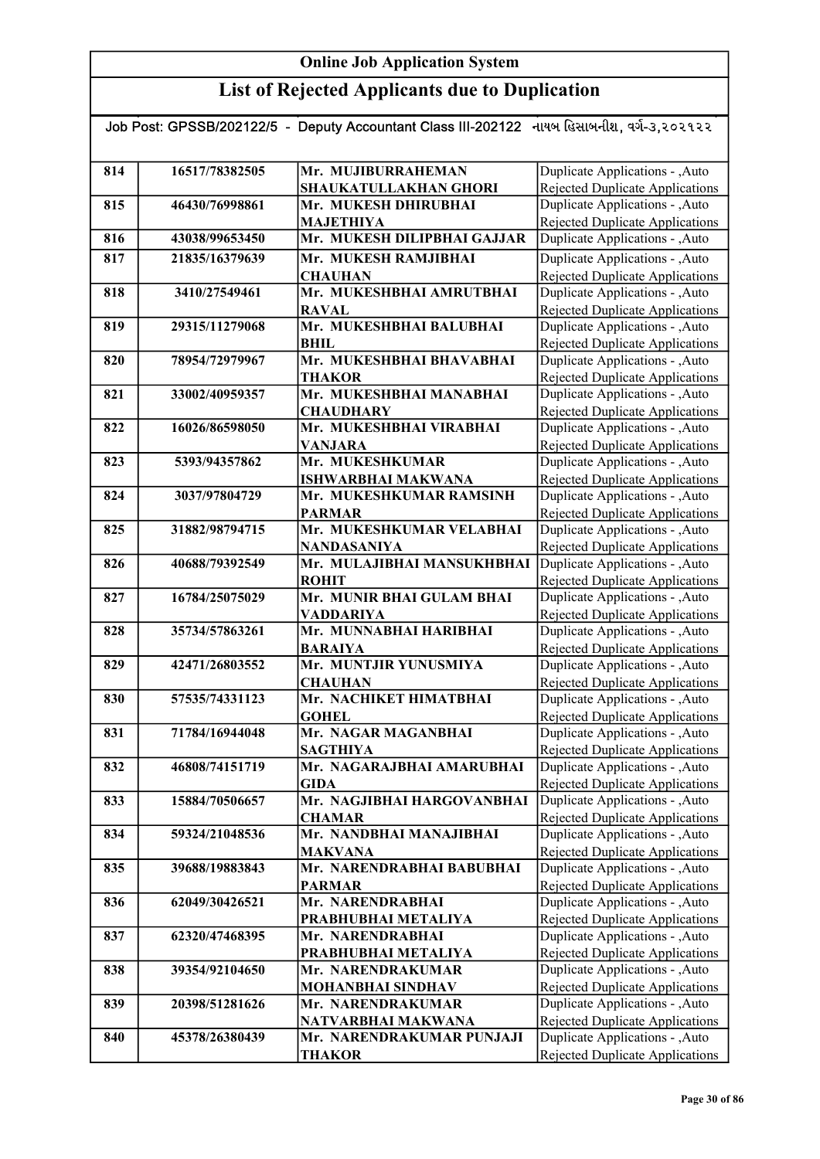| Job Post: GPSSB/202122/5 - Deputy Accountant Class III-202122 નાયબ હિસાબનીશ, વર્ગ-૩,૨૦૨૧૨૨ |                |                                            |                                                                    |  |
|--------------------------------------------------------------------------------------------|----------------|--------------------------------------------|--------------------------------------------------------------------|--|
|                                                                                            |                |                                            |                                                                    |  |
| 814                                                                                        | 16517/78382505 | Mr. MUJIBURRAHEMAN                         | Duplicate Applications - , Auto                                    |  |
|                                                                                            |                | SHAUKATULLAKHAN GHORI                      | Rejected Duplicate Applications                                    |  |
| 815                                                                                        | 46430/76998861 | Mr. MUKESH DHIRUBHAI                       | Duplicate Applications - , Auto                                    |  |
|                                                                                            |                | <b>MAJETHIYA</b>                           | <b>Rejected Duplicate Applications</b>                             |  |
| 816                                                                                        | 43038/99653450 | Mr. MUKESH DILIPBHAI GAJJAR                | Duplicate Applications - , Auto                                    |  |
| 817                                                                                        | 21835/16379639 | Mr. MUKESH RAMJIBHAI                       | Duplicate Applications - , Auto                                    |  |
|                                                                                            |                | <b>CHAUHAN</b>                             | Rejected Duplicate Applications                                    |  |
| 818                                                                                        | 3410/27549461  | Mr. MUKESHBHAI AMRUTBHAI                   | Duplicate Applications - , Auto                                    |  |
|                                                                                            |                | <b>RAVAL</b>                               | <b>Rejected Duplicate Applications</b>                             |  |
| 819                                                                                        | 29315/11279068 | Mr. MUKESHBHAI BALUBHAI                    | Duplicate Applications - , Auto                                    |  |
|                                                                                            |                | BHIL                                       | Rejected Duplicate Applications                                    |  |
| 820                                                                                        | 78954/72979967 | Mr. MUKESHBHAI BHAVABHAI                   | Duplicate Applications - , Auto                                    |  |
|                                                                                            |                | <b>THAKOR</b>                              | <b>Rejected Duplicate Applications</b>                             |  |
| 821                                                                                        | 33002/40959357 | Mr. MUKESHBHAI MANABHAI                    | Duplicate Applications - , Auto                                    |  |
|                                                                                            |                | <b>CHAUDHARY</b>                           | Rejected Duplicate Applications                                    |  |
| 822                                                                                        | 16026/86598050 | Mr. MUKESHBHAI VIRABHAI                    | Duplicate Applications - , Auto                                    |  |
|                                                                                            |                | <b>VANJARA</b>                             | Rejected Duplicate Applications                                    |  |
| 823                                                                                        | 5393/94357862  | Mr. MUKESHKUMAR                            | Duplicate Applications - , Auto                                    |  |
|                                                                                            |                | <b>ISHWARBHAI MAKWANA</b>                  | Rejected Duplicate Applications                                    |  |
| 824                                                                                        | 3037/97804729  | Mr. MUKESHKUMAR RAMSINH                    | Duplicate Applications - , Auto                                    |  |
|                                                                                            |                | <b>PARMAR</b>                              | <b>Rejected Duplicate Applications</b>                             |  |
| 825                                                                                        | 31882/98794715 | Mr. MUKESHKUMAR VELABHAI                   | Duplicate Applications - , Auto                                    |  |
|                                                                                            |                | NANDASANIYA                                | Rejected Duplicate Applications                                    |  |
| 826                                                                                        | 40688/79392549 | Mr. MULAJIBHAI MANSUKHBHAI                 | Duplicate Applications - , Auto                                    |  |
|                                                                                            |                | <b>ROHIT</b>                               | <b>Rejected Duplicate Applications</b>                             |  |
| 827                                                                                        | 16784/25075029 | Mr. MUNIR BHAI GULAM BHAI                  | Duplicate Applications - , Auto                                    |  |
| 828                                                                                        | 35734/57863261 | <b>VADDARIYA</b><br>Mr. MUNNABHAI HARIBHAI | Rejected Duplicate Applications<br>Duplicate Applications - , Auto |  |
|                                                                                            |                | <b>BARAIYA</b>                             | <b>Rejected Duplicate Applications</b>                             |  |
| 829                                                                                        | 42471/26803552 | Mr. MUNTJIR YUNUSMIYA                      | Duplicate Applications - , Auto                                    |  |
|                                                                                            |                | <b>CHAUHAN</b>                             | Rejected Duplicate Applications                                    |  |
| 830                                                                                        | 57535/74331123 | Mr. NACHIKET HIMATBHAI                     | Duplicate Applications - , Auto                                    |  |
|                                                                                            |                | <b>GOHEL</b>                               | <b>Rejected Duplicate Applications</b>                             |  |
| 831                                                                                        | 71784/16944048 | Mr. NAGAR MAGANBHAI                        | Duplicate Applications - , Auto                                    |  |
|                                                                                            |                | <b>SAGTHIYA</b>                            | Rejected Duplicate Applications                                    |  |
| 832                                                                                        | 46808/74151719 | Mr. NAGARAJBHAI AMARUBHAI                  | Duplicate Applications - , Auto                                    |  |
|                                                                                            |                | <b>GIDA</b>                                | Rejected Duplicate Applications                                    |  |
| 833                                                                                        | 15884/70506657 | Mr. NAGJIBHAI HARGOVANBHAI                 | Duplicate Applications - , Auto                                    |  |
|                                                                                            |                | <b>CHAMAR</b>                              | Rejected Duplicate Applications                                    |  |
| 834                                                                                        | 59324/21048536 | Mr. NANDBHAI MANAJIBHAI                    | Duplicate Applications - , Auto                                    |  |
|                                                                                            |                | <b>MAKVANA</b>                             | Rejected Duplicate Applications                                    |  |
| 835                                                                                        | 39688/19883843 | Mr. NARENDRABHAI BABUBHAI                  | Duplicate Applications - , Auto                                    |  |
|                                                                                            |                | <b>PARMAR</b>                              | Rejected Duplicate Applications                                    |  |
| 836                                                                                        | 62049/30426521 | Mr. NARENDRABHAI                           | Duplicate Applications - , Auto                                    |  |
|                                                                                            |                | PRABHUBHAI METALIYA                        | Rejected Duplicate Applications                                    |  |
| 837                                                                                        | 62320/47468395 | Mr. NARENDRABHAI                           | Duplicate Applications - , Auto                                    |  |
|                                                                                            |                | PRABHUBHAI METALIYA                        | Rejected Duplicate Applications                                    |  |
| 838                                                                                        | 39354/92104650 | Mr. NARENDRAKUMAR                          | Duplicate Applications - , Auto<br>Rejected Duplicate Applications |  |
| 839                                                                                        | 20398/51281626 | MOHANBHAI SINDHAV<br>Mr. NARENDRAKUMAR     | Duplicate Applications - , Auto                                    |  |
|                                                                                            |                | NATVARBHAI MAKWANA                         | Rejected Duplicate Applications                                    |  |
| 840                                                                                        | 45378/26380439 | Mr. NARENDRAKUMAR PUNJAJI                  | Duplicate Applications - , Auto                                    |  |
|                                                                                            |                | <b>THAKOR</b>                              | <b>Rejected Duplicate Applications</b>                             |  |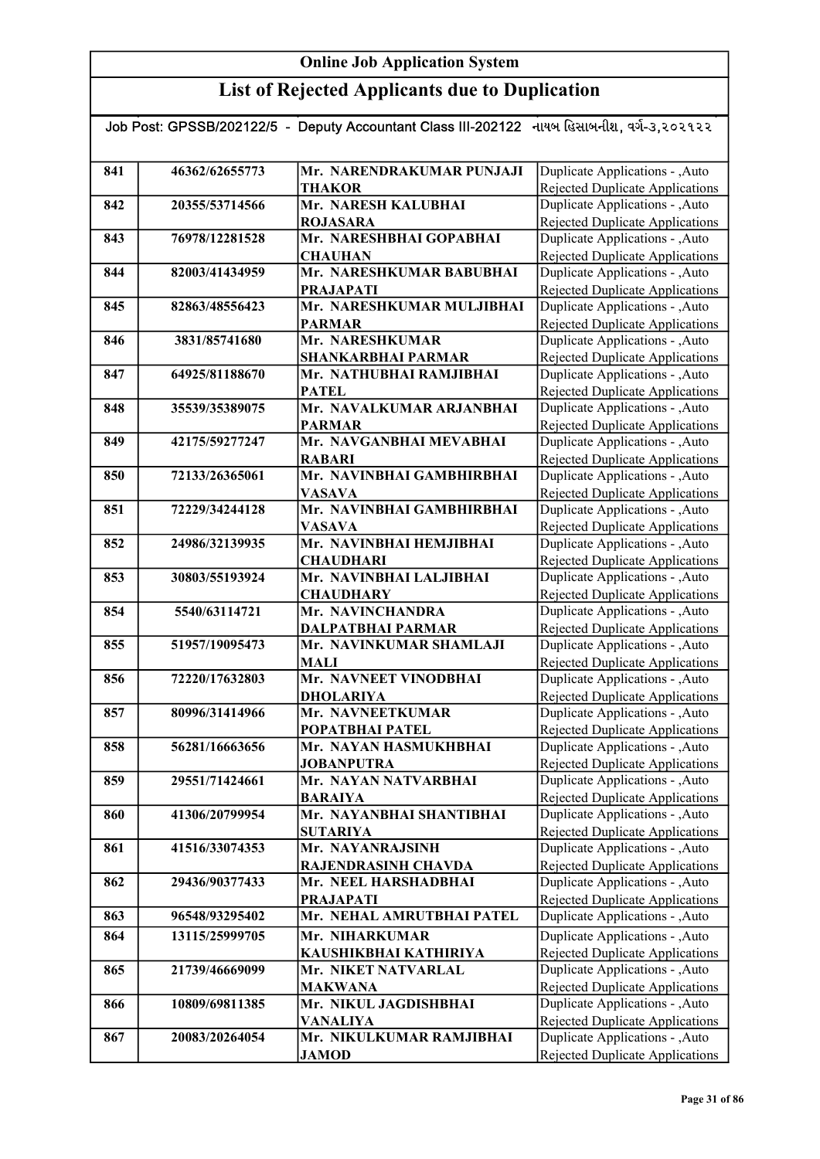| Job Post: GPSSB/202122/5 - Deputy Accountant Class III-202122 નાયબ હિસાબનીશ, વર્ગ-૩,૨૦૨૧૨૨ |                |                           |                                        |  |
|--------------------------------------------------------------------------------------------|----------------|---------------------------|----------------------------------------|--|
|                                                                                            |                |                           |                                        |  |
|                                                                                            |                |                           |                                        |  |
| 841                                                                                        | 46362/62655773 | Mr. NARENDRAKUMAR PUNJAJI | Duplicate Applications - , Auto        |  |
|                                                                                            |                | <b>THAKOR</b>             | Rejected Duplicate Applications        |  |
| 842                                                                                        | 20355/53714566 | Mr. NARESH KALUBHAI       | Duplicate Applications - , Auto        |  |
|                                                                                            |                | <b>ROJASARA</b>           | Rejected Duplicate Applications        |  |
| 843                                                                                        | 76978/12281528 | Mr. NARESHBHAI GOPABHAI   | Duplicate Applications - , Auto        |  |
|                                                                                            |                | <b>CHAUHAN</b>            | <b>Rejected Duplicate Applications</b> |  |
| 844                                                                                        | 82003/41434959 | Mr. NARESHKUMAR BABUBHAI  | Duplicate Applications - , Auto        |  |
|                                                                                            |                | <b>PRAJAPATI</b>          | <b>Rejected Duplicate Applications</b> |  |
| 845                                                                                        | 82863/48556423 | Mr. NARESHKUMAR MULJIBHAI | Duplicate Applications - , Auto        |  |
|                                                                                            |                | <b>PARMAR</b>             | <b>Rejected Duplicate Applications</b> |  |
| 846                                                                                        | 3831/85741680  | Mr. NARESHKUMAR           | Duplicate Applications - , Auto        |  |
|                                                                                            |                | <b>SHANKARBHAI PARMAR</b> | Rejected Duplicate Applications        |  |
| 847                                                                                        | 64925/81188670 | Mr. NATHUBHAI RAMJIBHAI   | Duplicate Applications - , Auto        |  |
|                                                                                            |                | <b>PATEL</b>              | <b>Rejected Duplicate Applications</b> |  |
| 848                                                                                        | 35539/35389075 | Mr. NAVALKUMAR ARJANBHAI  | Duplicate Applications - , Auto        |  |
|                                                                                            |                | <b>PARMAR</b>             | Rejected Duplicate Applications        |  |
| 849                                                                                        | 42175/59277247 | Mr. NAVGANBHAI MEVABHAI   | Duplicate Applications - , Auto        |  |
|                                                                                            |                | <b>RABARI</b>             | Rejected Duplicate Applications        |  |
| 850                                                                                        | 72133/26365061 | Mr. NAVINBHAI GAMBHIRBHAI | Duplicate Applications - , Auto        |  |
|                                                                                            |                | <b>VASAVA</b>             | Rejected Duplicate Applications        |  |
| 851                                                                                        | 72229/34244128 | Mr. NAVINBHAI GAMBHIRBHAI | Duplicate Applications - , Auto        |  |
|                                                                                            |                | <b>VASAVA</b>             | Rejected Duplicate Applications        |  |
| 852                                                                                        | 24986/32139935 | Mr. NAVINBHAI HEMJIBHAI   | Duplicate Applications - , Auto        |  |
|                                                                                            |                | <b>CHAUDHARI</b>          | Rejected Duplicate Applications        |  |
| 853                                                                                        | 30803/55193924 | Mr. NAVINBHAI LALJIBHAI   | Duplicate Applications - , Auto        |  |
|                                                                                            |                | <b>CHAUDHARY</b>          | Rejected Duplicate Applications        |  |
| 854                                                                                        | 5540/63114721  | Mr. NAVINCHANDRA          | Duplicate Applications - , Auto        |  |
|                                                                                            |                | DALPATBHAI PARMAR         | <b>Rejected Duplicate Applications</b> |  |
| 855                                                                                        | 51957/19095473 | Mr. NAVINKUMAR SHAMLAJI   | Duplicate Applications - , Auto        |  |
|                                                                                            |                | <b>MALI</b>               | <b>Rejected Duplicate Applications</b> |  |
| 856                                                                                        | 72220/17632803 | Mr. NAVNEET VINODBHAI     | Duplicate Applications - , Auto        |  |
|                                                                                            |                | <b>DHOLARIYA</b>          | Rejected Duplicate Applications        |  |
| 857                                                                                        | 80996/31414966 | Mr. NAVNEETKUMAR          | Duplicate Applications - , Auto        |  |
|                                                                                            |                | POPATBHAI PATEL           | Rejected Duplicate Applications        |  |
| 858                                                                                        | 56281/16663656 | Mr. NAYAN HASMUKHBHAI     | Duplicate Applications - , Auto        |  |
|                                                                                            |                | <b>JOBANPUTRA</b>         | Rejected Duplicate Applications        |  |
| 859                                                                                        | 29551/71424661 | Mr. NAYAN NATVARBHAI      | Duplicate Applications - , Auto        |  |
|                                                                                            |                | <b>BARAIYA</b>            | Rejected Duplicate Applications        |  |
| 860                                                                                        | 41306/20799954 | Mr. NAYANBHAI SHANTIBHAI  | Duplicate Applications - , Auto        |  |
|                                                                                            |                | <b>SUTARIYA</b>           | <b>Rejected Duplicate Applications</b> |  |
| 861                                                                                        | 41516/33074353 | Mr. NAYANRAJSINH          | Duplicate Applications - , Auto        |  |
|                                                                                            |                | RAJENDRASINH CHAVDA       | <b>Rejected Duplicate Applications</b> |  |
| 862                                                                                        | 29436/90377433 | Mr. NEEL HARSHADBHAI      | Duplicate Applications - , Auto        |  |
|                                                                                            |                | <b>PRAJAPATI</b>          | Rejected Duplicate Applications        |  |
| 863                                                                                        | 96548/93295402 | Mr. NEHAL AMRUTBHAI PATEL | Duplicate Applications - , Auto        |  |
| 864                                                                                        | 13115/25999705 | Mr. NIHARKUMAR            | Duplicate Applications - , Auto        |  |
|                                                                                            |                | KAUSHIKBHAI KATHIRIYA     | <b>Rejected Duplicate Applications</b> |  |
| 865                                                                                        | 21739/46669099 | Mr. NIKET NATVARLAL       | Duplicate Applications - , Auto        |  |
|                                                                                            |                | <b>MAKWANA</b>            | Rejected Duplicate Applications        |  |
| 866                                                                                        | 10809/69811385 | Mr. NIKUL JAGDISHBHAI     | Duplicate Applications - , Auto        |  |
|                                                                                            |                | <b>VANALIYA</b>           | <b>Rejected Duplicate Applications</b> |  |
| 867                                                                                        | 20083/20264054 | Mr. NIKULKUMAR RAMJIBHAI  | Duplicate Applications - , Auto        |  |
|                                                                                            |                | <b>JAMOD</b>              | Rejected Duplicate Applications        |  |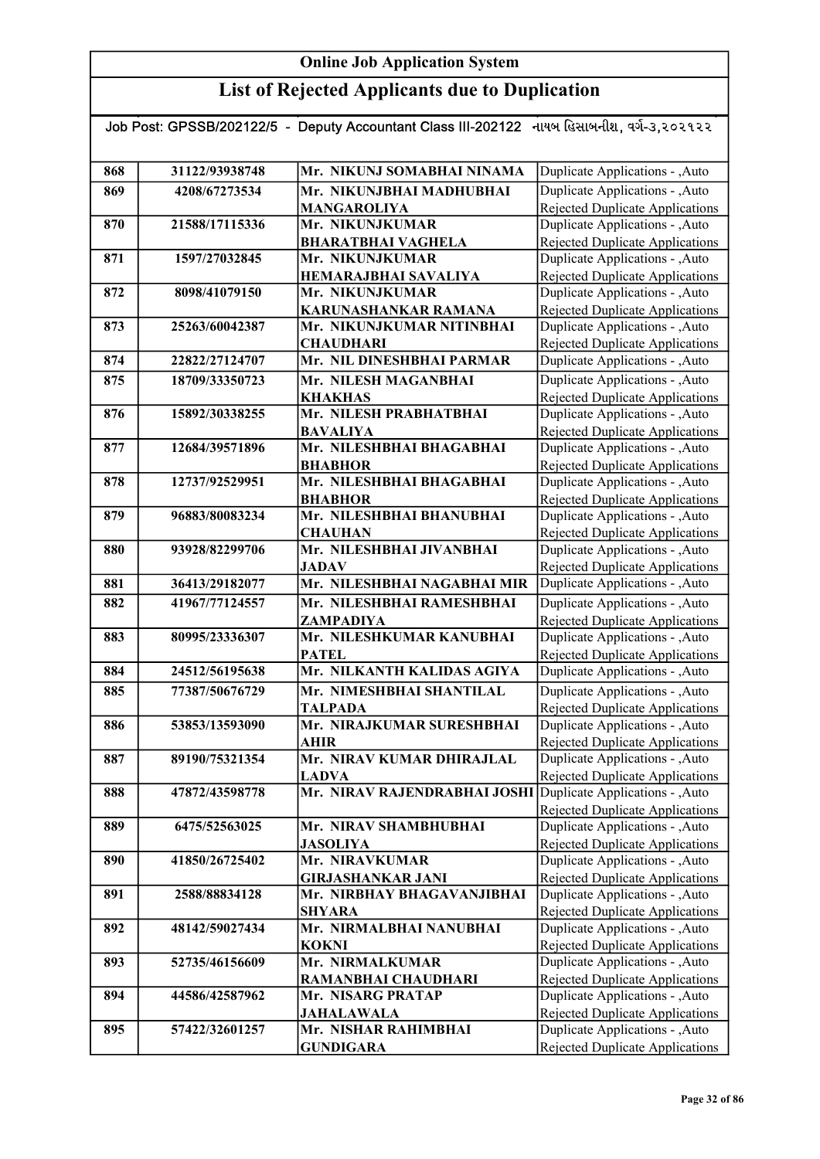| Job Post: GPSSB/202122/5 - Deputy Accountant Class III-202122 નાયબ હિસાબનીશ, વર્ગ-૩,૨૦૨૧૨૨ |                |                                                        |                                                                    |
|--------------------------------------------------------------------------------------------|----------------|--------------------------------------------------------|--------------------------------------------------------------------|
| 868                                                                                        | 31122/93938748 | Mr. NIKUNJ SOMABHAI NINAMA                             | Duplicate Applications - , Auto                                    |
| 869                                                                                        | 4208/67273534  | Mr. NIKUNJBHAI MADHUBHAI                               | Duplicate Applications - , Auto                                    |
|                                                                                            |                | <b>MANGAROLIYA</b>                                     | <b>Rejected Duplicate Applications</b>                             |
| 870                                                                                        | 21588/17115336 | Mr. NIKUNJKUMAR                                        | Duplicate Applications - , Auto                                    |
|                                                                                            |                | <b>BHARATBHAI VAGHELA</b>                              | Rejected Duplicate Applications                                    |
| 871                                                                                        | 1597/27032845  | Mr. NIKUNJKUMAR                                        | Duplicate Applications - , Auto                                    |
|                                                                                            |                | <b>HEMARAJBHAI SAVALIYA</b>                            | Rejected Duplicate Applications                                    |
| 872                                                                                        | 8098/41079150  | Mr. NIKUNJKUMAR                                        | Duplicate Applications - , Auto                                    |
|                                                                                            |                | KARUNASHANKAR RAMANA                                   | Rejected Duplicate Applications                                    |
| 873                                                                                        | 25263/60042387 | Mr. NIKUNJKUMAR NITINBHAI                              | Duplicate Applications - , Auto                                    |
|                                                                                            |                | <b>CHAUDHARI</b>                                       | Rejected Duplicate Applications                                    |
| 874                                                                                        | 22822/27124707 | Mr. NIL DINESHBHAI PARMAR                              | Duplicate Applications - ,Auto                                     |
| 875                                                                                        | 18709/33350723 | Mr. NILESH MAGANBHAI                                   | Duplicate Applications - , Auto                                    |
|                                                                                            |                | <b>KHAKHAS</b>                                         | <b>Rejected Duplicate Applications</b>                             |
| 876                                                                                        | 15892/30338255 | Mr. NILESH PRABHATBHAI                                 | Duplicate Applications - , Auto                                    |
|                                                                                            |                | <b>BAVALIYA</b>                                        | Rejected Duplicate Applications                                    |
| 877                                                                                        | 12684/39571896 | Mr. NILESHBHAI BHAGABHAI                               | Duplicate Applications - ,Auto                                     |
|                                                                                            |                | <b>BHABHOR</b><br>Mr. NILESHBHAI BHAGABHAI             | Rejected Duplicate Applications                                    |
| 878                                                                                        | 12737/92529951 | <b>BHABHOR</b>                                         | Duplicate Applications - , Auto<br>Rejected Duplicate Applications |
| 879                                                                                        | 96883/80083234 | Mr. NILESHBHAI BHANUBHAI                               | Duplicate Applications - , Auto                                    |
|                                                                                            |                | <b>CHAUHAN</b>                                         | Rejected Duplicate Applications                                    |
| 880                                                                                        | 93928/82299706 | Mr. NILESHBHAI JIVANBHAI                               | Duplicate Applications - , Auto                                    |
|                                                                                            |                | <b>JADAV</b>                                           | <b>Rejected Duplicate Applications</b>                             |
| 881                                                                                        | 36413/29182077 | Mr. NILESHBHAI NAGABHAI MIR                            | Duplicate Applications - , Auto                                    |
| 882                                                                                        | 41967/77124557 | Mr. NILESHBHAI RAMESHBHAI                              | Duplicate Applications - , Auto                                    |
|                                                                                            |                | ZAMPADIYA                                              | Rejected Duplicate Applications                                    |
| 883                                                                                        | 80995/23336307 | Mr. NILESHKUMAR KANUBHAI                               | Duplicate Applications - , Auto                                    |
|                                                                                            |                | <b>PATEL</b>                                           | Rejected Duplicate Applications                                    |
| 884                                                                                        | 24512/56195638 | Mr. NILKANTH KALIDAS AGIYA                             | Duplicate Applications - , Auto                                    |
| 885                                                                                        | 77387/50676729 | Mr. NIMESHBHAI SHANTILAL                               | Duplicate Applications - , Auto                                    |
|                                                                                            |                | <b>TALPADA</b>                                         | Rejected Duplicate Applications                                    |
| 886                                                                                        | 53853/13593090 | Mr. NIRAJKUMAR SURESHBHAI                              | Duplicate Applications - ,Auto                                     |
|                                                                                            |                | <b>AHIR</b>                                            | Rejected Duplicate Applications                                    |
| 887                                                                                        | 89190/75321354 | Mr. NIRAV KUMAR DHIRAJLAL                              | Duplicate Applications - , Auto                                    |
|                                                                                            |                | LADVA                                                  | Rejected Duplicate Applications                                    |
| 888                                                                                        | 47872/43598778 | Mr. NIRAV RAJENDRABHAI JOSHI                           | Duplicate Applications - ,Auto                                     |
|                                                                                            |                |                                                        | Rejected Duplicate Applications                                    |
| 889                                                                                        | 6475/52563025  | Mr. NIRAV SHAMBHUBHAI                                  | Duplicate Applications - , Auto                                    |
|                                                                                            |                | <b>JASOLIYA</b>                                        | <b>Rejected Duplicate Applications</b>                             |
| 890                                                                                        | 41850/26725402 | Mr. NIRAVKUMAR                                         | Duplicate Applications - , Auto                                    |
| 891                                                                                        | 2588/88834128  | <b>GIRJASHANKAR JANI</b><br>Mr. NIRBHAY BHAGAVANJIBHAI | Rejected Duplicate Applications                                    |
|                                                                                            |                |                                                        | Duplicate Applications - , Auto                                    |
| 892                                                                                        | 48142/59027434 | <b>SHYARA</b><br>Mr. NIRMALBHAI NANUBHAI               | Rejected Duplicate Applications<br>Duplicate Applications - , Auto |
|                                                                                            |                | <b>KOKNI</b>                                           | Rejected Duplicate Applications                                    |
| 893                                                                                        | 52735/46156609 | Mr. NIRMALKUMAR                                        | Duplicate Applications - , Auto                                    |
|                                                                                            |                | RAMANBHAI CHAUDHARI                                    | Rejected Duplicate Applications                                    |
| 894                                                                                        | 44586/42587962 | Mr. NISARG PRATAP                                      | Duplicate Applications - , Auto                                    |
|                                                                                            |                | <b>JAHALAWALA</b>                                      | Rejected Duplicate Applications                                    |
| 895                                                                                        | 57422/32601257 | Mr. NISHAR RAHIMBHAI                                   | Duplicate Applications - ,Auto                                     |
|                                                                                            |                | <b>GUNDIGARA</b>                                       | Rejected Duplicate Applications                                    |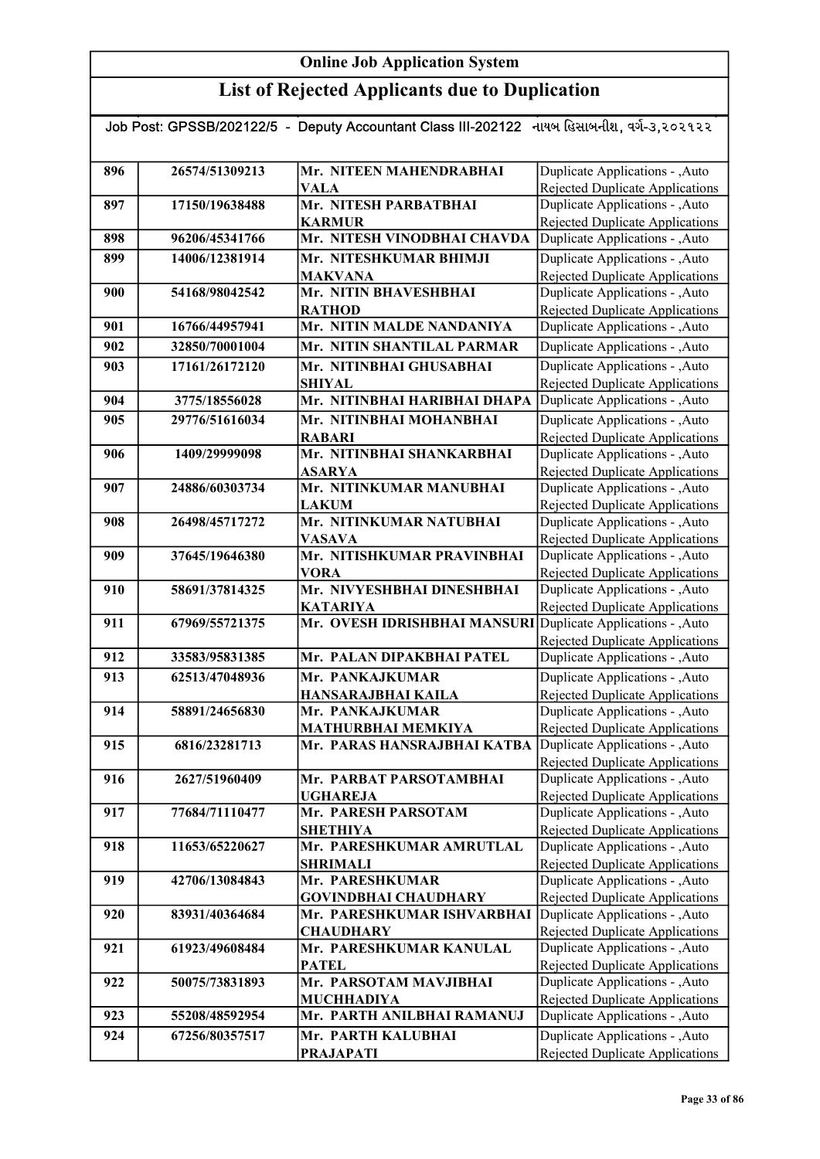| Job Post: GPSSB/202122/5 - Deputy Accountant Class III-202122 નાયબ હિસાબનીશ, વર્ગ-૩,૨૦૨૧૨૨ |                |                                                              |                                                                           |
|--------------------------------------------------------------------------------------------|----------------|--------------------------------------------------------------|---------------------------------------------------------------------------|
| 896                                                                                        | 26574/51309213 | Mr. NITEEN MAHENDRABHAI                                      | Duplicate Applications - , Auto                                           |
|                                                                                            |                | <b>VALA</b>                                                  | Rejected Duplicate Applications                                           |
| 897                                                                                        | 17150/19638488 | Mr. NITESH PARBATBHAI                                        | Duplicate Applications - , Auto                                           |
|                                                                                            |                | <b>KARMUR</b>                                                | <b>Rejected Duplicate Applications</b>                                    |
| 898                                                                                        | 96206/45341766 | Mr. NITESH VINODBHAI CHAVDA                                  | Duplicate Applications - , Auto                                           |
| 899                                                                                        | 14006/12381914 | Mr. NITESHKUMAR BHIMJI                                       | Duplicate Applications - , Auto                                           |
|                                                                                            |                | <b>MAKVANA</b>                                               | Rejected Duplicate Applications                                           |
| 900                                                                                        | 54168/98042542 | Mr. NITIN BHAVESHBHAI                                        | Duplicate Applications - , Auto                                           |
|                                                                                            |                | <b>RATHOD</b>                                                | <b>Rejected Duplicate Applications</b>                                    |
| 901                                                                                        | 16766/44957941 | Mr. NITIN MALDE NANDANIYA                                    | Duplicate Applications - , Auto                                           |
| 902                                                                                        | 32850/70001004 | Mr. NITIN SHANTILAL PARMAR                                   | Duplicate Applications - , Auto                                           |
| 903                                                                                        | 17161/26172120 | Mr. NITINBHAI GHUSABHAI                                      | Duplicate Applications - , Auto                                           |
|                                                                                            |                | <b>SHIYAL</b>                                                | <b>Rejected Duplicate Applications</b>                                    |
| 904                                                                                        | 3775/18556028  | Mr. NITINBHAI HARIBHAI DHAPA                                 | Duplicate Applications - , Auto                                           |
| 905                                                                                        | 29776/51616034 | Mr. NITINBHAI MOHANBHAI                                      | Duplicate Applications - , Auto                                           |
|                                                                                            |                | <b>RABARI</b>                                                | Rejected Duplicate Applications                                           |
| 906                                                                                        | 1409/29999098  | Mr. NITINBHAI SHANKARBHAI                                    | Duplicate Applications - , Auto                                           |
|                                                                                            |                | <b>ASARYA</b>                                                | <b>Rejected Duplicate Applications</b>                                    |
| 907                                                                                        | 24886/60303734 | Mr. NITINKUMAR MANUBHAI                                      | Duplicate Applications - , Auto                                           |
|                                                                                            |                | <b>LAKUM</b>                                                 | Rejected Duplicate Applications                                           |
| 908                                                                                        | 26498/45717272 | Mr. NITINKUMAR NATUBHAI                                      | Duplicate Applications - ,Auto                                            |
|                                                                                            |                | <b>VASAVA</b>                                                | Rejected Duplicate Applications                                           |
| 909                                                                                        | 37645/19646380 | Mr. NITISHKUMAR PRAVINBHAI                                   | Duplicate Applications - , Auto                                           |
|                                                                                            |                | <b>VORA</b>                                                  | <b>Rejected Duplicate Applications</b>                                    |
| 910                                                                                        | 58691/37814325 | Mr. NIVYESHBHAI DINESHBHAI                                   | Duplicate Applications - ,Auto                                            |
|                                                                                            |                | <b>KATARIYA</b>                                              | Rejected Duplicate Applications                                           |
| 911                                                                                        | 67969/55721375 | Mr. OVESH IDRISHBHAI MANSURI Duplicate Applications - , Auto |                                                                           |
| 912                                                                                        | 33583/95831385 | Mr. PALAN DIPAKBHAI PATEL                                    | <b>Rejected Duplicate Applications</b><br>Duplicate Applications - , Auto |
|                                                                                            |                |                                                              |                                                                           |
| 913                                                                                        | 62513/47048936 | Mr. PANKAJKUMAR                                              | Duplicate Applications - , Auto                                           |
| 914                                                                                        | 58891/24656830 | HANSARAJBHAI KAILA<br>Mr. PANKAJKUMAR                        | <b>Rejected Duplicate Applications</b><br>Duplicate Applications - , Auto |
|                                                                                            |                | <b>MATHURBHAI MEMKIYA</b>                                    | Rejected Duplicate Applications                                           |
| 915                                                                                        | 6816/23281713  | Mr. PARAS HANSRAJBHAI KATBA                                  | Duplicate Applications - , Auto                                           |
|                                                                                            |                |                                                              | Rejected Duplicate Applications                                           |
| 916                                                                                        | 2627/51960409  | Mr. PARBAT PARSOTAMBHAI                                      | Duplicate Applications - , Auto                                           |
|                                                                                            |                | <b>UGHAREJA</b>                                              | <b>Rejected Duplicate Applications</b>                                    |
| 917                                                                                        | 77684/71110477 | Mr. PARESH PARSOTAM                                          | Duplicate Applications - , Auto                                           |
|                                                                                            |                | <b>SHETHIYA</b>                                              | Rejected Duplicate Applications                                           |
| 918                                                                                        | 11653/65220627 | Mr. PARESHKUMAR AMRUTLAL                                     | Duplicate Applications - , Auto                                           |
|                                                                                            |                | <b>SHRIMALI</b>                                              | Rejected Duplicate Applications                                           |
| 919                                                                                        | 42706/13084843 | Mr. PARESHKUMAR                                              | Duplicate Applications - , Auto                                           |
|                                                                                            |                | <b>GOVINDBHAI CHAUDHARY</b>                                  | Rejected Duplicate Applications                                           |
| 920                                                                                        | 83931/40364684 | Mr. PARESHKUMAR ISHVARBHAI                                   | Duplicate Applications - , Auto                                           |
| 921                                                                                        | 61923/49608484 | <b>CHAUDHARY</b><br>Mr. PARESHKUMAR KANULAL                  | Rejected Duplicate Applications<br>Duplicate Applications - , Auto        |
|                                                                                            |                | <b>PATEL</b>                                                 | Rejected Duplicate Applications                                           |
| 922                                                                                        | 50075/73831893 | Mr. PARSOTAM MAVJIBHAI                                       | Duplicate Applications - , Auto                                           |
|                                                                                            |                | <b>MUCHHADIYA</b>                                            | Rejected Duplicate Applications                                           |
| 923                                                                                        | 55208/48592954 | Mr. PARTH ANILBHAI RAMANUJ                                   | Duplicate Applications - , Auto                                           |
| 924                                                                                        | 67256/80357517 | Mr. PARTH KALUBHAI                                           | Duplicate Applications - , Auto                                           |
|                                                                                            |                | <b>PRAJAPATI</b>                                             | Rejected Duplicate Applications                                           |
|                                                                                            |                |                                                              |                                                                           |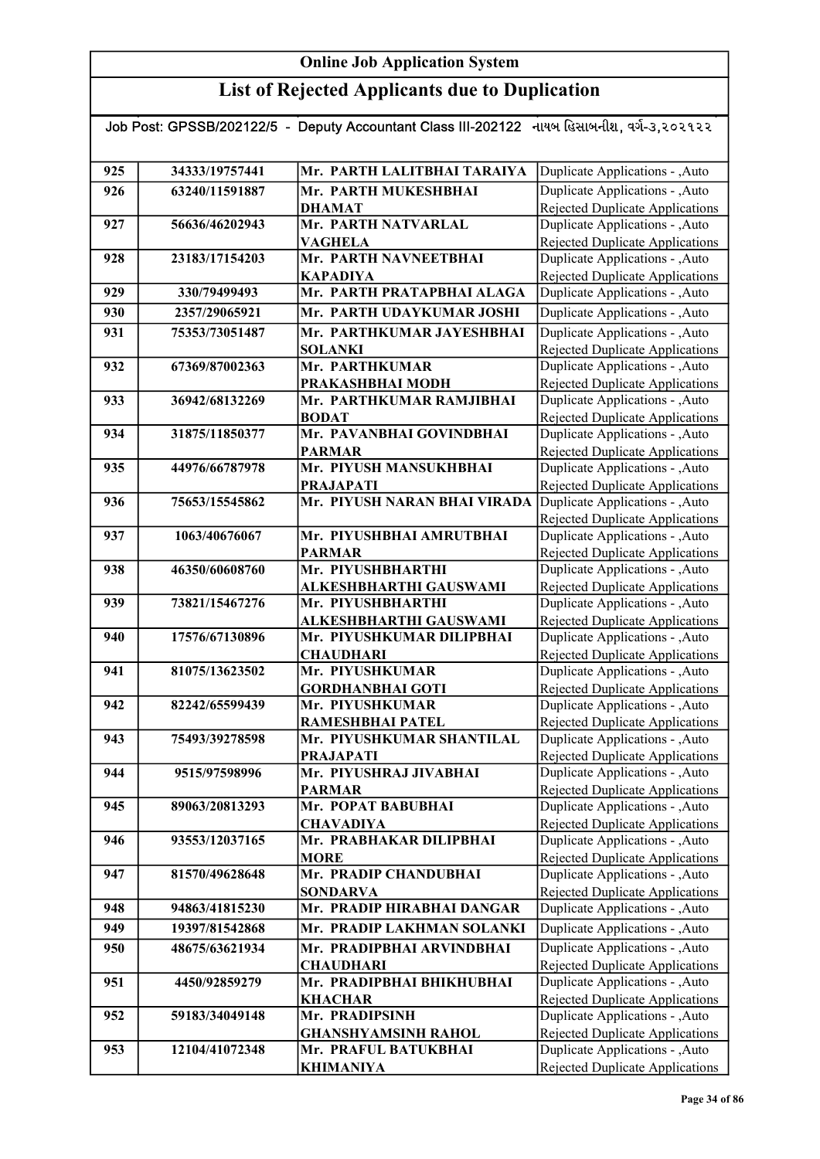| Job Post: GPSSB/202122/5 - Deputy Accountant Class III-202122 નાયબ હિસાબનીશ, વર્ગ-૩,૨૦૨૧૨૨ |                |                                                     |                                                                           |
|--------------------------------------------------------------------------------------------|----------------|-----------------------------------------------------|---------------------------------------------------------------------------|
|                                                                                            |                |                                                     |                                                                           |
| 925                                                                                        | 34333/19757441 | Mr. PARTH LALITBHAI TARAIYA                         | Duplicate Applications - , Auto                                           |
| 926                                                                                        | 63240/11591887 | Mr. PARTH MUKESHBHAI                                | Duplicate Applications - , Auto                                           |
|                                                                                            |                | <b>DHAMAT</b>                                       | <b>Rejected Duplicate Applications</b>                                    |
| 927                                                                                        | 56636/46202943 | Mr. PARTH NATVARLAL                                 | Duplicate Applications - , Auto                                           |
|                                                                                            |                | <b>VAGHELA</b>                                      | Rejected Duplicate Applications                                           |
| 928                                                                                        | 23183/17154203 | Mr. PARTH NAVNEETBHAI                               | Duplicate Applications - , Auto                                           |
|                                                                                            |                | <b>KAPADIYA</b>                                     | Rejected Duplicate Applications                                           |
| 929                                                                                        | 330/79499493   | Mr. PARTH PRATAPBHAI ALAGA                          | Duplicate Applications - ,Auto                                            |
| 930                                                                                        | 2357/29065921  | Mr. PARTH UDAYKUMAR JOSHI                           | Duplicate Applications - , Auto                                           |
| 931                                                                                        | 75353/73051487 | Mr. PARTHKUMAR JAYESHBHAI                           | Duplicate Applications - , Auto                                           |
|                                                                                            |                | <b>SOLANKI</b>                                      | Rejected Duplicate Applications                                           |
| 932                                                                                        | 67369/87002363 | Mr. PARTHKUMAR                                      | Duplicate Applications - , Auto                                           |
| 933                                                                                        | 36942/68132269 | PRAKASHBHAI MODH<br>Mr. PARTHKUMAR RAMJIBHAI        | <b>Rejected Duplicate Applications</b><br>Duplicate Applications - , Auto |
|                                                                                            |                | <b>BODAT</b>                                        | <b>Rejected Duplicate Applications</b>                                    |
| 934                                                                                        | 31875/11850377 | Mr. PAVANBHAI GOVINDBHAI                            | Duplicate Applications - , Auto                                           |
|                                                                                            |                | <b>PARMAR</b>                                       | Rejected Duplicate Applications                                           |
| 935                                                                                        | 44976/66787978 | Mr. PIYUSH MANSUKHBHAI                              | Duplicate Applications - , Auto                                           |
|                                                                                            |                | <b>PRAJAPATI</b>                                    | Rejected Duplicate Applications                                           |
| 936                                                                                        | 75653/15545862 | Mr. PIYUSH NARAN BHAI VIRADA                        | Duplicate Applications - , Auto                                           |
|                                                                                            |                |                                                     | Rejected Duplicate Applications                                           |
| 937                                                                                        | 1063/40676067  | Mr. PIYUSHBHAI AMRUTBHAI                            | Duplicate Applications - , Auto                                           |
|                                                                                            |                | <b>PARMAR</b>                                       | <b>Rejected Duplicate Applications</b>                                    |
| 938                                                                                        | 46350/60608760 | Mr. PIYUSHBHARTHI                                   | Duplicate Applications - ,Auto                                            |
|                                                                                            |                | ALKESHBHARTHI GAUSWAMI                              | <b>Rejected Duplicate Applications</b>                                    |
| 939                                                                                        | 73821/15467276 | Mr. PIYUSHBHARTHI                                   | Duplicate Applications - , Auto                                           |
| 940                                                                                        | 17576/67130896 | ALKESHBHARTHI GAUSWAMI<br>Mr. PIYUSHKUMAR DILIPBHAI | Rejected Duplicate Applications<br>Duplicate Applications - , Auto        |
|                                                                                            |                | <b>CHAUDHARI</b>                                    | Rejected Duplicate Applications                                           |
| 941                                                                                        | 81075/13623502 | Mr. PIYUSHKUMAR                                     | Duplicate Applications - , Auto                                           |
|                                                                                            |                | <b>GORDHANBHAI GOTI</b>                             | <b>Rejected Duplicate Applications</b>                                    |
| 942                                                                                        | 82242/65599439 | Mr. PIYUSHKUMAR                                     | Duplicate Applications - , Auto                                           |
|                                                                                            |                | RAMESHBHAI PATEL                                    | Rejected Duplicate Applications                                           |
| 943                                                                                        | 75493/39278598 | Mr. PIYUSHKUMAR SHANTILAL                           | Duplicate Applications - , Auto                                           |
|                                                                                            |                | <b>PRAJAPATI</b>                                    | Rejected Duplicate Applications                                           |
| 944                                                                                        | 9515/97598996  | Mr. PIYUSHRAJ JIVABHAI                              | Duplicate Applications - , Auto                                           |
|                                                                                            |                | <b>PARMAR</b>                                       | Rejected Duplicate Applications                                           |
| 945                                                                                        | 89063/20813293 | Mr. POPAT BABUBHAI                                  | Duplicate Applications - , Auto                                           |
| 946                                                                                        | 93553/12037165 | <b>CHAVADIYA</b><br>Mr. PRABHAKAR DILIPBHAI         | Rejected Duplicate Applications<br>Duplicate Applications - , Auto        |
|                                                                                            |                | <b>MORE</b>                                         | <b>Rejected Duplicate Applications</b>                                    |
| 947                                                                                        | 81570/49628648 | Mr. PRADIP CHANDUBHAI                               | Duplicate Applications - , Auto                                           |
|                                                                                            |                | <b>SONDARVA</b>                                     | <b>Rejected Duplicate Applications</b>                                    |
| 948                                                                                        | 94863/41815230 | Mr. PRADIP HIRABHAI DANGAR                          | Duplicate Applications - , Auto                                           |
| 949                                                                                        | 19397/81542868 | Mr. PRADIP LAKHMAN SOLANKI                          | Duplicate Applications - ,Auto                                            |
| 950                                                                                        | 48675/63621934 | Mr. PRADIPBHAI ARVINDBHAI                           | Duplicate Applications - , Auto                                           |
|                                                                                            |                | <b>CHAUDHARI</b>                                    | Rejected Duplicate Applications                                           |
| 951                                                                                        | 4450/92859279  | Mr. PRADIPBHAI BHIKHUBHAI                           | Duplicate Applications - , Auto                                           |
|                                                                                            |                | <b>KHACHAR</b>                                      | Rejected Duplicate Applications                                           |
| 952                                                                                        | 59183/34049148 | Mr. PRADIPSINH                                      | Duplicate Applications - , Auto                                           |
|                                                                                            |                | <b>GHANSHYAMSINH RAHOL</b>                          | Rejected Duplicate Applications                                           |
| 953                                                                                        | 12104/41072348 | Mr. PRAFUL BATUKBHAI                                | Duplicate Applications - , Auto                                           |
|                                                                                            |                | <b>KHIMANIYA</b>                                    | Rejected Duplicate Applications                                           |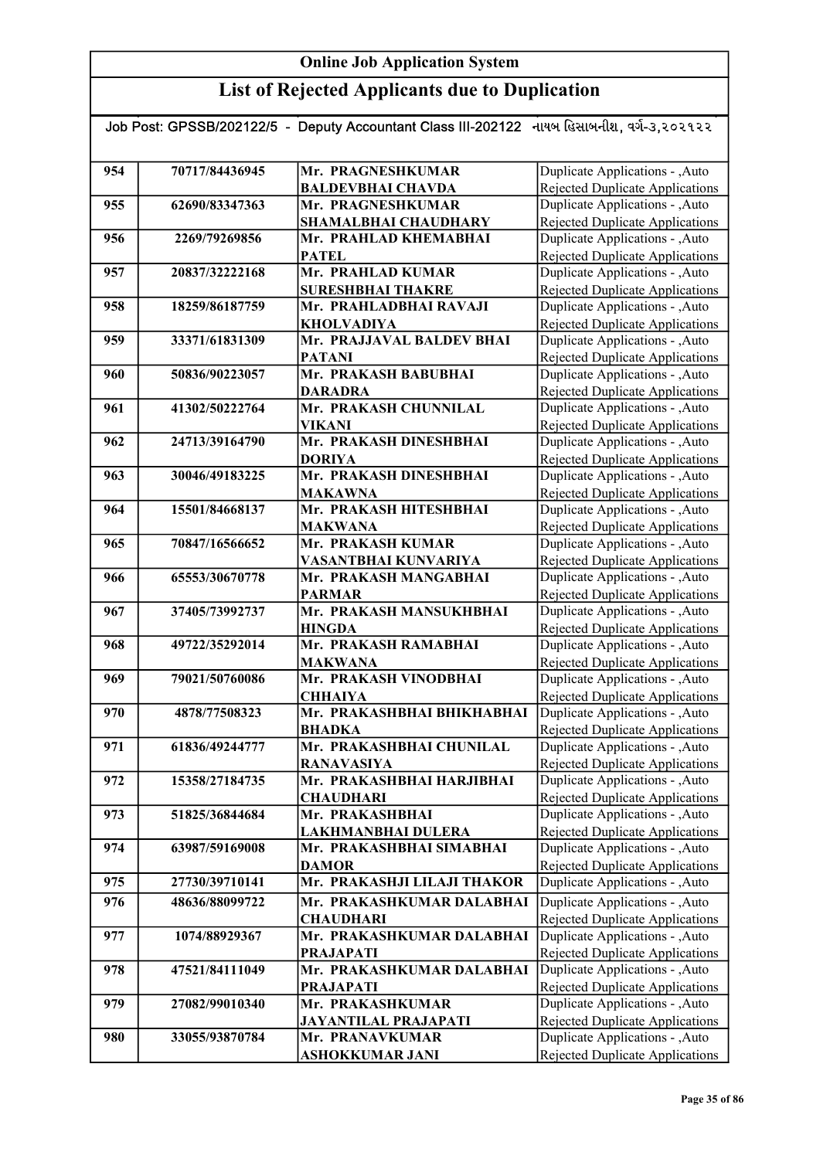| Job Post: GPSSB/202122/5  -  Deputy Accountant Class III-202122   નાયબ હિસાબનીશ, વર્ગ-૩,૨૦૨૧૨૨ |                |                             |                                        |  |
|------------------------------------------------------------------------------------------------|----------------|-----------------------------|----------------------------------------|--|
|                                                                                                |                |                             |                                        |  |
|                                                                                                |                |                             |                                        |  |
| 954                                                                                            | 70717/84436945 | Mr. PRAGNESHKUMAR           | Duplicate Applications - , Auto        |  |
|                                                                                                |                | <b>BALDEVBHAI CHAVDA</b>    | <b>Rejected Duplicate Applications</b> |  |
| 955                                                                                            | 62690/83347363 | Mr. PRAGNESHKUMAR           | Duplicate Applications - , Auto        |  |
|                                                                                                |                | SHAMALBHAI CHAUDHARY        | <b>Rejected Duplicate Applications</b> |  |
| 956                                                                                            | 2269/79269856  | Mr. PRAHLAD KHEMABHAI       | Duplicate Applications - , Auto        |  |
|                                                                                                |                | <b>PATEL</b>                | <b>Rejected Duplicate Applications</b> |  |
| 957                                                                                            | 20837/32222168 | Mr. PRAHLAD KUMAR           | Duplicate Applications - ,Auto         |  |
|                                                                                                |                | <b>SURESHBHAI THAKRE</b>    | <b>Rejected Duplicate Applications</b> |  |
| 958                                                                                            | 18259/86187759 | Mr. PRAHLADBHAI RAVAJI      | Duplicate Applications - , Auto        |  |
|                                                                                                |                | <b>KHOLVADIYA</b>           | <b>Rejected Duplicate Applications</b> |  |
| 959                                                                                            | 33371/61831309 | Mr. PRAJJAVAL BALDEV BHAI   | Duplicate Applications - , Auto        |  |
|                                                                                                |                | <b>PATANI</b>               | Rejected Duplicate Applications        |  |
| 960                                                                                            | 50836/90223057 | Mr. PRAKASH BABUBHAI        | Duplicate Applications - , Auto        |  |
|                                                                                                |                | <b>DARADRA</b>              | <b>Rejected Duplicate Applications</b> |  |
| 961                                                                                            | 41302/50222764 | Mr. PRAKASH CHUNNILAL       | Duplicate Applications - , Auto        |  |
|                                                                                                |                | VIKANI                      | Rejected Duplicate Applications        |  |
| 962                                                                                            | 24713/39164790 | Mr. PRAKASH DINESHBHAI      | Duplicate Applications - , Auto        |  |
|                                                                                                |                | <b>DORIYA</b>               | Rejected Duplicate Applications        |  |
| 963                                                                                            | 30046/49183225 | Mr. PRAKASH DINESHBHAI      | Duplicate Applications - , Auto        |  |
|                                                                                                |                | <b>MAKAWNA</b>              | <b>Rejected Duplicate Applications</b> |  |
| 964                                                                                            | 15501/84668137 | Mr. PRAKASH HITESHBHAI      | Duplicate Applications - , Auto        |  |
|                                                                                                |                | <b>MAKWANA</b>              | <b>Rejected Duplicate Applications</b> |  |
| 965                                                                                            | 70847/16566652 | Mr. PRAKASH KUMAR           | Duplicate Applications - , Auto        |  |
|                                                                                                |                | VASANTBHAI KUNVARIYA        | <b>Rejected Duplicate Applications</b> |  |
| 966                                                                                            | 65553/30670778 | Mr. PRAKASH MANGABHAI       | Duplicate Applications - , Auto        |  |
|                                                                                                |                | <b>PARMAR</b>               | Rejected Duplicate Applications        |  |
| 967                                                                                            | 37405/73992737 | Mr. PRAKASH MANSUKHBHAI     | Duplicate Applications - , Auto        |  |
|                                                                                                |                | <b>HINGDA</b>               | <b>Rejected Duplicate Applications</b> |  |
| 968                                                                                            | 49722/35292014 | Mr. PRAKASH RAMABHAI        | Duplicate Applications - , Auto        |  |
|                                                                                                |                | <b>MAKWANA</b>              | <b>Rejected Duplicate Applications</b> |  |
| 969                                                                                            | 79021/50760086 | Mr. PRAKASH VINODBHAI       | Duplicate Applications - , Auto        |  |
|                                                                                                |                | <b>CHHAIYA</b>              | <b>Rejected Duplicate Applications</b> |  |
| 970                                                                                            | 4878/77508323  | Mr. PRAKASHBHAI BHIKHABHAI  | Duplicate Applications - , Auto        |  |
|                                                                                                |                | <b>BHADKA</b>               | Rejected Duplicate Applications        |  |
| 971                                                                                            | 61836/49244777 | Mr. PRAKASHBHAI CHUNILAL    | Duplicate Applications - , Auto        |  |
|                                                                                                |                | <b>RANAVASIYA</b>           | <b>Rejected Duplicate Applications</b> |  |
| 972                                                                                            | 15358/27184735 | Mr. PRAKASHBHAI HARJIBHAI   | Duplicate Applications - , Auto        |  |
|                                                                                                |                | <b>CHAUDHARI</b>            | <b>Rejected Duplicate Applications</b> |  |
| 973                                                                                            | 51825/36844684 | Mr. PRAKASHBHAI             | Duplicate Applications - , Auto        |  |
|                                                                                                |                | LAKHMANBHAI DULERA          | <b>Rejected Duplicate Applications</b> |  |
| 974                                                                                            | 63987/59169008 | Mr. PRAKASHBHAI SIMABHAI    | Duplicate Applications - , Auto        |  |
|                                                                                                |                | <b>DAMOR</b>                | Rejected Duplicate Applications        |  |
| 975                                                                                            | 27730/39710141 | Mr. PRAKASHJI LILAJI THAKOR | Duplicate Applications - , Auto        |  |
| 976                                                                                            | 48636/88099722 | Mr. PRAKASHKUMAR DALABHAI   | Duplicate Applications - , Auto        |  |
|                                                                                                |                | <b>CHAUDHARI</b>            | Rejected Duplicate Applications        |  |
| 977                                                                                            | 1074/88929367  | Mr. PRAKASHKUMAR DALABHAI   | Duplicate Applications - , Auto        |  |
|                                                                                                |                | <b>PRAJAPATI</b>            | <b>Rejected Duplicate Applications</b> |  |
| 978                                                                                            | 47521/84111049 | Mr. PRAKASHKUMAR DALABHAI   | Duplicate Applications - , Auto        |  |
|                                                                                                |                | <b>PRAJAPATI</b>            | Rejected Duplicate Applications        |  |
| 979                                                                                            | 27082/99010340 | Mr. PRAKASHKUMAR            | Duplicate Applications - , Auto        |  |
|                                                                                                |                | <b>JAYANTILAL PRAJAPATI</b> | <b>Rejected Duplicate Applications</b> |  |
| 980                                                                                            | 33055/93870784 | Mr. PRANAVKUMAR             | Duplicate Applications - , Auto        |  |
|                                                                                                |                | ASHOKKUMAR JANI             | <b>Rejected Duplicate Applications</b> |  |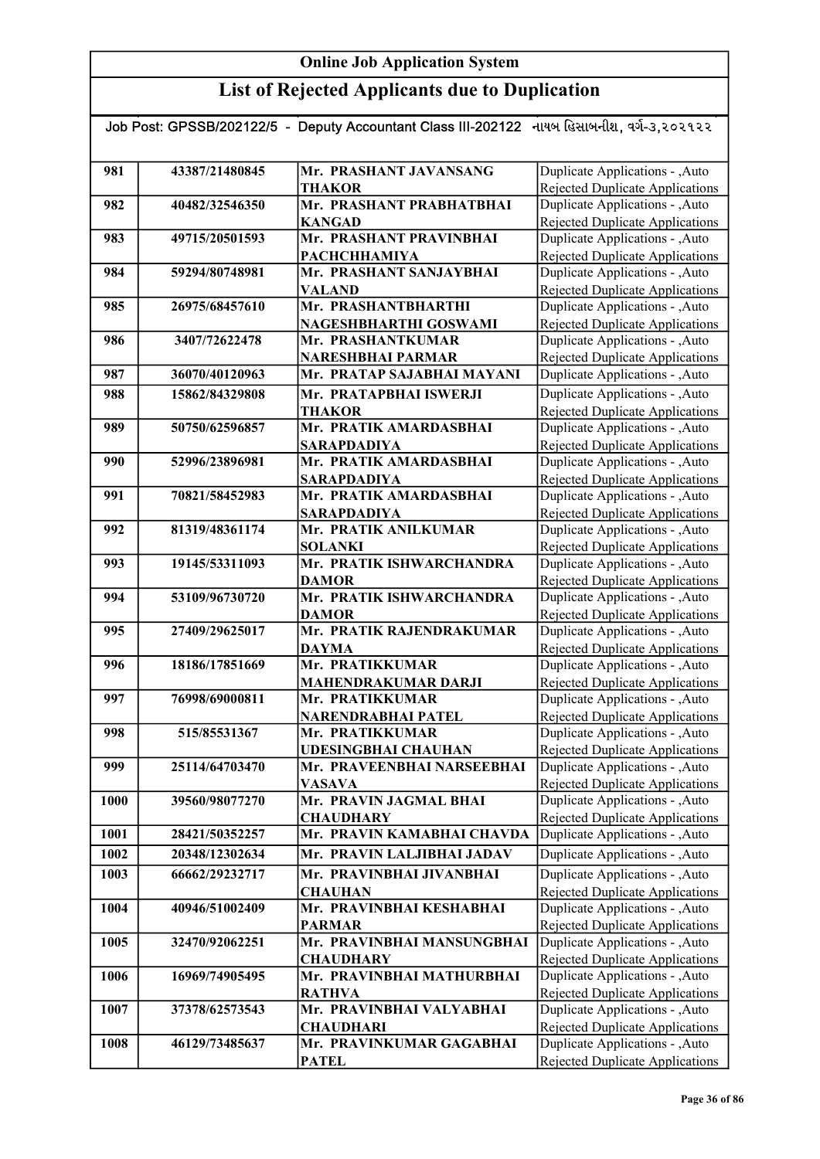| Job Post: GPSSB/202122/5  -  Deputy Accountant Class III-202122   નાયબ હિસાબનીશ, વર્ગ-૩,૨૦૨૧૨૨ |                |                            |                                                                           |  |
|------------------------------------------------------------------------------------------------|----------------|----------------------------|---------------------------------------------------------------------------|--|
|                                                                                                |                |                            |                                                                           |  |
| 981                                                                                            | 43387/21480845 | Mr. PRASHANT JAVANSANG     | Duplicate Applications - , Auto                                           |  |
|                                                                                                |                | <b>THAKOR</b>              | Rejected Duplicate Applications                                           |  |
| 982                                                                                            | 40482/32546350 | Mr. PRASHANT PRABHATBHAI   | Duplicate Applications - , Auto                                           |  |
|                                                                                                |                | <b>KANGAD</b>              |                                                                           |  |
| 983                                                                                            | 49715/20501593 | Mr. PRASHANT PRAVINBHAI    | <b>Rejected Duplicate Applications</b><br>Duplicate Applications - , Auto |  |
|                                                                                                |                | <b>РАСНСННАМІҮА</b>        | Rejected Duplicate Applications                                           |  |
| 984                                                                                            | 59294/80748981 | Mr. PRASHANT SANJAYBHAI    | Duplicate Applications - , Auto                                           |  |
|                                                                                                |                | <b>VALAND</b>              | <b>Rejected Duplicate Applications</b>                                    |  |
| 985                                                                                            | 26975/68457610 | Mr. PRASHANTBHARTHI        | Duplicate Applications - , Auto                                           |  |
|                                                                                                |                | NAGESHBHARTHI GOSWAMI      | <b>Rejected Duplicate Applications</b>                                    |  |
| 986                                                                                            | 3407/72622478  | Mr. PRASHANTKUMAR          | Duplicate Applications - , Auto                                           |  |
|                                                                                                |                | <b>NARESHBHAI PARMAR</b>   | Rejected Duplicate Applications                                           |  |
| 987                                                                                            | 36070/40120963 | Mr. PRATAP SAJABHAI MAYANI | Duplicate Applications - , Auto                                           |  |
| 988                                                                                            | 15862/84329808 | Mr. PRATAPBHAI ISWERJI     | Duplicate Applications - , Auto                                           |  |
|                                                                                                |                | <b>THAKOR</b>              | Rejected Duplicate Applications                                           |  |
| 989                                                                                            | 50750/62596857 | Mr. PRATIK AMARDASBHAI     | Duplicate Applications - , Auto                                           |  |
|                                                                                                |                | <b>SARAPDADIYA</b>         | Rejected Duplicate Applications                                           |  |
| 990                                                                                            | 52996/23896981 | Mr. PRATIK AMARDASBHAI     | Duplicate Applications - , Auto                                           |  |
|                                                                                                |                | <b>SARAPDADIYA</b>         | Rejected Duplicate Applications                                           |  |
| 991                                                                                            | 70821/58452983 | Mr. PRATIK AMARDASBHAI     | Duplicate Applications - , Auto                                           |  |
|                                                                                                |                | <b>SARAPDADIYA</b>         | Rejected Duplicate Applications                                           |  |
| 992                                                                                            | 81319/48361174 | Mr. PRATIK ANILKUMAR       | Duplicate Applications - , Auto                                           |  |
|                                                                                                |                | <b>SOLANKI</b>             | Rejected Duplicate Applications                                           |  |
| 993                                                                                            | 19145/53311093 | Mr. PRATIK ISHWARCHANDRA   | Duplicate Applications - , Auto                                           |  |
|                                                                                                |                | <b>DAMOR</b>               | <b>Rejected Duplicate Applications</b>                                    |  |
| 994                                                                                            | 53109/96730720 | Mr. PRATIK ISHWARCHANDRA   | Duplicate Applications - , Auto                                           |  |
|                                                                                                |                | <b>DAMOR</b>               | Rejected Duplicate Applications                                           |  |
| 995                                                                                            | 27409/29625017 | Mr. PRATIK RAJENDRAKUMAR   | Duplicate Applications - , Auto                                           |  |
|                                                                                                |                | <b>DAYMA</b>               | Rejected Duplicate Applications                                           |  |
| 996                                                                                            | 18186/17851669 | Mr. PRATIKKUMAR            | Duplicate Applications - , Auto                                           |  |
|                                                                                                |                | <b>MAHENDRAKUMAR DARJI</b> | <b>Rejected Duplicate Applications</b>                                    |  |
| 997                                                                                            | 76998/69000811 | Mr. PRATIKKUMAR            | Duplicate Applications - , Auto                                           |  |
|                                                                                                |                | NARENDRABHAI PATEL         | Rejected Duplicate Applications                                           |  |
| 998                                                                                            | 515/85531367   | Mr. PRATIKKUMAR            | Duplicate Applications - , Auto                                           |  |
|                                                                                                |                | <b>UDESINGBHAI CHAUHAN</b> | Rejected Duplicate Applications                                           |  |
| 999                                                                                            | 25114/64703470 | Mr. PRAVEENBHAI NARSEEBHAI | Duplicate Applications - , Auto                                           |  |
|                                                                                                |                | <b>VASAVA</b>              | Rejected Duplicate Applications                                           |  |
| 1000                                                                                           | 39560/98077270 | Mr. PRAVIN JAGMAL BHAI     | Duplicate Applications - , Auto                                           |  |
|                                                                                                |                | <b>CHAUDHARY</b>           | Rejected Duplicate Applications                                           |  |
| 1001                                                                                           | 28421/50352257 | Mr. PRAVIN KAMABHAI CHAVDA | Duplicate Applications - , Auto                                           |  |
| 1002                                                                                           | 20348/12302634 | Mr. PRAVIN LALJIBHAI JADAV | Duplicate Applications - , Auto                                           |  |
| 1003                                                                                           | 66662/29232717 | Mr. PRAVINBHAI JIVANBHAI   | Duplicate Applications - , Auto                                           |  |
|                                                                                                |                | <b>CHAUHAN</b>             | <b>Rejected Duplicate Applications</b>                                    |  |
| 1004                                                                                           | 40946/51002409 | Mr. PRAVINBHAI KESHABHAI   | Duplicate Applications - , Auto                                           |  |
|                                                                                                |                | <b>PARMAR</b>              | <b>Rejected Duplicate Applications</b>                                    |  |
| 1005                                                                                           | 32470/92062251 | Mr. PRAVINBHAI MANSUNGBHAI | Duplicate Applications - , Auto                                           |  |
|                                                                                                |                | <b>CHAUDHARY</b>           | Rejected Duplicate Applications                                           |  |
| 1006                                                                                           | 16969/74905495 | Mr. PRAVINBHAI MATHURBHAI  | Duplicate Applications - , Auto                                           |  |
|                                                                                                |                | <b>RATHVA</b>              | Rejected Duplicate Applications                                           |  |
| 1007                                                                                           | 37378/62573543 | Mr. PRAVINBHAI VALYABHAI   | Duplicate Applications - , Auto                                           |  |
|                                                                                                |                | <b>CHAUDHARI</b>           | <b>Rejected Duplicate Applications</b>                                    |  |
| 1008                                                                                           | 46129/73485637 | Mr. PRAVINKUMAR GAGABHAI   | Duplicate Applications - , Auto                                           |  |
|                                                                                                |                | <b>PATEL</b>               | Rejected Duplicate Applications                                           |  |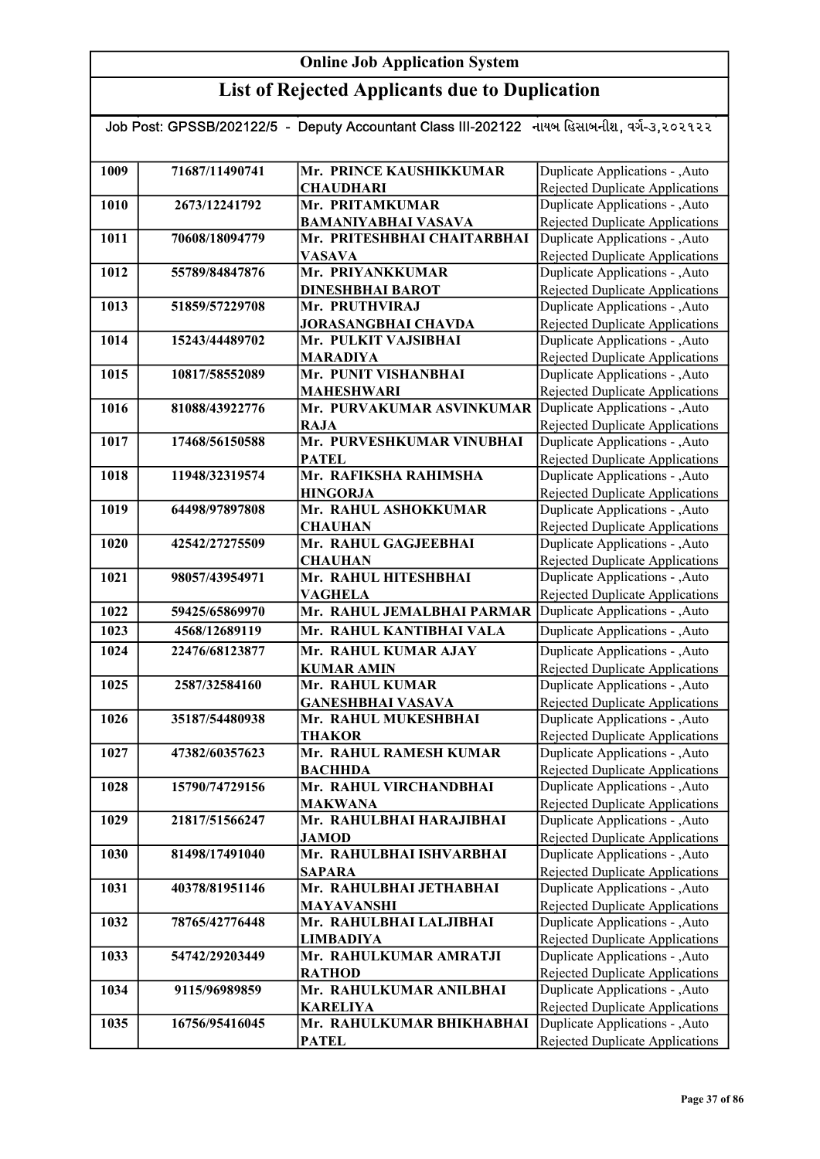| Job Post: GPSSB/202122/5 - Deputy Accountant Class III-202122 નાયબ હિસાબનીશ, વર્ગ-૩,૨૦૨૧૨૨ |                |                                          |                                                                    |  |
|--------------------------------------------------------------------------------------------|----------------|------------------------------------------|--------------------------------------------------------------------|--|
|                                                                                            |                |                                          |                                                                    |  |
| 1009                                                                                       | 71687/11490741 | Mr. PRINCE KAUSHIKKUMAR                  | Duplicate Applications - , Auto                                    |  |
|                                                                                            |                | <b>CHAUDHARI</b>                         | <b>Rejected Duplicate Applications</b>                             |  |
| 1010                                                                                       | 2673/12241792  | Mr. PRITAMKUMAR                          | Duplicate Applications - , Auto                                    |  |
|                                                                                            |                | <b>BAMANIYABHAI VASAVA</b>               | <b>Rejected Duplicate Applications</b>                             |  |
| 1011                                                                                       | 70608/18094779 | Mr. PRITESHBHAI CHAITARBHAI              | Duplicate Applications - , Auto                                    |  |
|                                                                                            |                | <b>VASAVA</b>                            | <b>Rejected Duplicate Applications</b>                             |  |
| 1012                                                                                       | 55789/84847876 | Mr. PRIYANKKUMAR                         | Duplicate Applications - , Auto                                    |  |
|                                                                                            |                | <b>DINESHBHAI BAROT</b>                  | <b>Rejected Duplicate Applications</b>                             |  |
| 1013                                                                                       | 51859/57229708 | Mr. PRUTHVIRAJ                           | Duplicate Applications - , Auto                                    |  |
|                                                                                            |                | <b>JORASANGBHAI CHAVDA</b>               | <b>Rejected Duplicate Applications</b>                             |  |
| 1014                                                                                       | 15243/44489702 | Mr. PULKIT VAJSIBHAI                     | Duplicate Applications - , Auto                                    |  |
|                                                                                            |                | <b>MARADIYA</b>                          | Rejected Duplicate Applications                                    |  |
| 1015                                                                                       | 10817/58552089 | Mr. PUNIT VISHANBHAI                     | Duplicate Applications - , Auto                                    |  |
|                                                                                            |                | <b>MAHESHWARI</b>                        | Rejected Duplicate Applications                                    |  |
| 1016                                                                                       | 81088/43922776 | Mr. PURVAKUMAR ASVINKUMAR                | Duplicate Applications - , Auto                                    |  |
|                                                                                            |                | RAJA                                     | Rejected Duplicate Applications                                    |  |
| 1017                                                                                       | 17468/56150588 | Mr. PURVESHKUMAR VINUBHAI                | Duplicate Applications - , Auto                                    |  |
|                                                                                            |                | <b>PATEL</b>                             | Rejected Duplicate Applications                                    |  |
| 1018                                                                                       | 11948/32319574 | Mr. RAFIKSHA RAHIMSHA                    | Duplicate Applications - , Auto                                    |  |
|                                                                                            |                | <b>HINGORJA</b>                          | Rejected Duplicate Applications                                    |  |
| 1019                                                                                       | 64498/97897808 | Mr. RAHUL ASHOKKUMAR                     | Duplicate Applications - , Auto                                    |  |
|                                                                                            |                | <b>CHAUHAN</b>                           | Rejected Duplicate Applications                                    |  |
| 1020                                                                                       | 42542/27275509 | Mr. RAHUL GAGJEEBHAI                     | Duplicate Applications - , Auto                                    |  |
|                                                                                            |                | <b>CHAUHAN</b>                           | <b>Rejected Duplicate Applications</b>                             |  |
| 1021                                                                                       | 98057/43954971 | Mr. RAHUL HITESHBHAI                     | Duplicate Applications - , Auto                                    |  |
|                                                                                            |                | <b>VAGHELA</b>                           | Rejected Duplicate Applications                                    |  |
| 1022                                                                                       | 59425/65869970 | Mr. RAHUL JEMALBHAI PARMAR               | Duplicate Applications - ,Auto                                     |  |
| 1023                                                                                       | 4568/12689119  | Mr. RAHUL KANTIBHAI VALA                 | Duplicate Applications - , Auto                                    |  |
| 1024                                                                                       | 22476/68123877 | Mr. RAHUL KUMAR AJAY                     | Duplicate Applications - , Auto                                    |  |
|                                                                                            |                | <b>KUMAR AMIN</b>                        | Rejected Duplicate Applications                                    |  |
| 1025                                                                                       | 2587/32584160  | Mr. RAHUL KUMAR                          | Duplicate Applications - , Auto                                    |  |
|                                                                                            |                | <b>GANESHBHAI VASAVA</b>                 | Rejected Duplicate Applications                                    |  |
| 1026                                                                                       | 35187/54480938 | Mr. RAHUL MUKESHBHAI                     | Duplicate Applications - , Auto                                    |  |
| 1027                                                                                       |                | <b>THAKOR</b>                            | Rejected Duplicate Applications<br>Duplicate Applications - , Auto |  |
|                                                                                            | 47382/60357623 | Mr. RAHUL RAMESH KUMAR<br><b>BACHHDA</b> | Rejected Duplicate Applications                                    |  |
| 1028                                                                                       | 15790/74729156 | Mr. RAHUL VIRCHANDBHAI                   | Duplicate Applications - , Auto                                    |  |
|                                                                                            |                | <b>MAKWANA</b>                           | Rejected Duplicate Applications                                    |  |
| 1029                                                                                       | 21817/51566247 | Mr. RAHULBHAI HARAJIBHAI                 | Duplicate Applications - , Auto                                    |  |
|                                                                                            |                | <b>JAMOD</b>                             | Rejected Duplicate Applications                                    |  |
| 1030                                                                                       | 81498/17491040 | Mr. RAHULBHAI ISHVARBHAI                 | Duplicate Applications - , Auto                                    |  |
|                                                                                            |                | <b>SAPARA</b>                            | Rejected Duplicate Applications                                    |  |
| 1031                                                                                       | 40378/81951146 | Mr. RAHULBHAI JETHABHAI                  | Duplicate Applications - , Auto                                    |  |
|                                                                                            |                | <b>MAYAVANSHI</b>                        | Rejected Duplicate Applications                                    |  |
| 1032                                                                                       | 78765/42776448 | Mr. RAHULBHAI LALJIBHAI                  | Duplicate Applications - , Auto                                    |  |
|                                                                                            |                | <b>LIMBADIYA</b>                         | <b>Rejected Duplicate Applications</b>                             |  |
| 1033                                                                                       | 54742/29203449 | Mr. RAHULKUMAR AMRATJI                   | Duplicate Applications - , Auto                                    |  |
|                                                                                            |                | <b>RATHOD</b>                            | <b>Rejected Duplicate Applications</b>                             |  |
| 1034                                                                                       | 9115/96989859  | Mr. RAHULKUMAR ANILBHAI                  | Duplicate Applications - , Auto                                    |  |
|                                                                                            |                | <b>KARELIYA</b>                          | <b>Rejected Duplicate Applications</b>                             |  |
| 1035                                                                                       | 16756/95416045 | Mr. RAHULKUMAR BHIKHABHAI                | Duplicate Applications - , Auto                                    |  |
|                                                                                            |                | <b>PATEL</b>                             | Rejected Duplicate Applications                                    |  |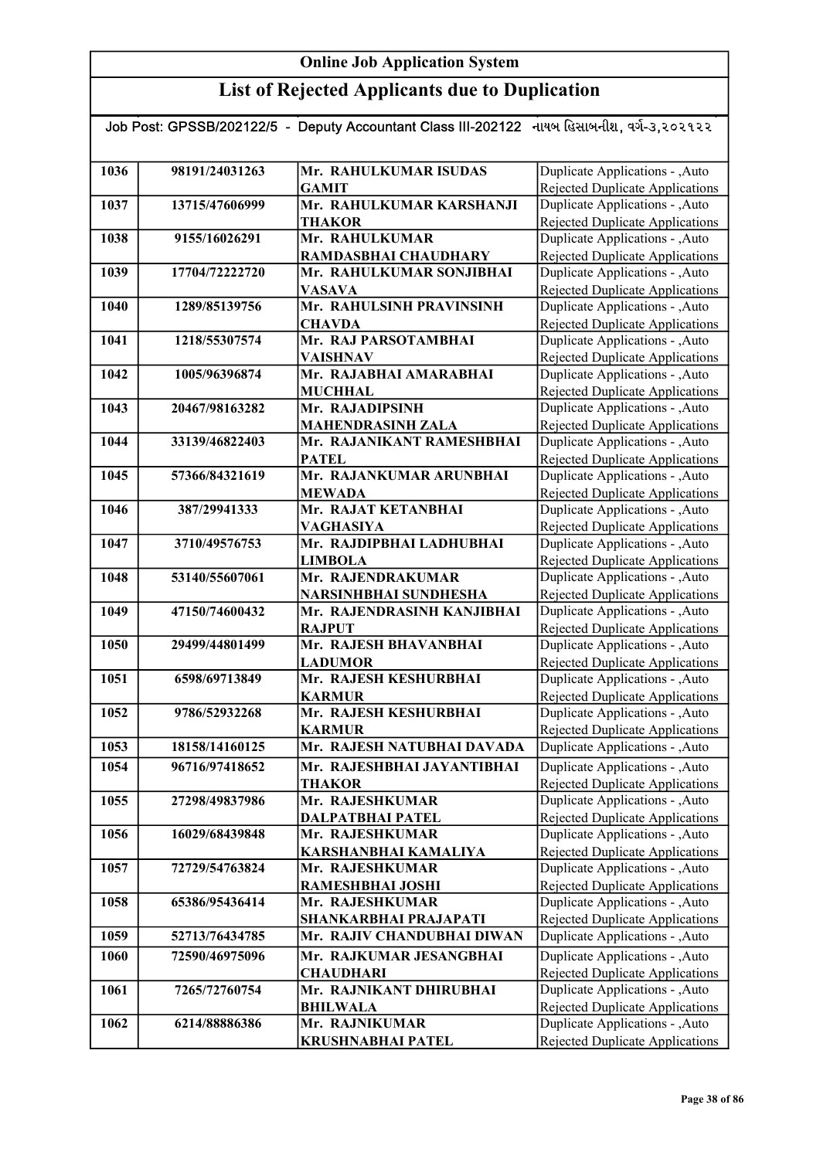| Job Post: GPSSB/202122/5 - Deputy Accountant Class III-202122 નાયબ હિસાબનીશ, વર્ગ-૩,૨૦૨૧૨૨ |                |                                           |                                                                           |  |
|--------------------------------------------------------------------------------------------|----------------|-------------------------------------------|---------------------------------------------------------------------------|--|
|                                                                                            |                |                                           |                                                                           |  |
| 1036                                                                                       | 98191/24031263 | Mr. RAHULKUMAR ISUDAS                     | Duplicate Applications - , Auto                                           |  |
|                                                                                            |                | <b>GAMIT</b>                              | Rejected Duplicate Applications                                           |  |
| 1037                                                                                       | 13715/47606999 | Mr. RAHULKUMAR KARSHANJI                  | Duplicate Applications - , Auto                                           |  |
|                                                                                            |                | <b>THAKOR</b>                             | <b>Rejected Duplicate Applications</b>                                    |  |
| 1038                                                                                       | 9155/16026291  | Mr. RAHULKUMAR                            | Duplicate Applications - , Auto                                           |  |
|                                                                                            |                | RAMDASBHAI CHAUDHARY                      | <b>Rejected Duplicate Applications</b>                                    |  |
| 1039                                                                                       | 17704/72222720 | Mr. RAHULKUMAR SONJIBHAI                  | Duplicate Applications - , Auto                                           |  |
|                                                                                            |                | <b>VASAVA</b>                             | <b>Rejected Duplicate Applications</b>                                    |  |
| 1040                                                                                       | 1289/85139756  | Mr. RAHULSINH PRAVINSINH                  | Duplicate Applications - , Auto                                           |  |
|                                                                                            |                | <b>CHAVDA</b><br>Mr. RAJ PARSOTAMBHAI     | <b>Rejected Duplicate Applications</b>                                    |  |
| 1041                                                                                       | 1218/55307574  |                                           | Duplicate Applications - , Auto                                           |  |
| 1042                                                                                       | 1005/96396874  | <b>VAISHNAV</b><br>Mr. RAJABHAI AMARABHAI | Rejected Duplicate Applications<br>Duplicate Applications - , Auto        |  |
|                                                                                            |                | <b>MUCHHAL</b>                            | <b>Rejected Duplicate Applications</b>                                    |  |
| 1043                                                                                       | 20467/98163282 | Mr. RAJADIPSINH                           | Duplicate Applications - , Auto                                           |  |
|                                                                                            |                | <b>MAHENDRASINH ZALA</b>                  | <b>Rejected Duplicate Applications</b>                                    |  |
| 1044                                                                                       | 33139/46822403 | Mr. RAJANIKANT RAMESHBHAI                 | Duplicate Applications - , Auto                                           |  |
|                                                                                            |                | <b>PATEL</b>                              | Rejected Duplicate Applications                                           |  |
| 1045                                                                                       | 57366/84321619 | Mr. RAJANKUMAR ARUNBHAI                   | Duplicate Applications - , Auto                                           |  |
|                                                                                            |                | <b>MEWADA</b>                             | Rejected Duplicate Applications                                           |  |
| 1046                                                                                       | 387/29941333   | Mr. RAJAT KETANBHAI                       | Duplicate Applications - , Auto                                           |  |
|                                                                                            |                | <b>VAGHASIYA</b>                          | Rejected Duplicate Applications                                           |  |
| 1047                                                                                       | 3710/49576753  | Mr. RAJDIPBHAI LADHUBHAI                  | Duplicate Applications - , Auto                                           |  |
|                                                                                            |                | <b>LIMBOLA</b>                            | <b>Rejected Duplicate Applications</b>                                    |  |
| 1048                                                                                       | 53140/55607061 | Mr. RAJENDRAKUMAR                         | Duplicate Applications - , Auto                                           |  |
|                                                                                            |                | NARSINHBHAI SUNDHESHA                     | Rejected Duplicate Applications                                           |  |
| 1049                                                                                       | 47150/74600432 | Mr. RAJENDRASINH KANJIBHAI                | Duplicate Applications - , Auto                                           |  |
|                                                                                            |                | <b>RAJPUT</b>                             | Rejected Duplicate Applications                                           |  |
| 1050                                                                                       | 29499/44801499 | Mr. RAJESH BHAVANBHAI                     | Duplicate Applications - , Auto                                           |  |
| 1051                                                                                       | 6598/69713849  | <b>LADUMOR</b><br>Mr. RAJESH KESHURBHAI   | <b>Rejected Duplicate Applications</b><br>Duplicate Applications - , Auto |  |
|                                                                                            |                | <b>KARMUR</b>                             | Rejected Duplicate Applications                                           |  |
| 1052                                                                                       | 9786/52932268  | Mr. RAJESH KESHURBHAI                     | Duplicate Applications - , Auto                                           |  |
|                                                                                            |                | <b>KARMUR</b>                             | Rejected Duplicate Applications                                           |  |
| 1053                                                                                       | 18158/14160125 | Mr. RAJESH NATUBHAI DAVADA                | Duplicate Applications - , Auto                                           |  |
| 1054                                                                                       | 96716/97418652 | Mr. RAJESHBHAI JAYANTIBHAI                | Duplicate Applications - , Auto                                           |  |
|                                                                                            |                | <b>THAKOR</b>                             | <b>Rejected Duplicate Applications</b>                                    |  |
| 1055                                                                                       | 27298/49837986 | Mr. RAJESHKUMAR                           | Duplicate Applications - , Auto                                           |  |
|                                                                                            |                | <b>DALPATBHAI PATEL</b>                   | <b>Rejected Duplicate Applications</b>                                    |  |
| 1056                                                                                       | 16029/68439848 | Mr. RAJESHKUMAR                           | Duplicate Applications - , Auto                                           |  |
|                                                                                            |                | KARSHANBHAI KAMALIYA                      | Rejected Duplicate Applications                                           |  |
| 1057                                                                                       | 72729/54763824 | Mr. RAJESHKUMAR                           | Duplicate Applications - , Auto                                           |  |
|                                                                                            |                | RAMESHBHAI JOSHI                          | Rejected Duplicate Applications                                           |  |
| 1058                                                                                       | 65386/95436414 | Mr. RAJESHKUMAR                           | Duplicate Applications - , Auto                                           |  |
|                                                                                            |                | SHANKARBHAI PRAJAPATI                     | Rejected Duplicate Applications                                           |  |
| 1059                                                                                       | 52713/76434785 | Mr. RAJIV CHANDUBHAI DIWAN                | Duplicate Applications - , Auto                                           |  |
| 1060                                                                                       | 72590/46975096 | Mr. RAJKUMAR JESANGBHAI                   | Duplicate Applications - , Auto                                           |  |
|                                                                                            |                | <b>CHAUDHARI</b>                          | Rejected Duplicate Applications                                           |  |
| 1061                                                                                       | 7265/72760754  | Mr. RAJNIKANT DHIRUBHAI                   | Duplicate Applications - , Auto                                           |  |
| 1062                                                                                       | 6214/88886386  | <b>BHILWALA</b><br>Mr. RAJNIKUMAR         | <b>Rejected Duplicate Applications</b><br>Duplicate Applications - , Auto |  |
|                                                                                            |                | <b>KRUSHNABHAI PATEL</b>                  | <b>Rejected Duplicate Applications</b>                                    |  |
|                                                                                            |                |                                           |                                                                           |  |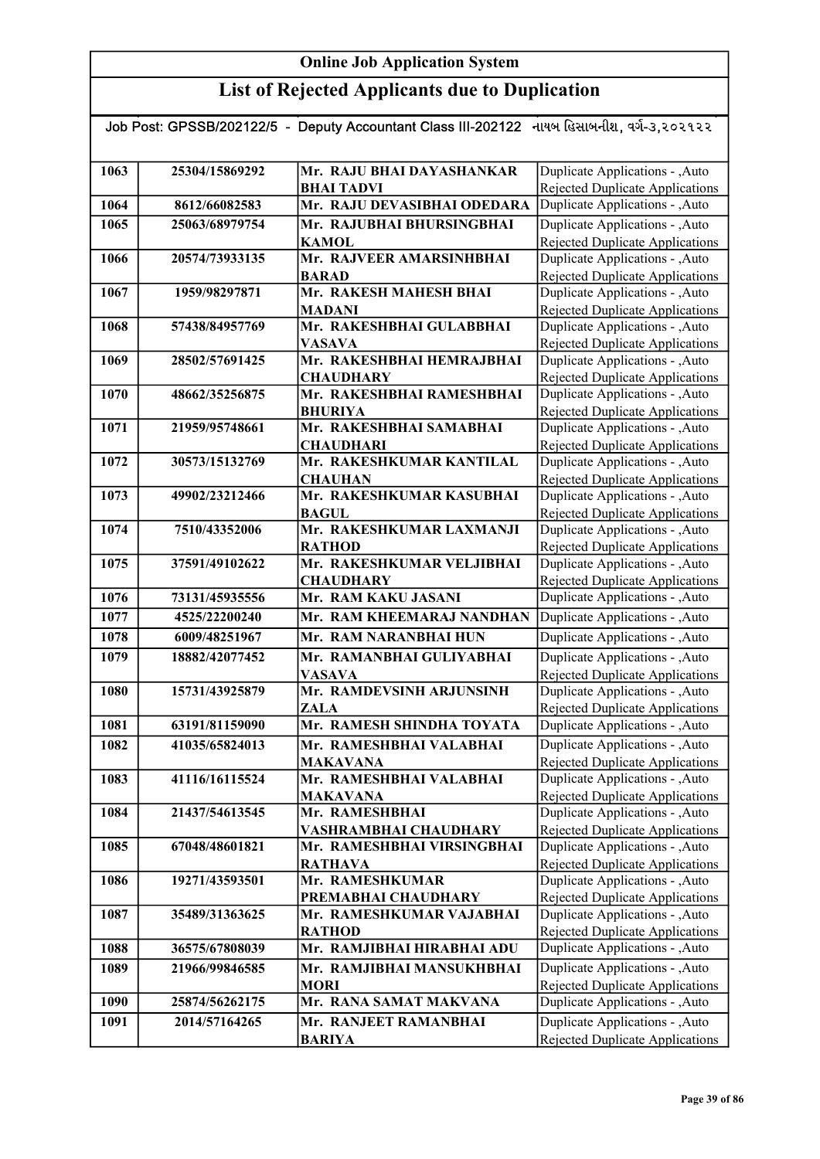| Job Post: GPSSB/202122/5 - Deputy Accountant Class III-202122 નાયબ હિસાબનીશ, વર્ગ-૩,૨૦૨૧૨૨ |                |                                           |                                                                          |
|--------------------------------------------------------------------------------------------|----------------|-------------------------------------------|--------------------------------------------------------------------------|
|                                                                                            |                |                                           |                                                                          |
| 1063                                                                                       | 25304/15869292 | Mr. RAJU BHAI DAYASHANKAR                 | Duplicate Applications - , Auto                                          |
|                                                                                            |                | <b>BHAI TADVI</b>                         | Rejected Duplicate Applications                                          |
| 1064                                                                                       | 8612/66082583  | Mr. RAJU DEVASIBHAI ODEDARA               | Duplicate Applications - , Auto                                          |
| 1065                                                                                       | 25063/68979754 | Mr. RAJUBHAI BHURSINGBHAI                 | Duplicate Applications - , Auto                                          |
|                                                                                            |                | <b>KAMOL</b>                              | Rejected Duplicate Applications                                          |
| 1066                                                                                       | 20574/73933135 | Mr. RAJVEER AMARSINHBHAI                  | Duplicate Applications - , Auto                                          |
|                                                                                            |                | <b>BARAD</b>                              | Rejected Duplicate Applications                                          |
| 1067                                                                                       | 1959/98297871  | Mr. RAKESH MAHESH BHAI                    | Duplicate Applications - ,Auto                                           |
|                                                                                            |                | <b>MADANI</b>                             | <b>Rejected Duplicate Applications</b>                                   |
| 1068                                                                                       | 57438/84957769 | Mr. RAKESHBHAI GULABBHAI                  | Duplicate Applications - , Auto                                          |
|                                                                                            |                | <b>VASAVA</b>                             | Rejected Duplicate Applications                                          |
| 1069                                                                                       | 28502/57691425 | Mr. RAKESHBHAI HEMRAJBHAI                 | Duplicate Applications - , Auto                                          |
|                                                                                            |                | <b>CHAUDHARY</b>                          | Rejected Duplicate Applications                                          |
| 1070                                                                                       | 48662/35256875 | Mr. RAKESHBHAI RAMESHBHAI                 | Duplicate Applications - , Auto                                          |
| 1071                                                                                       | 21959/95748661 | <b>BHURIYA</b><br>Mr. RAKESHBHAI SAMABHAI | Rejected Duplicate Applications<br>Duplicate Applications - , Auto       |
|                                                                                            |                | <b>CHAUDHARI</b>                          | <b>Rejected Duplicate Applications</b>                                   |
| 1072                                                                                       | 30573/15132769 | Mr. RAKESHKUMAR KANTILAL                  | Duplicate Applications - , Auto                                          |
|                                                                                            |                | <b>CHAUHAN</b>                            | Rejected Duplicate Applications                                          |
| 1073                                                                                       | 49902/23212466 | Mr. RAKESHKUMAR KASUBHAI                  | Duplicate Applications - , Auto                                          |
|                                                                                            |                | <b>BAGUL</b>                              | Rejected Duplicate Applications                                          |
| 1074                                                                                       | 7510/43352006  | Mr. RAKESHKUMAR LAXMANJI                  | Duplicate Applications - , Auto                                          |
|                                                                                            |                | <b>RATHOD</b>                             | <b>Rejected Duplicate Applications</b>                                   |
| 1075                                                                                       | 37591/49102622 | Mr. RAKESHKUMAR VELJIBHAI                 | Duplicate Applications - , Auto                                          |
|                                                                                            |                | <b>CHAUDHARY</b>                          | Rejected Duplicate Applications                                          |
| 1076                                                                                       | 73131/45935556 | Mr. RAM KAKU JASANI                       | Duplicate Applications - , Auto                                          |
| 1077                                                                                       | 4525/22200240  | Mr. RAM KHEEMARAJ NANDHAN                 | Duplicate Applications - , Auto                                          |
| 1078                                                                                       | 6009/48251967  | Mr. RAM NARANBHAI HUN                     | Duplicate Applications - , Auto                                          |
| 1079                                                                                       | 18882/42077452 | Mr. RAMANBHAI GULIYABHAI                  | Duplicate Applications - , Auto                                          |
|                                                                                            |                | <b>VASAVA</b>                             | <b>Rejected Duplicate Applications</b>                                   |
| 1080                                                                                       | 15731/43925879 | Mr. RAMDEVSINH ARJUNSINH                  | Duplicate Applications - , Auto                                          |
|                                                                                            |                | ZALA                                      | Rejected Duplicate Applications                                          |
| 1081                                                                                       | 63191/81159090 | Mr. RAMESH SHINDHA TOYATA                 | Duplicate Applications - , Auto                                          |
| 1082                                                                                       | 41035/65824013 | Mr. RAMESHBHAI VALABHAI                   | Duplicate Applications - , Auto                                          |
|                                                                                            |                | <b>MAKAVANA</b>                           | Rejected Duplicate Applications                                          |
| 1083                                                                                       | 41116/16115524 | Mr. RAMESHBHAI VALABHAI                   | Duplicate Applications - , Auto                                          |
|                                                                                            |                | <b>MAKAVANA</b><br>Mr. RAMESHBHAI         | <b>Rejected Duplicate Applications</b><br>Duplicate Applications - ,Auto |
| 1084                                                                                       | 21437/54613545 | VASHRAMBHAI CHAUDHARY                     | Rejected Duplicate Applications                                          |
| 1085                                                                                       | 67048/48601821 | Mr. RAMESHBHAI VIRSINGBHAI                | Duplicate Applications - , Auto                                          |
|                                                                                            |                | <b>RATHAVA</b>                            | Rejected Duplicate Applications                                          |
| 1086                                                                                       | 19271/43593501 | Mr. RAMESHKUMAR                           | Duplicate Applications - ,Auto                                           |
|                                                                                            |                | PREMABHAI CHAUDHARY                       | Rejected Duplicate Applications                                          |
| 1087                                                                                       | 35489/31363625 | Mr. RAMESHKUMAR VAJABHAI                  | Duplicate Applications - , Auto                                          |
|                                                                                            |                | <b>RATHOD</b>                             | Rejected Duplicate Applications                                          |
| 1088                                                                                       | 36575/67808039 | Mr. RAMJIBHAI HIRABHAI ADU                | Duplicate Applications - , Auto                                          |
| 1089                                                                                       | 21966/99846585 | Mr. RAMJIBHAI MANSUKHBHAI                 | Duplicate Applications - , Auto                                          |
|                                                                                            |                | <b>MORI</b>                               | Rejected Duplicate Applications                                          |
| 1090                                                                                       | 25874/56262175 | Mr. RANA SAMAT MAKVANA                    | Duplicate Applications - , Auto                                          |
| 1091                                                                                       | 2014/57164265  | Mr. RANJEET RAMANBHAI                     | Duplicate Applications - , Auto                                          |
|                                                                                            |                | <b>BARIYA</b>                             | Rejected Duplicate Applications                                          |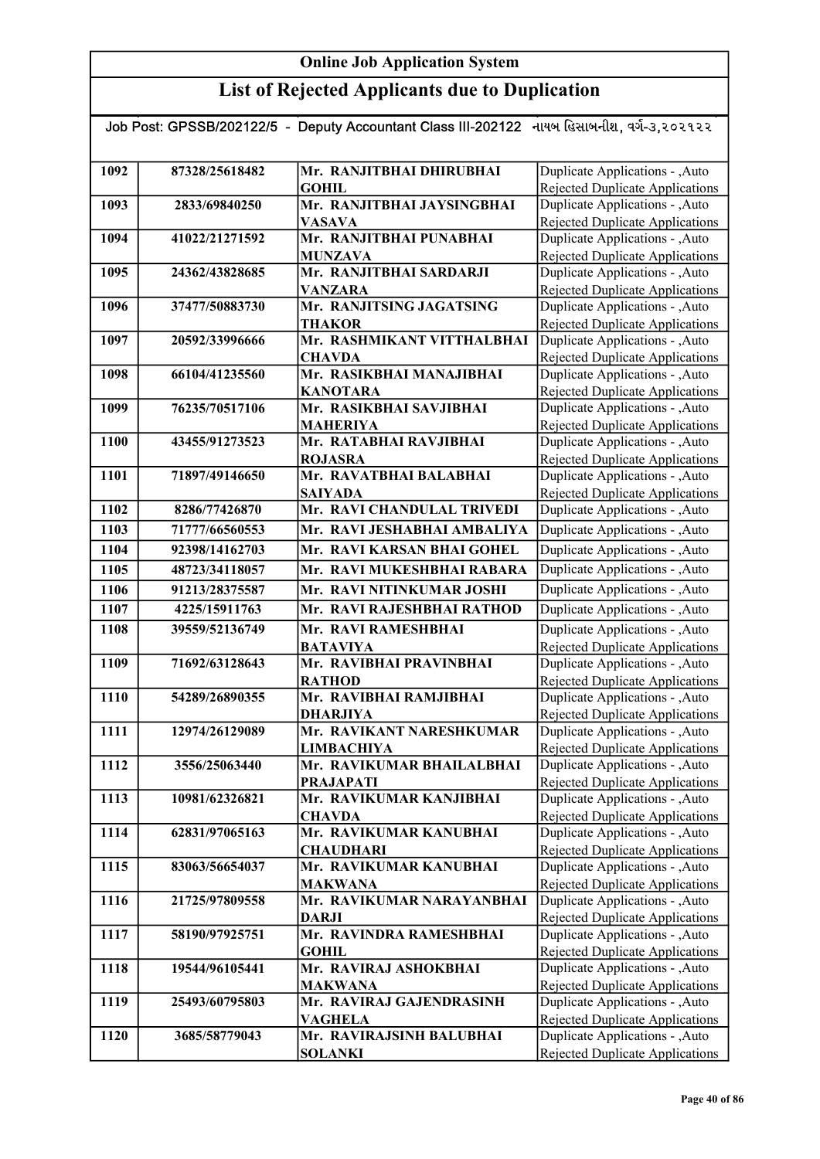| Job Post: GPSSB/202122/5 - Deputy Accountant Class III-202122 નાયબ હિસાબનીશ, વર્ગ-૩,૨૦૨૧૨૨ |                |                                             |                                                                    |  |
|--------------------------------------------------------------------------------------------|----------------|---------------------------------------------|--------------------------------------------------------------------|--|
|                                                                                            |                |                                             |                                                                    |  |
| 1092                                                                                       | 87328/25618482 | Mr. RANJITBHAI DHIRUBHAI                    | Duplicate Applications - , Auto                                    |  |
|                                                                                            |                | <b>GOHIL</b>                                | Rejected Duplicate Applications                                    |  |
| 1093                                                                                       | 2833/69840250  | Mr. RANJITBHAI JAYSINGBHAI                  | Duplicate Applications - , Auto                                    |  |
|                                                                                            |                | <b>VASAVA</b>                               | Rejected Duplicate Applications                                    |  |
| 1094                                                                                       | 41022/21271592 | Mr. RANJITBHAI PUNABHAI                     | Duplicate Applications - , Auto                                    |  |
|                                                                                            |                | <b>MUNZAVA</b>                              | Rejected Duplicate Applications                                    |  |
| 1095                                                                                       | 24362/43828685 | Mr. RANJITBHAI SARDARJI                     | Duplicate Applications - , Auto                                    |  |
|                                                                                            |                | <b>VANZARA</b>                              | Rejected Duplicate Applications                                    |  |
| 1096                                                                                       | 37477/50883730 | Mr. RANJITSING JAGATSING                    | Duplicate Applications - , Auto                                    |  |
| 1097                                                                                       | 20592/33996666 | <b>THAKOR</b><br>Mr. RASHMIKANT VITTHALBHAI | Rejected Duplicate Applications<br>Duplicate Applications - , Auto |  |
|                                                                                            |                | <b>CHAVDA</b>                               | Rejected Duplicate Applications                                    |  |
| 1098                                                                                       | 66104/41235560 | Mr. RASIKBHAI MANAJIBHAI                    | Duplicate Applications - , Auto                                    |  |
|                                                                                            |                | <b>KANOTARA</b>                             | Rejected Duplicate Applications                                    |  |
| 1099                                                                                       | 76235/70517106 | Mr. RASIKBHAI SAVJIBHAI                     | Duplicate Applications - , Auto                                    |  |
|                                                                                            |                | <b>MAHERIYA</b>                             | Rejected Duplicate Applications                                    |  |
| 1100                                                                                       | 43455/91273523 | Mr. RATABHAI RAVJIBHAI                      | Duplicate Applications - , Auto                                    |  |
|                                                                                            |                | <b>ROJASRA</b>                              | Rejected Duplicate Applications                                    |  |
| 1101                                                                                       | 71897/49146650 | Mr. RAVATBHAI BALABHAI                      | Duplicate Applications - , Auto                                    |  |
|                                                                                            |                | <b>SAIYADA</b>                              | Rejected Duplicate Applications                                    |  |
| 1102                                                                                       | 8286/77426870  | Mr. RAVI CHANDULAL TRIVEDI                  | Duplicate Applications - , Auto                                    |  |
| 1103                                                                                       | 71777/66560553 | Mr. RAVI JESHABHAI AMBALIYA                 | Duplicate Applications - , Auto                                    |  |
| 1104                                                                                       | 92398/14162703 | Mr. RAVI KARSAN BHAI GOHEL                  | Duplicate Applications - , Auto                                    |  |
| 1105                                                                                       | 48723/34118057 | Mr. RAVI MUKESHBHAI RABARA                  | Duplicate Applications - , Auto                                    |  |
| 1106                                                                                       | 91213/28375587 | Mr. RAVI NITINKUMAR JOSHI                   | Duplicate Applications - , Auto                                    |  |
| 1107                                                                                       | 4225/15911763  | Mr. RAVI RAJESHBHAI RATHOD                  | Duplicate Applications - , Auto                                    |  |
| 1108                                                                                       | 39559/52136749 | Mr. RAVI RAMESHBHAI                         | Duplicate Applications - , Auto                                    |  |
|                                                                                            |                | <b>BATAVIYA</b>                             | <b>Rejected Duplicate Applications</b>                             |  |
| 1109                                                                                       | 71692/63128643 | Mr. RAVIBHAI PRAVINBHAI                     | Duplicate Applications - , Auto                                    |  |
| 1110                                                                                       | 54289/26890355 | <b>RATHOD</b><br>Mr. RAVIBHAI RAMJIBHAI     | Rejected Duplicate Applications<br>Duplicate Applications - , Auto |  |
|                                                                                            |                | <b>DHARJIYA</b>                             | <b>Rejected Duplicate Applications</b>                             |  |
| 1111                                                                                       | 12974/26129089 | Mr. RAVIKANT NARESHKUMAR                    | Duplicate Applications - , Auto                                    |  |
|                                                                                            |                | <b>LIMBACHIYA</b>                           | Rejected Duplicate Applications                                    |  |
| 1112                                                                                       | 3556/25063440  | Mr. RAVIKUMAR BHAILALBHAI                   | Duplicate Applications - , Auto                                    |  |
|                                                                                            |                | <b>PRAJAPATI</b>                            | Rejected Duplicate Applications                                    |  |
| 1113                                                                                       | 10981/62326821 | Mr. RAVIKUMAR KANJIBHAI                     | Duplicate Applications - , Auto                                    |  |
|                                                                                            |                | <b>CHAVDA</b>                               | Rejected Duplicate Applications                                    |  |
| 1114                                                                                       | 62831/97065163 | Mr. RAVIKUMAR KANUBHAI                      | Duplicate Applications - , Auto                                    |  |
| 1115                                                                                       |                | <b>CHAUDHARI</b>                            | Rejected Duplicate Applications                                    |  |
|                                                                                            | 83063/56654037 | Mr. RAVIKUMAR KANUBHAI<br><b>MAKWANA</b>    | Duplicate Applications - , Auto<br>Rejected Duplicate Applications |  |
| 1116                                                                                       | 21725/97809558 | Mr. RAVIKUMAR NARAYANBHAI                   | Duplicate Applications - , Auto                                    |  |
|                                                                                            |                | <b>DARJI</b>                                | Rejected Duplicate Applications                                    |  |
| 1117                                                                                       | 58190/97925751 | Mr. RAVINDRA RAMESHBHAI                     | Duplicate Applications - , Auto                                    |  |
|                                                                                            |                | <b>GOHIL</b>                                | Rejected Duplicate Applications                                    |  |
| 1118                                                                                       | 19544/96105441 | Mr. RAVIRAJ ASHOKBHAI                       | Duplicate Applications - , Auto                                    |  |
|                                                                                            |                | <b>MAKWANA</b>                              | Rejected Duplicate Applications                                    |  |
| 1119                                                                                       | 25493/60795803 | Mr. RAVIRAJ GAJENDRASINH                    | Duplicate Applications - , Auto                                    |  |
| 1120                                                                                       | 3685/58779043  | VAGHELA<br>Mr. RAVIRAJSINH BALUBHAI         | Rejected Duplicate Applications<br>Duplicate Applications - , Auto |  |
|                                                                                            |                | <b>SOLANKI</b>                              | Rejected Duplicate Applications                                    |  |
|                                                                                            |                |                                             |                                                                    |  |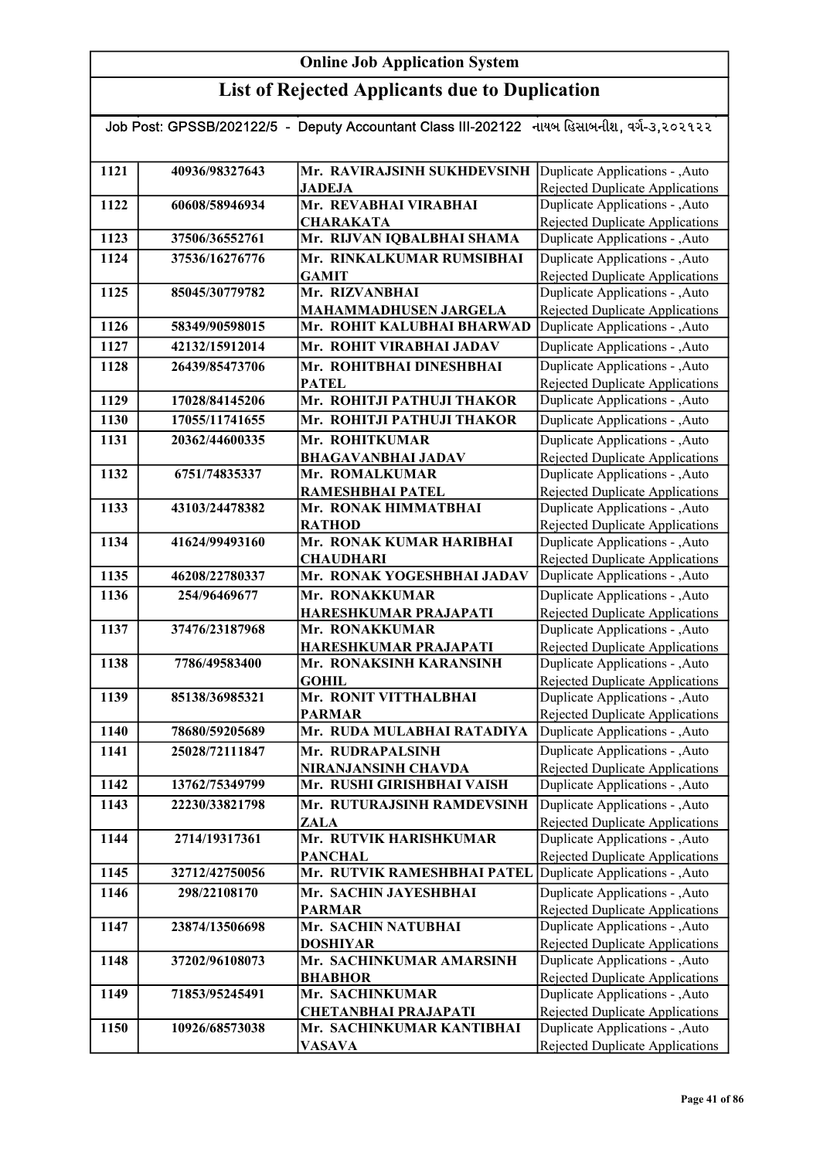| Job Post: GPSSB/202122/5 - Deputy Accountant Class III-202122 નાયબ હિસાબનીશ, વર્ગ-૩,૨૦૨૧૨૨ |                |                                             |                                                                           |
|--------------------------------------------------------------------------------------------|----------------|---------------------------------------------|---------------------------------------------------------------------------|
|                                                                                            |                |                                             |                                                                           |
| 1121                                                                                       | 40936/98327643 | Mr. RAVIRAJSINH SUKHDEVSINH                 | Duplicate Applications - , Auto                                           |
|                                                                                            |                | <b>JADEJA</b>                               | Rejected Duplicate Applications                                           |
| 1122                                                                                       | 60608/58946934 | Mr. REVABHAI VIRABHAI                       | Duplicate Applications - , Auto                                           |
|                                                                                            |                | <b>CHARAKATA</b>                            | <b>Rejected Duplicate Applications</b>                                    |
| 1123                                                                                       | 37506/36552761 | Mr. RIJVAN IQBALBHAI SHAMA                  | Duplicate Applications - , Auto                                           |
| 1124                                                                                       | 37536/16276776 | Mr. RINKALKUMAR RUMSIBHAI                   | Duplicate Applications - , Auto                                           |
|                                                                                            |                | <b>GAMIT</b>                                | Rejected Duplicate Applications                                           |
| 1125                                                                                       | 85045/30779782 | Mr. RIZVANBHAI                              | Duplicate Applications - , Auto                                           |
|                                                                                            |                | <b>MAHAMMADHUSEN JARGELA</b>                | Rejected Duplicate Applications                                           |
| 1126                                                                                       | 58349/90598015 | Mr. ROHIT KALUBHAI BHARWAD                  | Duplicate Applications - , Auto                                           |
| 1127                                                                                       | 42132/15912014 | Mr. ROHIT VIRABHAI JADAV                    | Duplicate Applications - , Auto                                           |
| 1128                                                                                       | 26439/85473706 | Mr. ROHITBHAI DINESHBHAI                    | Duplicate Applications - , Auto                                           |
|                                                                                            |                | <b>PATEL</b>                                | Rejected Duplicate Applications                                           |
| 1129                                                                                       | 17028/84145206 | Mr. ROHITJI PATHUJI THAKOR                  | Duplicate Applications - , Auto                                           |
| 1130                                                                                       | 17055/11741655 | Mr. ROHITJI PATHUJI THAKOR                  | Duplicate Applications - , Auto                                           |
| 1131                                                                                       | 20362/44600335 | Mr. ROHITKUMAR                              | Duplicate Applications - , Auto                                           |
|                                                                                            |                | <b>BHAGAVANBHAI JADAV</b>                   | <b>Rejected Duplicate Applications</b>                                    |
| 1132                                                                                       | 6751/74835337  | Mr. ROMALKUMAR                              | Duplicate Applications - , Auto                                           |
| 1133                                                                                       | 43103/24478382 | RAMESHBHAI PATEL<br>Mr. RONAK HIMMATBHAI    | Rejected Duplicate Applications<br>Duplicate Applications - , Auto        |
|                                                                                            |                | <b>RATHOD</b>                               | Rejected Duplicate Applications                                           |
| 1134                                                                                       | 41624/99493160 | Mr. RONAK KUMAR HARIBHAI                    | Duplicate Applications - ,Auto                                            |
|                                                                                            |                | <b>CHAUDHARI</b>                            | Rejected Duplicate Applications                                           |
| 1135                                                                                       | 46208/22780337 | Mr. RONAK YOGESHBHAI JADAV                  | Duplicate Applications - ,Auto                                            |
| 1136                                                                                       | 254/96469677   | Mr. RONAKKUMAR                              | Duplicate Applications - , Auto                                           |
|                                                                                            |                | <b>HARESHKUMAR PRAJAPATI</b>                | Rejected Duplicate Applications                                           |
| 1137                                                                                       | 37476/23187968 | Mr. RONAKKUMAR                              | Duplicate Applications - , Auto                                           |
|                                                                                            |                | HARESHKUMAR PRAJAPATI                       | Rejected Duplicate Applications                                           |
| 1138                                                                                       | 7786/49583400  | Mr. RONAKSINH KARANSINH                     | Duplicate Applications - , Auto                                           |
| 1139                                                                                       | 85138/36985321 | <b>GOHIL</b><br>Mr. RONIT VITTHALBHAI       | <b>Rejected Duplicate Applications</b><br>Duplicate Applications - , Auto |
|                                                                                            |                | <b>PARMAR</b>                               | Rejected Duplicate Applications                                           |
| 1140                                                                                       | 78680/59205689 | Mr. RUDA MULABHAI RATADIYA                  | Duplicate Applications - , Auto                                           |
| 1141                                                                                       | 25028/72111847 | Mr. RUDRAPALSINH                            | Duplicate Applications - , Auto                                           |
|                                                                                            |                | NIRANJANSINH CHAVDA                         | Rejected Duplicate Applications                                           |
| 1142                                                                                       | 13762/75349799 | Mr. RUSHI GIRISHBHAI VAISH                  | Duplicate Applications - , Auto                                           |
| 1143                                                                                       | 22230/33821798 | Mr. RUTURAJSINH RAMDEVSINH                  | Duplicate Applications - , Auto                                           |
|                                                                                            |                | ZALA                                        | Rejected Duplicate Applications                                           |
| 1144                                                                                       | 2714/19317361  | Mr. RUTVIK HARISHKUMAR                      | Duplicate Applications - , Auto                                           |
|                                                                                            |                | <b>PANCHAL</b>                              | Rejected Duplicate Applications                                           |
| 1145                                                                                       | 32712/42750056 | Mr. RUTVIK RAMESHBHAI PATEL                 | Duplicate Applications - , Auto                                           |
| 1146                                                                                       | 298/22108170   | Mr. SACHIN JAYESHBHAI                       | Duplicate Applications - , Auto                                           |
|                                                                                            |                | <b>PARMAR</b>                               | Rejected Duplicate Applications                                           |
| 1147                                                                                       | 23874/13506698 | Mr. SACHIN NATUBHAI                         | Duplicate Applications - , Auto                                           |
| 1148                                                                                       | 37202/96108073 | <b>DOSHIYAR</b><br>Mr. SACHINKUMAR AMARSINH | Rejected Duplicate Applications<br>Duplicate Applications - , Auto        |
|                                                                                            |                | <b>BHABHOR</b>                              | Rejected Duplicate Applications                                           |
| 1149                                                                                       | 71853/95245491 | Mr. SACHINKUMAR                             | Duplicate Applications - , Auto                                           |
|                                                                                            |                | <b>CHETANBHAI PRAJAPATI</b>                 | Rejected Duplicate Applications                                           |
| 1150                                                                                       | 10926/68573038 | Mr. SACHINKUMAR KANTIBHAI                   | Duplicate Applications - , Auto                                           |
|                                                                                            |                | <b>VASAVA</b>                               | Rejected Duplicate Applications                                           |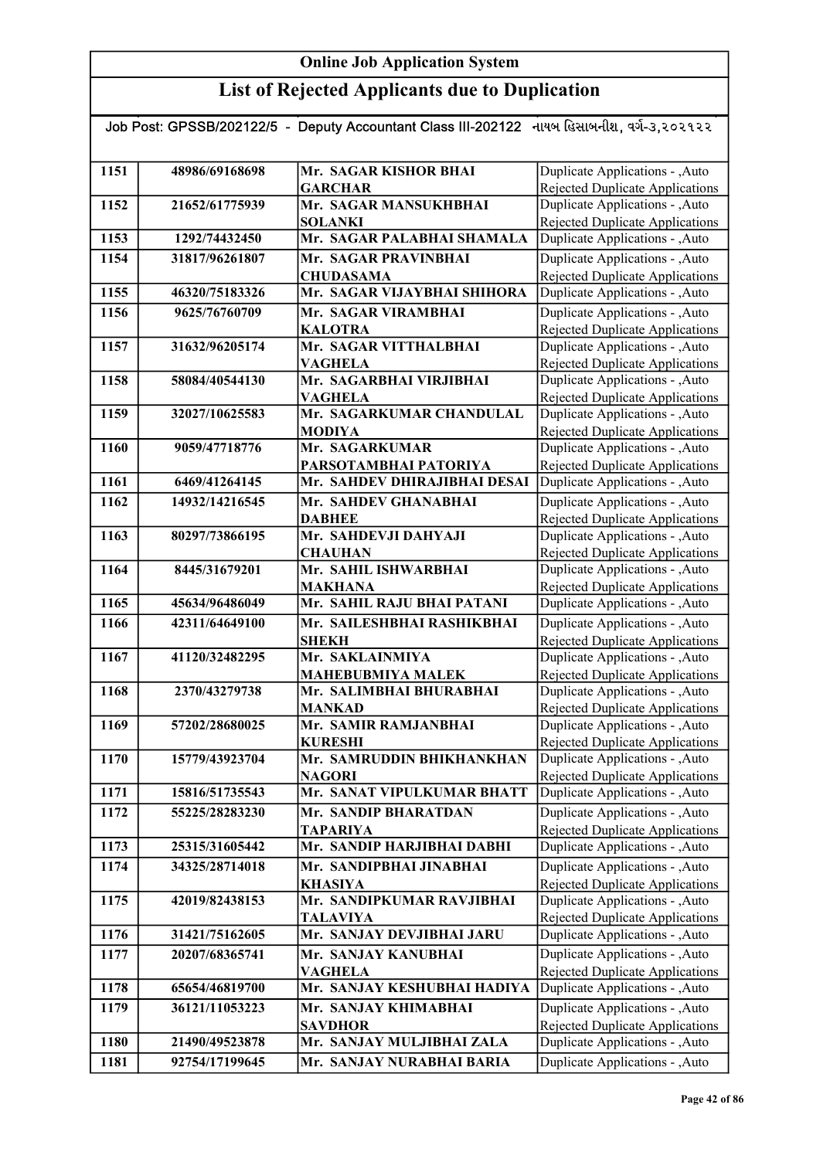| Job Post: GPSSB/202122/5 - Deputy Accountant Class III-202122 નાયબ હિસાબનીશ, વર્ગ-૩,૨૦૨૧૨૨ |                |                                               |                                                                           |  |
|--------------------------------------------------------------------------------------------|----------------|-----------------------------------------------|---------------------------------------------------------------------------|--|
|                                                                                            |                |                                               |                                                                           |  |
| 1151                                                                                       | 48986/69168698 | Mr. SAGAR KISHOR BHAI                         | Duplicate Applications - , Auto                                           |  |
| 1152                                                                                       | 21652/61775939 | <b>GARCHAR</b><br>Mr. SAGAR MANSUKHBHAI       | Rejected Duplicate Applications<br>Duplicate Applications - , Auto        |  |
|                                                                                            |                | <b>SOLANKI</b>                                |                                                                           |  |
| 1153                                                                                       | 1292/74432450  | Mr. SAGAR PALABHAI SHAMALA                    | <b>Rejected Duplicate Applications</b><br>Duplicate Applications - , Auto |  |
| 1154                                                                                       | 31817/96261807 | Mr. SAGAR PRAVINBHAI                          | Duplicate Applications - , Auto                                           |  |
|                                                                                            |                | <b>CHUDASAMA</b>                              | <b>Rejected Duplicate Applications</b>                                    |  |
| 1155                                                                                       | 46320/75183326 | Mr. SAGAR VIJAYBHAI SHIHORA                   | Duplicate Applications - , Auto                                           |  |
| 1156                                                                                       | 9625/76760709  | Mr. SAGAR VIRAMBHAI                           | Duplicate Applications - , Auto                                           |  |
|                                                                                            |                | <b>KALOTRA</b>                                | <b>Rejected Duplicate Applications</b>                                    |  |
| 1157                                                                                       | 31632/96205174 | Mr. SAGAR VITTHALBHAI                         | Duplicate Applications - , Auto                                           |  |
|                                                                                            |                | <b>VAGHELA</b>                                | <b>Rejected Duplicate Applications</b>                                    |  |
| 1158                                                                                       | 58084/40544130 | Mr. SAGARBHAI VIRJIBHAI                       | Duplicate Applications - , Auto                                           |  |
|                                                                                            |                | <b>VAGHELA</b>                                | Rejected Duplicate Applications                                           |  |
| 1159                                                                                       | 32027/10625583 | Mr. SAGARKUMAR CHANDULAL                      | Duplicate Applications - , Auto                                           |  |
|                                                                                            |                | <b>MODIYA</b>                                 | <b>Rejected Duplicate Applications</b>                                    |  |
| 1160                                                                                       | 9059/47718776  | Mr. SAGARKUMAR                                | Duplicate Applications - , Auto                                           |  |
|                                                                                            |                | PARSOTAMBHAI PATORIYA                         | Rejected Duplicate Applications                                           |  |
| 1161                                                                                       | 6469/41264145  | Mr. SAHDEV DHIRAJIBHAI DESAI                  | Duplicate Applications - , Auto                                           |  |
| 1162                                                                                       | 14932/14216545 | Mr. SAHDEV GHANABHAI                          | Duplicate Applications - , Auto                                           |  |
|                                                                                            |                | <b>DABHEE</b>                                 | <b>Rejected Duplicate Applications</b>                                    |  |
| 1163                                                                                       | 80297/73866195 | Mr. SAHDEVJI DAHYAJI                          | Duplicate Applications - , Auto                                           |  |
| 1164                                                                                       | 8445/31679201  | <b>CHAUHAN</b><br>Mr. SAHIL ISHWARBHAI        | <b>Rejected Duplicate Applications</b><br>Duplicate Applications - , Auto |  |
|                                                                                            |                | <b>MAKHANA</b>                                | <b>Rejected Duplicate Applications</b>                                    |  |
| 1165                                                                                       | 45634/96486049 | Mr. SAHIL RAJU BHAI PATANI                    | Duplicate Applications - , Auto                                           |  |
| 1166                                                                                       | 42311/64649100 | Mr. SAILESHBHAI RASHIKBHAI                    | Duplicate Applications - , Auto                                           |  |
|                                                                                            |                | <b>SHEKH</b>                                  | <b>Rejected Duplicate Applications</b>                                    |  |
| 1167                                                                                       | 41120/32482295 | Mr. SAKLAINMIYA                               | Duplicate Applications - , Auto                                           |  |
|                                                                                            |                | <b>MAHEBUBMIYA MALEK</b>                      | Rejected Duplicate Applications                                           |  |
| 1168                                                                                       | 2370/43279738  | Mr. SALIMBHAI BHURABHAI                       | Duplicate Applications - , Auto                                           |  |
|                                                                                            |                | <b>MANKAD</b>                                 | Rejected Duplicate Applications                                           |  |
| 1169                                                                                       | 57202/28680025 | Mr. SAMIR RAMJANBHAI                          | Duplicate Applications - , Auto                                           |  |
|                                                                                            |                | <b>KURESHI</b>                                | Rejected Duplicate Applications                                           |  |
| 1170                                                                                       | 15779/43923704 | Mr. SAMRUDDIN BHIKHANKHAN                     | Duplicate Applications - , Auto                                           |  |
| 1171                                                                                       | 15816/51735543 | <b>NAGORI</b><br>Mr. SANAT VIPULKUMAR BHATT   | <b>Rejected Duplicate Applications</b><br>Duplicate Applications - , Auto |  |
|                                                                                            |                |                                               |                                                                           |  |
| 1172                                                                                       | 55225/28283230 | Mr. SANDIP BHARATDAN                          | Duplicate Applications - , Auto                                           |  |
| 1173                                                                                       | 25315/31605442 | <b>TAPARIYA</b><br>Mr. SANDIP HARJIBHAI DABHI | <b>Rejected Duplicate Applications</b><br>Duplicate Applications - , Auto |  |
| 1174                                                                                       | 34325/28714018 | Mr. SANDIPBHAI JINABHAI                       | Duplicate Applications - , Auto                                           |  |
|                                                                                            |                | <b>KHASIYA</b>                                | <b>Rejected Duplicate Applications</b>                                    |  |
| 1175                                                                                       | 42019/82438153 | Mr. SANDIPKUMAR RAVJIBHAI                     | Duplicate Applications - , Auto                                           |  |
|                                                                                            |                | TALAVIYA                                      | <b>Rejected Duplicate Applications</b>                                    |  |
| 1176                                                                                       | 31421/75162605 | Mr. SANJAY DEVJIBHAI JARU                     | Duplicate Applications - , Auto                                           |  |
| 1177                                                                                       | 20207/68365741 | Mr. SANJAY KANUBHAI                           | Duplicate Applications - , Auto                                           |  |
|                                                                                            |                | <b>VAGHELA</b>                                | Rejected Duplicate Applications                                           |  |
| 1178                                                                                       | 65654/46819700 | Mr. SANJAY KESHUBHAI HADIYA                   | Duplicate Applications - , Auto                                           |  |
| 1179                                                                                       | 36121/11053223 | Mr. SANJAY KHIMABHAI                          | Duplicate Applications - , Auto                                           |  |
|                                                                                            |                | <b>SAVDHOR</b>                                | <b>Rejected Duplicate Applications</b>                                    |  |
| 1180                                                                                       | 21490/49523878 | Mr. SANJAY MULJIBHAI ZALA                     | Duplicate Applications - , Auto                                           |  |
| 1181                                                                                       | 92754/17199645 | Mr. SANJAY NURABHAI BARIA                     | Duplicate Applications - , Auto                                           |  |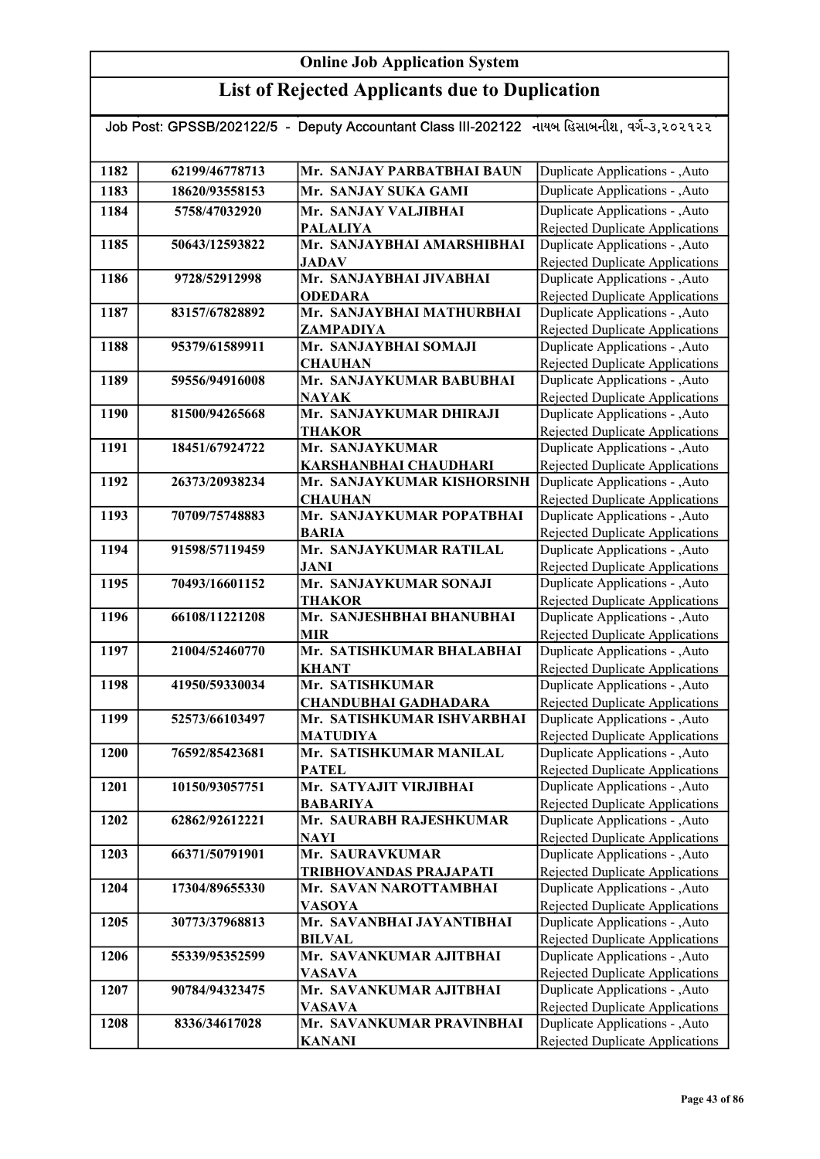| Job Post: GPSSB/202122/5 - Deputy Accountant Class III-202122 નાયબ હિસાબનીશ, વર્ગ-૩,૨૦૨૧૨૨ |                |                                                  |                                                                           |
|--------------------------------------------------------------------------------------------|----------------|--------------------------------------------------|---------------------------------------------------------------------------|
| 1182                                                                                       | 62199/46778713 | Mr. SANJAY PARBATBHAI BAUN                       | Duplicate Applications - , Auto                                           |
| 1183                                                                                       | 18620/93558153 | Mr. SANJAY SUKA GAMI                             | Duplicate Applications - , Auto                                           |
| 1184                                                                                       | 5758/47032920  | Mr. SANJAY VALJIBHAI                             | Duplicate Applications - , Auto                                           |
|                                                                                            |                | <b>PALALIYA</b>                                  | <b>Rejected Duplicate Applications</b>                                    |
| 1185                                                                                       | 50643/12593822 | Mr. SANJAYBHAI AMARSHIBHAI                       | Duplicate Applications - , Auto                                           |
|                                                                                            |                | <b>JADAV</b>                                     | <b>Rejected Duplicate Applications</b>                                    |
| 1186                                                                                       | 9728/52912998  | Mr. SANJAYBHAI JIVABHAI                          | Duplicate Applications - , Auto                                           |
|                                                                                            |                | <b>ODEDARA</b>                                   | Rejected Duplicate Applications                                           |
| 1187                                                                                       | 83157/67828892 | Mr. SANJAYBHAI MATHURBHAI                        | Duplicate Applications - , Auto                                           |
|                                                                                            |                | ZAMPADIYA                                        | <b>Rejected Duplicate Applications</b>                                    |
| 1188                                                                                       | 95379/61589911 | Mr. SANJAYBHAI SOMAJI                            | Duplicate Applications - , Auto                                           |
|                                                                                            |                | <b>CHAUHAN</b>                                   | Rejected Duplicate Applications                                           |
| 1189                                                                                       | 59556/94916008 | Mr. SANJAYKUMAR BABUBHAI                         | Duplicate Applications - , Auto                                           |
|                                                                                            |                | <b>NAYAK</b>                                     | Rejected Duplicate Applications<br>Duplicate Applications - , Auto        |
| 1190                                                                                       | 81500/94265668 | Mr. SANJAYKUMAR DHIRAJI<br><b>THAKOR</b>         | Rejected Duplicate Applications                                           |
| 1191                                                                                       | 18451/67924722 | Mr. SANJAYKUMAR                                  | Duplicate Applications - , Auto                                           |
|                                                                                            |                | KARSHANBHAI CHAUDHARI                            | <b>Rejected Duplicate Applications</b>                                    |
| 1192                                                                                       | 26373/20938234 | Mr. SANJAYKUMAR KISHORSINH                       | Duplicate Applications - ,Auto                                            |
|                                                                                            |                | <b>CHAUHAN</b>                                   | <b>Rejected Duplicate Applications</b>                                    |
| 1193                                                                                       | 70709/75748883 | Mr. SANJAYKUMAR POPATBHAI                        | Duplicate Applications - , Auto                                           |
|                                                                                            |                | <b>BARIA</b>                                     | Rejected Duplicate Applications                                           |
| 1194                                                                                       | 91598/57119459 | Mr. SANJAYKUMAR RATILAL                          | Duplicate Applications - , Auto                                           |
|                                                                                            |                | <b>JANI</b>                                      | <b>Rejected Duplicate Applications</b>                                    |
| 1195                                                                                       | 70493/16601152 | Mr. SANJAYKUMAR SONAJI                           | Duplicate Applications - , Auto                                           |
|                                                                                            |                | <b>THAKOR</b>                                    | <b>Rejected Duplicate Applications</b>                                    |
| 1196                                                                                       | 66108/11221208 | Mr. SANJESHBHAI BHANUBHAI                        | Duplicate Applications - , Auto                                           |
|                                                                                            | 21004/52460770 | <b>MIR</b><br>Mr. SATISHKUMAR BHALABHAI          | Rejected Duplicate Applications                                           |
| 1197                                                                                       |                | <b>KHANT</b>                                     | Duplicate Applications - , Auto<br>Rejected Duplicate Applications        |
| 1198                                                                                       | 41950/59330034 | Mr. SATISHKUMAR                                  | Duplicate Applications - , Auto                                           |
|                                                                                            |                | <b>CHANDUBHAI GADHADARA</b>                      | Rejected Duplicate Applications                                           |
| 1199                                                                                       | 52573/66103497 | Mr. SATISHKUMAR ISHVARBHAI                       | Duplicate Applications - , Auto                                           |
|                                                                                            |                | MATUDIYA                                         | Rejected Duplicate Applications                                           |
| 1200                                                                                       | 76592/85423681 | Mr. SATISHKUMAR MANILAL                          | Duplicate Applications - , Auto                                           |
|                                                                                            |                | <b>PATEL</b>                                     | Rejected Duplicate Applications                                           |
| 1201                                                                                       | 10150/93057751 | Mr. SATYAJIT VIRJIBHAI                           | Duplicate Applications - , Auto                                           |
|                                                                                            |                | <b>BABARIYA</b>                                  | Rejected Duplicate Applications                                           |
| 1202                                                                                       | 62862/92612221 | Mr. SAURABH RAJESHKUMAR                          | Duplicate Applications - , Auto                                           |
|                                                                                            |                | <b>NAYI</b>                                      | <b>Rejected Duplicate Applications</b>                                    |
| 1203                                                                                       | 66371/50791901 | Mr. SAURAVKUMAR                                  | Duplicate Applications - , Auto                                           |
| 1204                                                                                       | 17304/89655330 | TRIBHOVANDAS PRAJAPATI<br>Mr. SAVAN NAROTTAMBHAI | <b>Rejected Duplicate Applications</b><br>Duplicate Applications - , Auto |
|                                                                                            |                | <b>VASOYA</b>                                    | Rejected Duplicate Applications                                           |
| 1205                                                                                       | 30773/37968813 | Mr. SAVANBHAI JAYANTIBHAI                        | Duplicate Applications - , Auto                                           |
|                                                                                            |                | <b>BILVAL</b>                                    | <b>Rejected Duplicate Applications</b>                                    |
| 1206                                                                                       | 55339/95352599 | Mr. SAVANKUMAR AJITBHAI                          | Duplicate Applications - , Auto                                           |
|                                                                                            |                | <b>VASAVA</b>                                    | <b>Rejected Duplicate Applications</b>                                    |
| 1207                                                                                       | 90784/94323475 | Mr. SAVANKUMAR AJITBHAI                          | Duplicate Applications - , Auto                                           |
|                                                                                            |                | <b>VASAVA</b>                                    | Rejected Duplicate Applications                                           |
| 1208                                                                                       | 8336/34617028  | Mr. SAVANKUMAR PRAVINBHAI                        | Duplicate Applications - , Auto                                           |
|                                                                                            |                | <b>KANANI</b>                                    | Rejected Duplicate Applications                                           |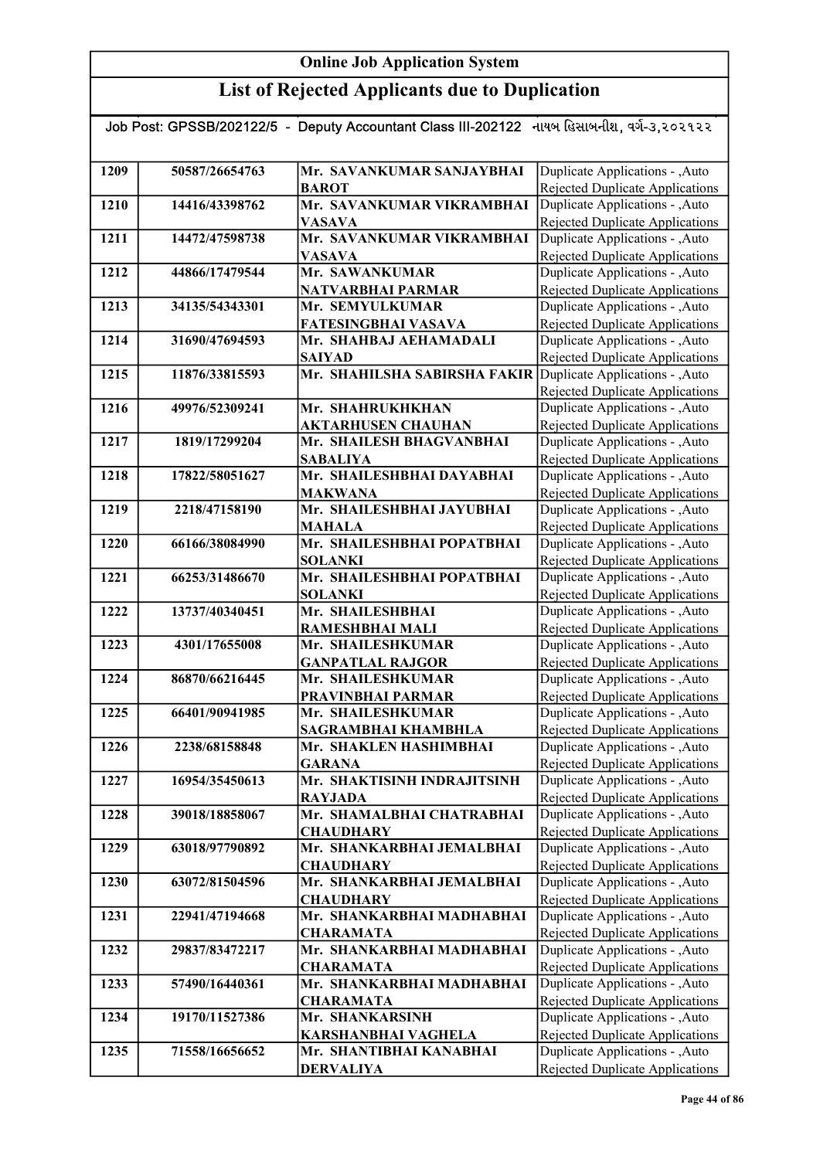|      |                | Job Post: GPSSB/202122/5  -  Deputy Accountant Class III-202122   નાયબ હિસાબનીશ, વર્ગ-૩,૨૦૨૧૨૨ |                                                                           |
|------|----------------|------------------------------------------------------------------------------------------------|---------------------------------------------------------------------------|
|      |                |                                                                                                |                                                                           |
| 1209 | 50587/26654763 | Mr. SAVANKUMAR SANJAYBHAI                                                                      | Duplicate Applications - , Auto                                           |
|      |                | <b>BAROT</b>                                                                                   | Rejected Duplicate Applications                                           |
| 1210 | 14416/43398762 | Mr. SAVANKUMAR VIKRAMBHAI                                                                      | Duplicate Applications - , Auto                                           |
|      |                | <b>VASAVA</b>                                                                                  | <b>Rejected Duplicate Applications</b>                                    |
| 1211 | 14472/47598738 | Mr. SAVANKUMAR VIKRAMBHAI                                                                      | Duplicate Applications - , Auto                                           |
|      |                | <b>VASAVA</b>                                                                                  | <b>Rejected Duplicate Applications</b>                                    |
| 1212 | 44866/17479544 | Mr. SAWANKUMAR                                                                                 | Duplicate Applications - , Auto                                           |
|      |                | <b>NATVARBHAI PARMAR</b>                                                                       | Rejected Duplicate Applications                                           |
| 1213 | 34135/54343301 | Mr. SEMYULKUMAR                                                                                | Duplicate Applications - , Auto                                           |
|      |                | FATESINGBHAI VASAVA                                                                            | <b>Rejected Duplicate Applications</b>                                    |
| 1214 | 31690/47694593 | Mr. SHAHBAJ AEHAMADALI                                                                         | Duplicate Applications - , Auto                                           |
| 1215 | 11876/33815593 | <b>SAIYAD</b><br>Mr. SHAHILSHA SABIRSHA FAKIR Duplicate Applications - , Auto                  | Rejected Duplicate Applications                                           |
|      |                |                                                                                                | Rejected Duplicate Applications                                           |
| 1216 | 49976/52309241 | Mr. SHAHRUKHKHAN                                                                               | Duplicate Applications - , Auto                                           |
|      |                | <b>AKTARHUSEN CHAUHAN</b>                                                                      | <b>Rejected Duplicate Applications</b>                                    |
| 1217 | 1819/17299204  | Mr. SHAILESH BHAGVANBHAI                                                                       | Duplicate Applications - , Auto                                           |
|      |                | <b>SABALIYA</b>                                                                                | Rejected Duplicate Applications                                           |
| 1218 | 17822/58051627 | Mr. SHAILESHBHAI DAYABHAI                                                                      | Duplicate Applications - , Auto                                           |
|      |                | <b>MAKWANA</b>                                                                                 | Rejected Duplicate Applications                                           |
| 1219 | 2218/47158190  | Mr. SHAILESHBHAI JAYUBHAI                                                                      | Duplicate Applications - , Auto                                           |
|      |                | <b>MAHALA</b>                                                                                  | Rejected Duplicate Applications                                           |
| 1220 | 66166/38084990 | Mr. SHAILESHBHAI POPATBHAI                                                                     | Duplicate Applications - , Auto                                           |
|      |                | <b>SOLANKI</b>                                                                                 | Rejected Duplicate Applications                                           |
| 1221 | 66253/31486670 | Mr. SHAILESHBHAI POPATBHAI                                                                     | Duplicate Applications - , Auto                                           |
|      |                | <b>SOLANKI</b>                                                                                 | Rejected Duplicate Applications                                           |
| 1222 | 13737/40340451 | Mr. SHAILESHBHAI                                                                               | Duplicate Applications - , Auto                                           |
| 1223 | 4301/17655008  | RAMESHBHAI MALI<br>Mr. SHAILESHKUMAR                                                           | Rejected Duplicate Applications<br>Duplicate Applications - , Auto        |
|      |                | <b>GANPATLAL RAJGOR</b>                                                                        | Rejected Duplicate Applications                                           |
| 1224 | 86870/66216445 | Mr. SHAILESHKUMAR                                                                              | Duplicate Applications - , Auto                                           |
|      |                | PRAVINBHAI PARMAR                                                                              | Rejected Duplicate Applications                                           |
| 1225 | 66401/90941985 | Mr. SHAILESHKUMAR                                                                              | Duplicate Applications - , Auto                                           |
|      |                | <b>SAGRAMBHAI KHAMBHLA</b>                                                                     | Rejected Duplicate Applications                                           |
| 1226 | 2238/68158848  | Mr. SHAKLEN HASHIMBHAI                                                                         | Duplicate Applications - , Auto                                           |
|      |                | <b>GARANA</b>                                                                                  | Rejected Duplicate Applications                                           |
| 1227 | 16954/35450613 | Mr. SHAKTISINH INDRAJITSINH                                                                    | <b>Duplicate Applications - , Auto</b>                                    |
|      |                | <b>RAYJADA</b>                                                                                 | Rejected Duplicate Applications                                           |
| 1228 | 39018/18858067 | Mr. SHAMALBHAI CHATRABHAI                                                                      | Duplicate Applications - , Auto                                           |
|      |                | <b>CHAUDHARY</b>                                                                               | Rejected Duplicate Applications                                           |
| 1229 | 63018/97790892 | Mr. SHANKARBHAI JEMALBHAI                                                                      | Duplicate Applications - , Auto                                           |
|      |                | <b>CHAUDHARY</b>                                                                               | Rejected Duplicate Applications                                           |
| 1230 | 63072/81504596 | Mr. SHANKARBHAI JEMALBHAI<br><b>CHAUDHARY</b>                                                  | Duplicate Applications - , Auto                                           |
| 1231 | 22941/47194668 | Mr. SHANKARBHAI MADHABHAI                                                                      | <b>Rejected Duplicate Applications</b><br>Duplicate Applications - , Auto |
|      |                | <b>CHARAMATA</b>                                                                               | <b>Rejected Duplicate Applications</b>                                    |
| 1232 | 29837/83472217 | Mr. SHANKARBHAI MADHABHAI                                                                      | Duplicate Applications - , Auto                                           |
|      |                | <b>CHARAMATA</b>                                                                               | Rejected Duplicate Applications                                           |
| 1233 | 57490/16440361 | Mr. SHANKARBHAI MADHABHAI                                                                      | Duplicate Applications - , Auto                                           |
|      |                | <b>CHARAMATA</b>                                                                               | Rejected Duplicate Applications                                           |
| 1234 | 19170/11527386 | Mr. SHANKARSINH                                                                                | Duplicate Applications - , Auto                                           |
|      |                | <b>KARSHANBHAI VAGHELA</b>                                                                     | Rejected Duplicate Applications                                           |
| 1235 | 71558/16656652 | Mr. SHANTIBHAI KANABHAI                                                                        | Duplicate Applications - , Auto                                           |
|      |                | <b>DERVALIYA</b>                                                                               | Rejected Duplicate Applications                                           |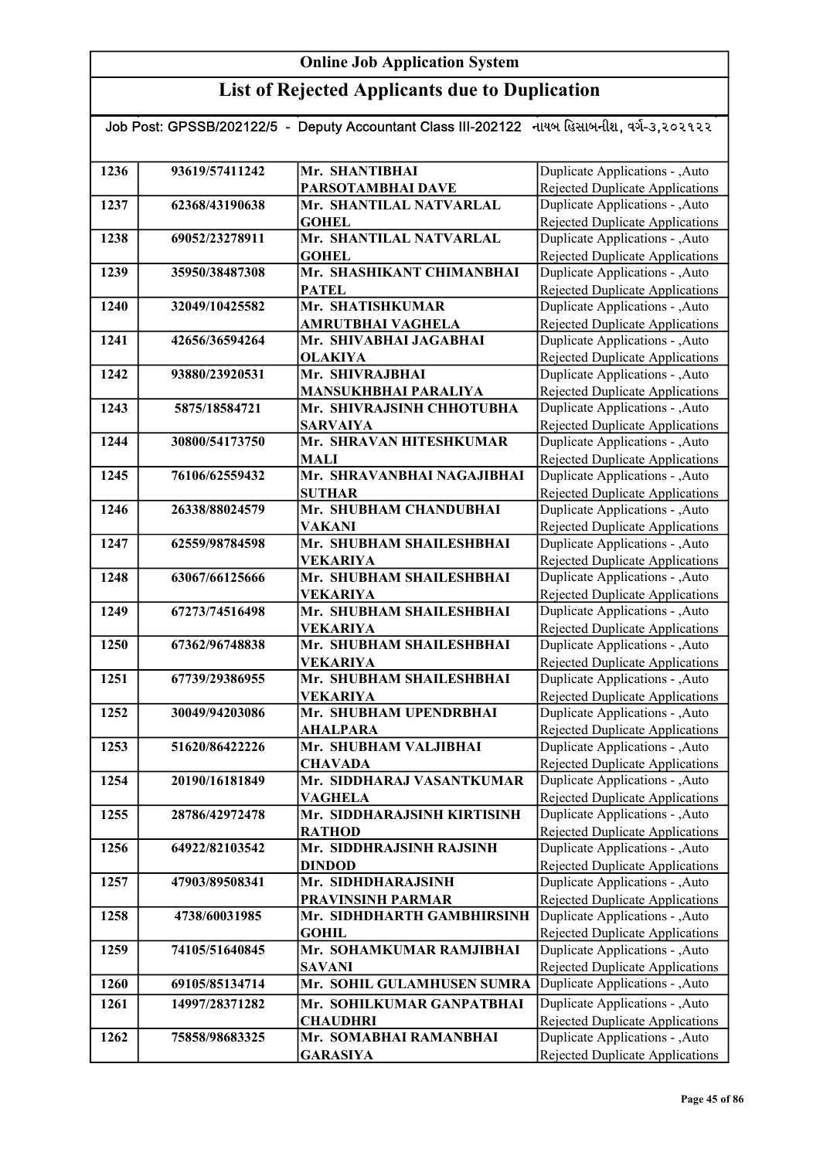|      | Job Post: GPSSB/202122/5 | Deputy Accountant Class III-202122 નાયબ હિસાબનીશ, વર્ગ-૩,૨૦૨૧૨૨<br>$\blacksquare$ |                                        |
|------|--------------------------|-----------------------------------------------------------------------------------|----------------------------------------|
|      |                          |                                                                                   |                                        |
| 1236 | 93619/57411242           | Mr. SHANTIBHAI                                                                    | <b>Duplicate Applications - , Auto</b> |
|      |                          | <b>PARSOTAMBHAI DAVE</b>                                                          | Rejected Duplicate Applications        |
| 1237 | 62368/43190638           | Mr. SHANTILAL NATVARLAL                                                           | Duplicate Applications - , Auto        |
|      |                          | <b>GOHEL</b>                                                                      | Rejected Duplicate Applications        |
| 1238 | 69052/23278911           | Mr. SHANTILAL NATVARLAL                                                           | Duplicate Applications - , Auto        |
|      |                          | <b>GOHEL</b>                                                                      | Rejected Duplicate Applications        |
| 1239 | 35950/38487308           | Mr. SHASHIKANT CHIMANBHAI                                                         | Duplicate Applications - , Auto        |
|      |                          | <b>PATEL</b>                                                                      | Rejected Duplicate Applications        |
| 1240 | 32049/10425582           | Mr. SHATISHKUMAR                                                                  | Duplicate Applications - , Auto        |
|      |                          | AMRUTBHAI VAGHELA                                                                 | Rejected Duplicate Applications        |
| 1241 | 42656/36594264           | Mr. SHIVABHAI JAGABHAI                                                            | Duplicate Applications - , Auto        |
|      |                          | <b>OLAKIYA</b>                                                                    | Rejected Duplicate Applications        |
| 1242 | 93880/23920531           | Mr. SHIVRAJBHAI                                                                   | Duplicate Applications - , Auto        |
|      |                          | MANSUKHBHAI PARALIYA                                                              | Rejected Duplicate Applications        |
| 1243 | 5875/18584721            | Mr. SHIVRAJSINH CHHOTUBHA                                                         | <b>Duplicate Applications - , Auto</b> |

|      |                | <b>OLAKIYA</b>                                  | Rejected Duplicate Applications                                           |
|------|----------------|-------------------------------------------------|---------------------------------------------------------------------------|
| 1242 | 93880/23920531 | Mr. SHIVRAJBHAI                                 | Duplicate Applications - , Auto                                           |
|      |                | <b>MANSUKHBHAI PARALIYA</b>                     | Rejected Duplicate Applications                                           |
| 1243 | 5875/18584721  | Mr. SHIVRAJSINH CHHOTUBHA                       | Duplicate Applications - , Auto                                           |
|      |                | <b>SARVAIYA</b>                                 | <b>Rejected Duplicate Applications</b>                                    |
| 1244 | 30800/54173750 | Mr. SHRAVAN HITESHKUMAR                         | Duplicate Applications - , Auto                                           |
|      |                | <b>MALI</b>                                     | <b>Rejected Duplicate Applications</b>                                    |
| 1245 | 76106/62559432 | Mr. SHRAVANBHAI NAGAJIBHAI                      | Duplicate Applications - , Auto                                           |
|      |                | <b>SUTHAR</b>                                   | <b>Rejected Duplicate Applications</b>                                    |
| 1246 | 26338/88024579 | Mr. SHUBHAM CHANDUBHAI                          | Duplicate Applications - , Auto                                           |
|      |                | <b>VAKANI</b>                                   | <b>Rejected Duplicate Applications</b>                                    |
| 1247 | 62559/98784598 | Mr. SHUBHAM SHAILESHBHAI                        | Duplicate Applications - , Auto                                           |
|      |                | <b>VEKARIYA</b>                                 | <b>Rejected Duplicate Applications</b>                                    |
| 1248 | 63067/66125666 | Mr. SHUBHAM SHAILESHBHAI                        | Duplicate Applications - , Auto                                           |
|      |                | <b>VEKARIYA</b>                                 | Rejected Duplicate Applications                                           |
| 1249 | 67273/74516498 | Mr. SHUBHAM SHAILESHBHAI                        | Duplicate Applications - , Auto                                           |
|      |                | <b>VEKARIYA</b>                                 | Rejected Duplicate Applications                                           |
| 1250 | 67362/96748838 | Mr. SHUBHAM SHAILESHBHAI                        | Duplicate Applications - , Auto                                           |
|      |                | VEKARIYA                                        | Rejected Duplicate Applications                                           |
| 1251 | 67739/29386955 | Mr. SHUBHAM SHAILESHBHAI                        | Duplicate Applications - , Auto                                           |
|      |                | <b>VEKARIYA</b>                                 | Rejected Duplicate Applications                                           |
| 1252 | 30049/94203086 | Mr. SHUBHAM UPENDRBHAI                          | Duplicate Applications - , Auto                                           |
|      |                | <b>AHALPARA</b>                                 | <b>Rejected Duplicate Applications</b>                                    |
| 1253 | 51620/86422226 | Mr. SHUBHAM VALJIBHAI                           | Duplicate Applications - , Auto                                           |
|      |                | <b>CHAVADA</b>                                  | Rejected Duplicate Applications                                           |
| 1254 | 20190/16181849 | Mr. SIDDHARAJ VASANTKUMAR                       | Duplicate Applications - , Auto                                           |
|      |                | <b>VAGHELA</b>                                  | <b>Rejected Duplicate Applications</b>                                    |
| 1255 | 28786/42972478 | Mr. SIDDHARAJSINH KIRTISINH                     | Duplicate Applications - , Auto                                           |
|      |                | <b>RATHOD</b><br>Mr. SIDDHRAJSINH RAJSINH       | <b>Rejected Duplicate Applications</b>                                    |
| 1256 | 64922/82103542 |                                                 | Duplicate Applications - , Auto                                           |
| 1257 | 47903/89508341 | <b>DINDOD</b><br>Mr. SIDHDHARAJSINH             | <b>Rejected Duplicate Applications</b><br>Duplicate Applications - , Auto |
|      |                |                                                 |                                                                           |
| 1258 | 4738/60031985  | PRAVINSINH PARMAR<br>Mr. SIDHDHARTH GAMBHIRSINH | Rejected Duplicate Applications<br>Duplicate Applications - , Auto        |
|      |                |                                                 |                                                                           |
| 1259 | 74105/51640845 | GOHIL<br>Mr. SOHAMKUMAR RAMJIBHAI               | <b>Rejected Duplicate Applications</b><br>Duplicate Applications - , Auto |
|      |                | <b>SAVANI</b>                                   | Rejected Duplicate Applications                                           |
| 1260 | 69105/85134714 | Mr. SOHIL GULAMHUSEN SUMRA                      | Duplicate Applications - ,Auto                                            |
|      |                |                                                 |                                                                           |
| 1261 | 14997/28371282 | Mr. SOHILKUMAR GANPATBHAI                       | Duplicate Applications - ,Auto                                            |
|      |                | <b>CHAUDHRI</b>                                 | Rejected Duplicate Applications                                           |
| 1262 | 75858/98683325 | Mr. SOMABHAI RAMANBHAI                          | Duplicate Applications - , Auto                                           |
|      |                | <b>GARASIYA</b>                                 | Rejected Duplicate Applications                                           |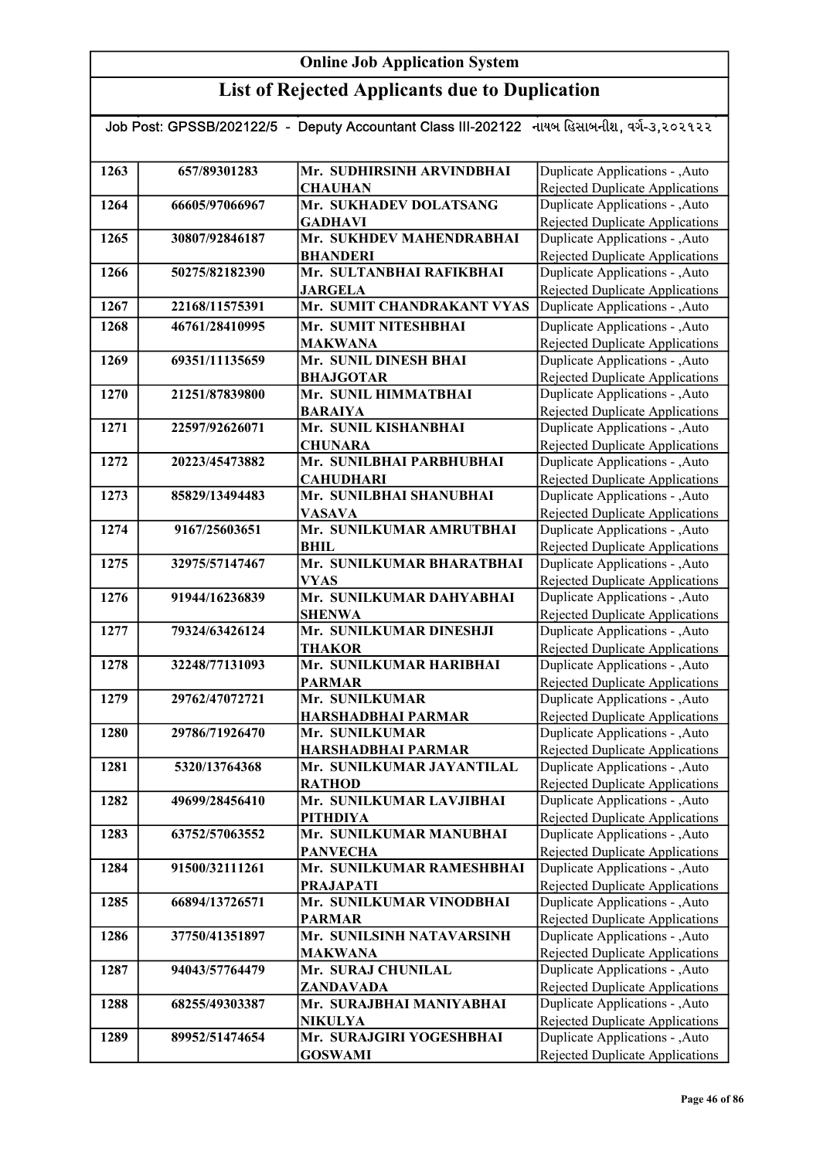| Job Post: GPSSB/202122/5 - Deputy Accountant Class III-202122 નાયબ હિસાબનીશ, વર્ગ-૩,૨૦૨૧૨૨ |                |                                             |                                                                    |
|--------------------------------------------------------------------------------------------|----------------|---------------------------------------------|--------------------------------------------------------------------|
|                                                                                            |                |                                             |                                                                    |
| 1263                                                                                       | 657/89301283   | Mr. SUDHIRSINH ARVINDBHAI<br><b>CHAUHAN</b> | Duplicate Applications - , Auto<br>Rejected Duplicate Applications |
| 1264                                                                                       | 66605/97066967 | Mr. SUKHADEV DOLATSANG                      | Duplicate Applications - , Auto                                    |
|                                                                                            |                | <b>GADHAVI</b>                              | Rejected Duplicate Applications                                    |
| 1265                                                                                       | 30807/92846187 | Mr. SUKHDEV MAHENDRABHAI                    | Duplicate Applications - , Auto                                    |
|                                                                                            |                | <b>BHANDERI</b>                             | Rejected Duplicate Applications                                    |
| 1266                                                                                       | 50275/82182390 | Mr. SULTANBHAI RAFIKBHAI                    | Duplicate Applications - , Auto                                    |
|                                                                                            |                | <b>JARGELA</b>                              | Rejected Duplicate Applications                                    |
| 1267                                                                                       | 22168/11575391 | Mr. SUMIT CHANDRAKANT VYAS                  | Duplicate Applications - , Auto                                    |
| 1268                                                                                       | 46761/28410995 | Mr. SUMIT NITESHBHAI                        | Duplicate Applications - , Auto                                    |
|                                                                                            |                | <b>MAKWANA</b>                              | Rejected Duplicate Applications                                    |
| 1269                                                                                       | 69351/11135659 | Mr. SUNIL DINESH BHAI                       | Duplicate Applications - , Auto                                    |
|                                                                                            |                | <b>BHAJGOTAR</b>                            | <b>Rejected Duplicate Applications</b>                             |
| 1270                                                                                       | 21251/87839800 | Mr. SUNIL HIMMATBHAI                        | Duplicate Applications - , Auto                                    |
|                                                                                            |                | <b>BARAIYA</b>                              | Rejected Duplicate Applications                                    |
| 1271                                                                                       | 22597/92626071 | Mr. SUNIL KISHANBHAI                        | Duplicate Applications - , Auto                                    |
|                                                                                            |                | <b>CHUNARA</b>                              | Rejected Duplicate Applications                                    |
| 1272                                                                                       | 20223/45473882 | Mr. SUNILBHAI PARBHUBHAI                    | Duplicate Applications - , Auto                                    |
|                                                                                            |                | <b>CAHUDHARI</b>                            | Rejected Duplicate Applications                                    |
| 1273                                                                                       | 85829/13494483 | Mr. SUNILBHAI SHANUBHAI                     | Duplicate Applications - , Auto                                    |
| 1274                                                                                       | 9167/25603651  | <b>VASAVA</b><br>Mr. SUNILKUMAR AMRUTBHAI   | Rejected Duplicate Applications                                    |
|                                                                                            |                | <b>BHIL</b>                                 | Duplicate Applications - , Auto                                    |
| 1275                                                                                       | 32975/57147467 | Mr. SUNILKUMAR BHARATBHAI                   | Rejected Duplicate Applications<br>Duplicate Applications - , Auto |
|                                                                                            |                | <b>VYAS</b>                                 | Rejected Duplicate Applications                                    |
| 1276                                                                                       | 91944/16236839 | Mr. SUNILKUMAR DAHYABHAI                    | Duplicate Applications - , Auto                                    |
|                                                                                            |                | <b>SHENWA</b>                               | Rejected Duplicate Applications                                    |
| 1277                                                                                       | 79324/63426124 | Mr. SUNILKUMAR DINESHJI                     | Duplicate Applications - , Auto                                    |
|                                                                                            |                | <b>THAKOR</b>                               | <b>Rejected Duplicate Applications</b>                             |
| 1278                                                                                       | 32248/77131093 | Mr. SUNILKUMAR HARIBHAI                     | Duplicate Applications - , Auto                                    |
|                                                                                            |                | <b>PARMAR</b>                               | Rejected Duplicate Applications                                    |
| 1279                                                                                       | 29762/47072721 | Mr. SUNILKUMAR                              | Duplicate Applications - , Auto                                    |
|                                                                                            |                | HARSHADBHAI PARMAR                          | <b>Rejected Duplicate Applications</b>                             |
| 1280                                                                                       | 29786/71926470 | Mr. SUNILKUMAR                              | Duplicate Applications - , Auto                                    |
|                                                                                            |                | <b>HARSHADBHAI PARMAR</b>                   | Rejected Duplicate Applications                                    |
| 1281                                                                                       | 5320/13764368  | Mr. SUNILKUMAR JAYANTILAL                   | Duplicate Applications - , Auto                                    |
|                                                                                            |                | <b>RATHOD</b>                               | Rejected Duplicate Applications                                    |
| 1282                                                                                       | 49699/28456410 | Mr. SUNILKUMAR LAVJIBHAI                    | Duplicate Applications - , Auto                                    |
| 1283                                                                                       | 63752/57063552 | <b>PITHDIYA</b><br>Mr. SUNILKUMAR MANUBHAI  | Rejected Duplicate Applications<br>Duplicate Applications - , Auto |
|                                                                                            |                | <b>PANVECHA</b>                             | Rejected Duplicate Applications                                    |
| 1284                                                                                       | 91500/32111261 | Mr. SUNILKUMAR RAMESHBHAI                   | Duplicate Applications - , Auto                                    |
|                                                                                            |                | <b>PRAJAPATI</b>                            | Rejected Duplicate Applications                                    |
| 1285                                                                                       | 66894/13726571 | Mr. SUNILKUMAR VINODBHAI                    | Duplicate Applications - , Auto                                    |
|                                                                                            |                | <b>PARMAR</b>                               | Rejected Duplicate Applications                                    |
| 1286                                                                                       | 37750/41351897 | Mr. SUNILSINH NATAVARSINH                   | Duplicate Applications - , Auto                                    |
|                                                                                            |                | <b>MAKWANA</b>                              | Rejected Duplicate Applications                                    |
| 1287                                                                                       | 94043/57764479 | Mr. SURAJ CHUNILAL                          | Duplicate Applications - , Auto                                    |
|                                                                                            |                | ZANDAVADA                                   | Rejected Duplicate Applications                                    |
| 1288                                                                                       | 68255/49303387 | Mr. SURAJBHAI MANIYABHAI                    | Duplicate Applications - , Auto                                    |
|                                                                                            |                | <b>NIKULYA</b>                              | Rejected Duplicate Applications                                    |
| 1289                                                                                       | 89952/51474654 | Mr. SURAJGIRI YOGESHBHAI                    | Duplicate Applications - , Auto                                    |
|                                                                                            |                | <b>GOSWAMI</b>                              | Rejected Duplicate Applications                                    |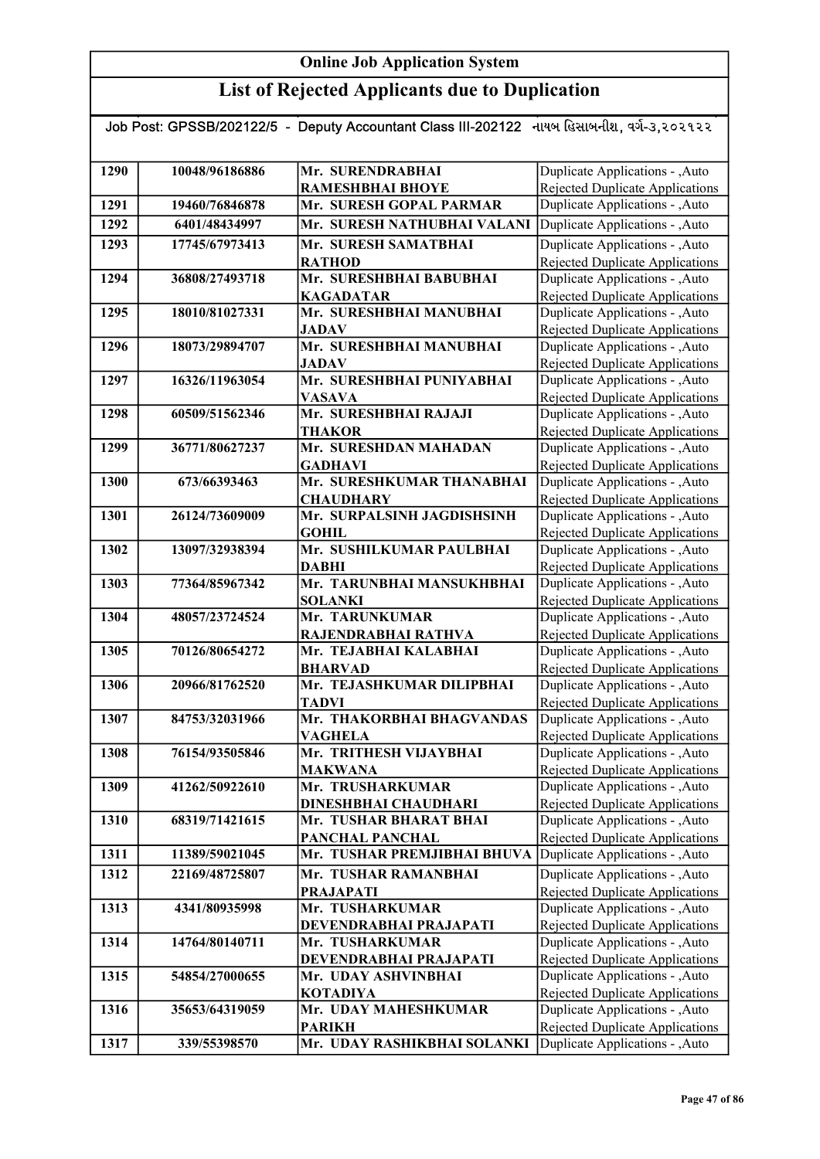## List of Rejected Applicants due to Duplication

#### Job Post: GPSSB/202122/5 - Deputy Accountant Class III-202122 નાયબ હિસાબનીશ, વર્ગ-૩,૨૦૨૧૨૨

| 1290 | 10048/96186886 | Mr. SURENDRABHAI                               | Duplicate Applications - , Auto                                           |
|------|----------------|------------------------------------------------|---------------------------------------------------------------------------|
|      |                | <b>RAMESHBHAI BHOYE</b>                        | Rejected Duplicate Applications                                           |
| 1291 | 19460/76846878 | Mr. SURESH GOPAL PARMAR                        | Duplicate Applications - , Auto                                           |
| 1292 | 6401/48434997  | Mr. SURESH NATHUBHAI VALANI                    | Duplicate Applications - , Auto                                           |
| 1293 | 17745/67973413 | Mr. SURESH SAMATBHAI                           | Duplicate Applications - , Auto                                           |
|      |                | <b>RATHOD</b>                                  | <b>Rejected Duplicate Applications</b>                                    |
| 1294 | 36808/27493718 | Mr. SURESHBHAI BABUBHAI                        | Duplicate Applications - , Auto                                           |
|      |                | <b>KAGADATAR</b>                               | Rejected Duplicate Applications                                           |
| 1295 | 18010/81027331 | Mr. SURESHBHAI MANUBHAI                        | Duplicate Applications - , Auto                                           |
|      |                | JADAV                                          | Rejected Duplicate Applications                                           |
| 1296 | 18073/29894707 | Mr. SURESHBHAI MANUBHAI                        | Duplicate Applications - , Auto                                           |
|      |                | JADAV<br>Mr. SURESHBHAI PUNIYABHAI             | Rejected Duplicate Applications                                           |
| 1297 | 16326/11963054 |                                                | Duplicate Applications - ,Auto                                            |
| 1298 | 60509/51562346 | <b>VASAVA</b><br>Mr. SURESHBHAI RAJAJI         | <b>Rejected Duplicate Applications</b><br>Duplicate Applications - , Auto |
|      |                | THAKOR                                         | Rejected Duplicate Applications                                           |
| 1299 | 36771/80627237 | Mr. SURESHDAN MAHADAN                          | Duplicate Applications - , Auto                                           |
|      |                | <b>GADHAVI</b>                                 | <b>Rejected Duplicate Applications</b>                                    |
| 1300 | 673/66393463   | Mr. SURESHKUMAR THANABHAI                      | Duplicate Applications - , Auto                                           |
|      |                | <b>CHAUDHARY</b>                               | <b>Rejected Duplicate Applications</b>                                    |
| 1301 | 26124/73609009 | Mr. SURPALSINH JAGDISHSINH                     | Duplicate Applications - , Auto                                           |
|      |                | <b>GOHIL</b>                                   | Rejected Duplicate Applications                                           |
| 1302 | 13097/32938394 | Mr. SUSHILKUMAR PAULBHAI                       | Duplicate Applications - , Auto                                           |
|      |                | <b>DABHI</b>                                   | Rejected Duplicate Applications                                           |
| 1303 | 77364/85967342 | Mr. TARUNBHAI MANSUKHBHAI                      | Duplicate Applications - , Auto                                           |
|      |                | <b>SOLANKI</b>                                 | <b>Rejected Duplicate Applications</b>                                    |
| 1304 | 48057/23724524 | Mr. TARUNKUMAR                                 | Duplicate Applications - , Auto                                           |
|      |                | RAJENDRABHAI RATHVA                            | <b>Rejected Duplicate Applications</b>                                    |
| 1305 | 70126/80654272 | Mr. TEJABHAI KALABHAI                          | Duplicate Applications - , Auto                                           |
|      |                | <b>BHARVAD</b>                                 | <b>Rejected Duplicate Applications</b>                                    |
| 1306 | 20966/81762520 | Mr. TEJASHKUMAR DILIPBHAI                      | Duplicate Applications - , Auto                                           |
|      |                | <b>TADVI</b>                                   | <b>Rejected Duplicate Applications</b>                                    |
| 1307 | 84753/32031966 | Mr. THAKORBHAI BHAGVANDAS                      | Duplicate Applications - , Auto                                           |
|      |                | <b>VAGHELA</b>                                 | Rejected Duplicate Applications                                           |
| 1308 | 76154/93505846 | Mr. TRITHESH VIJAYBHAI                         | Duplicate Applications - , Auto                                           |
| 1309 | 41262/50922610 | <b>MAKWANA</b><br>Mr. TRUSHARKUMAR             | Rejected Duplicate Applications<br>Duplicate Applications - , Auto        |
|      |                |                                                | Rejected Duplicate Applications                                           |
| 1310 | 68319/71421615 | DINESHBHAI CHAUDHARI<br>Mr. TUSHAR BHARAT BHAI | Duplicate Applications - , Auto                                           |
|      |                | PANCHAL PANCHAL                                | Rejected Duplicate Applications                                           |
| 1311 | 11389/59021045 | Mr. TUSHAR PREMJIBHAI BHUVA                    | Duplicate Applications - , Auto                                           |
| 1312 | 22169/48725807 | Mr. TUSHAR RAMANBHAI                           | Duplicate Applications - , Auto                                           |
|      |                | <b>PRAJAPATI</b>                               | Rejected Duplicate Applications                                           |
| 1313 | 4341/80935998  | Mr. TUSHARKUMAR                                | Duplicate Applications - , Auto                                           |
|      |                | DEVENDRABHAI PRAJAPATI                         | <b>Rejected Duplicate Applications</b>                                    |
| 1314 | 14764/80140711 | Mr. TUSHARKUMAR                                | Duplicate Applications - , Auto                                           |
|      |                | DEVENDRABHAI PRAJAPATI                         | <b>Rejected Duplicate Applications</b>                                    |
| 1315 | 54854/27000655 | Mr. UDAY ASHVINBHAI                            | Duplicate Applications - , Auto                                           |
|      |                | <b>KOTADIYA</b>                                | <b>Rejected Duplicate Applications</b>                                    |
| 1316 | 35653/64319059 | Mr. UDAY MAHESHKUMAR                           | Duplicate Applications - , Auto                                           |
|      |                | <b>PARIKH</b>                                  | <b>Rejected Duplicate Applications</b>                                    |
| 1317 | 339/55398570   | Mr. UDAY RASHIKBHAI SOLANKI                    | Duplicate Applications - , Auto                                           |
|      |                |                                                |                                                                           |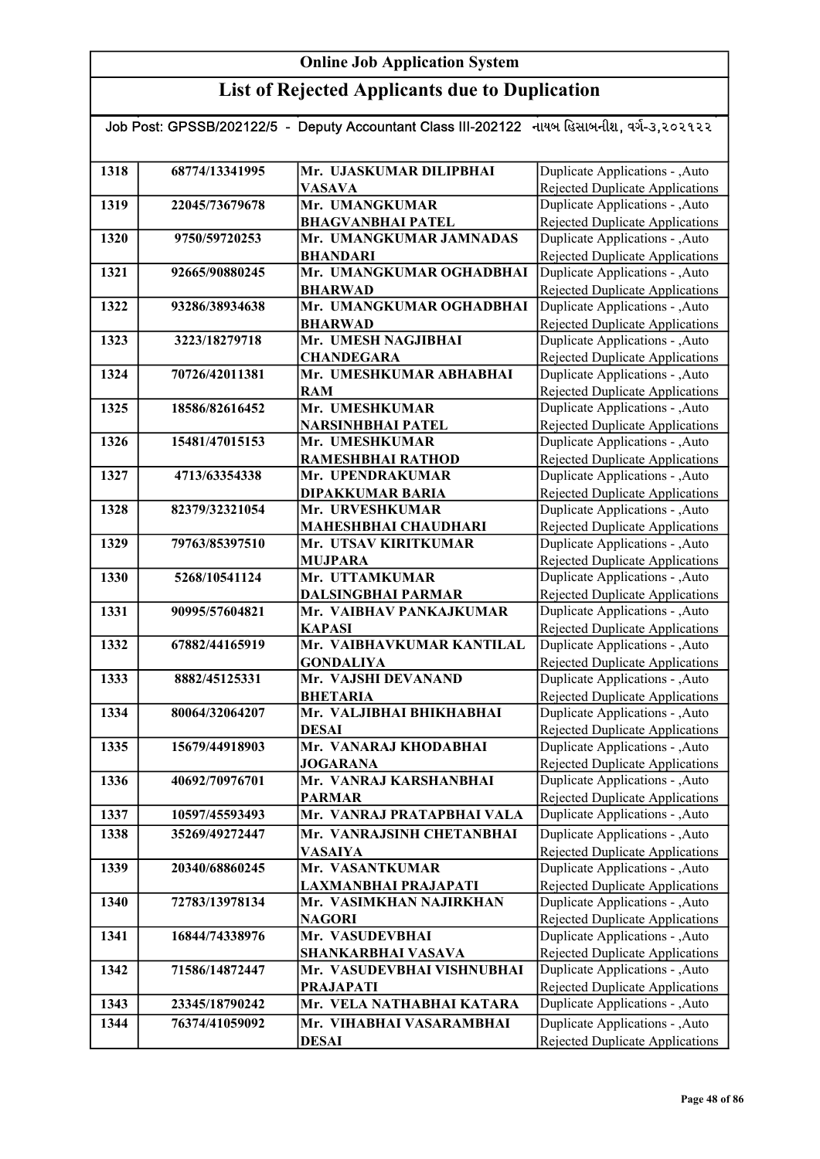| Job Post: GPSSB/202122/5 - Deputy Accountant Class III-202122 નાયબ હિસાબનીશ, વર્ગ-૩,૨૦૨૧૨૨ |                |                                         |                                                                    |
|--------------------------------------------------------------------------------------------|----------------|-----------------------------------------|--------------------------------------------------------------------|
|                                                                                            |                |                                         |                                                                    |
| 1318                                                                                       | 68774/13341995 | Mr. UJASKUMAR DILIPBHAI                 | Duplicate Applications - , Auto                                    |
|                                                                                            |                | <b>VASAVA</b>                           | Rejected Duplicate Applications                                    |
| 1319                                                                                       | 22045/73679678 | Mr. UMANGKUMAR                          | Duplicate Applications - , Auto                                    |
|                                                                                            |                | <b>BHAGVANBHAI PATEL</b>                | <b>Rejected Duplicate Applications</b>                             |
| 1320                                                                                       | 9750/59720253  | Mr. UMANGKUMAR JAMNADAS                 | Duplicate Applications - , Auto                                    |
|                                                                                            |                | <b>BHANDARI</b>                         | Rejected Duplicate Applications                                    |
| 1321                                                                                       | 92665/90880245 | Mr. UMANGKUMAR OGHADBHAI                | Duplicate Applications - , Auto                                    |
|                                                                                            |                | <b>BHARWAD</b>                          | Rejected Duplicate Applications                                    |
| 1322                                                                                       | 93286/38934638 | Mr. UMANGKUMAR OGHADBHAI                | Duplicate Applications - , Auto                                    |
|                                                                                            |                | <b>BHARWAD</b>                          | <b>Rejected Duplicate Applications</b>                             |
| 1323                                                                                       | 3223/18279718  | Mr. UMESH NAGJIBHAI                     | Duplicate Applications - , Auto                                    |
|                                                                                            |                | <b>CHANDEGARA</b>                       | Rejected Duplicate Applications                                    |
| 1324                                                                                       | 70726/42011381 | Mr. UMESHKUMAR ABHABHAI                 | Duplicate Applications - , Auto                                    |
|                                                                                            |                | <b>RAM</b>                              | <b>Rejected Duplicate Applications</b>                             |
| 1325                                                                                       | 18586/82616452 | Mr. UMESHKUMAR                          | Duplicate Applications - , Auto                                    |
|                                                                                            |                | NARSINHBHAI PATEL                       | Rejected Duplicate Applications                                    |
| 1326                                                                                       | 15481/47015153 | Mr. UMESHKUMAR                          | Duplicate Applications - , Auto                                    |
| 1327                                                                                       | 4713/63354338  | RAMESHBHAI RATHOD<br>Mr. UPENDRAKUMAR   | Rejected Duplicate Applications<br>Duplicate Applications - , Auto |
|                                                                                            |                | <b>DIPAKKUMAR BARIA</b>                 | <b>Rejected Duplicate Applications</b>                             |
| 1328                                                                                       | 82379/32321054 | Mr. URVESHKUMAR                         | Duplicate Applications - , Auto                                    |
|                                                                                            |                | <b>MAHESHBHAI CHAUDHARI</b>             | Rejected Duplicate Applications                                    |
| 1329                                                                                       | 79763/85397510 | Mr. UTSAV KIRITKUMAR                    | Duplicate Applications - , Auto                                    |
|                                                                                            |                | <b>MUJPARA</b>                          | <b>Rejected Duplicate Applications</b>                             |
| 1330                                                                                       | 5268/10541124  | Mr. UTTAMKUMAR                          | Duplicate Applications - , Auto                                    |
|                                                                                            |                | <b>DALSINGBHAI PARMAR</b>               | Rejected Duplicate Applications                                    |
| 1331                                                                                       | 90995/57604821 | Mr. VAIBHAV PANKAJKUMAR                 | Duplicate Applications - , Auto                                    |
|                                                                                            |                | <b>KAPASI</b>                           | Rejected Duplicate Applications                                    |
| 1332                                                                                       | 67882/44165919 | Mr. VAIBHAVKUMAR KANTILAL               | Duplicate Applications - , Auto                                    |
|                                                                                            |                | <b>GONDALIYA</b>                        | <b>Rejected Duplicate Applications</b>                             |
| 1333                                                                                       | 8882/45125331  | Mr. VAJSHI DEVANAND                     | Duplicate Applications - , Auto                                    |
|                                                                                            |                | <b>BHETARIA</b>                         | Rejected Duplicate Applications                                    |
| 1334                                                                                       | 80064/32064207 | Mr. VALJIBHAI BHIKHABHAI                | Duplicate Applications - , Auto                                    |
|                                                                                            |                | <b>DESAI</b>                            | Rejected Duplicate Applications                                    |
| 1335                                                                                       | 15679/44918903 | Mr. VANARAJ KHODABHAI                   | Duplicate Applications - , Auto                                    |
|                                                                                            |                | <b>JOGARANA</b>                         | <b>Rejected Duplicate Applications</b>                             |
| 1336                                                                                       | 40692/70976701 | Mr. VANRAJ KARSHANBHAI<br><b>PARMAR</b> | Duplicate Applications - , Auto<br>Rejected Duplicate Applications |
| 1337                                                                                       | 10597/45593493 | Mr. VANRAJ PRATAPBHAI VALA              | Duplicate Applications - , Auto                                    |
| 1338                                                                                       |                | Mr. VANRAJSINH CHETANBHAI               | Duplicate Applications - , Auto                                    |
|                                                                                            | 35269/49272447 |                                         | Rejected Duplicate Applications                                    |
| 1339                                                                                       | 20340/68860245 | VASAIYA<br>Mr. VASANTKUMAR              | Duplicate Applications - , Auto                                    |
|                                                                                            |                | LAXMANBHAI PRAJAPATI                    | Rejected Duplicate Applications                                    |
| 1340                                                                                       | 72783/13978134 | Mr. VASIMKHAN NAJIRKHAN                 | Duplicate Applications - , Auto                                    |
|                                                                                            |                | <b>NAGORI</b>                           | Rejected Duplicate Applications                                    |
| 1341                                                                                       | 16844/74338976 | Mr. VASUDEVBHAI                         | Duplicate Applications - ,Auto                                     |
|                                                                                            |                | SHANKARBHAI VASAVA                      | Rejected Duplicate Applications                                    |
| 1342                                                                                       | 71586/14872447 | Mr. VASUDEVBHAI VISHNUBHAI              | Duplicate Applications - , Auto                                    |
|                                                                                            |                | <b>PRAJAPATI</b>                        | Rejected Duplicate Applications                                    |
| 1343                                                                                       | 23345/18790242 | Mr. VELA NATHABHAI KATARA               | Duplicate Applications - , Auto                                    |
| 1344                                                                                       | 76374/41059092 | Mr. VIHABHAI VASARAMBHAI                | Duplicate Applications - , Auto                                    |
|                                                                                            |                | <b>DESAI</b>                            | Rejected Duplicate Applications                                    |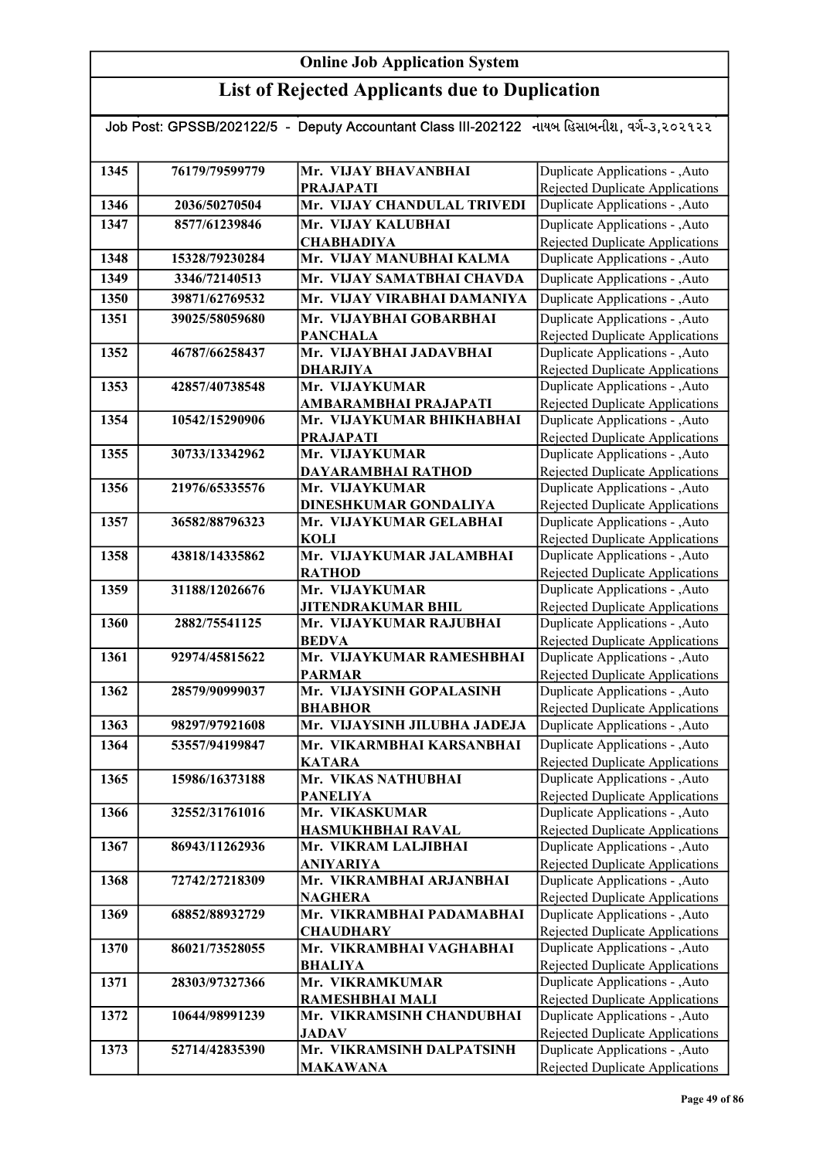#### List of Rejected Applicants due to Duplication

#### Job Post: GPSSB/202122/5 - Deputy Accountant Class III-202122 નાયબ હિસાબનીશ, વર્ગ-૩,૨૦૨૧૨૨ 1345 76179/79599779 Mr. VIJAY BHAVANBHAI PRAJAPATI 1346 2036/50270504 Mr. VIJAY CHANDULAL TRIVEDI 1347 8577/61239846 Mr. VIJAY KALUBHAI **CHABHADIYA** 1348 15328/79230284 Mr. VIJAY MANUBHAI KALMA 1349 3346/72140513 Mr. VIJAY SAMATBHAI CHAVDA 1350 39871/62769532 Mr. VIJAY VIRABHAI DAMANIYA 1351 39025/58059680 Mr. VIJAYBHAI GOBARBHAI PANCHALA 1352 46787/66258437 Mr. VIJAYBHAI JADAVBHAI DHARJIYA 1353 42857/40738548 Mr. VIJAYKUMAR AMBARAMBHAI PRAJAPATI 1354 10542/15290906 Mr. VIJAYKUMAR BHIKHABHAI PRAJAPATI 1355 30733/13342962 Mr. VIJAYKUMAR DAYARAMBHAI RATHOD 1356 21976/65335576 Mr. VIJAYKUMAR DINESHKUMAR GONDALIYA 1357 36582/88796323 Mr. VIJAYKUMAR GELABHAI KOLI 1358 43818/14335862 Mr. VIJAYKUMAR JALAMBHAI RATHOD 1359 31188/12026676 Mr. VIJAYKUMAR JITENDRAKUMAR BHIL 1360 2882/75541125 Mr. VIJAYKUMAR RAJUBHAI **BEDVA** 1361 92974/45815622 Mr. VIJAYKUMAR RAMESHBHAI PARMAR 1362 28579/90999037 Mr. VIJAYSINH GOPALASINH BHABHOR 1363 98297/97921608 Mr. VIJAYSINH JILUBHA JADEJA 1364 53557/94199847 Mr. VIKARMBHAI KARSANBHAI **KATARA** 1365 15986/16373188 Mr. VIKAS NATHUBHAI PANELIYA 1366 32552/31761016 Mr. VIKASKUMAR HASMUKHBHAI RAVAL 1367 86943/11262936 Mr. VIKRAM LALJIBHAI ANIYARIYA 1368 72742/27218309 Mr. VIKRAMBHAI ARJANBHAI **NAGHERA** 1369 68852/88932729 Mr. VIKRAMBHAI PADAMABHAI **CHAUDHARY** 1370 86021/73528055 Mr. VIKRAMBHAI VAGHABHAI BHALIYA 1371 28303/97327366 Mr. VIKRAMKUMAR RAMESHBHAI MALI 1372 10644/98991239 Mr. VIKRAMSINH CHANDUBHAI JADAV 1373 52714/42835390 Mr. VIKRAMSINH DALPATSINH MAKAWANA Duplicate Applications - ,Auto Rejected Duplicate Applications Duplicate Applications - ,Auto Rejected Duplicate Applications Duplicate Applications - ,Auto Rejected Duplicate Applications Duplicate Applications - ,Auto Rejected Duplicate Applications Duplicate Applications - ,Auto Rejected Duplicate Applications Duplicate Applications - ,Auto Rejected Duplicate Applications Duplicate Applications - ,Auto Rejected Duplicate Applications Duplicate Applications - ,Auto Rejected Duplicate Applications Duplicate Applications - ,Auto Rejected Duplicate Applications Duplicate Applications - ,Auto **Duplicate Applications - ,Auto** Rejected Duplicate Applications Duplicate Applications - ,Auto Rejected Duplicate Applications Duplicate Applications - ,Auto Rejected Duplicate Applications Duplicate Applications - ,Auto Rejected Duplicate Applications Duplicate Applications - ,Auto Rejected Duplicate Applications Duplicate Applications - ,Auto Rejected Duplicate Applications Duplicate Applications - ,Auto Rejected Duplicate Applications Duplicate Applications - ,Auto Rejected Duplicate Applications Duplicate Applications - ,Auto Rejected Duplicate Applications Duplicate Applications - , Auto Duplicate Applications - ,Auto **Duplicate Applications - ,Auto** Rejected Duplicate Applications Duplicate Applications - ,Auto Rejected Duplicate Applications Duplicate Applications - ,Auto Rejected Duplicate Applications Duplicate Applications - ,Auto Rejected Duplicate Applications Duplicate Applications - ,Auto Rejected Duplicate Applications Duplicate Applications - ,Auto **Duplicate Applications - ,Auto** Rejected Duplicate Applications Duplicate Applications - ,Auto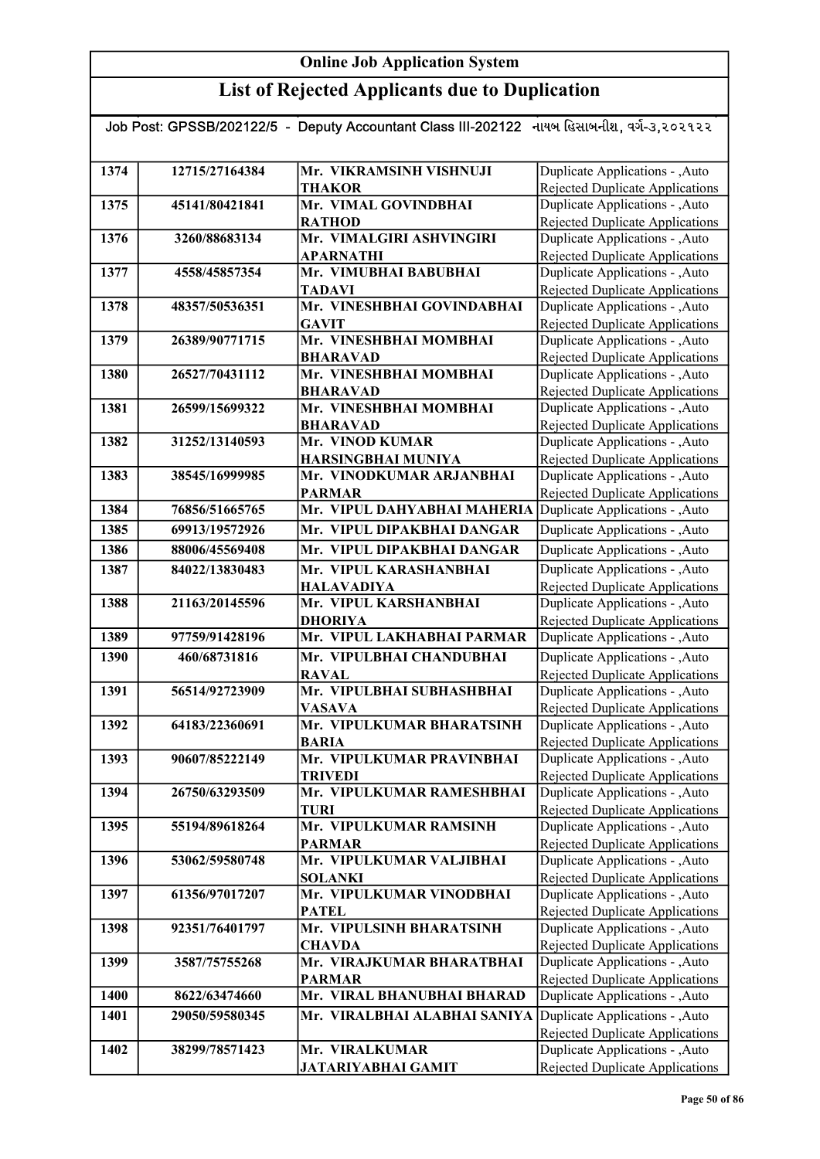| Job Post: GPSSB/202122/5 - Deputy Accountant Class III-202122 નાયબ હિસાબનીશ, વર્ગ-૩,૨૦૨૧૨૨ |                |                                                |                                                                           |  |
|--------------------------------------------------------------------------------------------|----------------|------------------------------------------------|---------------------------------------------------------------------------|--|
|                                                                                            |                |                                                |                                                                           |  |
| 1374                                                                                       | 12715/27164384 | Mr. VIKRAMSINH VISHNUJI                        | Duplicate Applications - , Auto                                           |  |
|                                                                                            |                | <b>THAKOR</b>                                  | Rejected Duplicate Applications                                           |  |
| 1375                                                                                       | 45141/80421841 | Mr. VIMAL GOVINDBHAI                           | Duplicate Applications - , Auto                                           |  |
|                                                                                            |                | <b>RATHOD</b>                                  | <b>Rejected Duplicate Applications</b>                                    |  |
| 1376                                                                                       | 3260/88683134  | Mr. VIMALGIRI ASHVINGIRI                       | Duplicate Applications - , Auto                                           |  |
|                                                                                            |                | <b>APARNATHI</b>                               | <b>Rejected Duplicate Applications</b>                                    |  |
| 1377                                                                                       | 4558/45857354  | Mr. VIMUBHAI BABUBHAI                          | Duplicate Applications - , Auto                                           |  |
|                                                                                            |                | <b>TADAVI</b>                                  | <b>Rejected Duplicate Applications</b>                                    |  |
| 1378                                                                                       | 48357/50536351 | Mr. VINESHBHAI GOVINDABHAI                     | Duplicate Applications - , Auto                                           |  |
|                                                                                            |                | <b>GAVIT</b>                                   | <b>Rejected Duplicate Applications</b>                                    |  |
| 1379                                                                                       | 26389/90771715 | Mr. VINESHBHAI MOMBHAI                         | Duplicate Applications - , Auto                                           |  |
|                                                                                            |                | <b>BHARAVAD</b>                                | Rejected Duplicate Applications                                           |  |
| 1380                                                                                       | 26527/70431112 | Mr. VINESHBHAI MOMBHAI                         | Duplicate Applications - , Auto                                           |  |
|                                                                                            |                | <b>BHARAVAD</b>                                | <b>Rejected Duplicate Applications</b>                                    |  |
| 1381                                                                                       | 26599/15699322 | Mr. VINESHBHAI MOMBHAI                         | Duplicate Applications - , Auto                                           |  |
| 1382                                                                                       | 31252/13140593 | <b>BHARAVAD</b><br>Mr. VINOD KUMAR             | Rejected Duplicate Applications<br>Duplicate Applications - , Auto        |  |
|                                                                                            |                |                                                |                                                                           |  |
| 1383                                                                                       | 38545/16999985 | HARSINGBHAI MUNIYA<br>Mr. VINODKUMAR ARJANBHAI | <b>Rejected Duplicate Applications</b><br>Duplicate Applications - , Auto |  |
|                                                                                            |                | <b>PARMAR</b>                                  | Rejected Duplicate Applications                                           |  |
| 1384                                                                                       | 76856/51665765 | Mr. VIPUL DAHYABHAI MAHERIA                    | Duplicate Applications - , Auto                                           |  |
| 1385                                                                                       | 69913/19572926 | Mr. VIPUL DIPAKBHAI DANGAR                     | Duplicate Applications - , Auto                                           |  |
| 1386                                                                                       | 88006/45569408 | Mr. VIPUL DIPAKBHAI DANGAR                     | Duplicate Applications - , Auto                                           |  |
| 1387                                                                                       | 84022/13830483 | Mr. VIPUL KARASHANBHAI                         | Duplicate Applications - , Auto                                           |  |
|                                                                                            |                | <b>HALAVADIYA</b>                              | <b>Rejected Duplicate Applications</b>                                    |  |
| 1388                                                                                       | 21163/20145596 | Mr. VIPUL KARSHANBHAI                          | Duplicate Applications - , Auto                                           |  |
|                                                                                            |                | <b>DHORIYA</b>                                 | <b>Rejected Duplicate Applications</b>                                    |  |
| 1389                                                                                       | 97759/91428196 | Mr. VIPUL LAKHABHAI PARMAR                     | Duplicate Applications - , Auto                                           |  |
| 1390                                                                                       | 460/68731816   | Mr. VIPULBHAI CHANDUBHAI                       | Duplicate Applications - , Auto                                           |  |
|                                                                                            |                | <b>RAVAL</b>                                   | Rejected Duplicate Applications                                           |  |
| 1391                                                                                       | 56514/92723909 | Mr. VIPULBHAI SUBHASHBHAI                      | Duplicate Applications - , Auto                                           |  |
|                                                                                            |                | <b>VASAVA</b>                                  | Rejected Duplicate Applications                                           |  |
| 1392                                                                                       | 64183/22360691 | Mr. VIPULKUMAR BHARATSINH                      | Duplicate Applications - , Auto                                           |  |
|                                                                                            |                | <b>BARIA</b>                                   | Rejected Duplicate Applications                                           |  |
| 1393                                                                                       | 90607/85222149 | Mr. VIPULKUMAR PRAVINBHAI                      | Duplicate Applications - , Auto                                           |  |
|                                                                                            |                | <b>TRIVEDI</b>                                 | Rejected Duplicate Applications                                           |  |
| 1394                                                                                       | 26750/63293509 | Mr. VIPULKUMAR RAMESHBHAI                      | Duplicate Applications - , Auto                                           |  |
|                                                                                            |                | <b>TURI</b>                                    | <b>Rejected Duplicate Applications</b>                                    |  |
| 1395                                                                                       | 55194/89618264 | Mr. VIPULKUMAR RAMSINH<br><b>PARMAR</b>        | Duplicate Applications - , Auto                                           |  |
| 1396                                                                                       | 53062/59580748 | Mr. VIPULKUMAR VALJIBHAI                       | <b>Rejected Duplicate Applications</b><br>Duplicate Applications - , Auto |  |
|                                                                                            |                | <b>SOLANKI</b>                                 | <b>Rejected Duplicate Applications</b>                                    |  |
| 1397                                                                                       | 61356/97017207 | Mr. VIPULKUMAR VINODBHAI                       | Duplicate Applications - , Auto                                           |  |
|                                                                                            |                | <b>PATEL</b>                                   | <b>Rejected Duplicate Applications</b>                                    |  |
| 1398                                                                                       | 92351/76401797 | Mr. VIPULSINH BHARATSINH                       | Duplicate Applications - , Auto                                           |  |
|                                                                                            |                | <b>CHAVDA</b>                                  | <b>Rejected Duplicate Applications</b>                                    |  |
| 1399                                                                                       | 3587/75755268  | Mr. VIRAJKUMAR BHARATBHAI                      | Duplicate Applications - , Auto                                           |  |
|                                                                                            |                | <b>PARMAR</b>                                  | Rejected Duplicate Applications                                           |  |
| 1400                                                                                       | 8622/63474660  | Mr. VIRAL BHANUBHAI BHARAD                     | Duplicate Applications - , Auto                                           |  |
| 1401                                                                                       | 29050/59580345 | Mr. VIRALBHAI ALABHAI SANIYA                   | Duplicate Applications - , Auto                                           |  |
|                                                                                            |                |                                                | <b>Rejected Duplicate Applications</b>                                    |  |
| 1402                                                                                       | 38299/78571423 | Mr. VIRALKUMAR                                 | Duplicate Applications - , Auto                                           |  |
|                                                                                            |                | <b>JATARIYABHAI GAMIT</b>                      | Rejected Duplicate Applications                                           |  |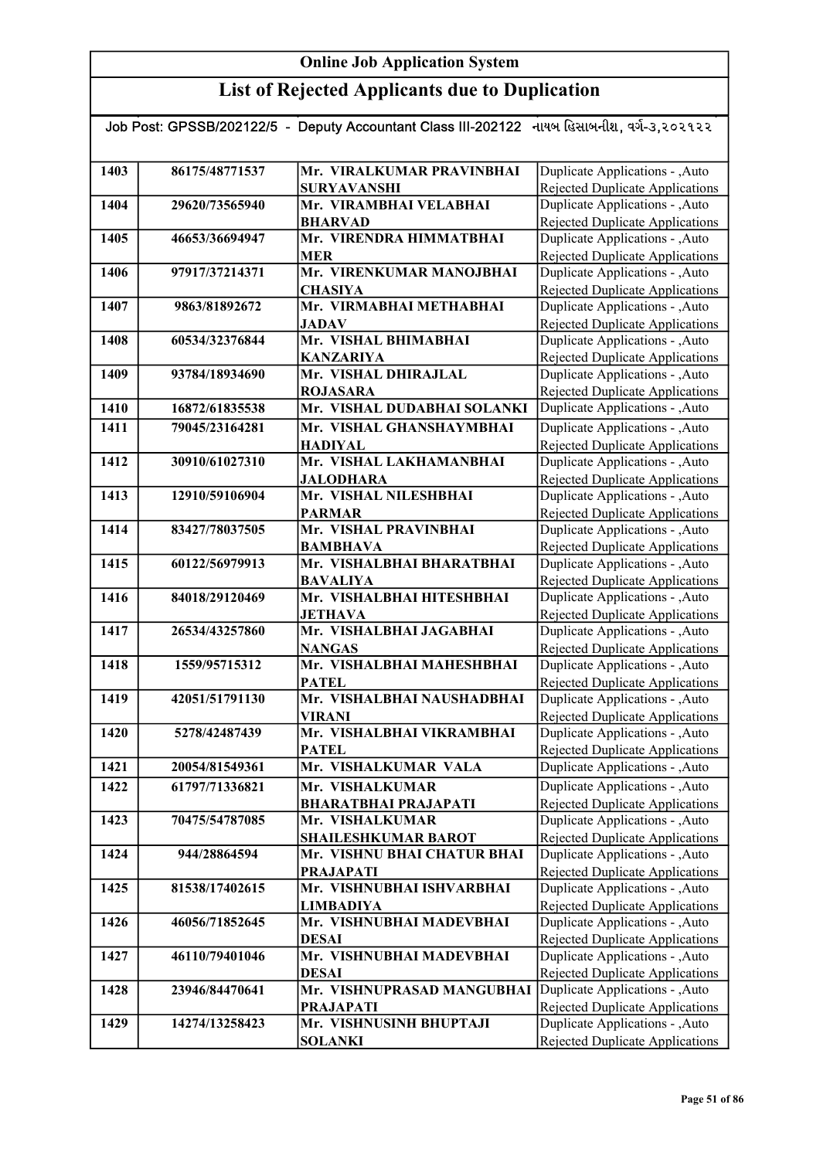|      |                | Job Post: GPSSB/202122/5 - Deputy Accountant Class III-202122 નાયબ હિસાબનીશ, વર્ગ-૩,૨૦૨૧૨૨ |                                                                           |
|------|----------------|--------------------------------------------------------------------------------------------|---------------------------------------------------------------------------|
|      |                |                                                                                            |                                                                           |
| 1403 | 86175/48771537 | Mr. VIRALKUMAR PRAVINBHAI                                                                  | Duplicate Applications - , Auto                                           |
|      |                | <b>SURYAVANSHI</b>                                                                         | <b>Rejected Duplicate Applications</b>                                    |
| 1404 | 29620/73565940 | Mr. VIRAMBHAI VELABHAI                                                                     | Duplicate Applications - , Auto                                           |
|      |                | <b>BHARVAD</b>                                                                             | <b>Rejected Duplicate Applications</b>                                    |
| 1405 | 46653/36694947 | Mr. VIRENDRA HIMMATBHAI                                                                    | Duplicate Applications - , Auto                                           |
|      |                | <b>MER</b>                                                                                 | <b>Rejected Duplicate Applications</b>                                    |
| 1406 | 97917/37214371 | Mr. VIRENKUMAR MANOJBHAI                                                                   | Duplicate Applications - , Auto                                           |
|      |                | <b>CHASIYA</b>                                                                             | Rejected Duplicate Applications                                           |
| 1407 | 9863/81892672  | Mr. VIRMABHAI METHABHAI                                                                    | Duplicate Applications - , Auto                                           |
|      |                | <b>JADAV</b>                                                                               | <b>Rejected Duplicate Applications</b>                                    |
| 1408 | 60534/32376844 | Mr. VISHAL BHIMABHAI                                                                       | Duplicate Applications - , Auto                                           |
|      |                | <b>KANZARIYA</b>                                                                           | Rejected Duplicate Applications                                           |
| 1409 | 93784/18934690 | Mr. VISHAL DHIRAJLAL                                                                       | Duplicate Applications - , Auto                                           |
|      |                | <b>ROJASARA</b>                                                                            | Rejected Duplicate Applications                                           |
| 1410 | 16872/61835538 | Mr. VISHAL DUDABHAI SOLANKI                                                                | Duplicate Applications - , Auto                                           |
| 1411 | 79045/23164281 | Mr. VISHAL GHANSHAYMBHAI                                                                   | Duplicate Applications - , Auto                                           |
|      |                | <b>HADIYAL</b>                                                                             | <b>Rejected Duplicate Applications</b>                                    |
| 1412 | 30910/61027310 | Mr. VISHAL LAKHAMANBHAI                                                                    | Duplicate Applications - , Auto                                           |
|      |                | <b>JALODHARA</b>                                                                           | <b>Rejected Duplicate Applications</b>                                    |
| 1413 | 12910/59106904 | Mr. VISHAL NILESHBHAI                                                                      | Duplicate Applications - , Auto                                           |
|      |                | <b>PARMAR</b>                                                                              | Rejected Duplicate Applications                                           |
| 1414 | 83427/78037505 | Mr. VISHAL PRAVINBHAI                                                                      | Duplicate Applications - , Auto                                           |
|      |                | <b>BAMBHAVA</b>                                                                            | Rejected Duplicate Applications                                           |
| 1415 | 60122/56979913 | Mr. VISHALBHAI BHARATBHAI                                                                  | Duplicate Applications - , Auto                                           |
| 1416 | 84018/29120469 | <b>BAVALIYA</b><br>Mr. VISHALBHAI HITESHBHAI                                               | <b>Rejected Duplicate Applications</b><br>Duplicate Applications - , Auto |
|      |                | <b>JETHAVA</b>                                                                             | <b>Rejected Duplicate Applications</b>                                    |
| 1417 | 26534/43257860 | Mr. VISHALBHAI JAGABHAI                                                                    | Duplicate Applications - , Auto                                           |
|      |                | <b>NANGAS</b>                                                                              | <b>Rejected Duplicate Applications</b>                                    |
| 1418 | 1559/95715312  | Mr. VISHALBHAI MAHESHBHAI                                                                  | Duplicate Applications - , Auto                                           |
|      |                | <b>PATEL</b>                                                                               | Rejected Duplicate Applications                                           |
| 1419 | 42051/51791130 | Mr. VISHALBHAI NAUSHADBHAI                                                                 | Duplicate Applications - , Auto                                           |
|      |                | <b>VIRANI</b>                                                                              | Rejected Duplicate Applications                                           |
| 1420 | 5278/42487439  | Mr. VISHALBHAI VIKRAMBHAI                                                                  | Duplicate Applications - , Auto                                           |
|      |                | <b>PATEL</b>                                                                               | <b>Rejected Duplicate Applications</b>                                    |
| 1421 | 20054/81549361 | Mr. VISHALKUMAR VALA                                                                       | Duplicate Applications - , Auto                                           |
| 1422 | 61797/71336821 | Mr. VISHALKUMAR                                                                            | Duplicate Applications - , Auto                                           |
|      |                | <b>BHARATBHAI PRAJAPATI</b>                                                                | Rejected Duplicate Applications                                           |
| 1423 | 70475/54787085 | Mr. VISHALKUMAR                                                                            | Duplicate Applications - , Auto                                           |
|      |                | <b>SHAILESHKUMAR BAROT</b>                                                                 | Rejected Duplicate Applications                                           |
| 1424 | 944/28864594   | Mr. VISHNU BHAI CHATUR BHAI                                                                | Duplicate Applications - , Auto                                           |
|      |                | <b>PRAJAPATI</b>                                                                           | Rejected Duplicate Applications                                           |
| 1425 | 81538/17402615 | Mr. VISHNUBHAI ISHVARBHAI                                                                  | Duplicate Applications - , Auto                                           |
|      |                | <b>LIMBADIYA</b>                                                                           | Rejected Duplicate Applications                                           |
| 1426 | 46056/71852645 | Mr. VISHNUBHAI MADEVBHAI                                                                   | Duplicate Applications - , Auto                                           |
|      |                | DESAI                                                                                      | Rejected Duplicate Applications                                           |
| 1427 | 46110/79401046 | Mr. VISHNUBHAI MADEVBHAI                                                                   | Duplicate Applications - , Auto                                           |
|      |                | <b>DESAI</b>                                                                               | Rejected Duplicate Applications                                           |
| 1428 | 23946/84470641 | Mr. VISHNUPRASAD MANGUBHAI                                                                 | Duplicate Applications - , Auto                                           |
| 1429 | 14274/13258423 | <b>PRAJAPATI</b><br>Mr. VISHNUSINH BHUPTAJI                                                | Rejected Duplicate Applications<br>Duplicate Applications - , Auto        |
|      |                | <b>SOLANKI</b>                                                                             | <b>Rejected Duplicate Applications</b>                                    |
|      |                |                                                                                            |                                                                           |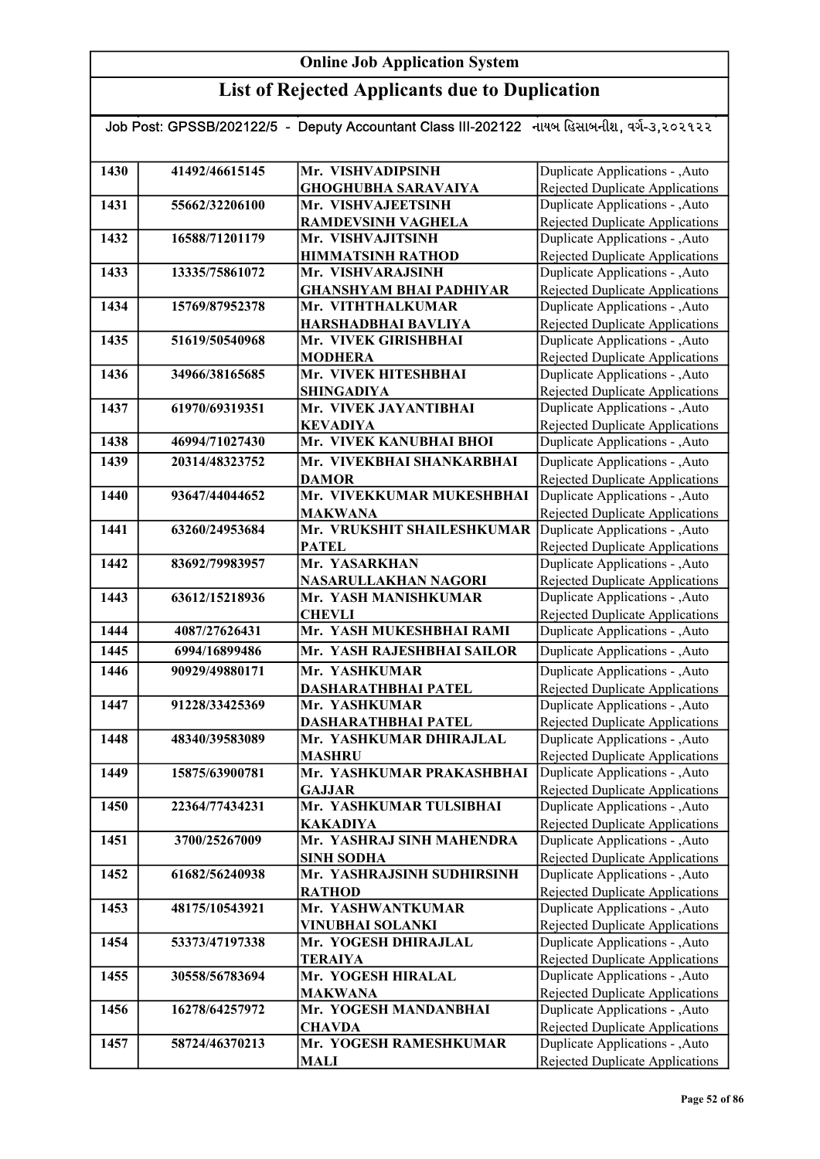## List of Rejected Applicants due to Duplication

#### Job Post: GPSSB/202122/5 - Deputy Accountant Class III-202122 નાયબ હિસાબનીશ, વર્ગ-૩,૨૦૨૧૨૨

| 1430 | 41492/46615145 | Mr. VISHVADIPSINH              | Duplicate Applications - , Auto        |
|------|----------------|--------------------------------|----------------------------------------|
|      |                | <b>GHOGHUBHA SARAVAIYA</b>     | <b>Rejected Duplicate Applications</b> |
| 1431 | 55662/32206100 | Mr. VISHVAJEETSINH             | Duplicate Applications - , Auto        |
|      |                | <b>RAMDEVSINH VAGHELA</b>      | <b>Rejected Duplicate Applications</b> |
| 1432 | 16588/71201179 | Mr. VISHVAJITSINH              | Duplicate Applications - , Auto        |
|      |                | <b>HIMMATSINH RATHOD</b>       | Rejected Duplicate Applications        |
| 1433 | 13335/75861072 | Mr. VISHVARAJSINH              | Duplicate Applications - , Auto        |
|      |                | <b>GHANSHYAM BHAI PADHIYAR</b> | <b>Rejected Duplicate Applications</b> |
| 1434 | 15769/87952378 | Mr. VITHTHALKUMAR              | Duplicate Applications - , Auto        |
|      |                | HARSHADBHAI BAVLIYA            | Rejected Duplicate Applications        |
| 1435 | 51619/50540968 | Mr. VIVEK GIRISHBHAI           | Duplicate Applications - , Auto        |
|      |                | <b>MODHERA</b>                 | <b>Rejected Duplicate Applications</b> |
| 1436 | 34966/38165685 | Mr. VIVEK HITESHBHAI           | Duplicate Applications - , Auto        |
|      |                | <b>SHINGADIYA</b>              | <b>Rejected Duplicate Applications</b> |
| 1437 | 61970/69319351 | Mr. VIVEK JAYANTIBHAI          | Duplicate Applications - , Auto        |
|      |                | <b>KEVADIYA</b>                | Rejected Duplicate Applications        |
| 1438 | 46994/71027430 | Mr. VIVEK KANUBHAI BHOI        | Duplicate Applications - , Auto        |
| 1439 | 20314/48323752 | Mr. VIVEKBHAI SHANKARBHAI      | Duplicate Applications - , Auto        |
|      |                | <b>DAMOR</b>                   | <b>Rejected Duplicate Applications</b> |
| 1440 | 93647/44044652 | Mr. VIVEKKUMAR MUKESHBHAI      | Duplicate Applications - , Auto        |
|      |                | <b>MAKWANA</b>                 | Rejected Duplicate Applications        |
| 1441 | 63260/24953684 | Mr. VRUKSHIT SHAILESHKUMAR     | Duplicate Applications - , Auto        |
|      |                | <b>PATEL</b>                   | Rejected Duplicate Applications        |
| 1442 | 83692/79983957 | Mr. YASARKHAN                  | Duplicate Applications - , Auto        |
|      |                | NASARULLAKHAN NAGORI           | <b>Rejected Duplicate Applications</b> |
| 1443 | 63612/15218936 | Mr. YASH MANISHKUMAR           | Duplicate Applications - , Auto        |
|      |                | <b>CHEVLI</b>                  | Rejected Duplicate Applications        |
| 1444 | 4087/27626431  | Mr. YASH MUKESHBHAI RAMI       | Duplicate Applications - , Auto        |
| 1445 | 6994/16899486  | Mr. YASH RAJESHBHAI SAILOR     | Duplicate Applications - , Auto        |
| 1446 | 90929/49880171 | Mr. YASHKUMAR                  | Duplicate Applications - , Auto        |
|      |                | DASHARATHBHAI PATEL            | Rejected Duplicate Applications        |
| 1447 | 91228/33425369 | Mr. YASHKUMAR                  | Duplicate Applications - , Auto        |
|      |                | <b>DASHARATHBHAI PATEL</b>     | <b>Rejected Duplicate Applications</b> |
| 1448 | 48340/39583089 | Mr. YASHKUMAR DHIRAJLAL        | Duplicate Applications - , Auto        |
|      |                | <b>MASHRU</b>                  | Rejected Duplicate Applications        |
| 1449 | 15875/63900781 | Mr. YASHKUMAR PRAKASHBHAI      | Auto Duplicate Applications - , Auto   |
|      |                | <b>GAJJAR</b>                  | Rejected Duplicate Applications        |
| 1450 | 22364/77434231 | Mr. YASHKUMAR TULSIBHAI        | Duplicate Applications - , Auto        |
|      |                | <b>KAKADIYA</b>                | Rejected Duplicate Applications        |
| 1451 | 3700/25267009  | Mr. YASHRAJ SINH MAHENDRA      | Duplicate Applications - , Auto        |
|      |                | <b>SINH SODHA</b>              | <b>Rejected Duplicate Applications</b> |
| 1452 | 61682/56240938 | Mr. YASHRAJSINH SUDHIRSINH     | Duplicate Applications - , Auto        |
|      |                | <b>RATHOD</b>                  | <b>Rejected Duplicate Applications</b> |
| 1453 | 48175/10543921 | Mr. YASHWANTKUMAR              | Duplicate Applications - , Auto        |
|      |                | VINUBHAI SOLANKI               | <b>Rejected Duplicate Applications</b> |
| 1454 | 53373/47197338 | Mr. YOGESH DHIRAJLAL           | Duplicate Applications - , Auto        |
|      |                | <b>TERAIYA</b>                 | <b>Rejected Duplicate Applications</b> |
| 1455 | 30558/56783694 | Mr. YOGESH HIRALAL             | Duplicate Applications - , Auto        |
|      |                | <b>MAKWANA</b>                 | <b>Rejected Duplicate Applications</b> |
| 1456 | 16278/64257972 | Mr. YOGESH MANDANBHAI          | Duplicate Applications - , Auto        |
|      |                | <b>CHAVDA</b>                  | <b>Rejected Duplicate Applications</b> |
| 1457 | 58724/46370213 | Mr. YOGESH RAMESHKUMAR         | Duplicate Applications - , Auto        |
|      |                | MALI                           | Rejected Duplicate Applications        |
|      |                |                                |                                        |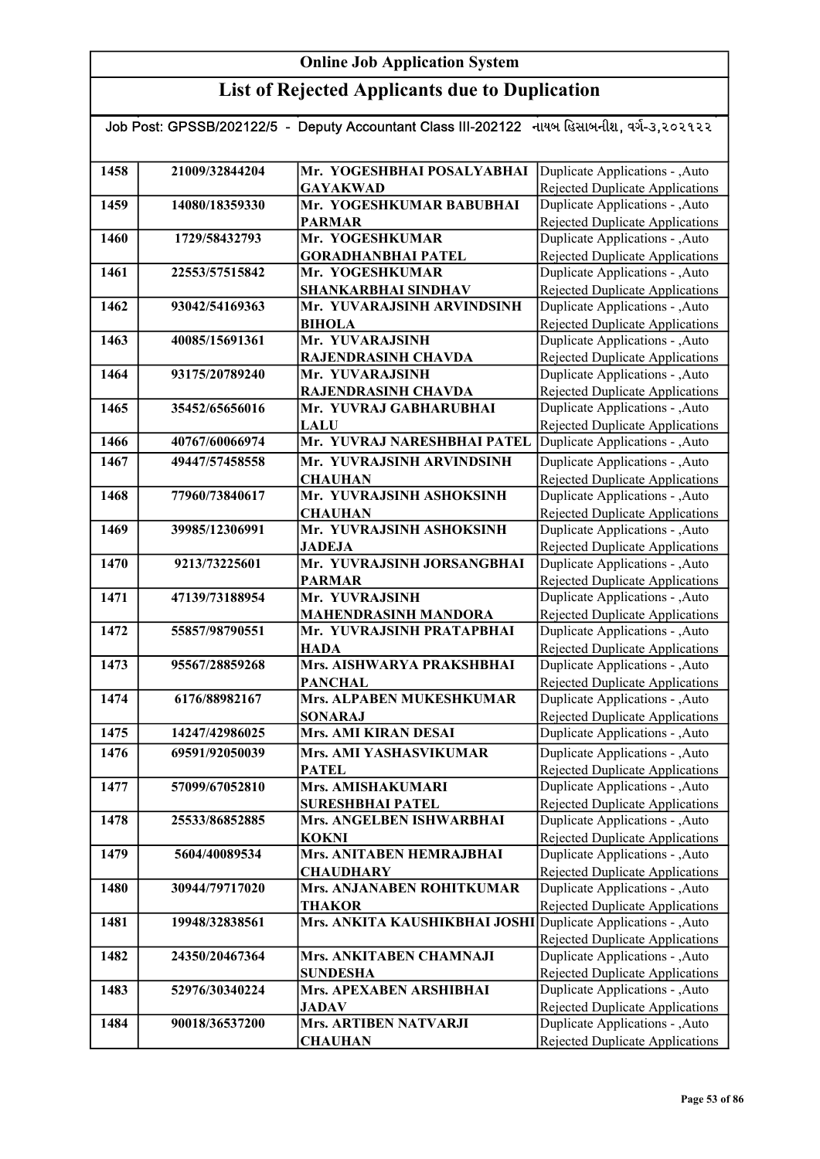| Job Post: GPSSB/202122/5 - Deputy Accountant Class III-202122 નાયબ હિસાબનીશ, વર્ગ-૩,૨૦૨૧૨૨ |                |                                                               |                                                                           |
|--------------------------------------------------------------------------------------------|----------------|---------------------------------------------------------------|---------------------------------------------------------------------------|
|                                                                                            |                |                                                               |                                                                           |
| 1458                                                                                       | 21009/32844204 | Mr. YOGESHBHAI POSALYABHAI                                    | Duplicate Applications - , Auto                                           |
|                                                                                            |                | <b>GAYAKWAD</b>                                               | Rejected Duplicate Applications                                           |
| 1459                                                                                       | 14080/18359330 | Mr. YOGESHKUMAR BABUBHAI                                      | Duplicate Applications - , Auto                                           |
|                                                                                            |                | <b>PARMAR</b>                                                 | <b>Rejected Duplicate Applications</b>                                    |
| 1460                                                                                       | 1729/58432793  | Mr. YOGESHKUMAR                                               | Duplicate Applications - , Auto                                           |
|                                                                                            |                | <b>GORADHANBHAI PATEL</b>                                     | Rejected Duplicate Applications                                           |
| 1461                                                                                       | 22553/57515842 | Mr. YOGESHKUMAR                                               | Duplicate Applications - , Auto                                           |
|                                                                                            |                | SHANKARBHAI SINDHAV                                           | Rejected Duplicate Applications                                           |
| 1462                                                                                       | 93042/54169363 | Mr. YUVARAJSINH ARVINDSINH                                    | Duplicate Applications - , Auto                                           |
|                                                                                            |                | <b>BIHOLA</b>                                                 | <b>Rejected Duplicate Applications</b>                                    |
| 1463                                                                                       | 40085/15691361 | Mr. YUVARAJSINH                                               | Duplicate Applications - , Auto                                           |
|                                                                                            |                | RAJENDRASINH CHAVDA                                           | Rejected Duplicate Applications                                           |
| 1464                                                                                       | 93175/20789240 | Mr. YUVARAJSINH                                               | Duplicate Applications - , Auto                                           |
|                                                                                            |                | RAJENDRASINH CHAVDA                                           | <b>Rejected Duplicate Applications</b>                                    |
| 1465                                                                                       | 35452/65656016 | Mr. YUVRAJ GABHARUBHAI                                        | Duplicate Applications - , Auto                                           |
|                                                                                            |                | LALU                                                          | <b>Rejected Duplicate Applications</b>                                    |
| 1466                                                                                       | 40767/60066974 | Mr. YUVRAJ NARESHBHAI PATEL                                   | Duplicate Applications - ,Auto                                            |
| 1467                                                                                       | 49447/57458558 | Mr. YUVRAJSINH ARVINDSINH                                     | Duplicate Applications - , Auto                                           |
|                                                                                            |                | <b>CHAUHAN</b>                                                | Rejected Duplicate Applications                                           |
| 1468                                                                                       | 77960/73840617 | Mr. YUVRAJSINH ASHOKSINH                                      | Duplicate Applications - , Auto                                           |
|                                                                                            |                | <b>CHAUHAN</b>                                                | Rejected Duplicate Applications                                           |
| 1469                                                                                       | 39985/12306991 | Mr. YUVRAJSINH ASHOKSINH                                      | Duplicate Applications - , Auto                                           |
|                                                                                            |                | <b>JADEJA</b>                                                 | Rejected Duplicate Applications                                           |
| 1470                                                                                       | 9213/73225601  | Mr. YUVRAJSINH JORSANGBHAI                                    | Duplicate Applications - , Auto                                           |
|                                                                                            |                | <b>PARMAR</b>                                                 | Rejected Duplicate Applications                                           |
| 1471                                                                                       | 47139/73188954 | Mr. YUVRAJSINH                                                | Duplicate Applications - , Auto                                           |
|                                                                                            |                | <b>MAHENDRASINH MANDORA</b>                                   | <b>Rejected Duplicate Applications</b>                                    |
| 1472                                                                                       | 55857/98790551 | Mr. YUVRAJSINH PRATAPBHAI                                     | Duplicate Applications - , Auto                                           |
|                                                                                            |                | <b>HADA</b>                                                   | <b>Rejected Duplicate Applications</b>                                    |
| 1473                                                                                       | 95567/28859268 | Mrs. AISHWARYA PRAKSHBHAI                                     | Duplicate Applications - , Auto                                           |
|                                                                                            | 6176/88982167  | <b>PANCHAL</b><br>Mrs. ALPABEN MUKESHKUMAR                    | <b>Rejected Duplicate Applications</b>                                    |
| 1474                                                                                       |                |                                                               | Duplicate Applications - , Auto                                           |
| 1475                                                                                       | 14247/42986025 | <b>SONARAJ</b><br>Mrs. AMI KIRAN DESAI                        | <b>Rejected Duplicate Applications</b>                                    |
|                                                                                            |                |                                                               | Duplicate Applications - , Auto                                           |
| 1476                                                                                       | 69591/92050039 | <b>Mrs. AMI YASHASVIKUMAR</b>                                 | Duplicate Applications - , Auto                                           |
|                                                                                            |                | <b>PATEL</b>                                                  | Rejected Duplicate Applications                                           |
| 1477                                                                                       | 57099/67052810 | Mrs. AMISHAKUMARI                                             | Duplicate Applications - , Auto                                           |
|                                                                                            |                | <b>SURESHBHAI PATEL</b>                                       | Rejected Duplicate Applications                                           |
| 1478                                                                                       | 25533/86852885 | Mrs. ANGELBEN ISHWARBHAI                                      | Duplicate Applications - , Auto                                           |
| 1479                                                                                       |                | <b>KOKNI</b><br>Mrs. ANITABEN HEMRAJBHAI                      | <b>Rejected Duplicate Applications</b><br>Duplicate Applications - , Auto |
|                                                                                            | 5604/40089534  |                                                               |                                                                           |
| 1480                                                                                       | 30944/79717020 | <b>CHAUDHARY</b><br>Mrs. ANJANABEN ROHITKUMAR                 | <b>Rejected Duplicate Applications</b><br>Duplicate Applications - , Auto |
|                                                                                            |                | <b>THAKOR</b>                                                 |                                                                           |
| 1481                                                                                       | 19948/32838561 | Mrs. ANKITA KAUSHIKBHAI JOSHI Duplicate Applications - , Auto | <b>Rejected Duplicate Applications</b>                                    |
|                                                                                            |                |                                                               | <b>Rejected Duplicate Applications</b>                                    |
| 1482                                                                                       | 24350/20467364 | Mrs. ANKITABEN CHAMNAJI                                       | Duplicate Applications - , Auto                                           |
|                                                                                            |                | <b>SUNDESHA</b>                                               | Rejected Duplicate Applications                                           |
| 1483                                                                                       | 52976/30340224 | Mrs. APEXABEN ARSHIBHAI                                       | Duplicate Applications - , Auto                                           |
|                                                                                            |                | <b>JADAV</b>                                                  | Rejected Duplicate Applications                                           |
| 1484                                                                                       | 90018/36537200 | Mrs. ARTIBEN NATVARJI                                         | Duplicate Applications - , Auto                                           |
|                                                                                            |                | <b>CHAUHAN</b>                                                | Rejected Duplicate Applications                                           |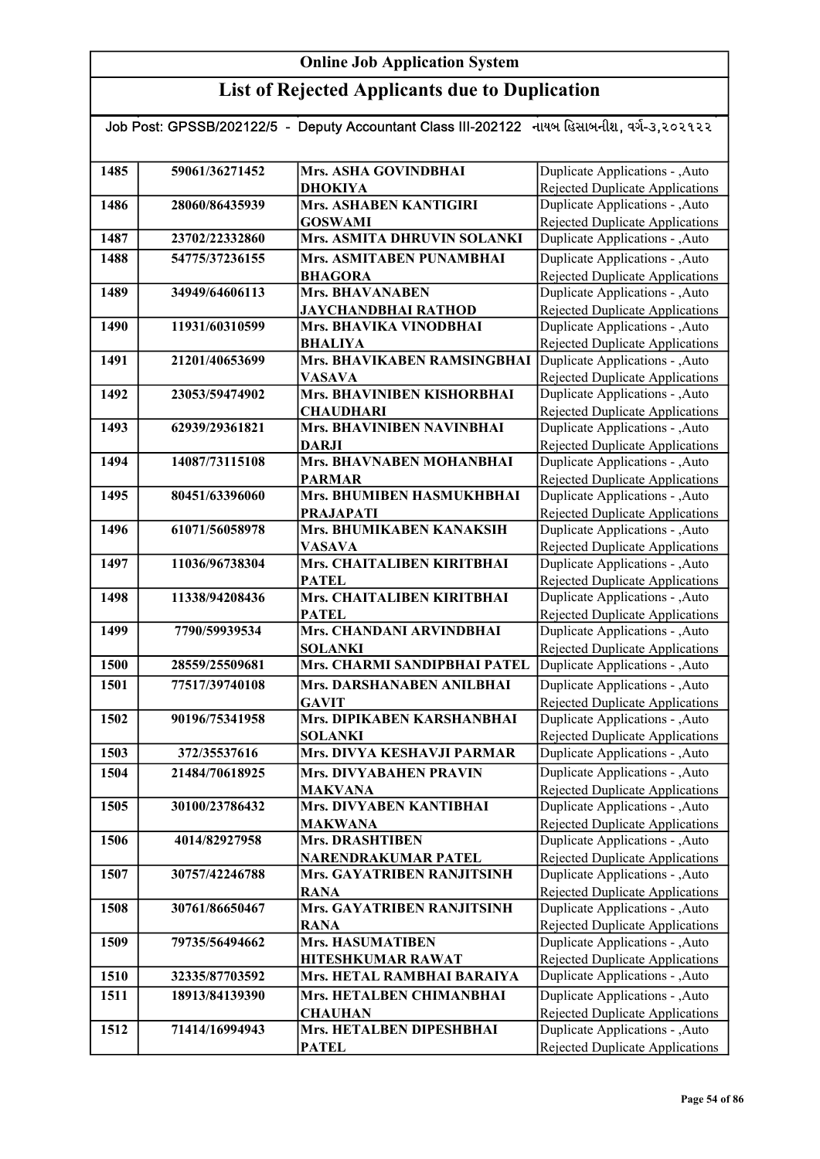| Job Post: GPSSB/202122/5 - Deputy Accountant Class III-202122 નાયબ હિસાબનીશ, વર્ગ-૩,૨૦૨૧૨૨ |                |                                   |                                        |  |
|--------------------------------------------------------------------------------------------|----------------|-----------------------------------|----------------------------------------|--|
|                                                                                            |                |                                   |                                        |  |
| 1485                                                                                       | 59061/36271452 | Mrs. ASHA GOVINDBHAI              | Duplicate Applications - , Auto        |  |
|                                                                                            |                | <b>DHOKIYA</b>                    | Rejected Duplicate Applications        |  |
| 1486                                                                                       | 28060/86435939 | Mrs. ASHABEN KANTIGIRI            | Duplicate Applications - , Auto        |  |
|                                                                                            |                | <b>GOSWAMI</b>                    | Rejected Duplicate Applications        |  |
| 1487                                                                                       | 23702/22332860 | Mrs. ASMITA DHRUVIN SOLANKI       | Duplicate Applications - ,Auto         |  |
| 1488                                                                                       | 54775/37236155 | Mrs. ASMITABEN PUNAMBHAI          | Duplicate Applications - , Auto        |  |
|                                                                                            |                | <b>BHAGORA</b>                    | Rejected Duplicate Applications        |  |
| 1489                                                                                       | 34949/64606113 | <b>Mrs. BHAVANABEN</b>            | Duplicate Applications - , Auto        |  |
|                                                                                            |                | <b>JAYCHANDBHAI RATHOD</b>        | Rejected Duplicate Applications        |  |
| 1490                                                                                       | 11931/60310599 | Mrs. BHAVIKA VINODBHAI            | Duplicate Applications - , Auto        |  |
|                                                                                            |                | <b>BHALIYA</b>                    | Rejected Duplicate Applications        |  |
| 1491                                                                                       | 21201/40653699 | Mrs. BHAVIKABEN RAMSINGBHAI       | Duplicate Applications - ,Auto         |  |
|                                                                                            |                | <b>VASAVA</b>                     | Rejected Duplicate Applications        |  |
| 1492                                                                                       | 23053/59474902 | <b>Mrs. BHAVINIBEN KISHORBHAI</b> | Duplicate Applications - , Auto        |  |
|                                                                                            |                | <b>CHAUDHARI</b>                  | Rejected Duplicate Applications        |  |
| 1493                                                                                       | 62939/29361821 | <b>Mrs. BHAVINIBEN NAVINBHAI</b>  | Duplicate Applications - , Auto        |  |
|                                                                                            |                | <b>DARJI</b>                      | <b>Rejected Duplicate Applications</b> |  |
| 1494                                                                                       | 14087/73115108 | Mrs. BHAVNABEN MOHANBHAI          | Duplicate Applications - , Auto        |  |
|                                                                                            |                | <b>PARMAR</b>                     | <b>Rejected Duplicate Applications</b> |  |
| 1495                                                                                       | 80451/63396060 | Mrs. BHUMIBEN HASMUKHBHAI         | Duplicate Applications - , Auto        |  |
|                                                                                            |                | <b>PRAJAPATI</b>                  | Rejected Duplicate Applications        |  |
| 1496                                                                                       | 61071/56058978 | Mrs. BHUMIKABEN KANAKSIH          | Duplicate Applications - , Auto        |  |
|                                                                                            |                | <b>VASAVA</b>                     | Rejected Duplicate Applications        |  |
| 1497                                                                                       | 11036/96738304 | Mrs. CHAITALIBEN KIRITBHAI        | Duplicate Applications - , Auto        |  |
|                                                                                            |                | <b>PATEL</b>                      | <b>Rejected Duplicate Applications</b> |  |
| 1498                                                                                       | 11338/94208436 | Mrs. CHAITALIBEN KIRITBHAI        | Duplicate Applications - , Auto        |  |
|                                                                                            |                | <b>PATEL</b>                      | <b>Rejected Duplicate Applications</b> |  |
| 1499                                                                                       | 7790/59939534  | Mrs. CHANDANI ARVINDBHAI          | Duplicate Applications - , Auto        |  |
|                                                                                            |                | <b>SOLANKI</b>                    | Rejected Duplicate Applications        |  |
| 1500                                                                                       | 28559/25509681 | Mrs. CHARMI SANDIPBHAI PATEL      | Duplicate Applications - , Auto        |  |
| 1501                                                                                       | 77517/39740108 | Mrs. DARSHANABEN ANILBHAI         | Duplicate Applications - , Auto        |  |
|                                                                                            |                | <b>GAVIT</b>                      | Rejected Duplicate Applications        |  |
| 1502                                                                                       | 90196/75341958 | Mrs. DIPIKABEN KARSHANBHAI        | Duplicate Applications - , Auto        |  |
|                                                                                            |                | <b>SOLANKI</b>                    | <b>Rejected Duplicate Applications</b> |  |
| 1503                                                                                       | 372/35537616   | Mrs. DIVYA KESHAVJI PARMAR        | Duplicate Applications - , Auto        |  |
| 1504                                                                                       | 21484/70618925 | <b>Mrs. DIVYABAHEN PRAVIN</b>     | Duplicate Applications - , Auto        |  |
|                                                                                            |                | <b>MAKVANA</b>                    | Rejected Duplicate Applications        |  |
| 1505                                                                                       | 30100/23786432 | Mrs. DIVYABEN KANTIBHAI           | Duplicate Applications - , Auto        |  |
|                                                                                            |                | <b>MAKWANA</b>                    | Rejected Duplicate Applications        |  |
| 1506                                                                                       | 4014/82927958  | <b>Mrs. DRASHTIBEN</b>            | Duplicate Applications - , Auto        |  |
|                                                                                            |                | NARENDRAKUMAR PATEL               | <b>Rejected Duplicate Applications</b> |  |
| 1507                                                                                       | 30757/42246788 | Mrs. GAYATRIBEN RANJITSINH        | Duplicate Applications - , Auto        |  |
|                                                                                            |                | <b>RANA</b>                       | Rejected Duplicate Applications        |  |
| 1508                                                                                       | 30761/86650467 | <b>Mrs. GAYATRIBEN RANJITSINH</b> | Duplicate Applications - , Auto        |  |
|                                                                                            |                | <b>RANA</b>                       | <b>Rejected Duplicate Applications</b> |  |
| 1509                                                                                       | 79735/56494662 | <b>Mrs. HASUMATIBEN</b>           | Duplicate Applications - , Auto        |  |
|                                                                                            |                | <b>HITESHKUMAR RAWAT</b>          | <b>Rejected Duplicate Applications</b> |  |
| 1510                                                                                       | 32335/87703592 | Mrs. HETAL RAMBHAI BARAIYA        | Duplicate Applications - , Auto        |  |
| 1511                                                                                       | 18913/84139390 | Mrs. HETALBEN CHIMANBHAI          | Duplicate Applications - , Auto        |  |
|                                                                                            |                | <b>CHAUHAN</b>                    | Rejected Duplicate Applications        |  |
| 1512                                                                                       | 71414/16994943 | Mrs. HETALBEN DIPESHBHAI          | Duplicate Applications - , Auto        |  |
|                                                                                            |                | <b>PATEL</b>                      | Rejected Duplicate Applications        |  |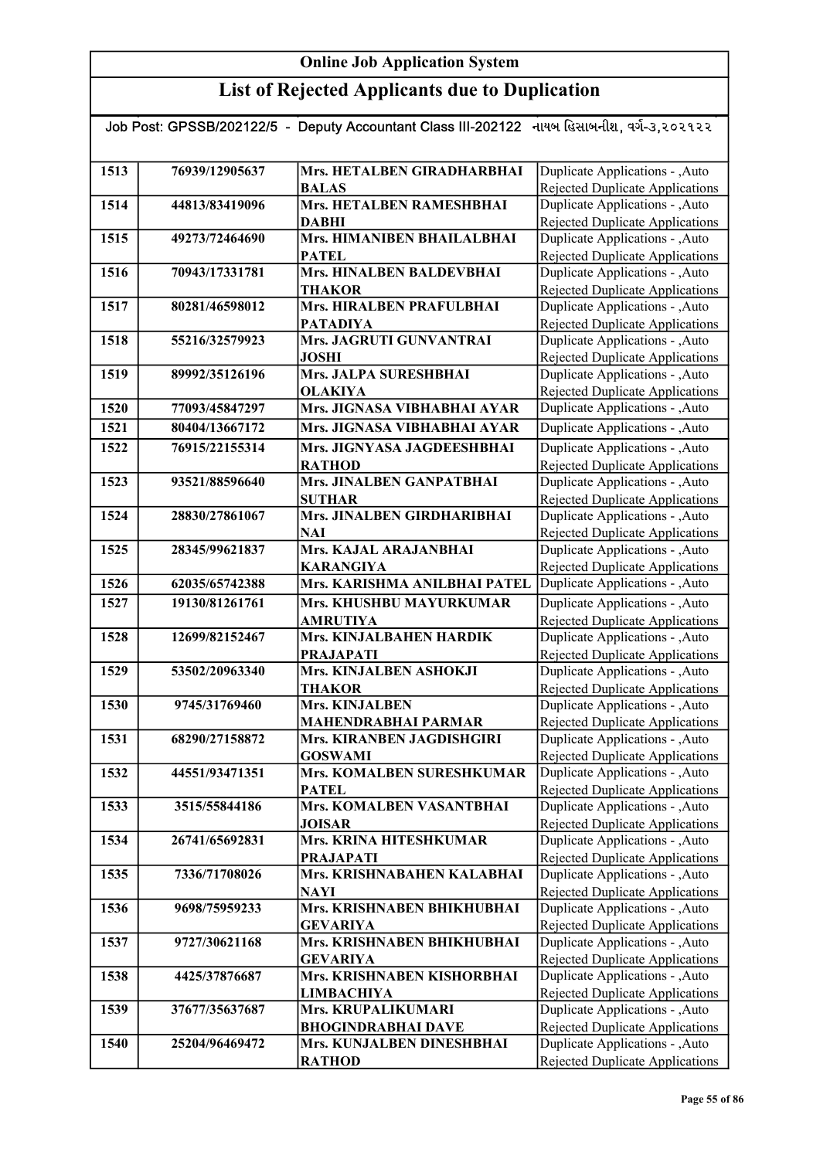| Job Post: GPSSB/202122/5 - Deputy Accountant Class III-202122 નાયબ હિસાબનીશ, વર્ગ-૩,૨૦૨૧૨૨ |                |                                               |                                                                           |  |
|--------------------------------------------------------------------------------------------|----------------|-----------------------------------------------|---------------------------------------------------------------------------|--|
|                                                                                            |                |                                               |                                                                           |  |
| 1513                                                                                       | 76939/12905637 | Mrs. HETALBEN GIRADHARBHAI<br><b>BALAS</b>    | Duplicate Applications - , Auto<br>Rejected Duplicate Applications        |  |
| 1514                                                                                       | 44813/83419096 | Mrs. HETALBEN RAMESHBHAI                      | Duplicate Applications - , Auto                                           |  |
|                                                                                            |                | <b>DABHI</b>                                  | <b>Rejected Duplicate Applications</b>                                    |  |
| 1515                                                                                       | 49273/72464690 | Mrs. HIMANIBEN BHAILALBHAI                    | Duplicate Applications - , Auto                                           |  |
|                                                                                            |                | <b>PATEL</b>                                  | Rejected Duplicate Applications                                           |  |
| 1516                                                                                       | 70943/17331781 | Mrs. HINALBEN BALDEVBHAI                      | Duplicate Applications - , Auto                                           |  |
|                                                                                            |                | <b>THAKOR</b>                                 | <b>Rejected Duplicate Applications</b>                                    |  |
| 1517                                                                                       | 80281/46598012 | Mrs. HIRALBEN PRAFULBHAI                      | Duplicate Applications - , Auto                                           |  |
|                                                                                            |                | <b>PATADIYA</b>                               | <b>Rejected Duplicate Applications</b>                                    |  |
| 1518                                                                                       | 55216/32579923 | Mrs. JAGRUTI GUNVANTRAI<br><b>JOSHI</b>       | Duplicate Applications - , Auto<br><b>Rejected Duplicate Applications</b> |  |
| 1519                                                                                       | 89992/35126196 | Mrs. JALPA SURESHBHAI                         | Duplicate Applications - , Auto                                           |  |
|                                                                                            |                | <b>OLAKIYA</b>                                | <b>Rejected Duplicate Applications</b>                                    |  |
| 1520                                                                                       | 77093/45847297 | Mrs. JIGNASA VIBHABHAI AYAR                   | Duplicate Applications - , Auto                                           |  |
| 1521                                                                                       | 80404/13667172 | Mrs. JIGNASA VIBHABHAI AYAR                   | Duplicate Applications - , Auto                                           |  |
| 1522                                                                                       | 76915/22155314 | Mrs. JIGNYASA JAGDEESHBHAI                    | Duplicate Applications - , Auto                                           |  |
|                                                                                            |                | <b>RATHOD</b>                                 | <b>Rejected Duplicate Applications</b>                                    |  |
| 1523                                                                                       | 93521/88596640 | Mrs. JINALBEN GANPATBHAI                      | Duplicate Applications - , Auto                                           |  |
|                                                                                            |                | <b>SUTHAR</b>                                 | <b>Rejected Duplicate Applications</b>                                    |  |
| 1524                                                                                       | 28830/27861067 | Mrs. JINALBEN GIRDHARIBHAI                    | Duplicate Applications - , Auto                                           |  |
|                                                                                            |                | <b>NAI</b>                                    | Rejected Duplicate Applications                                           |  |
| 1525                                                                                       | 28345/99621837 | Mrs. KAJAL ARAJANBHAI                         | Duplicate Applications - , Auto                                           |  |
|                                                                                            |                | <b>KARANGIYA</b>                              | Rejected Duplicate Applications                                           |  |
| 1526                                                                                       | 62035/65742388 | Mrs. KARISHMA ANILBHAI PATEL                  | Duplicate Applications - , Auto                                           |  |
| 1527                                                                                       | 19130/81261761 | Mrs. KHUSHBU MAYURKUMAR<br><b>AMRUTIYA</b>    | Duplicate Applications - , Auto<br><b>Rejected Duplicate Applications</b> |  |
| 1528                                                                                       | 12699/82152467 | Mrs. KINJALBAHEN HARDIK                       | Duplicate Applications - , Auto                                           |  |
|                                                                                            |                | <b>PRAJAPATI</b>                              | Rejected Duplicate Applications                                           |  |
| 1529                                                                                       | 53502/20963340 | Mrs. KINJALBEN ASHOKJI                        | Duplicate Applications - , Auto                                           |  |
|                                                                                            |                | <b>THAKOR</b>                                 | <b>Rejected Duplicate Applications</b>                                    |  |
| 1530                                                                                       | 9745/31769460  | Mrs. KINJALBEN                                | Duplicate Applications - , Auto                                           |  |
|                                                                                            |                | <b>MAHENDRABHAI PARMAR</b>                    | Rejected Duplicate Applications                                           |  |
| 1531                                                                                       | 68290/27158872 | Mrs. KIRANBEN JAGDISHGIRI                     | Duplicate Applications - , Auto                                           |  |
|                                                                                            |                | <b>GOSWAMI</b>                                | Rejected Duplicate Applications                                           |  |
| 1532                                                                                       | 44551/93471351 | Mrs. KOMALBEN SURESHKUMAR                     | Duplicate Applications - , Auto<br>Rejected Duplicate Applications        |  |
| 1533                                                                                       | 3515/55844186  | <b>PATEL</b><br>Mrs. KOMALBEN VASANTBHAI      | Duplicate Applications - , Auto                                           |  |
|                                                                                            |                | <b>JOISAR</b>                                 | Rejected Duplicate Applications                                           |  |
| 1534                                                                                       | 26741/65692831 | Mrs. KRINA HITESHKUMAR                        | Duplicate Applications - , Auto                                           |  |
|                                                                                            |                | <b>PRAJAPATI</b>                              | <b>Rejected Duplicate Applications</b>                                    |  |
| 1535                                                                                       | 7336/71708026  | Mrs. KRISHNABAHEN KALABHAI                    | Duplicate Applications - , Auto                                           |  |
|                                                                                            |                | <b>NAYI</b>                                   | Rejected Duplicate Applications                                           |  |
| 1536                                                                                       | 9698/75959233  | Mrs. KRISHNABEN BHIKHUBHAI                    | Duplicate Applications - , Auto                                           |  |
| 1537                                                                                       | 9727/30621168  | <b>GEVARIYA</b><br>Mrs. KRISHNABEN BHIKHUBHAI | <b>Rejected Duplicate Applications</b><br>Duplicate Applications - , Auto |  |
|                                                                                            |                | <b>GEVARIYA</b>                               | <b>Rejected Duplicate Applications</b>                                    |  |
| 1538                                                                                       | 4425/37876687  | Mrs. KRISHNABEN KISHORBHAI                    | Duplicate Applications - , Auto                                           |  |
|                                                                                            |                | <b>LIMBACHIYA</b>                             | <b>Rejected Duplicate Applications</b>                                    |  |
| 1539                                                                                       | 37677/35637687 | Mrs. KRUPALIKUMARI                            | Duplicate Applications - , Auto                                           |  |
|                                                                                            |                | <b>BHOGINDRABHAI DAVE</b>                     | <b>Rejected Duplicate Applications</b>                                    |  |
| 1540                                                                                       | 25204/96469472 | Mrs. KUNJALBEN DINESHBHAI                     | Duplicate Applications - , Auto                                           |  |
|                                                                                            |                | <b>RATHOD</b>                                 | Rejected Duplicate Applications                                           |  |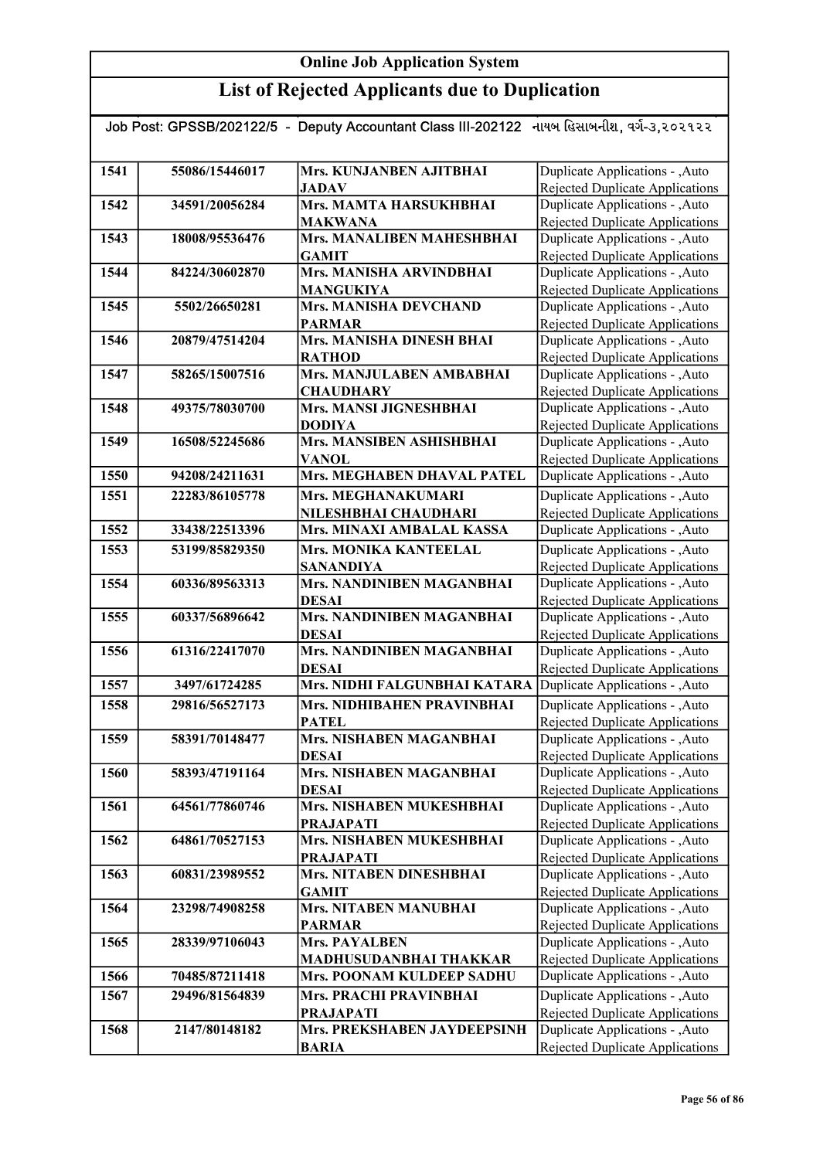| Job Post: GPSSB/202122/5 - Deputy Accountant Class III-202122 નાયબ હિસાબનીશ, વર્ગ-૩,૨૦૨૧૨૨ |                |                                               |                                                                           |
|--------------------------------------------------------------------------------------------|----------------|-----------------------------------------------|---------------------------------------------------------------------------|
|                                                                                            |                |                                               |                                                                           |
| 1541                                                                                       | 55086/15446017 | Mrs. KUNJANBEN AJITBHAI<br><b>JADAV</b>       | Duplicate Applications - , Auto<br>Rejected Duplicate Applications        |
| 1542                                                                                       | 34591/20056284 | Mrs. MAMTA HARSUKHBHAI                        | Duplicate Applications - , Auto                                           |
|                                                                                            |                | <b>MAKWANA</b>                                | Rejected Duplicate Applications                                           |
| 1543                                                                                       | 18008/95536476 | Mrs. MANALIBEN MAHESHBHAI                     | Duplicate Applications - , Auto                                           |
|                                                                                            |                | <b>GAMIT</b>                                  | Rejected Duplicate Applications                                           |
| 1544                                                                                       | 84224/30602870 | Mrs. MANISHA ARVINDBHAI                       | Duplicate Applications - , Auto                                           |
|                                                                                            |                | <b>MANGUKIYA</b>                              | Rejected Duplicate Applications                                           |
| 1545                                                                                       | 5502/26650281  | Mrs. MANISHA DEVCHAND                         | Duplicate Applications - , Auto                                           |
|                                                                                            |                | <b>PARMAR</b>                                 | Rejected Duplicate Applications                                           |
| 1546                                                                                       | 20879/47514204 | Mrs. MANISHA DINESH BHAI                      | Duplicate Applications - , Auto                                           |
| 1547                                                                                       | 58265/15007516 | <b>RATHOD</b><br>Mrs. MANJULABEN AMBABHAI     | Rejected Duplicate Applications<br>Duplicate Applications - , Auto        |
|                                                                                            |                | <b>CHAUDHARY</b>                              | <b>Rejected Duplicate Applications</b>                                    |
| 1548                                                                                       | 49375/78030700 | Mrs. MANSI JIGNESHBHAI                        | Duplicate Applications - , Auto                                           |
|                                                                                            |                | <b>DODIYA</b>                                 | Rejected Duplicate Applications                                           |
| 1549                                                                                       | 16508/52245686 | Mrs. MANSIBEN ASHISHBHAI                      | Duplicate Applications - , Auto                                           |
|                                                                                            |                | <b>VANOL</b>                                  | Rejected Duplicate Applications                                           |
| 1550                                                                                       | 94208/24211631 | Mrs. MEGHABEN DHAVAL PATEL                    | Duplicate Applications - , Auto                                           |
| 1551                                                                                       | 22283/86105778 | Mrs. MEGHANAKUMARI                            | Duplicate Applications - , Auto                                           |
|                                                                                            |                | NILESHBHAI CHAUDHARI                          | Rejected Duplicate Applications                                           |
| 1552                                                                                       | 33438/22513396 | Mrs. MINAXI AMBALAL KASSA                     | Duplicate Applications - , Auto                                           |
| 1553                                                                                       | 53199/85829350 | Mrs. MONIKA KANTEELAL                         | Duplicate Applications - , Auto                                           |
|                                                                                            |                | <b>SANANDIYA</b>                              | Rejected Duplicate Applications                                           |
| 1554                                                                                       | 60336/89563313 | Mrs. NANDINIBEN MAGANBHAI                     | Duplicate Applications - , Auto                                           |
|                                                                                            |                | <b>DESAI</b>                                  | Rejected Duplicate Applications                                           |
| 1555                                                                                       | 60337/56896642 | Mrs. NANDINIBEN MAGANBHAI                     | Duplicate Applications - , Auto                                           |
|                                                                                            |                | <b>DESAI</b>                                  | Rejected Duplicate Applications                                           |
| 1556                                                                                       | 61316/22417070 | Mrs. NANDINIBEN MAGANBHAI                     | Duplicate Applications - , Auto                                           |
| 1557                                                                                       | 3497/61724285  | <b>DESAI</b><br>Mrs. NIDHI FALGUNBHAI KATARA  | <b>Rejected Duplicate Applications</b><br>Duplicate Applications - , Auto |
|                                                                                            | 29816/56527173 | Mrs. NIDHIBAHEN PRAVINBHAI                    |                                                                           |
| 1558                                                                                       |                |                                               | Duplicate Applications - , Auto                                           |
| 1559                                                                                       | 58391/70148477 | <b>PATEL</b><br>Mrs. NISHABEN MAGANBHAI       | Rejected Duplicate Applications<br>Duplicate Applications - , Auto        |
|                                                                                            |                | <b>DESAI</b>                                  | Rejected Duplicate Applications                                           |
| 1560                                                                                       | 58393/47191164 | Mrs. NISHABEN MAGANBHAI                       | Duplicate Applications - , Auto                                           |
|                                                                                            |                | <b>DESAI</b>                                  | Rejected Duplicate Applications                                           |
| 1561                                                                                       | 64561/77860746 | Mrs. NISHABEN MUKESHBHAI                      | Duplicate Applications - , Auto                                           |
|                                                                                            |                | <b>PRAJAPATI</b>                              | Rejected Duplicate Applications                                           |
| 1562                                                                                       | 64861/70527153 | Mrs. NISHABEN MUKESHBHAI                      | Duplicate Applications - ,Auto                                            |
|                                                                                            |                | <b>PRAJAPATI</b>                              | Rejected Duplicate Applications                                           |
| 1563                                                                                       | 60831/23989552 | Mrs. NITABEN DINESHBHAI                       | Duplicate Applications - , Auto                                           |
|                                                                                            |                | <b>GAMIT</b>                                  | Rejected Duplicate Applications                                           |
| 1564                                                                                       | 23298/74908258 | <b>Mrs. NITABEN MANUBHAI</b><br><b>PARMAR</b> | Duplicate Applications - , Auto<br><b>Rejected Duplicate Applications</b> |
| 1565                                                                                       | 28339/97106043 | <b>Mrs. PAYALBEN</b>                          | Duplicate Applications - , Auto                                           |
|                                                                                            |                | MADHUSUDANBHAI THAKKAR                        | Rejected Duplicate Applications                                           |
| 1566                                                                                       | 70485/87211418 | Mrs. POONAM KULDEEP SADHU                     | Duplicate Applications - , Auto                                           |
| 1567                                                                                       | 29496/81564839 | Mrs. PRACHI PRAVINBHAI                        | Duplicate Applications - , Auto                                           |
|                                                                                            |                | <b>PRAJAPATI</b>                              | Rejected Duplicate Applications                                           |
| 1568                                                                                       | 2147/80148182  | Mrs. PREKSHABEN JAYDEEPSINH                   | Duplicate Applications - , Auto                                           |
|                                                                                            |                | <b>BARIA</b>                                  | Rejected Duplicate Applications                                           |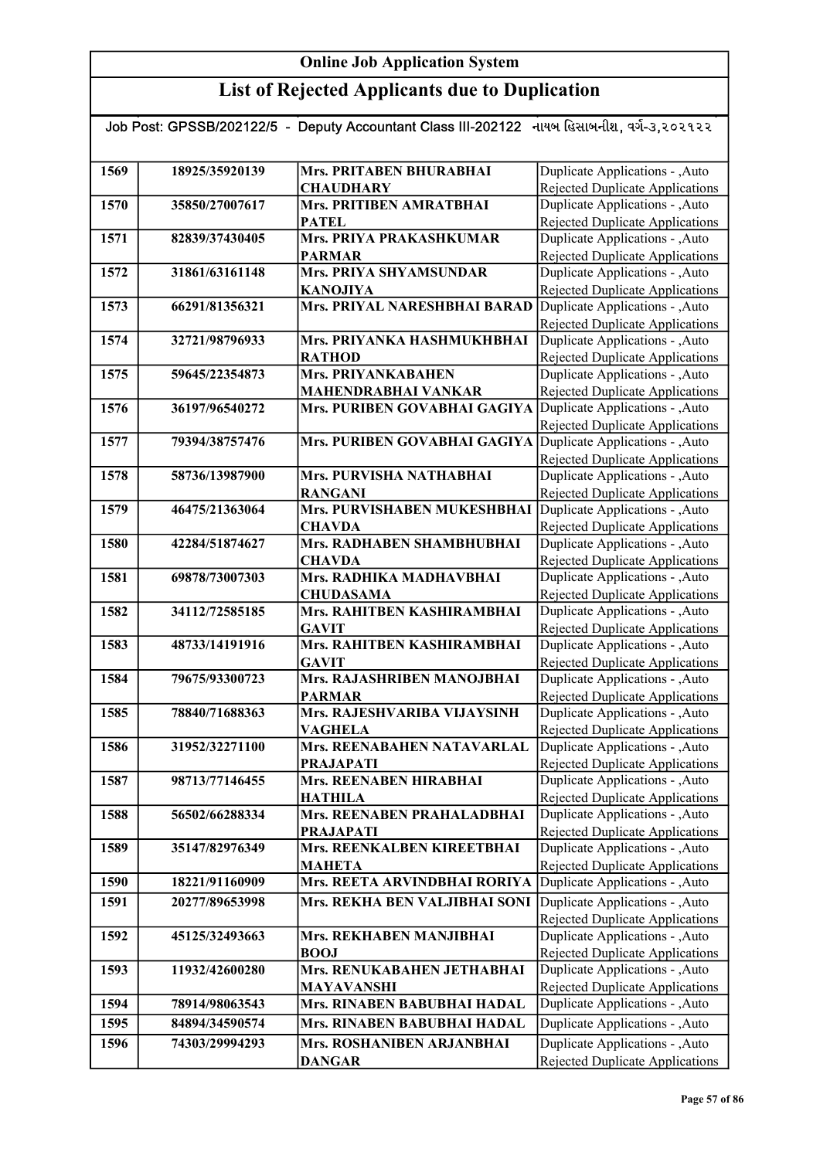| Job Post: GPSSB/202122/5  -  Deputy Accountant Class III-202122   નાયબ હિસાબનીશ, વર્ગ-૩,૨૦૨૧૨૨ |                |                                                 |                                                                           |
|------------------------------------------------------------------------------------------------|----------------|-------------------------------------------------|---------------------------------------------------------------------------|
|                                                                                                |                |                                                 |                                                                           |
| 1569                                                                                           | 18925/35920139 | Mrs. PRITABEN BHURABHAI                         | Duplicate Applications - , Auto                                           |
|                                                                                                |                | <b>CHAUDHARY</b>                                | Rejected Duplicate Applications                                           |
| 1570                                                                                           | 35850/27007617 | Mrs. PRITIBEN AMRATBHAI                         | Duplicate Applications - , Auto                                           |
|                                                                                                |                | <b>PATEL</b>                                    | <b>Rejected Duplicate Applications</b>                                    |
| 1571                                                                                           | 82839/37430405 | Mrs. PRIYA PRAKASHKUMAR                         | Duplicate Applications - , Auto                                           |
|                                                                                                |                | <b>PARMAR</b>                                   | Rejected Duplicate Applications                                           |
| 1572                                                                                           | 31861/63161148 | Mrs. PRIYA SHYAMSUNDAR                          | Duplicate Applications - , Auto                                           |
|                                                                                                |                | <b>KANOJIYA</b>                                 | <b>Rejected Duplicate Applications</b>                                    |
| 1573                                                                                           | 66291/81356321 | Mrs. PRIYAL NARESHBHAI BARAD                    | Duplicate Applications - , Auto                                           |
| 1574                                                                                           | 32721/98796933 | Mrs. PRIYANKA HASHMUKHBHAI                      | <b>Rejected Duplicate Applications</b><br>Duplicate Applications - , Auto |
|                                                                                                |                | <b>RATHOD</b>                                   | Rejected Duplicate Applications                                           |
| 1575                                                                                           | 59645/22354873 | <b>Mrs. PRIYANKABAHEN</b>                       | Duplicate Applications - , Auto                                           |
|                                                                                                |                | MAHENDRABHAI VANKAR                             | Rejected Duplicate Applications                                           |
| 1576                                                                                           | 36197/96540272 | Mrs. PURIBEN GOVABHAI GAGIYA                    | Duplicate Applications - , Auto                                           |
|                                                                                                |                |                                                 | Rejected Duplicate Applications                                           |
| 1577                                                                                           | 79394/38757476 | Mrs. PURIBEN GOVABHAI GAGIYA                    | Duplicate Applications - ,Auto                                            |
|                                                                                                |                |                                                 | <b>Rejected Duplicate Applications</b>                                    |
| 1578                                                                                           | 58736/13987900 | Mrs. PURVISHA NATHABHAI                         | Duplicate Applications - , Auto                                           |
|                                                                                                |                | <b>RANGANI</b>                                  | Rejected Duplicate Applications                                           |
| 1579                                                                                           | 46475/21363064 | Mrs. PURVISHABEN MUKESHBHAI                     | Duplicate Applications - , Auto                                           |
|                                                                                                |                | <b>CHAVDA</b>                                   | Rejected Duplicate Applications                                           |
| 1580                                                                                           | 42284/51874627 | Mrs. RADHABEN SHAMBHUBHAI                       | Duplicate Applications - , Auto                                           |
|                                                                                                |                | <b>CHAVDA</b>                                   | <b>Rejected Duplicate Applications</b>                                    |
| 1581                                                                                           | 69878/73007303 | Mrs. RADHIKA MADHAVBHAI                         | Duplicate Applications - , Auto                                           |
| 1582                                                                                           | 34112/72585185 | <b>CHUDASAMA</b><br>Mrs. RAHITBEN KASHIRAMBHAI  | Rejected Duplicate Applications<br>Duplicate Applications - , Auto        |
|                                                                                                |                | <b>GAVIT</b>                                    | <b>Rejected Duplicate Applications</b>                                    |
| 1583                                                                                           | 48733/14191916 | Mrs. RAHITBEN KASHIRAMBHAI                      | Duplicate Applications - , Auto                                           |
|                                                                                                |                | <b>GAVIT</b>                                    | <b>Rejected Duplicate Applications</b>                                    |
| 1584                                                                                           | 79675/93300723 | Mrs. RAJASHRIBEN MANOJBHAI                      | Duplicate Applications - , Auto                                           |
|                                                                                                |                | <b>PARMAR</b>                                   | <b>Rejected Duplicate Applications</b>                                    |
| 1585                                                                                           | 78840/71688363 | Mrs. RAJESHVARIBA VIJAYSINH                     | Duplicate Applications - , Auto                                           |
|                                                                                                |                | <b>VAGHELA</b>                                  | <b>Rejected Duplicate Applications</b>                                    |
| 1586                                                                                           | 31952/32271100 | Mrs. REENABAHEN NATAVARLAL                      | Duplicate Applications - , Auto                                           |
|                                                                                                |                | <b>PRAJAPATI</b>                                | Rejected Duplicate Applications                                           |
| 1587                                                                                           | 98713/77146455 | <b>Mrs. REENABEN HIRABHAI</b><br><b>HATHILA</b> | Duplicate Applications - , Auto<br>Rejected Duplicate Applications        |
| 1588                                                                                           | 56502/66288334 | Mrs. REENABEN PRAHALADBHAI                      | Duplicate Applications - , Auto                                           |
|                                                                                                |                | <b>PRAJAPATI</b>                                | <b>Rejected Duplicate Applications</b>                                    |
| 1589                                                                                           | 35147/82976349 | Mrs. REENKALBEN KIREETBHAI                      | Duplicate Applications - , Auto                                           |
|                                                                                                |                | <b>MAHETA</b>                                   | Rejected Duplicate Applications                                           |
| 1590                                                                                           | 18221/91160909 | Mrs. REETA ARVINDBHAI RORIYA                    | Duplicate Applications - , Auto                                           |
| 1591                                                                                           | 20277/89653998 | Mrs. REKHA BEN VALJIBHAI SONI                   | Duplicate Applications - , Auto                                           |
|                                                                                                |                |                                                 | <b>Rejected Duplicate Applications</b>                                    |
| 1592                                                                                           | 45125/32493663 | Mrs. REKHABEN MANJIBHAI                         | Duplicate Applications - , Auto                                           |
|                                                                                                |                | <b>BOOJ</b>                                     | Rejected Duplicate Applications                                           |
| 1593                                                                                           | 11932/42600280 | Mrs. RENUKABAHEN JETHABHAI                      | Duplicate Applications - , Auto                                           |
|                                                                                                |                | <b>MAYAVANSHI</b>                               | <b>Rejected Duplicate Applications</b>                                    |
| 1594                                                                                           | 78914/98063543 | Mrs. RINABEN BABUBHAI HADAL                     | Duplicate Applications - , Auto                                           |
| 1595                                                                                           | 84894/34590574 | Mrs. RINABEN BABUBHAI HADAL                     | Duplicate Applications - , Auto                                           |
| 1596                                                                                           | 74303/29994293 | Mrs. ROSHANIBEN ARJANBHAI                       | Duplicate Applications - , Auto                                           |
|                                                                                                |                | <b>DANGAR</b>                                   | Rejected Duplicate Applications                                           |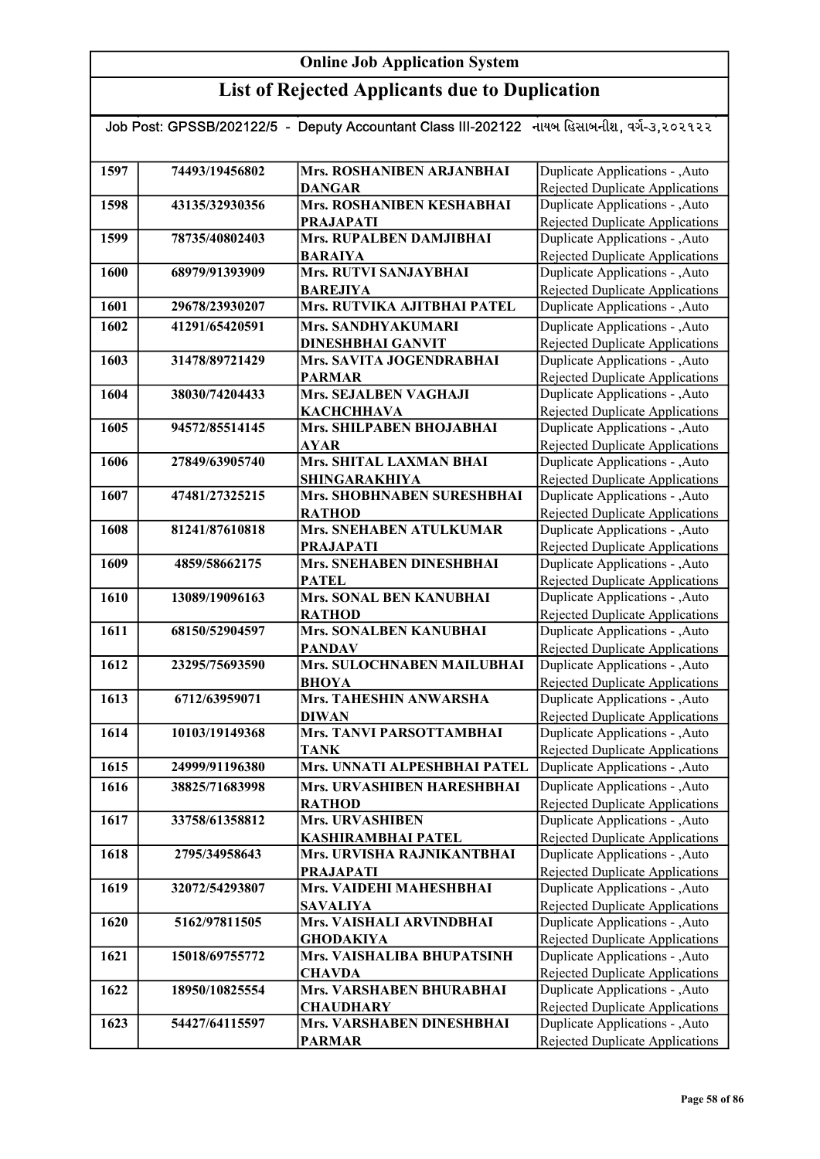| Job Post: GPSSB/202122/5 - Deputy Accountant Class III-202122 નાયબ હિસાબનીશ, વર્ગ-૩,૨૦૨૧૨૨ |                |                                |                                        |
|--------------------------------------------------------------------------------------------|----------------|--------------------------------|----------------------------------------|
|                                                                                            |                |                                |                                        |
|                                                                                            |                |                                |                                        |
| 1597                                                                                       | 74493/19456802 | Mrs. ROSHANIBEN ARJANBHAI      | Duplicate Applications - , Auto        |
|                                                                                            |                | <b>DANGAR</b>                  | Rejected Duplicate Applications        |
| 1598                                                                                       | 43135/32930356 | Mrs. ROSHANIBEN KESHABHAI      | Duplicate Applications - , Auto        |
|                                                                                            |                | <b>PRAJAPATI</b>               | Rejected Duplicate Applications        |
| 1599                                                                                       | 78735/40802403 | Mrs. RUPALBEN DAMJIBHAI        | Duplicate Applications - , Auto        |
|                                                                                            |                | <b>BARAIYA</b>                 | Rejected Duplicate Applications        |
| 1600                                                                                       | 68979/91393909 | <b>Mrs. RUTVI SANJAYBHAI</b>   | Duplicate Applications - , Auto        |
|                                                                                            |                | <b>BAREJIYA</b>                | Rejected Duplicate Applications        |
| 1601                                                                                       | 29678/23930207 | Mrs. RUTVIKA AJITBHAI PATEL    | Duplicate Applications - , Auto        |
| 1602                                                                                       | 41291/65420591 | Mrs. SANDHYAKUMARI             | Duplicate Applications - , Auto        |
|                                                                                            |                | <b>DINESHBHAI GANVIT</b>       | Rejected Duplicate Applications        |
| 1603                                                                                       | 31478/89721429 | Mrs. SAVITA JOGENDRABHAI       | Duplicate Applications - , Auto        |
|                                                                                            |                | <b>PARMAR</b>                  | Rejected Duplicate Applications        |
| 1604                                                                                       | 38030/74204433 | Mrs. SEJALBEN VAGHAJI          | Duplicate Applications - , Auto        |
|                                                                                            |                | <b>КАСНСННАVA</b>              | Rejected Duplicate Applications        |
| 1605                                                                                       | 94572/85514145 | Mrs. SHILPABEN BHOJABHAI       | Duplicate Applications - , Auto        |
|                                                                                            |                | <b>AYAR</b>                    | Rejected Duplicate Applications        |
| 1606                                                                                       | 27849/63905740 | <b>Mrs. SHITAL LAXMAN BHAI</b> | Duplicate Applications - ,Auto         |
|                                                                                            |                | <b>SHINGARAKHIYA</b>           | <b>Rejected Duplicate Applications</b> |
| 1607                                                                                       | 47481/27325215 | Mrs. SHOBHNABEN SURESHBHAI     | Duplicate Applications - , Auto        |
|                                                                                            |                | <b>RATHOD</b>                  | <b>Rejected Duplicate Applications</b> |
| 1608                                                                                       | 81241/87610818 | Mrs. SNEHABEN ATULKUMAR        | Duplicate Applications - , Auto        |
|                                                                                            |                | <b>PRAJAPATI</b>               | <b>Rejected Duplicate Applications</b> |
| 1609                                                                                       | 4859/58662175  | Mrs. SNEHABEN DINESHBHAI       | Duplicate Applications - , Auto        |
|                                                                                            |                | <b>PATEL</b>                   | <b>Rejected Duplicate Applications</b> |
| 1610                                                                                       | 13089/19096163 | Mrs. SONAL BEN KANUBHAI        | Duplicate Applications - , Auto        |
|                                                                                            |                | <b>RATHOD</b>                  | Rejected Duplicate Applications        |
| 1611                                                                                       | 68150/52904597 | Mrs. SONALBEN KANUBHAI         | Duplicate Applications - , Auto        |
|                                                                                            |                | <b>PANDAV</b>                  | <b>Rejected Duplicate Applications</b> |
| 1612                                                                                       | 23295/75693590 | Mrs. SULOCHNABEN MAILUBHAI     | Duplicate Applications - , Auto        |
|                                                                                            |                | <b>BHOYA</b>                   | <b>Rejected Duplicate Applications</b> |
| 1613                                                                                       | 6712/63959071  | Mrs. TAHESHIN ANWARSHA         | Duplicate Applications - , Auto        |
|                                                                                            |                | <b>DIWAN</b>                   | <b>Rejected Duplicate Applications</b> |
| 1614                                                                                       | 10103/19149368 | Mrs. TANVI PARSOTTAMBHAI       | Duplicate Applications - , Auto        |
|                                                                                            |                | TANK                           | <b>Rejected Duplicate Applications</b> |
| 1615                                                                                       | 24999/91196380 | Mrs. UNNATI ALPESHBHAI PATEL   | Duplicate Applications - , Auto        |
| 1616                                                                                       | 38825/71683998 | Mrs. URVASHIBEN HARESHBHAI     | Duplicate Applications - , Auto        |
|                                                                                            |                | <b>RATHOD</b>                  | Rejected Duplicate Applications        |
| 1617                                                                                       | 33758/61358812 | Mrs. URVASHIBEN                | Duplicate Applications - , Auto        |
|                                                                                            |                | <b>KASHIRAMBHAI PATEL</b>      | Rejected Duplicate Applications        |
| 1618                                                                                       | 2795/34958643  | Mrs. URVISHA RAJNIKANTBHAI     | Duplicate Applications - , Auto        |
|                                                                                            |                | <b>PRAJAPATI</b>               | Rejected Duplicate Applications        |
| 1619                                                                                       | 32072/54293807 | Mrs. VAIDEHI MAHESHBHAI        | Duplicate Applications - , Auto        |
|                                                                                            |                | <b>SAVALIYA</b>                | Rejected Duplicate Applications        |
| 1620                                                                                       | 5162/97811505  | Mrs. VAISHALI ARVINDBHAI       | Duplicate Applications - , Auto        |
|                                                                                            |                | <b>GHODAKIYA</b>               | <b>Rejected Duplicate Applications</b> |
| 1621                                                                                       | 15018/69755772 | Mrs. VAISHALIBA BHUPATSINH     | Duplicate Applications - , Auto        |
|                                                                                            |                | <b>CHAVDA</b>                  | <b>Rejected Duplicate Applications</b> |
| 1622                                                                                       | 18950/10825554 | Mrs. VARSHABEN BHURABHAI       | Duplicate Applications - , Auto        |
|                                                                                            |                | <b>CHAUDHARY</b>               | <b>Rejected Duplicate Applications</b> |
| 1623                                                                                       | 54427/64115597 | Mrs. VARSHABEN DINESHBHAI      | Duplicate Applications - , Auto        |
|                                                                                            |                | <b>PARMAR</b>                  | Rejected Duplicate Applications        |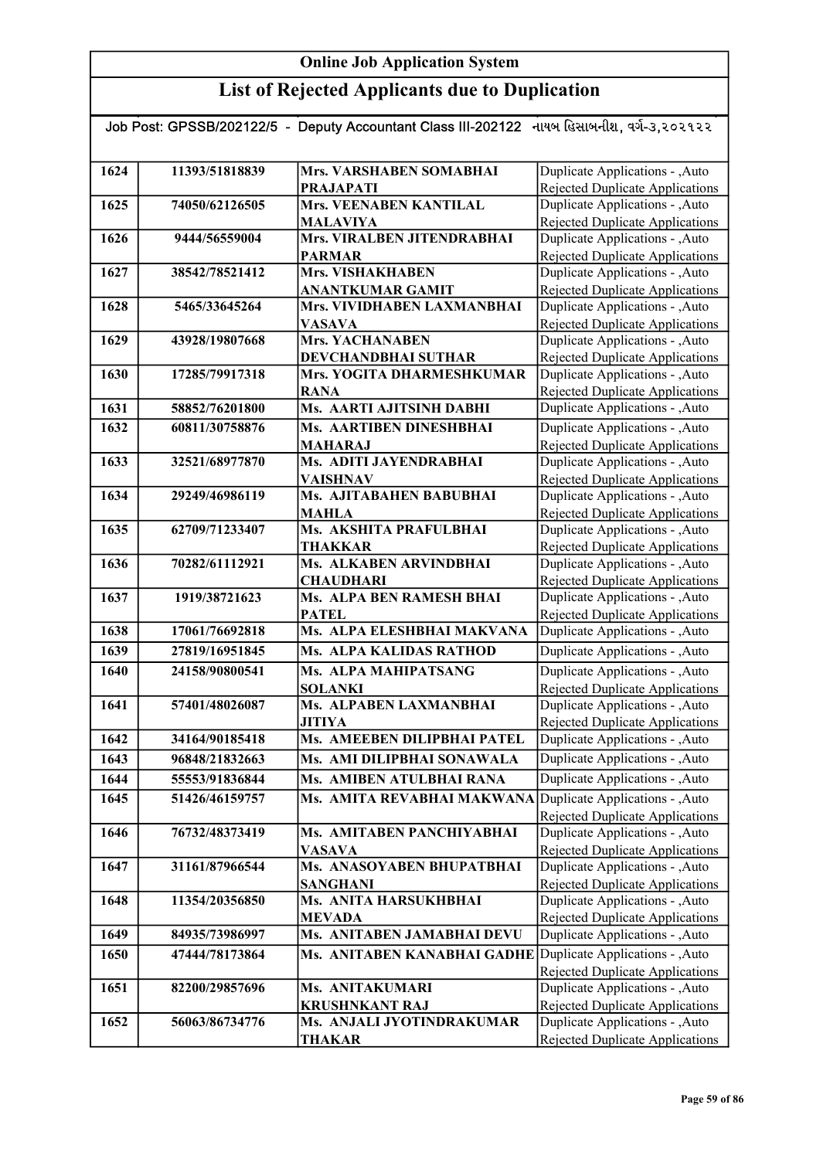|      |                | Job Post: GPSSB/202122/5 - Deputy Accountant Class III-202122 નાયબ હિસાબનીશ, વર્ગ-૩,૨૦૨૧૨૨ |                                                                    |
|------|----------------|--------------------------------------------------------------------------------------------|--------------------------------------------------------------------|
|      |                |                                                                                            |                                                                    |
| 1624 | 11393/51818839 | Mrs. VARSHABEN SOMABHAI                                                                    | Duplicate Applications - , Auto                                    |
|      |                | <b>PRAJAPATI</b>                                                                           | Rejected Duplicate Applications                                    |
| 1625 | 74050/62126505 | <b>Mrs. VEENABEN KANTILAL</b>                                                              | Duplicate Applications - , Auto                                    |
|      |                | <b>MALAVIYA</b>                                                                            | <b>Rejected Duplicate Applications</b>                             |
| 1626 | 9444/56559004  | Mrs. VIRALBEN JITENDRABHAI                                                                 | Duplicate Applications - , Auto                                    |
|      |                | <b>PARMAR</b>                                                                              | Rejected Duplicate Applications                                    |
| 1627 | 38542/78521412 | <b>Mrs. VISHAKHABEN</b>                                                                    | Duplicate Applications - , Auto                                    |
|      |                | <b>ANANTKUMAR GAMIT</b>                                                                    | Rejected Duplicate Applications                                    |
| 1628 | 5465/33645264  | Mrs. VIVIDHABEN LAXMANBHAI                                                                 | Duplicate Applications - , Auto                                    |
| 1629 | 43928/19807668 | <b>VASAVA</b><br>Mrs. YACHANABEN                                                           | <b>Rejected Duplicate Applications</b>                             |
|      |                |                                                                                            | Duplicate Applications - , Auto<br>Rejected Duplicate Applications |
| 1630 | 17285/79917318 | DEVCHANDBHAI SUTHAR<br>Mrs. YOGITA DHARMESHKUMAR                                           | Duplicate Applications - ,Auto                                     |
|      |                | <b>RANA</b>                                                                                | Rejected Duplicate Applications                                    |
| 1631 | 58852/76201800 | Ms. AARTI AJITSINH DABHI                                                                   | Duplicate Applications - , Auto                                    |
| 1632 | 60811/30758876 | Ms. AARTIBEN DINESHBHAI                                                                    | Duplicate Applications - , Auto                                    |
|      |                | <b>MAHARAJ</b>                                                                             | Rejected Duplicate Applications                                    |
| 1633 | 32521/68977870 | Ms. ADITI JAYENDRABHAI                                                                     | Duplicate Applications - , Auto                                    |
|      |                | <b>VAISHNAV</b>                                                                            | <b>Rejected Duplicate Applications</b>                             |
| 1634 | 29249/46986119 | Ms. AJITABAHEN BABUBHAI                                                                    | Duplicate Applications - , Auto                                    |
|      |                | <b>MAHLA</b>                                                                               | Rejected Duplicate Applications                                    |
| 1635 | 62709/71233407 | Ms. AKSHITA PRAFULBHAI                                                                     | Duplicate Applications - , Auto                                    |
|      |                | <b>THAKKAR</b>                                                                             | <b>Rejected Duplicate Applications</b>                             |
| 1636 | 70282/61112921 | Ms. ALKABEN ARVINDBHAI                                                                     | Duplicate Applications - , Auto                                    |
|      |                | <b>CHAUDHARI</b>                                                                           | <b>Rejected Duplicate Applications</b>                             |
| 1637 | 1919/38721623  | Ms. ALPA BEN RAMESH BHAI                                                                   | Duplicate Applications - , Auto                                    |
|      |                | <b>PATEL</b>                                                                               | Rejected Duplicate Applications                                    |
| 1638 | 17061/76692818 | Ms. ALPA ELESHBHAI MAKVANA                                                                 | Duplicate Applications - , Auto                                    |
| 1639 | 27819/16951845 | <b>Ms. ALPA KALIDAS RATHOD</b>                                                             | Duplicate Applications - , Auto                                    |
| 1640 | 24158/90800541 | <b>Ms. ALPA MAHIPATSANG</b>                                                                | Duplicate Applications - , Auto                                    |
|      |                | <b>SOLANKI</b>                                                                             | Rejected Duplicate Applications                                    |
| 1641 | 57401/48026087 | Ms. ALPABEN LAXMANBHAI                                                                     | Duplicate Applications - , Auto                                    |
|      |                | <b>JITIYA</b>                                                                              | Rejected Duplicate Applications                                    |
| 1642 | 34164/90185418 | Ms. AMEEBEN DILIPBHAI PATEL                                                                | Auplicate Applications - , Auto                                    |
| 1643 | 96848/21832663 | Ms. AMI DILIPBHAI SONAWALA                                                                 | Duplicate Applications - , Auto                                    |
| 1644 | 55553/91836844 | Ms. AMIBEN ATULBHAI RANA                                                                   | Duplicate Applications - ,Auto                                     |
| 1645 | 51426/46159757 | Ms. AMITA REVABHAI MAKWANA Duplicate Applications - , Auto                                 |                                                                    |
|      |                |                                                                                            | Rejected Duplicate Applications                                    |
| 1646 | 76732/48373419 | Ms. AMITABEN PANCHIYABHAI                                                                  | Duplicate Applications - , Auto                                    |
|      |                | <b>VASAVA</b>                                                                              | <b>Rejected Duplicate Applications</b>                             |
| 1647 | 31161/87966544 | Ms. ANASOYABEN BHUPATBHAI                                                                  | Duplicate Applications - , Auto                                    |
|      |                | <b>SANGHANI</b>                                                                            | Rejected Duplicate Applications                                    |
| 1648 | 11354/20356850 | Ms. ANITA HARSUKHBHAI                                                                      | Duplicate Applications - , Auto                                    |
| 1649 | 84935/73986997 | <b>MEVADA</b><br>Ms. ANITABEN JAMABHAI DEVU                                                | Rejected Duplicate Applications<br>Duplicate Applications - , Auto |
|      |                |                                                                                            |                                                                    |
| 1650 | 47444/78173864 | Ms. ANITABEN KANABHAI GADHE                                                                | Duplicate Applications - , Auto                                    |
| 1651 | 82200/29857696 | Ms. ANITAKUMARI                                                                            | Rejected Duplicate Applications<br>Duplicate Applications - , Auto |
|      |                | <b>KRUSHNKANT RAJ</b>                                                                      | Rejected Duplicate Applications                                    |
| 1652 | 56063/86734776 | Ms. ANJALI JYOTINDRAKUMAR                                                                  | Duplicate Applications - , Auto                                    |
|      |                | <b>THAKAR</b>                                                                              | Rejected Duplicate Applications                                    |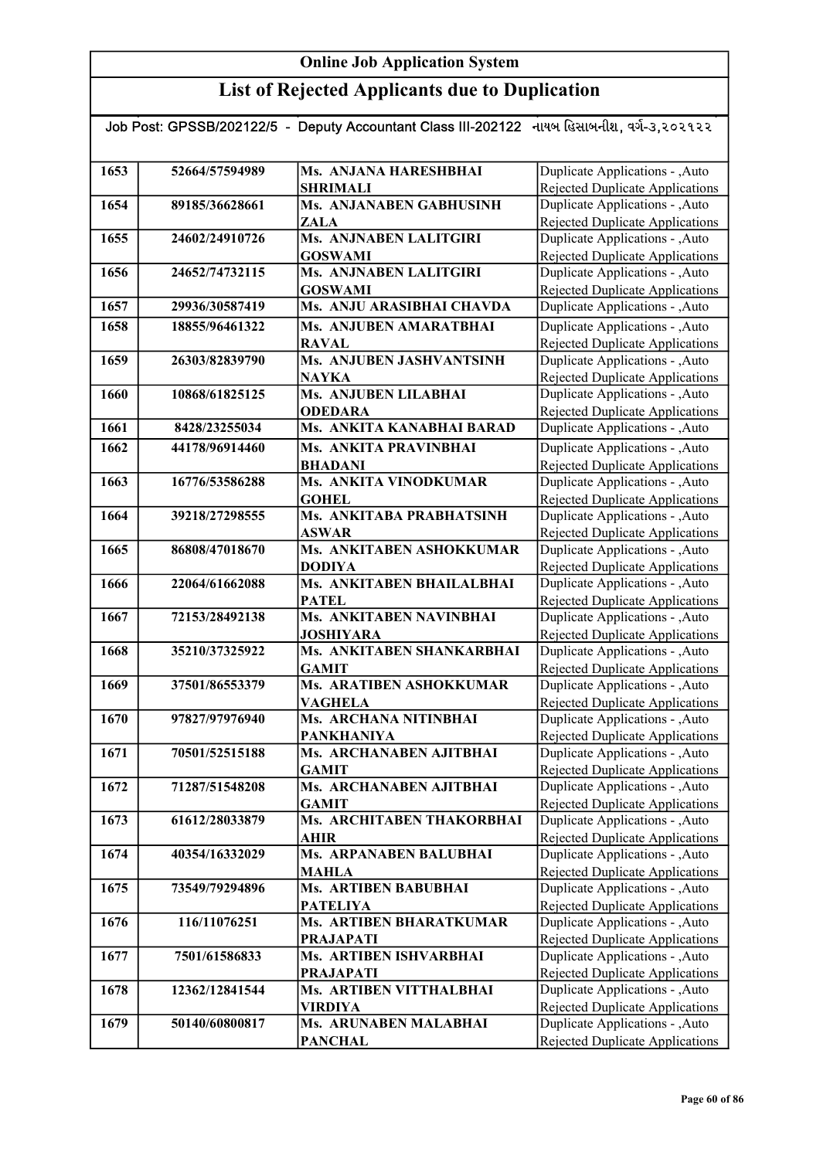| Job Post: GPSSB/202122/5 - Deputy Accountant Class III-202122 નાયબ હિસાબનીશ, વર્ગ-૩,૨૦૨૧૨૨ |                |                                               |                                                                           |  |
|--------------------------------------------------------------------------------------------|----------------|-----------------------------------------------|---------------------------------------------------------------------------|--|
|                                                                                            |                |                                               |                                                                           |  |
| 1653                                                                                       | 52664/57594989 | Ms. ANJANA HARESHBHAI                         | Duplicate Applications - , Auto                                           |  |
|                                                                                            |                | <b>SHRIMALI</b>                               | Rejected Duplicate Applications                                           |  |
| 1654                                                                                       | 89185/36628661 | Ms. ANJANABEN GABHUSINH                       | Duplicate Applications - , Auto                                           |  |
|                                                                                            |                | ZALA                                          | Rejected Duplicate Applications                                           |  |
| 1655                                                                                       | 24602/24910726 | Ms. ANJNABEN LALITGIRI                        | Duplicate Applications - , Auto                                           |  |
|                                                                                            |                | <b>GOSWAMI</b>                                | Rejected Duplicate Applications                                           |  |
| 1656                                                                                       | 24652/74732115 | Ms. ANJNABEN LALITGIRI                        | Duplicate Applications - , Auto                                           |  |
|                                                                                            |                | <b>GOSWAMI</b>                                | <b>Rejected Duplicate Applications</b>                                    |  |
| 1657                                                                                       | 29936/30587419 | Ms. ANJU ARASIBHAI CHAVDA                     | Duplicate Applications - , Auto                                           |  |
| 1658                                                                                       | 18855/96461322 | Ms. ANJUBEN AMARATBHAI                        | Duplicate Applications - , Auto                                           |  |
|                                                                                            |                | <b>RAVAL</b>                                  | <b>Rejected Duplicate Applications</b>                                    |  |
| 1659                                                                                       | 26303/82839790 | Ms. ANJUBEN JASHVANTSINH                      | Duplicate Applications - , Auto                                           |  |
|                                                                                            |                | <b>NAYKA</b>                                  | <b>Rejected Duplicate Applications</b>                                    |  |
| 1660                                                                                       | 10868/61825125 | Ms. ANJUBEN LILABHAI                          | Duplicate Applications - , Auto                                           |  |
|                                                                                            |                | <b>ODEDARA</b>                                | Rejected Duplicate Applications                                           |  |
| 1661                                                                                       | 8428/23255034  | Ms. ANKITA KANABHAI BARAD                     | Duplicate Applications - , Auto                                           |  |
| 1662                                                                                       | 44178/96914460 | Ms. ANKITA PRAVINBHAI                         | Duplicate Applications - , Auto                                           |  |
|                                                                                            |                | <b>BHADANI</b>                                | <b>Rejected Duplicate Applications</b>                                    |  |
| 1663                                                                                       | 16776/53586288 | Ms. ANKITA VINODKUMAR                         | Duplicate Applications - , Auto                                           |  |
|                                                                                            |                | <b>GOHEL</b>                                  | <b>Rejected Duplicate Applications</b>                                    |  |
| 1664                                                                                       | 39218/27298555 | Ms. ANKITABA PRABHATSINH                      | Duplicate Applications - , Auto                                           |  |
|                                                                                            |                | <b>ASWAR</b>                                  | Rejected Duplicate Applications                                           |  |
| 1665                                                                                       | 86808/47018670 | Ms. ANKITABEN ASHOKKUMAR                      | Duplicate Applications - , Auto                                           |  |
|                                                                                            |                | <b>DODIYA</b>                                 | Rejected Duplicate Applications                                           |  |
| 1666                                                                                       | 22064/61662088 | Ms. ANKITABEN BHAILALBHAI                     | Duplicate Applications - , Auto                                           |  |
|                                                                                            |                | <b>PATEL</b>                                  | Rejected Duplicate Applications                                           |  |
| 1667                                                                                       | 72153/28492138 | Ms. ANKITABEN NAVINBHAI                       | Duplicate Applications - , Auto                                           |  |
| 1668                                                                                       | 35210/37325922 | <b>JOSHIYARA</b><br>Ms. ANKITABEN SHANKARBHAI | <b>Rejected Duplicate Applications</b><br>Duplicate Applications - , Auto |  |
|                                                                                            |                | <b>GAMIT</b>                                  | Rejected Duplicate Applications                                           |  |
| 1669                                                                                       | 37501/86553379 | Ms. ARATIBEN ASHOKKUMAR                       | Duplicate Applications - , Auto                                           |  |
|                                                                                            |                | <b>VAGHELA</b>                                | <b>Rejected Duplicate Applications</b>                                    |  |
| 1670                                                                                       | 97827/97976940 | Ms. ARCHANA NITINBHAI                         | Duplicate Applications - , Auto                                           |  |
|                                                                                            |                | <b>PANKHANIYA</b>                             | <b>Rejected Duplicate Applications</b>                                    |  |
| 1671                                                                                       | 70501/52515188 | Ms. ARCHANABEN AJITBHAI                       | Duplicate Applications - , Auto                                           |  |
|                                                                                            |                | <b>GAMIT</b>                                  | Rejected Duplicate Applications                                           |  |
| 1672                                                                                       | 71287/51548208 | Ms. ARCHANABEN AJITBHAI                       | Duplicate Applications - , Auto                                           |  |
|                                                                                            |                | <b>GAMIT</b>                                  | Rejected Duplicate Applications                                           |  |
| 1673                                                                                       | 61612/28033879 | Ms. ARCHITABEN THAKORBHAI                     | Duplicate Applications - , Auto                                           |  |
|                                                                                            |                | AHIR                                          | Rejected Duplicate Applications                                           |  |
| 1674                                                                                       | 40354/16332029 | Ms. ARPANABEN BALUBHAI                        | Duplicate Applications - , Auto                                           |  |
|                                                                                            |                | <b>MAHLA</b>                                  | Rejected Duplicate Applications                                           |  |
| 1675                                                                                       | 73549/79294896 | <b>Ms. ARTIBEN BABUBHAI</b>                   | Duplicate Applications - , Auto                                           |  |
|                                                                                            |                | <b>PATELIYA</b>                               | Rejected Duplicate Applications                                           |  |
| 1676                                                                                       | 116/11076251   | <b>Ms. ARTIBEN BHARATKUMAR</b>                | Duplicate Applications - , Auto                                           |  |
|                                                                                            |                | <b>PRAJAPATI</b>                              | Rejected Duplicate Applications                                           |  |
| 1677                                                                                       | 7501/61586833  | <b>Ms. ARTIBEN ISHVARBHAI</b>                 | Duplicate Applications - , Auto                                           |  |
|                                                                                            |                | <b>PRAJAPATI</b>                              | <b>Rejected Duplicate Applications</b>                                    |  |
| 1678                                                                                       | 12362/12841544 | Ms. ARTIBEN VITTHALBHAI                       | Duplicate Applications - , Auto                                           |  |
|                                                                                            |                | <b>VIRDIYA</b>                                | <b>Rejected Duplicate Applications</b>                                    |  |
| 1679                                                                                       | 50140/60800817 | <b>Ms. ARUNABEN MALABHAI</b>                  | Duplicate Applications - , Auto                                           |  |
|                                                                                            |                | <b>PANCHAL</b>                                | <b>Rejected Duplicate Applications</b>                                    |  |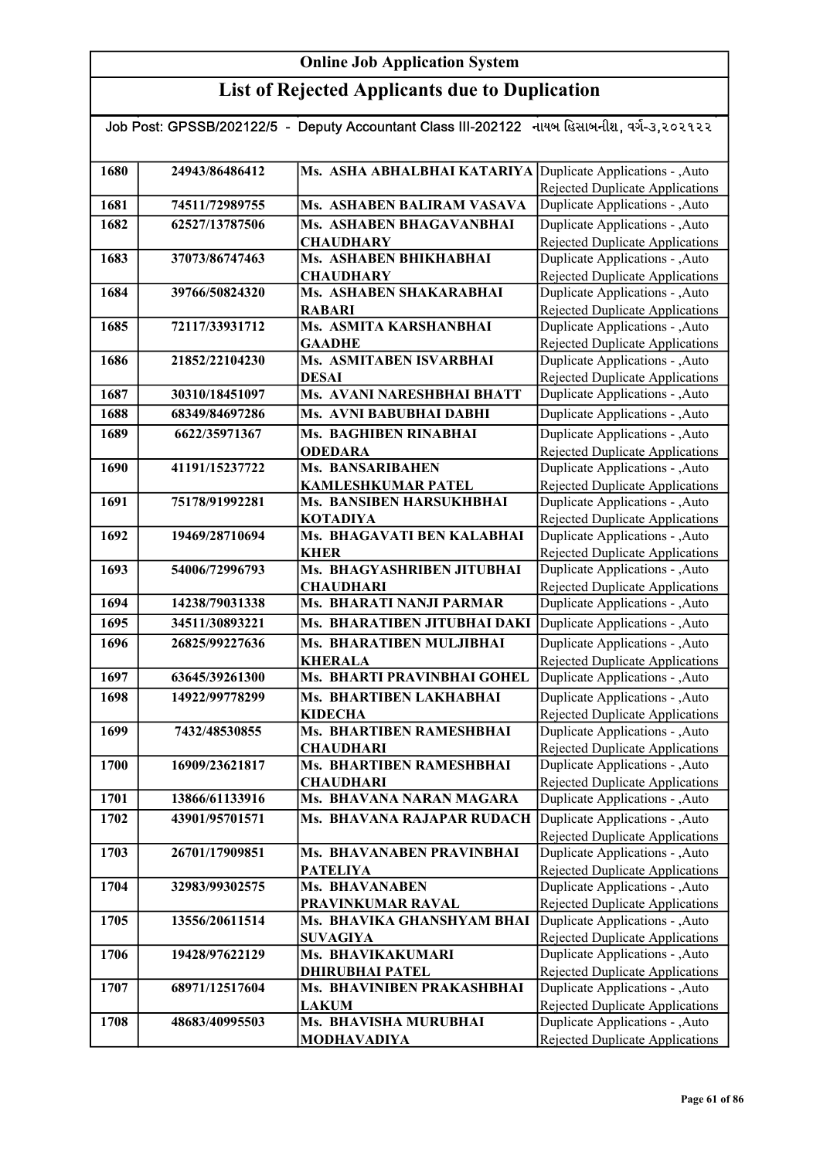| Job Post: GPSSB/202122/5 - Deputy Accountant Class III-202122 નાયબ હિસાબનીશ, વર્ગ-૩,૨૦૨૧૨૨ |                |                                                             |                                                                           |  |
|--------------------------------------------------------------------------------------------|----------------|-------------------------------------------------------------|---------------------------------------------------------------------------|--|
|                                                                                            |                |                                                             |                                                                           |  |
| 1680                                                                                       | 24943/86486412 | Ms. ASHA ABHALBHAI KATARIYA Duplicate Applications - , Auto |                                                                           |  |
|                                                                                            |                |                                                             | <b>Rejected Duplicate Applications</b>                                    |  |
| 1681                                                                                       | 74511/72989755 | Ms. ASHABEN BALIRAM VASAVA                                  | Duplicate Applications - , Auto                                           |  |
| 1682                                                                                       | 62527/13787506 | Ms. ASHABEN BHAGAVANBHAI                                    | Duplicate Applications - , Auto                                           |  |
|                                                                                            |                | <b>CHAUDHARY</b>                                            | Rejected Duplicate Applications                                           |  |
| 1683                                                                                       | 37073/86747463 | Ms. ASHABEN BHIKHABHAI                                      | Duplicate Applications - , Auto                                           |  |
|                                                                                            |                | <b>CHAUDHARY</b>                                            | Rejected Duplicate Applications                                           |  |
| 1684                                                                                       | 39766/50824320 | Ms. ASHABEN SHAKARABHAI<br><b>RABARI</b>                    | Duplicate Applications - , Auto<br><b>Rejected Duplicate Applications</b> |  |
| 1685                                                                                       | 72117/33931712 | Ms. ASMITA KARSHANBHAI                                      | Duplicate Applications - , Auto                                           |  |
|                                                                                            |                | <b>GAADHE</b>                                               | Rejected Duplicate Applications                                           |  |
| 1686                                                                                       | 21852/22104230 | Ms. ASMITABEN ISVARBHAI                                     | Duplicate Applications - , Auto                                           |  |
|                                                                                            |                | <b>DESAI</b>                                                | Rejected Duplicate Applications                                           |  |
| 1687                                                                                       | 30310/18451097 | Ms. AVANI NARESHBHAI BHATT                                  | Duplicate Applications - , Auto                                           |  |
| 1688                                                                                       | 68349/84697286 | Ms. AVNI BABUBHAI DABHI                                     | Duplicate Applications - , Auto                                           |  |
| 1689                                                                                       | 6622/35971367  | Ms. BAGHIBEN RINABHAI                                       | Duplicate Applications - , Auto                                           |  |
|                                                                                            |                | <b>ODEDARA</b>                                              | <b>Rejected Duplicate Applications</b>                                    |  |
| 1690                                                                                       | 41191/15237722 | Ms. BANSARIBAHEN                                            | Duplicate Applications - , Auto                                           |  |
|                                                                                            |                | <b>KAMLESHKUMAR PATEL</b>                                   | Rejected Duplicate Applications                                           |  |
| 1691                                                                                       | 75178/91992281 | Ms. BANSIBEN HARSUKHBHAI<br><b>KOTADIYA</b>                 | Duplicate Applications - , Auto                                           |  |
| 1692                                                                                       | 19469/28710694 | Ms. BHAGAVATI BEN KALABHAI                                  | Rejected Duplicate Applications<br>Duplicate Applications - , Auto        |  |
|                                                                                            |                | <b>KHER</b>                                                 | Rejected Duplicate Applications                                           |  |
| 1693                                                                                       | 54006/72996793 | Ms. BHAGYASHRIBEN JITUBHAI                                  | Duplicate Applications - , Auto                                           |  |
|                                                                                            |                | <b>CHAUDHARI</b>                                            | Rejected Duplicate Applications                                           |  |
| 1694                                                                                       | 14238/79031338 | Ms. BHARATI NANJI PARMAR                                    | Duplicate Applications - , Auto                                           |  |
| 1695                                                                                       | 34511/30893221 | Ms. BHARATIBEN JITUBHAI DAKI                                | Duplicate Applications - , Auto                                           |  |
| 1696                                                                                       | 26825/99227636 | Ms. BHARATIBEN MULJIBHAI                                    | Duplicate Applications - , Auto                                           |  |
|                                                                                            |                | <b>KHERALA</b>                                              | <b>Rejected Duplicate Applications</b>                                    |  |
| 1697                                                                                       | 63645/39261300 | Ms. BHARTI PRAVINBHAI GOHEL                                 | Duplicate Applications - ,Auto                                            |  |
| 1698                                                                                       | 14922/99778299 | Ms. BHARTIBEN LAKHABHAI                                     | Duplicate Applications - , Auto                                           |  |
|                                                                                            |                | <b>KIDECHA</b>                                              | <b>Rejected Duplicate Applications</b>                                    |  |
| 1699                                                                                       | 7432/48530855  | Ms. BHARTIBEN RAMESHBHAI<br><b>CHAUDHARI</b>                | Duplicate Applications - , Auto<br>Rejected Duplicate Applications        |  |
| 1700                                                                                       | 16909/23621817 | Ms. BHARTIBEN RAMESHBHAI                                    | Duplicate Applications - , Auto                                           |  |
|                                                                                            |                | <b>CHAUDHARI</b>                                            | Rejected Duplicate Applications                                           |  |
| 1701                                                                                       | 13866/61133916 | Ms. BHAVANA NARAN MAGARA                                    | Duplicate Applications - , Auto                                           |  |
| 1702                                                                                       | 43901/95701571 | Ms. BHAVANA RAJAPAR RUDACH                                  | Duplicate Applications - , Auto                                           |  |
|                                                                                            |                |                                                             | <b>Rejected Duplicate Applications</b>                                    |  |
| 1703                                                                                       | 26701/17909851 | Ms. BHAVANABEN PRAVINBHAI                                   | Duplicate Applications - , Auto                                           |  |
|                                                                                            |                | <b>PATELIYA</b>                                             | Rejected Duplicate Applications                                           |  |
| 1704                                                                                       | 32983/99302575 | <b>Ms. BHAVANABEN</b>                                       | Duplicate Applications - , Auto                                           |  |
| 1705                                                                                       | 13556/20611514 | PRAVINKUMAR RAVAL<br>Ms. BHAVIKA GHANSHYAM BHAI             | <b>Rejected Duplicate Applications</b><br>Duplicate Applications - , Auto |  |
|                                                                                            |                | <b>SUVAGIYA</b>                                             | <b>Rejected Duplicate Applications</b>                                    |  |
| 1706                                                                                       | 19428/97622129 | Ms. BHAVIKAKUMARI                                           | Duplicate Applications - , Auto                                           |  |
|                                                                                            |                | <b>DHIRUBHAI PATEL</b>                                      | Rejected Duplicate Applications                                           |  |
| 1707                                                                                       | 68971/12517604 | Ms. BHAVINIBEN PRAKASHBHAI                                  | Duplicate Applications - , Auto                                           |  |
|                                                                                            |                | <b>LAKUM</b>                                                | <b>Rejected Duplicate Applications</b>                                    |  |
| 1708                                                                                       | 48683/40995503 | Ms. BHAVISHA MURUBHAI                                       | Duplicate Applications - , Auto                                           |  |
|                                                                                            |                | <b>MODHAVADIYA</b>                                          | Rejected Duplicate Applications                                           |  |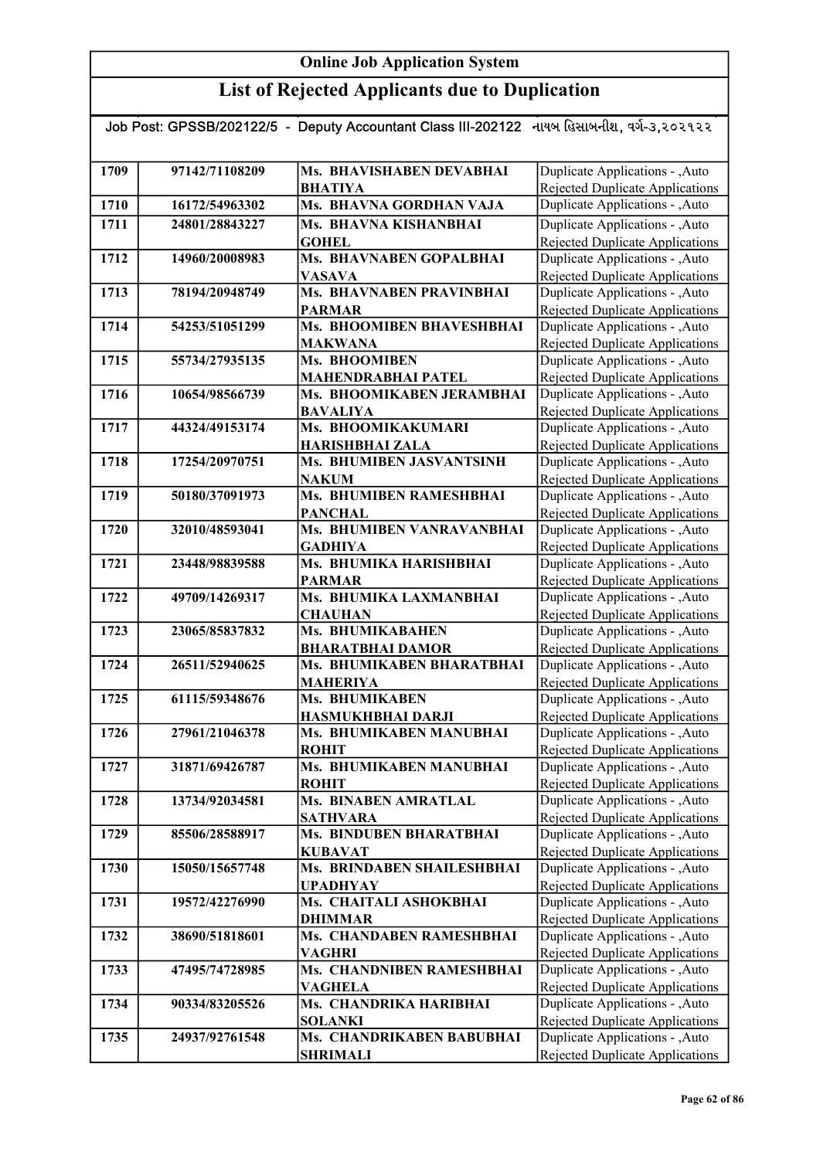| Job Post: GPSSB/202122/5 - Deputy Accountant Class III-202122 નાયબ હિસાબનીશ, વર્ગ-૩,૨૦૨૧૨૨ |                |                                                     |                                                                           |  |
|--------------------------------------------------------------------------------------------|----------------|-----------------------------------------------------|---------------------------------------------------------------------------|--|
|                                                                                            |                |                                                     |                                                                           |  |
| 1709                                                                                       | 97142/71108209 | Ms. BHAVISHABEN DEVABHAI                            | Duplicate Applications - , Auto                                           |  |
|                                                                                            |                | <b>BHATIYA</b>                                      | Rejected Duplicate Applications                                           |  |
| 1710                                                                                       | 16172/54963302 | Ms. BHAVNA GORDHAN VAJA                             | Duplicate Applications - , Auto                                           |  |
| 1711                                                                                       | 24801/28843227 | Ms. BHAVNA KISHANBHAI                               | Duplicate Applications - , Auto                                           |  |
|                                                                                            |                | <b>GOHEL</b>                                        | Rejected Duplicate Applications                                           |  |
| 1712                                                                                       | 14960/20008983 | Ms. BHAVNABEN GOPALBHAI                             | Duplicate Applications - , Auto                                           |  |
|                                                                                            |                | <b>VASAVA</b>                                       | Rejected Duplicate Applications                                           |  |
| 1713                                                                                       | 78194/20948749 | Ms. BHAVNABEN PRAVINBHAI                            | Duplicate Applications - , Auto                                           |  |
|                                                                                            |                | <b>PARMAR</b>                                       | <b>Rejected Duplicate Applications</b>                                    |  |
| 1714                                                                                       | 54253/51051299 | Ms. BHOOMIBEN BHAVESHBHAI                           | Duplicate Applications - , Auto                                           |  |
|                                                                                            |                | <b>MAKWANA</b>                                      | Rejected Duplicate Applications                                           |  |
| 1715                                                                                       | 55734/27935135 | Ms. BHOOMIBEN                                       | Duplicate Applications - , Auto                                           |  |
|                                                                                            |                | <b>MAHENDRABHAI PATEL</b>                           | <b>Rejected Duplicate Applications</b>                                    |  |
| 1716                                                                                       | 10654/98566739 | Ms. BHOOMIKABEN JERAMBHAI                           | Duplicate Applications - , Auto                                           |  |
|                                                                                            |                | <b>BAVALIYA</b>                                     | Rejected Duplicate Applications                                           |  |
| 1717                                                                                       | 44324/49153174 | Ms. BHOOMIKAKUMARI                                  | Duplicate Applications - , Auto                                           |  |
|                                                                                            |                | <b>HARISHBHAI ZALA</b>                              | Rejected Duplicate Applications                                           |  |
| 1718                                                                                       | 17254/20970751 | Ms. BHUMIBEN JASVANTSINH                            | Duplicate Applications - , Auto                                           |  |
|                                                                                            |                | <b>NAKUM</b><br><b>Ms. BHUMIBEN RAMESHBHAI</b>      | Rejected Duplicate Applications                                           |  |
| 1719                                                                                       | 50180/37091973 |                                                     | Duplicate Applications - , Auto                                           |  |
| 1720                                                                                       | 32010/48593041 | <b>PANCHAL</b><br>Ms. BHUMIBEN VANRAVANBHAI         | Rejected Duplicate Applications<br>Duplicate Applications - , Auto        |  |
|                                                                                            |                | <b>GADHIYA</b>                                      | <b>Rejected Duplicate Applications</b>                                    |  |
| 1721                                                                                       | 23448/98839588 | Ms. BHUMIKA HARISHBHAI                              | Duplicate Applications - , Auto                                           |  |
|                                                                                            |                | <b>PARMAR</b>                                       | Rejected Duplicate Applications                                           |  |
| 1722                                                                                       | 49709/14269317 | Ms. BHUMIKA LAXMANBHAI                              | Duplicate Applications - , Auto                                           |  |
|                                                                                            |                | <b>CHAUHAN</b>                                      | Rejected Duplicate Applications                                           |  |
| 1723                                                                                       | 23065/85837832 | Ms. BHUMIKABAHEN                                    | Duplicate Applications - , Auto                                           |  |
|                                                                                            |                | <b>BHARATBHAI DAMOR</b>                             | <b>Rejected Duplicate Applications</b>                                    |  |
| 1724                                                                                       | 26511/52940625 | Ms. BHUMIKABEN BHARATBHAI                           | Duplicate Applications - , Auto                                           |  |
|                                                                                            |                | <b>MAHERIYA</b>                                     | <b>Rejected Duplicate Applications</b>                                    |  |
| 1725                                                                                       | 61115/59348676 | Ms. BHUMIKABEN                                      | Duplicate Applications - , Auto                                           |  |
|                                                                                            |                | HASMUKHBHAI DARJI                                   | <b>Rejected Duplicate Applications</b>                                    |  |
| 1726                                                                                       | 27961/21046378 | Ms. BHUMIKABEN MANUBHAI                             | Duplicate Applications - , Auto                                           |  |
|                                                                                            |                | <b>ROHIT</b>                                        | Rejected Duplicate Applications                                           |  |
| 1727                                                                                       | 31871/69426787 | Ms. BHUMIKABEN MANUBHAI                             | Duplicate Applications - , Auto                                           |  |
|                                                                                            |                | <b>ROHIT</b>                                        | Rejected Duplicate Applications                                           |  |
| 1728                                                                                       | 13734/92034581 | Ms. BINABEN AMRATLAL                                | Duplicate Applications - , Auto                                           |  |
|                                                                                            |                | <b>SATHVARA</b>                                     | <b>Rejected Duplicate Applications</b>                                    |  |
| 1729                                                                                       | 85506/28588917 | Ms. BINDUBEN BHARATBHAI                             | Duplicate Applications - , Auto                                           |  |
|                                                                                            | 15050/15657748 | <b>KUBAVAT</b><br><b>Ms. BRINDABEN SHAILESHBHAI</b> | <b>Rejected Duplicate Applications</b><br>Duplicate Applications - , Auto |  |
| 1730                                                                                       |                |                                                     |                                                                           |  |
| 1731                                                                                       |                | <b>UPADHYAY</b><br>Ms. CHAITALI ASHOKBHAI           | Rejected Duplicate Applications<br>Duplicate Applications - , Auto        |  |
|                                                                                            | 19572/42276990 | <b>DHIMMAR</b>                                      | Rejected Duplicate Applications                                           |  |
| 1732                                                                                       | 38690/51818601 | Ms. CHANDABEN RAMESHBHAI                            | Duplicate Applications - , Auto                                           |  |
|                                                                                            |                | <b>VAGHRI</b>                                       | Rejected Duplicate Applications                                           |  |
| 1733                                                                                       | 47495/74728985 | Ms. CHANDNIBEN RAMESHBHAI                           | Duplicate Applications - , Auto                                           |  |
|                                                                                            |                | <b>VAGHELA</b>                                      | Rejected Duplicate Applications                                           |  |
| 1734                                                                                       | 90334/83205526 | Ms. CHANDRIKA HARIBHAI                              | Duplicate Applications - , Auto                                           |  |
|                                                                                            |                | <b>SOLANKI</b>                                      | Rejected Duplicate Applications                                           |  |
| 1735                                                                                       | 24937/92761548 | Ms. CHANDRIKABEN BABUBHAI                           | Duplicate Applications - , Auto                                           |  |
|                                                                                            |                | <b>SHRIMALI</b>                                     | Rejected Duplicate Applications                                           |  |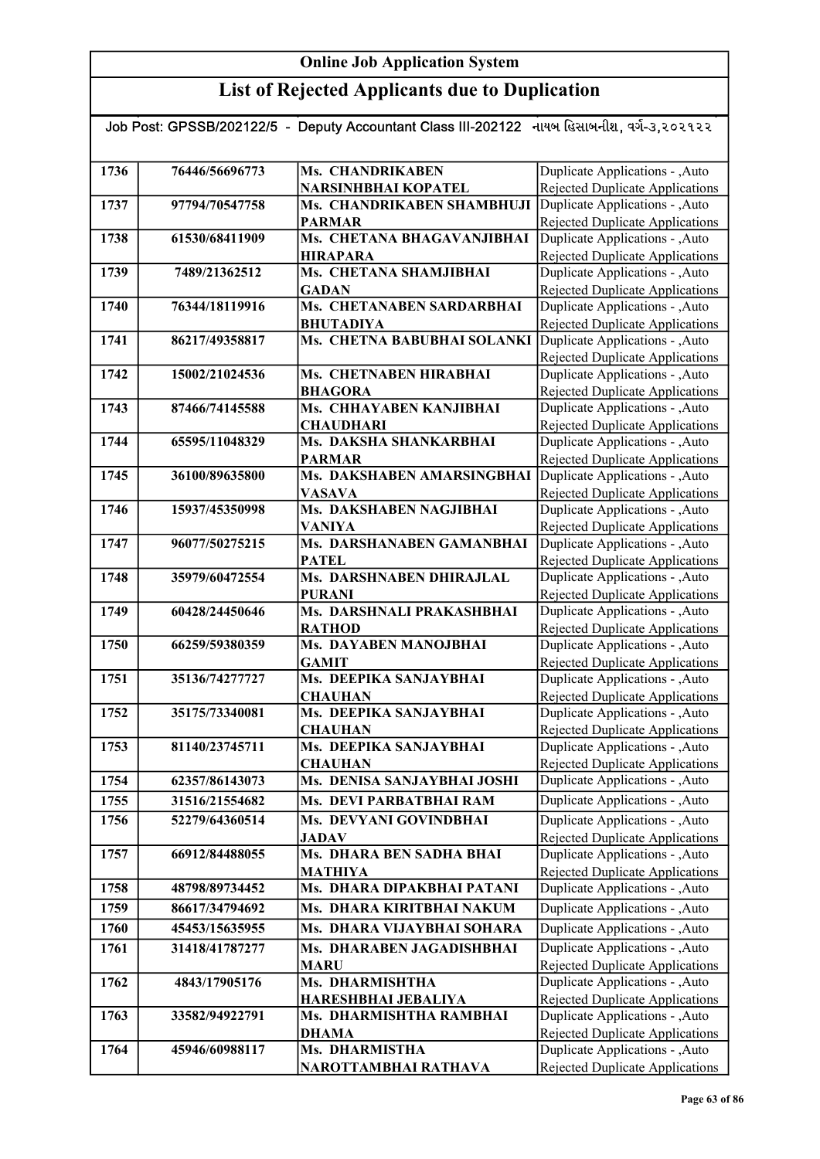#### List of Rejected Applicants due to Duplication

#### Job Post: GPSSB/202122/5 - Deputy Accountant Class III-202122 નાયબ હિસાબનીશ, વર્ગ-૩,૨૦૨૧૨૨ 1736 76446/56696773 Ms. CHANDRIKABEN NARSINHBHAI KOPATEL 1737 97794/70547758 Ms. CHANDRIKABEN SHAMBHUJI PARMAR 1738 61530/68411909 Ms. CHETANA BHAGAVANJIBHAI HIRAPARA 1739 7489/21362512 Ms. CHETANA SHAMJIBHAI **GADAN** 1740 76344/18119916 Ms. CHETANABEN SARDARBHAI BHUTADIYA 1741 86217/49358817 Ms. CHETNA BABUBHAI SOLANKI 1742 15002/21024536 Ms. CHETNABEN HIRABHAI BHAGORA 1743 87466/74145588 Ms. CHHAYABEN KANJIBHAI **CHAUDHARI** 1744 65595/11048329 Ms. DAKSHA SHANKARBHAI PARMAR 1745 36100/89635800 Ms. DAKSHABEN AMARSINGBHAI VASAVA 1746 15937/45350998 Ms. DAKSHABEN NAGJIBHAI VANIYA 1747 96077/50275215 Ms. DARSHANABEN GAMANBHAI **PATEL** 1748 35979/60472554 Ms. DARSHNABEN DHIRAJLAL PURANI 1749 60428/24450646 Ms. DARSHNALI PRAKASHBHAI RATHOD 1750 66259/59380359 Ms. DAYABEN MANOJBHAI GAMIT 1751 35136/74277727 Ms. DEEPIKA SANJAYBHAI **CHAUHAN** 1752 35175/73340081 Ms. DEEPIKA SANJAYBHAI **CHAUHAN** 1753 81140/23745711 Ms. DEEPIKA SANJAYBHAI **CHAUHAN** 1754 62357/86143073 Ms. DENISA SANJAYBHAI JOSHI 1755 31516/21554682 Ms. DEVI PARBATBHAI RAM 1756 52279/64360514 Ms. DEVYANI GOVINDBHAI JADAV 1757 66912/84488055 Ms. DHARA BEN SADHA BHAI MATHIYA 1758 48798/89734452 Ms. DHARA DIPAKBHAI PATANI 1759 86617/34794692 Ms. DHARA KIRITBHAI NAKUM 1760 45453/15635955 Ms. DHARA VIJAYBHAI SOHARA 1761 31418/41787277 Ms. DHARABEN JAGADISHBHAI MARU 1762 4843/17905176 Ms. DHARMISHTHA HARESHBHAI JEBALIYA Duplicate Applications - ,Auto Rejected Duplicate Applications Duplicate Applications - ,Auto Duplicate Applications - ,Auto **Duplicate Applications - ,Auto Duplicate Applications - ,Auto** Rejected Duplicate Applications Duplicate Applications - ,Auto Rejected Duplicate Applications Duplicate Applications - ,Auto Rejected Duplicate Applications Duplicate Applications - ,Auto Rejected Duplicate Applications Duplicate Applications - ,Auto Rejected Duplicate Applications Duplicate Applications - ,Auto **Duplicate Applications - ,Auto** Duplicate Applications - ,Auto Rejected Duplicate Applications Duplicate Applications - ,Auto Rejected Duplicate Applications Duplicate Applications - ,Auto Rejected Duplicate Applications Duplicate Applications - ,Auto Rejected Duplicate Applications Duplicate Applications - ,Auto Rejected Duplicate Applications Duplicate Applications - ,Auto Rejected Duplicate Applications Duplicate Applications - ,Auto Rejected Duplicate Applications Duplicate Applications - ,Auto Rejected Duplicate Applications Duplicate Applications - ,Auto Rejected Duplicate Applications Duplicate Applications - ,Auto Rejected Duplicate Applications Duplicate Applications - ,Auto Rejected Duplicate Applications Duplicate Applications - ,Auto Rejected Duplicate Applications Duplicate Applications - ,Auto Rejected Duplicate Applications Duplicate Applications - ,Auto Rejected Duplicate Applications Duplicate Applications - ,Auto Rejected Duplicate Applications Duplicate Applications - ,Auto Rejected Duplicate Applications

1763 | 33582/94922791 | Ms. DHARMISHTHA RAMBHAI

1764 45946/60988117 Ms. DHARMISTHA

DHAMA

NAROTTAMBHAI RATHAVA

Duplicate Applications - ,Auto Rejected Duplicate Applications Duplicate Applications - ,Auto Rejected Duplicate Applications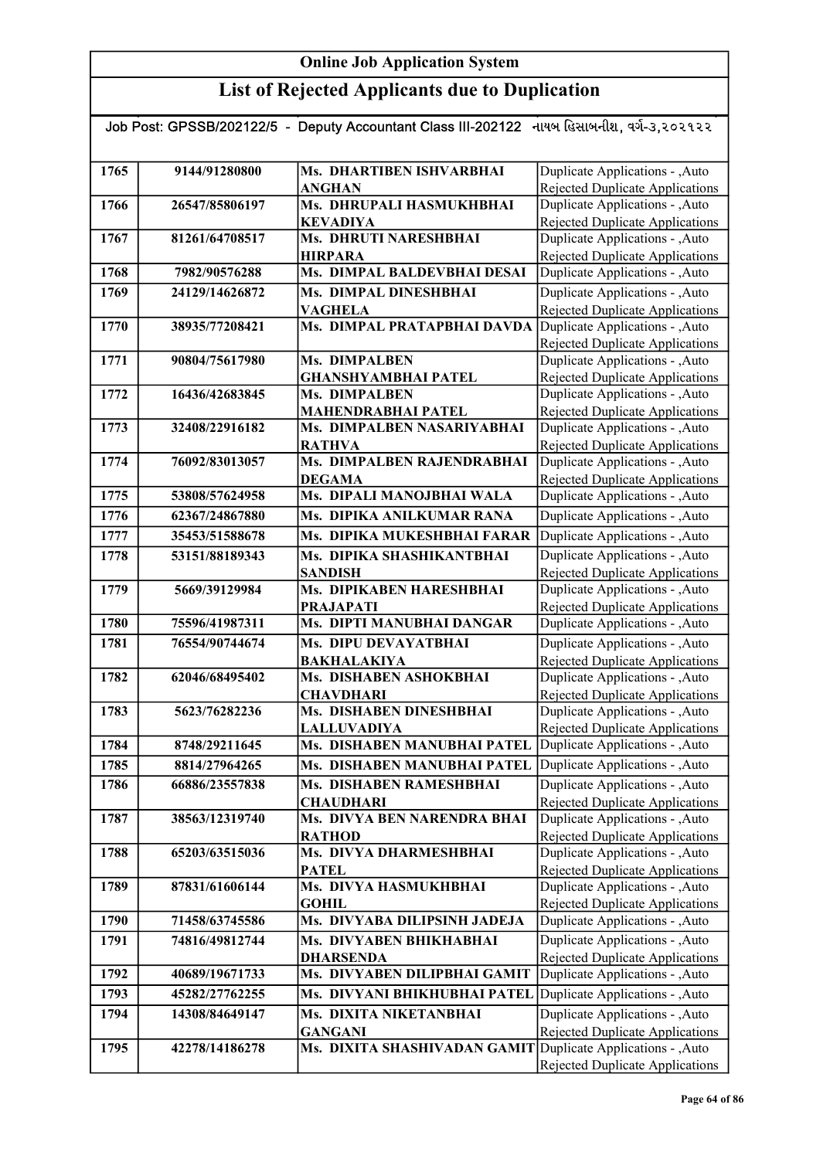| Job Post: GPSSB/202122/5 - Deputy Accountant Class III-202122 નાયબ હિસાબનીશ, વર્ગ-૩,૨૦૨૧૨૨ |                |                                                              |                                                                    |  |
|--------------------------------------------------------------------------------------------|----------------|--------------------------------------------------------------|--------------------------------------------------------------------|--|
|                                                                                            |                |                                                              |                                                                    |  |
| 1765                                                                                       | 9144/91280800  | Ms. DHARTIBEN ISHVARBHAI<br><b>ANGHAN</b>                    | Duplicate Applications - , Auto<br>Rejected Duplicate Applications |  |
| 1766                                                                                       | 26547/85806197 | Ms. DHRUPALI HASMUKHBHAI                                     | Duplicate Applications - , Auto                                    |  |
|                                                                                            |                | <b>KEVADIYA</b>                                              | <b>Rejected Duplicate Applications</b>                             |  |
| 1767                                                                                       | 81261/64708517 | <b>Ms. DHRUTI NARESHBHAI</b>                                 | Duplicate Applications - , Auto                                    |  |
|                                                                                            |                | <b>HIRPARA</b>                                               | <b>Rejected Duplicate Applications</b>                             |  |
| 1768                                                                                       | 7982/90576288  | Ms. DIMPAL BALDEVBHAI DESAI                                  | Duplicate Applications - , Auto                                    |  |
| 1769                                                                                       | 24129/14626872 | Ms. DIMPAL DINESHBHAI                                        | Duplicate Applications - , Auto                                    |  |
|                                                                                            |                | <b>VAGHELA</b>                                               | <b>Rejected Duplicate Applications</b>                             |  |
| 1770                                                                                       | 38935/77208421 | Ms. DIMPAL PRATAPBHAI DAVDA                                  | Duplicate Applications - , Auto<br>Rejected Duplicate Applications |  |
| 1771                                                                                       | 90804/75617980 | Ms. DIMPALBEN                                                | Duplicate Applications - , Auto                                    |  |
|                                                                                            |                | <b>GHANSHYAMBHAI PATEL</b>                                   | <b>Rejected Duplicate Applications</b>                             |  |
| 1772                                                                                       | 16436/42683845 | Ms. DIMPALBEN                                                | Duplicate Applications - , Auto                                    |  |
|                                                                                            |                | <b>MAHENDRABHAI PATEL</b>                                    | Rejected Duplicate Applications                                    |  |
| 1773                                                                                       | 32408/22916182 | Ms. DIMPALBEN NASARIYABHAI                                   | Duplicate Applications - , Auto                                    |  |
|                                                                                            |                | <b>RATHVA</b>                                                | Rejected Duplicate Applications                                    |  |
| 1774                                                                                       | 76092/83013057 | Ms. DIMPALBEN RAJENDRABHAI                                   | Duplicate Applications - , Auto                                    |  |
|                                                                                            |                | <b>DEGAMA</b>                                                | Rejected Duplicate Applications                                    |  |
| 1775                                                                                       | 53808/57624958 | Ms. DIPALI MANOJBHAI WALA                                    | Duplicate Applications - , Auto                                    |  |
| 1776                                                                                       | 62367/24867880 | Ms. DIPIKA ANILKUMAR RANA                                    | Duplicate Applications - , Auto                                    |  |
| 1777                                                                                       | 35453/51588678 | Ms. DIPIKA MUKESHBHAI FARAR                                  | Duplicate Applications - , Auto                                    |  |
| 1778                                                                                       | 53151/88189343 | Ms. DIPIKA SHASHIKANTBHAI                                    | Duplicate Applications - , Auto                                    |  |
|                                                                                            |                | <b>SANDISH</b>                                               | Rejected Duplicate Applications                                    |  |
| 1779                                                                                       | 5669/39129984  | Ms. DIPIKABEN HARESHBHAI                                     | Duplicate Applications - , Auto                                    |  |
|                                                                                            |                | <b>PRAJAPATI</b>                                             | <b>Rejected Duplicate Applications</b>                             |  |
| 1780                                                                                       | 75596/41987311 | Ms. DIPTI MANUBHAI DANGAR                                    | Duplicate Applications - , Auto                                    |  |
| 1781                                                                                       | 76554/90744674 | Ms. DIPU DEVAYATBHAI                                         | Duplicate Applications - , Auto                                    |  |
| 1782                                                                                       | 62046/68495402 | <b>BAKHALAKIYA</b><br>Ms. DISHABEN ASHOKBHAI                 | Rejected Duplicate Applications<br>Duplicate Applications - , Auto |  |
|                                                                                            |                | <b>CHAVDHARI</b>                                             | <b>Rejected Duplicate Applications</b>                             |  |
| 1783                                                                                       | 5623/76282236  | Ms. DISHABEN DINESHBHAI                                      | Duplicate Applications - , Auto                                    |  |
|                                                                                            |                | <b>LALLUVADIYA</b>                                           | <b>Rejected Duplicate Applications</b>                             |  |
| 1784                                                                                       | 8748/29211645  | Ms. DISHABEN MANUBHAI PATEL Duplicate Applications - , Auto  |                                                                    |  |
| 1785                                                                                       | 8814/27964265  | Ms. DISHABEN MANUBHAI PATEL                                  | Duplicate Applications - , Auto                                    |  |
| 1786                                                                                       | 66886/23557838 | Ms. DISHABEN RAMESHBHAI                                      | Duplicate Applications - , Auto                                    |  |
|                                                                                            |                | <b>CHAUDHARI</b>                                             | <b>Rejected Duplicate Applications</b>                             |  |
| 1787                                                                                       | 38563/12319740 | Ms. DIVYA BEN NARENDRA BHAI                                  | Duplicate Applications - , Auto                                    |  |
|                                                                                            |                | <b>RATHOD</b>                                                | <b>Rejected Duplicate Applications</b>                             |  |
| 1788                                                                                       | 65203/63515036 | Ms. DIVYA DHARMESHBHAI                                       | Duplicate Applications - , Auto                                    |  |
|                                                                                            |                | <b>PATEL</b>                                                 | Rejected Duplicate Applications                                    |  |
| 1789                                                                                       | 87831/61606144 | Ms. DIVYA HASMUKHBHAI                                        | Duplicate Applications - ,Auto                                     |  |
| 1790                                                                                       | 71458/63745586 | <b>GOHIL</b><br>Ms. DIVYABA DILIPSINH JADEJA                 | Rejected Duplicate Applications                                    |  |
|                                                                                            |                |                                                              | Duplicate Applications - , Auto                                    |  |
| 1791                                                                                       | 74816/49812744 | Ms. DIVYABEN BHIKHABHAI<br><b>DHARSENDA</b>                  | Duplicate Applications - , Auto<br>Rejected Duplicate Applications |  |
| 1792                                                                                       | 40689/19671733 | Ms. DIVYABEN DILIPBHAI GAMIT                                 | Duplicate Applications - , Auto                                    |  |
| 1793                                                                                       | 45282/27762255 | Ms. DIVYANI BHIKHUBHAI PATEL                                 | Duplicate Applications - , Auto                                    |  |
|                                                                                            |                |                                                              | Duplicate Applications - , Auto                                    |  |
| 1794                                                                                       | 14308/84649147 | Ms. DIXITA NIKETANBHAI<br><b>GANGANI</b>                     | Rejected Duplicate Applications                                    |  |
| 1795                                                                                       | 42278/14186278 | Ms. DIXITA SHASHIVADAN GAMIT Duplicate Applications - , Auto |                                                                    |  |
|                                                                                            |                |                                                              | <b>Rejected Duplicate Applications</b>                             |  |
|                                                                                            |                |                                                              |                                                                    |  |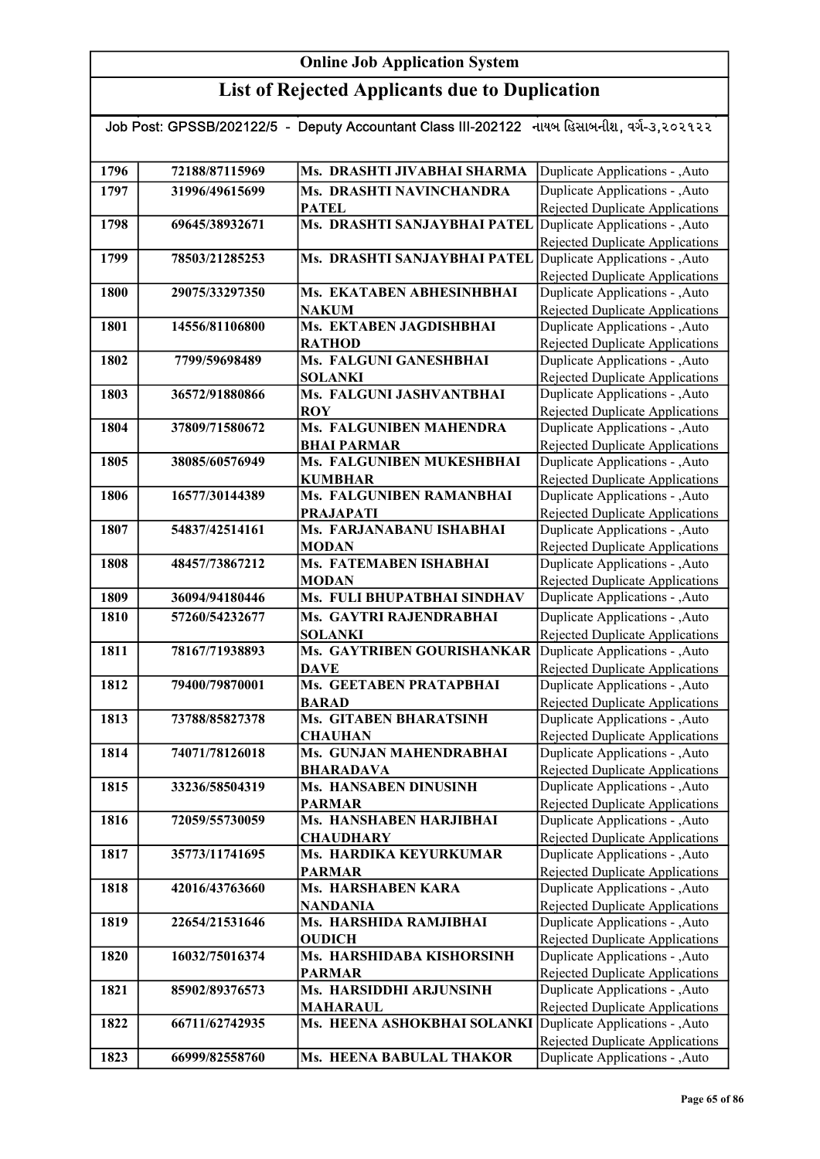# List of Rejected Applicants due to Duplication

| Job Post: GPSSB/202122/5  -  Deputy Accountant Class III-202122   નાયબ હિસાબનીશ, વર્ગ-૩,૨૦૨૧૨૨ |                |                                            |                                                                           |  |
|------------------------------------------------------------------------------------------------|----------------|--------------------------------------------|---------------------------------------------------------------------------|--|
|                                                                                                |                |                                            |                                                                           |  |
| 1796                                                                                           | 72188/87115969 | Ms. DRASHTI JIVABHAI SHARMA                | Duplicate Applications - , Auto                                           |  |
| 1797                                                                                           | 31996/49615699 | Ms. DRASHTI NAVINCHANDRA                   | Duplicate Applications - , Auto                                           |  |
|                                                                                                |                | <b>PATEL</b>                               | Rejected Duplicate Applications                                           |  |
| 1798                                                                                           | 69645/38932671 | Ms. DRASHTI SANJAYBHAI PATEL               | Duplicate Applications - , Auto                                           |  |
|                                                                                                |                |                                            | Rejected Duplicate Applications                                           |  |
| 1799                                                                                           | 78503/21285253 | Ms. DRASHTI SANJAYBHAI PATEL               | Duplicate Applications - , Auto                                           |  |
| 1800                                                                                           | 29075/33297350 | Ms. EKATABEN ABHESINHBHAI                  | Rejected Duplicate Applications<br>Duplicate Applications - , Auto        |  |
|                                                                                                |                | <b>NAKUM</b>                               | <b>Rejected Duplicate Applications</b>                                    |  |
| 1801                                                                                           | 14556/81106800 | Ms. EKTABEN JAGDISHBHAI                    | Duplicate Applications - , Auto                                           |  |
|                                                                                                |                | <b>RATHOD</b>                              | Rejected Duplicate Applications                                           |  |
| 1802                                                                                           | 7799/59698489  | Ms. FALGUNI GANESHBHAI                     | Duplicate Applications - , Auto                                           |  |
|                                                                                                |                | <b>SOLANKI</b>                             | Rejected Duplicate Applications                                           |  |
| 1803                                                                                           | 36572/91880866 | Ms. FALGUNI JASHVANTBHAI                   | Duplicate Applications - , Auto                                           |  |
|                                                                                                |                | <b>ROY</b>                                 | Rejected Duplicate Applications                                           |  |
| 1804                                                                                           | 37809/71580672 | <b>Ms. FALGUNIBEN MAHENDRA</b>             | Duplicate Applications - , Auto                                           |  |
|                                                                                                |                | <b>BHAI PARMAR</b>                         | Rejected Duplicate Applications                                           |  |
| 1805                                                                                           | 38085/60576949 | Ms. FALGUNIBEN MUKESHBHAI                  | Duplicate Applications - ,Auto<br><b>Rejected Duplicate Applications</b>  |  |
| 1806                                                                                           | 16577/30144389 | <b>KUMBHAR</b><br>Ms. FALGUNIBEN RAMANBHAI | Duplicate Applications - , Auto                                           |  |
|                                                                                                |                | <b>PRAJAPATI</b>                           | Rejected Duplicate Applications                                           |  |
| 1807                                                                                           | 54837/42514161 | Ms. FARJANABANU ISHABHAI                   | Duplicate Applications - , Auto                                           |  |
|                                                                                                |                | <b>MODAN</b>                               | Rejected Duplicate Applications                                           |  |
| 1808                                                                                           | 48457/73867212 | Ms. FATEMABEN ISHABHAI                     | Duplicate Applications - ,Auto                                            |  |
|                                                                                                |                | <b>MODAN</b>                               | Rejected Duplicate Applications                                           |  |
| 1809                                                                                           | 36094/94180446 | Ms. FULI BHUPATBHAI SINDHAV                | Duplicate Applications - , Auto                                           |  |
| 1810                                                                                           | 57260/54232677 | Ms. GAYTRI RAJENDRABHAI                    | Duplicate Applications - , Auto                                           |  |
|                                                                                                |                | <b>SOLANKI</b>                             | Rejected Duplicate Applications                                           |  |
| 1811                                                                                           | 78167/71938893 | Ms. GAYTRIBEN GOURISHANKAR                 | Duplicate Applications - , Auto                                           |  |
| 1812                                                                                           | 79400/79870001 | <b>DAVE</b><br>Ms. GEETABEN PRATAPBHAI     | <b>Rejected Duplicate Applications</b><br>Duplicate Applications - , Auto |  |
|                                                                                                |                | <b>BARAD</b>                               | Rejected Duplicate Applications                                           |  |
| 1813                                                                                           | 73788/85827378 | Ms. GITABEN BHARATSINH                     | Duplicate Applications - , Auto                                           |  |
|                                                                                                |                | <b>CHAUHAN</b>                             | Rejected Duplicate Applications                                           |  |
| 1814                                                                                           | 74071/78126018 | Ms. GUNJAN MAHENDRABHAI                    | Duplicate Applications - , Auto                                           |  |
|                                                                                                |                | <b>BHARADAVA</b>                           | Rejected Duplicate Applications                                           |  |
| 1815                                                                                           | 33236/58504319 | Ms. HANSABEN DINUSINH                      | Duplicate Applications - , Auto                                           |  |
|                                                                                                |                | <b>PARMAR</b>                              | Rejected Duplicate Applications                                           |  |
| 1816                                                                                           | 72059/55730059 | Ms. HANSHABEN HARJIBHAI                    | Duplicate Applications - , Auto                                           |  |
|                                                                                                |                | <b>CHAUDHARY</b>                           | Rejected Duplicate Applications                                           |  |
| 1817                                                                                           | 35773/11741695 | Ms. HARDIKA KEYURKUMAR<br><b>PARMAR</b>    | Duplicate Applications - , Auto<br>Rejected Duplicate Applications        |  |
| 1818                                                                                           | 42016/43763660 | Ms. HARSHABEN KARA                         | Duplicate Applications - , Auto                                           |  |
|                                                                                                |                | NANDANIA                                   | Rejected Duplicate Applications                                           |  |
| 1819                                                                                           | 22654/21531646 | Ms. HARSHIDA RAMJIBHAI                     | Duplicate Applications - , Auto                                           |  |
|                                                                                                |                | <b>OUDICH</b>                              | Rejected Duplicate Applications                                           |  |
| 1820                                                                                           | 16032/75016374 | Ms. HARSHIDABA KISHORSINH                  | Duplicate Applications - , Auto                                           |  |
|                                                                                                |                | <b>PARMAR</b>                              | Rejected Duplicate Applications                                           |  |
| 1821                                                                                           | 85902/89376573 | Ms. HARSIDDHI ARJUNSINH                    | Duplicate Applications - , Auto                                           |  |
|                                                                                                |                | <b>MAHARAUL</b>                            | Rejected Duplicate Applications                                           |  |
| 1822                                                                                           | 66711/62742935 | Ms. HEENA ASHOKBHAI SOLANKI                | Duplicate Applications - , Auto                                           |  |
|                                                                                                |                |                                            | Rejected Duplicate Applications                                           |  |
| 1823                                                                                           | 66999/82558760 | Ms. HEENA BABULAL THAKOR                   | Duplicate Applications - , Auto                                           |  |

Rejected Duplicate Applications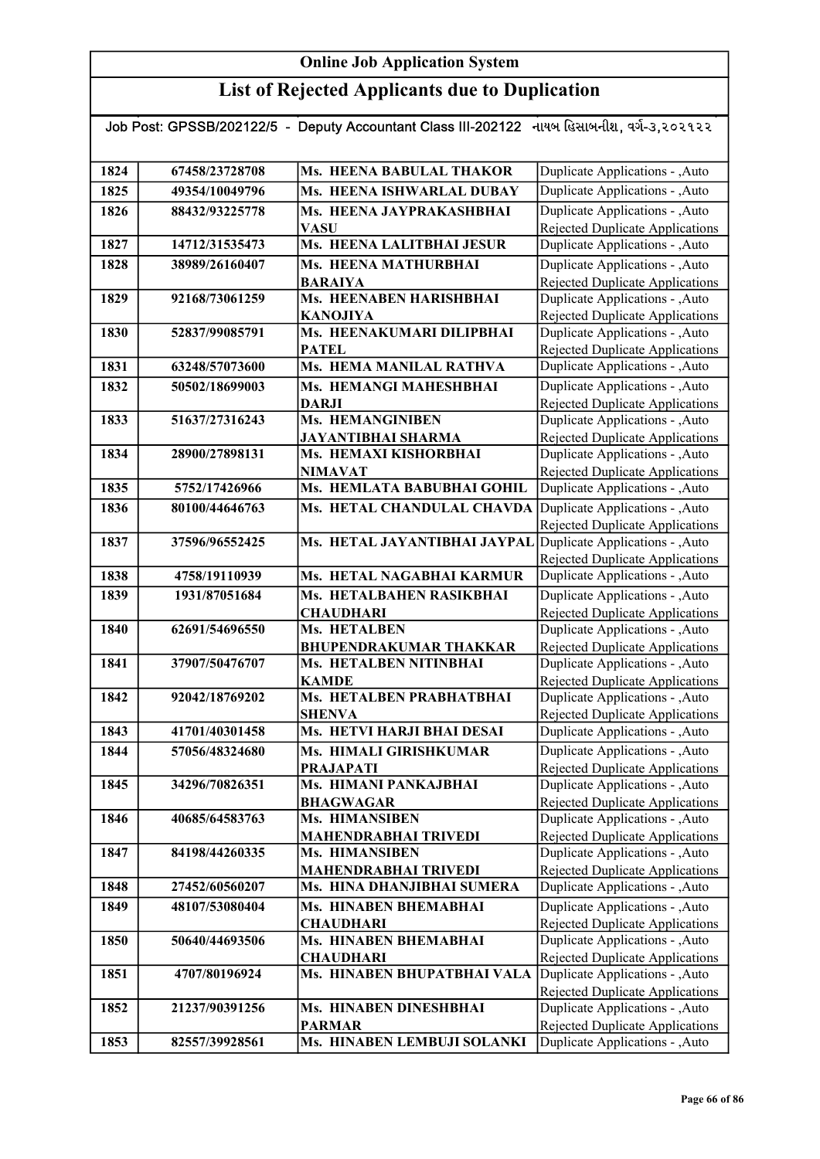# List of Rejected Applicants due to Duplication

| Job Post: GPSSB/202122/5 - Deputy Accountant Class III-202122 નાયબ હિસાબનીશ, વર્ગ-૩,૨૦૨૧૨૨ |                |                                                         |                                                                           |
|--------------------------------------------------------------------------------------------|----------------|---------------------------------------------------------|---------------------------------------------------------------------------|
|                                                                                            |                |                                                         |                                                                           |
| 1824                                                                                       | 67458/23728708 | Ms. HEENA BABULAL THAKOR                                | Duplicate Applications - , Auto                                           |
| 1825                                                                                       | 49354/10049796 | Ms. HEENA ISHWARLAL DUBAY                               | Duplicate Applications - , Auto                                           |
| 1826                                                                                       | 88432/93225778 | Ms. HEENA JAYPRAKASHBHAI                                | Duplicate Applications - , Auto                                           |
|                                                                                            |                | <b>VASU</b>                                             | <b>Rejected Duplicate Applications</b>                                    |
| 1827                                                                                       | 14712/31535473 | Ms. HEENA LALITBHAI JESUR                               | Duplicate Applications - , Auto                                           |
| 1828                                                                                       | 38989/26160407 | Ms. HEENA MATHURBHAI                                    | Duplicate Applications - , Auto                                           |
|                                                                                            |                | <b>BARAIYA</b>                                          | <b>Rejected Duplicate Applications</b>                                    |
| 1829                                                                                       | 92168/73061259 | Ms. HEENABEN HARISHBHAI                                 | Duplicate Applications - , Auto                                           |
|                                                                                            |                | <b>KANOJIYA</b>                                         | <b>Rejected Duplicate Applications</b>                                    |
| 1830                                                                                       | 52837/99085791 | Ms. HEENAKUMARI DILIPBHAI<br><b>PATEL</b>               | Duplicate Applications - , Auto                                           |
| 1831                                                                                       | 63248/57073600 | Ms. HEMA MANILAL RATHVA                                 | <b>Rejected Duplicate Applications</b><br>Duplicate Applications - , Auto |
| 1832                                                                                       | 50502/18699003 | Ms. HEMANGI MAHESHBHAI                                  | Duplicate Applications - , Auto                                           |
|                                                                                            |                | <b>DARJI</b>                                            | <b>Rejected Duplicate Applications</b>                                    |
| 1833                                                                                       | 51637/27316243 | <b>Ms. HEMANGINIBEN</b>                                 | Duplicate Applications - , Auto                                           |
|                                                                                            |                | <b>JAYANTIBHAI SHARMA</b>                               | Rejected Duplicate Applications                                           |
| 1834                                                                                       | 28900/27898131 | Ms. HEMAXI KISHORBHAI                                   | Duplicate Applications - , Auto                                           |
|                                                                                            |                | <b>NIMAVAT</b>                                          | Rejected Duplicate Applications                                           |
| 1835                                                                                       | 5752/17426966  | Ms. HEMLATA BABUBHAI GOHIL                              | Duplicate Applications - , Auto                                           |
| 1836                                                                                       | 80100/44646763 | Ms. HETAL CHANDULAL CHAVDA                              | Duplicate Applications - , Auto                                           |
|                                                                                            |                |                                                         | Rejected Duplicate Applications                                           |
| 1837                                                                                       | 37596/96552425 | Ms. HETAL JAYANTIBHAI JAYPAL                            | Duplicate Applications - , Auto                                           |
|                                                                                            |                |                                                         | <b>Rejected Duplicate Applications</b>                                    |
| 1838                                                                                       | 4758/19110939  | Ms. HETAL NAGABHAI KARMUR                               | Duplicate Applications - , Auto                                           |
| 1839                                                                                       | 1931/87051684  | Ms. HETALBAHEN RASIKBHAI                                | Duplicate Applications - , Auto                                           |
|                                                                                            |                | <b>CHAUDHARI</b>                                        | Rejected Duplicate Applications                                           |
| 1840                                                                                       | 62691/54696550 | Ms. HETALBEN                                            | Duplicate Applications - , Auto                                           |
| 1841                                                                                       | 37907/50476707 | <b>BHUPENDRAKUMAR THAKKAR</b><br>Ms. HETALBEN NITINBHAI | <b>Rejected Duplicate Applications</b><br>Duplicate Applications - , Auto |
|                                                                                            |                | <b>KAMDE</b>                                            | <b>Rejected Duplicate Applications</b>                                    |
| 1842                                                                                       | 92042/18769202 | Ms. HETALBEN PRABHATBHAI                                | Duplicate Applications - , Auto                                           |
|                                                                                            |                | <b>SHENVA</b>                                           | <b>Rejected Duplicate Applications</b>                                    |
| 1843                                                                                       | 41701/40301458 | Ms. HETVI HARJI BHAI DESAI                              | Duplicate Applications - , Auto                                           |
| 1844                                                                                       | 57056/48324680 | Ms. HIMALI GIRISHKUMAR                                  | Duplicate Applications - , Auto                                           |
|                                                                                            |                | <b>PRAJAPATI</b>                                        | Rejected Duplicate Applications                                           |
| 1845                                                                                       | 34296/70826351 | Ms. HIMANI PANKAJBHAI                                   | Duplicate Applications - , Auto                                           |
|                                                                                            |                | <b>BHAGWAGAR</b>                                        | <b>Rejected Duplicate Applications</b>                                    |
| 1846                                                                                       | 40685/64583763 | Ms. HIMANSIBEN                                          | Duplicate Applications - , Auto                                           |
| 1847                                                                                       | 84198/44260335 | <b>MAHENDRABHAI TRIVEDI</b><br>Ms. HIMANSIBEN           | <b>Rejected Duplicate Applications</b><br>Duplicate Applications - , Auto |
|                                                                                            |                | <b>MAHENDRABHAI TRIVEDI</b>                             | Rejected Duplicate Applications                                           |
| 1848                                                                                       | 27452/60560207 | Ms. HINA DHANJIBHAI SUMERA                              | Duplicate Applications - , Auto                                           |
| 1849                                                                                       | 48107/53080404 | Ms. HINABEN BHEMABHAI                                   | Duplicate Applications - , Auto                                           |
|                                                                                            |                | <b>CHAUDHARI</b>                                        | <b>Rejected Duplicate Applications</b>                                    |
| 1850                                                                                       | 50640/44693506 | Ms. HINABEN BHEMABHAI                                   | Duplicate Applications - , Auto                                           |
|                                                                                            |                | <b>CHAUDHARI</b>                                        | <b>Rejected Duplicate Applications</b>                                    |
| 1851                                                                                       | 4707/80196924  | Ms. HINABEN BHUPATBHAI VALA                             | Duplicate Applications - , Auto                                           |
|                                                                                            |                |                                                         | <b>Rejected Duplicate Applications</b>                                    |
| 1852                                                                                       | 21237/90391256 | Ms. HINABEN DINESHBHAI                                  | Duplicate Applications - , Auto                                           |
|                                                                                            |                | <b>PARMAR</b>                                           | Rejected Duplicate Applications                                           |
| 1853                                                                                       | 82557/39928561 | Ms. HINABEN LEMBUJI SOLANKI                             | Duplicate Applications - , Auto                                           |

Rejected Duplicate Applications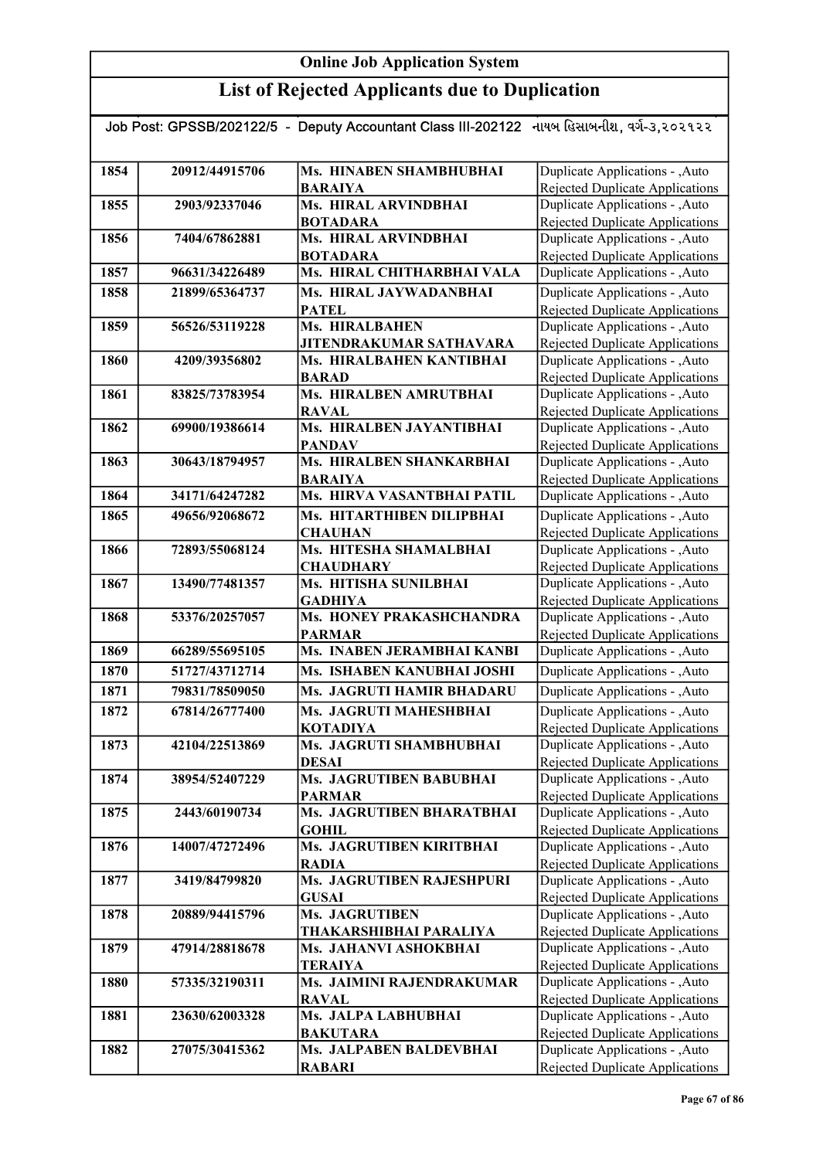| Job Post: GPSSB/202122/5 - Deputy Accountant Class III-202122 નાયબ હિસાબનીશ, વર્ગ-૩,૨૦૨૧૨૨ |                |                                             |                                                                           |  |
|--------------------------------------------------------------------------------------------|----------------|---------------------------------------------|---------------------------------------------------------------------------|--|
|                                                                                            |                |                                             |                                                                           |  |
| 1854                                                                                       | 20912/44915706 | Ms. HINABEN SHAMBHUBHAI                     | Duplicate Applications - , Auto                                           |  |
|                                                                                            |                | <b>BARAIYA</b>                              | Rejected Duplicate Applications                                           |  |
| 1855                                                                                       | 2903/92337046  | Ms. HIRAL ARVINDBHAI                        | Duplicate Applications - , Auto                                           |  |
|                                                                                            |                | <b>BOTADARA</b>                             | Rejected Duplicate Applications                                           |  |
| 1856                                                                                       | 7404/67862881  | Ms. HIRAL ARVINDBHAI                        | Duplicate Applications - , Auto                                           |  |
|                                                                                            |                | <b>BOTADARA</b>                             | <b>Rejected Duplicate Applications</b>                                    |  |
| 1857                                                                                       | 96631/34226489 | Ms. HIRAL CHITHARBHAI VALA                  | Duplicate Applications - , Auto                                           |  |
| 1858                                                                                       | 21899/65364737 | Ms. HIRAL JAYWADANBHAI                      | Duplicate Applications - ,Auto                                            |  |
|                                                                                            |                | <b>PATEL</b>                                | <b>Rejected Duplicate Applications</b>                                    |  |
| 1859                                                                                       | 56526/53119228 | Ms. HIRALBAHEN                              | Duplicate Applications - , Auto                                           |  |
|                                                                                            |                | <b>JITENDRAKUMAR SATHAVARA</b>              | Rejected Duplicate Applications                                           |  |
| 1860                                                                                       | 4209/39356802  | Ms. HIRALBAHEN KANTIBHAI<br><b>BARAD</b>    | Duplicate Applications - , Auto                                           |  |
| 1861                                                                                       | 83825/73783954 | Ms. HIRALBEN AMRUTBHAI                      | Rejected Duplicate Applications<br>Duplicate Applications - , Auto        |  |
|                                                                                            |                | <b>RAVAL</b>                                | <b>Rejected Duplicate Applications</b>                                    |  |
| 1862                                                                                       | 69900/19386614 | Ms. HIRALBEN JAYANTIBHAI                    | Duplicate Applications - , Auto                                           |  |
|                                                                                            |                | <b>PANDAV</b>                               | Rejected Duplicate Applications                                           |  |
| 1863                                                                                       | 30643/18794957 | Ms. HIRALBEN SHANKARBHAI                    | Duplicate Applications - , Auto                                           |  |
|                                                                                            |                | <b>BARAIYA</b>                              | <b>Rejected Duplicate Applications</b>                                    |  |
| 1864                                                                                       | 34171/64247282 | Ms. HIRVA VASANTBHAI PATIL                  | Duplicate Applications - , Auto                                           |  |
| 1865                                                                                       | 49656/92068672 | Ms. HITARTHIBEN DILIPBHAI                   | Duplicate Applications - , Auto                                           |  |
|                                                                                            |                | <b>CHAUHAN</b>                              | Rejected Duplicate Applications                                           |  |
| 1866                                                                                       | 72893/55068124 | Ms. HITESHA SHAMALBHAI                      | Duplicate Applications - , Auto                                           |  |
|                                                                                            |                | <b>CHAUDHARY</b>                            | Rejected Duplicate Applications                                           |  |
| 1867                                                                                       | 13490/77481357 | Ms. HITISHA SUNILBHAI                       | Duplicate Applications - , Auto                                           |  |
|                                                                                            |                | <b>GADHIYA</b>                              | Rejected Duplicate Applications                                           |  |
| 1868                                                                                       | 53376/20257057 | <b>Ms. HONEY PRAKASHCHANDRA</b>             | Duplicate Applications - , Auto                                           |  |
|                                                                                            |                | <b>PARMAR</b>                               | <b>Rejected Duplicate Applications</b>                                    |  |
| 1869                                                                                       | 66289/55695105 | Ms. INABEN JERAMBHAI KANBI                  | Duplicate Applications - , Auto                                           |  |
| 1870                                                                                       | 51727/43712714 | Ms. ISHABEN KANUBHAI JOSHI                  | Duplicate Applications - , Auto                                           |  |
| 1871                                                                                       | 79831/78509050 | Ms. JAGRUTI HAMIR BHADARU                   | Duplicate Applications - , Auto                                           |  |
| 1872                                                                                       | 67814/26777400 | Ms. JAGRUTI MAHESHBHAI                      | Duplicate Applications - , Auto                                           |  |
|                                                                                            |                | <b>KOTADIYA</b>                             | Rejected Duplicate Applications                                           |  |
| 1873                                                                                       | 42104/22513869 | Ms. JAGRUTI SHAMBHUBHAI                     | Duplicate Applications - , Auto                                           |  |
| 1874                                                                                       | 38954/52407229 | <b>DESAI</b><br>Ms. JAGRUTIBEN BABUBHAI     | Rejected Duplicate Applications<br>Duplicate Applications - , Auto        |  |
|                                                                                            |                | <b>PARMAR</b>                               | Rejected Duplicate Applications                                           |  |
| 1875                                                                                       | 2443/60190734  | Ms. JAGRUTIBEN BHARATBHAI                   | Duplicate Applications - ,Auto                                            |  |
|                                                                                            |                | <b>GOHIL</b>                                | <b>Rejected Duplicate Applications</b>                                    |  |
| 1876                                                                                       | 14007/47272496 | Ms. JAGRUTIBEN KIRITBHAI                    | Duplicate Applications - , Auto                                           |  |
|                                                                                            |                | <b>RADIA</b>                                | Rejected Duplicate Applications                                           |  |
| 1877                                                                                       | 3419/84799820  | Ms. JAGRUTIBEN RAJESHPURI                   | Duplicate Applications - ,Auto                                            |  |
|                                                                                            |                | <b>GUSAI</b>                                | Rejected Duplicate Applications                                           |  |
| 1878                                                                                       | 20889/94415796 | Ms. JAGRUTIBEN                              | Duplicate Applications - , Auto                                           |  |
|                                                                                            |                | THAKARSHIBHAI PARALIYA                      | Rejected Duplicate Applications                                           |  |
| 1879                                                                                       | 47914/28818678 | Ms. JAHANVI ASHOKBHAI                       | Duplicate Applications - , Auto                                           |  |
|                                                                                            |                | <b>TERAIYA</b><br>Ms. JAIMINI RAJENDRAKUMAR | Rejected Duplicate Applications                                           |  |
| 1880                                                                                       | 57335/32190311 |                                             | Duplicate Applications - , Auto                                           |  |
| 1881                                                                                       | 23630/62003328 | <b>RAVAL</b><br>Ms. JALPA LABHUBHAI         | <b>Rejected Duplicate Applications</b><br>Duplicate Applications - , Auto |  |
|                                                                                            |                | <b>BAKUTARA</b>                             | Rejected Duplicate Applications                                           |  |
| 1882                                                                                       | 27075/30415362 | Ms. JALPABEN BALDEVBHAI                     | Duplicate Applications - , Auto                                           |  |
|                                                                                            |                | <b>RABARI</b>                               | Rejected Duplicate Applications                                           |  |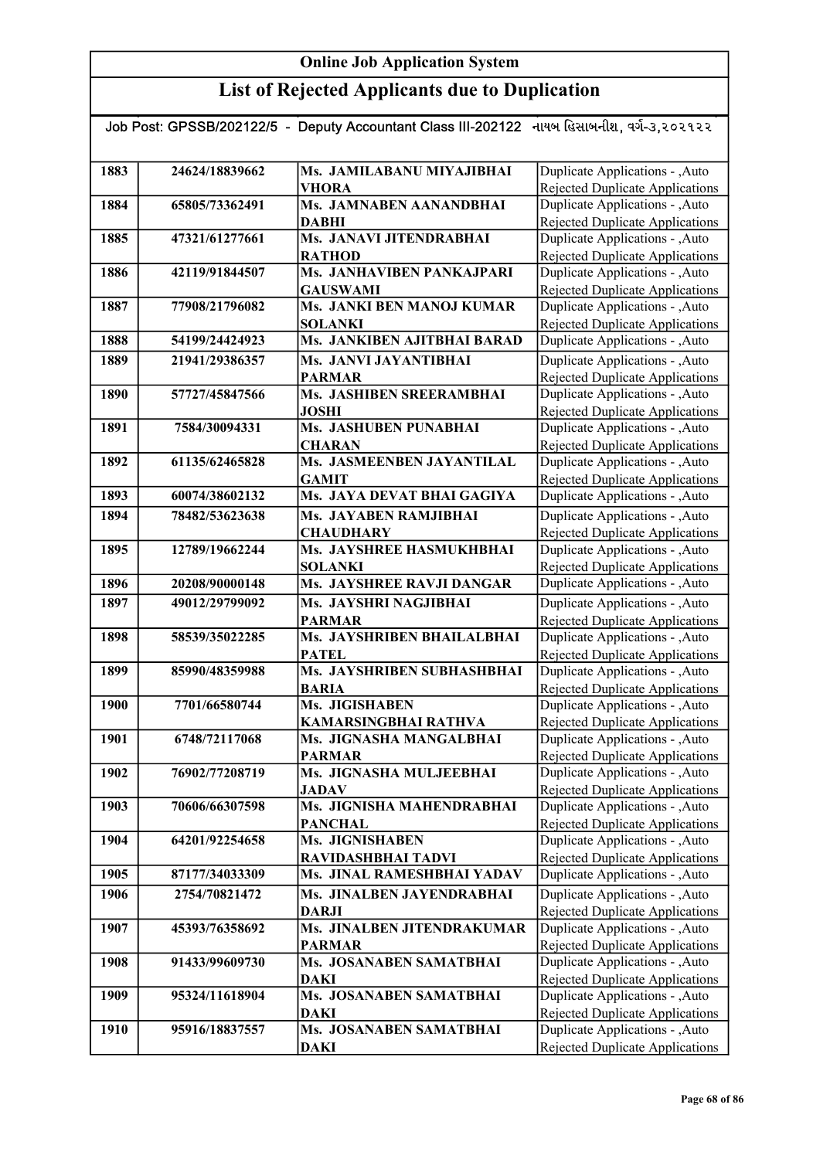| Job Post: GPSSB/202122/5 - Deputy Accountant Class III-202122 નાયબ હિસાબનીશ, વર્ગ-૩,૨૦૨૧૨૨ |                |                                                   |                                                                           |  |
|--------------------------------------------------------------------------------------------|----------------|---------------------------------------------------|---------------------------------------------------------------------------|--|
|                                                                                            |                |                                                   |                                                                           |  |
| 1883                                                                                       | 24624/18839662 | Ms. JAMILABANU MIYAJIBHAI                         | Duplicate Applications - , Auto                                           |  |
|                                                                                            |                | <b>VHORA</b>                                      | Rejected Duplicate Applications                                           |  |
| 1884                                                                                       | 65805/73362491 | Ms. JAMNABEN AANANDBHAI                           | Duplicate Applications - , Auto                                           |  |
|                                                                                            |                | <b>DABHI</b>                                      | <b>Rejected Duplicate Applications</b>                                    |  |
| 1885                                                                                       | 47321/61277661 | Ms. JANAVI JITENDRABHAI                           | Duplicate Applications - , Auto                                           |  |
| 1886                                                                                       | 42119/91844507 | <b>RATHOD</b><br><b>Ms. JANHAVIBEN PANKAJPARI</b> | Rejected Duplicate Applications<br>Duplicate Applications - , Auto        |  |
|                                                                                            |                | <b>GAUSWAMI</b>                                   |                                                                           |  |
| 1887                                                                                       | 77908/21796082 | Ms. JANKI BEN MANOJ KUMAR                         | Rejected Duplicate Applications<br>Duplicate Applications - , Auto        |  |
|                                                                                            |                | <b>SOLANKI</b>                                    | <b>Rejected Duplicate Applications</b>                                    |  |
| 1888                                                                                       | 54199/24424923 | Ms. JANKIBEN AJITBHAI BARAD                       | Duplicate Applications - , Auto                                           |  |
| 1889                                                                                       | 21941/29386357 | Ms. JANVI JAYANTIBHAI                             | Duplicate Applications - , Auto                                           |  |
|                                                                                            |                | <b>PARMAR</b>                                     | Rejected Duplicate Applications                                           |  |
| 1890                                                                                       | 57727/45847566 | Ms. JASHIBEN SREERAMBHAI                          | Duplicate Applications - , Auto                                           |  |
|                                                                                            |                | <b>JOSHI</b>                                      | Rejected Duplicate Applications                                           |  |
| 1891                                                                                       | 7584/30094331  | <b>Ms. JASHUBEN PUNABHAI</b>                      | Duplicate Applications - , Auto                                           |  |
|                                                                                            |                | <b>CHARAN</b>                                     | Rejected Duplicate Applications                                           |  |
| 1892                                                                                       | 61135/62465828 | Ms. JASMEENBEN JAYANTILAL                         | Duplicate Applications - , Auto                                           |  |
|                                                                                            |                | <b>GAMIT</b>                                      | Rejected Duplicate Applications                                           |  |
| 1893                                                                                       | 60074/38602132 | Ms. JAYA DEVAT BHAI GAGIYA                        | Duplicate Applications - , Auto                                           |  |
| 1894                                                                                       | 78482/53623638 | Ms. JAYABEN RAMJIBHAI                             | Duplicate Applications - , Auto                                           |  |
|                                                                                            |                | <b>CHAUDHARY</b>                                  | <b>Rejected Duplicate Applications</b>                                    |  |
| 1895                                                                                       | 12789/19662244 | Ms. JAYSHREE HASMUKHBHAI                          | Duplicate Applications - , Auto                                           |  |
|                                                                                            |                | <b>SOLANKI</b>                                    | Rejected Duplicate Applications                                           |  |
| 1896                                                                                       | 20208/90000148 | <b>Ms. JAYSHREE RAVJI DANGAR</b>                  | Duplicate Applications - , Auto                                           |  |
| 1897                                                                                       | 49012/29799092 | Ms. JAYSHRI NAGJIBHAI                             | Duplicate Applications - , Auto                                           |  |
|                                                                                            |                | <b>PARMAR</b>                                     | <b>Rejected Duplicate Applications</b>                                    |  |
| 1898                                                                                       | 58539/35022285 | Ms. JAYSHRIBEN BHAILALBHAI<br><b>PATEL</b>        | Duplicate Applications - , Auto<br><b>Rejected Duplicate Applications</b> |  |
| 1899                                                                                       | 85990/48359988 | Ms. JAYSHRIBEN SUBHASHBHAI                        | Duplicate Applications - , Auto                                           |  |
|                                                                                            |                | <b>BARIA</b>                                      | <b>Rejected Duplicate Applications</b>                                    |  |
| 1900                                                                                       | 7701/66580744  | Ms. JIGISHABEN                                    | Duplicate Applications - , Auto                                           |  |
|                                                                                            |                | <b>KAMARSINGBHAI RATHVA</b>                       | Rejected Duplicate Applications                                           |  |
| 1901                                                                                       | 6748/72117068  | Ms. JIGNASHA MANGALBHAI                           | Duplicate Applications - , Auto                                           |  |
|                                                                                            |                | <b>PARMAR</b>                                     | Rejected Duplicate Applications                                           |  |
| 1902                                                                                       | 76902/77208719 | Ms. JIGNASHA MULJEEBHAI                           | Duplicate Applications - , Auto                                           |  |
|                                                                                            |                | <b>JADAV</b>                                      | Rejected Duplicate Applications                                           |  |
| 1903                                                                                       | 70606/66307598 | Ms. JIGNISHA MAHENDRABHAI                         | Duplicate Applications - , Auto                                           |  |
|                                                                                            |                | <b>PANCHAL</b>                                    | Rejected Duplicate Applications                                           |  |
| 1904                                                                                       | 64201/92254658 | Ms. JIGNISHABEN                                   | Duplicate Applications - , Auto                                           |  |
| 1905                                                                                       | 87177/34033309 | RAVIDASHBHAI TADVI<br>Ms. JINAL RAMESHBHAI YADAV  | <b>Rejected Duplicate Applications</b><br>Duplicate Applications - , Auto |  |
| 1906                                                                                       | 2754/70821472  | Ms. JINALBEN JAYENDRABHAI                         | Duplicate Applications - , Auto                                           |  |
|                                                                                            |                | <b>DARJI</b>                                      | Rejected Duplicate Applications                                           |  |
| 1907                                                                                       | 45393/76358692 | Ms. JINALBEN JITENDRAKUMAR                        | Duplicate Applications - , Auto                                           |  |
|                                                                                            |                | <b>PARMAR</b>                                     | <b>Rejected Duplicate Applications</b>                                    |  |
| 1908                                                                                       | 91433/99609730 | Ms. JOSANABEN SAMATBHAI                           | Duplicate Applications - , Auto                                           |  |
|                                                                                            |                | <b>DAKI</b>                                       | <b>Rejected Duplicate Applications</b>                                    |  |
| 1909                                                                                       | 95324/11618904 | Ms. JOSANABEN SAMATBHAI                           | Duplicate Applications - , Auto                                           |  |
|                                                                                            |                | <b>DAKI</b>                                       | <b>Rejected Duplicate Applications</b>                                    |  |
| 1910                                                                                       | 95916/18837557 | Ms. JOSANABEN SAMATBHAI                           | Duplicate Applications - , Auto                                           |  |
|                                                                                            |                | <b>DAKI</b>                                       | Rejected Duplicate Applications                                           |  |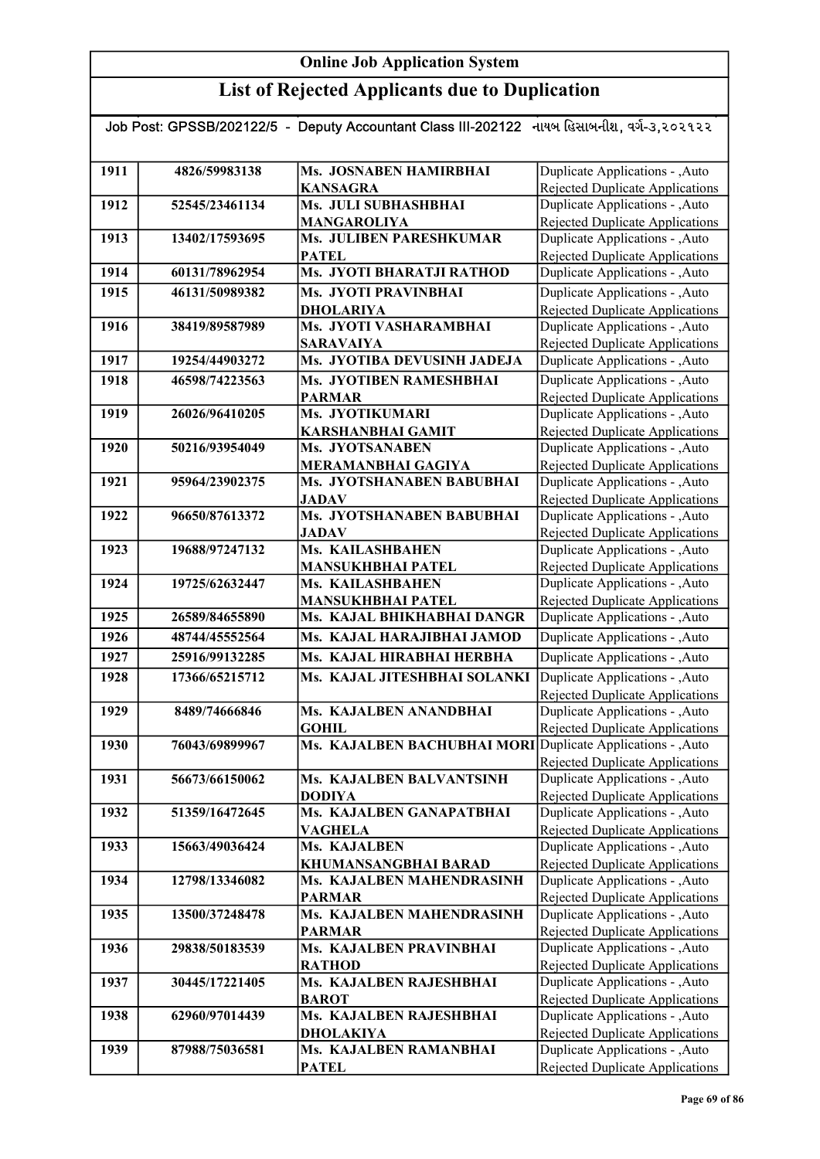| Job Post: GPSSB/202122/5 - Deputy Accountant Class III-202122 નાયબ હિસાબનીશ, વર્ગ-૩,૨૦૨૧૨૨ |                |                                                                             |                                                                           |  |
|--------------------------------------------------------------------------------------------|----------------|-----------------------------------------------------------------------------|---------------------------------------------------------------------------|--|
|                                                                                            |                |                                                                             |                                                                           |  |
| 1911                                                                                       | 4826/59983138  | Ms. JOSNABEN HAMIRBHAI<br><b>KANSAGRA</b>                                   | Duplicate Applications - ,Auto<br>Rejected Duplicate Applications         |  |
| 1912                                                                                       | 52545/23461134 | Ms. JULI SUBHASHBHAI                                                        | Duplicate Applications - , Auto                                           |  |
|                                                                                            |                | <b>MANGAROLIYA</b>                                                          | <b>Rejected Duplicate Applications</b>                                    |  |
| 1913                                                                                       | 13402/17593695 | Ms. JULIBEN PARESHKUMAR                                                     | Duplicate Applications - , Auto                                           |  |
|                                                                                            |                | <b>PATEL</b>                                                                | Rejected Duplicate Applications                                           |  |
| 1914                                                                                       | 60131/78962954 | Ms. JYOTI BHARATJI RATHOD                                                   | Duplicate Applications - ,Auto                                            |  |
| 1915                                                                                       | 46131/50989382 | Ms. JYOTI PRAVINBHAI                                                        | Duplicate Applications - , Auto                                           |  |
|                                                                                            |                | <b>DHOLARIYA</b>                                                            | <b>Rejected Duplicate Applications</b>                                    |  |
| 1916                                                                                       | 38419/89587989 | Ms. JYOTI VASHARAMBHAI                                                      | Duplicate Applications - , Auto                                           |  |
|                                                                                            |                | <b>SARAVAIYA</b>                                                            | Rejected Duplicate Applications                                           |  |
| 1917                                                                                       | 19254/44903272 | Ms. JYOTIBA DEVUSINH JADEJA                                                 | Duplicate Applications - , Auto                                           |  |
| 1918                                                                                       | 46598/74223563 | Ms. JYOTIBEN RAMESHBHAI                                                     | Duplicate Applications - , Auto                                           |  |
|                                                                                            |                | <b>PARMAR</b>                                                               | <b>Rejected Duplicate Applications</b>                                    |  |
| 1919                                                                                       | 26026/96410205 | Ms. JYOTIKUMARI<br><b>KARSHANBHAI GAMIT</b>                                 | Duplicate Applications - , Auto<br>Rejected Duplicate Applications        |  |
| 1920                                                                                       | 50216/93954049 | Ms. JYOTSANABEN                                                             | Duplicate Applications - , Auto                                           |  |
|                                                                                            |                | <b>MERAMANBHAI GAGIYA</b>                                                   | <b>Rejected Duplicate Applications</b>                                    |  |
| 1921                                                                                       | 95964/23902375 | Ms. JYOTSHANABEN BABUBHAI                                                   | Duplicate Applications - , Auto                                           |  |
|                                                                                            |                | <b>JADAV</b>                                                                | Rejected Duplicate Applications                                           |  |
| 1922                                                                                       | 96650/87613372 | Ms. JYOTSHANABEN BABUBHAI                                                   | Duplicate Applications - , Auto                                           |  |
|                                                                                            |                | <b>JADAV</b>                                                                | Rejected Duplicate Applications                                           |  |
| 1923                                                                                       | 19688/97247132 | Ms. KAILASHBAHEN                                                            | Duplicate Applications - , Auto                                           |  |
|                                                                                            |                | <b>MANSUKHBHAI PATEL</b>                                                    | Rejected Duplicate Applications                                           |  |
| 1924                                                                                       | 19725/62632447 | Ms. KAILASHBAHEN                                                            | Duplicate Applications - , Auto                                           |  |
|                                                                                            |                | <b>MANSUKHBHAI PATEL</b>                                                    | <b>Rejected Duplicate Applications</b>                                    |  |
| 1925                                                                                       | 26589/84655890 | Ms. KAJAL BHIKHABHAI DANGR                                                  | Duplicate Applications - , Auto                                           |  |
| 1926                                                                                       | 48744/45552564 | Ms. KAJAL HARAJIBHAI JAMOD                                                  | Duplicate Applications - , Auto                                           |  |
| 1927                                                                                       | 25916/99132285 | Ms. KAJAL HIRABHAI HERBHA                                                   | Duplicate Applications - , Auto                                           |  |
| 1928                                                                                       | 17366/65215712 | Ms. KAJAL JITESHBHAI SOLANKI                                                | Duplicate Applications - , Auto                                           |  |
|                                                                                            |                |                                                                             | <b>Rejected Duplicate Applications</b>                                    |  |
| 1929                                                                                       | 8489/74666846  | Ms. KAJALBEN ANANDBHAI                                                      | Duplicate Applications - , Auto                                           |  |
| 1930                                                                                       | 76043/69899967 | <b>GOHIL</b><br>Ms. KAJALBEN BACHUBHAI MORI Duplicate Applications - , Auto | <b>Rejected Duplicate Applications</b>                                    |  |
|                                                                                            |                |                                                                             | Rejected Duplicate Applications                                           |  |
| 1931                                                                                       | 56673/66150062 | Ms. KAJALBEN BALVANTSINH                                                    | Duplicate Applications - , Auto                                           |  |
|                                                                                            |                | <b>DODIYA</b>                                                               | Rejected Duplicate Applications                                           |  |
| 1932                                                                                       | 51359/16472645 | Ms. KAJALBEN GANAPATBHAI                                                    | Duplicate Applications - ,Auto                                            |  |
|                                                                                            |                | <b>VAGHELA</b>                                                              | <b>Rejected Duplicate Applications</b>                                    |  |
| 1933                                                                                       | 15663/49036424 | Ms. KAJALBEN                                                                | Duplicate Applications - , Auto                                           |  |
|                                                                                            |                | KHUMANSANGBHAI BARAD                                                        | <b>Rejected Duplicate Applications</b>                                    |  |
| 1934                                                                                       | 12798/13346082 | Ms. KAJALBEN MAHENDRASINH                                                   | Duplicate Applications - , Auto                                           |  |
| 1935                                                                                       | 13500/37248478 | <b>PARMAR</b><br>Ms. KAJALBEN MAHENDRASINH                                  | <b>Rejected Duplicate Applications</b><br>Duplicate Applications - , Auto |  |
|                                                                                            |                | <b>PARMAR</b>                                                               | <b>Rejected Duplicate Applications</b>                                    |  |
| 1936                                                                                       | 29838/50183539 | Ms. KAJALBEN PRAVINBHAI                                                     | Duplicate Applications - , Auto                                           |  |
|                                                                                            |                | <b>RATHOD</b>                                                               | Rejected Duplicate Applications                                           |  |
| 1937                                                                                       | 30445/17221405 | Ms. KAJALBEN RAJESHBHAI                                                     | Duplicate Applications - , Auto                                           |  |
|                                                                                            |                | <b>BAROT</b>                                                                | <b>Rejected Duplicate Applications</b>                                    |  |
| 1938                                                                                       | 62960/97014439 | Ms. KAJALBEN RAJESHBHAI                                                     | Duplicate Applications - , Auto                                           |  |
|                                                                                            |                | <b>DHOLAKIYA</b>                                                            | Rejected Duplicate Applications                                           |  |
| 1939                                                                                       | 87988/75036581 | Ms. KAJALBEN RAMANBHAI                                                      | Duplicate Applications - , Auto                                           |  |
|                                                                                            |                | <b>PATEL</b>                                                                | <b>Rejected Duplicate Applications</b>                                    |  |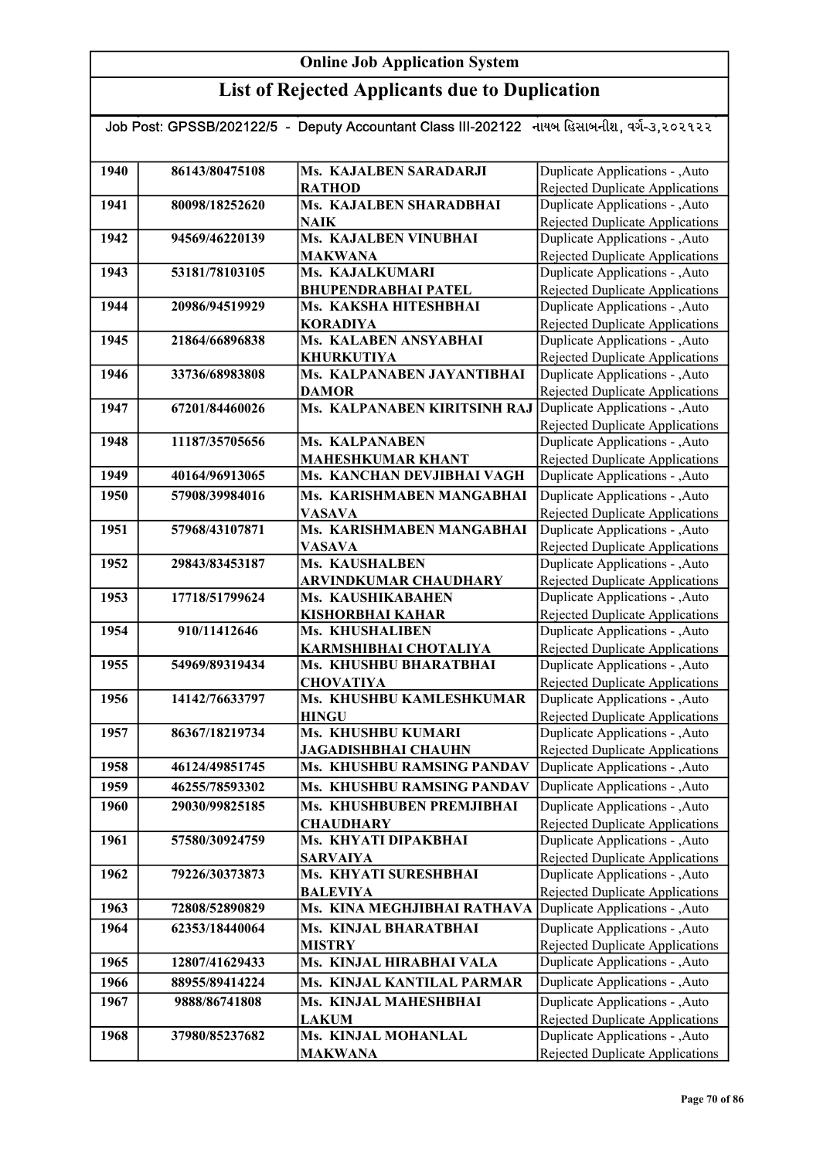| Job Post: GPSSB/202122/5 - Deputy Accountant Class III-202122 નાયબ હિસાબનીશ, વર્ગ-૩,૨૦૨૧૨૨ |                |                                              |                                                                           |  |  |
|--------------------------------------------------------------------------------------------|----------------|----------------------------------------------|---------------------------------------------------------------------------|--|--|
|                                                                                            |                |                                              |                                                                           |  |  |
| 1940                                                                                       | 86143/80475108 | Ms. KAJALBEN SARADARJI<br><b>RATHOD</b>      | Duplicate Applications - , Auto<br>Rejected Duplicate Applications        |  |  |
| 1941                                                                                       | 80098/18252620 | Ms. KAJALBEN SHARADBHAI                      | Duplicate Applications - , Auto                                           |  |  |
|                                                                                            |                | <b>NAIK</b>                                  | Rejected Duplicate Applications                                           |  |  |
| 1942                                                                                       | 94569/46220139 | Ms. KAJALBEN VINUBHAI                        | Duplicate Applications - , Auto                                           |  |  |
|                                                                                            |                | <b>MAKWANA</b>                               | Rejected Duplicate Applications                                           |  |  |
| 1943                                                                                       | 53181/78103105 | Ms. KAJALKUMARI                              | Duplicate Applications - , Auto                                           |  |  |
|                                                                                            |                | <b>BHUPENDRABHAI PATEL</b>                   | Rejected Duplicate Applications                                           |  |  |
| 1944                                                                                       | 20986/94519929 | Ms. KAKSHA HITESHBHAI                        | Duplicate Applications - , Auto                                           |  |  |
|                                                                                            |                | <b>KORADIYA</b>                              | Rejected Duplicate Applications                                           |  |  |
| 1945                                                                                       | 21864/66896838 | Ms. KALABEN ANSYABHAI                        | Duplicate Applications - , Auto                                           |  |  |
|                                                                                            |                | <b>KHURKUTIYA</b>                            | Rejected Duplicate Applications                                           |  |  |
| 1946                                                                                       | 33736/68983808 | Ms. KALPANABEN JAYANTIBHAI                   | Duplicate Applications - , Auto                                           |  |  |
| 1947                                                                                       | 67201/84460026 | <b>DAMOR</b><br>Ms. KALPANABEN KIRITSINH RAJ | Rejected Duplicate Applications<br>Duplicate Applications - , Auto        |  |  |
|                                                                                            |                |                                              | Rejected Duplicate Applications                                           |  |  |
| 1948                                                                                       | 11187/35705656 | <b>Ms. KALPANABEN</b>                        | Duplicate Applications - , Auto                                           |  |  |
|                                                                                            |                | <b>MAHESHKUMAR KHANT</b>                     | Rejected Duplicate Applications                                           |  |  |
| 1949                                                                                       | 40164/96913065 | Ms. KANCHAN DEVJIBHAI VAGH                   | Duplicate Applications - , Auto                                           |  |  |
| 1950                                                                                       | 57908/39984016 | Ms. KARISHMABEN MANGABHAI                    | Duplicate Applications - , Auto                                           |  |  |
|                                                                                            |                | <b>VASAVA</b>                                | <b>Rejected Duplicate Applications</b>                                    |  |  |
| 1951                                                                                       | 57968/43107871 | Ms. KARISHMABEN MANGABHAI                    | Duplicate Applications - , Auto                                           |  |  |
|                                                                                            |                | <b>VASAVA</b>                                | Rejected Duplicate Applications                                           |  |  |
| 1952                                                                                       | 29843/83453187 | <b>Ms. KAUSHALBEN</b>                        | Duplicate Applications - , Auto                                           |  |  |
|                                                                                            |                | <b>ARVINDKUMAR CHAUDHARY</b>                 | <b>Rejected Duplicate Applications</b>                                    |  |  |
| 1953                                                                                       | 17718/51799624 | Ms. KAUSHIKABAHEN                            | Duplicate Applications - , Auto                                           |  |  |
|                                                                                            |                | <b>KISHORBHAI KAHAR</b>                      | <b>Rejected Duplicate Applications</b>                                    |  |  |
| 1954                                                                                       | 910/11412646   | <b>Ms. KHUSHALIBEN</b>                       | Duplicate Applications - , Auto                                           |  |  |
|                                                                                            |                | KARMSHIBHAI CHOTALIYA                        | <b>Rejected Duplicate Applications</b>                                    |  |  |
| 1955                                                                                       | 54969/89319434 | Ms. KHUSHBU BHARATBHAI                       | Duplicate Applications - , Auto                                           |  |  |
| 1956                                                                                       | 14142/76633797 | <b>CHOVATIYA</b><br>Ms. KHUSHBU KAMLESHKUMAR | <b>Rejected Duplicate Applications</b><br>Duplicate Applications - , Auto |  |  |
|                                                                                            |                | <b>HINGU</b>                                 | <b>Rejected Duplicate Applications</b>                                    |  |  |
| 1957                                                                                       | 86367/18219734 | Ms. KHUSHBU KUMARI                           | <b>Duplicate Applications - , Auto</b>                                    |  |  |
|                                                                                            |                | <b>JAGADISHBHAI CHAUHN</b>                   | Rejected Duplicate Applications                                           |  |  |
| 1958                                                                                       | 46124/49851745 | Ms. KHUSHBU RAMSING PANDAV                   | Duplicate Applications - , Auto                                           |  |  |
| 1959                                                                                       | 46255/78593302 | Ms. KHUSHBU RAMSING PANDAV                   | Duplicate Applications - , Auto                                           |  |  |
| 1960                                                                                       | 29030/99825185 | Ms. KHUSHBUBEN PREMJIBHAI                    | Duplicate Applications - , Auto                                           |  |  |
|                                                                                            |                | <b>CHAUDHARY</b>                             | Rejected Duplicate Applications                                           |  |  |
| 1961                                                                                       | 57580/30924759 | Ms. KHYATI DIPAKBHAI                         | Duplicate Applications - , Auto                                           |  |  |
|                                                                                            |                | <b>SARVAIYA</b>                              | Rejected Duplicate Applications                                           |  |  |
| 1962                                                                                       | 79226/30373873 | Ms. KHYATI SURESHBHAI                        | Duplicate Applications - , Auto                                           |  |  |
|                                                                                            |                | <b>BALEVIYA</b>                              | Rejected Duplicate Applications                                           |  |  |
| 1963                                                                                       | 72808/52890829 | Ms. KINA MEGHJIBHAI RATHAVA                  | Duplicate Applications - , Auto                                           |  |  |
| 1964                                                                                       | 62353/18440064 | Ms. KINJAL BHARATBHAI                        | Duplicate Applications - , Auto                                           |  |  |
|                                                                                            |                | <b>MISTRY</b>                                | Rejected Duplicate Applications                                           |  |  |
| 1965                                                                                       | 12807/41629433 | Ms. KINJAL HIRABHAI VALA                     | Duplicate Applications - , Auto                                           |  |  |
| 1966                                                                                       | 88955/89414224 | Ms. KINJAL KANTILAL PARMAR                   | Duplicate Applications - , Auto                                           |  |  |
| 1967                                                                                       | 9888/86741808  | Ms. KINJAL MAHESHBHAI                        | Duplicate Applications - , Auto                                           |  |  |
|                                                                                            |                | <b>LAKUM</b>                                 | Rejected Duplicate Applications                                           |  |  |
| 1968                                                                                       | 37980/85237682 | Ms. KINJAL MOHANLAL                          | Duplicate Applications - , Auto                                           |  |  |
|                                                                                            |                | <b>MAKWANA</b>                               | Rejected Duplicate Applications                                           |  |  |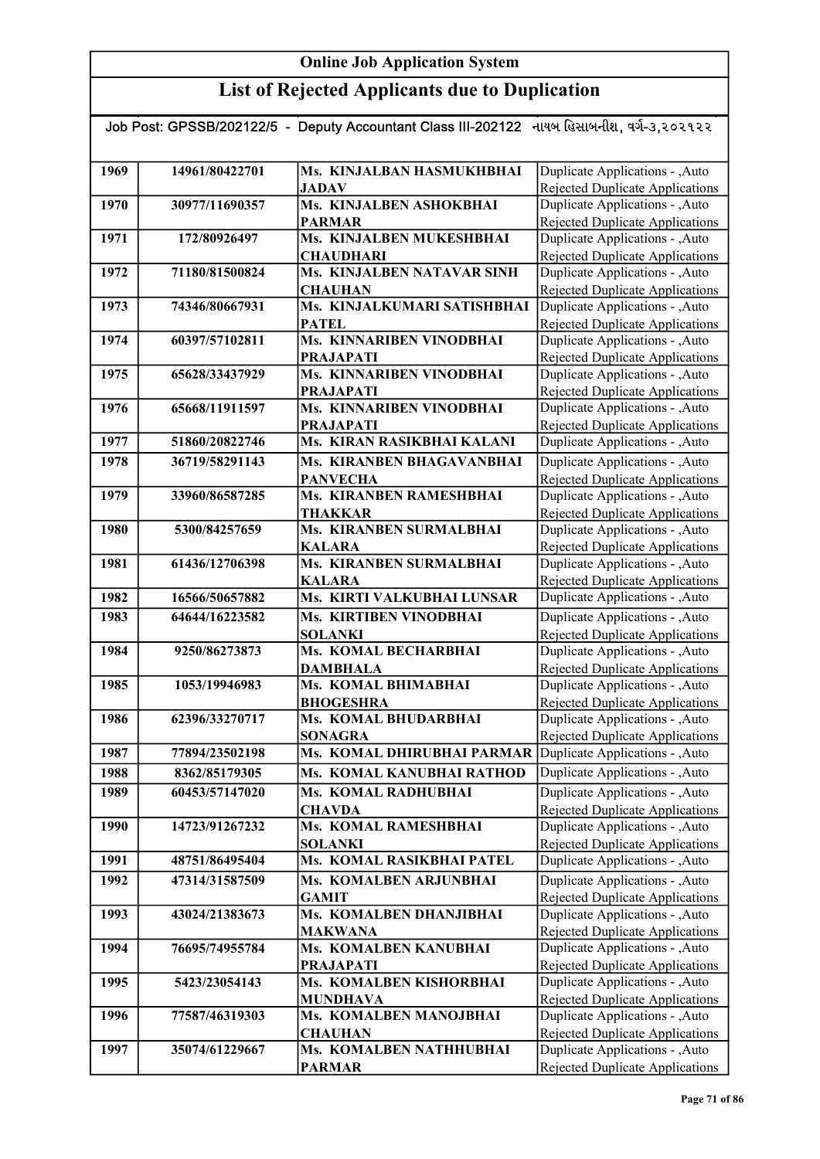| Job Post: GPSSB/202122/5 - Deputy Accountant Class III-202122 નાયબ હિસાબનીશ, વર્ગ-૩,૨૦૨૧૨૨ |                |                                              |                                                                    |  |
|--------------------------------------------------------------------------------------------|----------------|----------------------------------------------|--------------------------------------------------------------------|--|
|                                                                                            |                |                                              |                                                                    |  |
| 1969                                                                                       | 14961/80422701 | Ms. KINJALBAN HASMUKHBHAI                    | Duplicate Applications - , Auto                                    |  |
|                                                                                            |                | <b>JADAV</b>                                 | Rejected Duplicate Applications                                    |  |
| 1970                                                                                       | 30977/11690357 | Ms. KINJALBEN ASHOKBHAI                      | Duplicate Applications - , Auto                                    |  |
|                                                                                            |                | <b>PARMAR</b>                                | <b>Rejected Duplicate Applications</b>                             |  |
| 1971                                                                                       | 172/80926497   | Ms. KINJALBEN MUKESHBHAI                     | Duplicate Applications - , Auto                                    |  |
|                                                                                            |                | <b>CHAUDHARI</b>                             | Rejected Duplicate Applications                                    |  |
| 1972                                                                                       | 71180/81500824 | Ms. KINJALBEN NATAVAR SINH                   | Duplicate Applications - , Auto                                    |  |
|                                                                                            |                | <b>CHAUHAN</b>                               | Rejected Duplicate Applications                                    |  |
| 1973                                                                                       | 74346/80667931 | Ms. KINJALKUMARI SATISHBHAI                  | Duplicate Applications - ,Auto                                     |  |
|                                                                                            |                | <b>PATEL</b>                                 | <b>Rejected Duplicate Applications</b>                             |  |
| 1974                                                                                       | 60397/57102811 | Ms. KINNARIBEN VINODBHAI<br><b>PRAJAPATI</b> | Duplicate Applications - , Auto<br>Rejected Duplicate Applications |  |
| 1975                                                                                       | 65628/33437929 | Ms. KINNARIBEN VINODBHAI                     | Duplicate Applications - , Auto                                    |  |
|                                                                                            |                | <b>PRAJAPATI</b>                             | Rejected Duplicate Applications                                    |  |
| 1976                                                                                       | 65668/11911597 | Ms. KINNARIBEN VINODBHAI                     | Duplicate Applications - ,Auto                                     |  |
|                                                                                            |                | <b>PRAJAPATI</b>                             | <b>Rejected Duplicate Applications</b>                             |  |
| 1977                                                                                       | 51860/20822746 | Ms. KIRAN RASIKBHAI KALANI                   | Duplicate Applications - ,Auto                                     |  |
| 1978                                                                                       | 36719/58291143 | Ms. KIRANBEN BHAGAVANBHAI                    | Duplicate Applications - , Auto                                    |  |
|                                                                                            |                | <b>PANVECHA</b>                              | <b>Rejected Duplicate Applications</b>                             |  |
| 1979                                                                                       | 33960/86587285 | Ms. KIRANBEN RAMESHBHAI                      | Duplicate Applications - , Auto                                    |  |
|                                                                                            |                | <b>THAKKAR</b>                               | Rejected Duplicate Applications                                    |  |
| 1980                                                                                       | 5300/84257659  | Ms. KIRANBEN SURMALBHAI                      | Duplicate Applications - , Auto                                    |  |
|                                                                                            |                | <b>KALARA</b>                                | Rejected Duplicate Applications                                    |  |
| 1981                                                                                       | 61436/12706398 | Ms. KIRANBEN SURMALBHAI                      | Duplicate Applications - , Auto                                    |  |
|                                                                                            |                | <b>KALARA</b>                                | Rejected Duplicate Applications                                    |  |
| 1982                                                                                       | 16566/50657882 | Ms. KIRTI VALKUBHAI LUNSAR                   | Duplicate Applications - ,Auto                                     |  |
| 1983                                                                                       | 64644/16223582 | Ms. KIRTIBEN VINODBHAI<br><b>SOLANKI</b>     | Duplicate Applications - , Auto                                    |  |
| 1984                                                                                       | 9250/86273873  | Ms. KOMAL BECHARBHAI                         | Rejected Duplicate Applications<br>Duplicate Applications - , Auto |  |
|                                                                                            |                | <b>DAMBHALA</b>                              | <b>Rejected Duplicate Applications</b>                             |  |
| 1985                                                                                       | 1053/19946983  | Ms. KOMAL BHIMABHAI                          | Duplicate Applications - , Auto                                    |  |
|                                                                                            |                | <b>BHOGESHRA</b>                             | Rejected Duplicate Applications                                    |  |
| 1986                                                                                       | 62396/33270717 | Ms. KOMAL BHUDARBHAI                         | Duplicate Applications - , Auto                                    |  |
|                                                                                            |                | <b>SONAGRA</b>                               | Rejected Duplicate Applications                                    |  |
| 1987                                                                                       | 77894/23502198 | Ms. KOMAL DHIRUBHAI PARMAR                   | Duplicate Applications - , Auto                                    |  |
| 1988                                                                                       | 8362/85179305  | Ms. KOMAL KANUBHAI RATHOD                    | Duplicate Applications - , Auto                                    |  |
| 1989                                                                                       | 60453/57147020 | Ms. KOMAL RADHUBHAI                          | Duplicate Applications - , Auto                                    |  |
|                                                                                            |                | <b>CHAVDA</b>                                | Rejected Duplicate Applications                                    |  |
| 1990                                                                                       | 14723/91267232 | Ms. KOMAL RAMESHBHAI                         | Duplicate Applications - , Auto                                    |  |
|                                                                                            |                | <b>SOLANKI</b>                               | Rejected Duplicate Applications                                    |  |
| 1991                                                                                       | 48751/86495404 | Ms. KOMAL RASIKBHAI PATEL                    | Duplicate Applications - , Auto                                    |  |
| 1992                                                                                       | 47314/31587509 | Ms. KOMALBEN ARJUNBHAI                       | Duplicate Applications - , Auto                                    |  |
|                                                                                            |                | <b>GAMIT</b>                                 | Rejected Duplicate Applications                                    |  |
| 1993                                                                                       | 43024/21383673 | Ms. KOMALBEN DHANJIBHAI                      | Duplicate Applications - , Auto                                    |  |
| 1994                                                                                       | 76695/74955784 | <b>MAKWANA</b><br>Ms. KOMALBEN KANUBHAI      | Rejected Duplicate Applications<br>Duplicate Applications - , Auto |  |
|                                                                                            |                | <b>PRAJAPATI</b>                             | Rejected Duplicate Applications                                    |  |
| 1995                                                                                       | 5423/23054143  | Ms. KOMALBEN KISHORBHAI                      | Duplicate Applications - , Auto                                    |  |
|                                                                                            |                | <b>MUNDHAVA</b>                              | <b>Rejected Duplicate Applications</b>                             |  |
| 1996                                                                                       | 77587/46319303 | Ms. KOMALBEN MANOJBHAI                       | Duplicate Applications - , Auto                                    |  |
|                                                                                            |                | <b>CHAUHAN</b>                               | Rejected Duplicate Applications                                    |  |
| 1997                                                                                       | 35074/61229667 | Ms. KOMALBEN NATHHUBHAI                      | Duplicate Applications - , Auto                                    |  |
|                                                                                            |                | <b>PARMAR</b>                                | Rejected Duplicate Applications                                    |  |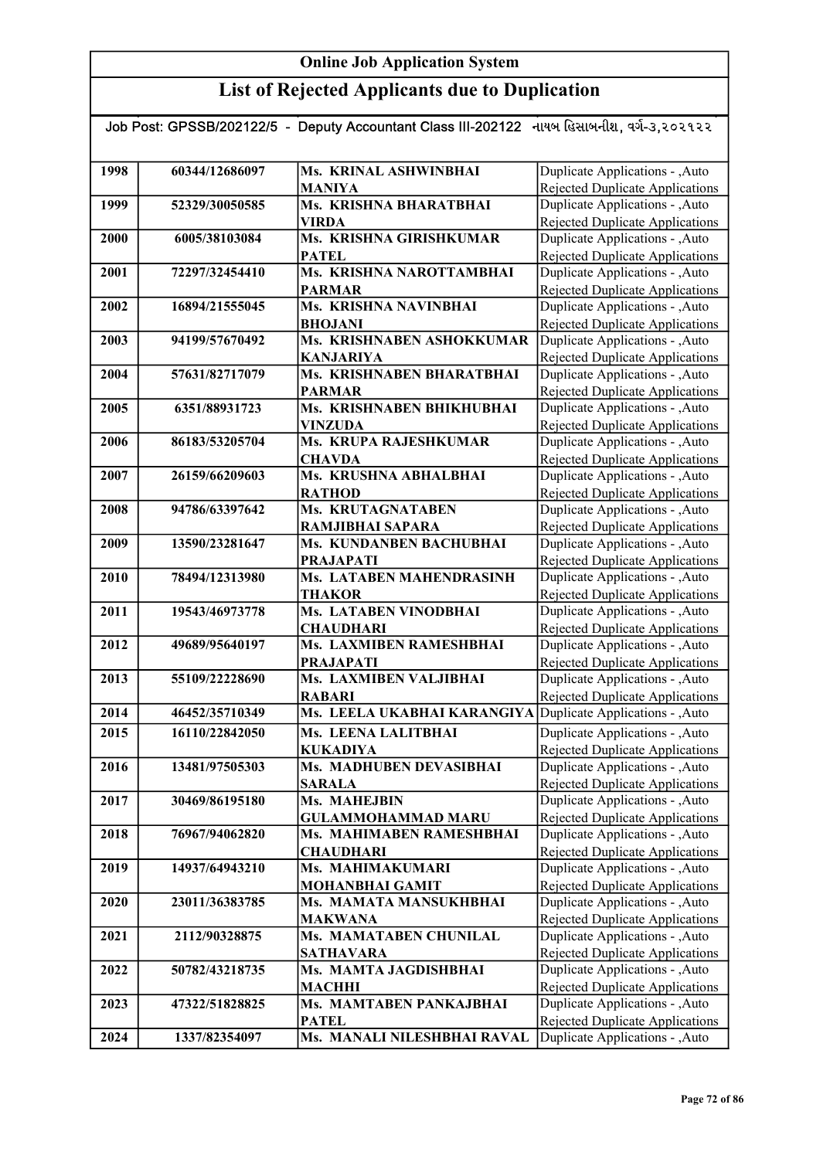# List of Rejected Applicants due to Duplication

| Job Post: GPSSB/202122/5 - Deputy Accountant Class III-202122 નાયબ હિસાબનીશ, વર્ગ-૩,૨૦૨૧૨૨ |                |                                                     |                                                                    |  |
|--------------------------------------------------------------------------------------------|----------------|-----------------------------------------------------|--------------------------------------------------------------------|--|
|                                                                                            |                |                                                     |                                                                    |  |
| 1998                                                                                       | 60344/12686097 | <b>Ms. KRINAL ASHWINBHAI</b>                        | Duplicate Applications - , Auto                                    |  |
|                                                                                            |                | <b>MANIYA</b>                                       | Rejected Duplicate Applications                                    |  |
| 1999                                                                                       | 52329/30050585 | Ms. KRISHNA BHARATBHAI                              | Duplicate Applications - , Auto                                    |  |
|                                                                                            |                | <b>VIRDA</b>                                        | <b>Rejected Duplicate Applications</b>                             |  |
| 2000                                                                                       | 6005/38103084  | Ms. KRISHNA GIRISHKUMAR                             | Duplicate Applications - , Auto                                    |  |
|                                                                                            |                | <b>PATEL</b>                                        | Rejected Duplicate Applications                                    |  |
| 2001                                                                                       | 72297/32454410 | Ms. KRISHNA NAROTTAMBHAI                            | Duplicate Applications - , Auto                                    |  |
|                                                                                            |                | <b>PARMAR</b>                                       | Rejected Duplicate Applications                                    |  |
| 2002                                                                                       | 16894/21555045 | Ms. KRISHNA NAVINBHAI                               | Duplicate Applications - , Auto                                    |  |
|                                                                                            |                | <b>BHOJANI</b>                                      | <b>Rejected Duplicate Applications</b>                             |  |
| 2003                                                                                       | 94199/57670492 | Ms. KRISHNABEN ASHOKKUMAR                           | Duplicate Applications - , Auto                                    |  |
|                                                                                            |                | <b>KANJARIYA</b>                                    | <b>Rejected Duplicate Applications</b>                             |  |
| 2004                                                                                       | 57631/82717079 | Ms. KRISHNABEN BHARATBHAI                           | Duplicate Applications - , Auto                                    |  |
|                                                                                            |                | <b>PARMAR</b>                                       | <b>Rejected Duplicate Applications</b>                             |  |
| 2005                                                                                       | 6351/88931723  | Ms. KRISHNABEN BHIKHUBHAI                           | Duplicate Applications - , Auto                                    |  |
|                                                                                            |                | <b>VINZUDA</b>                                      | Rejected Duplicate Applications                                    |  |
| 2006                                                                                       | 86183/53205704 | Ms. KRUPA RAJESHKUMAR                               | Duplicate Applications - , Auto                                    |  |
|                                                                                            |                | <b>CHAVDA</b>                                       | Rejected Duplicate Applications                                    |  |
| 2007                                                                                       | 26159/66209603 | Ms. KRUSHNA ABHALBHAI                               | Duplicate Applications - ,Auto                                     |  |
|                                                                                            |                | <b>RATHOD</b><br>Ms. KRUTAGNATABEN                  | <b>Rejected Duplicate Applications</b>                             |  |
| 2008                                                                                       | 94786/63397642 |                                                     | Duplicate Applications - , Auto                                    |  |
| 2009                                                                                       |                | RAMJIBHAI SAPARA<br>Ms. KUNDANBEN BACHUBHAI         | Rejected Duplicate Applications<br>Duplicate Applications - ,Auto  |  |
|                                                                                            | 13590/23281647 |                                                     |                                                                    |  |
| 2010                                                                                       | 78494/12313980 | <b>PRAJAPATI</b><br><b>Ms. LATABEN MAHENDRASINH</b> | Rejected Duplicate Applications<br>Duplicate Applications - , Auto |  |
|                                                                                            |                | <b>THAKOR</b>                                       | Rejected Duplicate Applications                                    |  |
| 2011                                                                                       | 19543/46973778 | <b>Ms. LATABEN VINODBHAI</b>                        | Duplicate Applications - , Auto                                    |  |
|                                                                                            |                | <b>CHAUDHARI</b>                                    | Rejected Duplicate Applications                                    |  |
| 2012                                                                                       | 49689/95640197 | Ms. LAXMIBEN RAMESHBHAI                             | Duplicate Applications - , Auto                                    |  |
|                                                                                            |                | <b>PRAJAPATI</b>                                    | <b>Rejected Duplicate Applications</b>                             |  |
| 2013                                                                                       | 55109/22228690 | Ms. LAXMIBEN VALJIBHAI                              | Duplicate Applications - , Auto                                    |  |
|                                                                                            |                | <b>RABARI</b>                                       | <b>Rejected Duplicate Applications</b>                             |  |
| 2014                                                                                       | 46452/35710349 | Ms. LEELA UKABHAI KARANGIYA                         | Duplicate Applications - ,Auto                                     |  |
| 2015                                                                                       | 16110/22842050 | Ms. LEENA LALITBHAI                                 | Duplicate Applications - , Auto                                    |  |
|                                                                                            |                | <b>KUKADIYA</b>                                     | Rejected Duplicate Applications                                    |  |
| 2016                                                                                       | 13481/97505303 | Ms. MADHUBEN DEVASIBHAI                             | Duplicate Applications - ,Auto                                     |  |
|                                                                                            |                | <b>SARALA</b>                                       | <b>Rejected Duplicate Applications</b>                             |  |
| 2017                                                                                       | 30469/86195180 | Ms. MAHEJBIN                                        | Duplicate Applications - , Auto                                    |  |
|                                                                                            |                | <b>GULAMMOHAMMAD MARU</b>                           | Rejected Duplicate Applications                                    |  |
| 2018                                                                                       | 76967/94062820 | Ms. MAHIMABEN RAMESHBHAI                            | Duplicate Applications - , Auto                                    |  |
|                                                                                            |                | <b>CHAUDHARI</b>                                    | <b>Rejected Duplicate Applications</b>                             |  |
| 2019                                                                                       | 14937/64943210 | Ms. MAHIMAKUMARI                                    | Duplicate Applications - , Auto                                    |  |
|                                                                                            |                | <b>MOHANBHAI GAMIT</b>                              | Rejected Duplicate Applications                                    |  |
| 2020                                                                                       | 23011/36383785 | Ms. MAMATA MANSUKHBHAI                              | Duplicate Applications - ,Auto                                     |  |
|                                                                                            |                | <b>MAKWANA</b>                                      | Rejected Duplicate Applications                                    |  |
| 2021                                                                                       | 2112/90328875  | Ms. MAMATABEN CHUNILAL                              | Duplicate Applications - , Auto                                    |  |
|                                                                                            |                | <b>SATHAVARA</b>                                    | Rejected Duplicate Applications                                    |  |
| 2022                                                                                       | 50782/43218735 | Ms. MAMTA JAGDISHBHAI                               | Duplicate Applications - , Auto                                    |  |
|                                                                                            |                | <b>MACHHI</b>                                       | Rejected Duplicate Applications                                    |  |
| 2023                                                                                       | 47322/51828825 | Ms. MAMTABEN PANKAJBHAI                             | Duplicate Applications - , Auto                                    |  |
|                                                                                            |                | <b>PATEL</b>                                        | Rejected Duplicate Applications                                    |  |
| 2024                                                                                       | 1337/82354097  | Ms. MANALI NILESHBHAI RAVAL                         | Duplicate Applications - , Auto                                    |  |

Rejected Duplicate Applications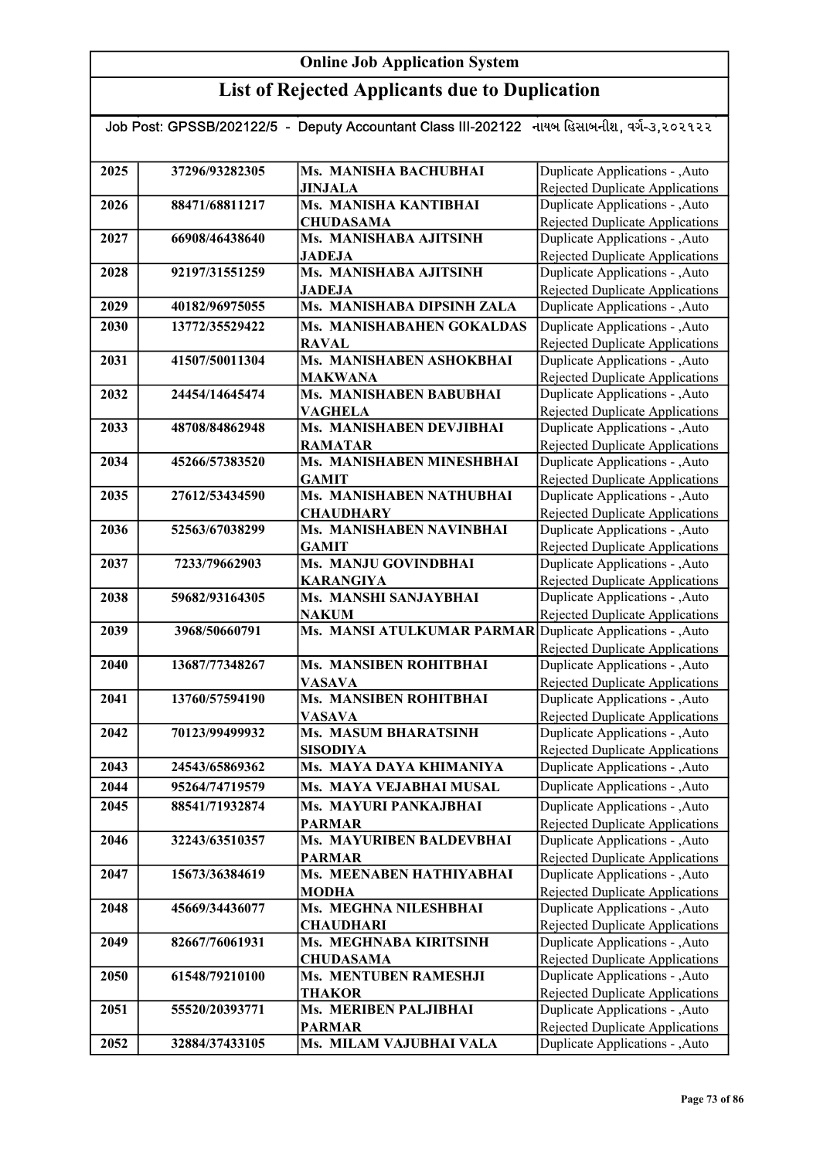## List of Rejected Applicants due to Duplication

| Job Post: GPSSB/202122/5 - Deputy Accountant Class III-202122 નાયબ હિસાબનીશ, વર્ગ-૩,૨૦૨૧૨૨ |                |                                                            |                                        |  |
|--------------------------------------------------------------------------------------------|----------------|------------------------------------------------------------|----------------------------------------|--|
|                                                                                            |                |                                                            |                                        |  |
| 2025                                                                                       | 37296/93282305 | Ms. MANISHA BACHUBHAI                                      | Duplicate Applications - , Auto        |  |
|                                                                                            |                | <b>JINJALA</b>                                             | Rejected Duplicate Applications        |  |
| 2026                                                                                       | 88471/68811217 | Ms. MANISHA KANTIBHAI                                      | Duplicate Applications - , Auto        |  |
|                                                                                            |                | <b>CHUDASAMA</b>                                           | <b>Rejected Duplicate Applications</b> |  |
| 2027                                                                                       | 66908/46438640 | Ms. MANISHABA AJITSINH                                     | Duplicate Applications - , Auto        |  |
|                                                                                            |                | <b>JADEJA</b>                                              | Rejected Duplicate Applications        |  |
| 2028                                                                                       | 92197/31551259 | Ms. MANISHABA AJITSINH                                     | Duplicate Applications - , Auto        |  |
|                                                                                            |                | <b>JADEJA</b>                                              | <b>Rejected Duplicate Applications</b> |  |
| 2029                                                                                       | 40182/96975055 | Ms. MANISHABA DIPSINH ZALA                                 | Duplicate Applications - , Auto        |  |
| 2030                                                                                       | 13772/35529422 | Ms. MANISHABAHEN GOKALDAS                                  | Duplicate Applications - , Auto        |  |
|                                                                                            |                | <b>RAVAL</b>                                               | Rejected Duplicate Applications        |  |
| 2031                                                                                       | 41507/50011304 | Ms. MANISHABEN ASHOKBHAI                                   | Duplicate Applications - , Auto        |  |
|                                                                                            |                | <b>MAKWANA</b>                                             | <b>Rejected Duplicate Applications</b> |  |
| 2032                                                                                       | 24454/14645474 | Ms. MANISHABEN BABUBHAI                                    | Duplicate Applications - , Auto        |  |
|                                                                                            |                | <b>VAGHELA</b>                                             | Rejected Duplicate Applications        |  |
| 2033                                                                                       | 48708/84862948 | Ms. MANISHABEN DEVJIBHAI                                   | Duplicate Applications - , Auto        |  |
|                                                                                            |                | <b>RAMATAR</b>                                             | <b>Rejected Duplicate Applications</b> |  |
| 2034                                                                                       | 45266/57383520 | Ms. MANISHABEN MINESHBHAI                                  | Duplicate Applications - , Auto        |  |
|                                                                                            |                | <b>GAMIT</b>                                               | Rejected Duplicate Applications        |  |
| 2035                                                                                       | 27612/53434590 | Ms. MANISHABEN NATHUBHAI                                   | Duplicate Applications - , Auto        |  |
|                                                                                            |                | <b>CHAUDHARY</b>                                           | <b>Rejected Duplicate Applications</b> |  |
| 2036                                                                                       | 52563/67038299 | Ms. MANISHABEN NAVINBHAI                                   | Duplicate Applications - , Auto        |  |
|                                                                                            |                | <b>GAMIT</b>                                               | Rejected Duplicate Applications        |  |
| 2037                                                                                       | 7233/79662903  | Ms. MANJU GOVINDBHAI                                       | Duplicate Applications - , Auto        |  |
|                                                                                            |                | <b>KARANGIYA</b>                                           | <b>Rejected Duplicate Applications</b> |  |
| 2038                                                                                       | 59682/93164305 | Ms. MANSHI SANJAYBHAI                                      | Duplicate Applications - , Auto        |  |
|                                                                                            |                | <b>NAKUM</b>                                               | Rejected Duplicate Applications        |  |
| 2039                                                                                       | 3968/50660791  | Ms. MANSI ATULKUMAR PARMAR Duplicate Applications - , Auto | Rejected Duplicate Applications        |  |
| 2040                                                                                       | 13687/77348267 | Ms. MANSIBEN ROHITBHAI                                     | Duplicate Applications - , Auto        |  |
|                                                                                            |                | <b>VASAVA</b>                                              | Rejected Duplicate Applications        |  |
| 2041                                                                                       | 13760/57594190 | Ms. MANSIBEN ROHITBHAI                                     | Duplicate Applications - , Auto        |  |
|                                                                                            |                | <b>VASAVA</b>                                              | <b>Rejected Duplicate Applications</b> |  |
| 2042                                                                                       | 70123/99499932 | Ms. MASUM BHARATSINH                                       | Duplicate Applications - , Auto        |  |
|                                                                                            |                | <b>SISODIYA</b>                                            | Rejected Duplicate Applications        |  |
| 2043                                                                                       | 24543/65869362 | Ms. MAYA DAYA KHIMANIYA                                    | Duplicate Applications - ,Auto         |  |
| 2044                                                                                       | 95264/74719579 | Ms. MAYA VEJABHAI MUSAL                                    | Duplicate Applications - , Auto        |  |
| 2045                                                                                       | 88541/71932874 | Ms. MAYURI PANKAJBHAI                                      | Duplicate Applications - , Auto        |  |
|                                                                                            |                | <b>PARMAR</b>                                              | Rejected Duplicate Applications        |  |
| 2046                                                                                       | 32243/63510357 | Ms. MAYURIBEN BALDEVBHAI                                   | Duplicate Applications - , Auto        |  |
|                                                                                            |                | <b>PARMAR</b>                                              | Rejected Duplicate Applications        |  |
| 2047                                                                                       | 15673/36384619 | Ms. MEENABEN HATHIYABHAI                                   | Duplicate Applications - , Auto        |  |
|                                                                                            |                | <b>MODHA</b>                                               | <b>Rejected Duplicate Applications</b> |  |
| 2048                                                                                       | 45669/34436077 | Ms. MEGHNA NILESHBHAI                                      | Duplicate Applications - , Auto        |  |
|                                                                                            |                | <b>CHAUDHARI</b>                                           | <b>Rejected Duplicate Applications</b> |  |
| 2049                                                                                       | 82667/76061931 | Ms. MEGHNABA KIRITSINH                                     | Duplicate Applications - , Auto        |  |
|                                                                                            |                | <b>CHUDASAMA</b>                                           | <b>Rejected Duplicate Applications</b> |  |
| 2050                                                                                       | 61548/79210100 | Ms. MENTUBEN RAMESHJI                                      | Duplicate Applications - , Auto        |  |
|                                                                                            |                | <b>THAKOR</b>                                              | Rejected Duplicate Applications        |  |
| 2051                                                                                       | 55520/20393771 | Ms. MERIBEN PALJIBHAI                                      | Duplicate Applications - , Auto        |  |
|                                                                                            |                | <b>PARMAR</b>                                              | Rejected Duplicate Applications        |  |
| 2052                                                                                       | 32884/37433105 | Ms. MILAM VAJUBHAI VALA                                    | Duplicate Applications - , Auto        |  |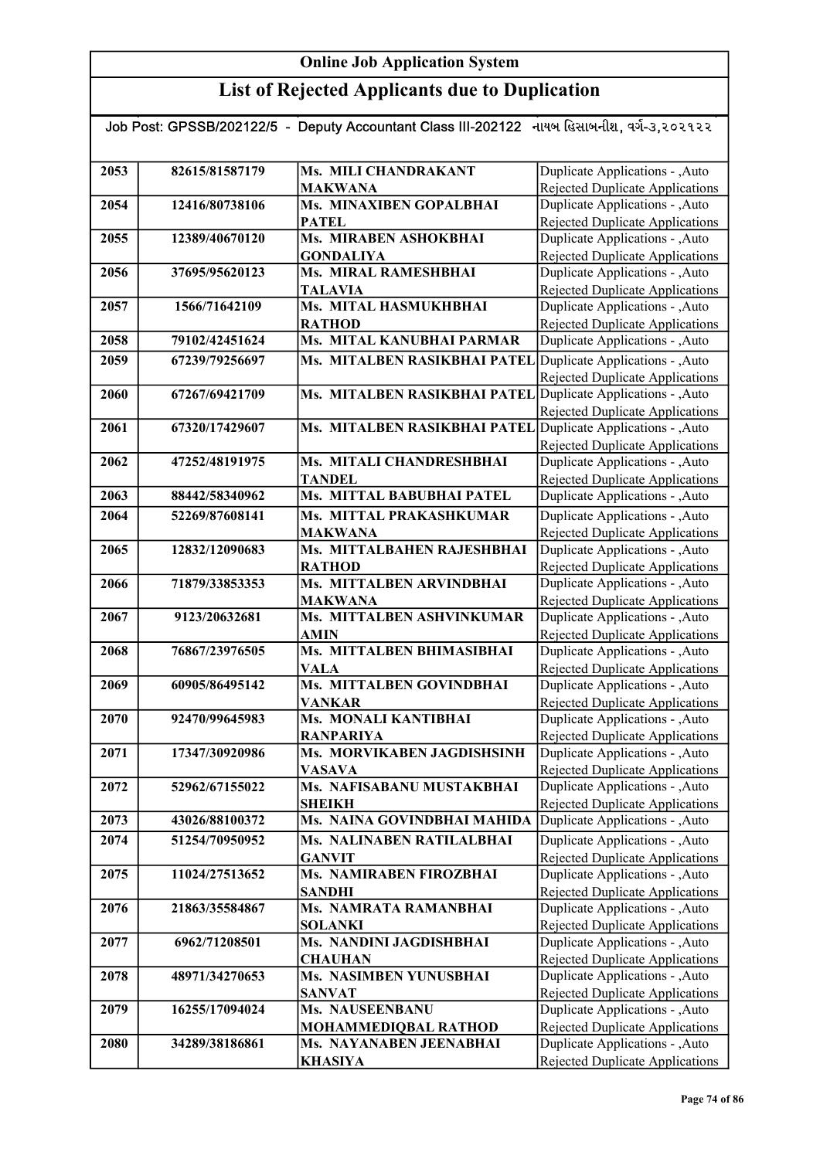| Job Post: GPSSB/202122/5  -  Deputy Accountant Class III-202122   નાયબ હિસાબનીશ, વર્ગ-૩,૨૦૨૧૨૨ |                |                                                              |                                                                    |  |
|------------------------------------------------------------------------------------------------|----------------|--------------------------------------------------------------|--------------------------------------------------------------------|--|
|                                                                                                |                |                                                              |                                                                    |  |
| 2053                                                                                           | 82615/81587179 | Ms. MILI CHANDRAKANT<br><b>MAKWANA</b>                       | Duplicate Applications - , Auto<br>Rejected Duplicate Applications |  |
| 2054                                                                                           | 12416/80738106 | Ms. MINAXIBEN GOPALBHAI                                      | Duplicate Applications - , Auto                                    |  |
|                                                                                                |                | <b>PATEL</b>                                                 | Rejected Duplicate Applications                                    |  |
| 2055                                                                                           | 12389/40670120 | Ms. MIRABEN ASHOKBHAI                                        | Duplicate Applications - , Auto                                    |  |
|                                                                                                |                | <b>GONDALIYA</b>                                             | <b>Rejected Duplicate Applications</b>                             |  |
| 2056                                                                                           | 37695/95620123 | Ms. MIRAL RAMESHBHAI                                         | Duplicate Applications - , Auto                                    |  |
|                                                                                                |                | <b>TALAVIA</b>                                               | Rejected Duplicate Applications                                    |  |
| 2057                                                                                           | 1566/71642109  | Ms. MITAL HASMUKHBHAI                                        | Duplicate Applications - , Auto                                    |  |
|                                                                                                |                | <b>RATHOD</b>                                                | <b>Rejected Duplicate Applications</b>                             |  |
| 2058                                                                                           | 79102/42451624 | Ms. MITAL KANUBHAI PARMAR                                    | Duplicate Applications - , Auto                                    |  |
| 2059                                                                                           | 67239/79256697 | Ms. MITALBEN RASIKBHAI PATEL Duplicate Applications - , Auto | Rejected Duplicate Applications                                    |  |
| 2060                                                                                           | 67267/69421709 | Ms. MITALBEN RASIKBHAI PATEL                                 | Duplicate Applications - , Auto                                    |  |
|                                                                                                |                |                                                              | Rejected Duplicate Applications                                    |  |
| 2061                                                                                           | 67320/17429607 | Ms. MITALBEN RASIKBHAI PATEL                                 | Duplicate Applications - , Auto                                    |  |
|                                                                                                |                |                                                              | Rejected Duplicate Applications                                    |  |
| 2062                                                                                           | 47252/48191975 | Ms. MITALI CHANDRESHBHAI                                     | Duplicate Applications - , Auto                                    |  |
|                                                                                                |                | <b>TANDEL</b>                                                | Rejected Duplicate Applications                                    |  |
| 2063                                                                                           | 88442/58340962 | Ms. MITTAL BABUBHAI PATEL                                    | Duplicate Applications - , Auto                                    |  |
| 2064                                                                                           | 52269/87608141 | Ms. MITTAL PRAKASHKUMAR                                      | Duplicate Applications - , Auto                                    |  |
|                                                                                                |                | <b>MAKWANA</b>                                               | Rejected Duplicate Applications                                    |  |
| 2065                                                                                           | 12832/12090683 | Ms. MITTALBAHEN RAJESHBHAI                                   | Duplicate Applications - , Auto                                    |  |
| 2066                                                                                           | 71879/33853353 | <b>RATHOD</b><br>Ms. MITTALBEN ARVINDBHAI                    | Rejected Duplicate Applications<br>Duplicate Applications - , Auto |  |
|                                                                                                |                | <b>MAKWANA</b>                                               | Rejected Duplicate Applications                                    |  |
| 2067                                                                                           | 9123/20632681  | Ms. MITTALBEN ASHVINKUMAR                                    | Duplicate Applications - ,Auto                                     |  |
|                                                                                                |                | <b>AMIN</b>                                                  | Rejected Duplicate Applications                                    |  |
| 2068                                                                                           | 76867/23976505 | Ms. MITTALBEN BHIMASIBHAI                                    | Duplicate Applications - , Auto                                    |  |
|                                                                                                |                | <b>VALA</b>                                                  | Rejected Duplicate Applications                                    |  |
| 2069                                                                                           | 60905/86495142 | Ms. MITTALBEN GOVINDBHAI                                     | Duplicate Applications - , Auto                                    |  |
|                                                                                                |                | <b>VANKAR</b>                                                | <b>Rejected Duplicate Applications</b>                             |  |
| 2070                                                                                           | 92470/99645983 | Ms. MONALI KANTIBHAI                                         | Duplicate Applications - , Auto                                    |  |
|                                                                                                |                | <b>RANPARIYA</b>                                             | Rejected Duplicate Applications                                    |  |
| 2071                                                                                           | 17347/30920986 | Ms. MORVIKABEN JAGDISHSINH                                   | Duplicate Applications - , Auto                                    |  |
|                                                                                                |                | <b>VASAVA</b><br>Ms. NAFISABANU MUSTAKBHAI                   | Rejected Duplicate Applications                                    |  |
| 2072                                                                                           | 52962/67155022 | <b>SHEIKH</b>                                                | Duplicate Applications - , Auto<br>Rejected Duplicate Applications |  |
| 2073                                                                                           | 43026/88100372 | Ms. NAINA GOVINDBHAI MAHIDA                                  | Duplicate Applications - , Auto                                    |  |
| 2074                                                                                           | 51254/70950952 | Ms. NALINABEN RATILALBHAI                                    | Duplicate Applications - ,Auto                                     |  |
|                                                                                                |                | <b>GANVIT</b>                                                | Rejected Duplicate Applications                                    |  |
| 2075                                                                                           | 11024/27513652 | Ms. NAMIRABEN FIROZBHAI                                      | Duplicate Applications - , Auto                                    |  |
|                                                                                                |                | <b>SANDHI</b>                                                | Rejected Duplicate Applications                                    |  |
| 2076                                                                                           | 21863/35584867 | Ms. NAMRATA RAMANBHAI                                        | Duplicate Applications - , Auto                                    |  |
|                                                                                                |                | <b>SOLANKI</b>                                               | Rejected Duplicate Applications                                    |  |
| 2077                                                                                           | 6962/71208501  | Ms. NANDINI JAGDISHBHAI                                      | Duplicate Applications - , Auto                                    |  |
|                                                                                                |                | <b>CHAUHAN</b>                                               | Rejected Duplicate Applications                                    |  |
| 2078                                                                                           | 48971/34270653 | Ms. NASIMBEN YUNUSBHAI<br><b>SANVAT</b>                      | Duplicate Applications - , Auto                                    |  |
| 2079                                                                                           | 16255/17094024 | Ms. NAUSEENBANU                                              | Rejected Duplicate Applications<br>Duplicate Applications - , Auto |  |
|                                                                                                |                | MOHAMMEDIQBAL RATHOD                                         | <b>Rejected Duplicate Applications</b>                             |  |
| 2080                                                                                           | 34289/38186861 | Ms. NAYANABEN JEENABHAI                                      | Duplicate Applications - , Auto                                    |  |
|                                                                                                |                | <b>KHASIYA</b>                                               | Rejected Duplicate Applications                                    |  |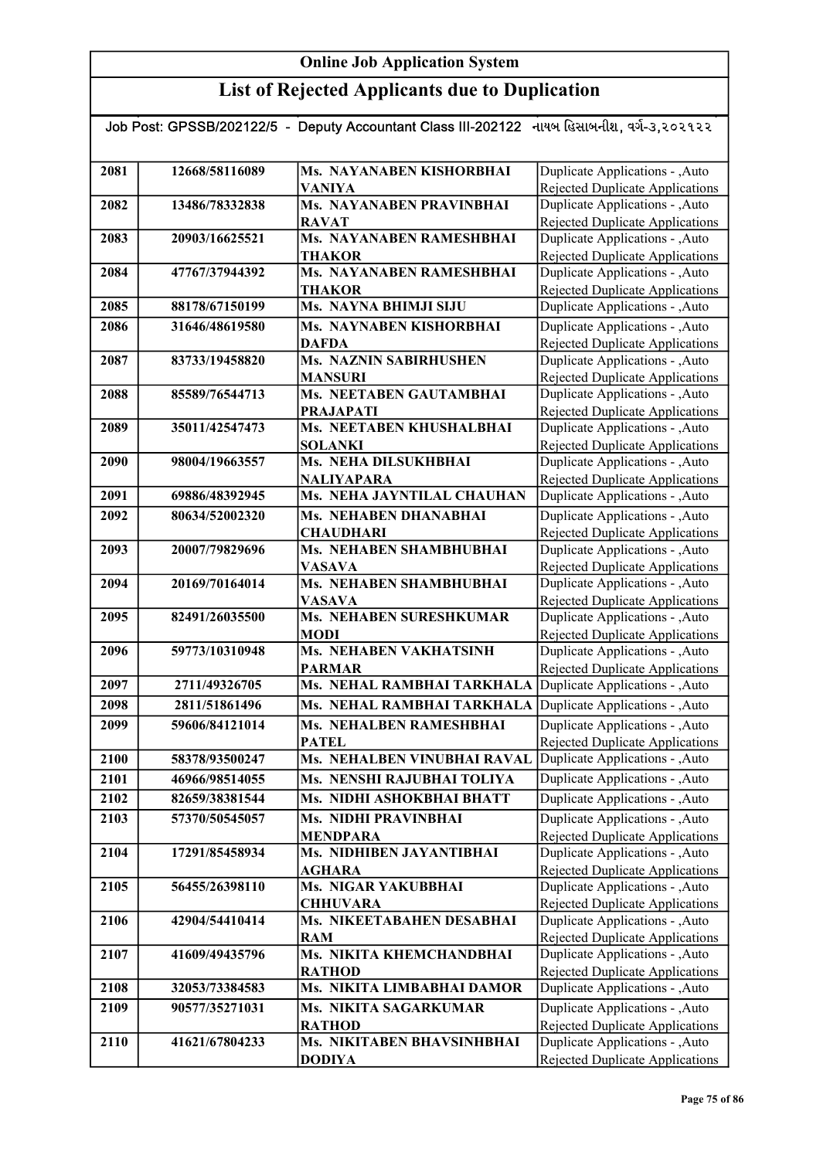| Job Post: GPSSB/202122/5 - Deputy Accountant Class III-202122 નાયબ હિસાબનીશ, વર્ગ-૩,૨૦૨૧૨૨ |                |                                                |                                                                           |  |
|--------------------------------------------------------------------------------------------|----------------|------------------------------------------------|---------------------------------------------------------------------------|--|
|                                                                                            |                |                                                |                                                                           |  |
| 2081                                                                                       | 12668/58116089 | Ms. NAYANABEN KISHORBHAI                       | Duplicate Applications - , Auto                                           |  |
|                                                                                            |                | <b>VANIYA</b>                                  | <b>Rejected Duplicate Applications</b>                                    |  |
| 2082                                                                                       | 13486/78332838 | <b>Ms. NAYANABEN PRAVINBHAI</b>                | Duplicate Applications - , Auto                                           |  |
|                                                                                            |                | <b>RAVAT</b>                                   | <b>Rejected Duplicate Applications</b>                                    |  |
| 2083                                                                                       | 20903/16625521 | Ms. NAYANABEN RAMESHBHAI                       | Duplicate Applications - , Auto                                           |  |
|                                                                                            |                | <b>THAKOR</b>                                  | <b>Rejected Duplicate Applications</b>                                    |  |
| 2084                                                                                       | 47767/37944392 | Ms. NAYANABEN RAMESHBHAI                       | Duplicate Applications - , Auto                                           |  |
|                                                                                            |                | <b>THAKOR</b>                                  | <b>Rejected Duplicate Applications</b>                                    |  |
| 2085                                                                                       | 88178/67150199 | Ms. NAYNA BHIMJI SIJU                          | Duplicate Applications - , Auto                                           |  |
| 2086                                                                                       | 31646/48619580 | Ms. NAYNABEN KISHORBHAI                        | Duplicate Applications - , Auto                                           |  |
|                                                                                            |                | <b>DAFDA</b>                                   | <b>Rejected Duplicate Applications</b>                                    |  |
| 2087                                                                                       | 83733/19458820 | Ms. NAZNIN SABIRHUSHEN                         | Duplicate Applications - , Auto                                           |  |
| 2088                                                                                       | 85589/76544713 | <b>MANSURI</b><br>Ms. NEETABEN GAUTAMBHAI      | <b>Rejected Duplicate Applications</b><br>Duplicate Applications - ,Auto  |  |
|                                                                                            |                | <b>PRAJAPATI</b>                               | <b>Rejected Duplicate Applications</b>                                    |  |
| 2089                                                                                       | 35011/42547473 | Ms. NEETABEN KHUSHALBHAI                       | Duplicate Applications - , Auto                                           |  |
|                                                                                            |                | <b>SOLANKI</b>                                 | Rejected Duplicate Applications                                           |  |
| 2090                                                                                       | 98004/19663557 | Ms. NEHA DILSUKHBHAI                           | Duplicate Applications - , Auto                                           |  |
|                                                                                            |                | <b>NALIYAPARA</b>                              | <b>Rejected Duplicate Applications</b>                                    |  |
| 2091                                                                                       | 69886/48392945 | Ms. NEHA JAYNTILAL CHAUHAN                     | Duplicate Applications - , Auto                                           |  |
| 2092                                                                                       | 80634/52002320 | <b>Ms. NEHABEN DHANABHAI</b>                   | Duplicate Applications - , Auto                                           |  |
|                                                                                            |                | <b>CHAUDHARI</b>                               | <b>Rejected Duplicate Applications</b>                                    |  |
| 2093                                                                                       | 20007/79829696 | Ms. NEHABEN SHAMBHUBHAI                        | Duplicate Applications - , Auto                                           |  |
|                                                                                            |                | <b>VASAVA</b>                                  | <b>Rejected Duplicate Applications</b>                                    |  |
| 2094                                                                                       | 20169/70164014 | Ms. NEHABEN SHAMBHUBHAI                        | Duplicate Applications - , Auto                                           |  |
|                                                                                            |                | <b>VASAVA</b>                                  | <b>Rejected Duplicate Applications</b>                                    |  |
| 2095                                                                                       | 82491/26035500 | <b>Ms. NEHABEN SURESHKUMAR</b>                 | Duplicate Applications - , Auto                                           |  |
|                                                                                            |                | <b>MODI</b>                                    | <b>Rejected Duplicate Applications</b>                                    |  |
| 2096                                                                                       | 59773/10310948 | <b>Ms. NEHABEN VAKHATSINH</b><br><b>PARMAR</b> | Duplicate Applications - , Auto                                           |  |
| 2097                                                                                       | 2711/49326705  | Ms. NEHAL RAMBHAI TARKHALA                     | <b>Rejected Duplicate Applications</b><br>Duplicate Applications - , Auto |  |
| 2098                                                                                       | 2811/51861496  | Ms. NEHAL RAMBHAI TARKHALA                     | Duplicate Applications - , Auto                                           |  |
| 2099                                                                                       | 59606/84121014 | Ms. NEHALBEN RAMESHBHAI                        | Duplicate Applications - , Auto                                           |  |
|                                                                                            |                | <b>PATEL</b>                                   | Rejected Duplicate Applications                                           |  |
| 2100                                                                                       | 58378/93500247 | Ms. NEHALBEN VINUBHAI RAVAL                    | Duplicate Applications - , Auto                                           |  |
| 2101                                                                                       | 46966/98514055 | Ms. NENSHI RAJUBHAI TOLIYA                     | Duplicate Applications - , Auto                                           |  |
| 2102                                                                                       | 82659/38381544 | Ms. NIDHI ASHOKBHAI BHATT                      | Duplicate Applications - , Auto                                           |  |
|                                                                                            |                |                                                |                                                                           |  |
| 2103                                                                                       | 57370/50545057 | <b>Ms. NIDHI PRAVINBHAI</b><br><b>MENDPARA</b> | Duplicate Applications - , Auto<br><b>Rejected Duplicate Applications</b> |  |
| 2104                                                                                       | 17291/85458934 | Ms. NIDHIBEN JAYANTIBHAI                       | Duplicate Applications - , Auto                                           |  |
|                                                                                            |                | <b>AGHARA</b>                                  | Rejected Duplicate Applications                                           |  |
| 2105                                                                                       | 56455/26398110 | <b>Ms. NIGAR YAKUBBHAI</b>                     | Duplicate Applications - , Auto                                           |  |
|                                                                                            |                | <b>CHHUVARA</b>                                | Rejected Duplicate Applications                                           |  |
| 2106                                                                                       | 42904/54410414 | Ms. NIKEETABAHEN DESABHAI                      | Duplicate Applications - , Auto                                           |  |
|                                                                                            |                | <b>RAM</b>                                     | Rejected Duplicate Applications                                           |  |
| 2107                                                                                       | 41609/49435796 | Ms. NIKITA KHEMCHANDBHAI                       | Duplicate Applications - , Auto                                           |  |
|                                                                                            |                | <b>RATHOD</b>                                  | Rejected Duplicate Applications                                           |  |
| 2108                                                                                       | 32053/73384583 | Ms. NIKITA LIMBABHAI DAMOR                     | Duplicate Applications - , Auto                                           |  |
| 2109                                                                                       | 90577/35271031 | Ms. NIKITA SAGARKUMAR                          | Duplicate Applications - , Auto                                           |  |
|                                                                                            |                | <b>RATHOD</b>                                  | <b>Rejected Duplicate Applications</b>                                    |  |
| 2110                                                                                       | 41621/67804233 | Ms. NIKITABEN BHAVSINHBHAI                     | Duplicate Applications - , Auto                                           |  |
|                                                                                            |                | <b>DODIYA</b>                                  | Rejected Duplicate Applications                                           |  |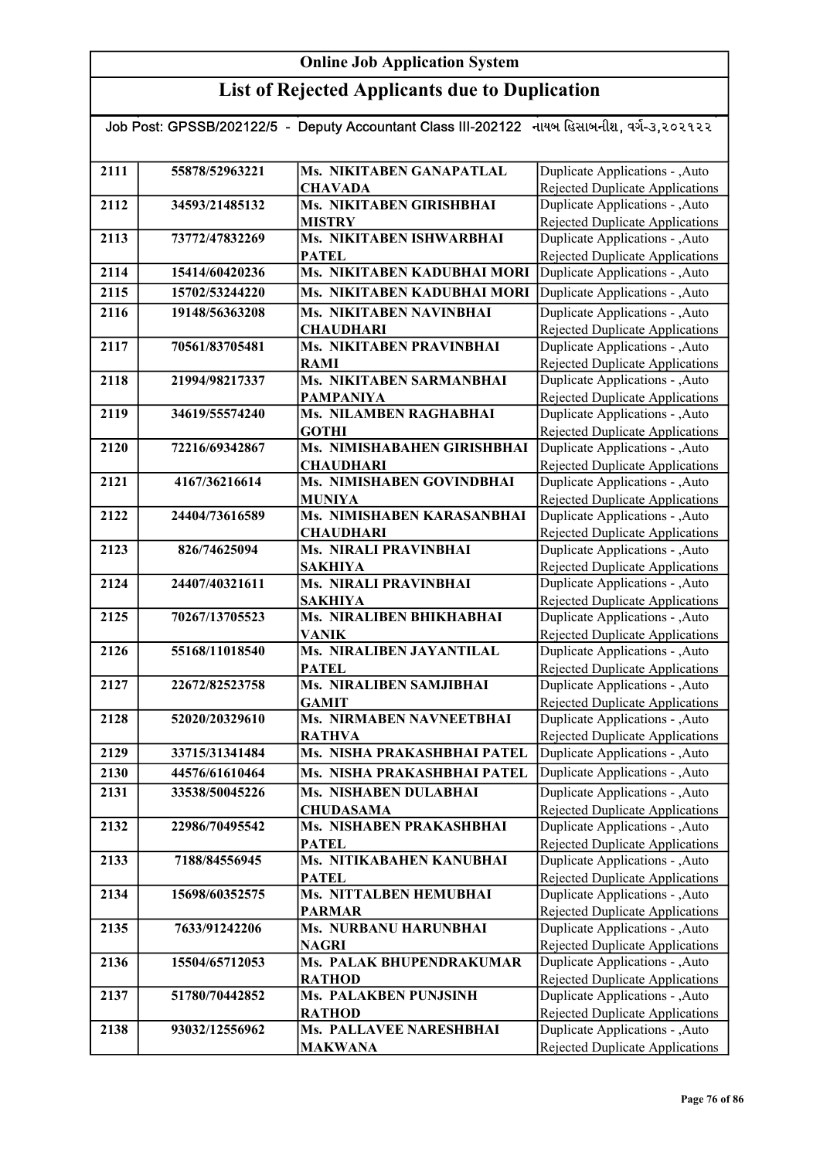| Job Post: GPSSB/202122/5  -  Deputy Accountant Class III-202122   નાયબ હિસાબનીશ, વર્ગ-૩,૨૦૨૧૨૨ |                |                                               |                                                                           |  |
|------------------------------------------------------------------------------------------------|----------------|-----------------------------------------------|---------------------------------------------------------------------------|--|
|                                                                                                |                |                                               |                                                                           |  |
| 2111                                                                                           | 55878/52963221 | Ms. NIKITABEN GANAPATLAL<br><b>CHAVADA</b>    | Duplicate Applications - , Auto<br>Rejected Duplicate Applications        |  |
| 2112                                                                                           | 34593/21485132 | Ms. NIKITABEN GIRISHBHAI                      | Duplicate Applications - , Auto                                           |  |
|                                                                                                |                | <b>MISTRY</b>                                 | Rejected Duplicate Applications                                           |  |
| 2113                                                                                           | 73772/47832269 | Ms. NIKITABEN ISHWARBHAI                      | Duplicate Applications - ,Auto                                            |  |
|                                                                                                |                | <b>PATEL</b>                                  | Rejected Duplicate Applications                                           |  |
| 2114                                                                                           | 15414/60420236 | Ms. NIKITABEN KADUBHAI MORI                   | Duplicate Applications - , Auto                                           |  |
| 2115                                                                                           | 15702/53244220 | Ms. NIKITABEN KADUBHAI MORI                   | Duplicate Applications - , Auto                                           |  |
| 2116                                                                                           | 19148/56363208 | Ms. NIKITABEN NAVINBHAI                       | Duplicate Applications - , Auto                                           |  |
|                                                                                                |                | <b>CHAUDHARI</b>                              | Rejected Duplicate Applications                                           |  |
| 2117                                                                                           | 70561/83705481 | Ms. NIKITABEN PRAVINBHAI                      | Duplicate Applications - , Auto                                           |  |
|                                                                                                |                | <b>RAMI</b>                                   | Rejected Duplicate Applications                                           |  |
| 2118                                                                                           | 21994/98217337 | Ms. NIKITABEN SARMANBHAI                      | Duplicate Applications - , Auto                                           |  |
| 2119                                                                                           | 34619/55574240 | <b>PAMPANIYA</b><br>Ms. NILAMBEN RAGHABHAI    | Rejected Duplicate Applications                                           |  |
|                                                                                                |                | <b>GOTHI</b>                                  | Duplicate Applications - , Auto<br><b>Rejected Duplicate Applications</b> |  |
| 2120                                                                                           | 72216/69342867 | Ms. NIMISHABAHEN GIRISHBHAI                   | Duplicate Applications - , Auto                                           |  |
|                                                                                                |                | <b>CHAUDHARI</b>                              | <b>Rejected Duplicate Applications</b>                                    |  |
| 2121                                                                                           | 4167/36216614  | Ms. NIMISHABEN GOVINDBHAI                     | Duplicate Applications - , Auto                                           |  |
|                                                                                                |                | <b>MUNIYA</b>                                 | Rejected Duplicate Applications                                           |  |
| 2122                                                                                           | 24404/73616589 | Ms. NIMISHABEN KARASANBHAI                    | Duplicate Applications - , Auto                                           |  |
|                                                                                                |                | <b>CHAUDHARI</b>                              | Rejected Duplicate Applications                                           |  |
| 2123                                                                                           | 826/74625094   | <b>Ms. NIRALI PRAVINBHAI</b>                  | Duplicate Applications - , Auto                                           |  |
|                                                                                                |                | <b>SAKHIYA</b>                                | <b>Rejected Duplicate Applications</b>                                    |  |
| 2124                                                                                           | 24407/40321611 | <b>Ms. NIRALI PRAVINBHAI</b>                  | Duplicate Applications - , Auto                                           |  |
|                                                                                                |                | <b>SAKHIYA</b>                                | Rejected Duplicate Applications                                           |  |
| 2125                                                                                           | 70267/13705523 | Ms. NIRALIBEN BHIKHABHAI<br><b>VANIK</b>      | Duplicate Applications - , Auto<br><b>Rejected Duplicate Applications</b> |  |
| 2126                                                                                           | 55168/11018540 | Ms. NIRALIBEN JAYANTILAL                      | Duplicate Applications - , Auto                                           |  |
|                                                                                                |                | <b>PATEL</b>                                  | <b>Rejected Duplicate Applications</b>                                    |  |
| 2127                                                                                           | 22672/82523758 | Ms. NIRALIBEN SAMJIBHAI                       | Duplicate Applications - , Auto                                           |  |
|                                                                                                |                | <b>GAMIT</b>                                  | Rejected Duplicate Applications                                           |  |
| 2128                                                                                           | 52020/20329610 | <b>Ms. NIRMABEN NAVNEETBHAI</b>               | Duplicate Applications - , Auto                                           |  |
|                                                                                                |                | <b>RATHVA</b>                                 | Rejected Duplicate Applications                                           |  |
| 2129                                                                                           | 33715/31341484 | Ms. NISHA PRAKASHBHAI PATEL                   | Duplicate Applications - , Auto                                           |  |
| 2130                                                                                           | 44576/61610464 | Ms. NISHA PRAKASHBHAI PATEL                   | Duplicate Applications - , Auto                                           |  |
| 2131                                                                                           | 33538/50045226 | Ms. NISHABEN DULABHAI                         | Duplicate Applications - , Auto                                           |  |
|                                                                                                |                | <b>CHUDASAMA</b>                              | Rejected Duplicate Applications                                           |  |
| 2132                                                                                           | 22986/70495542 | Ms. NISHABEN PRAKASHBHAI                      | Duplicate Applications - , Auto                                           |  |
|                                                                                                |                | <b>PATEL</b>                                  | Rejected Duplicate Applications                                           |  |
| 2133                                                                                           | 7188/84556945  | Ms. NITIKABAHEN KANUBHAI                      | Duplicate Applications - , Auto                                           |  |
| 2134                                                                                           | 15698/60352575 | <b>PATEL</b><br><b>Ms. NITTALBEN HEMUBHAI</b> | Rejected Duplicate Applications<br>Duplicate Applications - , Auto        |  |
|                                                                                                |                | <b>PARMAR</b>                                 | Rejected Duplicate Applications                                           |  |
| 2135                                                                                           | 7633/91242206  | Ms. NURBANU HARUNBHAI                         | Duplicate Applications - , Auto                                           |  |
|                                                                                                |                | <b>NAGRI</b>                                  | Rejected Duplicate Applications                                           |  |
| 2136                                                                                           | 15504/65712053 | Ms. PALAK BHUPENDRAKUMAR                      | Duplicate Applications - , Auto                                           |  |
|                                                                                                |                | <b>RATHOD</b>                                 | Rejected Duplicate Applications                                           |  |
| 2137                                                                                           | 51780/70442852 | Ms. PALAKBEN PUNJSINH                         | Duplicate Applications - , Auto                                           |  |
|                                                                                                |                | <b>RATHOD</b>                                 | Rejected Duplicate Applications                                           |  |
| 2138                                                                                           | 93032/12556962 | Ms. PALLAVEE NARESHBHAI                       | Duplicate Applications - , Auto                                           |  |
|                                                                                                |                | <b>MAKWANA</b>                                | Rejected Duplicate Applications                                           |  |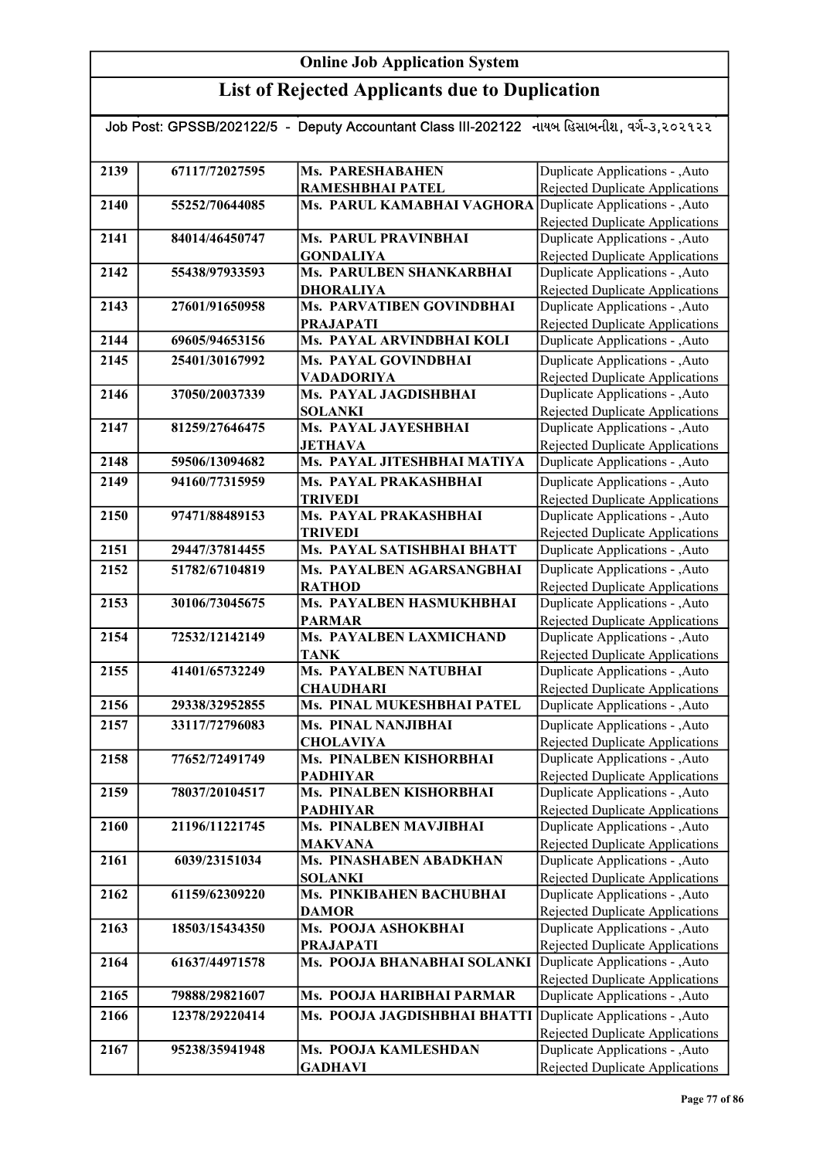### List of Rejected Applicants due to Duplication

#### Job Post: GPSSB/202122/5 - Deputy Accountant Class III-202122 નાયબ હિસાબનીશ, વર્ગ-૩,૨૦૨૧૨૨

| 2139 | 67117/72027595 | <b>Ms. PARESHABAHEN</b>                   | Duplicate Applications - , Auto                                           |
|------|----------------|-------------------------------------------|---------------------------------------------------------------------------|
|      |                | RAMESHBHAI PATEL                          | Rejected Duplicate Applications                                           |
| 2140 | 55252/70644085 | Ms. PARUL KAMABHAI VAGHORA                | Duplicate Applications - , Auto                                           |
|      |                |                                           | Rejected Duplicate Applications                                           |
| 2141 | 84014/46450747 | <b>Ms. PARUL PRAVINBHAI</b>               | Duplicate Applications - , Auto                                           |
|      |                | <b>GONDALIYA</b>                          | <b>Rejected Duplicate Applications</b>                                    |
| 2142 | 55438/97933593 | <b>Ms. PARULBEN SHANKARBHAI</b>           | Duplicate Applications - , Auto                                           |
|      |                | <b>DHORALIYA</b>                          | <b>Rejected Duplicate Applications</b>                                    |
| 2143 | 27601/91650958 | Ms. PARVATIBEN GOVINDBHAI                 | Duplicate Applications - , Auto                                           |
|      |                | <b>PRAJAPATI</b>                          | <b>Rejected Duplicate Applications</b>                                    |
| 2144 | 69605/94653156 | Ms. PAYAL ARVINDBHAI KOLI                 | Duplicate Applications - , Auto                                           |
| 2145 | 25401/30167992 | Ms. PAYAL GOVINDBHAI                      | Duplicate Applications - , Auto                                           |
|      |                | VADADORIYA                                | <b>Rejected Duplicate Applications</b>                                    |
| 2146 | 37050/20037339 | Ms. PAYAL JAGDISHBHAI                     | Duplicate Applications - , Auto                                           |
|      |                | <b>SOLANKI</b>                            | Rejected Duplicate Applications                                           |
| 2147 | 81259/27646475 | Ms. PAYAL JAYESHBHAI                      | Duplicate Applications - , Auto                                           |
|      |                | <b>JETHAVA</b>                            | <b>Rejected Duplicate Applications</b>                                    |
| 2148 | 59506/13094682 | Ms. PAYAL JITESHBHAI MATIYA               | Duplicate Applications - , Auto                                           |
| 2149 | 94160/77315959 | Ms. PAYAL PRAKASHBHAI                     | Duplicate Applications - , Auto                                           |
|      |                | <b>TRIVEDI</b>                            | <b>Rejected Duplicate Applications</b>                                    |
| 2150 | 97471/88489153 | Ms. PAYAL PRAKASHBHAI                     | Duplicate Applications - , Auto                                           |
|      |                | <b>TRIVEDI</b>                            | Rejected Duplicate Applications                                           |
| 2151 | 29447/37814455 | Ms. PAYAL SATISHBHAI BHATT                | Duplicate Applications - , Auto                                           |
| 2152 | 51782/67104819 | Ms. PAYALBEN AGARSANGBHAI                 | Duplicate Applications - , Auto                                           |
|      |                | <b>RATHOD</b>                             | Rejected Duplicate Applications                                           |
| 2153 | 30106/73045675 | Ms. PAYALBEN HASMUKHBHAI                  | Duplicate Applications - , Auto                                           |
|      |                | <b>PARMAR</b>                             | <b>Rejected Duplicate Applications</b>                                    |
| 2154 | 72532/12142149 | Ms. PAYALBEN LAXMICHAND                   | Duplicate Applications - , Auto                                           |
|      |                | <b>TANK</b>                               | <b>Rejected Duplicate Applications</b>                                    |
| 2155 | 41401/65732249 | Ms. PAYALBEN NATUBHAI<br><b>CHAUDHARI</b> | Duplicate Applications - , Auto                                           |
| 2156 | 29338/32952855 | Ms. PINAL MUKESHBHAI PATEL                | <b>Rejected Duplicate Applications</b><br>Duplicate Applications - , Auto |
|      |                |                                           |                                                                           |
| 2157 | 33117/72796083 | <b>Ms. PINAL NANJIBHAI</b>                | Duplicate Applications - , Auto                                           |
|      |                | <b>CHOLAVIYA</b>                          | Rejected Duplicate Applications                                           |
| 2158 | 77652/72491749 | Ms. PINALBEN KISHORBHAI                   | Duplicate Applications - , Auto                                           |
|      |                | <b>PADHIYAR</b>                           | Rejected Duplicate Applications                                           |
| 2159 | 78037/20104517 | Ms. PINALBEN KISHORBHAI                   | Duplicate Applications - , Auto                                           |
|      | 21196/11221745 | <b>PADHIYAR</b><br>Ms. PINALBEN MAVJIBHAI | <b>Rejected Duplicate Applications</b>                                    |
| 2160 |                | <b>MAKVANA</b>                            | Duplicate Applications - , Auto<br><b>Rejected Duplicate Applications</b> |
| 2161 | 6039/23151034  | Ms. PINASHABEN ABADKHAN                   | Duplicate Applications - , Auto                                           |
|      |                | <b>SOLANKI</b>                            | <b>Rejected Duplicate Applications</b>                                    |
| 2162 | 61159/62309220 | Ms. PINKIBAHEN BACHUBHAI                  | Duplicate Applications - , Auto                                           |
|      |                | <b>DAMOR</b>                              | <b>Rejected Duplicate Applications</b>                                    |
| 2163 | 18503/15434350 | Ms. POOJA ASHOKBHAI                       | Duplicate Applications - , Auto                                           |
|      |                | <b>PRAJAPATI</b>                          | <b>Rejected Duplicate Applications</b>                                    |
| 2164 | 61637/44971578 | Ms. POOJA BHANABHAI SOLANKI               | Duplicate Applications - , Auto                                           |
|      |                |                                           | <b>Rejected Duplicate Applications</b>                                    |
| 2165 | 79888/29821607 | Ms. POOJA HARIBHAI PARMAR                 | Duplicate Applications - , Auto                                           |
| 2166 | 12378/29220414 | Ms. POOJA JAGDISHBHAI BHATTI              | Duplicate Applications - , Auto                                           |
|      |                |                                           | Rejected Duplicate Applications                                           |
| 2167 | 95238/35941948 | Ms. POOJA KAMLESHDAN                      | Duplicate Applications - ,Auto                                            |
|      |                | <b>GADHAVI</b>                            | <b>Rejected Duplicate Applications</b>                                    |
|      |                |                                           |                                                                           |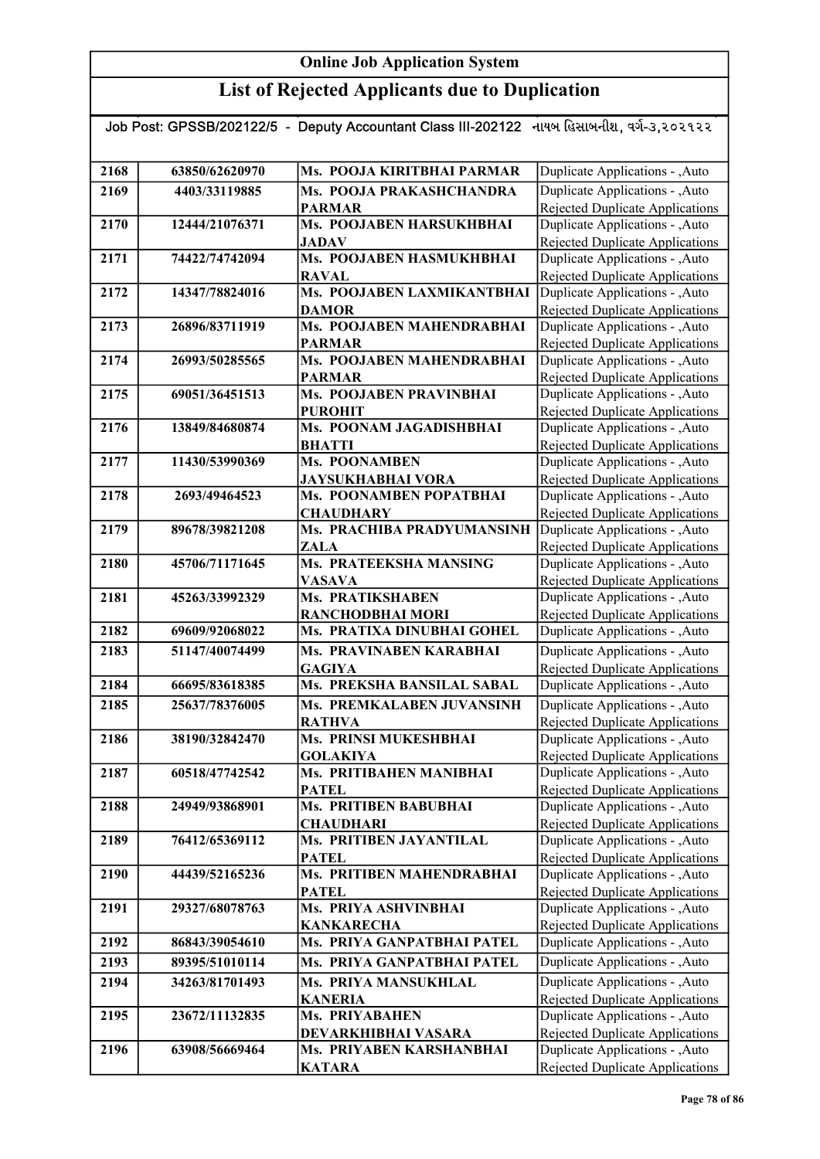| Job Post: GPSSB/202122/5  -  Deputy Accountant Class III-202122   નાયબ હિસાબનીશ, વર્ગ-૩,૨૦૨૧૨૨ |                |                                             |                                                                           |
|------------------------------------------------------------------------------------------------|----------------|---------------------------------------------|---------------------------------------------------------------------------|
|                                                                                                |                |                                             |                                                                           |
| 2168                                                                                           | 63850/62620970 | Ms. POOJA KIRITBHAI PARMAR                  | Duplicate Applications - , Auto                                           |
| 2169                                                                                           | 4403/33119885  | Ms. POOJA PRAKASHCHANDRA                    | Duplicate Applications - , Auto                                           |
|                                                                                                |                | <b>PARMAR</b>                               | <b>Rejected Duplicate Applications</b>                                    |
| 2170                                                                                           | 12444/21076371 | Ms. POOJABEN HARSUKHBHAI                    | Duplicate Applications - , Auto                                           |
|                                                                                                |                | <b>JADAV</b>                                | Rejected Duplicate Applications                                           |
| 2171                                                                                           | 74422/74742094 | Ms. POOJABEN HASMUKHBHAI                    | Duplicate Applications - , Auto                                           |
| 2172                                                                                           |                | <b>RAVAL</b><br>Ms. POOJABEN LAXMIKANTBHAI  | Rejected Duplicate Applications                                           |
|                                                                                                | 14347/78824016 | <b>DAMOR</b>                                | Duplicate Applications - , Auto<br><b>Rejected Duplicate Applications</b> |
| 2173                                                                                           | 26896/83711919 | Ms. POOJABEN MAHENDRABHAI                   | Duplicate Applications - , Auto                                           |
|                                                                                                |                | <b>PARMAR</b>                               | Rejected Duplicate Applications                                           |
| 2174                                                                                           | 26993/50285565 | Ms. POOJABEN MAHENDRABHAI                   | Duplicate Applications - , Auto                                           |
|                                                                                                |                | <b>PARMAR</b>                               | Rejected Duplicate Applications                                           |
| 2175                                                                                           | 69051/36451513 | Ms. POOJABEN PRAVINBHAI                     | Duplicate Applications - , Auto                                           |
|                                                                                                |                | <b>PUROHIT</b>                              | Rejected Duplicate Applications                                           |
| 2176                                                                                           | 13849/84680874 | Ms. POONAM JAGADISHBHAI                     | Duplicate Applications - , Auto                                           |
|                                                                                                |                | <b>BHATTI</b>                               | Rejected Duplicate Applications                                           |
| 2177                                                                                           | 11430/53990369 | Ms. POONAMBEN                               | Duplicate Applications - , Auto                                           |
|                                                                                                |                | <b>JAYSUKHABHAI VORA</b>                    | Rejected Duplicate Applications                                           |
| 2178                                                                                           | 2693/49464523  | Ms. POONAMBEN POPATBHAI<br><b>CHAUDHARY</b> | Duplicate Applications - ,Auto<br>Rejected Duplicate Applications         |
| 2179                                                                                           | 89678/39821208 | Ms. PRACHIBA PRADYUMANSINH                  | Duplicate Applications - , Auto                                           |
|                                                                                                |                | <b>ZALA</b>                                 | Rejected Duplicate Applications                                           |
| 2180                                                                                           | 45706/71171645 | Ms. PRATEEKSHA MANSING                      | Duplicate Applications - ,Auto                                            |
|                                                                                                |                | <b>VASAVA</b>                               | <b>Rejected Duplicate Applications</b>                                    |
| 2181                                                                                           | 45263/33992329 | Ms. PRATIKSHABEN                            | Duplicate Applications - ,Auto                                            |
|                                                                                                |                | RANCHODBHAI MORI                            | Rejected Duplicate Applications                                           |
| 2182                                                                                           | 69609/92068022 | Ms. PRATIXA DINUBHAI GOHEL                  | Duplicate Applications - , Auto                                           |
| 2183                                                                                           | 51147/40074499 | Ms. PRAVINABEN KARABHAI                     | Duplicate Applications - , Auto                                           |
|                                                                                                |                | <b>GAGIYA</b>                               | Rejected Duplicate Applications                                           |
| 2184                                                                                           | 66695/83618385 | Ms. PREKSHA BANSILAL SABAL                  | Duplicate Applications - , Auto                                           |
| 2185                                                                                           | 25637/78376005 | Ms. PREMKALABEN JUVANSINH                   | Duplicate Applications - , Auto                                           |
|                                                                                                |                | <b>RATHVA</b>                               | Rejected Duplicate Applications                                           |
| 2186                                                                                           | 38190/32842470 | Ms. PRINSI MUKESHBHAI                       | Duplicate Applications - , Auto                                           |
|                                                                                                |                | <b>GOLAKIYA</b>                             | Rejected Duplicate Applications                                           |
| 2187                                                                                           | 60518/47742542 | Ms. PRITIBAHEN MANIBHAI<br><b>PATEL</b>     | Duplicate Applications - , Auto<br>Rejected Duplicate Applications        |
| 2188                                                                                           | 24949/93868901 | <b>Ms. PRITIBEN BABUBHAI</b>                | Duplicate Applications - , Auto                                           |
|                                                                                                |                | <b>CHAUDHARI</b>                            | Rejected Duplicate Applications                                           |
| 2189                                                                                           | 76412/65369112 | Ms. PRITIBEN JAYANTILAL                     | Duplicate Applications - , Auto                                           |
|                                                                                                |                | <b>PATEL</b>                                | Rejected Duplicate Applications                                           |
| 2190                                                                                           | 44439/52165236 | Ms. PRITIBEN MAHENDRABHAI                   | Duplicate Applications - , Auto                                           |
|                                                                                                |                | <b>PATEL</b>                                | Rejected Duplicate Applications                                           |
| 2191                                                                                           | 29327/68078763 | Ms. PRIYA ASHVINBHAI                        | Duplicate Applications - , Auto                                           |
|                                                                                                |                | <b>KANKARECHA</b>                           | Rejected Duplicate Applications                                           |
| 2192                                                                                           | 86843/39054610 | Ms. PRIYA GANPATBHAI PATEL                  | Duplicate Applications - ,Auto                                            |
| 2193                                                                                           | 89395/51010114 | Ms. PRIYA GANPATBHAI PATEL                  | Duplicate Applications - , Auto                                           |
| 2194                                                                                           | 34263/81701493 | Ms. PRIYA MANSUKHLAL                        | Duplicate Applications - , Auto                                           |
|                                                                                                |                | <b>KANERIA</b>                              | Rejected Duplicate Applications                                           |
| 2195                                                                                           | 23672/11132835 | Ms. PRIYABAHEN                              | Duplicate Applications - , Auto                                           |
|                                                                                                |                | DEVARKHIBHAI VASARA                         | Rejected Duplicate Applications                                           |
| 2196                                                                                           | 63908/56669464 | Ms. PRIYABEN KARSHANBHAI<br><b>KATARA</b>   | Duplicate Applications - , Auto<br>Rejected Duplicate Applications        |
|                                                                                                |                |                                             |                                                                           |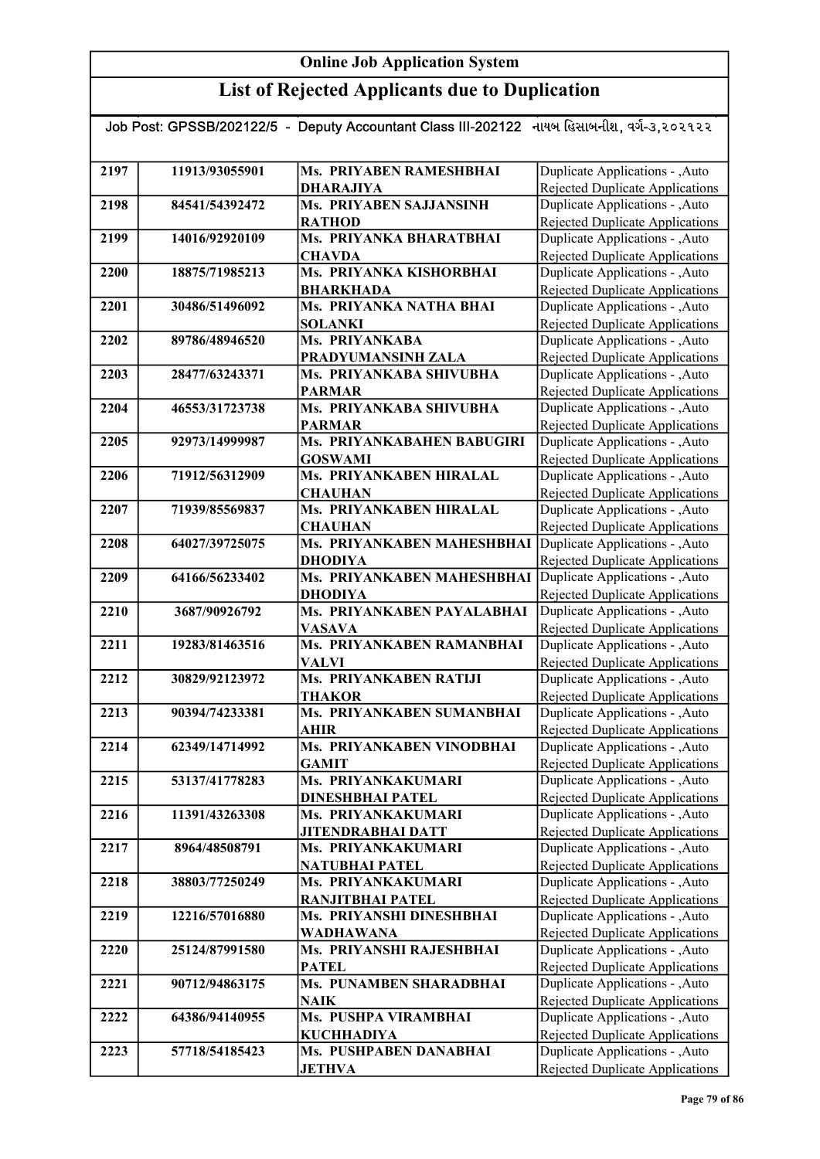| Job Post: GPSSB/202122/5  -  Deputy Accountant Class III-202122   નાયબ હિસાબનીશ, વર્ગ-૩,૨૦૨૧૨૨ |                |                                             |                                                                           |  |
|------------------------------------------------------------------------------------------------|----------------|---------------------------------------------|---------------------------------------------------------------------------|--|
|                                                                                                |                |                                             |                                                                           |  |
| 2197                                                                                           | 11913/93055901 | Ms. PRIYABEN RAMESHBHAI                     | Duplicate Applications - , Auto                                           |  |
|                                                                                                |                | <b>DHARAJIYA</b>                            | Rejected Duplicate Applications                                           |  |
| 2198                                                                                           | 84541/54392472 | Ms. PRIYABEN SAJJANSINH                     | Duplicate Applications - , Auto                                           |  |
|                                                                                                |                | <b>RATHOD</b>                               | <b>Rejected Duplicate Applications</b>                                    |  |
| 2199                                                                                           | 14016/92920109 | Ms. PRIYANKA BHARATBHAI                     | Duplicate Applications - , Auto                                           |  |
|                                                                                                |                | <b>CHAVDA</b>                               | <b>Rejected Duplicate Applications</b>                                    |  |
| 2200                                                                                           | 18875/71985213 | Ms. PRIYANKA KISHORBHAI                     | Duplicate Applications - , Auto                                           |  |
|                                                                                                |                | <b>BHARKHADA</b>                            | Rejected Duplicate Applications                                           |  |
| 2201                                                                                           | 30486/51496092 | Ms. PRIYANKA NATHA BHAI                     | Duplicate Applications - , Auto                                           |  |
|                                                                                                |                | <b>SOLANKI</b>                              | <b>Rejected Duplicate Applications</b>                                    |  |
| 2202                                                                                           | 89786/48946520 | Ms. PRIYANKABA                              | Duplicate Applications - , Auto                                           |  |
|                                                                                                |                | PRADYUMANSINH ZALA                          | Rejected Duplicate Applications                                           |  |
| 2203                                                                                           | 28477/63243371 | Ms. PRIYANKABA SHIVUBHA                     | Duplicate Applications - , Auto                                           |  |
|                                                                                                |                | <b>PARMAR</b>                               | Rejected Duplicate Applications                                           |  |
| 2204                                                                                           | 46553/31723738 | Ms. PRIYANKABA SHIVUBHA                     | Duplicate Applications - , Auto                                           |  |
|                                                                                                |                | <b>PARMAR</b>                               | <b>Rejected Duplicate Applications</b>                                    |  |
| 2205                                                                                           | 92973/14999987 | Ms. PRIYANKABAHEN BABUGIRI                  | Duplicate Applications - , Auto                                           |  |
|                                                                                                |                | <b>GOSWAMI</b><br>Ms. PRIYANKABEN HIRALAL   | Rejected Duplicate Applications                                           |  |
| 2206                                                                                           | 71912/56312909 |                                             | Duplicate Applications - , Auto                                           |  |
| 2207                                                                                           | 71939/85569837 | <b>CHAUHAN</b><br>Ms. PRIYANKABEN HIRALAL   | <b>Rejected Duplicate Applications</b><br>Duplicate Applications - , Auto |  |
|                                                                                                |                | <b>CHAUHAN</b>                              | Rejected Duplicate Applications                                           |  |
| 2208                                                                                           | 64027/39725075 | Ms. PRIYANKABEN MAHESHBHAI                  | Duplicate Applications - , Auto                                           |  |
|                                                                                                |                | <b>DHODIYA</b>                              | <b>Rejected Duplicate Applications</b>                                    |  |
| 2209                                                                                           | 64166/56233402 | Ms. PRIYANKABEN MAHESHBHAI                  | Duplicate Applications - , Auto                                           |  |
|                                                                                                |                | <b>DHODIYA</b>                              | Rejected Duplicate Applications                                           |  |
| 2210                                                                                           | 3687/90926792  | Ms. PRIYANKABEN PAYALABHAI                  | Duplicate Applications - , Auto                                           |  |
|                                                                                                |                | <b>VASAVA</b>                               | Rejected Duplicate Applications                                           |  |
| 2211                                                                                           | 19283/81463516 | Ms. PRIYANKABEN RAMANBHAI                   | Duplicate Applications - , Auto                                           |  |
|                                                                                                |                | <b>VALVI</b>                                | Rejected Duplicate Applications                                           |  |
| 2212                                                                                           | 30829/92123972 | <b>Ms. PRIYANKABEN RATIJI</b>               | Duplicate Applications - , Auto                                           |  |
|                                                                                                |                | <b>THAKOR</b>                               | Rejected Duplicate Applications                                           |  |
| 2213                                                                                           | 90394/74233381 | Ms. PRIYANKABEN SUMANBHAI                   | Duplicate Applications - , Auto                                           |  |
|                                                                                                |                | <b>AHIR</b>                                 | Rejected Duplicate Applications                                           |  |
| 2214                                                                                           | 62349/14714992 | Ms. PRIYANKABEN VINODBHAI                   | Duplicate Applications - , Auto                                           |  |
|                                                                                                |                | <b>GAMIT</b>                                | Rejected Duplicate Applications                                           |  |
| 2215                                                                                           | 53137/41778283 | Ms. PRIYANKAKUMARI                          | Duplicate Applications - , Auto                                           |  |
|                                                                                                |                | <b>DINESHBHAI PATEL</b>                     | Rejected Duplicate Applications                                           |  |
| 2216                                                                                           | 11391/43263308 | Ms. PRIYANKAKUMARI                          | Duplicate Applications - , Auto                                           |  |
|                                                                                                |                | <b>JITENDRABHAI DATT</b>                    | Rejected Duplicate Applications                                           |  |
| 2217                                                                                           | 8964/48508791  | Ms. PRIYANKAKUMARI<br><b>NATUBHAI PATEL</b> | Duplicate Applications - , Auto                                           |  |
| 2218                                                                                           | 38803/77250249 | Ms. PRIYANKAKUMARI                          | Rejected Duplicate Applications<br>Duplicate Applications - , Auto        |  |
|                                                                                                |                | <b>RANJITBHAI PATEL</b>                     | <b>Rejected Duplicate Applications</b>                                    |  |
| 2219                                                                                           | 12216/57016880 | Ms. PRIYANSHI DINESHBHAI                    | Duplicate Applications - , Auto                                           |  |
|                                                                                                |                | <b>WADHAWANA</b>                            | <b>Rejected Duplicate Applications</b>                                    |  |
| 2220                                                                                           | 25124/87991580 | Ms. PRIYANSHI RAJESHBHAI                    | Duplicate Applications - , Auto                                           |  |
|                                                                                                |                | <b>PATEL</b>                                | Rejected Duplicate Applications                                           |  |
| 2221                                                                                           | 90712/94863175 | Ms. PUNAMBEN SHARADBHAI                     | Duplicate Applications - , Auto                                           |  |
|                                                                                                |                | <b>NAIK</b>                                 | Rejected Duplicate Applications                                           |  |
| 2222                                                                                           | 64386/94140955 | Ms. PUSHPA VIRAMBHAI                        | Duplicate Applications - , Auto                                           |  |
|                                                                                                |                | <b>KUCHHADIYA</b>                           | Rejected Duplicate Applications                                           |  |
| 2223                                                                                           | 57718/54185423 | Ms. PUSHPABEN DANABHAI                      | Duplicate Applications - , Auto                                           |  |
|                                                                                                |                | <b>JETHVA</b>                               | <b>Rejected Duplicate Applications</b>                                    |  |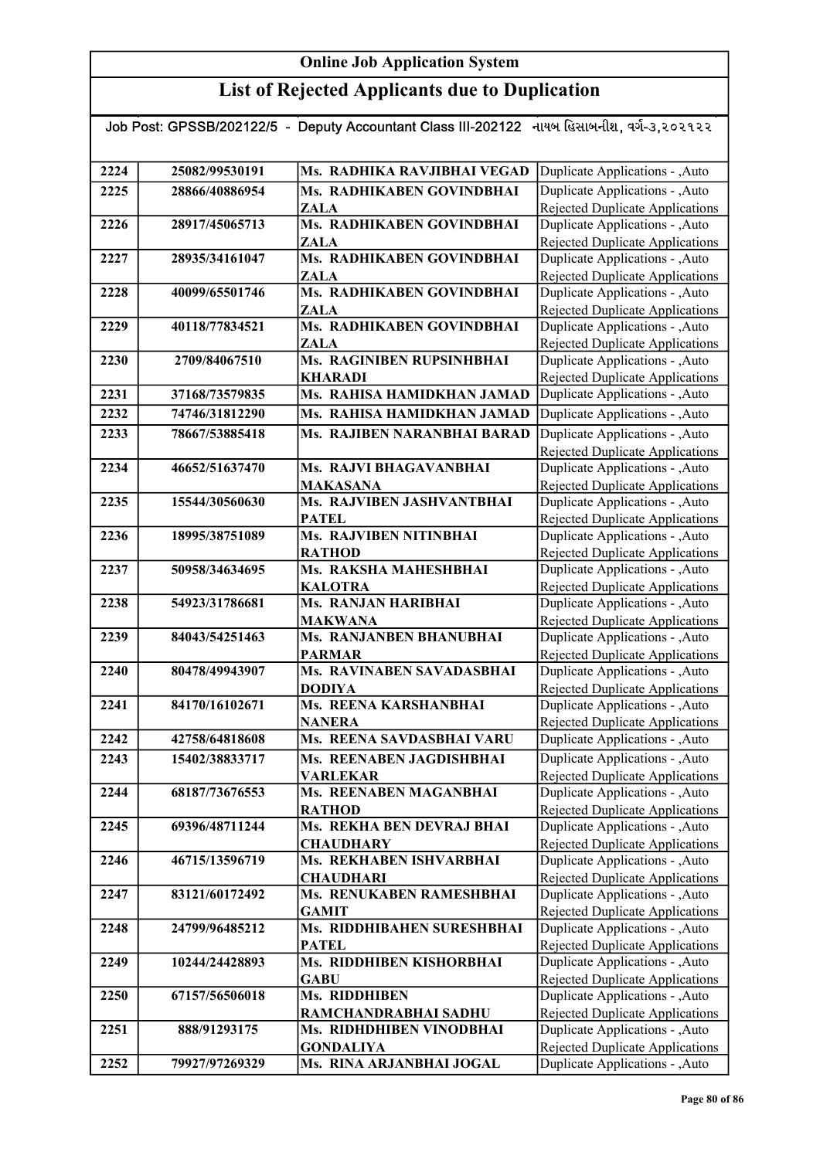# List of Rejected Applicants due to Duplication

| Job Post: GPSSB/202122/5 - Deputy Accountant Class III-202122 નાયબ હિસાબનીશ, વર્ગ-૩,૨૦૨૧૨૨ |                |                                           |                                                                           |
|--------------------------------------------------------------------------------------------|----------------|-------------------------------------------|---------------------------------------------------------------------------|
|                                                                                            |                |                                           |                                                                           |
| 2224                                                                                       | 25082/99530191 | Ms. RADHIKA RAVJIBHAI VEGAD               | Duplicate Applications - , Auto                                           |
| 2225                                                                                       | 28866/40886954 | Ms. RADHIKABEN GOVINDBHAI                 | Duplicate Applications - , Auto                                           |
|                                                                                            |                | <b>ZALA</b>                               | Rejected Duplicate Applications                                           |
| 2226                                                                                       | 28917/45065713 | Ms. RADHIKABEN GOVINDBHAI                 | Duplicate Applications - , Auto                                           |
|                                                                                            |                | <b>ZALA</b>                               | <b>Rejected Duplicate Applications</b>                                    |
| 2227                                                                                       | 28935/34161047 | Ms. RADHIKABEN GOVINDBHAI<br><b>ZALA</b>  | Duplicate Applications - , Auto<br>Rejected Duplicate Applications        |
| 2228                                                                                       | 40099/65501746 | Ms. RADHIKABEN GOVINDBHAI                 | Duplicate Applications - , Auto                                           |
|                                                                                            |                | <b>ZALA</b>                               | <b>Rejected Duplicate Applications</b>                                    |
| 2229                                                                                       | 40118/77834521 | Ms. RADHIKABEN GOVINDBHAI                 | Duplicate Applications - , Auto                                           |
|                                                                                            |                | <b>ZALA</b>                               | Rejected Duplicate Applications                                           |
| 2230                                                                                       | 2709/84067510  | Ms. RAGINIBEN RUPSINHBHAI                 | Duplicate Applications - , Auto                                           |
|                                                                                            |                | <b>KHARADI</b>                            | Rejected Duplicate Applications                                           |
| 2231                                                                                       | 37168/73579835 | Ms. RAHISA HAMIDKHAN JAMAD                | Duplicate Applications - ,Auto                                            |
| 2232                                                                                       | 74746/31812290 | Ms. RAHISA HAMIDKHAN JAMAD                | Duplicate Applications - , Auto                                           |
| 2233                                                                                       | 78667/53885418 | Ms. RAJIBEN NARANBHAI BARAD               | Duplicate Applications - , Auto                                           |
|                                                                                            |                |                                           | Rejected Duplicate Applications                                           |
| 2234                                                                                       | 46652/51637470 | Ms. RAJVI BHAGAVANBHAI                    | Duplicate Applications - , Auto                                           |
|                                                                                            |                | <b>MAKASANA</b>                           | Rejected Duplicate Applications                                           |
| 2235                                                                                       | 15544/30560630 | Ms. RAJVIBEN JASHVANTBHAI                 | Duplicate Applications - , Auto                                           |
|                                                                                            |                | <b>PATEL</b>                              | Rejected Duplicate Applications                                           |
| 2236                                                                                       | 18995/38751089 | Ms. RAJVIBEN NITINBHAI                    | Duplicate Applications - , Auto                                           |
|                                                                                            |                | <b>RATHOD</b><br>Ms. RAKSHA MAHESHBHAI    | Rejected Duplicate Applications                                           |
| 2237                                                                                       | 50958/34634695 | <b>KALOTRA</b>                            | Duplicate Applications - , Auto<br><b>Rejected Duplicate Applications</b> |
| 2238                                                                                       | 54923/31786681 | <b>Ms. RANJAN HARIBHAI</b>                | Duplicate Applications - , Auto                                           |
|                                                                                            |                | <b>MAKWANA</b>                            | Rejected Duplicate Applications                                           |
| 2239                                                                                       | 84043/54251463 | Ms. RANJANBEN BHANUBHAI                   | Duplicate Applications - , Auto                                           |
|                                                                                            |                | <b>PARMAR</b>                             | Rejected Duplicate Applications                                           |
| 2240                                                                                       | 80478/49943907 | Ms. RAVINABEN SAVADASBHAI                 | Duplicate Applications - , Auto                                           |
|                                                                                            |                | <b>DODIYA</b>                             | Rejected Duplicate Applications                                           |
| 2241                                                                                       | 84170/16102671 | Ms. REENA KARSHANBHAI                     | Duplicate Applications - , Auto                                           |
|                                                                                            |                | <b>NANERA</b>                             | Rejected Duplicate Applications                                           |
| 2242                                                                                       | 42758/64818608 | Ms. REENA SAVDASBHAI VARU                 | Duplicate Applications - , Auto                                           |
| 2243                                                                                       | 15402/38833717 | Ms. REENABEN JAGDISHBHAI                  | Duplicate Applications - , Auto                                           |
| 2244                                                                                       | 68187/73676553 | <b>VARLEKAR</b><br>Ms. REENABEN MAGANBHAI | Rejected Duplicate Applications<br>Duplicate Applications - , Auto        |
|                                                                                            |                | <b>RATHOD</b>                             | Rejected Duplicate Applications                                           |
| 2245                                                                                       | 69396/48711244 | Ms. REKHA BEN DEVRAJ BHAI                 | Duplicate Applications - , Auto                                           |
|                                                                                            |                | <b>CHAUDHARY</b>                          | Rejected Duplicate Applications                                           |
| 2246                                                                                       | 46715/13596719 | Ms. REKHABEN ISHVARBHAI                   | Duplicate Applications - , Auto                                           |
|                                                                                            |                | <b>CHAUDHARI</b>                          | Rejected Duplicate Applications                                           |
| 2247                                                                                       | 83121/60172492 | Ms. RENUKABEN RAMESHBHAI                  | Duplicate Applications - , Auto                                           |
|                                                                                            |                | <b>GAMIT</b>                              | Rejected Duplicate Applications                                           |
| 2248                                                                                       | 24799/96485212 | Ms. RIDDHIBAHEN SURESHBHAI                | Duplicate Applications - , Auto                                           |
|                                                                                            |                | <b>PATEL</b>                              | Rejected Duplicate Applications                                           |
| 2249                                                                                       | 10244/24428893 | Ms. RIDDHIBEN KISHORBHAI                  | Duplicate Applications - , Auto                                           |
| 2250                                                                                       | 67157/56506018 | <b>GABU</b><br>Ms. RIDDHIBEN              | Rejected Duplicate Applications                                           |
|                                                                                            |                | RAMCHANDRABHAI SADHU                      | Duplicate Applications - , Auto<br>Rejected Duplicate Applications        |
| 2251                                                                                       | 888/91293175   | Ms. RIDHDHIBEN VINODBHAI                  | Duplicate Applications - , Auto                                           |
|                                                                                            |                | <b>GONDALIYA</b>                          | Rejected Duplicate Applications                                           |
| 2252                                                                                       | 79927/97269329 | Ms. RINA ARJANBHAI JOGAL                  | Duplicate Applications - , Auto                                           |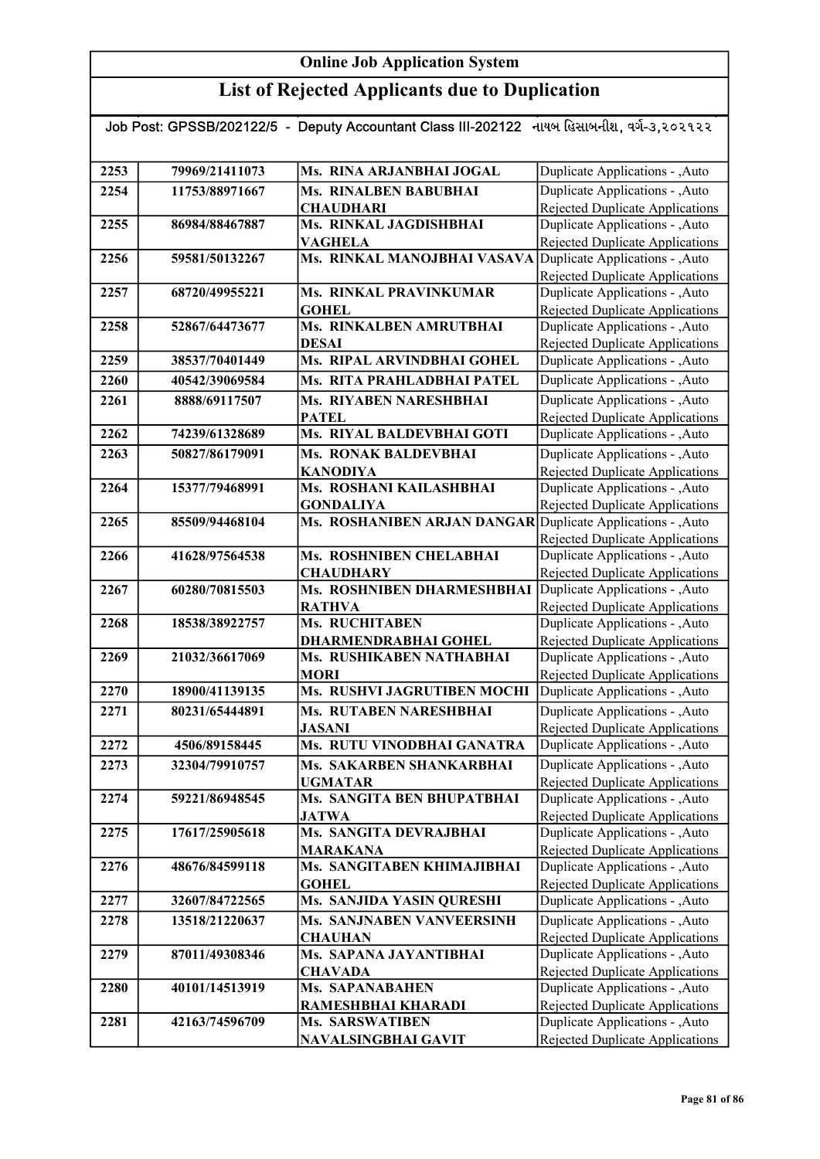| Job Post: GPSSB/202122/5  -  Deputy Accountant Class III-202122   નાયબ હિસાબનીશ, વર્ગ-૩,૨૦૨૧૨૨ |                |                                                             |                                                                           |  |
|------------------------------------------------------------------------------------------------|----------------|-------------------------------------------------------------|---------------------------------------------------------------------------|--|
|                                                                                                |                |                                                             |                                                                           |  |
| 2253                                                                                           | 79969/21411073 | Ms. RINA ARJANBHAI JOGAL                                    | Duplicate Applications - , Auto                                           |  |
| 2254                                                                                           | 11753/88971667 | <b>Ms. RINALBEN BABUBHAI</b>                                | Duplicate Applications - , Auto                                           |  |
|                                                                                                |                | <b>CHAUDHARI</b>                                            | <b>Rejected Duplicate Applications</b>                                    |  |
| 2255                                                                                           | 86984/88467887 | Ms. RINKAL JAGDISHBHAI                                      | Duplicate Applications - , Auto                                           |  |
|                                                                                                |                | <b>VAGHELA</b>                                              | Rejected Duplicate Applications                                           |  |
| 2256                                                                                           | 59581/50132267 | Ms. RINKAL MANOJBHAI VASAVA                                 | Duplicate Applications - , Auto                                           |  |
|                                                                                                |                |                                                             | Rejected Duplicate Applications                                           |  |
| 2257                                                                                           | 68720/49955221 | <b>Ms. RINKAL PRAVINKUMAR</b><br><b>GOHEL</b>               | Duplicate Applications - , Auto                                           |  |
| 2258                                                                                           | 52867/64473677 | Ms. RINKALBEN AMRUTBHAI                                     | <b>Rejected Duplicate Applications</b><br>Duplicate Applications - , Auto |  |
|                                                                                                |                | <b>DESAI</b>                                                | Rejected Duplicate Applications                                           |  |
| 2259                                                                                           | 38537/70401449 | Ms. RIPAL ARVINDBHAI GOHEL                                  | Duplicate Applications - , Auto                                           |  |
| 2260                                                                                           | 40542/39069584 | Ms. RITA PRAHLADBHAI PATEL                                  | Duplicate Applications - , Auto                                           |  |
| 2261                                                                                           | 8888/69117507  | <b>Ms. RIYABEN NARESHBHAI</b>                               | Duplicate Applications - , Auto                                           |  |
|                                                                                                |                | <b>PATEL</b>                                                | Rejected Duplicate Applications                                           |  |
| 2262                                                                                           | 74239/61328689 | Ms. RIYAL BALDEVBHAI GOTI                                   | Duplicate Applications - , Auto                                           |  |
| 2263                                                                                           | 50827/86179091 | Ms. RONAK BALDEVBHAI                                        | Duplicate Applications - , Auto                                           |  |
|                                                                                                |                | <b>KANODIYA</b>                                             | Rejected Duplicate Applications                                           |  |
| 2264                                                                                           | 15377/79468991 | Ms. ROSHANI KAILASHBHAI                                     | Duplicate Applications - , Auto                                           |  |
|                                                                                                |                | <b>GONDALIYA</b>                                            | Rejected Duplicate Applications                                           |  |
| 2265                                                                                           | 85509/94468104 | Ms. ROSHANIBEN ARJAN DANGAR Duplicate Applications - , Auto |                                                                           |  |
|                                                                                                |                |                                                             | Rejected Duplicate Applications                                           |  |
| 2266                                                                                           | 41628/97564538 | Ms. ROSHNIBEN CHELABHAI                                     | Duplicate Applications - , Auto                                           |  |
|                                                                                                |                | <b>CHAUDHARY</b>                                            | Rejected Duplicate Applications                                           |  |
| 2267                                                                                           | 60280/70815503 | Ms. ROSHNIBEN DHARMESHBHAI                                  | Duplicate Applications - , Auto                                           |  |
| 2268                                                                                           | 18538/38922757 | <b>RATHVA</b><br>Ms. RUCHITABEN                             | Rejected Duplicate Applications<br>Duplicate Applications - , Auto        |  |
|                                                                                                |                | DHARMENDRABHAI GOHEL                                        | Rejected Duplicate Applications                                           |  |
| 2269                                                                                           | 21032/36617069 | Ms. RUSHIKABEN NATHABHAI                                    | Duplicate Applications - , Auto                                           |  |
|                                                                                                |                | <b>MORI</b>                                                 | Rejected Duplicate Applications                                           |  |
| 2270                                                                                           | 18900/41139135 | Ms. RUSHVI JAGRUTIBEN MOCHI                                 | Duplicate Applications - , Auto                                           |  |
| 2271                                                                                           | 80231/65444891 | <b>Ms. RUTABEN NARESHBHAI</b>                               | Duplicate Applications - , Auto                                           |  |
|                                                                                                |                | <b>JASANI</b>                                               | Rejected Duplicate Applications                                           |  |
| 2272                                                                                           | 4506/89158445  | Ms. RUTU VINODBHAI GANATRA                                  | Duplicate Applications - , Auto                                           |  |
| 2273                                                                                           | 32304/79910757 | Ms. SAKARBEN SHANKARBHAI                                    | Duplicate Applications - , Auto                                           |  |
|                                                                                                |                | <b>UGMATAR</b>                                              | Rejected Duplicate Applications                                           |  |
| 2274                                                                                           | 59221/86948545 | Ms. SANGITA BEN BHUPATBHAI                                  | Duplicate Applications - , Auto                                           |  |
|                                                                                                |                | <b>JATWA</b>                                                | <b>Rejected Duplicate Applications</b>                                    |  |
| 2275                                                                                           | 17617/25905618 | Ms. SANGITA DEVRAJBHAI<br><b>MARAKANA</b>                   | Duplicate Applications - , Auto<br>Rejected Duplicate Applications        |  |
| 2276                                                                                           | 48676/84599118 | Ms. SANGITABEN KHIMAJIBHAI                                  | Duplicate Applications - ,Auto                                            |  |
|                                                                                                |                | <b>GOHEL</b>                                                | Rejected Duplicate Applications                                           |  |
| 2277                                                                                           | 32607/84722565 | Ms. SANJIDA YASIN QURESHI                                   | Duplicate Applications - , Auto                                           |  |
| 2278                                                                                           | 13518/21220637 | <b>Ms. SANJNABEN VANVEERSINH</b>                            | Duplicate Applications - , Auto                                           |  |
|                                                                                                |                | <b>CHAUHAN</b>                                              | Rejected Duplicate Applications                                           |  |
| 2279                                                                                           | 87011/49308346 | Ms. SAPANA JAYANTIBHAI                                      | Duplicate Applications - , Auto                                           |  |
|                                                                                                |                | <b>CHAVADA</b>                                              | Rejected Duplicate Applications                                           |  |
| 2280                                                                                           | 40101/14513919 | <b>Ms. SAPANABAHEN</b>                                      | Duplicate Applications - , Auto                                           |  |
|                                                                                                |                | RAMESHBHAI KHARADI                                          | Rejected Duplicate Applications                                           |  |
| 2281                                                                                           | 42163/74596709 | Ms. SARSWATIBEN                                             | Duplicate Applications - , Auto                                           |  |
|                                                                                                |                | NAVALSINGBHAI GAVIT                                         | Rejected Duplicate Applications                                           |  |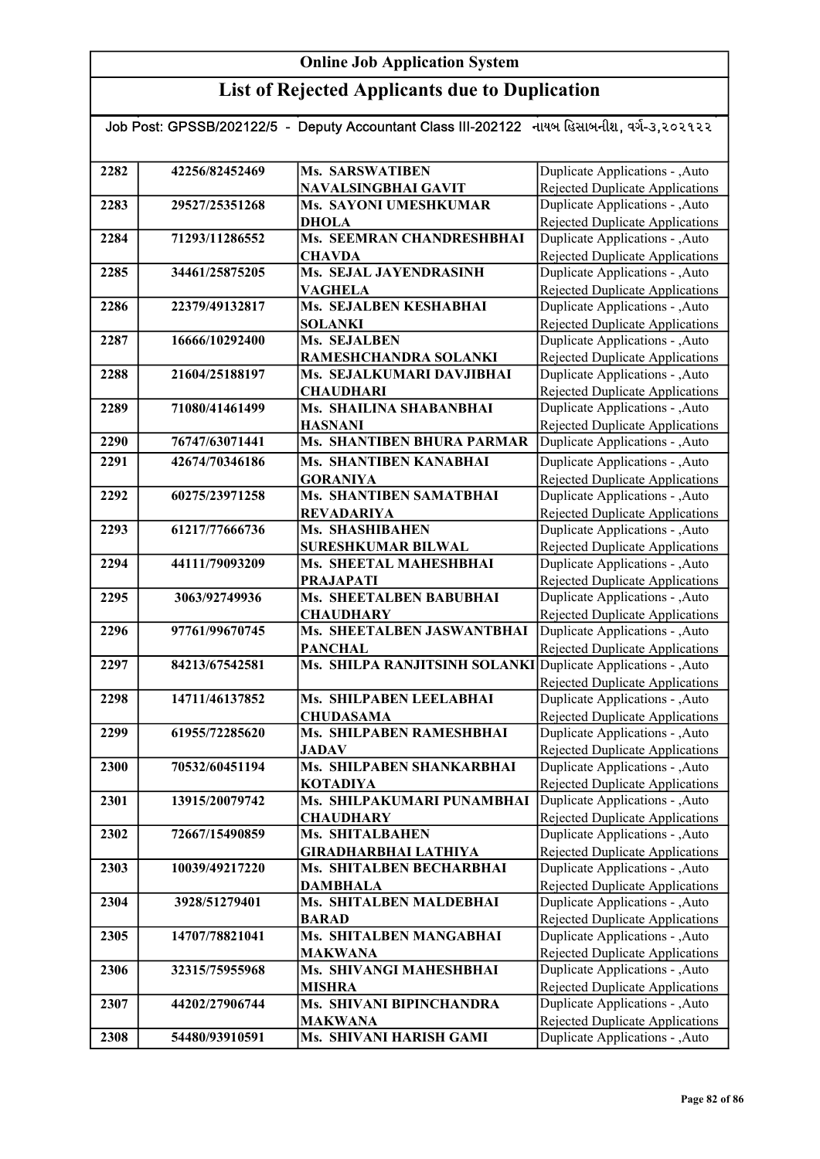## List of Rejected Applicants due to Duplication

| Job Post: GPSSB/202122/5 - Deputy Accountant Class III-202122 નાયબ હિસાબનીશ, વર્ગ-૩,૨૦૨૧૨૨ |                |                                             |                                                                    |
|--------------------------------------------------------------------------------------------|----------------|---------------------------------------------|--------------------------------------------------------------------|
|                                                                                            |                |                                             |                                                                    |
| 2282                                                                                       | 42256/82452469 | Ms. SARSWATIBEN                             | Duplicate Applications - , Auto                                    |
|                                                                                            |                | NAVALSINGBHAI GAVIT                         | <b>Rejected Duplicate Applications</b>                             |
| 2283                                                                                       | 29527/25351268 | Ms. SAYONI UMESHKUMAR                       | Duplicate Applications - , Auto                                    |
|                                                                                            |                | <b>DHOLA</b>                                | <b>Rejected Duplicate Applications</b>                             |
| 2284                                                                                       | 71293/11286552 | Ms. SEEMRAN CHANDRESHBHAI                   | Duplicate Applications - , Auto                                    |
|                                                                                            |                | <b>CHAVDA</b>                               | Rejected Duplicate Applications                                    |
| 2285                                                                                       | 34461/25875205 | Ms. SEJAL JAYENDRASINH                      | Duplicate Applications - , Auto                                    |
|                                                                                            |                | <b>VAGHELA</b>                              | <b>Rejected Duplicate Applications</b>                             |
| 2286                                                                                       | 22379/49132817 | Ms. SEJALBEN KESHABHAI                      | Duplicate Applications - , Auto                                    |
|                                                                                            |                | <b>SOLANKI</b>                              | Rejected Duplicate Applications                                    |
| 2287                                                                                       | 16666/10292400 | Ms. SEJALBEN                                | Duplicate Applications - , Auto                                    |
|                                                                                            |                | RAMESHCHANDRA SOLANKI                       | Rejected Duplicate Applications                                    |
| 2288                                                                                       | 21604/25188197 | Ms. SEJALKUMARI DAVJIBHAI                   | Duplicate Applications - , Auto                                    |
|                                                                                            |                | <b>CHAUDHARI</b>                            | Rejected Duplicate Applications                                    |
| 2289                                                                                       | 71080/41461499 | Ms. SHAILINA SHABANBHAI                     | Duplicate Applications - , Auto                                    |
|                                                                                            | 76747/63071441 | <b>HASNANI</b>                              | Rejected Duplicate Applications                                    |
| 2290                                                                                       |                | Ms. SHANTIBEN BHURA PARMAR                  | Duplicate Applications - , Auto                                    |
| 2291                                                                                       | 42674/70346186 | Ms. SHANTIBEN KANABHAI                      | Duplicate Applications - , Auto                                    |
|                                                                                            |                | <b>GORANIYA</b>                             | <b>Rejected Duplicate Applications</b>                             |
| 2292                                                                                       | 60275/23971258 | <b>Ms. SHANTIBEN SAMATBHAI</b>              | Duplicate Applications - , Auto                                    |
|                                                                                            |                | <b>REVADARIYA</b>                           | <b>Rejected Duplicate Applications</b>                             |
| 2293                                                                                       | 61217/77666736 | Ms. SHASHIBAHEN                             | Duplicate Applications - , Auto                                    |
|                                                                                            |                | <b>SURESHKUMAR BILWAL</b>                   | Rejected Duplicate Applications                                    |
| 2294                                                                                       | 44111/79093209 | Ms. SHEETAL MAHESHBHAI                      | Duplicate Applications - , Auto                                    |
| 2295                                                                                       | 3063/92749936  | <b>PRAJAPATI</b><br>Ms. SHEETALBEN BABUBHAI | Rejected Duplicate Applications<br>Duplicate Applications - , Auto |
|                                                                                            |                | <b>CHAUDHARY</b>                            | Rejected Duplicate Applications                                    |
| 2296                                                                                       | 97761/99670745 | Ms. SHEETALBEN JASWANTBHAI                  | Duplicate Applications - , Auto                                    |
|                                                                                            |                | <b>PANCHAL</b>                              | Rejected Duplicate Applications                                    |
| 2297                                                                                       | 84213/67542581 | Ms. SHILPA RANJITSINH SOLANKI               | Duplicate Applications - , Auto                                    |
|                                                                                            |                |                                             | Rejected Duplicate Applications                                    |
| 2298                                                                                       | 14711/46137852 | Ms. SHILPABEN LEELABHAI                     | Duplicate Applications - , Auto                                    |
|                                                                                            |                | <b>CHUDASAMA</b>                            | Rejected Duplicate Applications                                    |
| 2299                                                                                       | 61955/72285620 | Ms. SHILPABEN RAMESHBHAI                    | Auto – Duplicate Applications                                      |
|                                                                                            |                | JADAV                                       | Rejected Duplicate Applications                                    |
| 2300                                                                                       | 70532/60451194 | Ms. SHILPABEN SHANKARBHAI                   | Duplicate Applications - , Auto                                    |
|                                                                                            |                | <b>KOTADIYA</b>                             | Rejected Duplicate Applications                                    |
| 2301                                                                                       | 13915/20079742 | Ms. SHILPAKUMARI PUNAMBHAI                  | Duplicate Applications - , Auto                                    |
|                                                                                            |                | <b>CHAUDHARY</b>                            | Rejected Duplicate Applications                                    |
| 2302                                                                                       | 72667/15490859 | Ms. SHITALBAHEN                             | Duplicate Applications - , Auto                                    |
|                                                                                            |                | <b>GIRADHARBHAI LATHIYA</b>                 | Rejected Duplicate Applications                                    |
| 2303                                                                                       | 10039/49217220 | Ms. SHITALBEN BECHARBHAI                    | Duplicate Applications - , Auto                                    |
|                                                                                            |                | <b>DAMBHALA</b>                             | Rejected Duplicate Applications                                    |
| 2304                                                                                       | 3928/51279401  | <b>Ms. SHITALBEN MALDEBHAI</b>              | Duplicate Applications - , Auto                                    |
|                                                                                            |                | <b>BARAD</b>                                | Rejected Duplicate Applications                                    |
| 2305                                                                                       | 14707/78821041 | Ms. SHITALBEN MANGABHAI                     | Duplicate Applications - ,Auto                                     |
|                                                                                            |                | <b>MAKWANA</b>                              | Rejected Duplicate Applications                                    |
| 2306                                                                                       | 32315/75955968 | Ms. SHIVANGI MAHESHBHAI                     | Duplicate Applications - , Auto                                    |
|                                                                                            |                | <b>MISHRA</b>                               | Rejected Duplicate Applications                                    |
| 2307                                                                                       | 44202/27906744 | Ms. SHIVANI BIPINCHANDRA                    | Duplicate Applications - , Auto                                    |
|                                                                                            |                | <b>MAKWANA</b>                              | Rejected Duplicate Applications<br>Duplicate Applications - , Auto |
| 2308                                                                                       | 54480/93910591 | Ms. SHIVANI HARISH GAMI                     |                                                                    |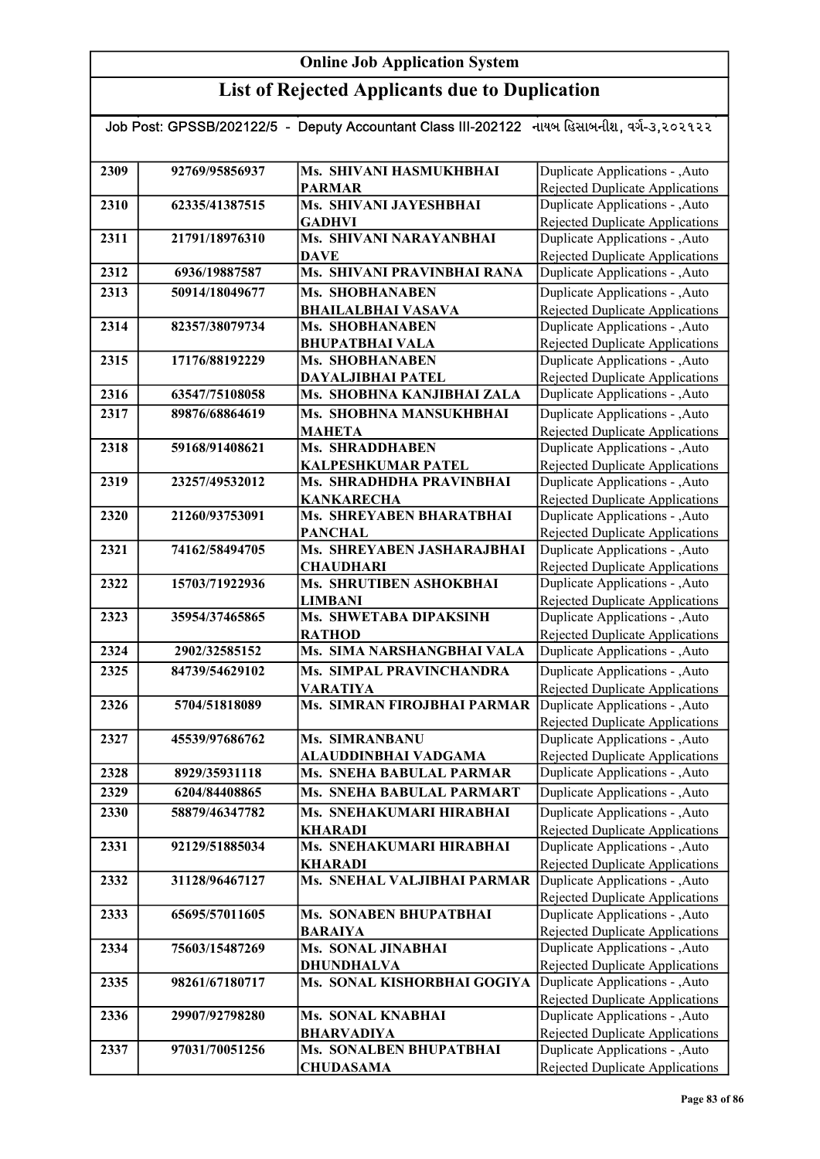| Job Post: GPSSB/202122/5  -  Deputy Accountant Class III-202122   નાયબ હિસાબનીશ, વર્ગ-૩,૨૦૨૧૨૨ |                |                                                  |                                                                    |  |
|------------------------------------------------------------------------------------------------|----------------|--------------------------------------------------|--------------------------------------------------------------------|--|
|                                                                                                |                |                                                  |                                                                    |  |
| 2309                                                                                           | 92769/95856937 | Ms. SHIVANI HASMUKHBHAI                          | Duplicate Applications - , Auto                                    |  |
|                                                                                                |                | <b>PARMAR</b>                                    | Rejected Duplicate Applications                                    |  |
| 2310                                                                                           | 62335/41387515 | Ms. SHIVANI JAYESHBHAI                           | Duplicate Applications - , Auto                                    |  |
|                                                                                                |                | <b>GADHVI</b>                                    | Rejected Duplicate Applications                                    |  |
| 2311                                                                                           | 21791/18976310 | Ms. SHIVANI NARAYANBHAI                          | Duplicate Applications - ,Auto                                     |  |
|                                                                                                |                | <b>DAVE</b>                                      | Rejected Duplicate Applications                                    |  |
| 2312                                                                                           | 6936/19887587  | Ms. SHIVANI PRAVINBHAI RANA                      | Duplicate Applications - , Auto                                    |  |
| 2313                                                                                           | 50914/18049677 | Ms. SHOBHANABEN                                  | Duplicate Applications - , Auto                                    |  |
|                                                                                                |                | <b>BHAILALBHAI VASAVA</b>                        | Rejected Duplicate Applications                                    |  |
| 2314                                                                                           | 82357/38079734 | <b>Ms. SHOBHANABEN</b>                           | Duplicate Applications - , Auto                                    |  |
| 2315                                                                                           | 17176/88192229 | <b>BHUPATBHAI VALA</b><br><b>Ms. SHOBHANABEN</b> | Rejected Duplicate Applications<br>Duplicate Applications - ,Auto  |  |
|                                                                                                |                | DAYALJIBHAI PATEL                                | <b>Rejected Duplicate Applications</b>                             |  |
| 2316                                                                                           | 63547/75108058 | Ms. SHOBHNA KANJIBHAI ZALA                       | Duplicate Applications - , Auto                                    |  |
| 2317                                                                                           | 89876/68864619 | Ms. SHOBHNA MANSUKHBHAI                          | Duplicate Applications - , Auto                                    |  |
|                                                                                                |                | <b>MAHETA</b>                                    | Rejected Duplicate Applications                                    |  |
| 2318                                                                                           | 59168/91408621 | <b>Ms. SHRADDHABEN</b>                           | Duplicate Applications - , Auto                                    |  |
|                                                                                                |                | <b>KALPESHKUMAR PATEL</b>                        | Rejected Duplicate Applications                                    |  |
| 2319                                                                                           | 23257/49532012 | Ms. SHRADHDHA PRAVINBHAI                         | Duplicate Applications - , Auto                                    |  |
|                                                                                                |                | <b>KANKARECHA</b>                                | Rejected Duplicate Applications                                    |  |
| 2320                                                                                           | 21260/93753091 | <b>Ms. SHREYABEN BHARATBHAI</b>                  | Duplicate Applications - , Auto                                    |  |
|                                                                                                |                | <b>PANCHAL</b>                                   | Rejected Duplicate Applications                                    |  |
| 2321                                                                                           | 74162/58494705 | Ms. SHREYABEN JASHARAJBHAI                       | Duplicate Applications - , Auto                                    |  |
|                                                                                                |                | <b>CHAUDHARI</b>                                 | <b>Rejected Duplicate Applications</b>                             |  |
| 2322                                                                                           | 15703/71922936 | Ms. SHRUTIBEN ASHOKBHAI                          | Duplicate Applications - , Auto                                    |  |
| 2323                                                                                           | 35954/37465865 | <b>LIMBANI</b><br>Ms. SHWETABA DIPAKSINH         | Rejected Duplicate Applications<br>Duplicate Applications - , Auto |  |
|                                                                                                |                | <b>RATHOD</b>                                    | Rejected Duplicate Applications                                    |  |
| 2324                                                                                           | 2902/32585152  | Ms. SIMA NARSHANGBHAI VALA                       | Duplicate Applications - , Auto                                    |  |
| 2325                                                                                           | 84739/54629102 | Ms. SIMPAL PRAVINCHANDRA                         | Duplicate Applications - , Auto                                    |  |
|                                                                                                |                | <b>VARATIYA</b>                                  | Rejected Duplicate Applications                                    |  |
| 2326                                                                                           | 5704/51818089  | Ms. SIMRAN FIROJBHAI PARMAR                      | Duplicate Applications - , Auto                                    |  |
|                                                                                                |                |                                                  | Rejected Duplicate Applications                                    |  |
| 2327                                                                                           | 45539/97686762 | Ms. SIMRANBANU                                   | Duplicate Applications - , Auto                                    |  |
|                                                                                                |                | ALAUDDINBHAI VADGAMA                             | Rejected Duplicate Applications                                    |  |
| 2328                                                                                           | 8929/35931118  | Ms. SNEHA BABULAL PARMAR                         | Duplicate Applications - , Auto                                    |  |
| 2329                                                                                           | 6204/84408865  | Ms. SNEHA BABULAL PARMART                        | Duplicate Applications - , Auto                                    |  |
| 2330                                                                                           | 58879/46347782 | Ms. SNEHAKUMARI HIRABHAI                         | Duplicate Applications - , Auto                                    |  |
|                                                                                                |                | <b>KHARADI</b>                                   | Rejected Duplicate Applications                                    |  |
| 2331                                                                                           | 92129/51885034 | Ms. SNEHAKUMARI HIRABHAI                         | Duplicate Applications - , Auto                                    |  |
|                                                                                                |                | <b>KHARADI</b>                                   | Rejected Duplicate Applications                                    |  |
| 2332                                                                                           | 31128/96467127 | Ms. SNEHAL VALJIBHAI PARMAR                      | Duplicate Applications - ,Auto                                     |  |
| 2333                                                                                           | 65695/57011605 | Ms. SONABEN BHUPATBHAI                           | Rejected Duplicate Applications<br>Duplicate Applications - , Auto |  |
|                                                                                                |                | <b>BARAIYA</b>                                   | Rejected Duplicate Applications                                    |  |
| 2334                                                                                           | 75603/15487269 | Ms. SONAL JINABHAI                               | Duplicate Applications - , Auto                                    |  |
|                                                                                                |                | <b>DHUNDHALVA</b>                                | Rejected Duplicate Applications                                    |  |
| 2335                                                                                           | 98261/67180717 | Ms. SONAL KISHORBHAI GOGIYA                      | Duplicate Applications - , Auto                                    |  |
|                                                                                                |                |                                                  | <b>Rejected Duplicate Applications</b>                             |  |
| 2336                                                                                           | 29907/92798280 | Ms. SONAL KNABHAI                                | Duplicate Applications - , Auto                                    |  |
|                                                                                                |                | <b>BHARVADIYA</b>                                | Rejected Duplicate Applications                                    |  |
| 2337                                                                                           | 97031/70051256 | Ms. SONALBEN BHUPATBHAI                          | Duplicate Applications - , Auto                                    |  |
|                                                                                                |                | <b>CHUDASAMA</b>                                 | Rejected Duplicate Applications                                    |  |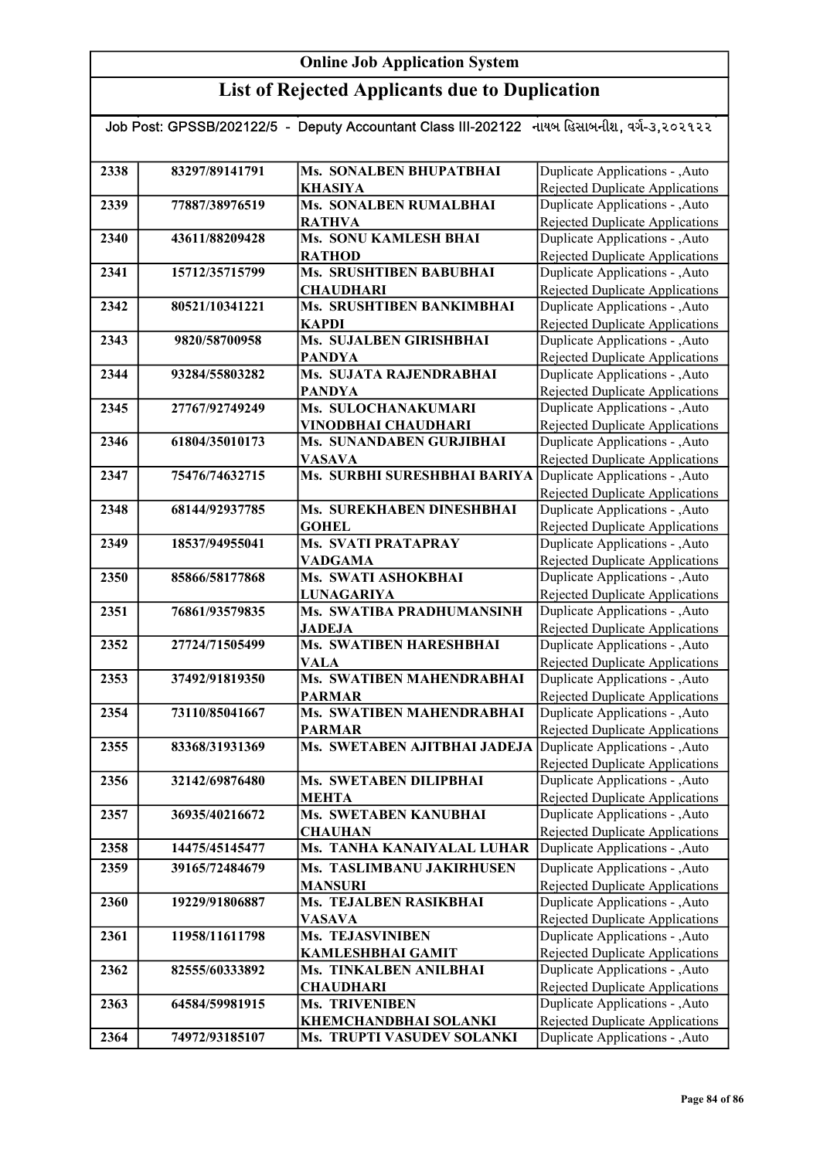## List of Rejected Applicants due to Duplication

| Job Post: GPSSB/202122/5 - Deputy Accountant Class III-202122 નાયબ હિસાબનીશ, વર્ગ-૩,૨૦૨૧૨૨ |                |                                                              |                                                                    |
|--------------------------------------------------------------------------------------------|----------------|--------------------------------------------------------------|--------------------------------------------------------------------|
|                                                                                            |                |                                                              |                                                                    |
| 2338                                                                                       | 83297/89141791 | <b>Ms. SONALBEN BHUPATBHAI</b>                               | Duplicate Applications - , Auto                                    |
|                                                                                            |                | <b>KHASIYA</b>                                               | Rejected Duplicate Applications                                    |
| 2339                                                                                       | 77887/38976519 | <b>Ms. SONALBEN RUMALBHAI</b>                                | Duplicate Applications - , Auto                                    |
|                                                                                            |                | <b>RATHVA</b>                                                | Rejected Duplicate Applications                                    |
| 2340                                                                                       | 43611/88209428 | <b>Ms. SONU KAMLESH BHAI</b>                                 | Duplicate Applications - , Auto                                    |
|                                                                                            |                | <b>RATHOD</b>                                                | Rejected Duplicate Applications                                    |
| 2341                                                                                       | 15712/35715799 | <b>Ms. SRUSHTIBEN BABUBHAI</b>                               | Duplicate Applications - , Auto                                    |
|                                                                                            |                | <b>CHAUDHARI</b>                                             | Rejected Duplicate Applications                                    |
| 2342                                                                                       | 80521/10341221 | Ms. SRUSHTIBEN BANKIMBHAI                                    | Duplicate Applications - , Auto                                    |
|                                                                                            |                | <b>KAPDI</b>                                                 | <b>Rejected Duplicate Applications</b>                             |
| 2343                                                                                       | 9820/58700958  | Ms. SUJALBEN GIRISHBHAI                                      | Duplicate Applications - , Auto                                    |
|                                                                                            |                | <b>PANDYA</b>                                                | Rejected Duplicate Applications                                    |
| 2344                                                                                       | 93284/55803282 | Ms. SUJATA RAJENDRABHAI                                      | Duplicate Applications - , Auto                                    |
|                                                                                            |                | <b>PANDYA</b>                                                | Rejected Duplicate Applications                                    |
| 2345                                                                                       | 27767/92749249 | Ms. SULOCHANAKUMARI                                          | Duplicate Applications - , Auto                                    |
|                                                                                            |                | VINODBHAI CHAUDHARI                                          | Rejected Duplicate Applications                                    |
| 2346                                                                                       | 61804/35010173 | Ms. SUNANDABEN GURJIBHAI                                     | Duplicate Applications - , Auto                                    |
|                                                                                            |                | <b>VASAVA</b>                                                | Rejected Duplicate Applications                                    |
| 2347                                                                                       | 75476/74632715 | Ms. SURBHI SURESHBHAI BARIYA                                 | Duplicate Applications - , Auto                                    |
|                                                                                            |                |                                                              | Rejected Duplicate Applications                                    |
| 2348                                                                                       | 68144/92937785 | Ms. SUREKHABEN DINESHBHAI                                    | Duplicate Applications - , Auto                                    |
| 2349                                                                                       | 18537/94955041 | <b>GOHEL</b><br><b>Ms. SVATI PRATAPRAY</b>                   | Rejected Duplicate Applications<br>Duplicate Applications - , Auto |
|                                                                                            |                | <b>VADGAMA</b>                                               | Rejected Duplicate Applications                                    |
| 2350                                                                                       | 85866/58177868 | Ms. SWATI ASHOKBHAI                                          | Duplicate Applications - , Auto                                    |
|                                                                                            |                | <b>LUNAGARIYA</b>                                            | Rejected Duplicate Applications                                    |
| 2351                                                                                       | 76861/93579835 | Ms. SWATIBA PRADHUMANSINH                                    | Duplicate Applications - , Auto                                    |
|                                                                                            |                | <b>JADEJA</b>                                                | Rejected Duplicate Applications                                    |
| 2352                                                                                       | 27724/71505499 | <b>Ms. SWATIBEN HARESHBHAI</b>                               | Duplicate Applications - , Auto                                    |
|                                                                                            |                | <b>VALA</b>                                                  | <b>Rejected Duplicate Applications</b>                             |
| 2353                                                                                       | 37492/91819350 | <b>Ms. SWATIBEN MAHENDRABHAI</b>                             | Duplicate Applications - , Auto                                    |
|                                                                                            |                | <b>PARMAR</b>                                                | <b>Rejected Duplicate Applications</b>                             |
| 2354                                                                                       | 73110/85041667 | <b>Ms. SWATIBEN MAHENDRABHAI</b>                             | Duplicate Applications - , Auto                                    |
|                                                                                            |                | <b>PARMAR</b>                                                | Rejected Duplicate Applications                                    |
| 2355                                                                                       | 83368/31931369 | Ms. SWETABEN AJITBHAI JADEJA Duplicate Applications - , Auto |                                                                    |
|                                                                                            |                |                                                              | Rejected Duplicate Applications                                    |
| 2356                                                                                       | 32142/69876480 | Ms. SWETABEN DILIPBHAI                                       | Duplicate Applications - , Auto                                    |
|                                                                                            |                | <b>MEHTA</b>                                                 | Rejected Duplicate Applications                                    |
| 2357                                                                                       | 36935/40216672 | Ms. SWETABEN KANUBHAI                                        | Duplicate Applications - , Auto                                    |
|                                                                                            |                | <b>CHAUHAN</b>                                               | Rejected Duplicate Applications                                    |
| 2358                                                                                       | 14475/45145477 | Ms. TANHA KANAIYALAL LUHAR                                   | Duplicate Applications - , Auto                                    |
| 2359                                                                                       | 39165/72484679 | Ms. TASLIMBANU JAKIRHUSEN                                    | Duplicate Applications - , Auto                                    |
|                                                                                            |                | <b>MANSURI</b>                                               | Rejected Duplicate Applications                                    |
| 2360                                                                                       | 19229/91806887 | <b>Ms. TEJALBEN RASIKBHAI</b>                                | Duplicate Applications - , Auto                                    |
|                                                                                            |                | <b>VASAVA</b>                                                | Rejected Duplicate Applications                                    |
| 2361                                                                                       | 11958/11611798 | Ms. TEJASVINIBEN                                             | Duplicate Applications - , Auto                                    |
|                                                                                            |                | <b>KAMLESHBHAI GAMIT</b>                                     | Rejected Duplicate Applications                                    |
| 2362                                                                                       | 82555/60333892 | Ms. TINKALBEN ANILBHAI                                       | Duplicate Applications - , Auto                                    |
|                                                                                            |                | <b>CHAUDHARI</b>                                             | Rejected Duplicate Applications                                    |
| 2363                                                                                       | 64584/59981915 | <b>Ms. TRIVENIBEN</b>                                        | Duplicate Applications - , Auto                                    |
|                                                                                            |                | <b>KHEMCHANDBHAI SOLANKI</b>                                 | Rejected Duplicate Applications                                    |
| 2364                                                                                       | 74972/93185107 | Ms. TRUPTI VASUDEV SOLANKI                                   | Duplicate Applications - , Auto                                    |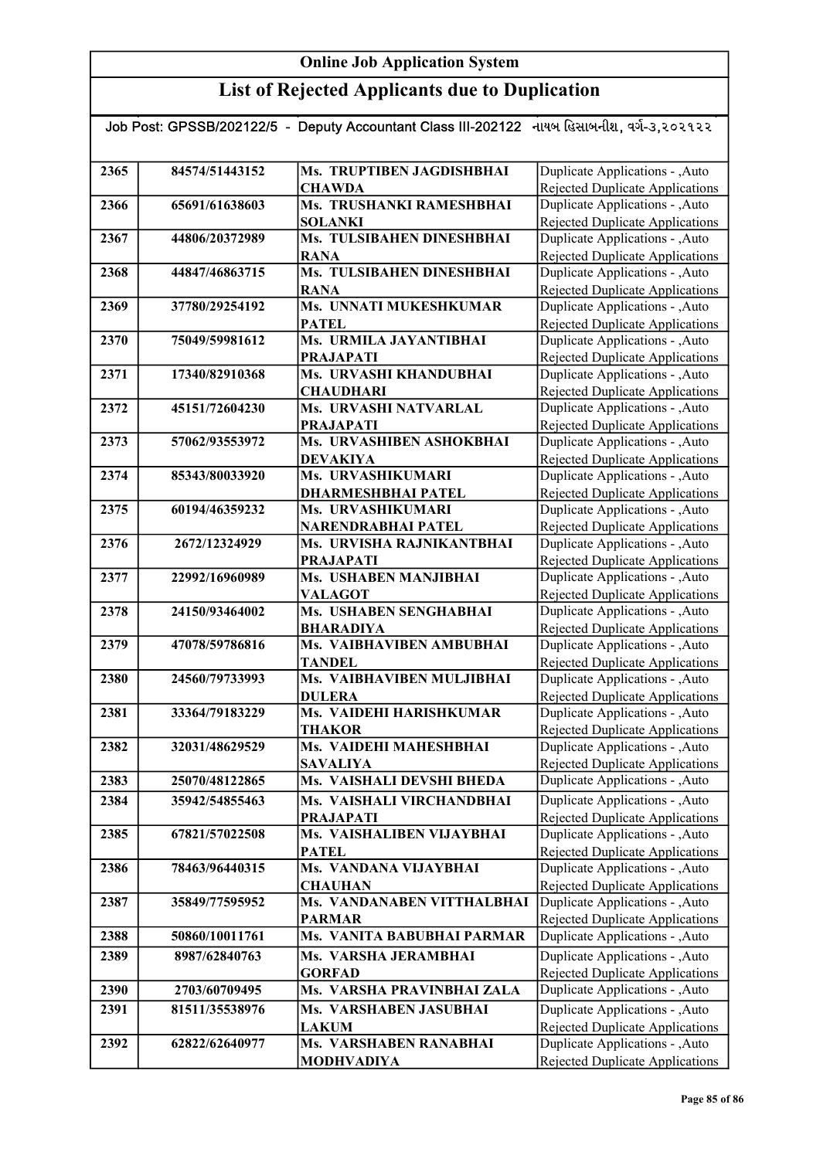| Job Post: GPSSB/202122/5  -  Deputy Accountant Class III-202122   નાયબ હિસાબનીશ, વર્ગ-૩,૨૦૨૧૨૨ |                |                                            |                                                                           |  |
|------------------------------------------------------------------------------------------------|----------------|--------------------------------------------|---------------------------------------------------------------------------|--|
|                                                                                                |                |                                            |                                                                           |  |
| 2365                                                                                           | 84574/51443152 | Ms. TRUPTIBEN JAGDISHBHAI                  | Duplicate Applications - , Auto                                           |  |
|                                                                                                |                | <b>CHAWDA</b>                              | Rejected Duplicate Applications                                           |  |
| 2366                                                                                           | 65691/61638603 | Ms. TRUSHANKI RAMESHBHAI                   | Duplicate Applications - , Auto                                           |  |
|                                                                                                |                | <b>SOLANKI</b>                             | <b>Rejected Duplicate Applications</b>                                    |  |
| 2367                                                                                           | 44806/20372989 | Ms. TULSIBAHEN DINESHBHAI                  | Duplicate Applications - , Auto                                           |  |
|                                                                                                |                | <b>RANA</b>                                | Rejected Duplicate Applications                                           |  |
| 2368                                                                                           | 44847/46863715 | Ms. TULSIBAHEN DINESHBHAI                  | Duplicate Applications - , Auto                                           |  |
|                                                                                                |                | <b>RANA</b>                                | Rejected Duplicate Applications                                           |  |
| 2369                                                                                           | 37780/29254192 | Ms. UNNATI MUKESHKUMAR                     | Duplicate Applications - , Auto                                           |  |
|                                                                                                |                | <b>PATEL</b>                               | <b>Rejected Duplicate Applications</b>                                    |  |
| 2370                                                                                           | 75049/59981612 | Ms. URMILA JAYANTIBHAI                     | Duplicate Applications - , Auto                                           |  |
| 2371                                                                                           | 17340/82910368 | <b>PRAJAPATI</b><br>Ms. URVASHI KHANDUBHAI | Rejected Duplicate Applications<br>Duplicate Applications - , Auto        |  |
|                                                                                                |                | <b>CHAUDHARI</b>                           | <b>Rejected Duplicate Applications</b>                                    |  |
| 2372                                                                                           | 45151/72604230 | Ms. URVASHI NATVARLAL                      | Duplicate Applications - , Auto                                           |  |
|                                                                                                |                | <b>PRAJAPATI</b>                           | <b>Rejected Duplicate Applications</b>                                    |  |
| 2373                                                                                           | 57062/93553972 | Ms. URVASHIBEN ASHOKBHAI                   | Duplicate Applications - , Auto                                           |  |
|                                                                                                |                | <b>DEVAKIYA</b>                            | Rejected Duplicate Applications                                           |  |
| 2374                                                                                           | 85343/80033920 | Ms. URVASHIKUMARI                          | Duplicate Applications - , Auto                                           |  |
|                                                                                                |                | <b>DHARMESHBHAI PATEL</b>                  | Rejected Duplicate Applications                                           |  |
| 2375                                                                                           | 60194/46359232 | Ms. URVASHIKUMARI                          | Duplicate Applications - , Auto                                           |  |
|                                                                                                |                | NARENDRABHAI PATEL                         | Rejected Duplicate Applications                                           |  |
| 2376                                                                                           | 2672/12324929  | Ms. URVISHA RAJNIKANTBHAI                  | Duplicate Applications - , Auto                                           |  |
|                                                                                                |                | <b>PRAJAPATI</b>                           | <b>Rejected Duplicate Applications</b>                                    |  |
| 2377                                                                                           | 22992/16960989 | <b>Ms. USHABEN MANJIBHAI</b>               | Duplicate Applications - , Auto                                           |  |
|                                                                                                |                | <b>VALAGOT</b>                             | Rejected Duplicate Applications                                           |  |
| 2378                                                                                           | 24150/93464002 | Ms. USHABEN SENGHABHAI<br><b>BHARADIYA</b> | Duplicate Applications - , Auto                                           |  |
| 2379                                                                                           | 47078/59786816 | Ms. VAIBHAVIBEN AMBUBHAI                   | Rejected Duplicate Applications<br>Duplicate Applications - , Auto        |  |
|                                                                                                |                | <b>TANDEL</b>                              | <b>Rejected Duplicate Applications</b>                                    |  |
| 2380                                                                                           | 24560/79733993 | Ms. VAIBHAVIBEN MULJIBHAI                  | Duplicate Applications - , Auto                                           |  |
|                                                                                                |                | <b>DULERA</b>                              | Rejected Duplicate Applications                                           |  |
| 2381                                                                                           | 33364/79183229 | Ms. VAIDEHI HARISHKUMAR                    | Duplicate Applications - , Auto                                           |  |
|                                                                                                |                | <b>THAKOR</b>                              | Rejected Duplicate Applications                                           |  |
| 2382                                                                                           | 32031/48629529 | Ms. VAIDEHI MAHESHBHAI                     | Duplicate Applications - , Auto                                           |  |
|                                                                                                |                | <b>SAVALIYA</b>                            | Rejected Duplicate Applications                                           |  |
| 2383                                                                                           | 25070/48122865 | Ms. VAISHALI DEVSHI BHEDA                  | Duplicate Applications - , Auto                                           |  |
| 2384                                                                                           | 35942/54855463 | Ms. VAISHALI VIRCHANDBHAI                  | Duplicate Applications - , Auto                                           |  |
|                                                                                                |                | <b>PRAJAPATI</b>                           | <b>Rejected Duplicate Applications</b>                                    |  |
| 2385                                                                                           | 67821/57022508 | Ms. VAISHALIBEN VIJAYBHAI                  | Duplicate Applications - , Auto                                           |  |
| 2386                                                                                           |                | <b>PATEL</b><br>Ms. VANDANA VIJAYBHAI      | <b>Rejected Duplicate Applications</b><br>Duplicate Applications - , Auto |  |
|                                                                                                | 78463/96440315 | <b>CHAUHAN</b>                             | <b>Rejected Duplicate Applications</b>                                    |  |
| 2387                                                                                           | 35849/77595952 | Ms. VANDANABEN VITTHALBHAI                 | Duplicate Applications - , Auto                                           |  |
|                                                                                                |                | <b>PARMAR</b>                              | Rejected Duplicate Applications                                           |  |
| 2388                                                                                           | 50860/10011761 | Ms. VANITA BABUBHAI PARMAR                 | Duplicate Applications - , Auto                                           |  |
| 2389                                                                                           | 8987/62840763  | Ms. VARSHA JERAMBHAI                       | Duplicate Applications - , Auto                                           |  |
|                                                                                                |                | <b>GORFAD</b>                              | Rejected Duplicate Applications                                           |  |
| 2390                                                                                           | 2703/60709495  | Ms. VARSHA PRAVINBHAI ZALA                 | Duplicate Applications - , Auto                                           |  |
| 2391                                                                                           | 81511/35538976 | Ms. VARSHABEN JASUBHAI                     | Duplicate Applications - , Auto                                           |  |
|                                                                                                |                | <b>LAKUM</b>                               | Rejected Duplicate Applications                                           |  |
| 2392                                                                                           | 62822/62640977 | Ms. VARSHABEN RANABHAI                     | Duplicate Applications - , Auto                                           |  |
|                                                                                                |                | <b>MODHVADIYA</b>                          | <b>Rejected Duplicate Applications</b>                                    |  |